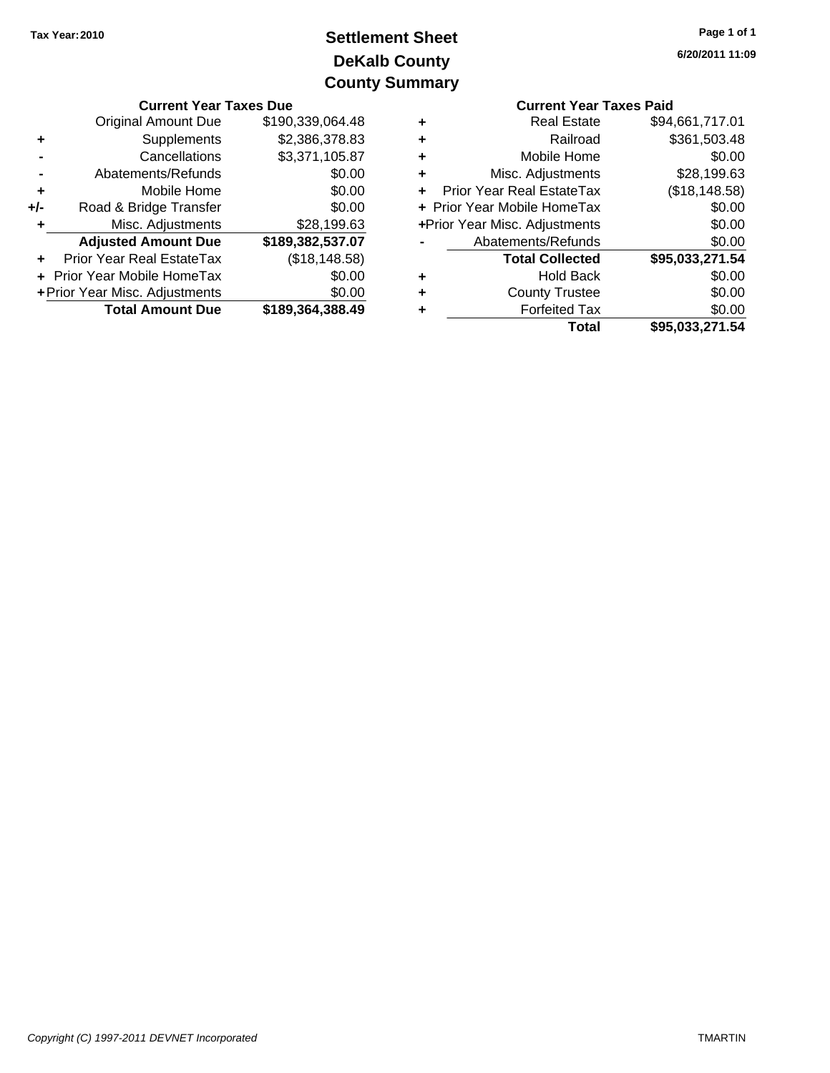# **DeKalb County Settlement Sheet Tax Year:2010 County Summary**

|                                       | <b>Current Year Taxes Due</b>           |                  |                               | <b>Current Year Taxes Paid</b>   |                       |  |
|---------------------------------------|-----------------------------------------|------------------|-------------------------------|----------------------------------|-----------------------|--|
|                                       | \$190,339,064.48<br>Original Amount Due |                  | ٠                             | <b>Real Estate</b>               | \$94,661,717.01       |  |
|                                       | <b>Supplements</b>                      | \$2,386,378.83   | ٠                             | Railroad                         | \$361,503.48          |  |
|                                       | Cancellations                           | \$3,371,105.87   | ٠                             | Mobile Home                      | \$0.00                |  |
|                                       | Abatements/Refunds                      | \$0.00           | ٠                             | Misc. Adjustments                | \$28,199.63           |  |
|                                       | Mobile Home                             | \$0.00           | $+$                           | <b>Prior Year Real EstateTax</b> | (\$18,148.58)         |  |
| $+/-$                                 | Road & Bridge Transfer                  | \$0.00           |                               | + Prior Year Mobile HomeTax      | \$0.00                |  |
|                                       | Misc. Adjustments                       | \$28,199.63      | +Prior Year Misc. Adjustments |                                  | \$0.00                |  |
|                                       | <b>Adjusted Amount Due</b>              | \$189,382,537.07 |                               | Abatements/Refunds               | \$0.00                |  |
|                                       | <b>Prior Year Real EstateTax</b>        | (\$18,148.58)    |                               | <b>Total Collected</b>           | \$95,033,271.54       |  |
| + Prior Year Mobile HomeTax<br>\$0.00 |                                         |                  | ٠                             | <b>Hold Back</b>                 | \$0.00                |  |
| + Prior Year Misc. Adjustments        |                                         | \$0.00           | ٠                             | <b>County Trustee</b>            | \$0.00                |  |
|                                       | <b>Total Amount Due</b>                 | \$189,364,388.49 | ٠                             | <b>Forfeited Tax</b>             | \$0.00                |  |
|                                       |                                         |                  |                               | Total                            | <b>CO5 033 271 51</b> |  |

|   | <b>Current Year Taxes Paid</b>   |                 |
|---|----------------------------------|-----------------|
| ٠ | <b>Real Estate</b>               | \$94,661,717.01 |
| ÷ | Railroad                         | \$361,503.48    |
| ÷ | Mobile Home                      | \$0.00          |
| ÷ | Misc. Adjustments                | \$28,199.63     |
| ÷ | <b>Prior Year Real EstateTax</b> | (\$18,148.58)   |
|   | + Prior Year Mobile HomeTax      | \$0.00          |
|   | +Prior Year Misc. Adjustments    | \$0.00          |
|   | Abatements/Refunds               | \$0.00          |
|   | <b>Total Collected</b>           | \$95,033,271.54 |
| ÷ | Hold Back                        | \$0.00          |
| ÷ | <b>County Trustee</b>            | \$0.00          |
| ٠ | <b>Forfeited Tax</b>             | \$0.00          |
|   | Total                            | \$95,033,271.54 |
|   |                                  |                 |

### Copyright (C) 1997-2011 DEVNET Incorporated TMARTIN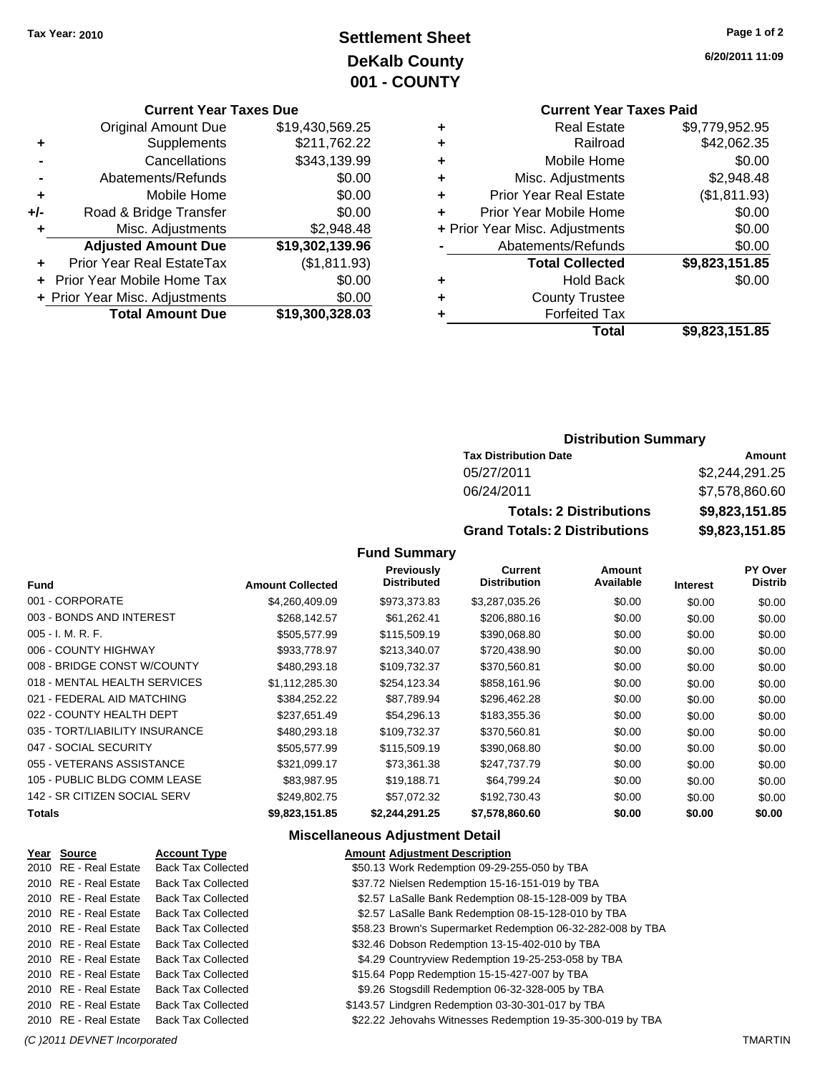# **Settlement Sheet Tax Year: 2010 Page 1 of 2 DeKalb County 001 - COUNTY**

#### **Current Year Taxes Due**

| <b>Original Amount Due</b> | \$19,430,569.25                |
|----------------------------|--------------------------------|
| Supplements                | \$211,762.22                   |
| Cancellations              | \$343,139.99                   |
| Abatements/Refunds         | \$0.00                         |
| Mobile Home                | \$0.00                         |
| Road & Bridge Transfer     | \$0.00                         |
| Misc. Adjustments          | \$2,948.48                     |
| <b>Adjusted Amount Due</b> | \$19,302,139.96                |
| Prior Year Real EstateTax  | (\$1,811.93)                   |
| Prior Year Mobile Home Tax | \$0.00                         |
|                            | \$0.00                         |
| <b>Total Amount Due</b>    | \$19,300,328.03                |
|                            | + Prior Year Misc. Adjustments |

# **Current Year Taxes Paid +** Real Estate \$9,779,952.95

|   | Railroad                       | \$42,062.35    |
|---|--------------------------------|----------------|
|   | Mobile Home                    | \$0.00         |
| ٠ | Misc. Adjustments              | \$2,948.48     |
| ٠ | <b>Prior Year Real Estate</b>  | (\$1,811.93)   |
| ٠ | Prior Year Mobile Home         | \$0.00         |
|   | + Prior Year Misc. Adjustments | \$0.00         |
|   | Abatements/Refunds             | \$0.00         |
|   | <b>Total Collected</b>         | \$9,823,151.85 |
| ٠ | <b>Hold Back</b>               | \$0.00         |
| ٠ | <b>County Trustee</b>          |                |
|   | <b>Forfeited Tax</b>           |                |
|   | Total                          | \$9,823,151.85 |

### **Distribution Summary**

| <b>Tax Distribution Date</b>         | Amount         |
|--------------------------------------|----------------|
| 05/27/2011                           | \$2.244.291.25 |
| 06/24/2011                           | \$7,578,860.60 |
| <b>Totals: 2 Distributions</b>       | \$9,823,151.85 |
| <b>Grand Totals: 2 Distributions</b> | \$9,823,151.85 |

### **Fund Summary**

| <b>Fund</b>                    | <b>Amount Collected</b> | <b>Previously</b><br><b>Distributed</b> | Current<br><b>Distribution</b> | Amount<br>Available | <b>Interest</b> | <b>PY Over</b><br><b>Distrib</b> |
|--------------------------------|-------------------------|-----------------------------------------|--------------------------------|---------------------|-----------------|----------------------------------|
| 001 - CORPORATE                | \$4,260,409.09          | \$973,373.83                            | \$3,287,035.26                 | \$0.00              | \$0.00          | \$0.00                           |
| 003 - BONDS AND INTEREST       | \$268.142.57            | \$61,262.41                             | \$206,880.16                   | \$0.00              | \$0.00          | \$0.00                           |
| $005 - I. M. R. F.$            | \$505,577.99            | \$115,509.19                            | \$390,068.80                   | \$0.00              | \$0.00          | \$0.00                           |
| 006 - COUNTY HIGHWAY           | \$933,778.97            | \$213,340.07                            | \$720,438.90                   | \$0.00              | \$0.00          | \$0.00                           |
| 008 - BRIDGE CONST W/COUNTY    | \$480,293.18            | \$109,732.37                            | \$370,560.81                   | \$0.00              | \$0.00          | \$0.00                           |
| 018 - MENTAL HEALTH SERVICES   | \$1.112.285.30          | \$254,123.34                            | \$858,161.96                   | \$0.00              | \$0.00          | \$0.00                           |
| 021 - FEDERAL AID MATCHING     | \$384,252.22            | \$87,789.94                             | \$296,462.28                   | \$0.00              | \$0.00          | \$0.00                           |
| 022 - COUNTY HEALTH DEPT       | \$237,651.49            | \$54,296.13                             | \$183,355.36                   | \$0.00              | \$0.00          | \$0.00                           |
| 035 - TORT/LIABILITY INSURANCE | \$480,293.18            | \$109.732.37                            | \$370.560.81                   | \$0.00              | \$0.00          | \$0.00                           |
| 047 - SOCIAL SECURITY          | \$505,577.99            | \$115,509.19                            | \$390,068.80                   | \$0.00              | \$0.00          | \$0.00                           |
| 055 - VETERANS ASSISTANCE      | \$321.099.17            | \$73.361.38                             | \$247.737.79                   | \$0.00              | \$0.00          | \$0.00                           |
| 105 - PUBLIC BLDG COMM LEASE   | \$83.987.95             | \$19.188.71                             | \$64,799.24                    | \$0.00              | \$0.00          | \$0.00                           |
| 142 - SR CITIZEN SOCIAL SERV   | \$249,802.75            | \$57,072.32                             | \$192,730.43                   | \$0.00              | \$0.00          | \$0.00                           |
| <b>Totals</b>                  | \$9,823,151.85          | \$2.244.291.25                          | \$7,578,860.60                 | \$0.00              | \$0.00          | \$0.00                           |

### **Miscellaneous Adjustment Detail**

| Year Source           | <b>Account Type</b>       | <b>Amount Adjustment Description</b>                        |
|-----------------------|---------------------------|-------------------------------------------------------------|
| 2010 RE - Real Estate | <b>Back Tax Collected</b> | \$50.13 Work Redemption 09-29-255-050 by TBA                |
| 2010 RE - Real Estate | <b>Back Tax Collected</b> | \$37.72 Nielsen Redemption 15-16-151-019 by TBA             |
| 2010 RE - Real Estate | <b>Back Tax Collected</b> | \$2.57 LaSalle Bank Redemption 08-15-128-009 by TBA         |
| 2010 RE - Real Estate | <b>Back Tax Collected</b> | \$2.57 LaSalle Bank Redemption 08-15-128-010 by TBA         |
| 2010 RE - Real Estate | <b>Back Tax Collected</b> | \$58.23 Brown's Supermarket Redemption 06-32-282-008 by TBA |
| 2010 RE - Real Estate | <b>Back Tax Collected</b> | \$32.46 Dobson Redemption 13-15-402-010 by TBA              |
| 2010 RE - Real Estate | <b>Back Tax Collected</b> | \$4.29 Countryview Redemption 19-25-253-058 by TBA          |
| 2010 RE - Real Estate | <b>Back Tax Collected</b> | \$15.64 Popp Redemption 15-15-427-007 by TBA                |
| 2010 RE - Real Estate | <b>Back Tax Collected</b> | \$9.26 Stogsdill Redemption 06-32-328-005 by TBA            |
| 2010 RE - Real Estate | <b>Back Tax Collected</b> | \$143.57 Lindgren Redemption 03-30-301-017 by TBA           |
| 2010 RE - Real Estate | <b>Back Tax Collected</b> | \$22.22 Jehovahs Witnesses Redemption 19-35-300-019 by TBA  |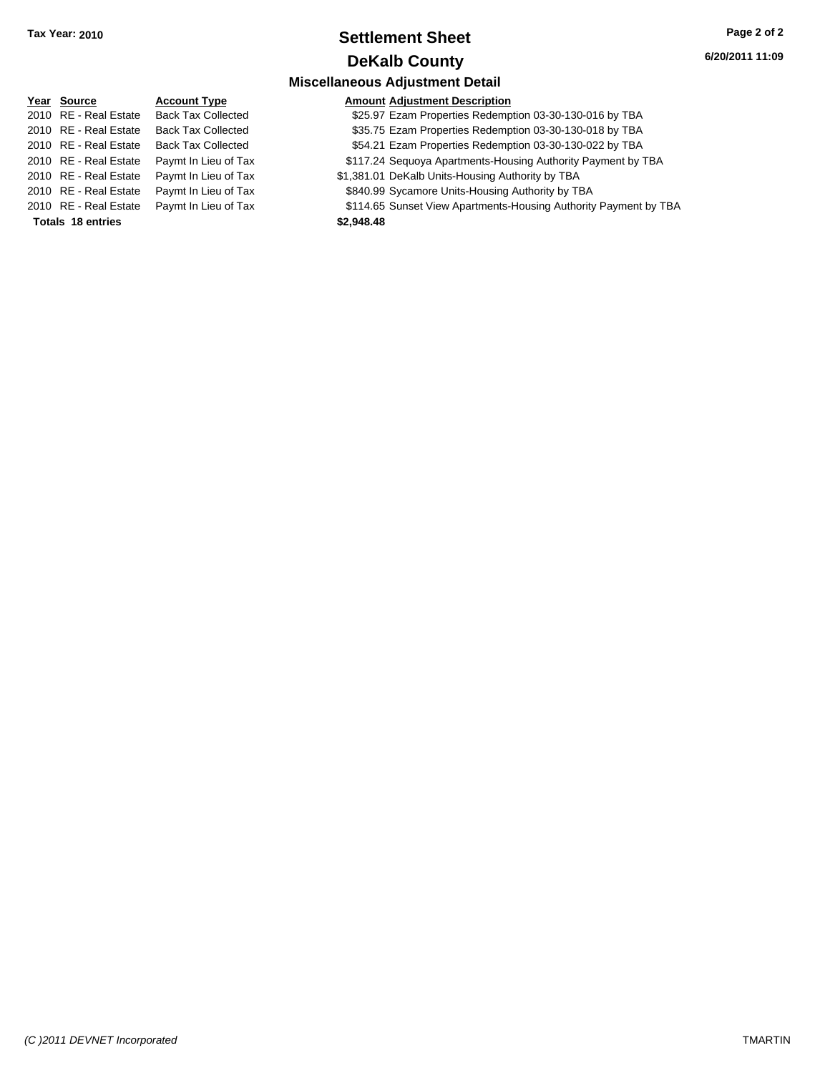### **Settlement Sheet Tax Year: 2010 Page 2 of 2 DeKalb County**

|                          |                           | <b>Miscellaneous Adjustment Detail</b>                           |
|--------------------------|---------------------------|------------------------------------------------------------------|
| Year Source              | <b>Account Type</b>       | <b>Amount Adjustment Description</b>                             |
| 2010 RE - Real Estate    | <b>Back Tax Collected</b> | \$25.97 Ezam Properties Redemption 03-30-130-016 by TBA          |
| 2010 RE - Real Estate    | <b>Back Tax Collected</b> | \$35.75 Ezam Properties Redemption 03-30-130-018 by TBA          |
| 2010 RE - Real Estate    | <b>Back Tax Collected</b> | \$54.21 Ezam Properties Redemption 03-30-130-022 by TBA          |
| 2010 RE - Real Estate    | Paymt In Lieu of Tax      | \$117.24 Sequoya Apartments-Housing Authority Payment by TBA     |
| 2010 RE - Real Estate    | Paymt In Lieu of Tax      | \$1,381.01 DeKalb Units-Housing Authority by TBA                 |
| 2010 RE - Real Estate    | Paymt In Lieu of Tax      | \$840.99 Sycamore Units-Housing Authority by TBA                 |
| 2010 RE - Real Estate    | Paymt In Lieu of Tax      | \$114.65 Sunset View Apartments-Housing Authority Payment by TBA |
| <b>Totals 18 entries</b> |                           | \$2,948.48                                                       |
|                          |                           |                                                                  |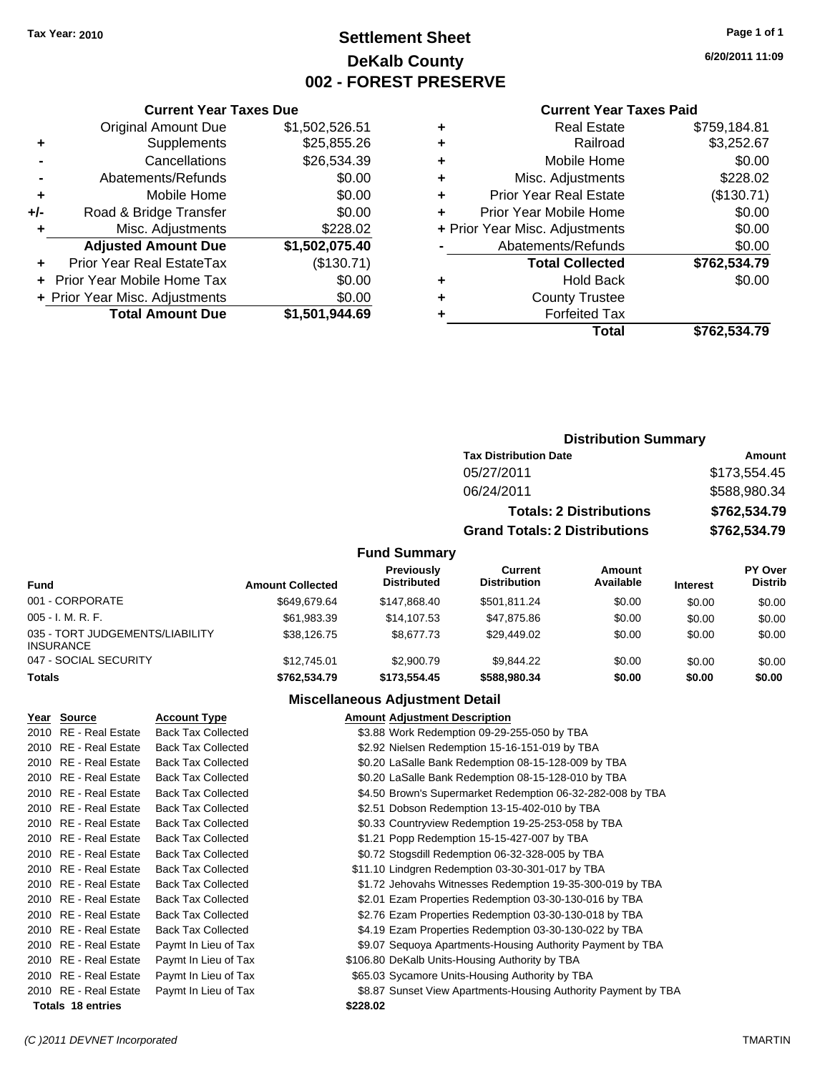# **Settlement Sheet Tax Year: 2010 Page 1 of 1 DeKalb County 002 - FOREST PRESERVE**

**6/20/2011 11:09**

#### **Current Year Taxes Paid**

|                | <b>Total Amount Due</b>          | \$1,501,944.69 |
|----------------|----------------------------------|----------------|
|                | + Prior Year Misc. Adjustments   | \$0.00         |
|                | Prior Year Mobile Home Tax       | \$0.00         |
|                | <b>Prior Year Real EstateTax</b> | (\$130.71)     |
|                | <b>Adjusted Amount Due</b>       | \$1,502,075.40 |
| ٠              | Misc. Adjustments                | \$228.02       |
| +/-            | Road & Bridge Transfer           | \$0.00         |
| ٠              | Mobile Home                      | \$0.00         |
| $\blacksquare$ | Abatements/Refunds               | \$0.00         |
|                | Cancellations                    | \$26,534.39    |
| ٠              | Supplements                      | \$25,855.26    |
|                | <b>Original Amount Due</b>       | \$1,502,526.51 |
|                |                                  |                |

**Current Year Taxes Due**

|   | <b>Real Estate</b>             | \$759,184.81 |
|---|--------------------------------|--------------|
| ٠ | Railroad                       | \$3,252.67   |
| ٠ | Mobile Home                    | \$0.00       |
| ٠ | Misc. Adjustments              | \$228.02     |
| ٠ | <b>Prior Year Real Estate</b>  | (\$130.71)   |
|   | Prior Year Mobile Home         | \$0.00       |
|   | + Prior Year Misc. Adjustments | \$0.00       |
|   | Abatements/Refunds             | \$0.00       |
|   | <b>Total Collected</b>         | \$762,534.79 |
| ٠ | Hold Back                      | \$0.00       |
| ٠ | <b>County Trustee</b>          |              |
|   | <b>Forfeited Tax</b>           |              |
|   | Total                          | \$762,534.79 |
|   |                                |              |

### **Distribution Summary Tax Distribution Date Amount** 05/27/2011 \$173,554.45 06/24/2011 \$588,980.34 **Totals: 2 Distributions \$762,534.79**

**Grand Totals: 2 Distributions \$762,534.79**

### **Fund Summary**

| <b>Fund</b>                                         | <b>Amount Collected</b> | <b>Previously</b><br><b>Distributed</b> | Current<br><b>Distribution</b> | Amount<br>Available | <b>Interest</b> | PY Over<br><b>Distrib</b> |
|-----------------------------------------------------|-------------------------|-----------------------------------------|--------------------------------|---------------------|-----------------|---------------------------|
| 001 - CORPORATE                                     | \$649.679.64            | \$147.868.40                            | \$501.811.24                   | \$0.00              | \$0.00          | \$0.00                    |
| $005 - I. M. R. F.$                                 | \$61.983.39             | \$14,107.53                             | \$47.875.86                    | \$0.00              | \$0.00          | \$0.00                    |
| 035 - TORT JUDGEMENTS/LIABILITY<br><b>INSURANCE</b> | \$38.126.75             | \$8,677.73                              | \$29,449.02                    | \$0.00              | \$0.00          | \$0.00                    |
| 047 - SOCIAL SECURITY                               | \$12,745.01             | \$2,900.79                              | \$9.844.22                     | \$0.00              | \$0.00          | \$0.00                    |
| <b>Totals</b>                                       | \$762,534.79            | \$173,554,45                            | \$588,980,34                   | \$0.00              | \$0.00          | \$0.00                    |

### **Miscellaneous Adjustment Detail**

| Year Source              | <b>Account Type</b>       | <b>Amount Adjustment Description</b>                           |
|--------------------------|---------------------------|----------------------------------------------------------------|
| 2010 RE - Real Estate    | <b>Back Tax Collected</b> | \$3.88 Work Redemption 09-29-255-050 by TBA                    |
| 2010 RE - Real Estate    | <b>Back Tax Collected</b> | \$2.92 Nielsen Redemption 15-16-151-019 by TBA                 |
| 2010 RE - Real Estate    | <b>Back Tax Collected</b> | \$0.20 LaSalle Bank Redemption 08-15-128-009 by TBA            |
| 2010 RE - Real Estate    | <b>Back Tax Collected</b> | \$0.20 LaSalle Bank Redemption 08-15-128-010 by TBA            |
| 2010 RE - Real Estate    | <b>Back Tax Collected</b> | \$4.50 Brown's Supermarket Redemption 06-32-282-008 by TBA     |
| 2010 RE - Real Estate    | <b>Back Tax Collected</b> | \$2.51 Dobson Redemption 13-15-402-010 by TBA                  |
| 2010 RE - Real Estate    | <b>Back Tax Collected</b> | \$0.33 Countryview Redemption 19-25-253-058 by TBA             |
| 2010 RE - Real Estate    | <b>Back Tax Collected</b> | \$1.21 Popp Redemption 15-15-427-007 by TBA                    |
| 2010 RE - Real Estate    | <b>Back Tax Collected</b> | \$0.72 Stogsdill Redemption 06-32-328-005 by TBA               |
| 2010 RE - Real Estate    | <b>Back Tax Collected</b> | \$11.10 Lindgren Redemption 03-30-301-017 by TBA               |
| 2010 RE - Real Estate    | <b>Back Tax Collected</b> | \$1.72 Jehovahs Witnesses Redemption 19-35-300-019 by TBA      |
| 2010 RE - Real Estate    | <b>Back Tax Collected</b> | \$2.01 Ezam Properties Redemption 03-30-130-016 by TBA         |
| 2010 RE - Real Estate    | <b>Back Tax Collected</b> | \$2.76 Ezam Properties Redemption 03-30-130-018 by TBA         |
| 2010 RE - Real Estate    | <b>Back Tax Collected</b> | \$4.19 Ezam Properties Redemption 03-30-130-022 by TBA         |
| 2010 RE - Real Estate    | Paymt In Lieu of Tax      | \$9.07 Sequoya Apartments-Housing Authority Payment by TBA     |
| 2010 RE - Real Estate    | Paymt In Lieu of Tax      | \$106.80 DeKalb Units-Housing Authority by TBA                 |
| 2010 RE - Real Estate    | Paymt In Lieu of Tax      | \$65.03 Sycamore Units-Housing Authority by TBA                |
| 2010 RE - Real Estate    | Paymt In Lieu of Tax      | \$8.87 Sunset View Apartments-Housing Authority Payment by TBA |
| <b>Totals 18 entries</b> |                           | \$228.02                                                       |

#### *(C )2011 DEVNET Incorporated* TMARTIN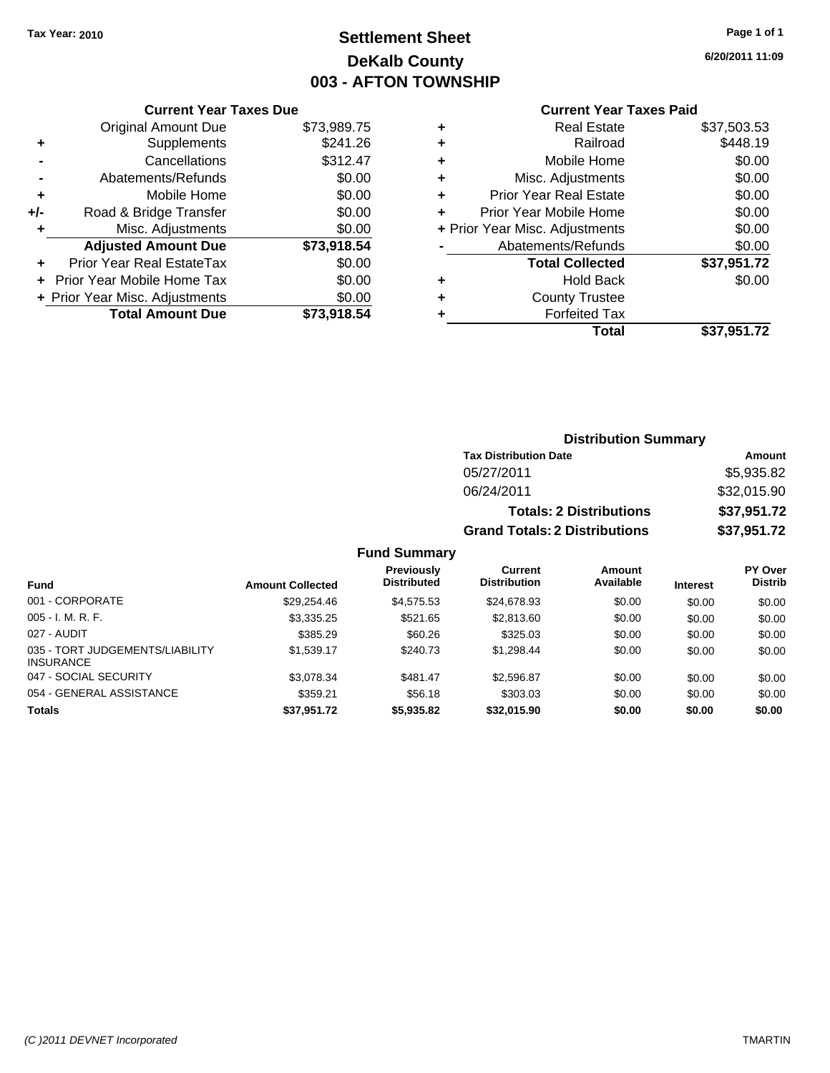# **Settlement Sheet Tax Year: 2010 Page 1 of 1 DeKalb County 003 - AFTON TOWNSHIP**

**6/20/2011 11:09**

#### **Current Year Taxes Paid**

|     | <b>Current Year Taxes Due</b>     |             |
|-----|-----------------------------------|-------------|
|     | <b>Original Amount Due</b>        | \$73,989.75 |
| ٠   | Supplements                       | \$241.26    |
|     | Cancellations                     | \$312.47    |
|     | Abatements/Refunds                | \$0.00      |
| ٠   | Mobile Home                       | \$0.00      |
| +/- | Road & Bridge Transfer            | \$0.00      |
| ٠   | Misc. Adjustments                 | \$0.00      |
|     | <b>Adjusted Amount Due</b>        | \$73,918.54 |
| ÷   | Prior Year Real EstateTax         | \$0.00      |
|     | <b>Prior Year Mobile Home Tax</b> | \$0.00      |
|     | + Prior Year Misc. Adjustments    | \$0.00      |
|     | <b>Total Amount Due</b>           | \$73.918.54 |
|     |                                   |             |

| ٠ | <b>Real Estate</b>             | \$37,503.53 |
|---|--------------------------------|-------------|
| ٠ | Railroad                       | \$448.19    |
| ٠ | Mobile Home                    | \$0.00      |
| ٠ | Misc. Adjustments              | \$0.00      |
| ٠ | <b>Prior Year Real Estate</b>  | \$0.00      |
| ÷ | Prior Year Mobile Home         | \$0.00      |
|   | + Prior Year Misc. Adjustments | \$0.00      |
|   | Abatements/Refunds             | \$0.00      |
|   | <b>Total Collected</b>         | \$37,951.72 |
| ٠ | <b>Hold Back</b>               | \$0.00      |
| ٠ | <b>County Trustee</b>          |             |
| ٠ | <b>Forfeited Tax</b>           |             |
|   | Total                          | \$37,951.72 |
|   |                                |             |

### **Distribution Summary**

| <b>Tax Distribution Date</b>         | Amount      |
|--------------------------------------|-------------|
| 05/27/2011                           | \$5,935.82  |
| 06/24/2011                           | \$32,015.90 |
| <b>Totals: 2 Distributions</b>       | \$37,951.72 |
| <b>Grand Totals: 2 Distributions</b> | \$37,951.72 |

### **Fund Summary**

|                                                     |                         | Previously         | Current             | <b>Amount</b> |                 | PY Over        |
|-----------------------------------------------------|-------------------------|--------------------|---------------------|---------------|-----------------|----------------|
| Fund                                                | <b>Amount Collected</b> | <b>Distributed</b> | <b>Distribution</b> | Available     | <b>Interest</b> | <b>Distrib</b> |
| 001 - CORPORATE                                     | \$29.254.46             | \$4,575.53         | \$24,678.93         | \$0.00        | \$0.00          | \$0.00         |
| $005 - I. M. R. F.$                                 | \$3,335.25              | \$521.65           | \$2,813.60          | \$0.00        | \$0.00          | \$0.00         |
| 027 - AUDIT                                         | \$385.29                | \$60.26            | \$325.03            | \$0.00        | \$0.00          | \$0.00         |
| 035 - TORT JUDGEMENTS/LIABILITY<br><b>INSURANCE</b> | \$1.539.17              | \$240.73           | \$1.298.44          | \$0.00        | \$0.00          | \$0.00         |
| 047 - SOCIAL SECURITY                               | \$3.078.34              | \$481.47           | \$2,596.87          | \$0.00        | \$0.00          | \$0.00         |
| 054 - GENERAL ASSISTANCE                            | \$359.21                | \$56.18            | \$303.03            | \$0.00        | \$0.00          | \$0.00         |
| <b>Totals</b>                                       | \$37,951.72             | \$5,935.82         | \$32,015.90         | \$0.00        | \$0.00          | \$0.00         |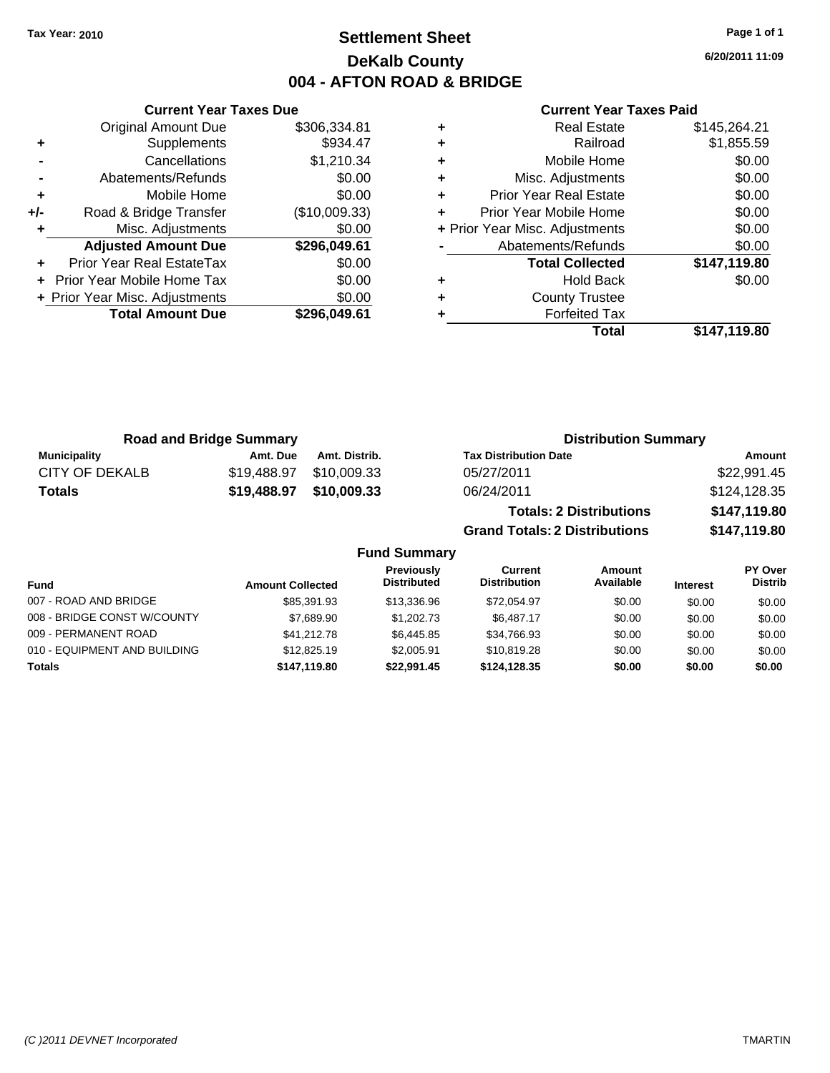# **Settlement Sheet Tax Year: 2010 Page 1 of 1 DeKalb County 004 - AFTON ROAD & BRIDGE**

**6/20/2011 11:09**

#### **Current Year Taxes Paid**

|     | <b>Total Amount Due</b>          | \$296,049.61  |
|-----|----------------------------------|---------------|
|     | + Prior Year Misc. Adjustments   | \$0.00        |
|     | Prior Year Mobile Home Tax       | \$0.00        |
|     | <b>Prior Year Real EstateTax</b> | \$0.00        |
|     | <b>Adjusted Amount Due</b>       | \$296,049.61  |
| ٠   | Misc. Adjustments                | \$0.00        |
| +/- | Road & Bridge Transfer           | (\$10,009.33) |
| ٠   | Mobile Home                      | \$0.00        |
|     | Abatements/Refunds               | \$0.00        |
|     | Cancellations                    | \$1,210.34    |
| ٠   | Supplements                      | \$934.47      |
|     | <b>Original Amount Due</b>       | \$306,334.81  |
|     |                                  |               |

|   | <b>Real Estate</b>             | \$145,264.21 |
|---|--------------------------------|--------------|
| ٠ | Railroad                       | \$1,855.59   |
| ٠ | Mobile Home                    | \$0.00       |
| ٠ | Misc. Adjustments              | \$0.00       |
| ٠ | <b>Prior Year Real Estate</b>  | \$0.00       |
|   | Prior Year Mobile Home         | \$0.00       |
|   | + Prior Year Misc. Adjustments | \$0.00       |
|   | Abatements/Refunds             | \$0.00       |
|   | <b>Total Collected</b>         | \$147,119.80 |
| ٠ | <b>Hold Back</b>               | \$0.00       |
| ٠ | <b>County Trustee</b>          |              |
|   | <b>Forfeited Tax</b>           |              |
|   | Total                          | \$147,119.80 |

| <b>Road and Bridge Summary</b> |             |               | <b>Distribution Summary</b>          |              |  |
|--------------------------------|-------------|---------------|--------------------------------------|--------------|--|
| <b>Municipality</b>            | Amt. Due    | Amt. Distrib. | <b>Tax Distribution Date</b>         | Amount       |  |
| CITY OF DEKALB                 | \$19,488.97 | \$10,009.33   | 05/27/2011                           | \$22,991.45  |  |
| <b>Totals</b>                  | \$19,488.97 | \$10,009.33   | 06/24/2011                           | \$124,128.35 |  |
|                                |             |               | <b>Totals: 2 Distributions</b>       | \$147,119.80 |  |
|                                |             |               | <b>Grand Totals: 2 Distributions</b> | \$147,119.80 |  |

|                              |                         | <b>Fund Summary</b>                     |                                |                     |                 |                           |
|------------------------------|-------------------------|-----------------------------------------|--------------------------------|---------------------|-----------------|---------------------------|
| <b>Fund</b>                  | <b>Amount Collected</b> | <b>Previously</b><br><b>Distributed</b> | Current<br><b>Distribution</b> | Amount<br>Available | <b>Interest</b> | PY Over<br><b>Distrib</b> |
| 007 - ROAD AND BRIDGE        | \$85,391.93             | \$13,336.96                             | \$72.054.97                    | \$0.00              | \$0.00          | \$0.00                    |
| 008 - BRIDGE CONST W/COUNTY  | \$7,689.90              | \$1,202,73                              | \$6.487.17                     | \$0.00              | \$0.00          | \$0.00                    |
| 009 - PERMANENT ROAD         | \$41.212.78             | \$6.445.85                              | \$34,766.93                    | \$0.00              | \$0.00          | \$0.00                    |
| 010 - EQUIPMENT AND BUILDING | \$12,825.19             | \$2,005.91                              | \$10,819.28                    | \$0.00              | \$0.00          | \$0.00                    |
| Totals                       | \$147.119.80            | \$22.991.45                             | \$124.128.35                   | \$0.00              | \$0.00          | \$0.00                    |

### **Current Year Taxes Due**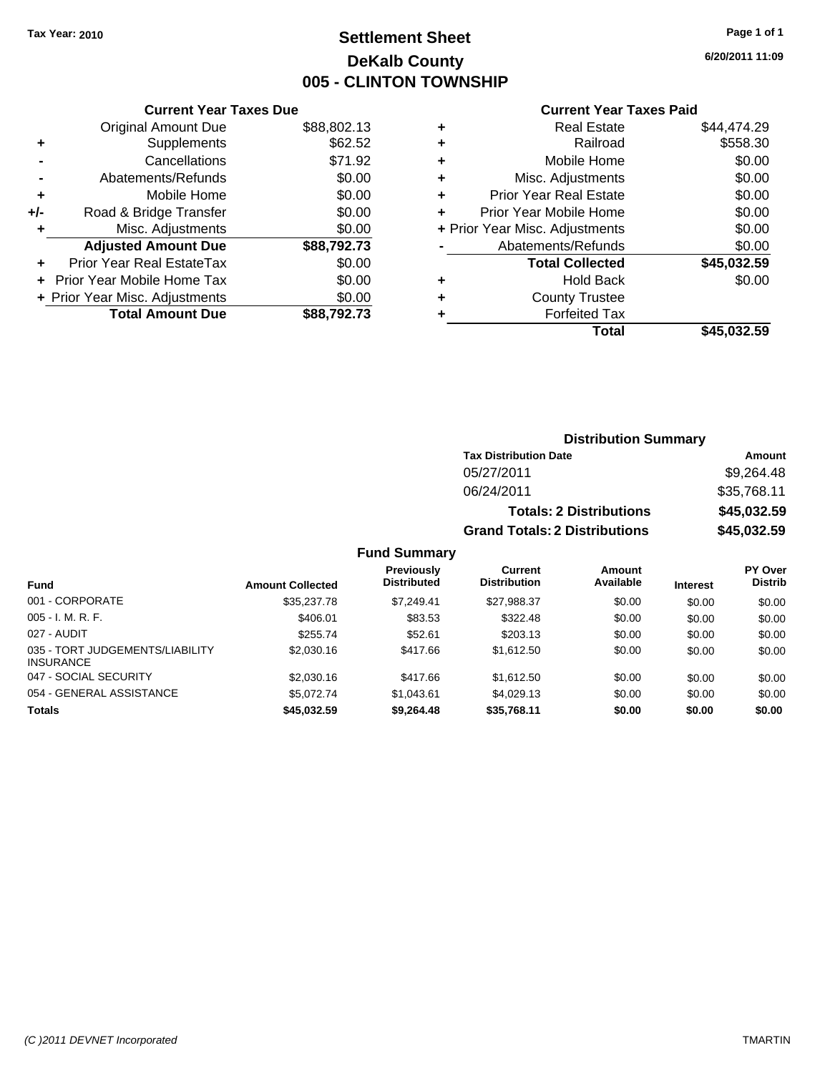# **Settlement Sheet Tax Year: 2010 Page 1 of 1 DeKalb County 005 - CLINTON TOWNSHIP**

**6/20/2011 11:09**

#### **Current Year Taxes Paid**

|       | <b>Current Year Taxes Due</b>  |             |  |  |  |
|-------|--------------------------------|-------------|--|--|--|
|       | <b>Original Amount Due</b>     | \$88,802.13 |  |  |  |
| ٠     | Supplements                    | \$62.52     |  |  |  |
|       | Cancellations                  | \$71.92     |  |  |  |
|       | Abatements/Refunds             | \$0.00      |  |  |  |
| ٠     | Mobile Home                    | \$0.00      |  |  |  |
| $+/-$ | Road & Bridge Transfer         | \$0.00      |  |  |  |
|       | Misc. Adjustments              | \$0.00      |  |  |  |
|       | <b>Adjusted Amount Due</b>     | \$88,792.73 |  |  |  |
|       | Prior Year Real EstateTax      | \$0.00      |  |  |  |
|       | Prior Year Mobile Home Tax     | \$0.00      |  |  |  |
|       | + Prior Year Misc. Adjustments | \$0.00      |  |  |  |
|       | <b>Total Amount Due</b>        | \$88.792.73 |  |  |  |
|       |                                |             |  |  |  |

| ٠ | <b>Real Estate</b>             | \$44.474.29 |
|---|--------------------------------|-------------|
| ٠ | Railroad                       | \$558.30    |
| ٠ | Mobile Home                    | \$0.00      |
| ٠ | Misc. Adjustments              | \$0.00      |
| ÷ | Prior Year Real Estate         | \$0.00      |
|   | Prior Year Mobile Home         | \$0.00      |
|   | + Prior Year Misc. Adjustments | \$0.00      |
|   | Abatements/Refunds             | \$0.00      |
|   | <b>Total Collected</b>         | \$45,032.59 |
| ٠ | <b>Hold Back</b>               | \$0.00      |
| ٠ | <b>County Trustee</b>          |             |
| ٠ | <b>Forfeited Tax</b>           |             |
|   | Total                          | \$45.032.59 |
|   |                                |             |

### **Distribution Summary Tax Distribution Date Amount** 05/27/2011 \$9,264.48 06/24/2011 \$35,768.11 **Totals: 2 Distributions \$45,032.59 Grand Totals: 2 Distributions \$45,032.59**

### **Fund Summary**

| Fund                                                | <b>Amount Collected</b> | <b>Previously</b><br><b>Distributed</b> | Current<br><b>Distribution</b> | Amount<br>Available | <b>Interest</b> | PY Over<br><b>Distrib</b> |
|-----------------------------------------------------|-------------------------|-----------------------------------------|--------------------------------|---------------------|-----------------|---------------------------|
| 001 - CORPORATE                                     | \$35,237.78             | \$7.249.41                              | \$27.988.37                    | \$0.00              | \$0.00          | \$0.00                    |
| $005 - I. M. R. F.$                                 | \$406.01                | \$83.53                                 | \$322.48                       | \$0.00              | \$0.00          | \$0.00                    |
| 027 - AUDIT                                         | \$255.74                | \$52.61                                 | \$203.13                       | \$0.00              | \$0.00          | \$0.00                    |
| 035 - TORT JUDGEMENTS/LIABILITY<br><b>INSURANCE</b> | \$2,030.16              | \$417.66                                | \$1.612.50                     | \$0.00              | \$0.00          | \$0.00                    |
| 047 - SOCIAL SECURITY                               | \$2,030.16              | \$417.66                                | \$1.612.50                     | \$0.00              | \$0.00          | \$0.00                    |
| 054 - GENERAL ASSISTANCE                            | \$5,072.74              | \$1,043.61                              | \$4,029.13                     | \$0.00              | \$0.00          | \$0.00                    |
| <b>Totals</b>                                       | \$45,032.59             | \$9,264,48                              | \$35,768.11                    | \$0.00              | \$0.00          | \$0.00                    |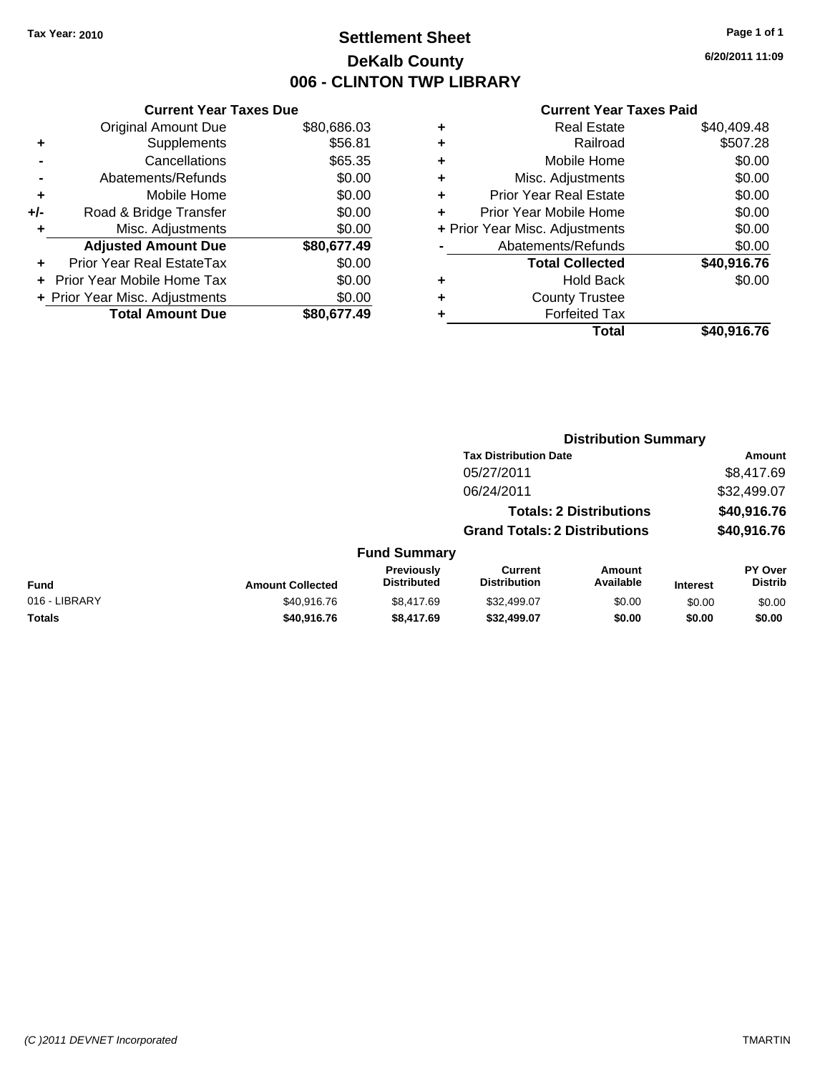# **Settlement Sheet Tax Year: 2010 Page 1 of 1 DeKalb County 006 - CLINTON TWP LIBRARY**

### **Current Year Taxes Due** Original Amount Due \$80,686.03

|       | + Prior Year Misc. Adjustments   | \$0.00      |
|-------|----------------------------------|-------------|
|       | + Prior Year Mobile Home Tax     | \$0.00      |
|       | <b>Prior Year Real EstateTax</b> | \$0.00      |
|       | <b>Adjusted Amount Due</b>       | \$80,677.49 |
| ÷     | Misc. Adjustments                | \$0.00      |
| $+/-$ | Road & Bridge Transfer           | \$0.00      |
| ٠     | Mobile Home                      | \$0.00      |
|       | Abatements/Refunds               | \$0.00      |
|       | Cancellations                    | \$65.35     |
| ٠     | Supplements                      | \$56.81     |
|       |                                  |             |

|   | <b>Real Estate</b>             | \$40,409.48 |
|---|--------------------------------|-------------|
| ٠ | Railroad                       | \$507.28    |
| ٠ | Mobile Home                    | \$0.00      |
| ٠ | Misc. Adjustments              | \$0.00      |
| ٠ | <b>Prior Year Real Estate</b>  | \$0.00      |
|   | Prior Year Mobile Home         | \$0.00      |
|   | + Prior Year Misc. Adjustments | \$0.00      |
|   | Abatements/Refunds             | \$0.00      |
|   | <b>Total Collected</b>         | \$40,916.76 |
| ٠ | <b>Hold Back</b>               | \$0.00      |
|   | <b>County Trustee</b>          |             |
|   | <b>Forfeited Tax</b>           |             |
|   | Total                          | \$40,916.76 |
|   |                                |             |

|                         |                                  | <b>Distribution Summary</b>           |                            |                                                                                                        |                           |
|-------------------------|----------------------------------|---------------------------------------|----------------------------|--------------------------------------------------------------------------------------------------------|---------------------------|
|                         |                                  |                                       |                            |                                                                                                        | Amount                    |
|                         |                                  | 05/27/2011                            |                            |                                                                                                        | \$8,417.69                |
|                         |                                  | 06/24/2011                            |                            |                                                                                                        | \$32,499.07               |
|                         |                                  |                                       |                            |                                                                                                        | \$40,916.76               |
|                         |                                  |                                       |                            |                                                                                                        | \$40,916.76               |
|                         |                                  |                                       |                            |                                                                                                        |                           |
| <b>Amount Collected</b> | Previously<br><b>Distributed</b> | <b>Current</b><br><b>Distribution</b> | <b>Amount</b><br>Available | <b>Interest</b>                                                                                        | PY Over<br><b>Distrib</b> |
| \$40,916.76             | \$8.417.69                       | \$32,499.07                           | \$0.00                     | \$0.00                                                                                                 | \$0.00                    |
| \$40,916.76             | \$8,417.69                       | \$32,499.07                           | \$0.00                     | \$0.00                                                                                                 | \$0.00                    |
|                         |                                  |                                       | <b>Fund Summary</b>        | <b>Tax Distribution Date</b><br><b>Totals: 2 Distributions</b><br><b>Grand Totals: 2 Distributions</b> |                           |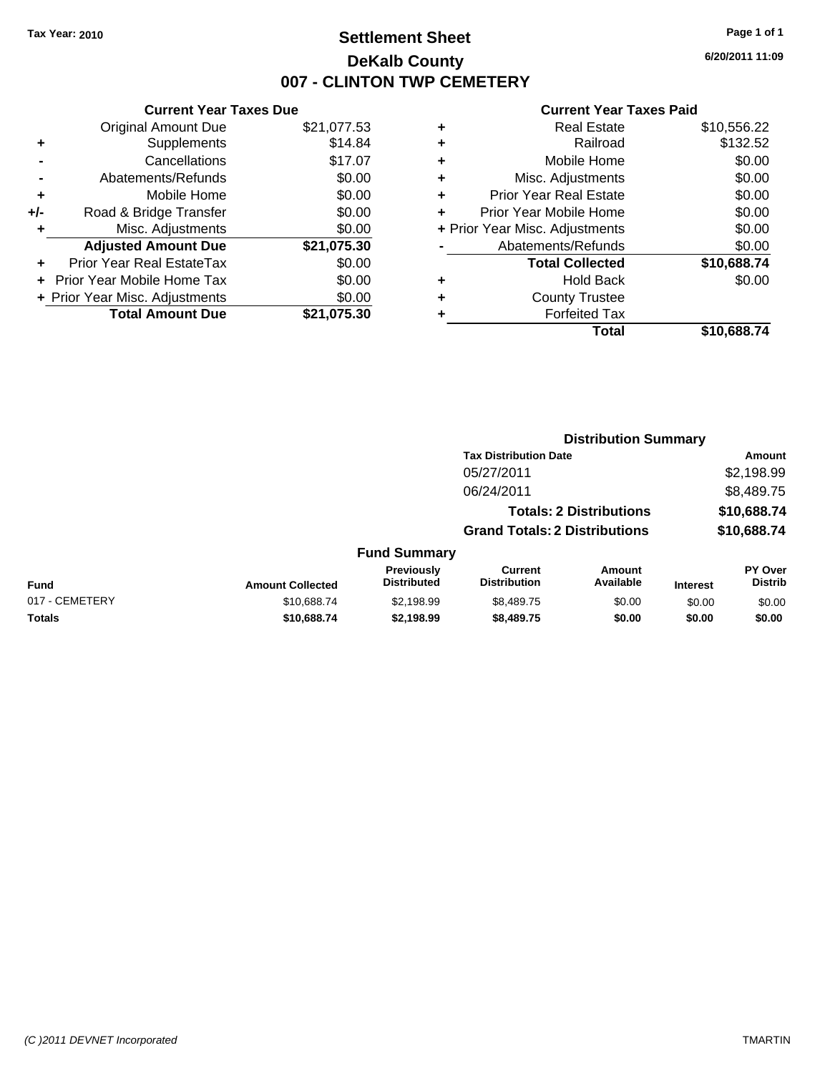**Current Year Taxes Due** Original Amount Due \$21,077.53

**Adjusted Amount Due \$21,075.30**

**Total Amount Due \$21,075.30**

**+** Supplements \$14.84 **-** Cancellations \$17.07 **-** Abatements/Refunds \$0.00 **+** Mobile Home \$0.00 **+/-** Road & Bridge Transfer \$0.00 **+** Misc. Adjustments \$0.00

**+** Prior Year Real EstateTax \$0.00 **+** Prior Year Mobile Home Tax \$0.00 **+ Prior Year Misc. Adjustments**  $$0.00$ 

# **Settlement Sheet Tax Year: 2010 Page 1 of 1 DeKalb County 007 - CLINTON TWP CEMETERY**

**6/20/2011 11:09**

| Railroad<br>÷<br>Mobile Home<br>÷<br>Misc. Adjustments<br>٠<br><b>Prior Year Real Estate</b><br>٠<br>Prior Year Mobile Home<br>÷<br>+ Prior Year Misc. Adjustments<br>Abatements/Refunds | \$132.52<br>\$0.00<br>\$0.00 |
|------------------------------------------------------------------------------------------------------------------------------------------------------------------------------------------|------------------------------|
|                                                                                                                                                                                          |                              |
|                                                                                                                                                                                          |                              |
|                                                                                                                                                                                          |                              |
|                                                                                                                                                                                          | \$0.00                       |
|                                                                                                                                                                                          | \$0.00                       |
|                                                                                                                                                                                          | \$0.00                       |
|                                                                                                                                                                                          | \$0.00                       |
| <b>Total Collected</b>                                                                                                                                                                   | \$10,688.74                  |
| Hold Back<br>٠                                                                                                                                                                           | \$0.00                       |
| <b>County Trustee</b><br>٠                                                                                                                                                               |                              |
| <b>Forfeited Tax</b>                                                                                                                                                                     |                              |
| Total<br>\$10.688.74                                                                                                                                                                     |                              |

|                |                         |                                  |                                       | <b>Distribution Summary</b>    |                 |                           |
|----------------|-------------------------|----------------------------------|---------------------------------------|--------------------------------|-----------------|---------------------------|
|                |                         |                                  | <b>Tax Distribution Date</b>          |                                |                 | Amount                    |
|                |                         |                                  | 05/27/2011                            |                                |                 | \$2,198.99                |
|                |                         |                                  | 06/24/2011                            |                                |                 | \$8,489.75                |
|                |                         |                                  |                                       | <b>Totals: 2 Distributions</b> |                 | \$10,688.74               |
|                |                         |                                  | <b>Grand Totals: 2 Distributions</b>  |                                |                 | \$10,688.74               |
|                |                         | <b>Fund Summary</b>              |                                       |                                |                 |                           |
| Fund           | <b>Amount Collected</b> | Previously<br><b>Distributed</b> | <b>Current</b><br><b>Distribution</b> | <b>Amount</b><br>Available     | <b>Interest</b> | PY Over<br><b>Distrib</b> |
| 017 - CEMETERY | \$10,688.74             | \$2,198.99                       | \$8,489.75                            | \$0.00                         | \$0.00          | \$0.00                    |
| Totals         | \$10,688.74             | \$2,198.99                       | \$8,489.75                            | \$0.00                         | \$0.00          | \$0.00                    |
|                |                         |                                  |                                       |                                |                 |                           |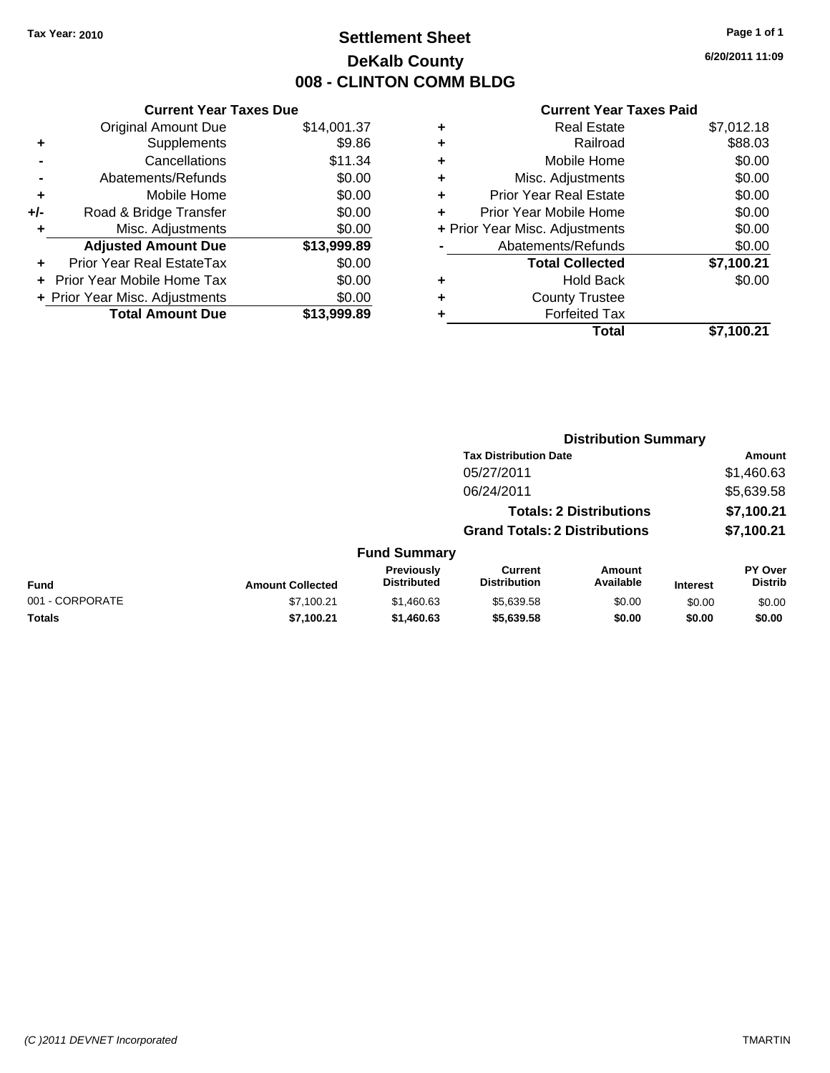# **Settlement Sheet Tax Year: 2010 Page 1 of 1 DeKalb County 008 - CLINTON COMM BLDG**

**6/20/2011 11:09**

| <b>Current Year Taxes Due</b> |
|-------------------------------|
| \$14,001.37                   |
| \$9.86                        |
| \$11.34                       |
| \$0.00                        |
| \$0.00                        |
| \$0.00                        |
| \$0.00                        |
| \$13,999.89                   |
| \$0.00                        |
| \$0.00                        |
| \$0.00                        |
|                               |
|                               |

| ٠ | <b>Real Estate</b>             | \$7,012.18 |
|---|--------------------------------|------------|
| ٠ | Railroad                       | \$88.03    |
| ٠ | Mobile Home                    | \$0.00     |
| ٠ | Misc. Adjustments              | \$0.00     |
| ٠ | Prior Year Real Estate         | \$0.00     |
|   | Prior Year Mobile Home         | \$0.00     |
|   | + Prior Year Misc. Adjustments | \$0.00     |
|   | Abatements/Refunds             | \$0.00     |
|   | <b>Total Collected</b>         | \$7,100.21 |
| ٠ | <b>Hold Back</b>               | \$0.00     |
| ٠ | <b>County Trustee</b>          |            |
| ٠ | <b>Forfeited Tax</b>           |            |
|   | Total                          | \$7.100.21 |
|   |                                |            |

|                 |                         |                                  | <b>Distribution Summary</b>           |                                |                 |                                  |  |
|-----------------|-------------------------|----------------------------------|---------------------------------------|--------------------------------|-----------------|----------------------------------|--|
|                 |                         |                                  | <b>Tax Distribution Date</b>          |                                |                 | Amount                           |  |
|                 |                         |                                  | 05/27/2011                            |                                |                 | \$1,460.63                       |  |
|                 |                         |                                  | 06/24/2011                            |                                |                 | \$5,639.58                       |  |
|                 |                         |                                  |                                       | <b>Totals: 2 Distributions</b> |                 | \$7,100.21                       |  |
|                 |                         |                                  | <b>Grand Totals: 2 Distributions</b>  |                                |                 | \$7,100.21                       |  |
|                 |                         | <b>Fund Summary</b>              |                                       |                                |                 |                                  |  |
| Fund            | <b>Amount Collected</b> | Previously<br><b>Distributed</b> | <b>Current</b><br><b>Distribution</b> | Amount<br>Available            | <b>Interest</b> | <b>PY Over</b><br><b>Distrib</b> |  |
| 001 - CORPORATE | \$7,100.21              | \$1,460.63                       | \$5,639.58                            | \$0.00                         | \$0.00          | \$0.00                           |  |
| Totals          | \$7,100.21              | \$1,460.63                       | \$5,639.58                            | \$0.00                         | \$0.00          | \$0.00                           |  |
|                 |                         |                                  |                                       |                                |                 |                                  |  |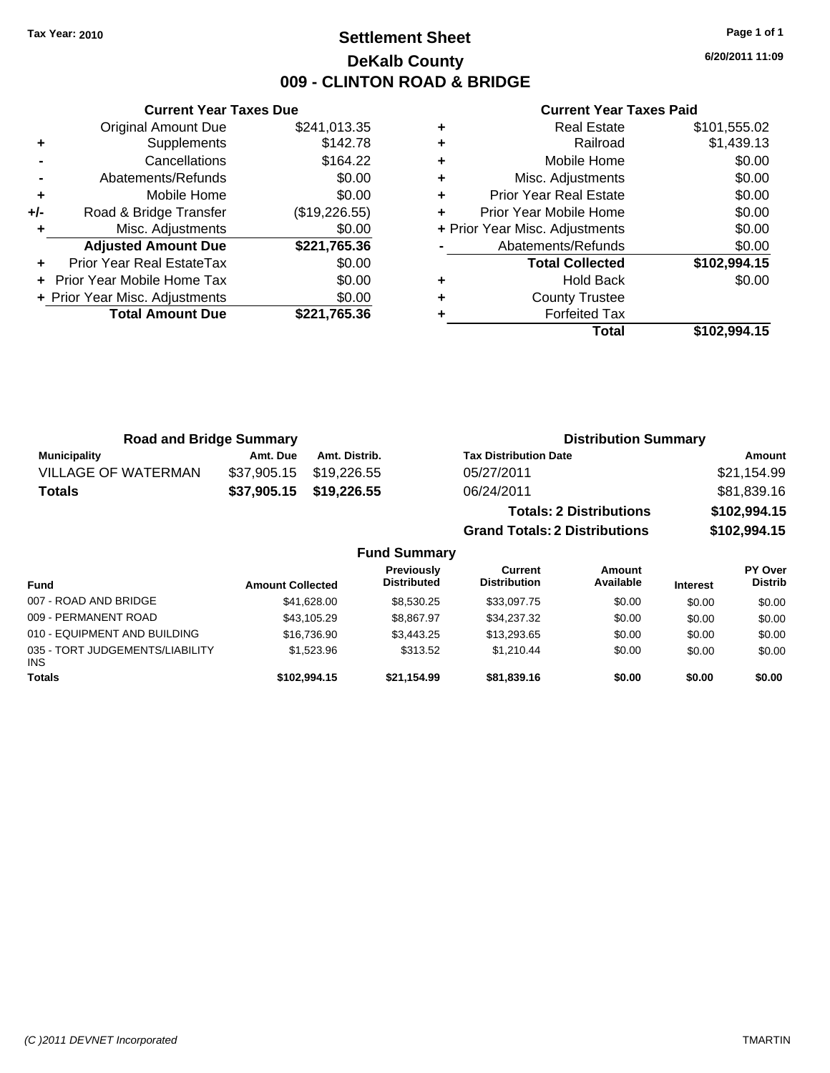# **Settlement Sheet Tax Year: 2010 Page 1 of 1 DeKalb County 009 - CLINTON ROAD & BRIDGE**

**6/20/2011 11:09**

|     | <b>Current Year Taxes Due</b>  |               |  |
|-----|--------------------------------|---------------|--|
|     | <b>Original Amount Due</b>     | \$241,013.35  |  |
| ٠   | Supplements                    | \$142.78      |  |
|     | Cancellations                  | \$164.22      |  |
|     | Abatements/Refunds             | \$0.00        |  |
| ٠   | Mobile Home                    | \$0.00        |  |
| +/- | Road & Bridge Transfer         | (\$19,226.55) |  |
| ٠   | Misc. Adjustments              | \$0.00        |  |
|     | <b>Adjusted Amount Due</b>     | \$221,765.36  |  |
| ٠   | Prior Year Real EstateTax      | \$0.00        |  |
|     | Prior Year Mobile Home Tax     | \$0.00        |  |
|     | + Prior Year Misc. Adjustments | \$0.00        |  |
|     | <b>Total Amount Due</b>        | \$221,765.36  |  |
|     |                                |               |  |

|   | <b>Real Estate</b>             | \$101,555.02 |
|---|--------------------------------|--------------|
| ٠ | Railroad                       | \$1,439.13   |
| ٠ | Mobile Home                    | \$0.00       |
| ٠ | Misc. Adjustments              | \$0.00       |
| ٠ | <b>Prior Year Real Estate</b>  | \$0.00       |
| ٠ | Prior Year Mobile Home         | \$0.00       |
|   | + Prior Year Misc. Adjustments | \$0.00       |
|   | Abatements/Refunds             | \$0.00       |
|   | <b>Total Collected</b>         | \$102,994.15 |
| ٠ | <b>Hold Back</b>               | \$0.00       |
| ٠ | <b>County Trustee</b>          |              |
| ٠ | <b>Forfeited Tax</b>           |              |
|   | Total                          | \$102,994.15 |

| <b>Road and Bridge Summary</b> |             |                     | <b>Distribution Summary</b>          |              |
|--------------------------------|-------------|---------------------|--------------------------------------|--------------|
| <b>Municipality</b>            | Amt. Due    | Amt. Distrib.       | <b>Tax Distribution Date</b>         | Amount       |
| <b>VILLAGE OF WATERMAN</b>     | \$37.905.15 | \$19,226.55         | 05/27/2011                           | \$21,154.99  |
| <b>Totals</b>                  | \$37,905.15 | \$19,226.55         | 06/24/2011                           | \$81,839.16  |
|                                |             |                     | <b>Totals: 2 Distributions</b>       | \$102,994.15 |
|                                |             |                     | <b>Grand Totals: 2 Distributions</b> | \$102,994.15 |
|                                |             | <b>Fund Summary</b> |                                      |              |

| ו טווט טעוווווטו ז                            |                         |                                  |                                |                            |                 |                           |
|-----------------------------------------------|-------------------------|----------------------------------|--------------------------------|----------------------------|-----------------|---------------------------|
| <b>Fund</b>                                   | <b>Amount Collected</b> | Previously<br><b>Distributed</b> | Current<br><b>Distribution</b> | <b>Amount</b><br>Available | <b>Interest</b> | PY Over<br><b>Distrib</b> |
| 007 - ROAD AND BRIDGE                         | \$41.628.00             | \$8.530.25                       | \$33,097.75                    | \$0.00                     | \$0.00          | \$0.00                    |
| 009 - PERMANENT ROAD                          | \$43.105.29             | \$8.867.97                       | \$34,237.32                    | \$0.00                     | \$0.00          | \$0.00                    |
| 010 - EQUIPMENT AND BUILDING                  | \$16,736,90             | \$3,443.25                       | \$13,293.65                    | \$0.00                     | \$0.00          | \$0.00                    |
| 035 - TORT JUDGEMENTS/LIABILITY<br><b>INS</b> | \$1,523.96              | \$313.52                         | \$1.210.44                     | \$0.00                     | \$0.00          | \$0.00                    |
| <b>Totals</b>                                 | \$102.994.15            | \$21.154.99                      | \$81.839.16                    | \$0.00                     | \$0.00          | \$0.00                    |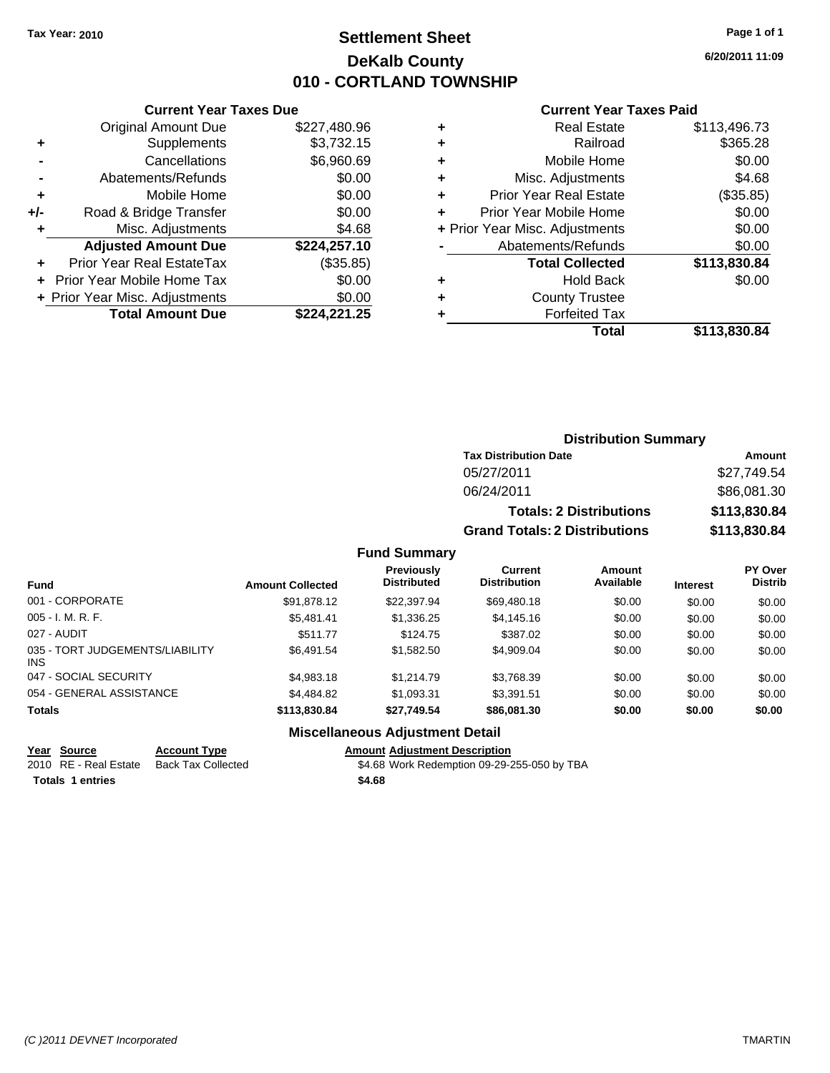# **Settlement Sheet Tax Year: 2010 Page 1 of 1 DeKalb County 010 - CORTLAND TOWNSHIP**

**6/20/2011 11:09**

#### **Current Year Taxes Paid**

|     | <b>Current Year Taxes Due</b>  |              |
|-----|--------------------------------|--------------|
|     | <b>Original Amount Due</b>     | \$227,480.96 |
| ٠   | Supplements                    | \$3,732.15   |
|     | Cancellations                  | \$6,960.69   |
|     | Abatements/Refunds             | \$0.00       |
| ٠   | Mobile Home                    | \$0.00       |
| +/- | Road & Bridge Transfer         | \$0.00       |
| ٠   | Misc. Adjustments              | \$4.68       |
|     | <b>Adjusted Amount Due</b>     | \$224,257.10 |
|     | Prior Year Real EstateTax      | (\$35.85)    |
|     | Prior Year Mobile Home Tax     | \$0.00       |
|     | + Prior Year Misc. Adjustments | \$0.00       |
|     | <b>Total Amount Due</b>        | \$224.221.25 |

|   | <b>Real Estate</b>             | \$113,496.73 |
|---|--------------------------------|--------------|
| ٠ | Railroad                       | \$365.28     |
| ٠ | Mobile Home                    | \$0.00       |
| ٠ | Misc. Adjustments              | \$4.68       |
| ٠ | <b>Prior Year Real Estate</b>  | (\$35.85)    |
|   | Prior Year Mobile Home         | \$0.00       |
|   | + Prior Year Misc. Adjustments | \$0.00       |
|   | Abatements/Refunds             | \$0.00       |
|   | <b>Total Collected</b>         | \$113,830.84 |
| ٠ | <b>Hold Back</b>               | \$0.00       |
| ٠ | <b>County Trustee</b>          |              |
|   | <b>Forfeited Tax</b>           |              |
|   | Total                          | \$113,830.84 |
|   |                                |              |

|                                     | <b>Distribution Summary</b>          |                                     |                                 |  |
|-------------------------------------|--------------------------------------|-------------------------------------|---------------------------------|--|
|                                     | <b>Tax Distribution Date</b>         |                                     | Amount                          |  |
|                                     | 05/27/2011                           |                                     | \$27,749.54                     |  |
|                                     | 06/24/2011                           |                                     | \$86,081.30                     |  |
|                                     |                                      | <b>Totals: 2 Distributions</b>      | \$113,830.84                    |  |
|                                     | <b>Grand Totals: 2 Distributions</b> |                                     | \$113,830.84                    |  |
| <b>Fund Summary</b>                 |                                      |                                     |                                 |  |
| <b>Previously</b><br>Djetsik ota sl | Current<br>Diamilar dan              | <b>Amount</b><br>$A - -1 - 1 - 1 -$ | <b>PY Over</b><br><b>DELLER</b> |  |

| <b>Fund</b>                                   | <b>Amount Collected</b> | <b>Previously</b><br><b>Distributed</b> | Current<br><b>Distribution</b> | Amount<br>Available | <b>Interest</b> | PY Over<br><b>Distrib</b> |
|-----------------------------------------------|-------------------------|-----------------------------------------|--------------------------------|---------------------|-----------------|---------------------------|
| 001 - CORPORATE                               | \$91,878.12             | \$22,397.94                             | \$69,480.18                    | \$0.00              | \$0.00          | \$0.00                    |
| $005 - I. M. R. F.$                           | \$5.481.41              | \$1,336.25                              | \$4,145.16                     | \$0.00              | \$0.00          | \$0.00                    |
| 027 - AUDIT                                   | \$511.77                | \$124.75                                | \$387.02                       | \$0.00              | \$0.00          | \$0.00                    |
| 035 - TORT JUDGEMENTS/LIABILITY<br><b>INS</b> | \$6,491.54              | \$1,582.50                              | \$4,909.04                     | \$0.00              | \$0.00          | \$0.00                    |
| 047 - SOCIAL SECURITY                         | \$4,983.18              | \$1,214.79                              | \$3,768.39                     | \$0.00              | \$0.00          | \$0.00                    |
| 054 - GENERAL ASSISTANCE                      | \$4,484.82              | \$1.093.31                              | \$3.391.51                     | \$0.00              | \$0.00          | \$0.00                    |
| <b>Totals</b>                                 | \$113,830.84            | \$27.749.54                             | \$86,081.30                    | \$0.00              | \$0.00          | \$0.00                    |
|                                               |                         |                                         |                                |                     |                 |                           |

#### **Miscellaneous Adjustment Detail**

**Year Source Account Type Amount Adjustment Description**

**Totals \$4.68 1 entries**

2010 RE - Real Estate Back Tax Collected \$4.68 Work Redemption 09-29-255-050 by TBA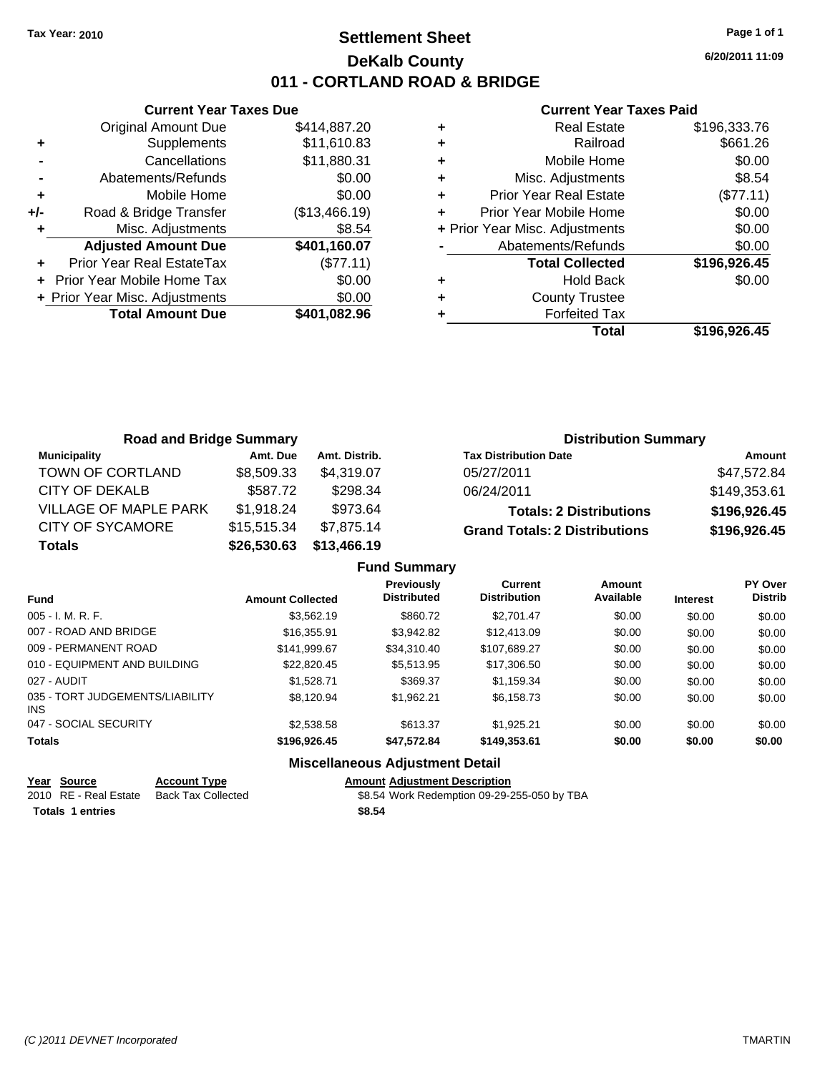# **Settlement Sheet Tax Year: 2010 Page 1 of 1 DeKalb County 011 - CORTLAND ROAD & BRIDGE**

**6/20/2011 11:09**

#### **Current Year Taxes Paid**

|       | <b>Current Year Taxes Due</b>  |               |  |  |  |
|-------|--------------------------------|---------------|--|--|--|
|       | <b>Original Amount Due</b>     | \$414,887.20  |  |  |  |
| ٠     | Supplements                    | \$11,610.83   |  |  |  |
|       | Cancellations                  | \$11,880.31   |  |  |  |
|       | Abatements/Refunds             | \$0.00        |  |  |  |
| ٠     | Mobile Home                    | \$0.00        |  |  |  |
| $+/-$ | Road & Bridge Transfer         | (\$13,466.19) |  |  |  |
|       | Misc. Adjustments              | \$8.54        |  |  |  |
|       | <b>Adjusted Amount Due</b>     | \$401,160.07  |  |  |  |
|       | Prior Year Real EstateTax      | (\$77.11)     |  |  |  |
|       | Prior Year Mobile Home Tax     | \$0.00        |  |  |  |
|       | + Prior Year Misc. Adjustments | \$0.00        |  |  |  |
|       | <b>Total Amount Due</b>        | \$401.082.96  |  |  |  |
|       |                                |               |  |  |  |

|   | <b>Real Estate</b>             | \$196,333.76 |
|---|--------------------------------|--------------|
| ٠ | Railroad                       | \$661.26     |
| ٠ | Mobile Home                    | \$0.00       |
| ٠ | Misc. Adjustments              | \$8.54       |
| ٠ | <b>Prior Year Real Estate</b>  | (\$77.11)    |
| ٠ | Prior Year Mobile Home         | \$0.00       |
|   | + Prior Year Misc. Adjustments | \$0.00       |
|   | Abatements/Refunds             | \$0.00       |
|   | <b>Total Collected</b>         | \$196,926.45 |
|   | <b>Hold Back</b>               | \$0.00       |
|   | <b>County Trustee</b>          |              |
|   | <b>Forfeited Tax</b>           |              |
|   | Total                          | \$196,926.45 |

| <b>Road and Bridge Summary</b> |             |               | <b>Distribution Summary</b>          |              |  |
|--------------------------------|-------------|---------------|--------------------------------------|--------------|--|
| <b>Municipality</b>            | Amt. Due    | Amt. Distrib. | <b>Tax Distribution Date</b>         | Amount       |  |
| TOWN OF CORTLAND               | \$8,509.33  | \$4.319.07    | 05/27/2011                           | \$47,572.84  |  |
| CITY OF DEKALB                 | \$587.72    | \$298.34      | 06/24/2011                           | \$149,353.61 |  |
| VILLAGE OF MAPLE PARK          | \$1,918.24  | \$973.64      | <b>Totals: 2 Distributions</b>       | \$196,926.45 |  |
| <b>CITY OF SYCAMORE</b>        | \$15,515.34 | \$7,875.14    | <b>Grand Totals: 2 Distributions</b> | \$196,926.45 |  |
| <b>Totals</b>                  | \$26,530.63 | \$13,466.19   |                                      |              |  |

|                                         |                         | <b>Fund Summary</b>                     |                                       |                     |                 |                           |
|-----------------------------------------|-------------------------|-----------------------------------------|---------------------------------------|---------------------|-----------------|---------------------------|
| <b>Fund</b>                             | <b>Amount Collected</b> | <b>Previously</b><br><b>Distributed</b> | <b>Current</b><br><b>Distribution</b> | Amount<br>Available | <b>Interest</b> | PY Over<br><b>Distrib</b> |
| $005 - I. M. R. F.$                     | \$3,562.19              | \$860.72                                | \$2.701.47                            | \$0.00              | \$0.00          | \$0.00                    |
| 007 - ROAD AND BRIDGE                   | \$16,355.91             | \$3.942.82                              | \$12,413.09                           | \$0.00              | \$0.00          | \$0.00                    |
| 009 - PERMANENT ROAD                    | \$141.999.67            | \$34,310.40                             | \$107,689.27                          | \$0.00              | \$0.00          | \$0.00                    |
| 010 - EQUIPMENT AND BUILDING            | \$22,820.45             | \$5,513.95                              | \$17,306.50                           | \$0.00              | \$0.00          | \$0.00                    |
| 027 - AUDIT                             | \$1.528.71              | \$369.37                                | \$1.159.34                            | \$0.00              | \$0.00          | \$0.00                    |
| 035 - TORT JUDGEMENTS/LIABILITY<br>INS. | \$8.120.94              | \$1.962.21                              | \$6,158.73                            | \$0.00              | \$0.00          | \$0.00                    |
| 047 - SOCIAL SECURITY                   | \$2,538.58              | \$613.37                                | \$1.925.21                            | \$0.00              | \$0.00          | \$0.00                    |
| <b>Totals</b>                           | \$196,926.45            | \$47,572.84                             | \$149,353.61                          | \$0.00              | \$0.00          | \$0.00                    |
|                                         |                         |                                         |                                       |                     |                 |                           |

### **Miscellaneous Adjustment Detail**

### **Year Source Account Type Amount Adjustment Description**

2010 RE - Real Estate Back Tax Collected \$8.54 Work Redemption 09-29-255-050 by TBA **Totals \$8.54 1 entries**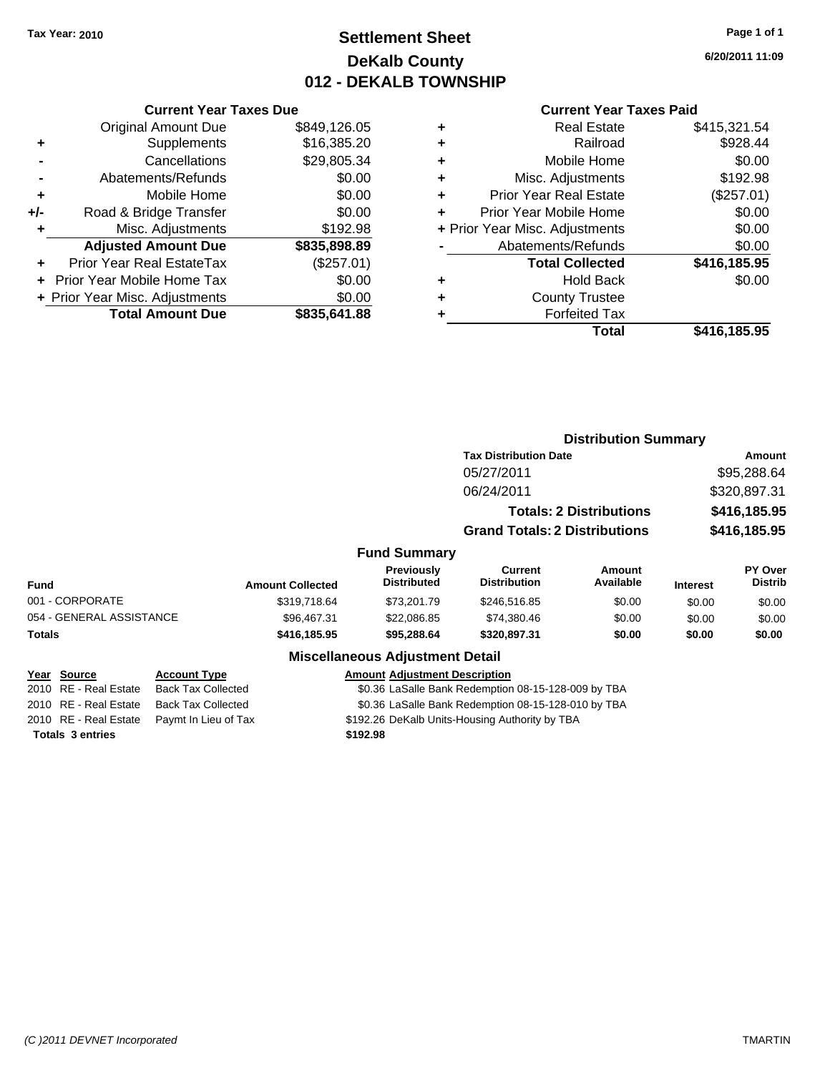# **Settlement Sheet Tax Year: 2010 Page 1 of 1 DeKalb County 012 - DEKALB TOWNSHIP**

**6/20/2011 11:09**

#### **Current Year Taxes Paid**

|       | <b>Current Year Taxes Due</b>  |              |  |  |  |
|-------|--------------------------------|--------------|--|--|--|
|       | <b>Original Amount Due</b>     | \$849,126.05 |  |  |  |
| ٠     | Supplements                    | \$16,385.20  |  |  |  |
|       | Cancellations                  | \$29,805.34  |  |  |  |
|       | Abatements/Refunds             | \$0.00       |  |  |  |
| ٠     | Mobile Home                    | \$0.00       |  |  |  |
| $+/-$ | Road & Bridge Transfer         | \$0.00       |  |  |  |
|       | Misc. Adjustments              | \$192.98     |  |  |  |
|       | <b>Adjusted Amount Due</b>     | \$835,898.89 |  |  |  |
|       | Prior Year Real EstateTax      | (\$257.01)   |  |  |  |
|       | Prior Year Mobile Home Tax     | \$0.00       |  |  |  |
|       | + Prior Year Misc. Adjustments | \$0.00       |  |  |  |
|       | <b>Total Amount Due</b>        | \$835,641.88 |  |  |  |
|       |                                |              |  |  |  |

| ٠ | <b>Real Estate</b>             | \$415,321.54 |
|---|--------------------------------|--------------|
| ٠ | Railroad                       | \$928.44     |
| ٠ | Mobile Home                    | \$0.00       |
| ٠ | Misc. Adjustments              | \$192.98     |
| ٠ | <b>Prior Year Real Estate</b>  | (\$257.01)   |
| ٠ | Prior Year Mobile Home         | \$0.00       |
|   | + Prior Year Misc. Adjustments | \$0.00       |
|   | Abatements/Refunds             | \$0.00       |
|   | <b>Total Collected</b>         | \$416,185.95 |
| ٠ | <b>Hold Back</b>               | \$0.00       |
| ٠ | <b>County Trustee</b>          |              |
| ٠ | <b>Forfeited Tax</b>           |              |
|   | Total                          | \$416,185.95 |

| <b>Distribution Summary</b>      |                                               |  |
|----------------------------------|-----------------------------------------------|--|
| Amount                           |                                               |  |
| \$95,288.64                      |                                               |  |
| \$320,897.31                     |                                               |  |
| \$416,185.95                     |                                               |  |
| \$416,185.95                     |                                               |  |
|                                  |                                               |  |
| <b>PY Over</b><br><b>Distrib</b> |                                               |  |
| \$0.00                           |                                               |  |
| \$0.00                           |                                               |  |
| \$0.00                           |                                               |  |
|                                  |                                               |  |
|                                  |                                               |  |
|                                  | <b>Interest</b><br>\$0.00<br>\$0.00<br>\$0.00 |  |

2010 RE - Real Estate Paymt In Lieu of Tax S192.26 DeKalb Units-Housing Authority by TBA

**Totals \$192.98 3 entries**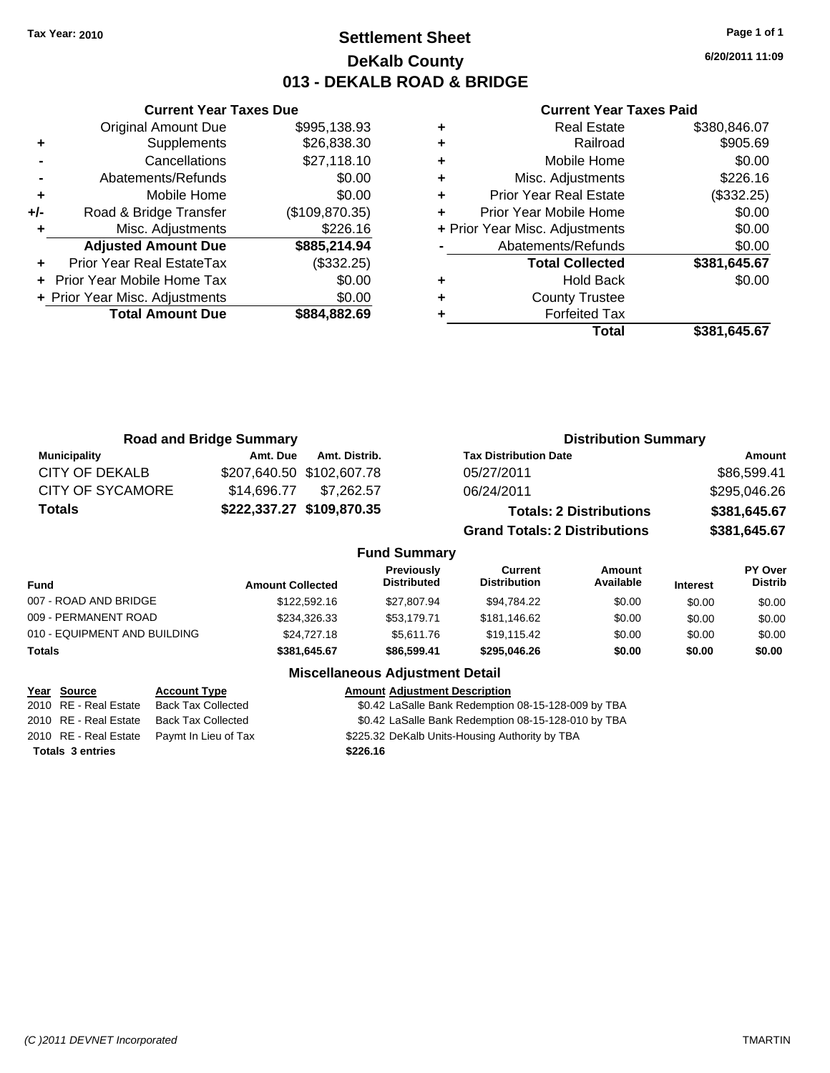**Current Year Taxes Due** Original Amount Due \$995,138.93

**Adjusted Amount Due \$885,214.94**

**Total Amount Due \$884,882.69**

**+** Supplements \$26,838.30 **-** Cancellations \$27,118.10 **-** Abatements/Refunds \$0.00 **+** Mobile Home \$0.00 **+/-** Road & Bridge Transfer (\$109,870.35) **+** Misc. Adjustments \$226.16

**+** Prior Year Real EstateTax (\$332.25) **+** Prior Year Mobile Home Tax \$0.00 **+ Prior Year Misc. Adjustments**  $$0.00$ 

### **Settlement Sheet Tax Year: 2010 Page 1 of 1 DeKalb County 013 - DEKALB ROAD & BRIDGE**

**6/20/2011 11:09**

#### **Current Year Taxes Paid**

| ٠ | <b>Real Estate</b>             | \$380,846.07 |
|---|--------------------------------|--------------|
| ٠ | Railroad                       | \$905.69     |
| ٠ | Mobile Home                    | \$0.00       |
| ٠ | Misc. Adjustments              | \$226.16     |
| ٠ | <b>Prior Year Real Estate</b>  | (\$332.25)   |
| ÷ | Prior Year Mobile Home         | \$0.00       |
|   | + Prior Year Misc. Adjustments | \$0.00       |
|   | Abatements/Refunds             | \$0.00       |
|   | <b>Total Collected</b>         | \$381,645.67 |
| ٠ | <b>Hold Back</b>               | \$0.00       |
| ٠ | <b>County Trustee</b>          |              |
| ٠ | <b>Forfeited Tax</b>           |              |
|   | Total                          | \$381,645.67 |

| <b>Road and Bridge Summary</b> |             |                           | <b>Distribution Summary</b>          |              |  |
|--------------------------------|-------------|---------------------------|--------------------------------------|--------------|--|
| <b>Municipality</b>            | Amt. Due    | Amt. Distrib.             | <b>Tax Distribution Date</b>         | Amount       |  |
| CITY OF DEKALB                 |             | \$207,640.50 \$102,607.78 | 05/27/2011                           | \$86,599.41  |  |
| CITY OF SYCAMORE               | \$14.696.77 | \$7.262.57                | 06/24/2011                           | \$295,046.26 |  |
| <b>Totals</b>                  |             | \$222,337.27 \$109,870.35 | <b>Totals: 2 Distributions</b>       | \$381,645.67 |  |
|                                |             |                           | <b>Grand Totals: 2 Distributions</b> | \$381,645.67 |  |
|                                |             | <b>Fund Summary</b>       |                                      |              |  |

| UITU VUIIIIIIUI V            |                         |                                         |                                |                     |                 |                           |
|------------------------------|-------------------------|-----------------------------------------|--------------------------------|---------------------|-----------------|---------------------------|
| <b>Fund</b>                  | <b>Amount Collected</b> | <b>Previously</b><br><b>Distributed</b> | Current<br><b>Distribution</b> | Amount<br>Available | <b>Interest</b> | PY Over<br><b>Distrib</b> |
| 007 - ROAD AND BRIDGE        | \$122,592.16            | \$27.807.94                             | \$94.784.22                    | \$0.00              | \$0.00          | \$0.00                    |
| 009 - PERMANENT ROAD         | \$234,326.33            | \$53.179.71                             | \$181,146.62                   | \$0.00              | \$0.00          | \$0.00                    |
| 010 - EQUIPMENT AND BUILDING | \$24,727.18             | \$5.611.76                              | \$19.115.42                    | \$0.00              | \$0.00          | \$0.00                    |
| <b>Totals</b>                | \$381.645.67            | \$86,599,41                             | \$295.046.26                   | \$0.00              | \$0.00          | \$0.00                    |

#### **Miscellaneous Adjustment Detail**

| Year Source             | <b>Account Type</b>                        | <b>Amount Adjustment Description</b>                |
|-------------------------|--------------------------------------------|-----------------------------------------------------|
| 2010 RE - Real Estate   | Back Tax Collected                         | \$0.42 LaSalle Bank Redemption 08-15-128-009 by TBA |
|                         | 2010 RE - Real Estate Back Tax Collected   | \$0.42 LaSalle Bank Redemption 08-15-128-010 by TBA |
|                         | 2010 RE - Real Estate Paymt In Lieu of Tax | \$225.32 DeKalb Units-Housing Authority by TBA      |
| <b>Totals 3 entries</b> |                                            | \$226.16                                            |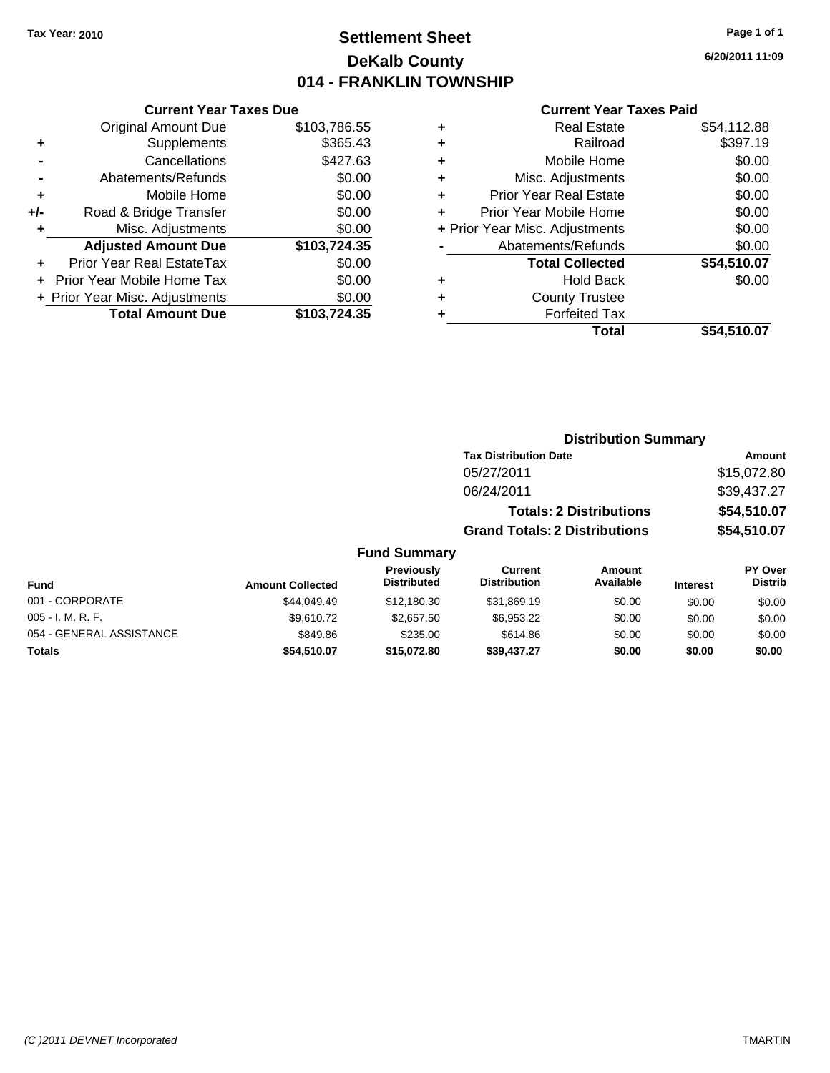# **Settlement Sheet Tax Year: 2010 Page 1 of 1 DeKalb County 014 - FRANKLIN TOWNSHIP**

**6/20/2011 11:09**

#### **Current Year Taxes Paid**

| <b>Current Year Taxes Due</b>     |                                |
|-----------------------------------|--------------------------------|
| <b>Original Amount Due</b>        | \$103,786.55                   |
| Supplements                       | \$365.43                       |
| Cancellations                     | \$427.63                       |
| Abatements/Refunds                | \$0.00                         |
| Mobile Home                       | \$0.00                         |
| Road & Bridge Transfer            | \$0.00                         |
| Misc. Adjustments                 | \$0.00                         |
| <b>Adjusted Amount Due</b>        | \$103,724.35                   |
| Prior Year Real EstateTax         | \$0.00                         |
| <b>Prior Year Mobile Home Tax</b> | \$0.00                         |
|                                   | \$0.00                         |
| <b>Total Amount Due</b>           | \$103.724.35                   |
|                                   | + Prior Year Misc. Adjustments |

| ٠ | <b>Real Estate</b>             | \$54,112.88 |
|---|--------------------------------|-------------|
| ٠ | Railroad                       | \$397.19    |
| ٠ | Mobile Home                    | \$0.00      |
| ٠ | Misc. Adjustments              | \$0.00      |
| ÷ | <b>Prior Year Real Estate</b>  | \$0.00      |
| ٠ | Prior Year Mobile Home         | \$0.00      |
|   | + Prior Year Misc. Adjustments | \$0.00      |
|   | Abatements/Refunds             | \$0.00      |
|   | <b>Total Collected</b>         | \$54,510.07 |
| ٠ | <b>Hold Back</b>               | \$0.00      |
| ٠ | <b>County Trustee</b>          |             |
| ٠ | <b>Forfeited Tax</b>           |             |
|   | Total                          | \$54,510.07 |
|   |                                |             |

### **Distribution Summary**

| <b>Tax Distribution Date</b>         | Amount      |
|--------------------------------------|-------------|
| 05/27/2011                           | \$15,072.80 |
| 06/24/2011                           | \$39,437.27 |
| <b>Totals: 2 Distributions</b>       | \$54,510.07 |
| <b>Grand Totals: 2 Distributions</b> | \$54,510.07 |

### **Fund Summary**

| <b>Fund</b>              | <b>Amount Collected</b> | Previously<br><b>Distributed</b> | Current<br><b>Distribution</b> | Amount<br>Available | <b>Interest</b> | PY Over<br><b>Distrib</b> |
|--------------------------|-------------------------|----------------------------------|--------------------------------|---------------------|-----------------|---------------------------|
| 001 - CORPORATE          | \$44,049.49             | \$12,180.30                      | \$31,869.19                    | \$0.00              | \$0.00          | \$0.00                    |
| $005 - I. M. R. F.$      | \$9.610.72              | \$2,657.50                       | \$6,953.22                     | \$0.00              | \$0.00          | \$0.00                    |
| 054 - GENERAL ASSISTANCE | \$849.86                | \$235.00                         | \$614.86                       | \$0.00              | \$0.00          | \$0.00                    |
| <b>Totals</b>            | \$54,510.07             | \$15,072.80                      | \$39,437.27                    | \$0.00              | \$0.00          | \$0.00                    |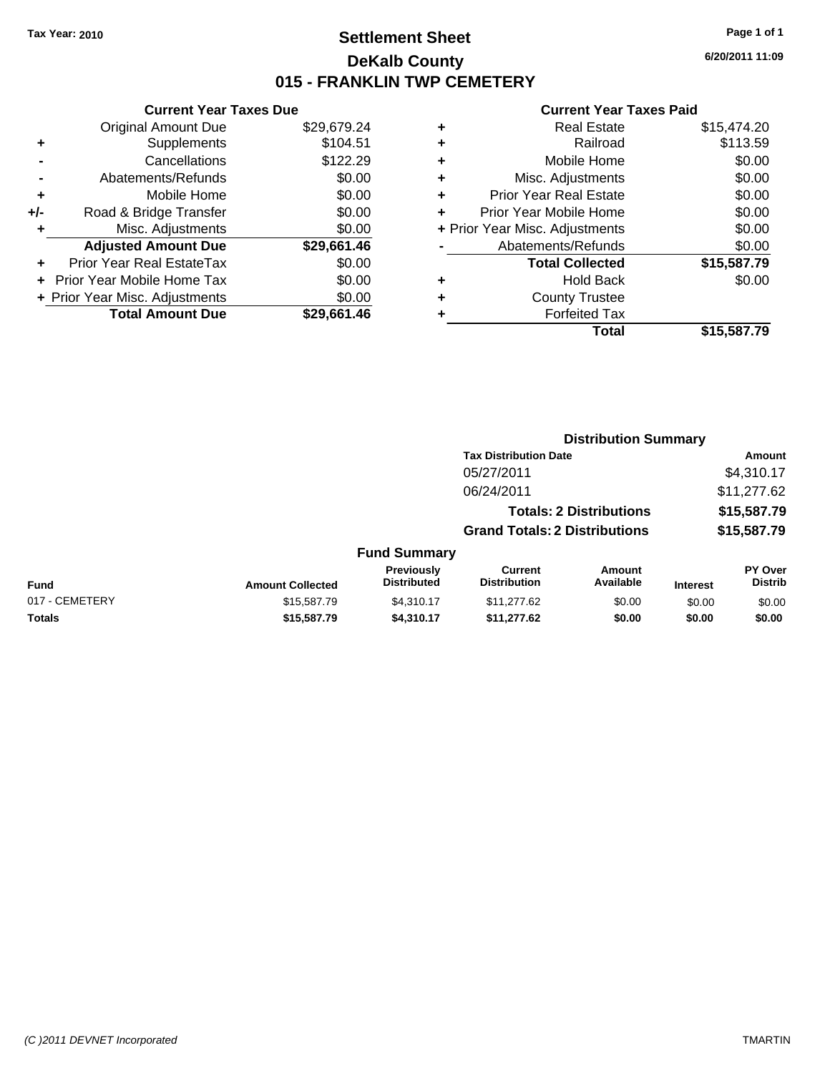# **Settlement Sheet Tax Year: 2010 Page 1 of 1 DeKalb County 015 - FRANKLIN TWP CEMETERY**

**6/20/2011 11:09**

|     | <b>Current Year Taxes Due</b>     |             |
|-----|-----------------------------------|-------------|
|     | <b>Original Amount Due</b>        | \$29,679.24 |
| ٠   | Supplements                       | \$104.51    |
|     | Cancellations                     | \$122.29    |
|     | Abatements/Refunds                | \$0.00      |
| ٠   | Mobile Home                       | \$0.00      |
| +/- | Road & Bridge Transfer            | \$0.00      |
| ٠   | Misc. Adjustments                 | \$0.00      |
|     | <b>Adjusted Amount Due</b>        | \$29,661.46 |
| ٠   | Prior Year Real EstateTax         | \$0.00      |
|     | <b>Prior Year Mobile Home Tax</b> | \$0.00      |
|     | + Prior Year Misc. Adjustments    | \$0.00      |
|     | <b>Total Amount Due</b>           | \$29.661.46 |
|     |                                   |             |

| ٠ | <b>Real Estate</b>             | \$15,474.20 |
|---|--------------------------------|-------------|
| ٠ | Railroad                       | \$113.59    |
| ٠ | Mobile Home                    | \$0.00      |
| ٠ | Misc. Adjustments              | \$0.00      |
| ÷ | <b>Prior Year Real Estate</b>  | \$0.00      |
| ٠ | Prior Year Mobile Home         | \$0.00      |
|   | + Prior Year Misc. Adjustments | \$0.00      |
|   | Abatements/Refunds             | \$0.00      |
|   | <b>Total Collected</b>         | \$15,587.79 |
| ٠ | Hold Back                      | \$0.00      |
| ٠ | <b>County Trustee</b>          |             |
| ٠ | <b>Forfeited Tax</b>           |             |
|   | Total                          | \$15,587.79 |
|   |                                |             |

|                |                         |                                  | <b>Distribution Summary</b>           |                                |                 |                                  |
|----------------|-------------------------|----------------------------------|---------------------------------------|--------------------------------|-----------------|----------------------------------|
|                |                         |                                  | <b>Tax Distribution Date</b>          |                                | Amount          |                                  |
|                |                         |                                  | 05/27/2011                            |                                |                 | \$4,310.17                       |
|                |                         |                                  | 06/24/2011                            |                                |                 | \$11,277.62                      |
|                |                         |                                  |                                       | <b>Totals: 2 Distributions</b> |                 | \$15,587.79                      |
|                |                         |                                  | <b>Grand Totals: 2 Distributions</b>  |                                |                 | \$15,587.79                      |
|                |                         | <b>Fund Summary</b>              |                                       |                                |                 |                                  |
| Fund           | <b>Amount Collected</b> | Previously<br><b>Distributed</b> | <b>Current</b><br><b>Distribution</b> | <b>Amount</b><br>Available     | <b>Interest</b> | <b>PY Over</b><br><b>Distrib</b> |
| 017 - CEMETERY | \$15,587.79             | \$4,310.17                       | \$11,277.62                           | \$0.00                         | \$0.00          | \$0.00                           |
| Totals         | \$15,587.79             | \$4,310.17                       | \$11,277.62                           | \$0.00                         | \$0.00          | \$0.00                           |
|                |                         |                                  |                                       |                                |                 |                                  |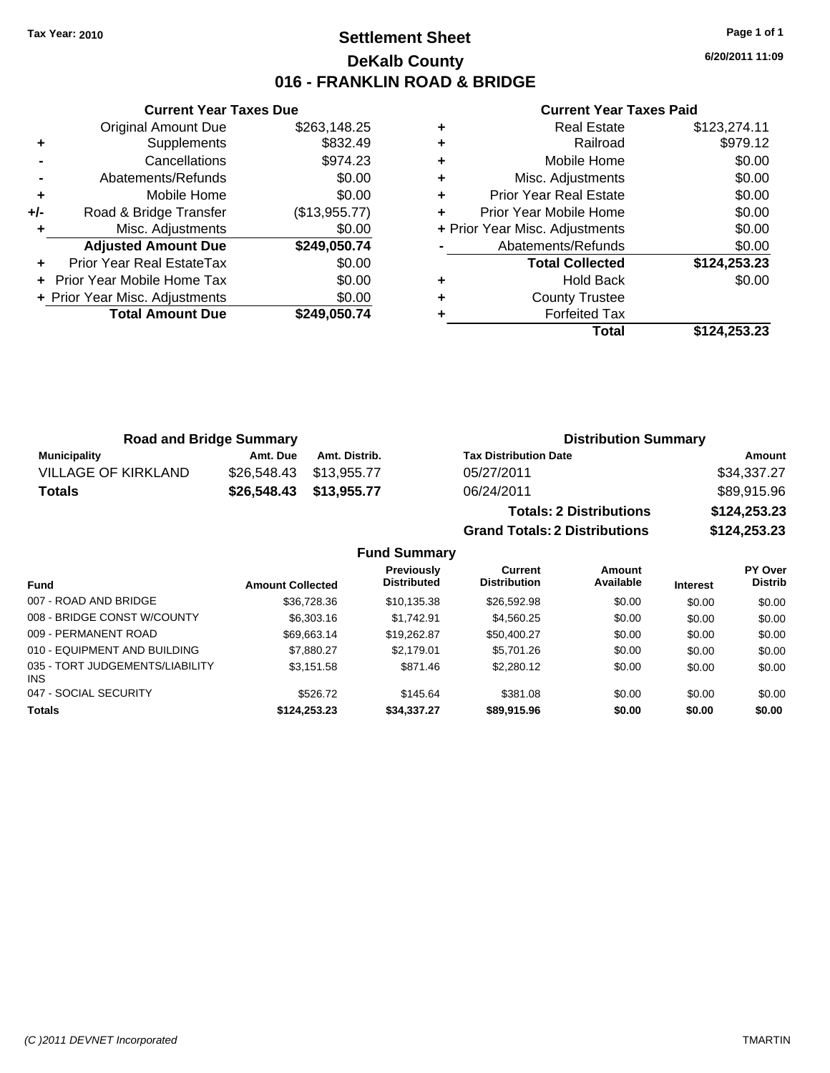# **Settlement Sheet Tax Year: 2010 Page 1 of 1 DeKalb County 016 - FRANKLIN ROAD & BRIDGE**

**6/20/2011 11:09**

#### **Current Year Taxes Paid**

|     | <b>Original Amount Due</b>     | \$263,148.25  |
|-----|--------------------------------|---------------|
| ٠   | Supplements                    | \$832.49      |
|     | Cancellations                  | \$974.23      |
|     | Abatements/Refunds             | \$0.00        |
| ÷   | Mobile Home                    | \$0.00        |
| +/- | Road & Bridge Transfer         | (\$13,955.77) |
| ٠   | Misc. Adjustments              | \$0.00        |
|     | <b>Adjusted Amount Due</b>     | \$249,050.74  |
|     | Prior Year Real EstateTax      | \$0.00        |
|     | Prior Year Mobile Home Tax     | \$0.00        |
|     | + Prior Year Misc. Adjustments | \$0.00        |
|     | <b>Total Amount Due</b>        | \$249,050.74  |
|     |                                |               |

**Current Year Taxes Due**

|   | Total                          | \$124,253.23 |
|---|--------------------------------|--------------|
|   | <b>Forfeited Tax</b>           |              |
| ٠ | <b>County Trustee</b>          |              |
|   | <b>Hold Back</b>               | \$0.00       |
|   | <b>Total Collected</b>         | \$124,253.23 |
|   | Abatements/Refunds             | \$0.00       |
|   | + Prior Year Misc. Adjustments | \$0.00       |
| ٠ | Prior Year Mobile Home         | \$0.00       |
| ٠ | Prior Year Real Estate         | \$0.00       |
| ÷ | Misc. Adjustments              | \$0.00       |
| ٠ | Mobile Home                    | \$0.00       |
| ٠ | Railroad                       | \$979.12     |
|   | <b>Real Estate</b>             | \$123,274.11 |

**Grand Totals: 2 Distributions \$124,253.23**

| <b>Road and Bridge Summary</b> |          |                         | <b>Distribution Summary</b>    |              |  |
|--------------------------------|----------|-------------------------|--------------------------------|--------------|--|
| Municipality                   | Amt. Due | Amt. Distrib.           | <b>Tax Distribution Date</b>   | Amount       |  |
| <b>VILLAGE OF KIRKLAND</b>     |          | \$26,548,43 \$13,955.77 | 05/27/2011                     | \$34,337.27  |  |
| Totals                         |          | \$26,548.43 \$13,955.77 | 06/24/2011                     | \$89,915.96  |  |
|                                |          |                         | <b>Totals: 2 Distributions</b> | \$124,253.23 |  |

**Fund Summary Fund Interest Amount Collected Distributed PY Over Distrib Amount Available Current Distribution Previously** 007 - ROAD AND BRIDGE 60.00 \$36,728.36 \$10,135.38 \$26,592.98 \$0.00 \$0.00 \$0.00 008 - BRIDGE CONST W/COUNTY  $$6,303.16$  \$1,742.91  $$4,560.25$  \$0.00 \$0.00 \$0.00 009 - PERMANENT ROAD \$69,663.14 \$19,262.87 \$50,400.27 \$0.00 \$0.00 \$0.00 010 - EQUIPMENT AND BUILDING \$7,880.27 \$2,179.01 \$5,701.26 \$0.00 \$0.00 \$0.00 035 - TORT JUDGEMENTS/LIABILITY INS \$3,151.58 \$871.46 \$2,280.12 \$0.00 \$0.00 \$0.00 047 - SOCIAL SECURITY \$526.72 \$145.64 \$381.08 \$0.00 \$0.00 \$0.00 **Totals \$124,253.23 \$34,337.27 \$89,915.96 \$0.00 \$0.00 \$0.00**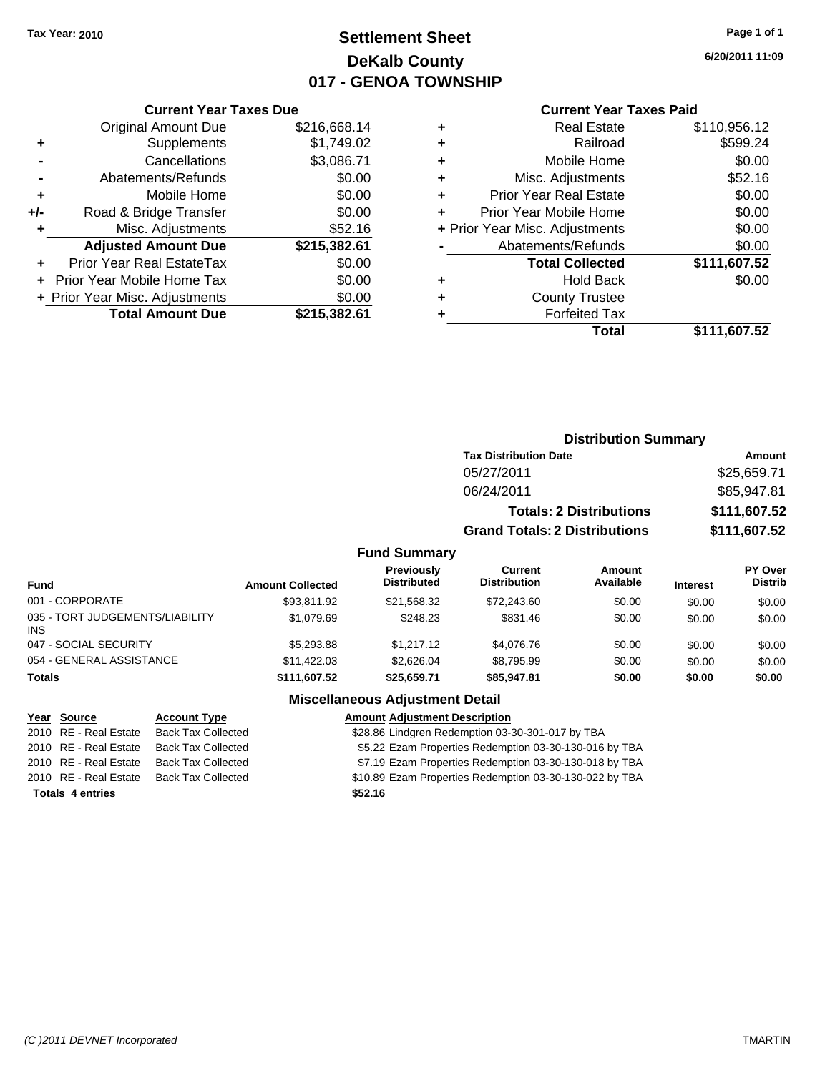# **Settlement Sheet Tax Year: 2010 Page 1 of 1 DeKalb County 017 - GENOA TOWNSHIP**

**6/20/2011 11:09**

#### **Current Year Taxes Paid**

|                                          | <b>Current Year Taxes Due</b>              |              |  |  |  |
|------------------------------------------|--------------------------------------------|--------------|--|--|--|
|                                          | <b>Original Amount Due</b><br>\$216,668.14 |              |  |  |  |
| ٠                                        | Supplements                                | \$1,749.02   |  |  |  |
|                                          | Cancellations                              | \$3,086.71   |  |  |  |
|                                          | Abatements/Refunds                         | \$0.00       |  |  |  |
| ٠                                        | Mobile Home                                | \$0.00       |  |  |  |
| $+/-$                                    | Road & Bridge Transfer                     | \$0.00       |  |  |  |
|                                          | Misc. Adjustments                          | \$52.16      |  |  |  |
|                                          | <b>Adjusted Amount Due</b>                 | \$215,382.61 |  |  |  |
|                                          | Prior Year Real EstateTax                  | \$0.00       |  |  |  |
|                                          | \$0.00<br>Prior Year Mobile Home Tax       |              |  |  |  |
| \$0.00<br>+ Prior Year Misc. Adjustments |                                            |              |  |  |  |
|                                          | <b>Total Amount Due</b>                    | \$215,382.61 |  |  |  |
|                                          |                                            |              |  |  |  |

| ٠ | <b>Real Estate</b>             | \$110,956.12 |
|---|--------------------------------|--------------|
| ٠ | Railroad                       | \$599.24     |
| ٠ | Mobile Home                    | \$0.00       |
| ٠ | Misc. Adjustments              | \$52.16      |
| ÷ | <b>Prior Year Real Estate</b>  | \$0.00       |
|   | Prior Year Mobile Home         | \$0.00       |
|   | + Prior Year Misc. Adjustments | \$0.00       |
|   | Abatements/Refunds             | \$0.00       |
|   | <b>Total Collected</b>         | \$111,607.52 |
| ٠ | Hold Back                      | \$0.00       |
| ٠ | <b>County Trustee</b>          |              |
|   | <b>Forfeited Tax</b>           |              |
|   | Total                          | \$111,607.52 |
|   |                                |              |

|                                               |                         |                                         |                                      | <b>Distribution Summary</b>    |                 |                                  |
|-----------------------------------------------|-------------------------|-----------------------------------------|--------------------------------------|--------------------------------|-----------------|----------------------------------|
|                                               |                         |                                         | <b>Tax Distribution Date</b>         |                                | <b>Amount</b>   |                                  |
|                                               |                         |                                         | 05/27/2011                           |                                |                 | \$25,659.71                      |
|                                               |                         |                                         | 06/24/2011                           |                                |                 | \$85,947.81                      |
|                                               |                         |                                         |                                      | <b>Totals: 2 Distributions</b> |                 | \$111,607.52                     |
|                                               |                         |                                         | <b>Grand Totals: 2 Distributions</b> |                                |                 | \$111,607.52                     |
|                                               |                         | <b>Fund Summary</b>                     |                                      |                                |                 |                                  |
| <b>Fund</b>                                   | <b>Amount Collected</b> | <b>Previously</b><br><b>Distributed</b> | Current<br><b>Distribution</b>       | Amount<br>Available            | <b>Interest</b> | <b>PY Over</b><br><b>Distrib</b> |
| 001 - CORPORATE                               | \$93.811.92             | \$21,568.32                             | \$72,243.60                          | \$0.00                         | \$0.00          | \$0.00                           |
| 035 - TORT JUDGEMENTS/LIABILITY<br><b>INS</b> | \$1,079.69              | \$248.23                                | \$831.46                             | \$0.00                         | \$0.00          | \$0.00                           |
| 047 - SOCIAL SECURITY                         | \$5,293.88              | \$1,217.12                              | \$4,076.76                           | \$0.00                         | \$0.00          | \$0.00                           |
| 054 - GENERAL ASSISTANCE                      | \$11,422.03             | \$2,626.04                              | \$8,795.99                           | \$0.00                         | \$0.00          | \$0.00                           |
| <b>Totals</b>                                 | \$111,607.52            | \$25,659.71                             | \$85,947.81                          | \$0.00                         | \$0.00          | \$0.00                           |

### **Miscellaneous Adjustment Detail**

| Year Source             | <b>Account Type</b>       | <b>Amount Adjustment Description</b>                    |
|-------------------------|---------------------------|---------------------------------------------------------|
| 2010 RE - Real Estate   | <b>Back Tax Collected</b> | \$28.86 Lindgren Redemption 03-30-301-017 by TBA        |
| 2010 RE - Real Estate   | <b>Back Tax Collected</b> | \$5.22 Ezam Properties Redemption 03-30-130-016 by TBA  |
| 2010 RE - Real Estate   | <b>Back Tax Collected</b> | \$7.19 Ezam Properties Redemption 03-30-130-018 by TBA  |
| 2010 RE - Real Estate   | <b>Back Tax Collected</b> | \$10.89 Ezam Properties Redemption 03-30-130-022 by TBA |
| <b>Totals 4 entries</b> |                           | \$52.16                                                 |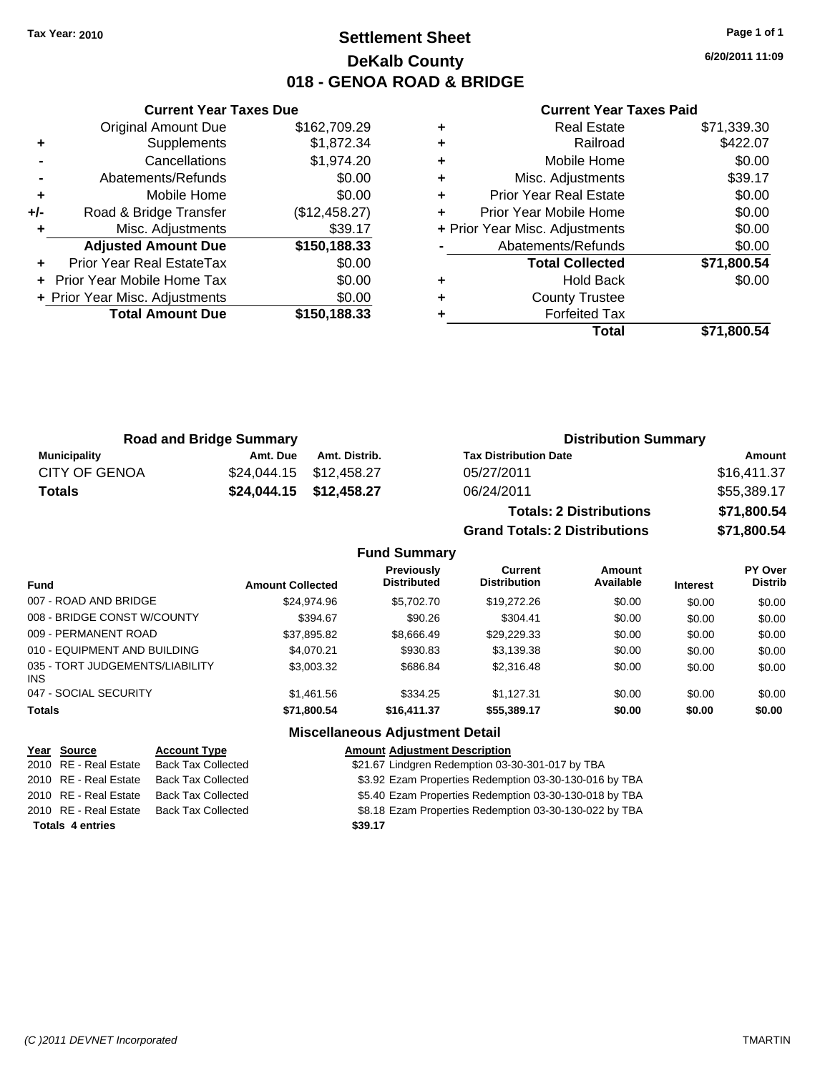# **Settlement Sheet Tax Year: 2010 Page 1 of 1 DeKalb County 018 - GENOA ROAD & BRIDGE**

**6/20/2011 11:09**

|     | <b>Current Year Taxes Due</b>        |               |  |  |  |
|-----|--------------------------------------|---------------|--|--|--|
|     | <b>Original Amount Due</b>           | \$162,709.29  |  |  |  |
| ٠   | Supplements                          | \$1,872.34    |  |  |  |
|     | Cancellations                        | \$1,974.20    |  |  |  |
|     | Abatements/Refunds                   | \$0.00        |  |  |  |
| ٠   | Mobile Home                          | \$0.00        |  |  |  |
| +/- | Road & Bridge Transfer               | (\$12,458.27) |  |  |  |
|     | Misc. Adjustments                    | \$39.17       |  |  |  |
|     | <b>Adjusted Amount Due</b>           | \$150,188.33  |  |  |  |
|     | Prior Year Real EstateTax            | \$0.00        |  |  |  |
|     | \$0.00<br>Prior Year Mobile Home Tax |               |  |  |  |
|     | + Prior Year Misc. Adjustments       | \$0.00        |  |  |  |
|     | <b>Total Amount Due</b>              | \$150,188,33  |  |  |  |
|     |                                      |               |  |  |  |

### **Current Year Taxes Paid**

| <b>Real Estate</b>            | \$71,339.30                    |
|-------------------------------|--------------------------------|
| Railroad                      | \$422.07                       |
| Mobile Home                   | \$0.00                         |
| Misc. Adjustments             | \$39.17                        |
| <b>Prior Year Real Estate</b> | \$0.00                         |
| Prior Year Mobile Home        | \$0.00                         |
|                               | \$0.00                         |
| Abatements/Refunds            | \$0.00                         |
| <b>Total Collected</b>        | \$71,800.54                    |
| <b>Hold Back</b>              | \$0.00                         |
| <b>County Trustee</b>         |                                |
| <b>Forfeited Tax</b>          |                                |
| Total                         | \$71,800.54                    |
|                               | + Prior Year Misc. Adjustments |

| <b>Road and Bridge Summary</b> |                         |                         | <b>Distribution Summary</b>  |             |  |
|--------------------------------|-------------------------|-------------------------|------------------------------|-------------|--|
| Municipality                   | Amt. Due                | Amt. Distrib.           | <b>Tax Distribution Date</b> | Amount      |  |
| <b>CITY OF GENOA</b>           |                         | \$24,044.15 \$12,458.27 | 05/27/2011                   | \$16,411.37 |  |
| <b>Totals</b>                  | \$24,044.15 \$12,458.27 |                         | 06/24/2011                   | \$55,389.17 |  |
|                                |                         |                         |                              |             |  |

| <b>Totals: 2 Distributions</b>       | \$71,800.54 |
|--------------------------------------|-------------|
| <b>Grand Totals: 2 Distributions</b> | \$71,800.54 |

### **Fund Summary**

| <b>Fund</b>                             | <b>Amount Collected</b> | <b>Previously</b><br><b>Distributed</b> | Current<br><b>Distribution</b> | Amount<br>Available | <b>Interest</b> | PY Over<br><b>Distrib</b> |
|-----------------------------------------|-------------------------|-----------------------------------------|--------------------------------|---------------------|-----------------|---------------------------|
| 007 - ROAD AND BRIDGE                   | \$24,974.96             | \$5,702.70                              | \$19,272.26                    | \$0.00              | \$0.00          | \$0.00                    |
| 008 - BRIDGE CONST W/COUNTY             | \$394.67                | \$90.26                                 | \$304.41                       | \$0.00              | \$0.00          | \$0.00                    |
| 009 - PERMANENT ROAD                    | \$37,895.82             | \$8.666.49                              | \$29.229.33                    | \$0.00              | \$0.00          | \$0.00                    |
| 010 - EQUIPMENT AND BUILDING            | \$4.070.21              | \$930.83                                | \$3,139.38                     | \$0.00              | \$0.00          | \$0.00                    |
| 035 - TORT JUDGEMENTS/LIABILITY<br>INS. | \$3,003.32              | \$686.84                                | \$2,316.48                     | \$0.00              | \$0.00          | \$0.00                    |
| 047 - SOCIAL SECURITY                   | \$1.461.56              | \$334.25                                | \$1.127.31                     | \$0.00              | \$0.00          | \$0.00                    |
| <b>Totals</b>                           | \$71,800.54             | \$16,411.37                             | \$55,389.17                    | \$0.00              | \$0.00          | \$0.00                    |

### **Miscellaneous Adjustment Detail**

| Year Source             | <b>Account Type</b>       | <b>Amount Adjustment Description</b>                   |
|-------------------------|---------------------------|--------------------------------------------------------|
| 2010 RE - Real Estate   | <b>Back Tax Collected</b> | \$21.67 Lindgren Redemption 03-30-301-017 by TBA       |
| 2010 RE - Real Estate   | <b>Back Tax Collected</b> | \$3.92 Ezam Properties Redemption 03-30-130-016 by TBA |
| 2010 RE - Real Estate   | <b>Back Tax Collected</b> | \$5.40 Ezam Properties Redemption 03-30-130-018 by TBA |
| 2010 RE - Real Estate   | <b>Back Tax Collected</b> | \$8.18 Ezam Properties Redemption 03-30-130-022 by TBA |
| <b>Totals 4 entries</b> |                           | \$39.17                                                |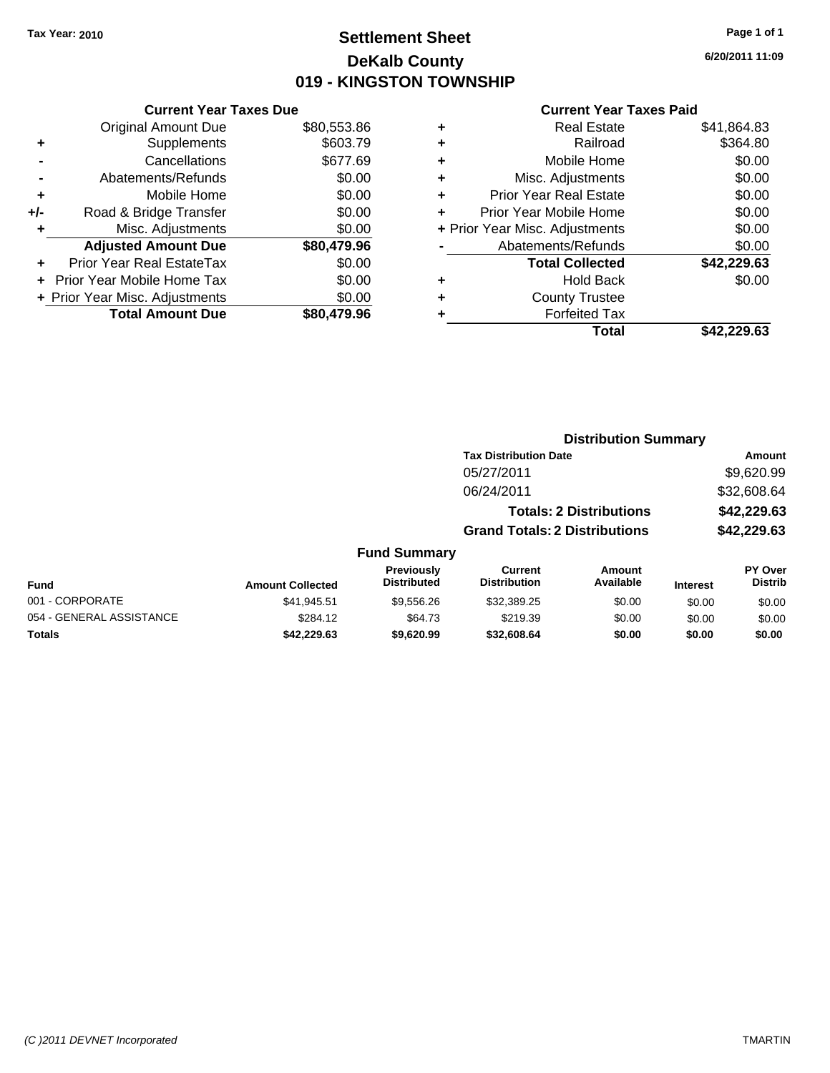# **Settlement Sheet Tax Year: 2010 Page 1 of 1 DeKalb County 019 - KINGSTON TOWNSHIP**

**6/20/2011 11:09**

|     | <b>Current Year Taxes Due</b>  |             |  |  |  |
|-----|--------------------------------|-------------|--|--|--|
|     | <b>Original Amount Due</b>     | \$80,553.86 |  |  |  |
| ٠   | Supplements                    | \$603.79    |  |  |  |
|     | Cancellations                  | \$677.69    |  |  |  |
|     | Abatements/Refunds             | \$0.00      |  |  |  |
| ٠   | Mobile Home                    | \$0.00      |  |  |  |
| +/- | Road & Bridge Transfer         | \$0.00      |  |  |  |
| ٠   | Misc. Adjustments              | \$0.00      |  |  |  |
|     | <b>Adjusted Amount Due</b>     | \$80,479.96 |  |  |  |
|     | Prior Year Real EstateTax      | \$0.00      |  |  |  |
|     | Prior Year Mobile Home Tax     | \$0.00      |  |  |  |
|     | + Prior Year Misc. Adjustments | \$0.00      |  |  |  |
|     | <b>Total Amount Due</b>        | \$80,479.96 |  |  |  |

| ٠ | <b>Real Estate</b>             | \$41,864.83 |
|---|--------------------------------|-------------|
| ٠ | Railroad                       | \$364.80    |
| ٠ | Mobile Home                    | \$0.00      |
| ٠ | Misc. Adjustments              | \$0.00      |
| ٠ | <b>Prior Year Real Estate</b>  | \$0.00      |
| ٠ | Prior Year Mobile Home         | \$0.00      |
|   | + Prior Year Misc. Adjustments | \$0.00      |
|   | Abatements/Refunds             | \$0.00      |
|   | <b>Total Collected</b>         | \$42,229.63 |
| ٠ | Hold Back                      | \$0.00      |
| ٠ | <b>County Trustee</b>          |             |
| ٠ | <b>Forfeited Tax</b>           |             |
|   | Total                          | \$42,229.63 |
|   |                                |             |

|                          |                         |                                         |                                       | <b>Distribution Summary</b>    |                 |                           |
|--------------------------|-------------------------|-----------------------------------------|---------------------------------------|--------------------------------|-----------------|---------------------------|
|                          |                         |                                         | <b>Tax Distribution Date</b>          |                                |                 | Amount                    |
|                          |                         |                                         | 05/27/2011                            |                                |                 | \$9,620.99                |
|                          |                         |                                         | 06/24/2011                            |                                |                 | \$32,608.64               |
|                          |                         |                                         |                                       | <b>Totals: 2 Distributions</b> |                 | \$42,229.63               |
|                          |                         |                                         | <b>Grand Totals: 2 Distributions</b>  |                                |                 | \$42,229.63               |
|                          |                         | <b>Fund Summary</b>                     |                                       |                                |                 |                           |
| <b>Fund</b>              | <b>Amount Collected</b> | <b>Previously</b><br><b>Distributed</b> | <b>Current</b><br><b>Distribution</b> | Amount<br>Available            | <b>Interest</b> | PY Over<br><b>Distrib</b> |
| 001 - CORPORATE          | \$41.945.51             | \$9,556.26                              | \$32,389.25                           | \$0.00                         | \$0.00          | \$0.00                    |
| 054 - GENERAL ASSISTANCE | \$284.12                | \$64.73                                 | \$219.39                              | \$0.00                         | \$0.00          | \$0.00                    |
| <b>Totals</b>            | \$42,229.63             | \$9.620.99                              | \$32,608,64                           | \$0.00                         | \$0.00          | \$0.00                    |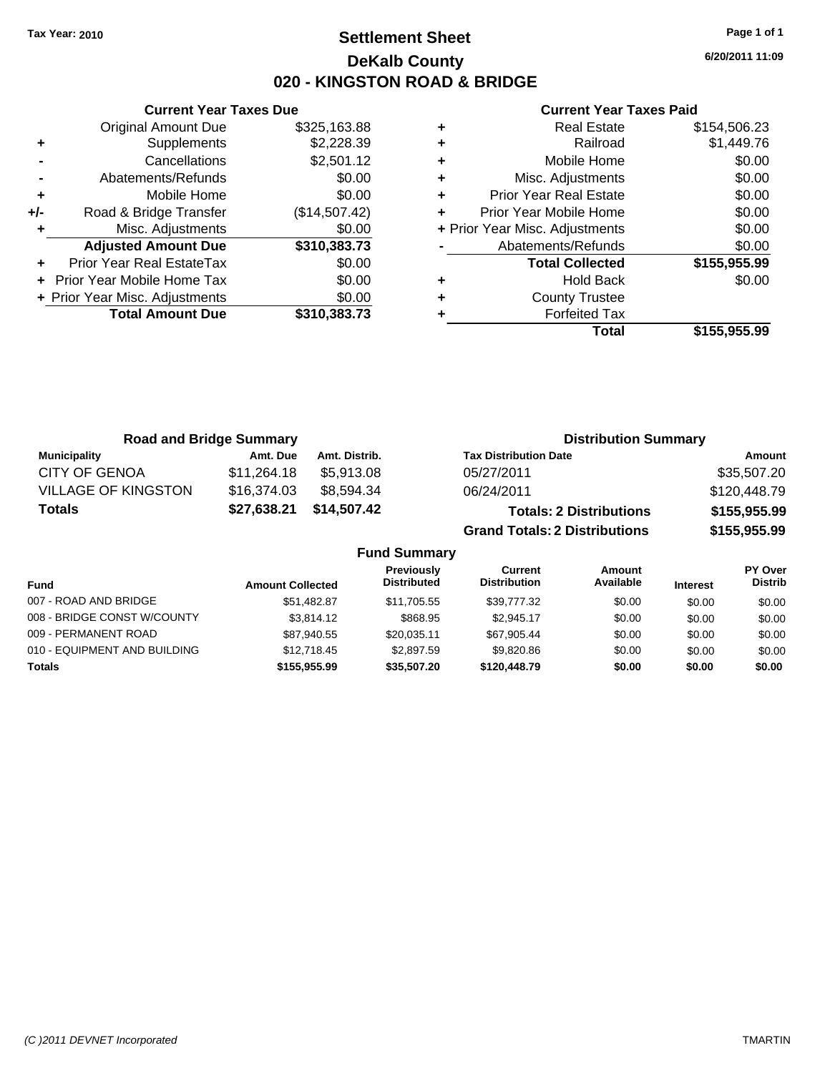# **Settlement Sheet Tax Year: 2010 Page 1 of 1 DeKalb County 020 - KINGSTON ROAD & BRIDGE**

**6/20/2011 11:09**

| <b>Current Year</b>          |   |               | <b>Current Year Taxes Due</b>  |       |
|------------------------------|---|---------------|--------------------------------|-------|
| <b>Real Esta</b>             | ٠ | \$325,163.88  | Original Amount Due            |       |
| Railro                       | ٠ | \$2,228.39    | <b>Supplements</b>             | ٠     |
| Mobile Hon                   | ٠ | \$2,501.12    | Cancellations                  |       |
| Misc. Adjustmer              | ÷ | \$0.00        | Abatements/Refunds             |       |
| <b>Prior Year Real Esta</b>  | ÷ | \$0.00        | Mobile Home                    | ٠     |
| Prior Year Mobile Hon        |   | (\$14,507.42) | Road & Bridge Transfer         | $+/-$ |
| + Prior Year Misc. Adjustmer |   | \$0.00        | Misc. Adjustments              | ٠     |
| Abatements/Refun             |   | \$310,383.73  | <b>Adjusted Amount Due</b>     |       |
| <b>Total Collecte</b>        |   | \$0.00        | Prior Year Real EstateTax      |       |
| Hold Ba                      | ٠ | \$0.00        | + Prior Year Mobile Home Tax   |       |
| <b>County Trust</b>          | ÷ | \$0.00        | + Prior Year Misc. Adjustments |       |
| Forfeited T                  |   | \$310,383.73  | <b>Total Amount Due</b>        |       |
| т.,                          |   |               |                                |       |

|   | Total                          | \$155,955.99 |
|---|--------------------------------|--------------|
|   | <b>Forfeited Tax</b>           |              |
| ÷ | <b>County Trustee</b>          |              |
|   | Hold Back                      | \$0.00       |
|   | <b>Total Collected</b>         | \$155,955.99 |
|   | Abatements/Refunds             | \$0.00       |
|   | + Prior Year Misc. Adjustments | \$0.00       |
|   | Prior Year Mobile Home         | \$0.00       |
|   | <b>Prior Year Real Estate</b>  | \$0.00       |
| ٠ | Misc. Adjustments              | \$0.00       |
| ٠ | Mobile Home                    | \$0.00       |
|   | Railroad                       | \$1,449.76   |
| ٠ | <b>Real Estate</b>             | \$154,506.23 |

| <b>Road and Bridge Summary</b> |             |               | <b>Distribution Summary</b>          |              |
|--------------------------------|-------------|---------------|--------------------------------------|--------------|
| <b>Municipality</b>            | Amt. Due    | Amt. Distrib. | <b>Tax Distribution Date</b>         | Amount       |
| <b>CITY OF GENOA</b>           | \$11,264.18 | \$5.913.08    | 05/27/2011                           | \$35,507.20  |
| <b>VILLAGE OF KINGSTON</b>     | \$16,374.03 | \$8.594.34    | 06/24/2011                           | \$120,448.79 |
| <b>Totals</b>                  | \$27,638.21 | \$14,507.42   | <b>Totals: 2 Distributions</b>       | \$155,955.99 |
|                                |             |               | <b>Grand Totals: 2 Distributions</b> | \$155,955.99 |

|                              |                         | <b>Fund Summary</b>                     |                                |                     |                 |                                  |
|------------------------------|-------------------------|-----------------------------------------|--------------------------------|---------------------|-----------------|----------------------------------|
| <b>Fund</b>                  | <b>Amount Collected</b> | <b>Previously</b><br><b>Distributed</b> | Current<br><b>Distribution</b> | Amount<br>Available | <b>Interest</b> | <b>PY Over</b><br><b>Distrib</b> |
| 007 - ROAD AND BRIDGE        | \$51.482.87             | \$11.705.55                             | \$39,777.32                    | \$0.00              | \$0.00          | \$0.00                           |
| 008 - BRIDGE CONST W/COUNTY  | \$3,814.12              | \$868.95                                | \$2.945.17                     | \$0.00              | \$0.00          | \$0.00                           |
| 009 - PERMANENT ROAD         | \$87.940.55             | \$20.035.11                             | \$67.905.44                    | \$0.00              | \$0.00          | \$0.00                           |
| 010 - EQUIPMENT AND BUILDING | \$12,718.45             | \$2,897.59                              | \$9,820.86                     | \$0.00              | \$0.00          | \$0.00                           |
| <b>Totals</b>                | \$155,955,99            | \$35,507.20                             | \$120,448.79                   | \$0.00              | \$0.00          | \$0.00                           |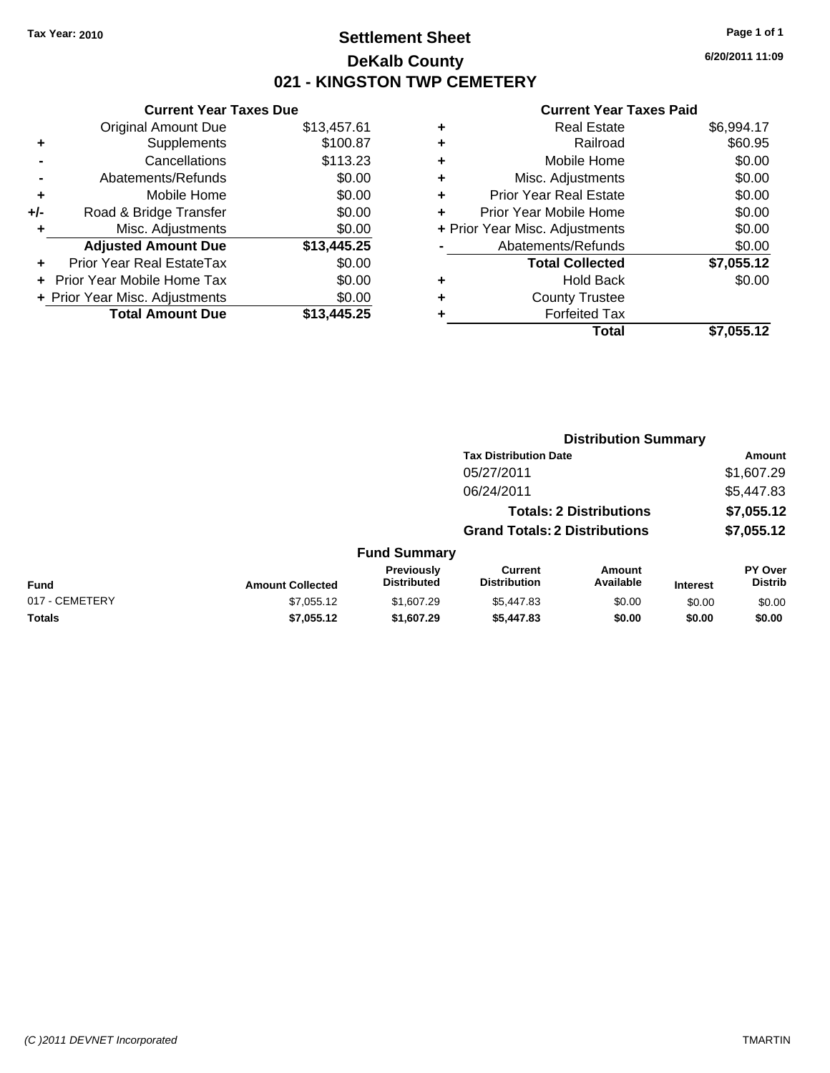# **Settlement Sheet Tax Year: 2010 Page 1 of 1 DeKalb County 021 - KINGSTON TWP CEMETERY**

**6/20/2011 11:09**

|     | <b>Current Year Taxes Due</b>    |             |
|-----|----------------------------------|-------------|
|     | <b>Original Amount Due</b>       | \$13,457.61 |
| ٠   | Supplements                      | \$100.87    |
|     | Cancellations                    | \$113.23    |
|     | Abatements/Refunds               | \$0.00      |
| ٠   | Mobile Home                      | \$0.00      |
| +/- | Road & Bridge Transfer           | \$0.00      |
| ٠   | Misc. Adjustments                | \$0.00      |
|     | <b>Adjusted Amount Due</b>       | \$13,445.25 |
|     | <b>Prior Year Real EstateTax</b> | \$0.00      |
|     | Prior Year Mobile Home Tax       | \$0.00      |
|     | + Prior Year Misc. Adjustments   | \$0.00      |
|     | <b>Total Amount Due</b>          | \$13,445.25 |
|     |                                  |             |

| ٠ | Real Estate                    | \$6,994.17 |
|---|--------------------------------|------------|
| ٠ | Railroad                       | \$60.95    |
| ٠ | Mobile Home                    | \$0.00     |
| ٠ | Misc. Adjustments              | \$0.00     |
| ٠ | <b>Prior Year Real Estate</b>  | \$0.00     |
| ÷ | Prior Year Mobile Home         | \$0.00     |
|   | + Prior Year Misc. Adjustments | \$0.00     |
|   | Abatements/Refunds             | \$0.00     |
|   | <b>Total Collected</b>         | \$7,055.12 |
| ٠ | Hold Back                      | \$0.00     |
| ٠ | <b>County Trustee</b>          |            |
|   | <b>Forfeited Tax</b>           |            |
|   | Total                          | \$7.055.12 |

|                |                         |                                  |                                       | <b>Distribution Summary</b>    |                 |                                  |
|----------------|-------------------------|----------------------------------|---------------------------------------|--------------------------------|-----------------|----------------------------------|
|                |                         |                                  | <b>Tax Distribution Date</b>          |                                |                 | Amount                           |
|                |                         |                                  | 05/27/2011                            |                                |                 | \$1,607.29                       |
|                |                         |                                  | 06/24/2011                            |                                |                 | \$5,447.83                       |
|                |                         |                                  |                                       | <b>Totals: 2 Distributions</b> |                 | \$7,055.12                       |
|                |                         |                                  | <b>Grand Totals: 2 Distributions</b>  |                                |                 | \$7,055.12                       |
|                |                         | <b>Fund Summary</b>              |                                       |                                |                 |                                  |
| Fund           | <b>Amount Collected</b> | Previously<br><b>Distributed</b> | <b>Current</b><br><b>Distribution</b> | Amount<br>Available            | <b>Interest</b> | <b>PY Over</b><br><b>Distrib</b> |
| 017 - CEMETERY | \$7,055.12              | \$1,607.29                       | \$5,447.83                            | \$0.00                         | \$0.00          | \$0.00                           |
| Totals         | \$7,055.12              | \$1,607.29                       | \$5,447.83                            | \$0.00                         | \$0.00          | \$0.00                           |
|                |                         |                                  |                                       |                                |                 |                                  |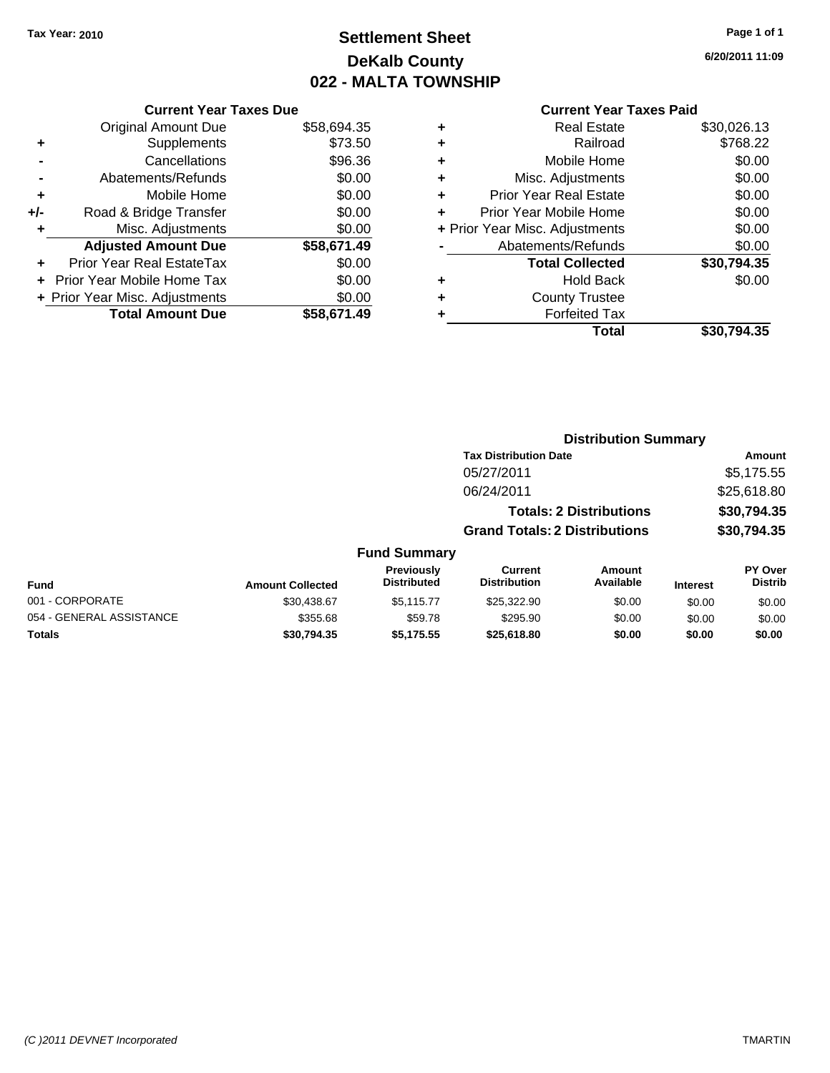# **Settlement Sheet Tax Year: 2010 Page 1 of 1 DeKalb County 022 - MALTA TOWNSHIP**

**6/20/2011 11:09**

| <b>Original Amount Due</b><br>\$58,694.35   |  |
|---------------------------------------------|--|
| \$73.50<br>Supplements<br>٠                 |  |
| \$96.36<br>Cancellations                    |  |
| \$0.00<br>Abatements/Refunds                |  |
| \$0.00<br>Mobile Home<br>٠                  |  |
| \$0.00<br>Road & Bridge Transfer<br>+/-     |  |
| \$0.00<br>Misc. Adjustments<br>٠            |  |
| <b>Adjusted Amount Due</b><br>\$58,671.49   |  |
| \$0.00<br>Prior Year Real EstateTax<br>÷    |  |
| \$0.00<br><b>Prior Year Mobile Home Tax</b> |  |
| \$0.00<br>+ Prior Year Misc. Adjustments    |  |
| <b>Total Amount Due</b><br>\$58,671.49      |  |

| ٠ | <b>Real Estate</b>             | \$30,026.13 |
|---|--------------------------------|-------------|
| ٠ | Railroad                       | \$768.22    |
| ٠ | Mobile Home                    | \$0.00      |
| ٠ | Misc. Adjustments              | \$0.00      |
| ٠ | Prior Year Real Estate         | \$0.00      |
|   | Prior Year Mobile Home         | \$0.00      |
|   | + Prior Year Misc. Adjustments | \$0.00      |
|   | Abatements/Refunds             | \$0.00      |
|   | <b>Total Collected</b>         | \$30,794.35 |
| ٠ | <b>Hold Back</b>               | \$0.00      |
| ٠ | <b>County Trustee</b>          |             |
| ٠ | <b>Forfeited Tax</b>           |             |
|   | Total                          | \$30.794.35 |
|   |                                |             |

|                          |                         |                                         |                                       | <b>Distribution Summary</b>    |                 |                           |
|--------------------------|-------------------------|-----------------------------------------|---------------------------------------|--------------------------------|-----------------|---------------------------|
|                          |                         |                                         | <b>Tax Distribution Date</b>          |                                |                 | Amount                    |
|                          |                         |                                         | 05/27/2011                            |                                |                 | \$5,175.55                |
|                          |                         |                                         | 06/24/2011                            |                                |                 | \$25,618.80               |
|                          |                         |                                         |                                       | <b>Totals: 2 Distributions</b> |                 | \$30,794.35               |
|                          |                         |                                         | <b>Grand Totals: 2 Distributions</b>  |                                |                 | \$30,794.35               |
|                          |                         | <b>Fund Summary</b>                     |                                       |                                |                 |                           |
| <b>Fund</b>              | <b>Amount Collected</b> | <b>Previously</b><br><b>Distributed</b> | <b>Current</b><br><b>Distribution</b> | Amount<br>Available            | <b>Interest</b> | PY Over<br><b>Distrib</b> |
| 001 - CORPORATE          | \$30,438.67             | \$5,115,77                              | \$25,322.90                           | \$0.00                         | \$0.00          | \$0.00                    |
| 054 - GENERAL ASSISTANCE | \$355.68                | \$59.78                                 | \$295.90                              | \$0.00                         | \$0.00          | \$0.00                    |
| <b>Totals</b>            | \$30.794.35             | \$5,175.55                              | \$25,618.80                           | \$0.00                         | \$0.00          | \$0.00                    |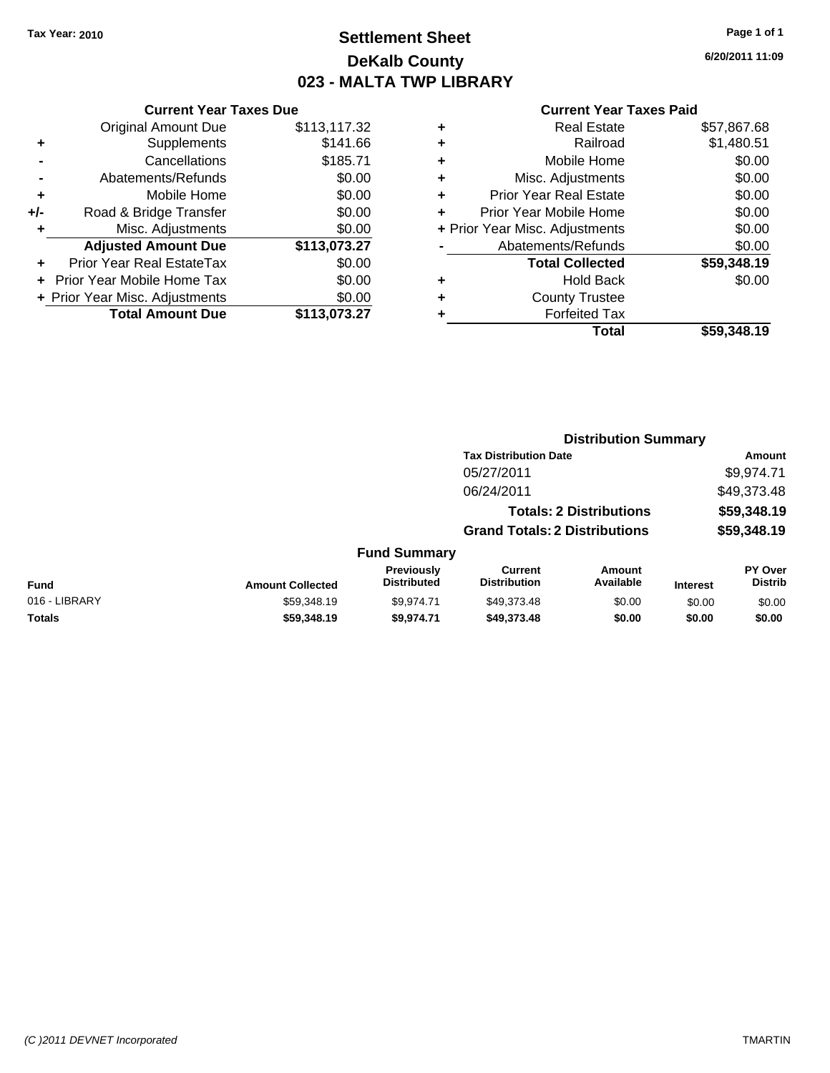# **Settlement Sheet Tax Year: 2010 Page 1 of 1 DeKalb County 023 - MALTA TWP LIBRARY**

**6/20/2011 11:09**

|     | <b>Current Year Taxes Due</b>  |              |
|-----|--------------------------------|--------------|
|     | <b>Original Amount Due</b>     | \$113,117.32 |
| ٠   | Supplements                    | \$141.66     |
|     | Cancellations                  | \$185.71     |
|     | Abatements/Refunds             | \$0.00       |
| ٠   | Mobile Home                    | \$0.00       |
| +/- | Road & Bridge Transfer         | \$0.00       |
| ٠   | Misc. Adjustments              | \$0.00       |
|     | <b>Adjusted Amount Due</b>     | \$113,073.27 |
| ٠   | Prior Year Real EstateTax      | \$0.00       |
|     | Prior Year Mobile Home Tax     | \$0.00       |
|     | + Prior Year Misc. Adjustments | \$0.00       |
|     | <b>Total Amount Due</b>        | \$113.073.27 |
|     |                                |              |

| ٠ | <b>Real Estate</b>             | \$57,867.68 |
|---|--------------------------------|-------------|
| ٠ | Railroad                       | \$1,480.51  |
| ÷ | Mobile Home                    | \$0.00      |
| ٠ | Misc. Adjustments              | \$0.00      |
| ٠ | <b>Prior Year Real Estate</b>  | \$0.00      |
| ÷ | Prior Year Mobile Home         | \$0.00      |
|   | + Prior Year Misc. Adjustments | \$0.00      |
|   | Abatements/Refunds             | \$0.00      |
|   | <b>Total Collected</b>         | \$59,348.19 |
| ٠ | <b>Hold Back</b>               | \$0.00      |
| ٠ | <b>County Trustee</b>          |             |
| ٠ | <b>Forfeited Tax</b>           |             |
|   | Total                          | \$59,348,19 |
|   |                                |             |

|               |                         |                                  |                                       | <b>Distribution Summary</b>    |                 |                                  |
|---------------|-------------------------|----------------------------------|---------------------------------------|--------------------------------|-----------------|----------------------------------|
|               |                         |                                  | <b>Tax Distribution Date</b>          |                                |                 | Amount                           |
|               |                         |                                  | 05/27/2011                            |                                |                 | \$9,974.71                       |
|               |                         |                                  | 06/24/2011                            |                                |                 | \$49,373.48                      |
|               |                         |                                  |                                       | <b>Totals: 2 Distributions</b> |                 | \$59,348.19                      |
|               |                         |                                  | <b>Grand Totals: 2 Distributions</b>  |                                |                 | \$59,348.19                      |
|               |                         | <b>Fund Summary</b>              |                                       |                                |                 |                                  |
| Fund          | <b>Amount Collected</b> | Previously<br><b>Distributed</b> | <b>Current</b><br><b>Distribution</b> | <b>Amount</b><br>Available     | <b>Interest</b> | <b>PY Over</b><br><b>Distrib</b> |
| 016 - LIBRARY | \$59,348.19             | \$9,974.71                       | \$49,373.48                           | \$0.00                         | \$0.00          | \$0.00                           |
| Totals        | \$59,348.19             | \$9,974.71                       | \$49,373.48                           | \$0.00                         | \$0.00          | \$0.00                           |
|               |                         |                                  |                                       |                                |                 |                                  |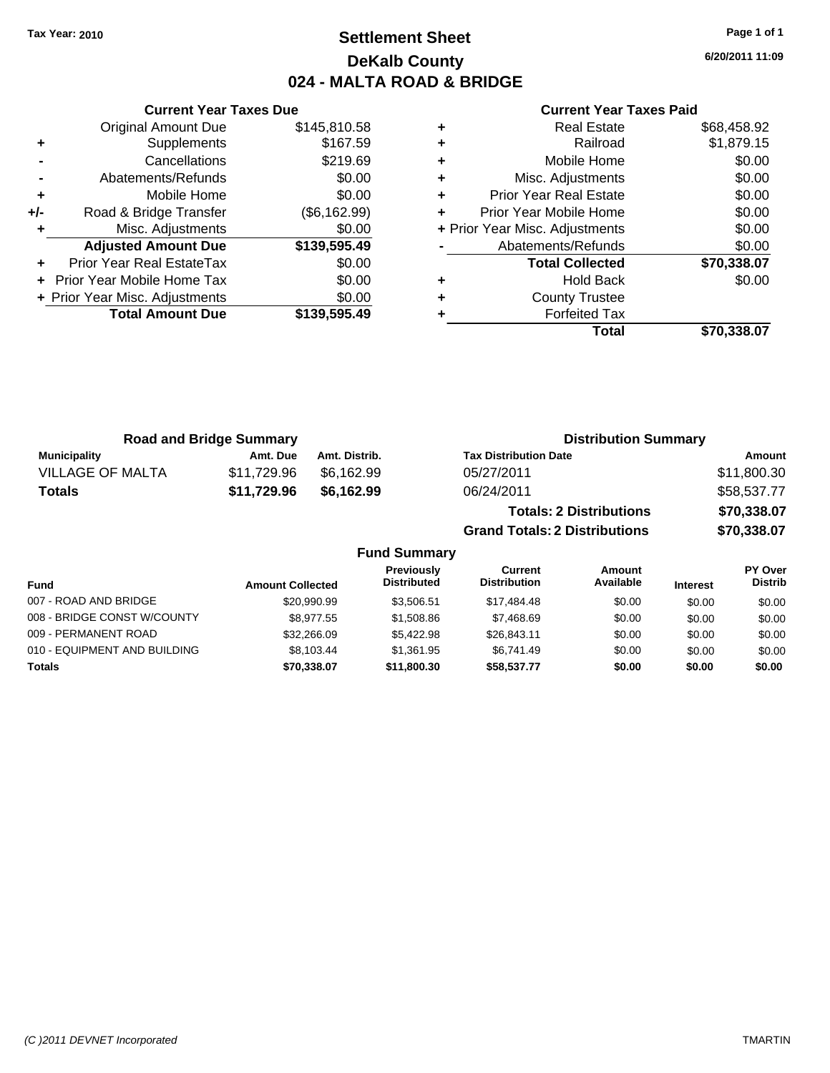# **Settlement Sheet Tax Year: 2010 Page 1 of 1 DeKalb County 024 - MALTA ROAD & BRIDGE**

**6/20/2011 11:09**

#### **Current Year Taxes Paid**

|     | <b>Current Year Taxes Due</b>     |              |  |  |  |
|-----|-----------------------------------|--------------|--|--|--|
|     | <b>Original Amount Due</b>        | \$145,810.58 |  |  |  |
| ٠   | Supplements                       | \$167.59     |  |  |  |
|     | Cancellations                     | \$219.69     |  |  |  |
|     | Abatements/Refunds                | \$0.00       |  |  |  |
| ٠   | Mobile Home                       | \$0.00       |  |  |  |
| +/- | Road & Bridge Transfer            | (\$6,162.99) |  |  |  |
|     | Misc. Adjustments                 | \$0.00       |  |  |  |
|     | <b>Adjusted Amount Due</b>        | \$139,595.49 |  |  |  |
| ÷   | Prior Year Real EstateTax         | \$0.00       |  |  |  |
|     | <b>Prior Year Mobile Home Tax</b> | \$0.00       |  |  |  |
|     | + Prior Year Misc. Adjustments    | \$0.00       |  |  |  |
|     | <b>Total Amount Due</b>           | \$139,595.49 |  |  |  |
|     |                                   |              |  |  |  |

| <b>Real Estate</b>             | \$68,458.92 |
|--------------------------------|-------------|
| Railroad                       | \$1,879.15  |
| Mobile Home                    | \$0.00      |
| Misc. Adjustments              | \$0.00      |
| Prior Year Real Estate         | \$0.00      |
| Prior Year Mobile Home         | \$0.00      |
| + Prior Year Misc. Adjustments | \$0.00      |
| Abatements/Refunds             | \$0.00      |
| <b>Total Collected</b>         | \$70,338.07 |
| <b>Hold Back</b>               | \$0.00      |
| <b>County Trustee</b>          |             |
| <b>Forfeited Tax</b>           |             |
| Total                          | \$70.338.07 |
|                                |             |

**Grand Totals: 2 Distributions \$70,338.07**

| <b>Road and Bridge Summary</b> |             |               | <b>Distribution Summary</b>    |             |
|--------------------------------|-------------|---------------|--------------------------------|-------------|
| <b>Municipality</b>            | Amt. Due    | Amt. Distrib. | <b>Tax Distribution Date</b>   | Amount      |
| VILLAGE OF MALTA               | \$11.729.96 | \$6.162.99    | 05/27/2011                     | \$11,800.30 |
| <b>Totals</b>                  | \$11,729.96 | \$6,162.99    | 06/24/2011                     | \$58,537.77 |
|                                |             |               | <b>Totals: 2 Distributions</b> | \$70,338.07 |

|                              |                         | <b>Fund Summary</b>                     |                                |                     |                 |                           |
|------------------------------|-------------------------|-----------------------------------------|--------------------------------|---------------------|-----------------|---------------------------|
| <b>Fund</b>                  | <b>Amount Collected</b> | <b>Previously</b><br><b>Distributed</b> | Current<br><b>Distribution</b> | Amount<br>Available | <b>Interest</b> | PY Over<br><b>Distrib</b> |
| 007 - ROAD AND BRIDGE        | \$20,990.99             | \$3.506.51                              | \$17,484.48                    | \$0.00              | \$0.00          | \$0.00                    |
| 008 - BRIDGE CONST W/COUNTY  | \$8,977.55              | \$1,508.86                              | \$7,468.69                     | \$0.00              | \$0.00          | \$0.00                    |
| 009 - PERMANENT ROAD         | \$32,266.09             | \$5.422.98                              | \$26,843.11                    | \$0.00              | \$0.00          | \$0.00                    |
| 010 - EQUIPMENT AND BUILDING | \$8.103.44              | \$1.361.95                              | \$6.741.49                     | \$0.00              | \$0.00          | \$0.00                    |
| <b>Totals</b>                | \$70,338.07             | \$11,800.30                             | \$58,537.77                    | \$0.00              | \$0.00          | \$0.00                    |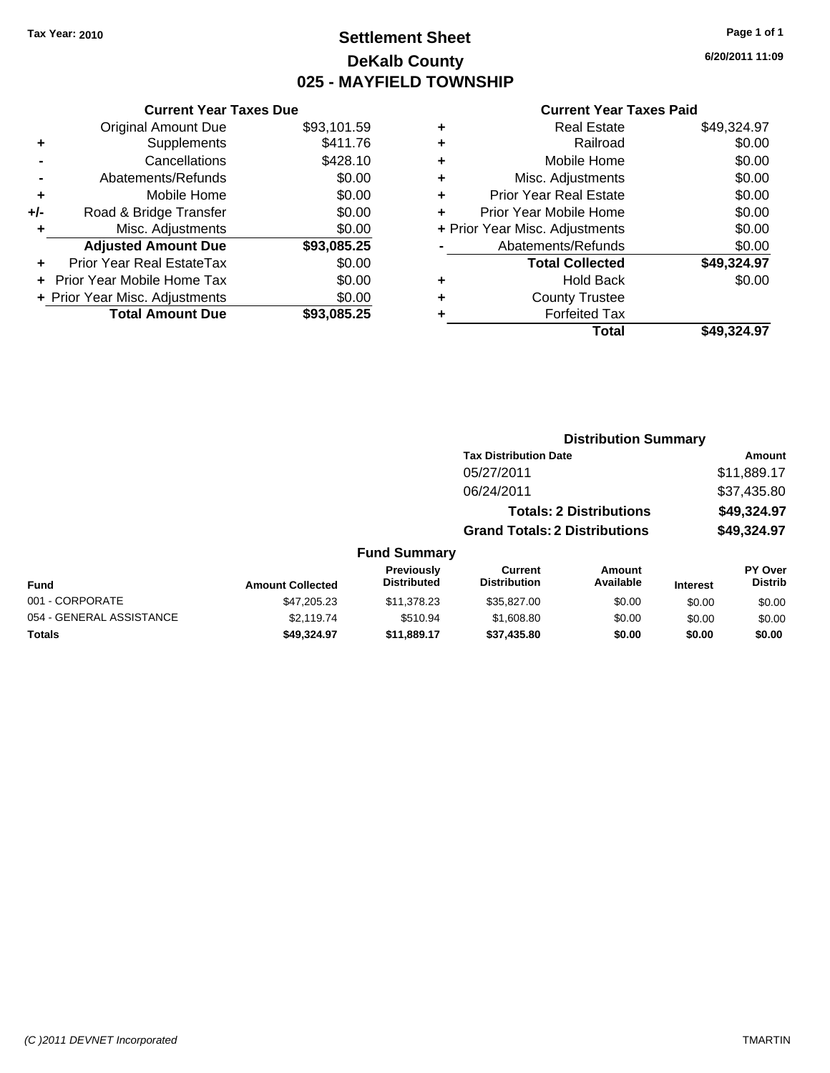# **Settlement Sheet Tax Year: 2010 Page 1 of 1 DeKalb County 025 - MAYFIELD TOWNSHIP**

**6/20/2011 11:09**

|  | <b>Current Year Taxes Paid</b> |  |  |  |
|--|--------------------------------|--|--|--|
|--|--------------------------------|--|--|--|

|     | <b>Current Year Taxes Due</b>  |             |
|-----|--------------------------------|-------------|
|     | <b>Original Amount Due</b>     | \$93,101.59 |
| ٠   | Supplements                    | \$411.76    |
|     | Cancellations                  | \$428.10    |
|     | Abatements/Refunds             | \$0.00      |
| ٠   | Mobile Home                    | \$0.00      |
| +/- | Road & Bridge Transfer         | \$0.00      |
| ٠   | Misc. Adjustments              | \$0.00      |
|     | <b>Adjusted Amount Due</b>     | \$93,085.25 |
| ÷   | Prior Year Real EstateTax      | \$0.00      |
|     | Prior Year Mobile Home Tax     | \$0.00      |
|     | + Prior Year Misc. Adjustments | \$0.00      |
|     | <b>Total Amount Due</b>        | \$93,085,25 |

| ٠ | <b>Real Estate</b>             | \$49,324.97 |
|---|--------------------------------|-------------|
| ٠ | Railroad                       | \$0.00      |
| ٠ | Mobile Home                    | \$0.00      |
| ٠ | Misc. Adjustments              | \$0.00      |
| ٠ | <b>Prior Year Real Estate</b>  | \$0.00      |
| ٠ | Prior Year Mobile Home         | \$0.00      |
|   | + Prior Year Misc. Adjustments | \$0.00      |
|   | Abatements/Refunds             | \$0.00      |
|   | <b>Total Collected</b>         | \$49,324.97 |
| ٠ | Hold Back                      | \$0.00      |
| ٠ | <b>County Trustee</b>          |             |
| ٠ | <b>Forfeited Tax</b>           |             |
|   | Total                          | \$49,324.97 |

|                          |                         |                                         |                                       | <b>Distribution Summary</b>    |                 |                           |
|--------------------------|-------------------------|-----------------------------------------|---------------------------------------|--------------------------------|-----------------|---------------------------|
|                          |                         |                                         | <b>Tax Distribution Date</b>          |                                |                 | Amount                    |
|                          |                         |                                         | 05/27/2011                            |                                |                 | \$11,889.17               |
|                          |                         |                                         | 06/24/2011                            |                                |                 | \$37,435.80               |
|                          |                         |                                         |                                       | <b>Totals: 2 Distributions</b> |                 | \$49,324.97               |
|                          |                         |                                         | <b>Grand Totals: 2 Distributions</b>  |                                |                 | \$49,324.97               |
|                          |                         | <b>Fund Summary</b>                     |                                       |                                |                 |                           |
| Fund                     | <b>Amount Collected</b> | <b>Previously</b><br><b>Distributed</b> | <b>Current</b><br><b>Distribution</b> | Amount<br>Available            | <b>Interest</b> | PY Over<br><b>Distrib</b> |
| 001 - CORPORATE          | \$47,205.23             | \$11,378,23                             | \$35,827.00                           | \$0.00                         | \$0.00          | \$0.00                    |
| 054 - GENERAL ASSISTANCE | \$2,119.74              | \$510.94                                | \$1,608.80                            | \$0.00                         | \$0.00          | \$0.00                    |
| <b>Totals</b>            | \$49.324.97             | \$11,889.17                             | \$37,435.80                           | \$0.00                         | \$0.00          | \$0.00                    |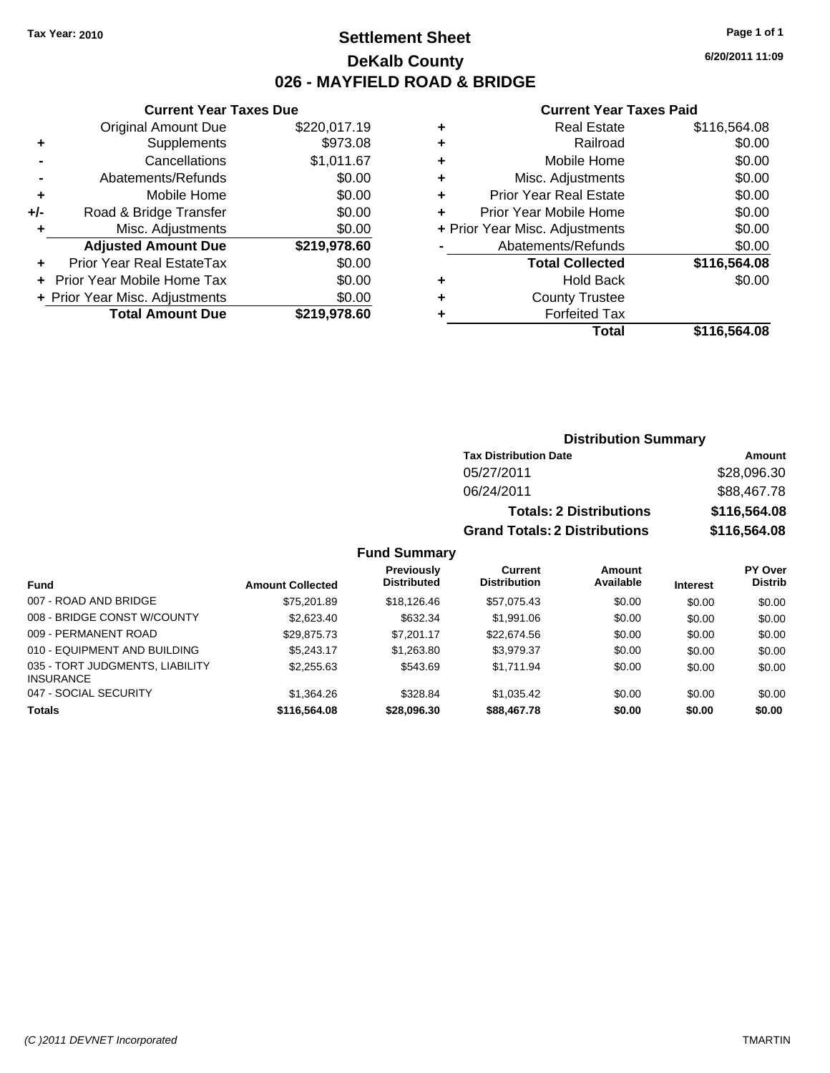**Current Year Taxes Due** Original Amount Due \$220,017.19

**Adjusted Amount Due \$219,978.60**

**Total Amount Due \$219,978.60**

**+** Supplements \$973.08 **-** Cancellations \$1,011.67 **-** Abatements/Refunds \$0.00 **+** Mobile Home \$0.00 **+/-** Road & Bridge Transfer \$0.00 **+** Misc. Adjustments \$0.00

**+** Prior Year Real EstateTax \$0.00 **+** Prior Year Mobile Home Tax \$0.00 **+ Prior Year Misc. Adjustments**  $$0.00$ 

# **Settlement Sheet Tax Year: 2010 Page 1 of 1 DeKalb County 026 - MAYFIELD ROAD & BRIDGE**

**6/20/2011 11:09**

#### **Current Year Taxes Paid**

|   | Total                          | \$116,564.08 |
|---|--------------------------------|--------------|
| ٠ | <b>Forfeited Tax</b>           |              |
| ٠ | <b>County Trustee</b>          |              |
| ٠ | <b>Hold Back</b>               | \$0.00       |
|   | <b>Total Collected</b>         | \$116,564.08 |
|   | Abatements/Refunds             | \$0.00       |
|   | + Prior Year Misc. Adjustments | \$0.00       |
| ٠ | Prior Year Mobile Home         | \$0.00       |
| ٠ | <b>Prior Year Real Estate</b>  | \$0.00       |
| ٠ | Misc. Adjustments              | \$0.00       |
| ٠ | Mobile Home                    | \$0.00       |
| ٠ | Railroad                       | \$0.00       |
| ٠ | <b>Real Estate</b>             | \$116,564.08 |

**Distribution Summary**

|                                                     |                         |                                         |                                      | PIJU INUUTI VUIIIIIUI V        |                 |                           |
|-----------------------------------------------------|-------------------------|-----------------------------------------|--------------------------------------|--------------------------------|-----------------|---------------------------|
|                                                     |                         |                                         | <b>Tax Distribution Date</b>         |                                |                 | Amount                    |
|                                                     |                         |                                         | 05/27/2011                           |                                |                 | \$28,096.30               |
|                                                     |                         |                                         | 06/24/2011                           |                                |                 | \$88,467.78               |
|                                                     |                         |                                         |                                      | <b>Totals: 2 Distributions</b> |                 | \$116,564.08              |
|                                                     |                         |                                         | <b>Grand Totals: 2 Distributions</b> |                                |                 | \$116,564.08              |
|                                                     |                         | <b>Fund Summary</b>                     |                                      |                                |                 |                           |
| <b>Fund</b>                                         | <b>Amount Collected</b> | <b>Previously</b><br><b>Distributed</b> | Current<br><b>Distribution</b>       | Amount<br>Available            | <b>Interest</b> | <b>PY Over</b><br>Distrib |
| 007 - ROAD AND BRIDGE                               | \$75,201.89             | \$18,126.46                             | \$57,075.43                          | \$0.00                         | \$0.00          | \$0.00                    |
| 008 - BRIDGE CONST W/COUNTY                         | \$2,623.40              | \$632.34                                | \$1,991.06                           | \$0.00                         | \$0.00          | \$0.00                    |
| 009 - PERMANENT ROAD                                | \$29,875.73             | \$7,201.17                              | \$22,674.56                          | \$0.00                         | \$0.00          | \$0.00                    |
| 010 - EQUIPMENT AND BUILDING                        | \$5.243.17              | \$1,263.80                              | \$3,979.37                           | \$0.00                         | \$0.00          | \$0.00                    |
| 035 - TORT JUDGMENTS, LIABILITY<br><b>INSURANCE</b> | \$2,255.63              | \$543.69                                | \$1,711.94                           | \$0.00                         | \$0.00          | \$0.00                    |
| 047 - SOCIAL SECURITY                               | \$1,364.26              | \$328.84                                | \$1,035.42                           | \$0.00                         | \$0.00          | \$0.00                    |

**Totals \$116,564.08 \$28,096.30 \$88,467.78 \$0.00 \$0.00 \$0.00**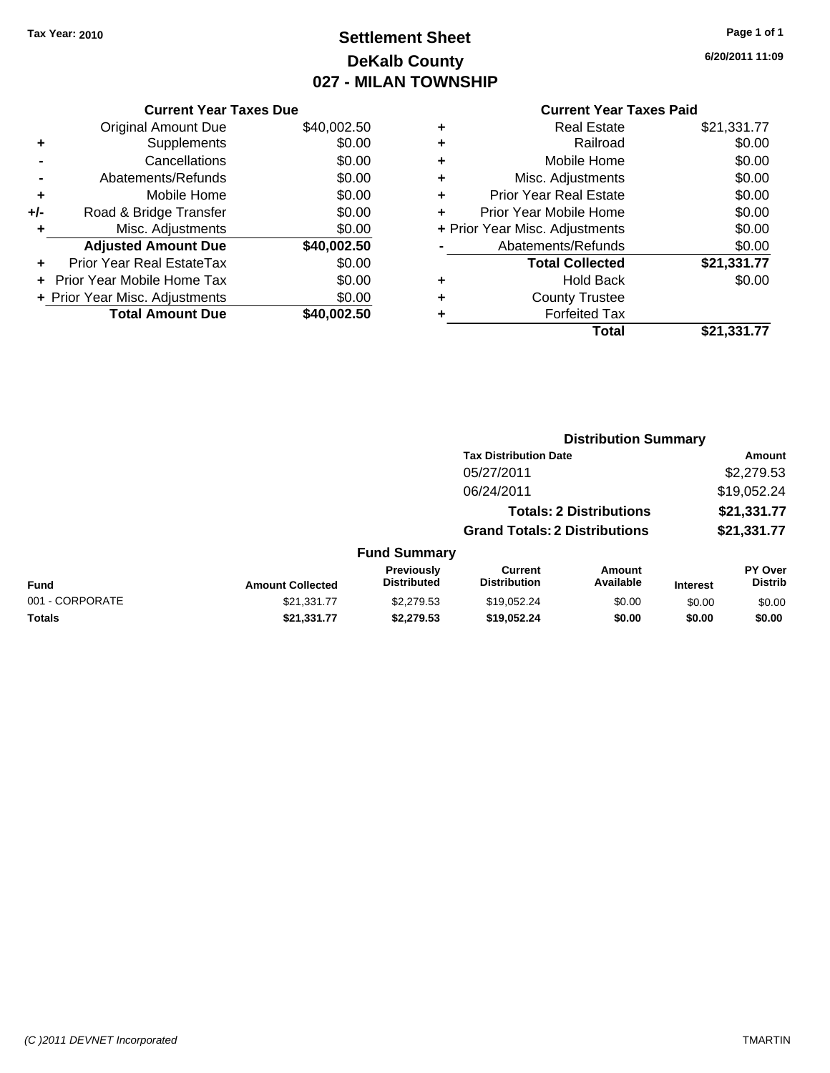# **Settlement Sheet Tax Year: 2010 Page 1 of 1 DeKalb County 027 - MILAN TOWNSHIP**

**6/20/2011 11:09**

|     | <b>Current Year Taxes Due</b>  |             |  |  |  |
|-----|--------------------------------|-------------|--|--|--|
|     | <b>Original Amount Due</b>     | \$40,002.50 |  |  |  |
| ٠   | Supplements                    | \$0.00      |  |  |  |
|     | Cancellations                  | \$0.00      |  |  |  |
|     | Abatements/Refunds             | \$0.00      |  |  |  |
| ٠   | Mobile Home                    | \$0.00      |  |  |  |
| +/- | Road & Bridge Transfer         | \$0.00      |  |  |  |
| ٠   | Misc. Adjustments              | \$0.00      |  |  |  |
|     | <b>Adjusted Amount Due</b>     | \$40,002.50 |  |  |  |
| ÷   | Prior Year Real EstateTax      | \$0.00      |  |  |  |
|     | Prior Year Mobile Home Tax     | \$0.00      |  |  |  |
|     | + Prior Year Misc. Adjustments | \$0.00      |  |  |  |
|     | <b>Total Amount Due</b>        | \$40,002.50 |  |  |  |
|     |                                |             |  |  |  |

|   | <b>Real Estate</b>             | \$21,331.77 |
|---|--------------------------------|-------------|
| ÷ | Railroad                       | \$0.00      |
| ÷ | Mobile Home                    | \$0.00      |
| ٠ | Misc. Adjustments              | \$0.00      |
| ٠ | <b>Prior Year Real Estate</b>  | \$0.00      |
|   | Prior Year Mobile Home         | \$0.00      |
|   | + Prior Year Misc. Adjustments | \$0.00      |
|   | Abatements/Refunds             | \$0.00      |
|   | <b>Total Collected</b>         | \$21,331.77 |
| ٠ | <b>Hold Back</b>               | \$0.00      |
| ٠ | <b>County Trustee</b>          |             |
| ٠ | <b>Forfeited Tax</b>           |             |
|   | Total                          | \$21,331.77 |
|   |                                |             |

|                 |                         |                                  | <b>Distribution Summary</b>          |                                |                 |                           |
|-----------------|-------------------------|----------------------------------|--------------------------------------|--------------------------------|-----------------|---------------------------|
|                 |                         |                                  | <b>Tax Distribution Date</b>         |                                |                 | Amount                    |
|                 |                         |                                  | 05/27/2011                           |                                |                 | \$2,279.53                |
|                 |                         |                                  | 06/24/2011                           |                                |                 | \$19,052.24               |
|                 |                         |                                  |                                      | <b>Totals: 2 Distributions</b> |                 | \$21,331.77               |
|                 |                         |                                  | <b>Grand Totals: 2 Distributions</b> |                                |                 | \$21,331.77               |
|                 |                         | <b>Fund Summary</b>              |                                      |                                |                 |                           |
| <b>Fund</b>     | <b>Amount Collected</b> | Previously<br><b>Distributed</b> | Current<br><b>Distribution</b>       | Amount<br>Available            | <b>Interest</b> | PY Over<br><b>Distrib</b> |
| 001 - CORPORATE | \$21.331.77             | \$2,279.53                       | \$19.052.24                          | \$0.00                         | \$0.00          | \$0.00                    |
| <b>Totals</b>   | \$21,331.77             | \$2,279.53                       | \$19,052.24                          | \$0.00                         | \$0.00          | \$0.00                    |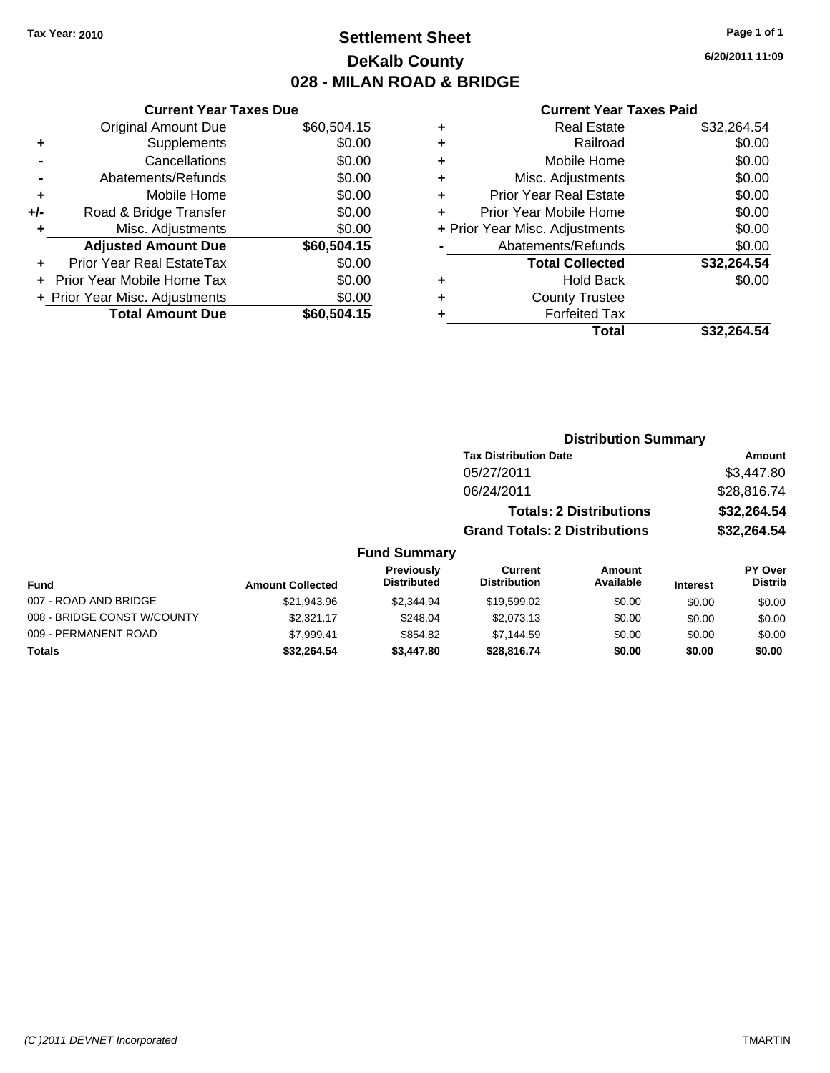# **Settlement Sheet Tax Year: 2010 Page 1 of 1 DeKalb County 028 - MILAN ROAD & BRIDGE**

**6/20/2011 11:09**

|       | <b>Current Year Taxes Due</b>            |             |  |  |  |
|-------|------------------------------------------|-------------|--|--|--|
|       | <b>Original Amount Due</b>               | \$60,504.15 |  |  |  |
| ٠     | Supplements                              | \$0.00      |  |  |  |
|       | Cancellations                            | \$0.00      |  |  |  |
|       | Abatements/Refunds                       | \$0.00      |  |  |  |
| ٠     | Mobile Home                              | \$0.00      |  |  |  |
| $+/-$ | Road & Bridge Transfer                   | \$0.00      |  |  |  |
|       | \$0.00<br>Misc. Adjustments              |             |  |  |  |
|       | <b>Adjusted Amount Due</b>               | \$60,504.15 |  |  |  |
|       | Prior Year Real EstateTax                | \$0.00      |  |  |  |
|       | Prior Year Mobile Home Tax               | \$0.00      |  |  |  |
|       | \$0.00<br>+ Prior Year Misc. Adjustments |             |  |  |  |
|       | <b>Total Amount Due</b>                  | \$60,504.15 |  |  |  |
|       |                                          |             |  |  |  |

| ٠ | <b>Real Estate</b>             | \$32,264.54 |
|---|--------------------------------|-------------|
| ٠ | Railroad                       | \$0.00      |
| ٠ | Mobile Home                    | \$0.00      |
| ٠ | Misc. Adjustments              | \$0.00      |
| ٠ | Prior Year Real Estate         | \$0.00      |
| ÷ | Prior Year Mobile Home         | \$0.00      |
|   | + Prior Year Misc. Adjustments | \$0.00      |
|   | Abatements/Refunds             | \$0.00      |
|   | <b>Total Collected</b>         | \$32,264.54 |
| ٠ | <b>Hold Back</b>               | \$0.00      |
| ٠ | <b>County Trustee</b>          |             |
| ٠ | <b>Forfeited Tax</b>           |             |
|   | Total                          | \$32.264.54 |
|   |                                |             |

|                             |                         |                                         | <b>Distribution Summary</b>           |                                |                 |                                  |  |
|-----------------------------|-------------------------|-----------------------------------------|---------------------------------------|--------------------------------|-----------------|----------------------------------|--|
|                             |                         |                                         | <b>Tax Distribution Date</b>          |                                |                 | Amount                           |  |
|                             |                         |                                         | 05/27/2011                            |                                |                 | \$3,447.80                       |  |
|                             |                         |                                         | 06/24/2011                            |                                |                 | \$28,816.74                      |  |
|                             |                         |                                         |                                       | <b>Totals: 2 Distributions</b> |                 | \$32,264.54                      |  |
|                             |                         |                                         | <b>Grand Totals: 2 Distributions</b>  |                                |                 | \$32,264.54                      |  |
|                             |                         | <b>Fund Summary</b>                     |                                       |                                |                 |                                  |  |
| Fund                        | <b>Amount Collected</b> | <b>Previously</b><br><b>Distributed</b> | <b>Current</b><br><b>Distribution</b> | Amount<br>Available            | <b>Interest</b> | <b>PY Over</b><br><b>Distrib</b> |  |
| 007 - ROAD AND BRIDGE       | \$21.943.96             | \$2,344.94                              | \$19,599.02                           | \$0.00                         | \$0.00          | \$0.00                           |  |
| 008 - BRIDGE CONST W/COUNTY | \$2.321.17              | \$248.04                                | \$2,073.13                            | \$0.00                         | \$0.00          | \$0.00                           |  |
| 009 - PERMANENT ROAD        | \$7,999.41              | \$854.82                                | \$7,144.59                            | \$0.00                         | \$0.00          | \$0.00                           |  |
| Totals                      | \$32,264.54             | \$3,447.80                              | \$28,816.74                           | \$0.00                         | \$0.00          | \$0.00                           |  |
|                             |                         |                                         |                                       |                                |                 |                                  |  |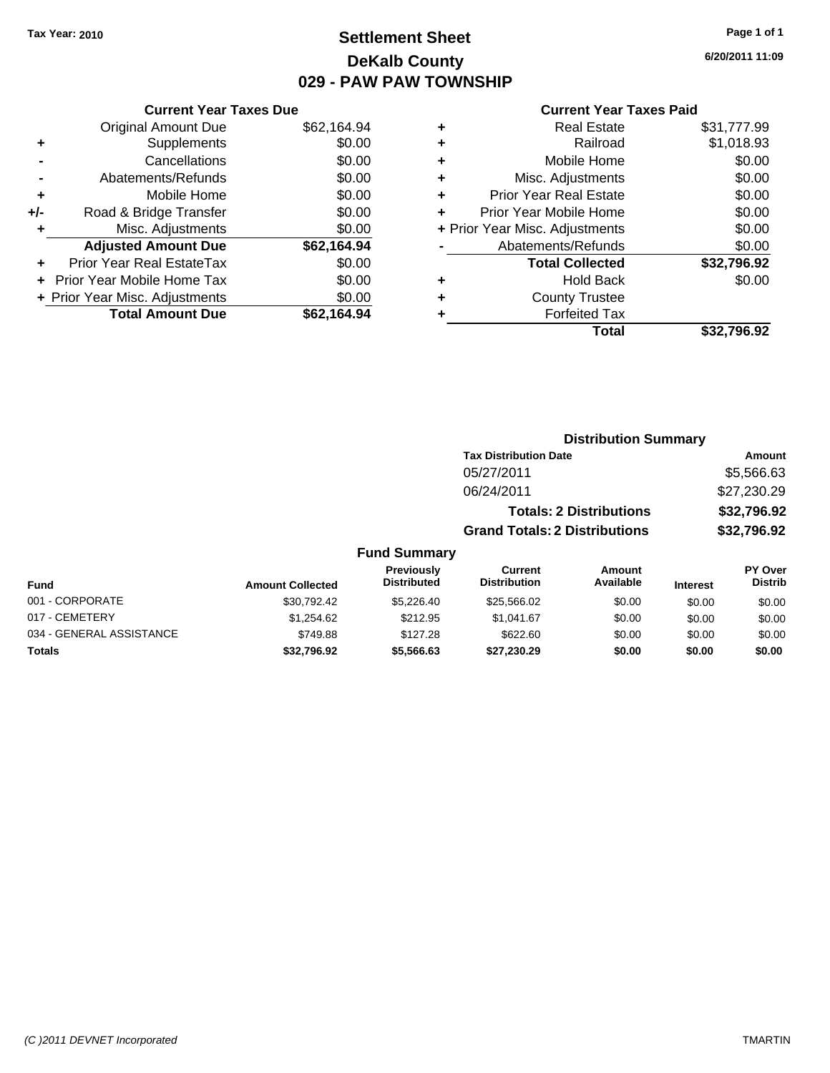# **Settlement Sheet Tax Year: 2010 Page 1 of 1 DeKalb County 029 - PAW PAW TOWNSHIP**

**6/20/2011 11:09**

|     | <b>Current Year Taxes Due</b>  |             |  |  |  |
|-----|--------------------------------|-------------|--|--|--|
|     | Original Amount Due            | \$62,164.94 |  |  |  |
| ٠   | Supplements                    | \$0.00      |  |  |  |
|     | Cancellations                  | \$0.00      |  |  |  |
|     | Abatements/Refunds             | \$0.00      |  |  |  |
| ٠   | Mobile Home                    | \$0.00      |  |  |  |
| +/- | Road & Bridge Transfer         | \$0.00      |  |  |  |
|     | Misc. Adjustments              | \$0.00      |  |  |  |
|     | <b>Adjusted Amount Due</b>     | \$62,164.94 |  |  |  |
|     | Prior Year Real EstateTax      | \$0.00      |  |  |  |
|     | Prior Year Mobile Home Tax     | \$0.00      |  |  |  |
|     | + Prior Year Misc. Adjustments | \$0.00      |  |  |  |
|     | <b>Total Amount Due</b>        | \$62.164.94 |  |  |  |
|     |                                |             |  |  |  |

#### **Current Year Taxes Paid**

| ٠ | <b>Real Estate</b>             | \$31,777.99 |
|---|--------------------------------|-------------|
| ٠ | Railroad                       | \$1,018.93  |
| ٠ | Mobile Home                    | \$0.00      |
| ÷ | Misc. Adjustments              | \$0.00      |
| ٠ | <b>Prior Year Real Estate</b>  | \$0.00      |
| ÷ | Prior Year Mobile Home         | \$0.00      |
|   | + Prior Year Misc. Adjustments | \$0.00      |
|   | Abatements/Refunds             | \$0.00      |
|   | <b>Total Collected</b>         | \$32,796.92 |
| ٠ | Hold Back                      | \$0.00      |
| ٠ | <b>County Trustee</b>          |             |
| ٠ | <b>Forfeited Tax</b>           |             |
|   | Total                          | \$32,796.92 |
|   |                                |             |

#### **Distribution Summary Tax Distribution Date Amount** 05/27/2011 \$5,566.63 06/24/2011 \$27,230.29 **Totals: 2 Distributions \$32,796.92 Grand Totals: 2 Distributions \$32,796.92 Fund Summary Fund Interest Amount Collected Distributed PY Over Distrib Amount Available Current Distribution Previously** 001 - CORPORATE 6000 \$30,792.42 \$30,792.42 \$5,226.40 \$25,566.02 \$0.00 \$0.00 \$0.00 017 - CEMETERY 60.00 \$1,254.62 \$1,254.62 \$212.95 \$1,041.67 \$0.00 \$0.00 \$0.00 \$0.00 034 - GENERAL ASSISTANCE \$749.88 \$622.60 \$0.00 \$0.00 \$0.00 **Totals \$32,796.92 \$5,566.63 \$27,230.29 \$0.00 \$0.00 \$0.00**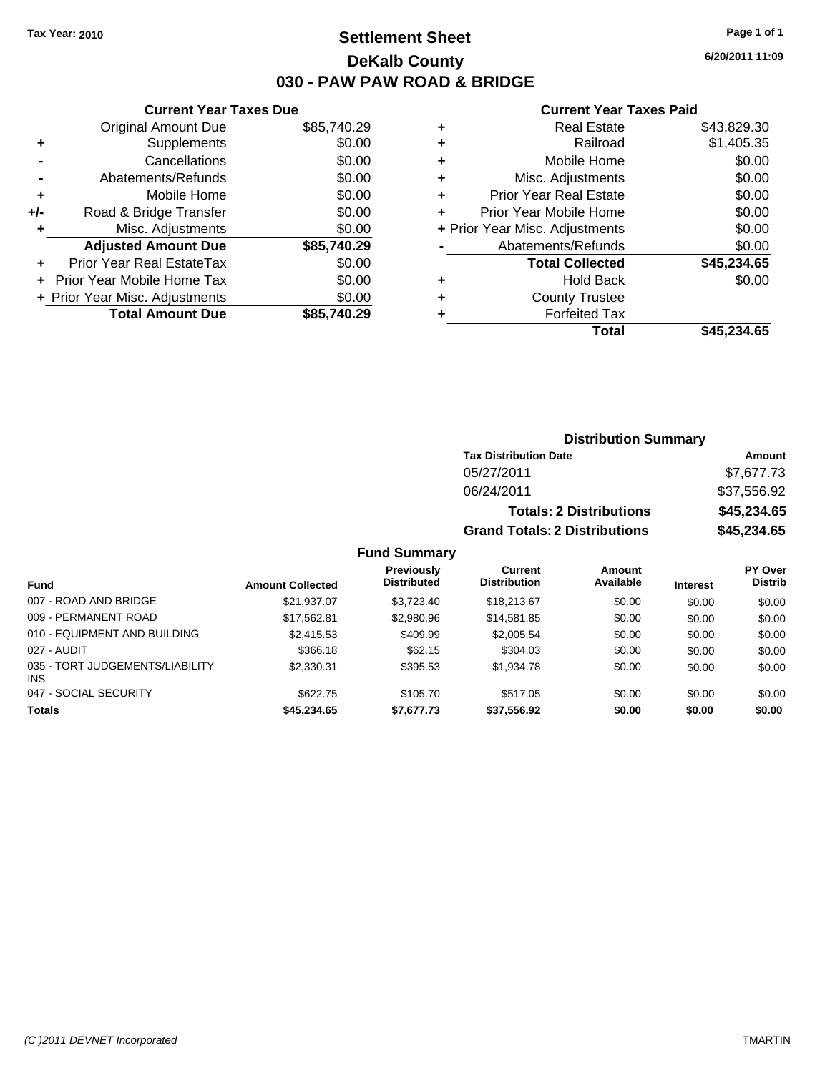# **Settlement Sheet Tax Year: 2010 Page 1 of 1 DeKalb County 030 - PAW PAW ROAD & BRIDGE**

**6/20/2011 11:09**

### **Current Year Taxes Paid**

| Cur                   |   |             | <b>Current Year Taxes Due</b>  |       |
|-----------------------|---|-------------|--------------------------------|-------|
| R                     | ٠ | \$85,740.29 | <b>Original Amount Due</b>     |       |
|                       | ٠ | \$0.00      | Supplements                    |       |
| Mo                    | ٠ | \$0.00      | Cancellations                  |       |
| Misc. Ao              | ٠ | \$0.00      | Abatements/Refunds             |       |
| Prior Year R          | ٠ | \$0.00      | Mobile Home                    |       |
| Prior Year Mo         |   | \$0.00      | Road & Bridge Transfer         | $+/-$ |
| + Prior Year Misc. Ao |   | \$0.00      | Misc. Adjustments              |       |
| Abatement             |   | \$85,740.29 | <b>Adjusted Amount Due</b>     |       |
| <b>Total</b>          |   | \$0.00      | Prior Year Real EstateTax      |       |
|                       |   | \$0.00      | + Prior Year Mobile Home Tax   |       |
| Cour                  |   | \$0.00      | + Prior Year Misc. Adjustments |       |
| Fo                    |   | \$85,740.29 | <b>Total Amount Due</b>        |       |
|                       |   |             |                                |       |

|   | Total                          | \$45.234.65 |
|---|--------------------------------|-------------|
|   | <b>Forfeited Tax</b>           |             |
| ÷ | <b>County Trustee</b>          |             |
| ٠ | <b>Hold Back</b>               | \$0.00      |
|   | <b>Total Collected</b>         | \$45,234.65 |
|   | Abatements/Refunds             | \$0.00      |
|   | + Prior Year Misc. Adjustments | \$0.00      |
|   | Prior Year Mobile Home         | \$0.00      |
| ٠ | <b>Prior Year Real Estate</b>  | \$0.00      |
| ٠ | Misc. Adjustments              | \$0.00      |
| ٠ | Mobile Home                    | \$0.00      |
|   | Railroad                       | \$1,405.35  |
| ٠ | <b>Real Estate</b>             | \$43,829.30 |

**Distribution Summary**

|                                         |                         |                                         | <b>Tax Distribution Date</b>          |                                |                 | Amount                    |
|-----------------------------------------|-------------------------|-----------------------------------------|---------------------------------------|--------------------------------|-----------------|---------------------------|
|                                         |                         |                                         | 05/27/2011                            |                                |                 | \$7,677.73                |
|                                         |                         |                                         | 06/24/2011                            |                                |                 | \$37,556.92               |
|                                         |                         |                                         |                                       | <b>Totals: 2 Distributions</b> |                 | \$45,234.65               |
|                                         |                         |                                         | <b>Grand Totals: 2 Distributions</b>  |                                |                 | \$45,234.65               |
|                                         |                         | <b>Fund Summary</b>                     |                                       |                                |                 |                           |
| <b>Fund</b>                             | <b>Amount Collected</b> | <b>Previously</b><br><b>Distributed</b> | <b>Current</b><br><b>Distribution</b> | Amount<br>Available            | <b>Interest</b> | <b>PY Over</b><br>Distrib |
| 007 - ROAD AND BRIDGE                   | \$21,937.07             | \$3,723.40                              | \$18,213.67                           | \$0.00                         | \$0.00          | \$0.00                    |
| 009 - PERMANENT ROAD                    | \$17,562.81             | \$2,980.96                              | \$14,581.85                           | \$0.00                         | \$0.00          | \$0.00                    |
| 010 - EQUIPMENT AND BUILDING            | \$2,415.53              | \$409.99                                | \$2,005.54                            | \$0.00                         | \$0.00          | \$0.00                    |
| 027 - AUDIT                             | \$366.18                | \$62.15                                 | \$304.03                              | \$0.00                         | \$0.00          | \$0.00                    |
| 035 - TORT JUDGEMENTS/LIABILITY<br>INS. | \$2,330.31              | \$395.53                                | \$1,934.78                            | \$0.00                         | \$0.00          | \$0.00                    |
| 047 - SOCIAL SECURITY                   | \$622.75                | \$105.70                                | \$517.05                              | \$0.00                         | \$0.00          | \$0.00                    |
| <b>Totals</b>                           | \$45,234.65             | \$7,677.73                              | \$37,556.92                           | \$0.00                         | \$0.00          | \$0.00                    |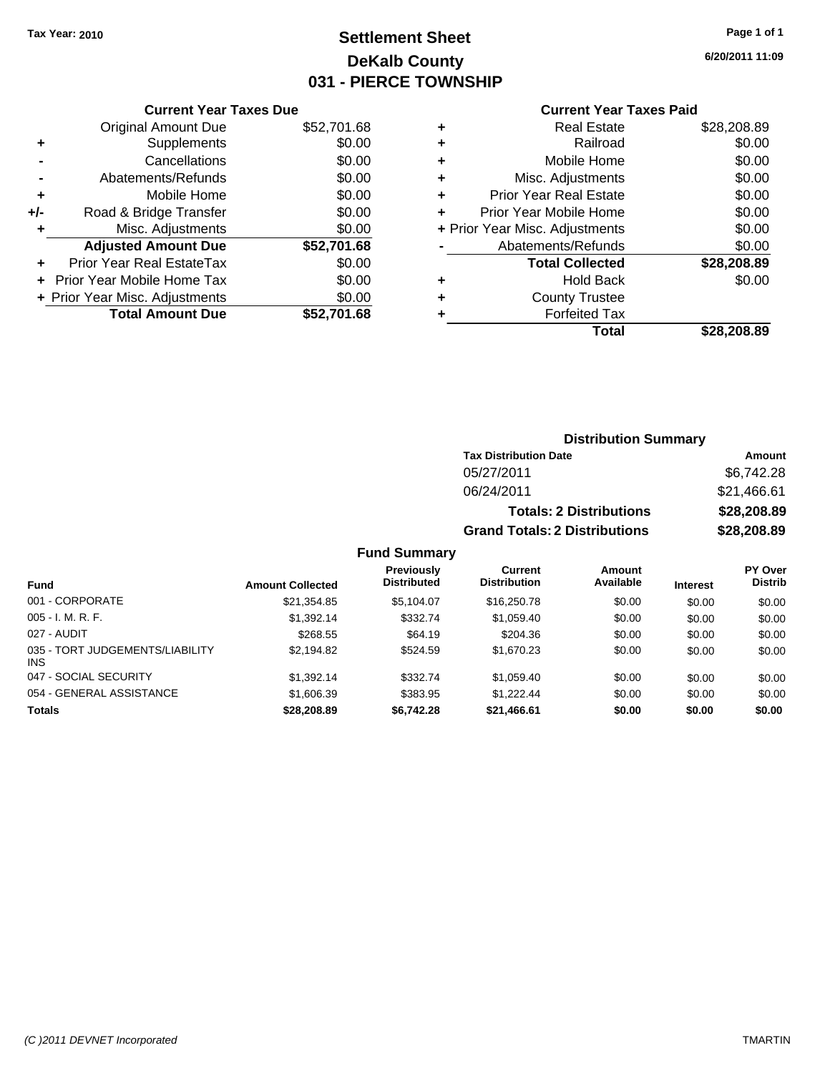# **Settlement Sheet Tax Year: 2010 Page 1 of 1 DeKalb County 031 - PIERCE TOWNSHIP**

**6/20/2011 11:09**

#### **Current Year Taxes Paid**

| <b>Current Year Taxes Due</b>           |             |  |  |  |
|-----------------------------------------|-------------|--|--|--|
| <b>Original Amount Due</b>              | \$52,701.68 |  |  |  |
| Supplements                             | \$0.00      |  |  |  |
| Cancellations                           | \$0.00      |  |  |  |
| Abatements/Refunds                      | \$0.00      |  |  |  |
| \$0.00<br>Mobile Home<br>٠              |             |  |  |  |
| \$0.00<br>Road & Bridge Transfer<br>+/- |             |  |  |  |
| Misc. Adjustments                       | \$0.00      |  |  |  |
| <b>Adjusted Amount Due</b>              | \$52,701.68 |  |  |  |
| Prior Year Real EstateTax               | \$0.00      |  |  |  |
| <b>Prior Year Mobile Home Tax</b>       | \$0.00      |  |  |  |
| + Prior Year Misc. Adjustments          | \$0.00      |  |  |  |
| <b>Total Amount Due</b>                 | \$52.701.68 |  |  |  |
|                                         |             |  |  |  |

| ٠ | <b>Real Estate</b>             | \$28,208.89 |
|---|--------------------------------|-------------|
| ٠ | Railroad                       | \$0.00      |
| ٠ | Mobile Home                    | \$0.00      |
| ٠ | Misc. Adjustments              | \$0.00      |
| ٠ | <b>Prior Year Real Estate</b>  | \$0.00      |
| ÷ | Prior Year Mobile Home         | \$0.00      |
|   | + Prior Year Misc. Adjustments | \$0.00      |
|   | Abatements/Refunds             | \$0.00      |
|   | <b>Total Collected</b>         | \$28,208.89 |
| ٠ | <b>Hold Back</b>               | \$0.00      |
| ٠ | <b>County Trustee</b>          |             |
| ٠ | <b>Forfeited Tax</b>           |             |
|   | Total                          | \$28,208.89 |
|   |                                |             |

### **Distribution Summary Tax Distribution Date Amount** 05/27/2011 \$6,742.28 06/24/2011 \$21,466.61 **Totals: 2 Distributions \$28,208.89 Grand Totals: 2 Distributions \$28,208.89**

#### **Fund Summary**

| Fund                                   | <b>Amount Collected</b> | Previously<br><b>Distributed</b> | Current<br><b>Distribution</b> | <b>Amount</b><br>Available | <b>Interest</b> | PY Over<br><b>Distrib</b> |
|----------------------------------------|-------------------------|----------------------------------|--------------------------------|----------------------------|-----------------|---------------------------|
| 001 - CORPORATE                        | \$21,354.85             | \$5.104.07                       | \$16,250.78                    | \$0.00                     | \$0.00          | \$0.00                    |
| $005 - I. M. R. F.$                    | \$1,392.14              | \$332.74                         | \$1,059.40                     | \$0.00                     | \$0.00          | \$0.00                    |
| 027 - AUDIT                            | \$268.55                | \$64.19                          | \$204.36                       | \$0.00                     | \$0.00          | \$0.00                    |
| 035 - TORT JUDGEMENTS/LIABILITY<br>INS | \$2,194.82              | \$524.59                         | \$1,670.23                     | \$0.00                     | \$0.00          | \$0.00                    |
| 047 - SOCIAL SECURITY                  | \$1,392.14              | \$332.74                         | \$1.059.40                     | \$0.00                     | \$0.00          | \$0.00                    |
| 054 - GENERAL ASSISTANCE               | \$1,606.39              | \$383.95                         | \$1,222,44                     | \$0.00                     | \$0.00          | \$0.00                    |
| <b>Totals</b>                          | \$28,208.89             | \$6,742.28                       | \$21,466.61                    | \$0.00                     | \$0.00          | \$0.00                    |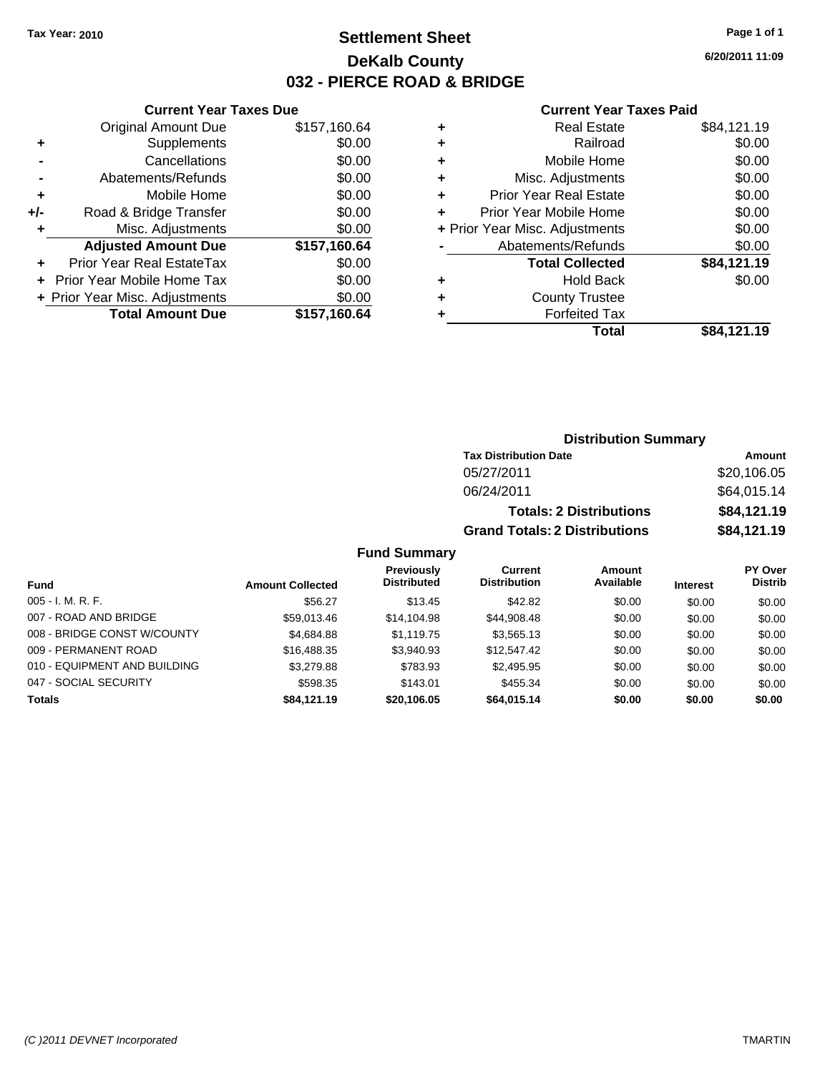# **Settlement Sheet Tax Year: 2010 Page 1 of 1 DeKalb County 032 - PIERCE ROAD & BRIDGE**

**6/20/2011 11:09**

### **Current Year Taxes Paid**

|     | <b>Current Year Taxes Due</b>    |              |  |  |  |
|-----|----------------------------------|--------------|--|--|--|
|     | <b>Original Amount Due</b>       | \$157,160.64 |  |  |  |
| ٠   | Supplements                      | \$0.00       |  |  |  |
|     | Cancellations                    | \$0.00       |  |  |  |
|     | Abatements/Refunds               | \$0.00       |  |  |  |
| ٠   | Mobile Home                      | \$0.00       |  |  |  |
| +/- | Road & Bridge Transfer           | \$0.00       |  |  |  |
| ٠   | Misc. Adjustments                | \$0.00       |  |  |  |
|     | <b>Adjusted Amount Due</b>       | \$157,160.64 |  |  |  |
|     | <b>Prior Year Real EstateTax</b> | \$0.00       |  |  |  |
|     | Prior Year Mobile Home Tax       | \$0.00       |  |  |  |
|     | + Prior Year Misc. Adjustments   | \$0.00       |  |  |  |
|     | <b>Total Amount Due</b>          | \$157,160.64 |  |  |  |
|     |                                  |              |  |  |  |

| <b>Real Estate</b>             | \$84,121.19 |
|--------------------------------|-------------|
| Railroad                       | \$0.00      |
| Mobile Home                    | \$0.00      |
| Misc. Adjustments              | \$0.00      |
| <b>Prior Year Real Estate</b>  | \$0.00      |
| Prior Year Mobile Home         | \$0.00      |
| + Prior Year Misc. Adjustments | \$0.00      |
| Abatements/Refunds             | \$0.00      |
| <b>Total Collected</b>         | \$84,121.19 |
| <b>Hold Back</b>               | \$0.00      |
| <b>County Trustee</b>          |             |
| <b>Forfeited Tax</b>           |             |
| Total                          | \$84,121.19 |
|                                |             |

### **Distribution Summary**

| <b>Tax Distribution Date</b>         | Amount      |
|--------------------------------------|-------------|
| 05/27/2011                           | \$20,106.05 |
| 06/24/2011                           | \$64,015.14 |
| <b>Totals: 2 Distributions</b>       | \$84,121.19 |
| <b>Grand Totals: 2 Distributions</b> | \$84,121.19 |

### **Fund Summary**

|                              |                         | <b>Previously</b>  | Current             | <b>Amount</b> |                 | PY Over        |
|------------------------------|-------------------------|--------------------|---------------------|---------------|-----------------|----------------|
| Fund                         | <b>Amount Collected</b> | <b>Distributed</b> | <b>Distribution</b> | Available     | <b>Interest</b> | <b>Distrib</b> |
| $005 - I. M. R. F.$          | \$56.27                 | \$13.45            | \$42.82             | \$0.00        | \$0.00          | \$0.00         |
| 007 - ROAD AND BRIDGE        | \$59,013.46             | \$14.104.98        | \$44,908.48         | \$0.00        | \$0.00          | \$0.00         |
| 008 - BRIDGE CONST W/COUNTY  | \$4,684.88              | \$1.119.75         | \$3,565.13          | \$0.00        | \$0.00          | \$0.00         |
| 009 - PERMANENT ROAD         | \$16,488,35             | \$3.940.93         | \$12,547.42         | \$0.00        | \$0.00          | \$0.00         |
| 010 - EQUIPMENT AND BUILDING | \$3,279.88              | \$783.93           | \$2,495.95          | \$0.00        | \$0.00          | \$0.00         |
| 047 - SOCIAL SECURITY        | \$598.35                | \$143.01           | \$455.34            | \$0.00        | \$0.00          | \$0.00         |
| <b>Totals</b>                | \$84.121.19             | \$20,106.05        | \$64,015.14         | \$0.00        | \$0.00          | \$0.00         |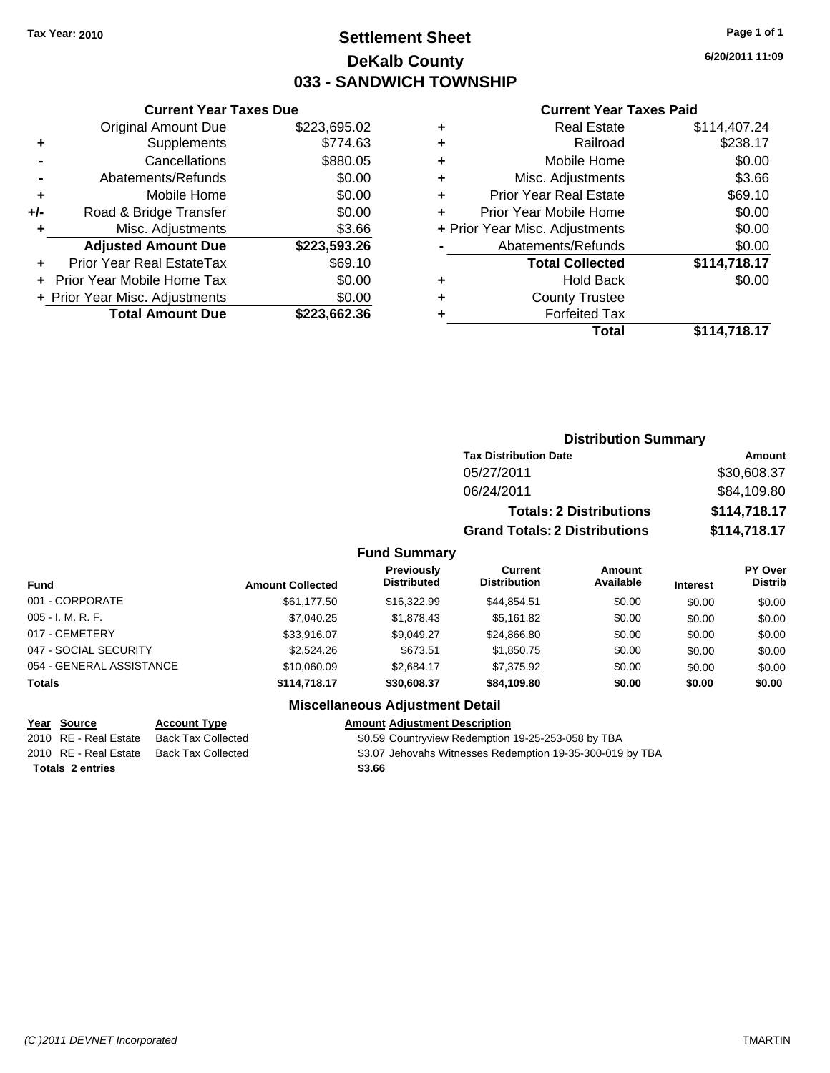# **Settlement Sheet Tax Year: 2010 Page 1 of 1 DeKalb County 033 - SANDWICH TOWNSHIP**

**6/20/2011 11:09**

#### **Current Year Taxes Paid**

|     | <b>Original Amount Due</b>     | \$223,695.02 |
|-----|--------------------------------|--------------|
| ٠   | Supplements                    | \$774.63     |
|     | Cancellations                  | \$880.05     |
|     | Abatements/Refunds             | \$0.00       |
| ٠   | Mobile Home                    | \$0.00       |
| +/- | Road & Bridge Transfer         | \$0.00       |
| ٠   | Misc. Adjustments              | \$3.66       |
|     | <b>Adjusted Amount Due</b>     | \$223,593.26 |
| ٠   | Prior Year Real EstateTax      | \$69.10      |
|     | Prior Year Mobile Home Tax     | \$0.00       |
|     | + Prior Year Misc. Adjustments | \$0.00       |
|     | <b>Total Amount Due</b>        | \$223,662.36 |
|     |                                |              |

**Current Year Taxes Due**

|   | <b>Real Estate</b>             | \$114,407.24 |
|---|--------------------------------|--------------|
| ٠ | Railroad                       | \$238.17     |
| ٠ | Mobile Home                    | \$0.00       |
| ٠ | Misc. Adjustments              | \$3.66       |
| ÷ | <b>Prior Year Real Estate</b>  | \$69.10      |
| ٠ | Prior Year Mobile Home         | \$0.00       |
|   | + Prior Year Misc. Adjustments | \$0.00       |
|   | Abatements/Refunds             | \$0.00       |
|   | <b>Total Collected</b>         | \$114,718.17 |
| ٠ | <b>Hold Back</b>               | \$0.00       |
| ٠ | <b>County Trustee</b>          |              |
| ٠ | <b>Forfeited Tax</b>           |              |
|   | Total                          | \$114,718.17 |
|   |                                |              |

|                          |                         |                                  |                                       | <b>Distribution Summary</b>    |                 |                                  |
|--------------------------|-------------------------|----------------------------------|---------------------------------------|--------------------------------|-----------------|----------------------------------|
|                          |                         |                                  | <b>Tax Distribution Date</b>          |                                |                 | <b>Amount</b>                    |
|                          |                         |                                  | 05/27/2011                            |                                |                 | \$30,608.37                      |
|                          |                         |                                  | 06/24/2011                            |                                |                 | \$84,109.80                      |
|                          |                         |                                  |                                       | <b>Totals: 2 Distributions</b> |                 | \$114,718.17                     |
|                          |                         |                                  | <b>Grand Totals: 2 Distributions</b>  |                                |                 | \$114,718.17                     |
|                          |                         | <b>Fund Summary</b>              |                                       |                                |                 |                                  |
| <b>Fund</b>              | <b>Amount Collected</b> | Previously<br><b>Distributed</b> | <b>Current</b><br><b>Distribution</b> | <b>Amount</b><br>Available     | <b>Interest</b> | <b>PY Over</b><br><b>Distrib</b> |
| 001 - CORPORATE          | \$61,177.50             | \$16,322.99                      | \$44,854.51                           | \$0.00                         | \$0.00          | \$0.00                           |
| $005 - I. M. R. F.$      | \$7.040.25              | \$1,878.43                       | \$5,161.82                            | \$0.00                         | \$0.00          | \$0.00                           |
| 017 - CEMETERY           | \$33,916.07             | \$9.049.27                       | \$24,866.80                           | \$0.00                         | \$0.00          | \$0.00                           |
| 047 - SOCIAL SECURITY    | \$2,524.26              | \$673.51                         | \$1,850.75                            | \$0.00                         | \$0.00          | \$0.00                           |
| 054 - GENERAL ASSISTANCE | \$10,060.09             | \$2.684.17                       | \$7,375.92                            | \$0.00                         | \$0.00          | \$0.00                           |

#### **Totals \$114,718.17 \$30,608.37 \$84,109.80 \$0.00 \$0.00 \$0.00**

**Totals \$3.66 2 entries**

**Miscellaneous Adjustment Detail**

#### **Year Source Account Type Amount Adjustment Description**

2010 RE - Real Estate Back Tax Collected **\$0.59 Countryview Redemption 19-25-253-058 by TBA** 

2010 RE - Real Estate Back Tax Collected \$3.07 Jehovahs Witnesses Redemption 19-35-300-019 by TBA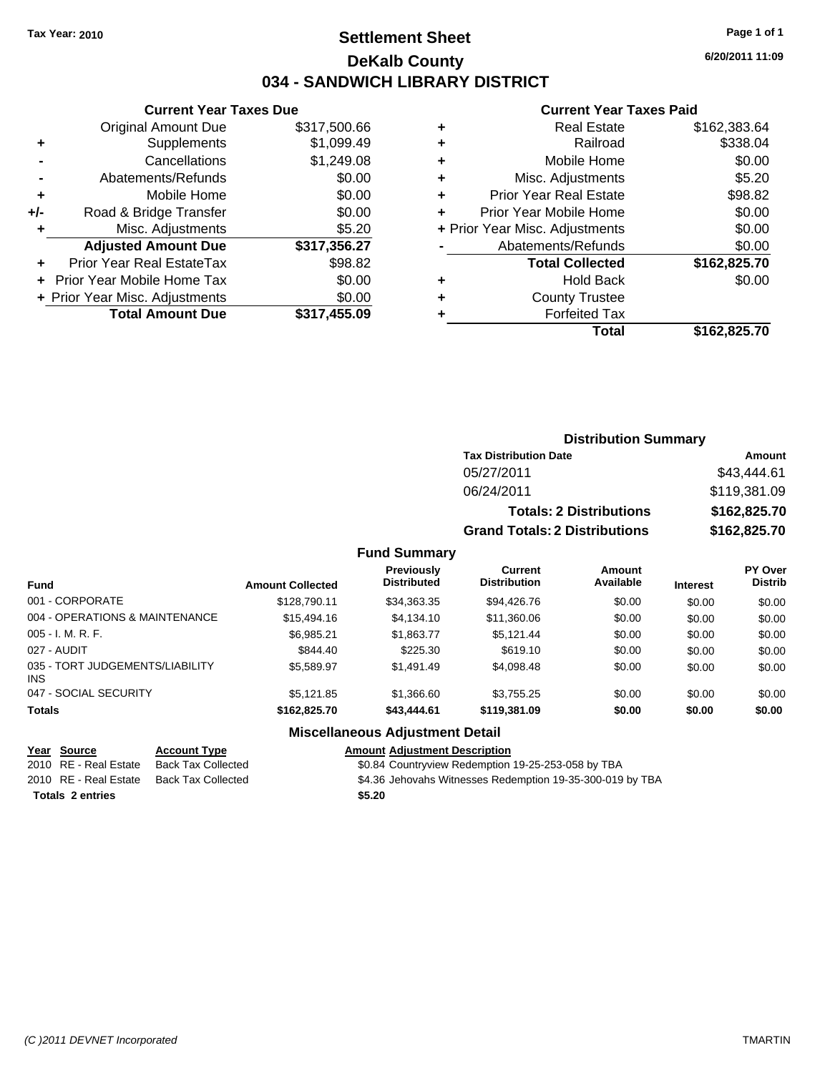# **Settlement Sheet Tax Year: 2010 Page 1 of 1 DeKalb County 034 - SANDWICH LIBRARY DISTRICT**

**6/20/2011 11:09**

### **Current Year Taxes Paid**

| <b>Current Year Taxes Due</b>  |              |  |  |  |
|--------------------------------|--------------|--|--|--|
| <b>Original Amount Due</b>     | \$317,500.66 |  |  |  |
| Supplements                    | \$1,099.49   |  |  |  |
| Cancellations                  | \$1,249.08   |  |  |  |
| Abatements/Refunds             | \$0.00       |  |  |  |
| Mobile Home                    | \$0.00       |  |  |  |
| Road & Bridge Transfer         | \$0.00       |  |  |  |
| Misc. Adjustments              | \$5.20       |  |  |  |
| <b>Adjusted Amount Due</b>     | \$317,356.27 |  |  |  |
| Prior Year Real EstateTax      | \$98.82      |  |  |  |
| Prior Year Mobile Home Tax     | \$0.00       |  |  |  |
| + Prior Year Misc. Adjustments | \$0.00       |  |  |  |
|                                |              |  |  |  |
|                                |              |  |  |  |

|   | <b>Real Estate</b>             | \$162,383.64 |
|---|--------------------------------|--------------|
| ٠ | Railroad                       | \$338.04     |
| ٠ | Mobile Home                    | \$0.00       |
| ٠ | Misc. Adjustments              | \$5.20       |
| ٠ | <b>Prior Year Real Estate</b>  | \$98.82      |
|   | Prior Year Mobile Home         | \$0.00       |
|   | + Prior Year Misc. Adjustments | \$0.00       |
|   | Abatements/Refunds             | \$0.00       |
|   | <b>Total Collected</b>         | \$162,825.70 |
| ٠ | <b>Hold Back</b>               | \$0.00       |
| ٠ | <b>County Trustee</b>          |              |
|   | <b>Forfeited Tax</b>           |              |
|   | Total                          | \$162,825.70 |
|   |                                |              |

# **Distribution Summary**

| <b>Tax Distribution Date</b>         | Amount       |
|--------------------------------------|--------------|
| 05/27/2011                           | \$43,444.61  |
| 06/24/2011                           | \$119,381.09 |
| <b>Totals: 2 Distributions</b>       | \$162,825,70 |
| <b>Grand Totals: 2 Distributions</b> | \$162,825.70 |

### **Fund Summary**

| <b>Fund</b>                            | <b>Amount Collected</b> | Previously<br><b>Distributed</b> | Current<br><b>Distribution</b> | Amount<br>Available | <b>Interest</b> | <b>PY Over</b><br><b>Distrib</b> |
|----------------------------------------|-------------------------|----------------------------------|--------------------------------|---------------------|-----------------|----------------------------------|
| 001 - CORPORATE                        | \$128,790.11            | \$34,363.35                      | \$94,426.76                    | \$0.00              | \$0.00          | \$0.00                           |
| 004 - OPERATIONS & MAINTENANCE         | \$15,494.16             | \$4.134.10                       | \$11,360.06                    | \$0.00              | \$0.00          | \$0.00                           |
| $005 - I. M. R. F.$                    | \$6,985.21              | \$1,863.77                       | \$5.121.44                     | \$0.00              | \$0.00          | \$0.00                           |
| 027 - AUDIT                            | \$844.40                | \$225.30                         | \$619.10                       | \$0.00              | \$0.00          | \$0.00                           |
| 035 - TORT JUDGEMENTS/LIABILITY<br>INS | \$5.589.97              | \$1.491.49                       | \$4,098.48                     | \$0.00              | \$0.00          | \$0.00                           |
| 047 - SOCIAL SECURITY                  | \$5.121.85              | \$1,366.60                       | \$3.755.25                     | \$0.00              | \$0.00          | \$0.00                           |
| <b>Totals</b>                          | \$162,825,70            | \$43,444.61                      | \$119,381.09                   | \$0.00              | \$0.00          | \$0.00                           |

### **Miscellaneous Adjustment Detail**

|                         | Year Source           | <b>Account Type</b> | <b>Amount Adjustment Description</b>                      |
|-------------------------|-----------------------|---------------------|-----------------------------------------------------------|
|                         | 2010 RE - Real Estate | Back Tax Collected  | \$0.84 Countryview Redemption 19-25-253-058 by TBA        |
|                         | 2010 RE - Real Estate | Back Tax Collected  | \$4.36 Jehovahs Witnesses Redemption 19-35-300-019 by TBA |
| <b>Totals 2 entries</b> |                       |                     | \$5.20                                                    |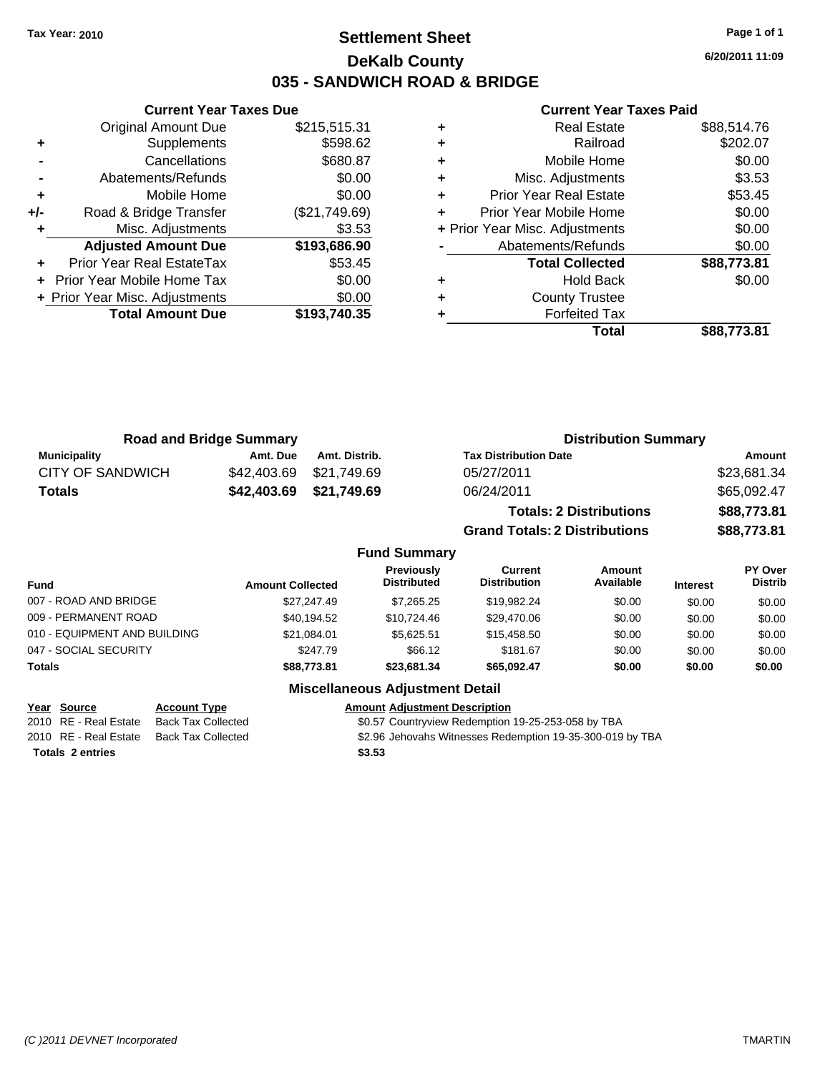# **Settlement Sheet Tax Year: 2010 Page 1 of 1 DeKalb County 035 - SANDWICH ROAD & BRIDGE**

**6/20/2011 11:09**

### **Current Year Taxes Paid**

|       | OUITUR TUUT TUAUS DUU            |               |
|-------|----------------------------------|---------------|
|       | <b>Original Amount Due</b>       | \$215,515.31  |
| ٠     | Supplements                      | \$598.62      |
|       | Cancellations                    | \$680.87      |
|       | Abatements/Refunds               | \$0.00        |
| ٠     | Mobile Home                      | \$0.00        |
| $+/-$ | Road & Bridge Transfer           | (\$21,749.69) |
|       | Misc. Adjustments                | \$3.53        |
|       | <b>Adjusted Amount Due</b>       | \$193,686.90  |
|       | <b>Prior Year Real EstateTax</b> | \$53.45       |
|       | Prior Year Mobile Home Tax       | \$0.00        |
|       | + Prior Year Misc. Adjustments   | \$0.00        |
|       | <b>Total Amount Due</b>          | \$193,740.35  |
|       |                                  |               |

**Current Year Taxes Due**

|   | <b>Real Estate</b>             | \$88,514.76 |
|---|--------------------------------|-------------|
| ٠ | Railroad                       | \$202.07    |
| ٠ | Mobile Home                    | \$0.00      |
| ٠ | Misc. Adjustments              | \$3.53      |
| ٠ | <b>Prior Year Real Estate</b>  | \$53.45     |
|   | Prior Year Mobile Home         | \$0.00      |
|   | + Prior Year Misc. Adjustments | \$0.00      |
|   | Abatements/Refunds             | \$0.00      |
|   | <b>Total Collected</b>         | \$88,773.81 |
|   | <b>Hold Back</b>               | \$0.00      |
| ٠ | <b>County Trustee</b>          |             |
|   | <b>Forfeited Tax</b>           |             |
|   | Total                          | \$88.773.81 |

**Grand Totals: 2 Distributions \$88,773.81**

| <b>Road and Bridge Summary</b> |          |                         | <b>Distribution Summary</b>    |             |  |
|--------------------------------|----------|-------------------------|--------------------------------|-------------|--|
| <b>Municipality</b>            | Amt. Due | Amt. Distrib.           | <b>Tax Distribution Date</b>   | Amount      |  |
| CITY OF SANDWICH               |          | \$42,403.69 \$21,749.69 | 05/27/2011                     | \$23,681.34 |  |
| Totals                         |          | \$42,403.69 \$21,749.69 | 06/24/2011                     | \$65,092.47 |  |
|                                |          |                         | <b>Totals: 2 Distributions</b> | \$88,773.81 |  |

**Fund Summary Fund Interest Amount Collected Distributed PY Over Distrib Amount Available Current Distribution Previously** 007 - ROAD AND BRIDGE \$27,247.49 \$7,265.25 \$19,982.24 \$0.00 \$0.00 \$0.00 009 - PERMANENT ROAD \$40,194.52 \$10,724.46 \$29,470.06 \$0.00 \$0.00 \$0.00 010 - EQUIPMENT AND BUILDING \$21,084.01 \$5,625.51 \$15,458.50 \$0.00 \$0.00 \$0.00 \$0.00 047 - SOCIAL SECURITY \$247.79 \$66.12 \$181.67 \$0.00 \$0.00 \$0.00 \$0.00 **Totals \$88,773.81 \$23,681.34 \$65,092.47 \$0.00 \$0.00 \$0.00**

| Year Source |                         | <b>Account Type</b>       | <b>Amount Adiustment Description</b>                      |
|-------------|-------------------------|---------------------------|-----------------------------------------------------------|
|             | 2010 RE - Real Estate   | Back Tax Collected        | \$0.57 Countryview Redemption 19-25-253-058 by TBA        |
|             | 2010 RE - Real Estate   | <b>Back Tax Collected</b> | \$2.96 Jehovahs Witnesses Redemption 19-35-300-019 by TBA |
|             | <b>Totals 2 entries</b> |                           | \$3.53                                                    |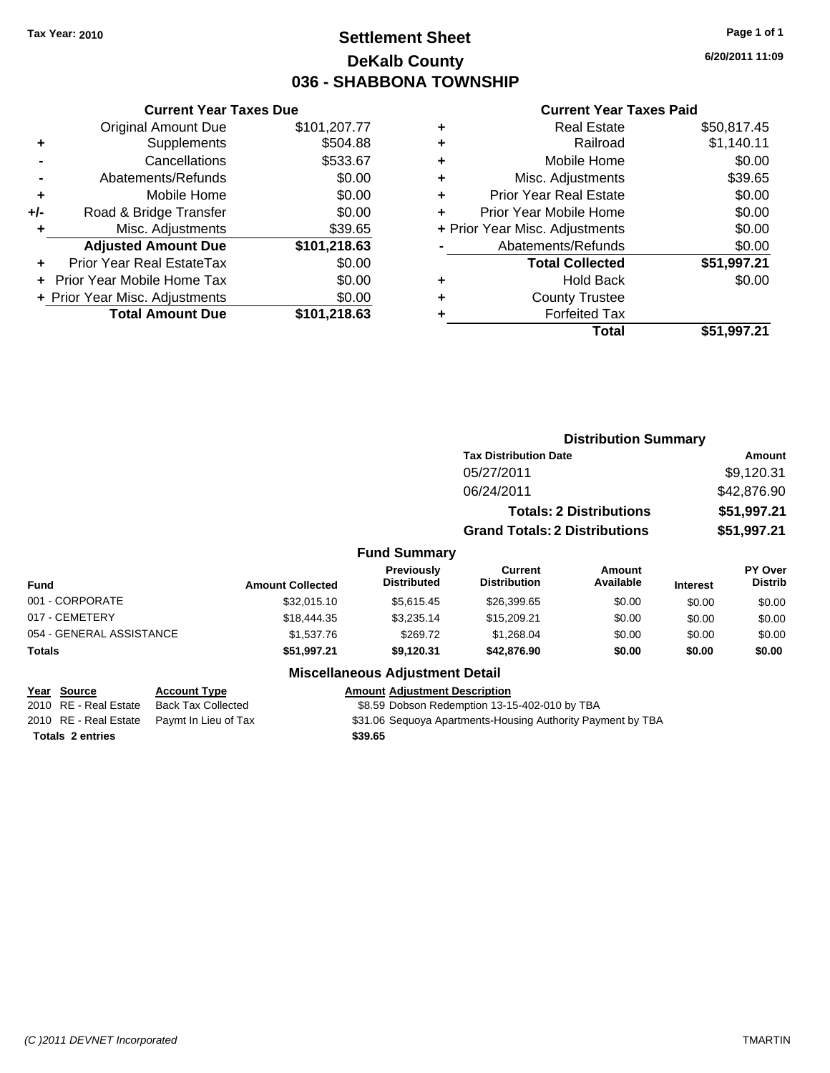# **Settlement Sheet Tax Year: 2010 Page 1 of 1 DeKalb County 036 - SHABBONA TOWNSHIP**

**6/20/2011 11:09**

#### **Current Year Taxes Paid**

|     | <b>Current Year Taxes Due</b>  |              |
|-----|--------------------------------|--------------|
|     | <b>Original Amount Due</b>     | \$101,207.77 |
| ٠   | Supplements                    | \$504.88     |
|     | Cancellations                  | \$533.67     |
|     | Abatements/Refunds             | \$0.00       |
| ٠   | Mobile Home                    | \$0.00       |
| +/- | Road & Bridge Transfer         | \$0.00       |
| ٠   | Misc. Adjustments              | \$39.65      |
|     | <b>Adjusted Amount Due</b>     | \$101,218.63 |
| ÷   | Prior Year Real EstateTax      | \$0.00       |
|     | Prior Year Mobile Home Tax     | \$0.00       |
|     | + Prior Year Misc. Adjustments | \$0.00       |
|     | <b>Total Amount Due</b>        | \$101,218.63 |

|   | <b>Real Estate</b>             | \$50,817.45 |
|---|--------------------------------|-------------|
| ٠ | Railroad                       | \$1,140.11  |
| ٠ | Mobile Home                    | \$0.00      |
| ÷ | Misc. Adjustments              | \$39.65     |
| ٠ | <b>Prior Year Real Estate</b>  | \$0.00      |
|   | Prior Year Mobile Home         | \$0.00      |
|   | + Prior Year Misc. Adjustments | \$0.00      |
|   | Abatements/Refunds             | \$0.00      |
|   | <b>Total Collected</b>         | \$51,997.21 |
| ٠ | Hold Back                      | \$0.00      |
| ٠ | <b>County Trustee</b>          |             |
|   | <b>Forfeited Tax</b>           |             |
|   | Total                          | \$51,997.21 |
|   |                                |             |

|                          |                         | <b>Distribution Summary</b>             |                                       |                                |                 |                           |
|--------------------------|-------------------------|-----------------------------------------|---------------------------------------|--------------------------------|-----------------|---------------------------|
|                          |                         |                                         | <b>Tax Distribution Date</b>          |                                |                 | <b>Amount</b>             |
|                          |                         |                                         | 05/27/2011                            |                                |                 | \$9,120.31                |
|                          |                         |                                         | 06/24/2011                            |                                |                 | \$42,876.90               |
|                          |                         |                                         |                                       | <b>Totals: 2 Distributions</b> |                 | \$51,997.21               |
|                          |                         |                                         | <b>Grand Totals: 2 Distributions</b>  |                                |                 | \$51,997.21               |
|                          |                         | <b>Fund Summary</b>                     |                                       |                                |                 |                           |
| <b>Fund</b>              | <b>Amount Collected</b> | <b>Previously</b><br><b>Distributed</b> | <b>Current</b><br><b>Distribution</b> | Amount<br>Available            | <b>Interest</b> | PY Over<br><b>Distrib</b> |
| 001 - CORPORATE          | \$32,015.10             | \$5,615.45                              | \$26,399.65                           | \$0.00                         | \$0.00          | \$0.00                    |
| 017 - CEMETERY           | \$18,444.35             | \$3,235.14                              | \$15,209.21                           | \$0.00                         | \$0.00          | \$0.00                    |
| 054 - GENERAL ASSISTANCE | \$1,537.76              | \$269.72                                | \$1,268.04                            | \$0.00                         | \$0.00          | \$0.00                    |
| Totals                   | \$51,997.21             | \$9,120.31                              | \$42,876.90                           | \$0.00                         | \$0.00          | \$0.00                    |
|                          | --- --                  |                                         |                                       |                                |                 |                           |

**Totals \$39.65 2 entries**

### **Miscellaneous Adjustment Detail**

### **Year Source Account Type Amount Adjustment Description**

2010 RE - Real Estate Back Tax Collected \$8.59 Dobson Redemption 13-15-402-010 by TBA

2010 RE - Real Estate Paymt In Lieu of Tax <br>\$31.06 Sequoya Apartments-Housing Authority Payment by TBA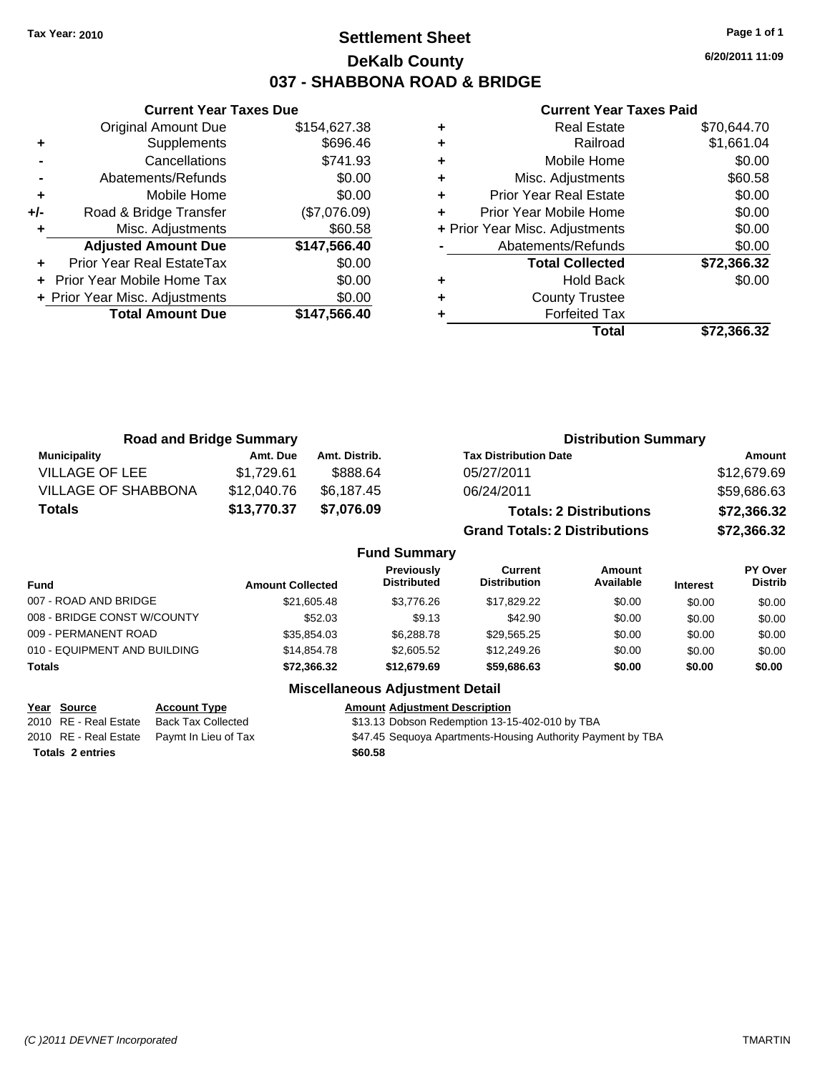# **Settlement Sheet Tax Year: 2010 Page 1 of 1 DeKalb County 037 - SHABBONA ROAD & BRIDGE**

**6/20/2011 11:09**

### **Current Year Taxes Paid**

|     | <b>Current Year Taxes Due</b>  |              |
|-----|--------------------------------|--------------|
|     | <b>Original Amount Due</b>     | \$154,627.38 |
| ٠   | Supplements                    | \$696.46     |
|     | Cancellations                  | \$741.93     |
|     | Abatements/Refunds             | \$0.00       |
| ٠   | Mobile Home                    | \$0.00       |
| +/- | Road & Bridge Transfer         | (\$7,076.09) |
|     | Misc. Adjustments              | \$60.58      |
|     | <b>Adjusted Amount Due</b>     | \$147,566.40 |
|     | Prior Year Real EstateTax      | \$0.00       |
|     | Prior Year Mobile Home Tax     | \$0.00       |
|     | + Prior Year Misc. Adjustments | \$0.00       |
|     | <b>Total Amount Due</b>        | \$147,566.40 |
|     |                                |              |

|   | <b>Real Estate</b>             | \$70,644.70 |
|---|--------------------------------|-------------|
| ٠ | Railroad                       | \$1,661.04  |
| ٠ | Mobile Home                    | \$0.00      |
| ٠ | Misc. Adjustments              | \$60.58     |
| ٠ | <b>Prior Year Real Estate</b>  | \$0.00      |
|   | Prior Year Mobile Home         | \$0.00      |
|   | + Prior Year Misc. Adjustments | \$0.00      |
|   | Abatements/Refunds             | \$0.00      |
|   | <b>Total Collected</b>         | \$72,366.32 |
| ٠ | <b>Hold Back</b>               | \$0.00      |
| ٠ | <b>County Trustee</b>          |             |
|   | <b>Forfeited Tax</b>           |             |
|   | Total                          | \$72.366.32 |

| <b>Road and Bridge Summary</b> |             |               | <b>Distribution Summary</b>          |             |
|--------------------------------|-------------|---------------|--------------------------------------|-------------|
| <b>Municipality</b>            | Amt. Due    | Amt. Distrib. | <b>Tax Distribution Date</b>         | Amount      |
| <b>VILLAGE OF LEE</b>          | \$1,729.61  | \$888.64      | 05/27/2011                           | \$12,679.69 |
| <b>VILLAGE OF SHABBONA</b>     | \$12,040.76 | \$6,187.45    | 06/24/2011                           | \$59,686.63 |
| <b>Totals</b>                  | \$13,770.37 | \$7,076.09    | <b>Totals: 2 Distributions</b>       | \$72,366.32 |
|                                |             |               | <b>Grand Totals: 2 Distributions</b> | \$72,366.32 |

### **Fund Summary**

| <b>Fund</b>                  | <b>Amount Collected</b> | <b>Previously</b><br><b>Distributed</b> | Current<br><b>Distribution</b> | Amount<br>Available | <b>Interest</b> | PY Over<br><b>Distrib</b> |
|------------------------------|-------------------------|-----------------------------------------|--------------------------------|---------------------|-----------------|---------------------------|
| 007 - ROAD AND BRIDGE        | \$21,605.48             | \$3,776.26                              | \$17,829,22                    | \$0.00              | \$0.00          | \$0.00                    |
| 008 - BRIDGE CONST W/COUNTY  | \$52.03                 | \$9.13                                  | \$42.90                        | \$0.00              | \$0.00          | \$0.00                    |
| 009 - PERMANENT ROAD         | \$35.854.03             | \$6,288.78                              | \$29.565.25                    | \$0.00              | \$0.00          | \$0.00                    |
| 010 - EQUIPMENT AND BUILDING | \$14,854.78             | \$2,605.52                              | \$12,249.26                    | \$0.00              | \$0.00          | \$0.00                    |
| <b>Totals</b>                | \$72,366.32             | \$12,679.69                             | \$59,686,63                    | \$0.00              | \$0.00          | \$0.00                    |

| Year Source             | <b>Account Type</b>  | <b>Amount Adjustment Description</b>                        |
|-------------------------|----------------------|-------------------------------------------------------------|
| 2010 RE - Real Estate   | Back Tax Collected   | \$13.13 Dobson Redemption 13-15-402-010 by TBA              |
| 2010 RE - Real Estate   | Pavmt In Lieu of Tax | \$47.45 Seguoya Apartments-Housing Authority Payment by TBA |
| <b>Totals 2 entries</b> |                      | \$60.58                                                     |
|                         |                      |                                                             |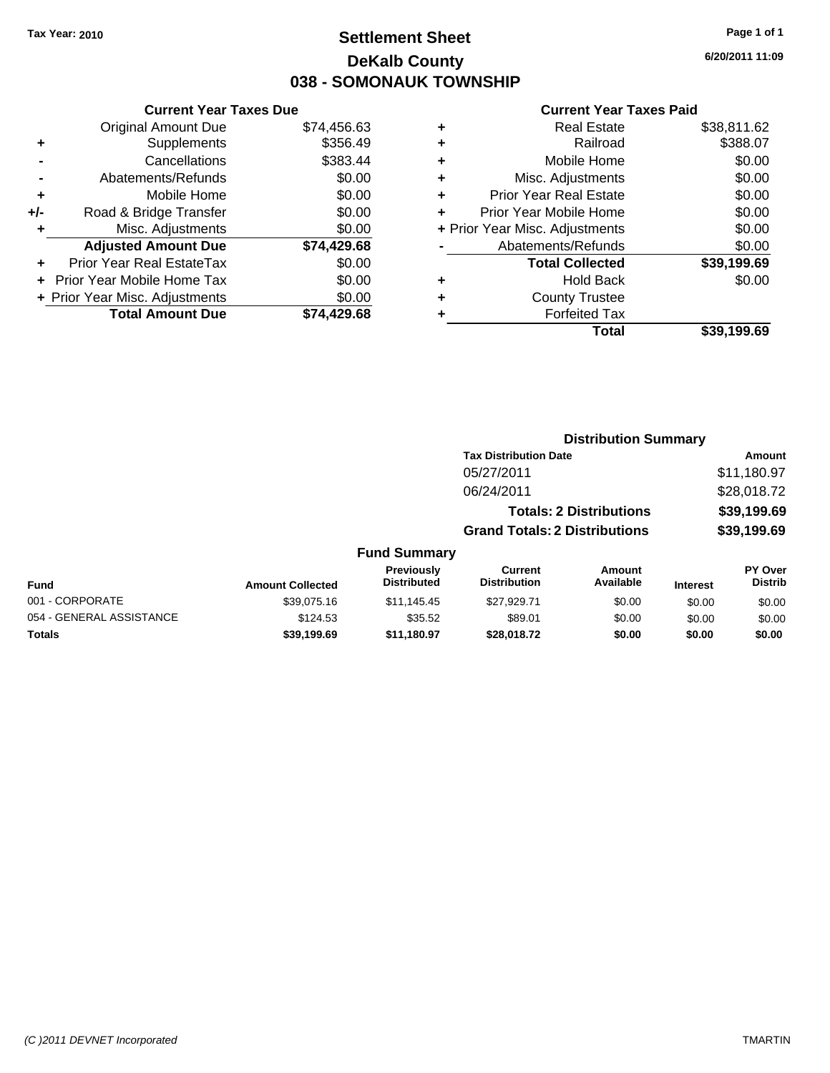# **Settlement Sheet Tax Year: 2010 Page 1 of 1 DeKalb County 038 - SOMONAUK TOWNSHIP**

**6/20/2011 11:09**

#### **Current Year Taxes Paid**

|     | <b>Original Amount Due</b>       | \$74,456.63 |  |
|-----|----------------------------------|-------------|--|
| ٠   | Supplements                      | \$356.49    |  |
|     | Cancellations                    | \$383.44    |  |
|     | Abatements/Refunds               | \$0.00      |  |
| ٠   | Mobile Home                      | \$0.00      |  |
| +/- | Road & Bridge Transfer           | \$0.00      |  |
| ٠   | Misc. Adjustments                | \$0.00      |  |
|     | <b>Adjusted Amount Due</b>       | \$74,429.68 |  |
|     | <b>Prior Year Real EstateTax</b> | \$0.00      |  |
|     | Prior Year Mobile Home Tax       | \$0.00      |  |
|     | + Prior Year Misc. Adjustments   | \$0.00      |  |
|     | <b>Total Amount Due</b>          | \$74,429.68 |  |
|     |                                  |             |  |

**Current Year Taxes Due**

| ٠ | <b>Real Estate</b>             | \$38,811.62 |
|---|--------------------------------|-------------|
| ٠ | Railroad                       | \$388.07    |
| ٠ | Mobile Home                    | \$0.00      |
| ٠ | Misc. Adjustments              | \$0.00      |
| ٠ | <b>Prior Year Real Estate</b>  | \$0.00      |
| ÷ | Prior Year Mobile Home         | \$0.00      |
|   | + Prior Year Misc. Adjustments | \$0.00      |
|   | Abatements/Refunds             | \$0.00      |
|   | <b>Total Collected</b>         | \$39,199.69 |
| ٠ | <b>Hold Back</b>               | \$0.00      |
| ٠ | <b>County Trustee</b>          |             |
| ٠ | <b>Forfeited Tax</b>           |             |
|   | Total                          | \$39,199.69 |
|   |                                |             |

#### **Distribution Summary Tax Distribution Date Amount** 05/27/2011 \$11,180.97 06/24/2011 \$28,018.72 **Totals: 2 Distributions \$39,199.69 Grand Totals: 2 Distributions \$39,199.69 Fund Summary Fund Interest Amount Collected Distributed PY Over Distrib Amount Available Current Distribution Previously** 001 - CORPORATE 60.00 \$39,075.16 \$11,145.45 \$27,929.71 \$0.00 \$0.00 \$0.00 054 - GENERAL ASSISTANCE \$124.53 \$35.52 \$89.01 \$0.00 \$0.00 \$0.00 **Totals \$39,199.69 \$11,180.97 \$28,018.72 \$0.00 \$0.00 \$0.00**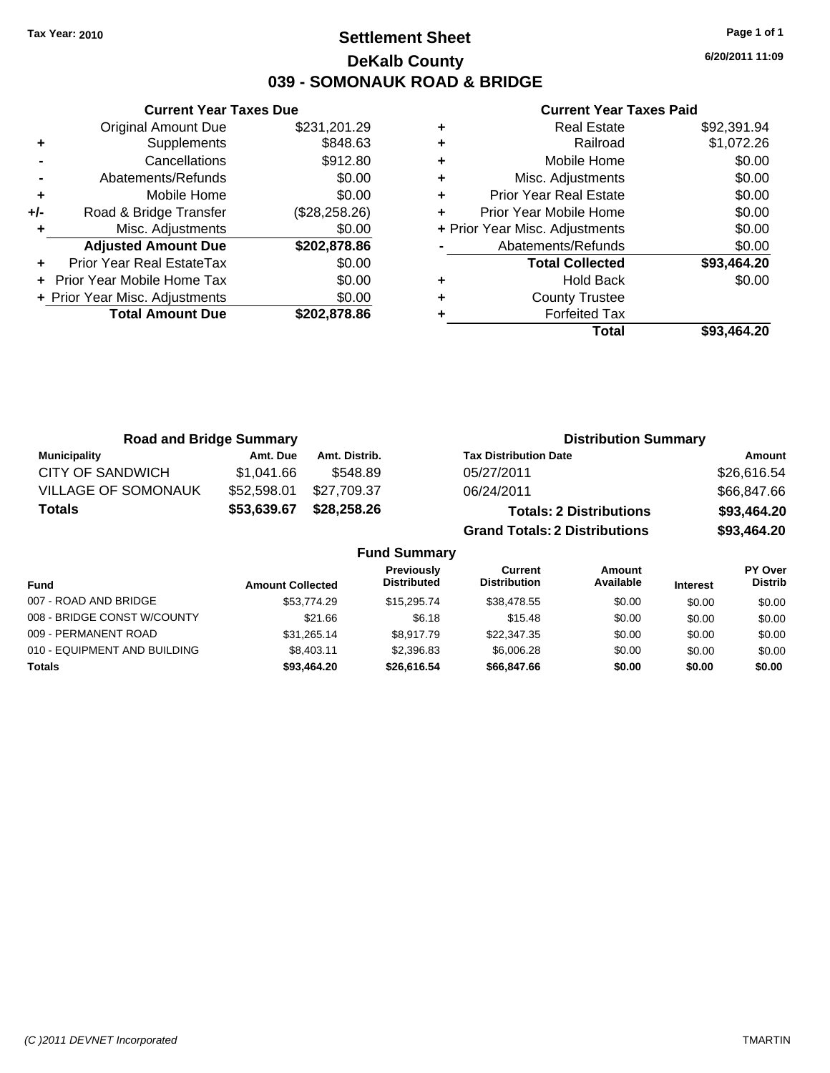**Current Year Taxes Due** Original Amount Due \$231,201.29

**Adjusted Amount Due \$202,878.86**

**Total Amount Due \$202,878.86**

**+** Supplements \$848.63 **-** Cancellations \$912.80 **-** Abatements/Refunds \$0.00 **+** Mobile Home \$0.00 **+/-** Road & Bridge Transfer (\$28,258.26) **+** Misc. Adjustments \$0.00

**+** Prior Year Real EstateTax \$0.00 **+** Prior Year Mobile Home Tax \$0.00 **+ Prior Year Misc. Adjustments**  $$0.00$ 

# **Settlement Sheet Tax Year: 2010 Page 1 of 1 DeKalb County 039 - SOMONAUK ROAD & BRIDGE**

**6/20/2011 11:09**

#### **Current Year Taxes Paid**

|   | Total                          | \$93.464.20 |
|---|--------------------------------|-------------|
|   | <b>Forfeited Tax</b>           |             |
| ٠ | <b>County Trustee</b>          |             |
| ٠ | <b>Hold Back</b>               | \$0.00      |
|   | <b>Total Collected</b>         | \$93,464.20 |
|   | Abatements/Refunds             | \$0.00      |
|   | + Prior Year Misc. Adjustments | \$0.00      |
|   | Prior Year Mobile Home         | \$0.00      |
| ٠ | <b>Prior Year Real Estate</b>  | \$0.00      |
| ٠ | Misc. Adjustments              | \$0.00      |
| ٠ | Mobile Home                    | \$0.00      |
| ٠ | Railroad                       | \$1,072.26  |
| ٠ | <b>Real Estate</b>             | \$92,391.94 |

| <b>Road and Bridge Summary</b> |             |                     | <b>Distribution Summary</b>          |             |  |
|--------------------------------|-------------|---------------------|--------------------------------------|-------------|--|
| <b>Municipality</b>            | Amt. Due    | Amt. Distrib.       | <b>Tax Distribution Date</b>         | Amount      |  |
| CITY OF SANDWICH               | \$1.041.66  | \$548.89            | 05/27/2011                           | \$26,616.54 |  |
| <b>VILLAGE OF SOMONAUK</b>     | \$52,598.01 | \$27.709.37         | 06/24/2011                           | \$66,847.66 |  |
| <b>Totals</b>                  | \$53,639.67 | \$28,258.26         | <b>Totals: 2 Distributions</b>       | \$93,464.20 |  |
|                                |             |                     | <b>Grand Totals: 2 Distributions</b> | \$93,464.20 |  |
|                                |             | <b>Fund Summary</b> |                                      |             |  |

| Fund                         | <b>Amount Collected</b> | <b>Previously</b><br><b>Distributed</b> | Current<br><b>Distribution</b> | Amount<br>Available | <b>Interest</b> | PY Over<br><b>Distrib</b> |
|------------------------------|-------------------------|-----------------------------------------|--------------------------------|---------------------|-----------------|---------------------------|
| 007 - ROAD AND BRIDGE        | \$53,774.29             | \$15,295.74                             | \$38,478.55                    | \$0.00              | \$0.00          | \$0.00                    |
| 008 - BRIDGE CONST W/COUNTY  | \$21.66                 | \$6.18                                  | \$15.48                        | \$0.00              | \$0.00          | \$0.00                    |
| 009 - PERMANENT ROAD         | \$31.265.14             | \$8,917.79                              | \$22,347.35                    | \$0.00              | \$0.00          | \$0.00                    |
| 010 - EQUIPMENT AND BUILDING | \$8,403.11              | \$2,396.83                              | \$6,006.28                     | \$0.00              | \$0.00          | \$0.00                    |
| <b>Totals</b>                | \$93,464.20             | \$26,616.54                             | \$66,847.66                    | \$0.00              | \$0.00          | \$0.00                    |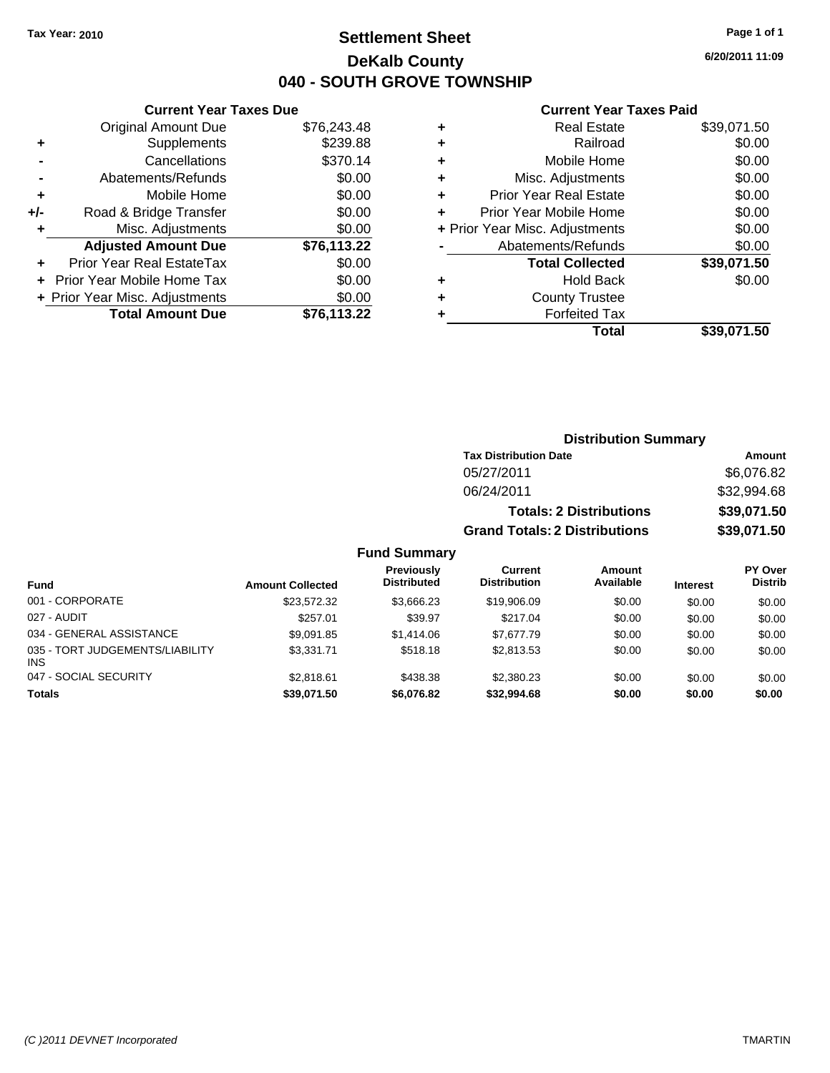# **Settlement Sheet Tax Year: 2010 Page 1 of 1 DeKalb County 040 - SOUTH GROVE TOWNSHIP**

**6/20/2011 11:09**

### **Current Year Taxes Paid**

|     | <b>Current Year Taxes Due</b>  |             |   |              |
|-----|--------------------------------|-------------|---|--------------|
|     | <b>Original Amount Due</b>     | \$76,243.48 |   |              |
|     | Supplements                    | \$239.88    | ٠ |              |
|     | Cancellations                  | \$370.14    | ٠ |              |
|     | Abatements/Refunds             | \$0.00      | ٠ |              |
|     | Mobile Home                    | \$0.00      |   | Pric         |
| +/- | Road & Bridge Transfer         | \$0.00      |   | Prior        |
|     | Misc. Adjustments              | \$0.00      |   | + Prior Year |
|     | <b>Adjusted Amount Due</b>     | \$76,113.22 |   | Ał           |
|     | Prior Year Real EstateTax      | \$0.00      |   |              |
|     | Prior Year Mobile Home Tax     | \$0.00      |   |              |
|     | + Prior Year Misc. Adjustments | \$0.00      |   |              |
|     | <b>Total Amount Due</b>        | \$76,113.22 |   |              |
|     |                                |             |   |              |

|   | <b>Real Estate</b>             | \$39,071.50 |
|---|--------------------------------|-------------|
| ٠ | Railroad                       | \$0.00      |
| ٠ | Mobile Home                    | \$0.00      |
| ٠ | Misc. Adjustments              | \$0.00      |
| ٠ | <b>Prior Year Real Estate</b>  | \$0.00      |
|   | Prior Year Mobile Home         | \$0.00      |
|   | + Prior Year Misc. Adjustments | \$0.00      |
|   | Abatements/Refunds             | \$0.00      |
|   | <b>Total Collected</b>         | \$39,071.50 |
| ٠ | Hold Back                      | \$0.00      |
|   | <b>County Trustee</b>          |             |
|   | <b>Forfeited Tax</b>           |             |
|   | Total                          | \$39,071.50 |
|   |                                |             |

|                                         |                         |                                         |                                      | <b>Distribution Summary</b>    |                 |                                  |
|-----------------------------------------|-------------------------|-----------------------------------------|--------------------------------------|--------------------------------|-----------------|----------------------------------|
|                                         |                         |                                         | <b>Tax Distribution Date</b>         |                                |                 | Amount                           |
|                                         |                         |                                         | 05/27/2011                           |                                |                 | \$6,076.82                       |
|                                         |                         |                                         | 06/24/2011                           |                                |                 | \$32,994.68                      |
|                                         |                         |                                         |                                      | <b>Totals: 2 Distributions</b> |                 | \$39,071.50                      |
|                                         |                         |                                         | <b>Grand Totals: 2 Distributions</b> |                                |                 | \$39,071.50                      |
|                                         |                         | <b>Fund Summary</b>                     |                                      |                                |                 |                                  |
| <b>Fund</b>                             | <b>Amount Collected</b> | <b>Previously</b><br><b>Distributed</b> | Current<br><b>Distribution</b>       | <b>Amount</b><br>Available     | <b>Interest</b> | <b>PY Over</b><br><b>Distrib</b> |
| 001 - CORPORATE                         | \$23,572.32             | \$3,666.23                              | \$19,906.09                          | \$0.00                         | \$0.00          | \$0.00                           |
| 027 - AUDIT                             | \$257.01                | \$39.97                                 | \$217.04                             | \$0.00                         | \$0.00          | \$0.00                           |
| 034 - GENERAL ASSISTANCE                | \$9,091.85              | \$1,414.06                              | \$7,677.79                           | \$0.00                         | \$0.00          | \$0.00                           |
| 035 - TORT JUDGEMENTS/LIABILITY<br>INS. | \$3,331.71              | \$518.18                                | \$2,813.53                           | \$0.00                         | \$0.00          | \$0.00                           |
| 047 - SOCIAL SECURITY                   | \$2,818.61              | \$438.38                                | \$2,380.23                           | \$0.00                         | \$0.00          | \$0.00                           |
| <b>Totals</b>                           | \$39,071.50             | \$6,076.82                              | \$32,994.68                          | \$0.00                         | \$0.00          | \$0.00                           |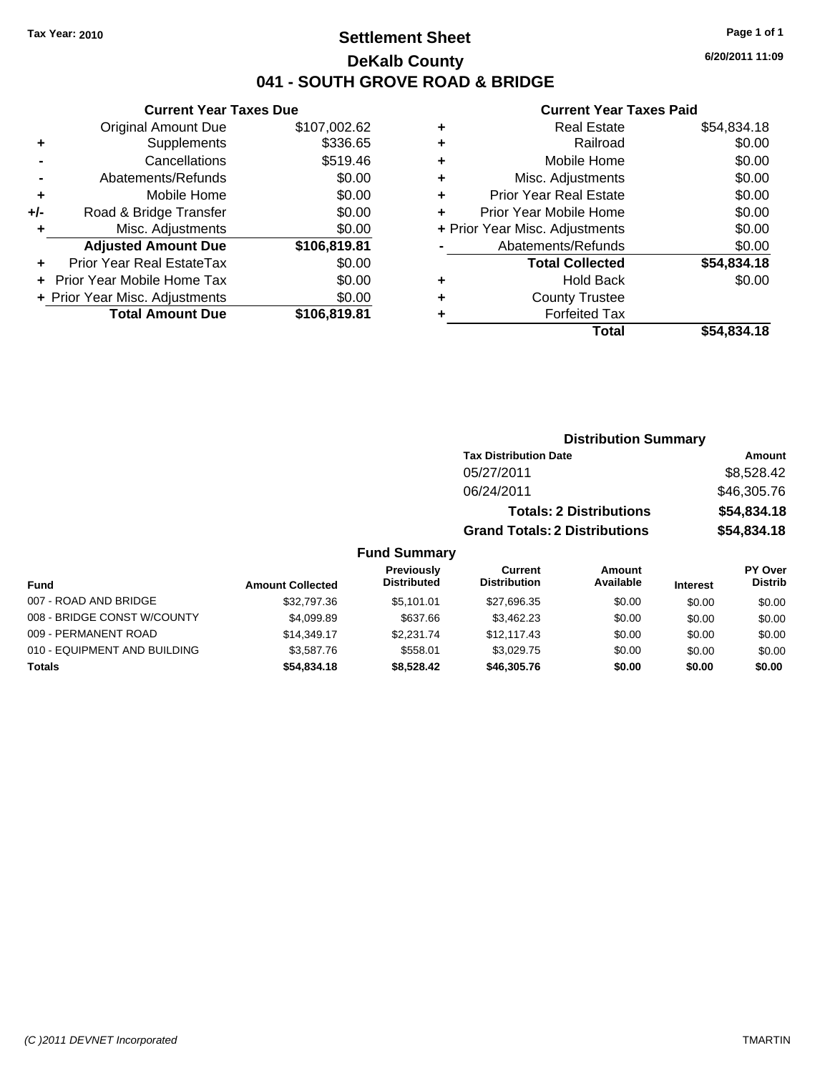# **Settlement Sheet Tax Year: 2010 Page 1 of 1 DeKalb County 041 - SOUTH GROVE ROAD & BRIDGE**

**6/20/2011 11:09**

### **Current Year Taxes Paid**

|     | <b>Current Year Taxes Due</b>  |              |  |  |  |
|-----|--------------------------------|--------------|--|--|--|
|     | <b>Original Amount Due</b>     | \$107,002.62 |  |  |  |
| ٠   | Supplements                    | \$336.65     |  |  |  |
|     | Cancellations                  | \$519.46     |  |  |  |
|     | \$0.00<br>Abatements/Refunds   |              |  |  |  |
| ٠   | Mobile Home                    | \$0.00       |  |  |  |
| +/- | Road & Bridge Transfer         | \$0.00       |  |  |  |
| ٠   | Misc. Adjustments              | \$0.00       |  |  |  |
|     | <b>Adjusted Amount Due</b>     | \$106,819.81 |  |  |  |
| ٠   | Prior Year Real EstateTax      | \$0.00       |  |  |  |
|     | Prior Year Mobile Home Tax     | \$0.00       |  |  |  |
|     | + Prior Year Misc. Adjustments | \$0.00       |  |  |  |
|     | <b>Total Amount Due</b>        | \$106,819.81 |  |  |  |
|     |                                |              |  |  |  |

| <b>Real Estate</b>            | \$54,834.18                    |
|-------------------------------|--------------------------------|
| Railroad                      | \$0.00                         |
| Mobile Home                   | \$0.00                         |
| Misc. Adjustments             | \$0.00                         |
| <b>Prior Year Real Estate</b> | \$0.00                         |
| Prior Year Mobile Home        | \$0.00                         |
|                               | \$0.00                         |
| Abatements/Refunds            | \$0.00                         |
| <b>Total Collected</b>        | \$54,834.18                    |
| <b>Hold Back</b>              | \$0.00                         |
| <b>County Trustee</b>         |                                |
| <b>Forfeited Tax</b>          |                                |
| Total                         | \$54,834.18                    |
|                               | + Prior Year Misc. Adjustments |

### **Distribution Summary Tax Distribution Date Amount** 05/27/2011 \$8,528.42 06/24/2011 \$46,305.76 **Totals: 2 Distributions \$54,834.18 Grand Totals: 2 Distributions \$54,834.18 Fund Summary**

| <b>Fund</b>                  | <b>Amount Collected</b> | <b>Previously</b><br><b>Distributed</b> | Current<br><b>Distribution</b> | Amount<br>Available | <b>Interest</b> | PY Over<br><b>Distrib</b> |  |
|------------------------------|-------------------------|-----------------------------------------|--------------------------------|---------------------|-----------------|---------------------------|--|
| 007 - ROAD AND BRIDGE        | \$32,797.36             | \$5.101.01                              | \$27,696.35                    | \$0.00              | \$0.00          | \$0.00                    |  |
| 008 - BRIDGE CONST W/COUNTY  | \$4,099.89              | \$637.66                                | \$3.462.23                     | \$0.00              | \$0.00          | \$0.00                    |  |
| 009 - PERMANENT ROAD         | \$14,349.17             | \$2.231.74                              | \$12,117.43                    | \$0.00              | \$0.00          | \$0.00                    |  |
| 010 - EQUIPMENT AND BUILDING | \$3,587.76              | \$558.01                                | \$3.029.75                     | \$0.00              | \$0.00          | \$0.00                    |  |
| <b>Totals</b>                | \$54,834.18             | \$8.528.42                              | \$46,305.76                    | \$0.00              | \$0.00          | \$0.00                    |  |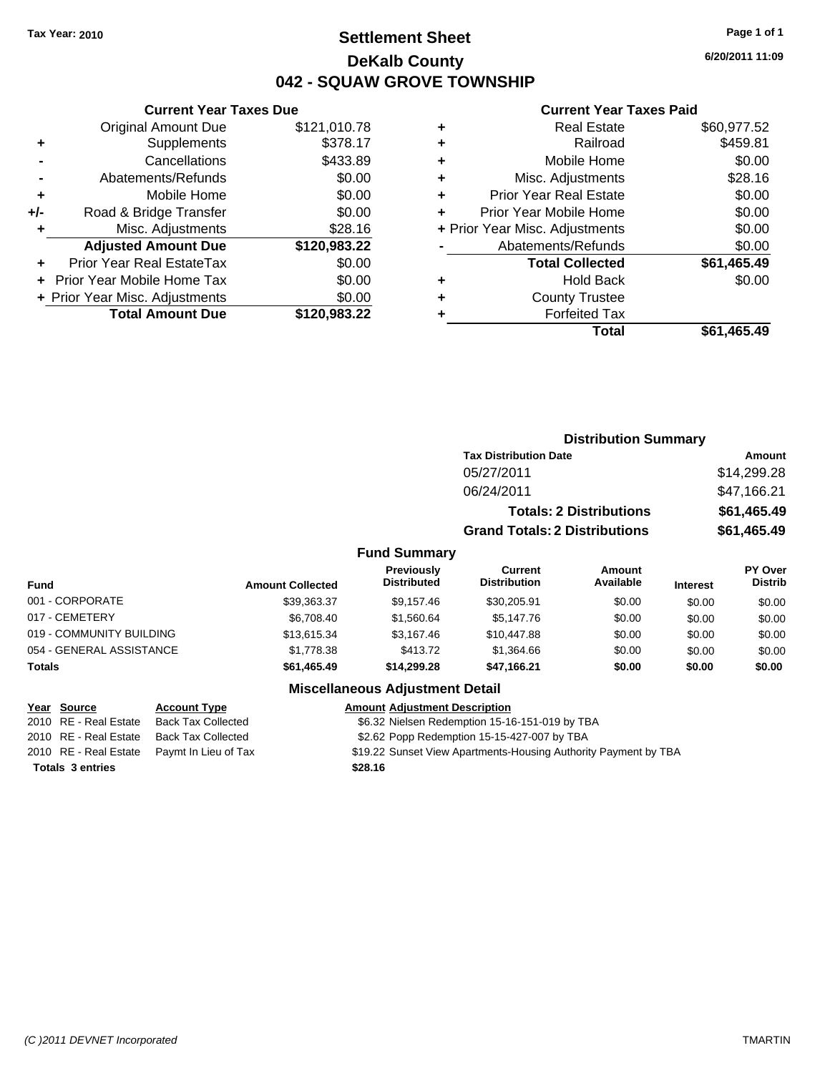# **Settlement Sheet Tax Year: 2010 Page 1 of 1 DeKalb County 042 - SQUAW GROVE TOWNSHIP**

**6/20/2011 11:09**

#### **Current Year Taxes Paid**

|     | <b>Current Year Taxes Due</b>  |              |
|-----|--------------------------------|--------------|
|     | <b>Original Amount Due</b>     | \$121,010.78 |
| ٠   | Supplements                    | \$378.17     |
|     | Cancellations                  | \$433.89     |
|     | Abatements/Refunds             | \$0.00       |
| ٠   | Mobile Home                    | \$0.00       |
| +/- | Road & Bridge Transfer         | \$0.00       |
| ٠   | Misc. Adjustments              | \$28.16      |
|     | <b>Adjusted Amount Due</b>     | \$120,983.22 |
| ٠   | Prior Year Real EstateTax      | \$0.00       |
|     | Prior Year Mobile Home Tax     | \$0.00       |
|     | + Prior Year Misc. Adjustments | \$0.00       |
|     | <b>Total Amount Due</b>        | \$120,983.22 |
|     |                                |              |

| <b>Real Estate</b>            | \$60,977.52                    |
|-------------------------------|--------------------------------|
| Railroad                      | \$459.81                       |
| Mobile Home                   | \$0.00                         |
| Misc. Adjustments             | \$28.16                        |
| <b>Prior Year Real Estate</b> | \$0.00                         |
| Prior Year Mobile Home        | \$0.00                         |
|                               | \$0.00                         |
| Abatements/Refunds            | \$0.00                         |
| <b>Total Collected</b>        | \$61,465.49                    |
| <b>Hold Back</b>              | \$0.00                         |
| <b>County Trustee</b>         |                                |
| <b>Forfeited Tax</b>          |                                |
| Total                         | \$61,465.49                    |
|                               | + Prior Year Misc. Adjustments |

|                          |                         |                                         | <b>Distribution Summary</b>           |                                |                 |                           |
|--------------------------|-------------------------|-----------------------------------------|---------------------------------------|--------------------------------|-----------------|---------------------------|
|                          |                         |                                         | <b>Tax Distribution Date</b>          |                                |                 | Amount                    |
|                          |                         |                                         | 05/27/2011                            |                                |                 | \$14,299.28               |
|                          |                         |                                         | 06/24/2011                            |                                |                 | \$47,166.21               |
|                          |                         |                                         |                                       | <b>Totals: 2 Distributions</b> |                 | \$61,465.49               |
|                          |                         |                                         | <b>Grand Totals: 2 Distributions</b>  |                                |                 | \$61,465.49               |
|                          |                         | <b>Fund Summary</b>                     |                                       |                                |                 |                           |
| Fund                     | <b>Amount Collected</b> | <b>Previously</b><br><b>Distributed</b> | <b>Current</b><br><b>Distribution</b> | Amount<br>Available            | <b>Interest</b> | PY Over<br><b>Distrib</b> |
| 001 - CORPORATE          | \$39,363.37             | \$9,157.46                              | \$30,205.91                           | \$0.00                         | \$0.00          | \$0.00                    |
| 017 - CEMETERY           | \$6,708.40              | \$1,560.64                              | \$5,147.76                            | \$0.00                         | \$0.00          | \$0.00                    |
| 019 - COMMUNITY BUILDING | \$13,615.34             | \$3,167.46                              | \$10,447.88                           | \$0.00                         | \$0.00          | \$0.00                    |
| 054 - GENERAL ASSISTANCE | \$1,778.38              | \$413.72                                | \$1,364.66                            | \$0.00                         | \$0.00          | \$0.00                    |
| Totals                   | \$61,465.49             | \$14,299.28                             | \$47,166.21                           | \$0.00                         | \$0.00          | \$0.00                    |
|                          |                         | Miccollangeus Adjustment Detail         |                                       |                                |                 |                           |

| Year Source             | <b>Account Type</b>                        | <b>Amount Adjustment Description</b>                            |
|-------------------------|--------------------------------------------|-----------------------------------------------------------------|
| 2010 RE - Real Estate   | <b>Back Tax Collected</b>                  | \$6.32 Nielsen Redemption 15-16-151-019 by TBA                  |
|                         | 2010 RE - Real Estate Back Tax Collected   | \$2.62 Popp Redemption 15-15-427-007 by TBA                     |
|                         | 2010 RE - Real Estate Paymt In Lieu of Tax | \$19.22 Sunset View Apartments-Housing Authority Payment by TBA |
| <b>Totals 3 entries</b> |                                            | \$28.16                                                         |
|                         |                                            |                                                                 |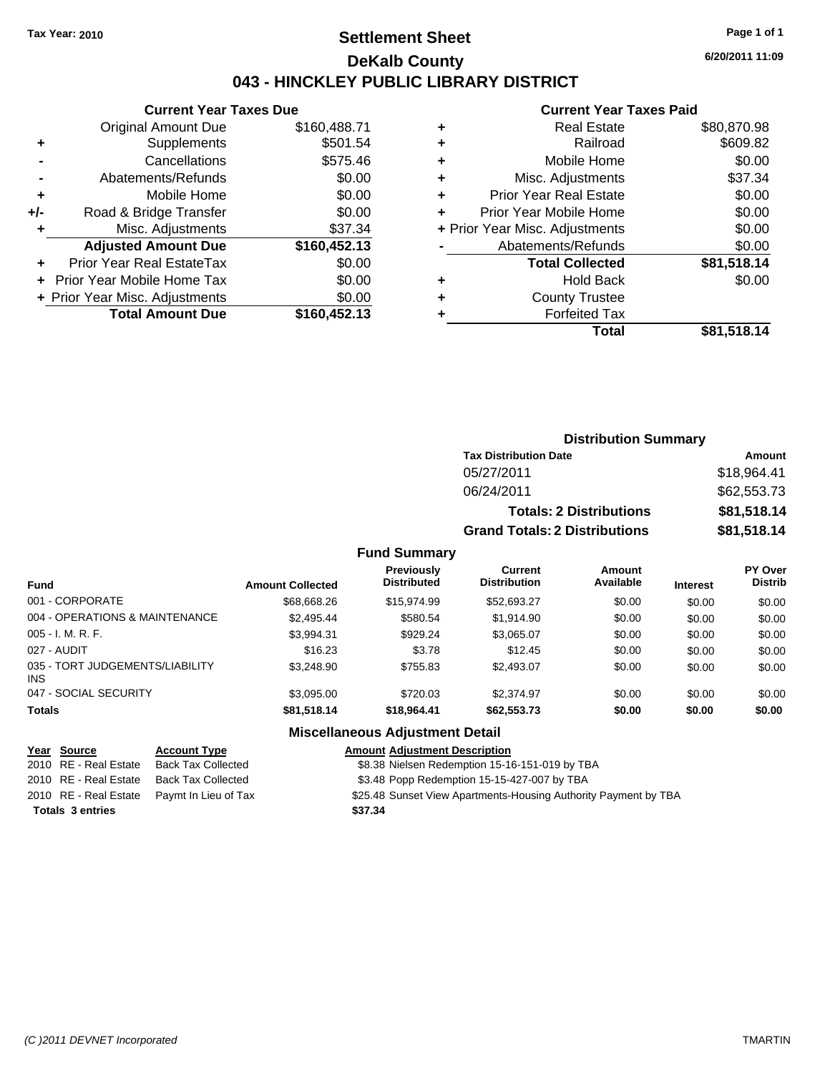# **Settlement Sheet Tax Year: 2010 Page 1 of 1 DeKalb County 043 - HINCKLEY PUBLIC LIBRARY DISTRICT**

### **Current Year Taxes Due**

|       | <b>Total Amount Due</b>        | \$160,452.13 |
|-------|--------------------------------|--------------|
|       | + Prior Year Misc. Adjustments | \$0.00       |
|       | Prior Year Mobile Home Tax     | \$0.00       |
|       | Prior Year Real EstateTax      | \$0.00       |
|       | <b>Adjusted Amount Due</b>     | \$160,452.13 |
| ٠     | Misc. Adjustments              | \$37.34      |
| $+/-$ | Road & Bridge Transfer         | \$0.00       |
| ÷     | Mobile Home                    | \$0.00       |
|       | Abatements/Refunds             | \$0.00       |
|       | Cancellations                  | \$575.46     |
| ٠     | Supplements                    | \$501.54     |
|       | <b>Original Amount Due</b>     | \$160,488.71 |
|       |                                |              |

#### **Current Year Taxes Paid**

| ٠ | <b>Real Estate</b>             | \$80,870.98 |
|---|--------------------------------|-------------|
| ٠ | Railroad                       | \$609.82    |
| ٠ | Mobile Home                    | \$0.00      |
| ٠ | Misc. Adjustments              | \$37.34     |
| ٠ | <b>Prior Year Real Estate</b>  | \$0.00      |
|   | Prior Year Mobile Home         | \$0.00      |
|   | + Prior Year Misc. Adjustments | \$0.00      |
|   | Abatements/Refunds             | \$0.00      |
|   | <b>Total Collected</b>         | \$81,518.14 |
| ٠ | <b>Hold Back</b>               | \$0.00      |
|   | <b>County Trustee</b>          |             |
|   | <b>Forfeited Tax</b>           |             |
|   | Total                          | \$81,518.14 |
|   |                                |             |

# **Distribution Summary**

| <b>Tax Distribution Date</b>         | <b>Amount</b> |
|--------------------------------------|---------------|
| 05/27/2011                           | \$18.964.41   |
| 06/24/2011                           | \$62,553,73   |
| <b>Totals: 2 Distributions</b>       | \$81,518.14   |
| <b>Grand Totals: 2 Distributions</b> | \$81,518.14   |

### **Fund Summary**

| <b>Fund</b>                                   | <b>Amount Collected</b> | <b>Previously</b><br><b>Distributed</b> | Current<br><b>Distribution</b> | <b>Amount</b><br>Available | <b>Interest</b> | <b>PY Over</b><br><b>Distrib</b> |
|-----------------------------------------------|-------------------------|-----------------------------------------|--------------------------------|----------------------------|-----------------|----------------------------------|
| 001 - CORPORATE                               | \$68,668.26             | \$15,974.99                             | \$52,693.27                    | \$0.00                     | \$0.00          | \$0.00                           |
| 004 - OPERATIONS & MAINTENANCE                | \$2,495.44              | \$580.54                                | \$1,914.90                     | \$0.00                     | \$0.00          | \$0.00                           |
| $005 - I. M. R. F.$                           | \$3,994.31              | \$929.24                                | \$3,065.07                     | \$0.00                     | \$0.00          | \$0.00                           |
| 027 - AUDIT                                   | \$16.23                 | \$3.78                                  | \$12.45                        | \$0.00                     | \$0.00          | \$0.00                           |
| 035 - TORT JUDGEMENTS/LIABILITY<br><b>INS</b> | \$3.248.90              | \$755.83                                | \$2,493.07                     | \$0.00                     | \$0.00          | \$0.00                           |
| 047 - SOCIAL SECURITY                         | \$3,095.00              | \$720.03                                | \$2,374.97                     | \$0.00                     | \$0.00          | \$0.00                           |
| <b>Totals</b>                                 | \$81,518.14             | \$18,964.41                             | \$62,553.73                    | \$0.00                     | \$0.00          | \$0.00                           |

| <u>Year Source</u>      | <b>Account Type</b>                        | <b>Amount Adjustment Description</b>                            |
|-------------------------|--------------------------------------------|-----------------------------------------------------------------|
| 2010 RE - Real Estate   | Back Tax Collected                         | \$8.38 Nielsen Redemption 15-16-151-019 by TBA                  |
| 2010 RE - Real Estate   | Back Tax Collected                         | \$3.48 Popp Redemption 15-15-427-007 by TBA                     |
|                         | 2010 RE - Real Estate Paymt In Lieu of Tax | \$25.48 Sunset View Apartments-Housing Authority Payment by TBA |
| <b>Totals 3 entries</b> |                                            | \$37.34                                                         |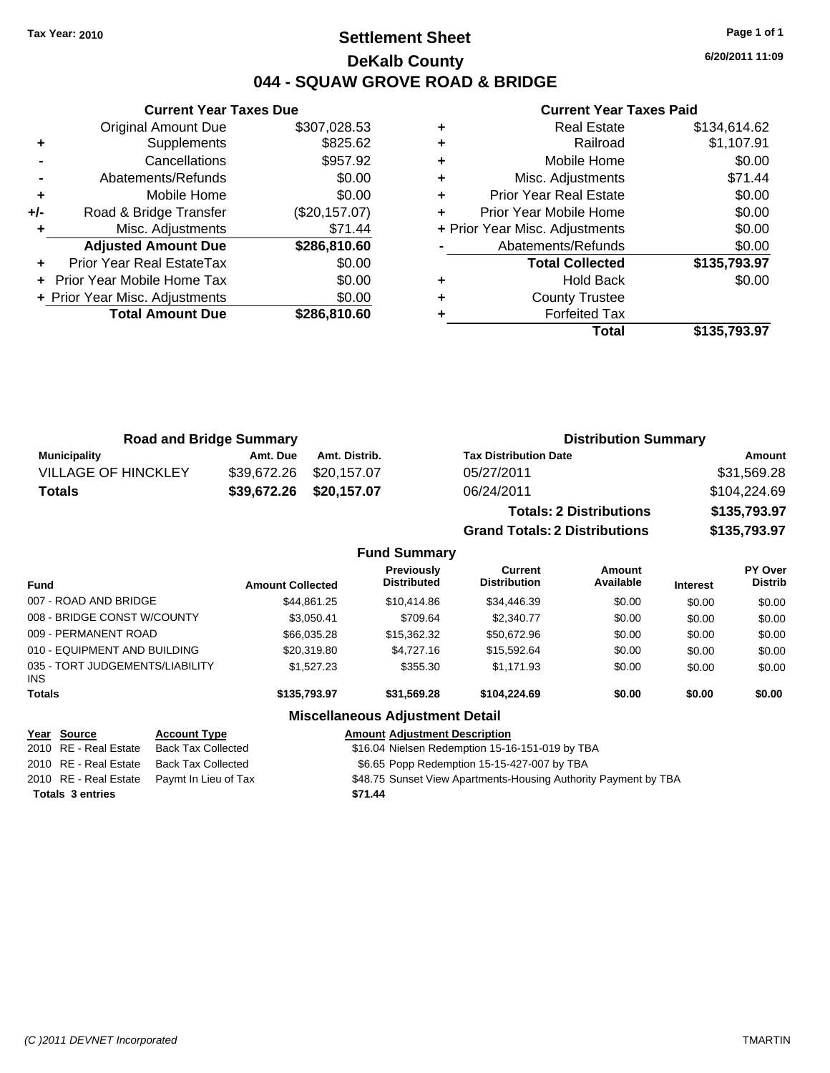# **Settlement Sheet Tax Year: 2010 Page 1 of 1 DeKalb County 044 - SQUAW GROVE ROAD & BRIDGE**

**6/20/2011 11:09**

### **Current Year Taxes Paid**

|       | OUITUR TUUT TUAUS DUU          |               |
|-------|--------------------------------|---------------|
|       | <b>Original Amount Due</b>     | \$307,028.53  |
| ٠     | Supplements                    | \$825.62      |
|       | Cancellations                  | \$957.92      |
|       | Abatements/Refunds             | \$0.00        |
| ٠     | Mobile Home                    | \$0.00        |
| $+/-$ | Road & Bridge Transfer         | (\$20,157.07) |
|       | Misc. Adjustments              | \$71.44       |
|       | <b>Adjusted Amount Due</b>     | \$286,810.60  |
|       | Prior Year Real EstateTax      | \$0.00        |
|       | Prior Year Mobile Home Tax     | \$0.00        |
|       | + Prior Year Misc. Adjustments | \$0.00        |
|       | <b>Total Amount Due</b>        | \$286,810.60  |
|       |                                |               |

**Current Year Taxes Due**

|   | Total                          | \$135,793.97 |
|---|--------------------------------|--------------|
|   | <b>Forfeited Tax</b>           |              |
| ٠ | <b>County Trustee</b>          |              |
| ٠ | <b>Hold Back</b>               | \$0.00       |
|   | <b>Total Collected</b>         | \$135,793.97 |
|   | Abatements/Refunds             | \$0.00       |
|   | + Prior Year Misc. Adjustments | \$0.00       |
| ÷ | Prior Year Mobile Home         | \$0.00       |
| ٠ | <b>Prior Year Real Estate</b>  | \$0.00       |
| ٠ | Misc. Adjustments              | \$71.44      |
| ٠ | Mobile Home                    | \$0.00       |
| ÷ | Railroad                       | \$1,107.91   |
|   | <b>Real Estate</b>             | \$134,614.62 |

| <b>Road and Bridge Summary</b> |          |                         | <b>Distribution Summary</b>                                                                                                                                                                                                    |                     |
|--------------------------------|----------|-------------------------|--------------------------------------------------------------------------------------------------------------------------------------------------------------------------------------------------------------------------------|---------------------|
| Municipality                   | Amt. Due | Amt. Distrib.           | <b>Tax Distribution Date</b>                                                                                                                                                                                                   | Amount              |
| <b>VILLAGE OF HINCKLEY</b>     |          | \$39,672.26 \$20,157.07 | 05/27/2011                                                                                                                                                                                                                     | \$31,569.28         |
| Totals                         |          | \$39,672.26 \$20,157.07 | 06/24/2011                                                                                                                                                                                                                     | \$104,224.69        |
|                                |          |                         | The second of the Contract and the second second second the second second second second second second second second second second second second second second second second second second second second second second second s | $A A A F = A A A F$ |

**Fund Summary**

**Totals: 2 Distributions \$135,793.97 Grand Totals: 2 Distributions \$135,793.97**

| <b>Fund</b>                                   | <b>Amount Collected</b> | Previously<br><b>Distributed</b>       | <b>Current</b><br><b>Distribution</b> | Amount<br>Available | <b>Interest</b> | PY Over<br><b>Distrib</b> |
|-----------------------------------------------|-------------------------|----------------------------------------|---------------------------------------|---------------------|-----------------|---------------------------|
| 007 - ROAD AND BRIDGE                         | \$44.861.25             | \$10,414.86                            | \$34,446.39                           | \$0.00              | \$0.00          | \$0.00                    |
| 008 - BRIDGE CONST W/COUNTY                   | \$3.050.41              | \$709.64                               | \$2,340.77                            | \$0.00              | \$0.00          | \$0.00                    |
| 009 - PERMANENT ROAD                          | \$66,035,28             | \$15,362.32                            | \$50,672.96                           | \$0.00              | \$0.00          | \$0.00                    |
| 010 - EQUIPMENT AND BUILDING                  | \$20,319.80             | \$4,727.16                             | \$15,592,64                           | \$0.00              | \$0.00          | \$0.00                    |
| 035 - TORT JUDGEMENTS/LIABILITY<br><b>INS</b> | \$1.527.23              | \$355.30                               | \$1.171.93                            | \$0.00              | \$0.00          | \$0.00                    |
| <b>Totals</b>                                 | \$135,793.97            | \$31.569.28                            | \$104,224.69                          | \$0.00              | \$0.00          | \$0.00                    |
|                                               |                         | <b>Miscellaneous Adjustment Detail</b> |                                       |                     |                 |                           |

### **Year Source Account Type Amount Adjustment Description**

2010 RE - Real Estate Back Tax Collected \$16.04 Nielsen Redemption 15-16-151-019 by TBA 2010 RE - Real Estate Back Tax Collected \$6.65 Popp Redemption 15-15-427-007 by TBA 2010 RE - Real Estate Paymt In Lieu of Tax **\$48.75 Sunset View Apartments-Housing Authority Payment by TBA Totals \$71.44 3 entries**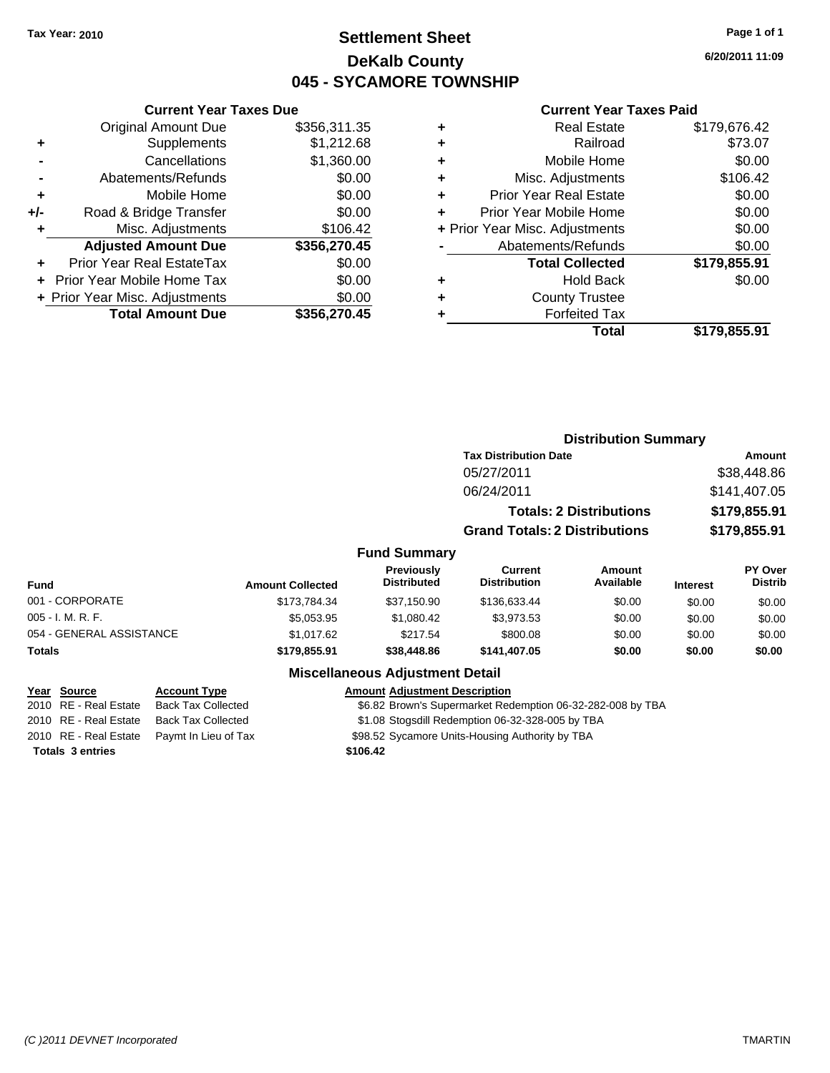# **Settlement Sheet Tax Year: 2010 Page 1 of 1 DeKalb County 045 - SYCAMORE TOWNSHIP**

**6/20/2011 11:09**

#### **Current Year Taxes Paid**

|     | <b>Original Amount Due</b>     | \$356,311.35 |
|-----|--------------------------------|--------------|
| ٠   | Supplements                    | \$1,212.68   |
|     | Cancellations                  | \$1,360.00   |
|     | Abatements/Refunds             | \$0.00       |
| ÷   | Mobile Home                    | \$0.00       |
| +/- | Road & Bridge Transfer         | \$0.00       |
|     | Misc. Adjustments              | \$106.42     |
|     | <b>Adjusted Amount Due</b>     | \$356,270.45 |
|     | Prior Year Real EstateTax      | \$0.00       |
|     | Prior Year Mobile Home Tax     | \$0.00       |
|     | + Prior Year Misc. Adjustments | \$0.00       |
|     | <b>Total Amount Due</b>        | \$356,270.45 |
|     |                                |              |

**Current Year Taxes Due**

|   | <b>Real Estate</b>             | \$179,676.42 |
|---|--------------------------------|--------------|
| ٠ | Railroad                       | \$73.07      |
| ٠ | Mobile Home                    | \$0.00       |
| ÷ | Misc. Adjustments              | \$106.42     |
| ٠ | <b>Prior Year Real Estate</b>  | \$0.00       |
| ÷ | Prior Year Mobile Home         | \$0.00       |
|   | + Prior Year Misc. Adjustments | \$0.00       |
|   | Abatements/Refunds             | \$0.00       |
|   | <b>Total Collected</b>         | \$179,855.91 |
| ٠ | <b>Hold Back</b>               | \$0.00       |
| ٠ | <b>County Trustee</b>          |              |
| ٠ | <b>Forfeited Tax</b>           |              |
|   | <b>Total</b>                   | \$179,855.91 |
|   |                                |              |

|                          |                         |                                  |                                      | <b>Distribution Summary</b> |                             |                                  |
|--------------------------|-------------------------|----------------------------------|--------------------------------------|-----------------------------|-----------------------------|----------------------------------|
|                          |                         |                                  | <b>Tax Distribution Date</b>         |                             |                             | Amount                           |
|                          |                         |                                  | 05/27/2011                           |                             | \$38,448.86<br>\$141,407.05 |                                  |
|                          |                         |                                  | 06/24/2011                           |                             |                             |                                  |
|                          |                         |                                  | <b>Totals: 2 Distributions</b>       |                             | \$179,855.91                |                                  |
|                          |                         |                                  | <b>Grand Totals: 2 Distributions</b> |                             |                             | \$179,855.91                     |
|                          |                         | <b>Fund Summary</b>              |                                      |                             |                             |                                  |
| Fund                     | <b>Amount Collected</b> | Previously<br><b>Distributed</b> | Current<br><b>Distribution</b>       | Amount<br>Available         | <b>Interest</b>             | <b>PY Over</b><br><b>Distrib</b> |
| 001 - CORPORATE          | \$173,784.34            | \$37,150.90                      | \$136,633.44                         | \$0.00                      | \$0.00                      | \$0.00                           |
| 005 - I. M. R. F.        | \$5,053.95              | \$1,080.42                       | \$3,973.53                           | \$0.00                      | \$0.00                      | \$0.00                           |
| 054 - GENERAL ASSISTANCE | \$1,017.62              | \$217.54                         | \$800.08                             | \$0.00                      | \$0.00                      | \$0.00                           |
| Totals                   | \$179,855.91            | \$38,448.86                      | \$141,407.05                         | \$0.00                      | \$0.00                      | \$0.00                           |
|                          |                         |                                  |                                      |                             |                             |                                  |

### **Miscellaneous Adjustment Detail**

#### **Year Source Account Type Amount Adjustment Description**

2010 RE - Real Estate Back Tax Collected **\$6.82 Brown's Supermarket Redemption 06-32-282-008 by TBA** 2010 RE - Real Estate Back Tax Collected \$1.08 Stogsdill Redemption 06-32-328-005 by TBA

\$1.08 Stogsdill Redemption 06-32-328-005 by TBA

2010 RE - Real Estate Paymt In Lieu of Tax **\$98.52 Sycamore Units-Housing Authority by TBA** 

**Totals \$106.42 3 entries**

*(C )2011 DEVNET Incorporated* TMARTIN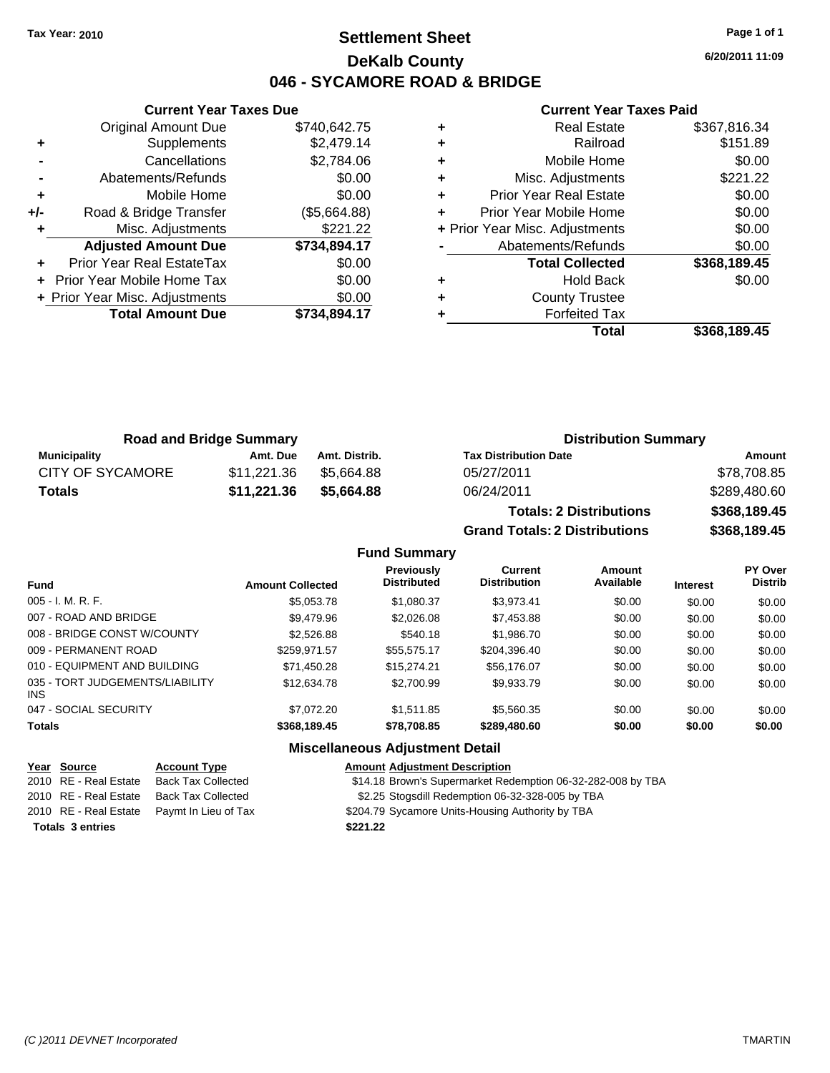# **Settlement Sheet Tax Year: 2010 Page 1 of 1 DeKalb County 046 - SYCAMORE ROAD & BRIDGE**

**6/20/2011 11:09**

### **Current Year Taxes Paid**

|     | <b>Current Year Taxes Due</b>  |              |  |  |  |
|-----|--------------------------------|--------------|--|--|--|
|     | <b>Original Amount Due</b>     | \$740,642.75 |  |  |  |
| ٠   | Supplements                    | \$2,479.14   |  |  |  |
|     | Cancellations                  | \$2,784.06   |  |  |  |
|     | Abatements/Refunds             | \$0.00       |  |  |  |
| ÷   | Mobile Home                    | \$0.00       |  |  |  |
| +/- | Road & Bridge Transfer         | (\$5,664.88) |  |  |  |
|     | Misc. Adjustments              | \$221.22     |  |  |  |
|     | <b>Adjusted Amount Due</b>     | \$734,894.17 |  |  |  |
|     | Prior Year Real EstateTax      | \$0.00       |  |  |  |
|     | Prior Year Mobile Home Tax     | \$0.00       |  |  |  |
|     | + Prior Year Misc. Adjustments | \$0.00       |  |  |  |
|     | <b>Total Amount Due</b>        | \$734.894.17 |  |  |  |
|     |                                |              |  |  |  |

|   | <b>Real Estate</b>             | \$367,816.34 |
|---|--------------------------------|--------------|
| ٠ | Railroad                       | \$151.89     |
| ٠ | Mobile Home                    | \$0.00       |
| ٠ | Misc. Adjustments              | \$221.22     |
| ٠ | <b>Prior Year Real Estate</b>  | \$0.00       |
|   | Prior Year Mobile Home         | \$0.00       |
|   | + Prior Year Misc. Adjustments | \$0.00       |
|   | Abatements/Refunds             | \$0.00       |
|   | <b>Total Collected</b>         | \$368,189.45 |
| ٠ | <b>Hold Back</b>               | \$0.00       |
| ٠ | <b>County Trustee</b>          |              |
|   | <b>Forfeited Tax</b>           |              |
|   | Total                          | \$368,189.45 |

|                         | <b>Road and Bridge Summary</b> |               | <b>Distribution Summary</b>  |              |
|-------------------------|--------------------------------|---------------|------------------------------|--------------|
| Municipality            | Amt. Due                       | Amt. Distrib. | <b>Tax Distribution Date</b> | Amount       |
| <b>CITY OF SYCAMORE</b> | \$11.221.36                    | \$5.664.88    | 05/27/2011                   | \$78,708.85  |
| Totals                  | \$11,221.36                    | \$5.664.88    | 06/24/2011                   | \$289,480.60 |

**Totals: 2 Distributions \$368,189.45 Grand Totals: 2 Distributions \$368,189.45**

| <b>Fund Summary</b> |
|---------------------|
|                     |

| <b>Fund</b>                             | <b>Amount Collected</b> | <b>Previously</b><br><b>Distributed</b> | <b>Current</b><br><b>Distribution</b> | Amount<br>Available | <b>Interest</b> | <b>PY Over</b><br><b>Distrib</b> |
|-----------------------------------------|-------------------------|-----------------------------------------|---------------------------------------|---------------------|-----------------|----------------------------------|
| 005 - I. M. R. F.                       | \$5,053.78              | \$1,080.37                              | \$3.973.41                            | \$0.00              | \$0.00          | \$0.00                           |
| 007 - ROAD AND BRIDGE                   | \$9.479.96              | \$2,026,08                              | \$7,453.88                            | \$0.00              | \$0.00          | \$0.00                           |
| 008 - BRIDGE CONST W/COUNTY             | \$2,526.88              | \$540.18                                | \$1,986.70                            | \$0.00              | \$0.00          | \$0.00                           |
| 009 - PERMANENT ROAD                    | \$259.971.57            | \$55.575.17                             | \$204.396.40                          | \$0.00              | \$0.00          | \$0.00                           |
| 010 - EQUIPMENT AND BUILDING            | \$71,450.28             | \$15,274.21                             | \$56,176.07                           | \$0.00              | \$0.00          | \$0.00                           |
| 035 - TORT JUDGEMENTS/LIABILITY<br>INS. | \$12,634.78             | \$2,700.99                              | \$9.933.79                            | \$0.00              | \$0.00          | \$0.00                           |
| 047 - SOCIAL SECURITY                   | \$7.072.20              | \$1.511.85                              | \$5,560.35                            | \$0.00              | \$0.00          | \$0.00                           |
| <b>Totals</b>                           | \$368,189.45            | \$78,708.85                             | \$289,480.60                          | \$0.00              | \$0.00          | \$0.00                           |

| <u>Year Source</u>      | <b>Account Type</b>                        | <b>Amount Adjustment Description</b>                        |
|-------------------------|--------------------------------------------|-------------------------------------------------------------|
| 2010 RE - Real Estate   | <b>Back Tax Collected</b>                  | \$14.18 Brown's Supermarket Redemption 06-32-282-008 by TBA |
| 2010 RE - Real Estate   | Back Tax Collected                         | \$2.25 Stogsdill Redemption 06-32-328-005 by TBA            |
|                         | 2010 RE - Real Estate Paymt In Lieu of Tax | \$204.79 Sycamore Units-Housing Authority by TBA            |
| <b>Totals 3 entries</b> |                                            | \$221.22                                                    |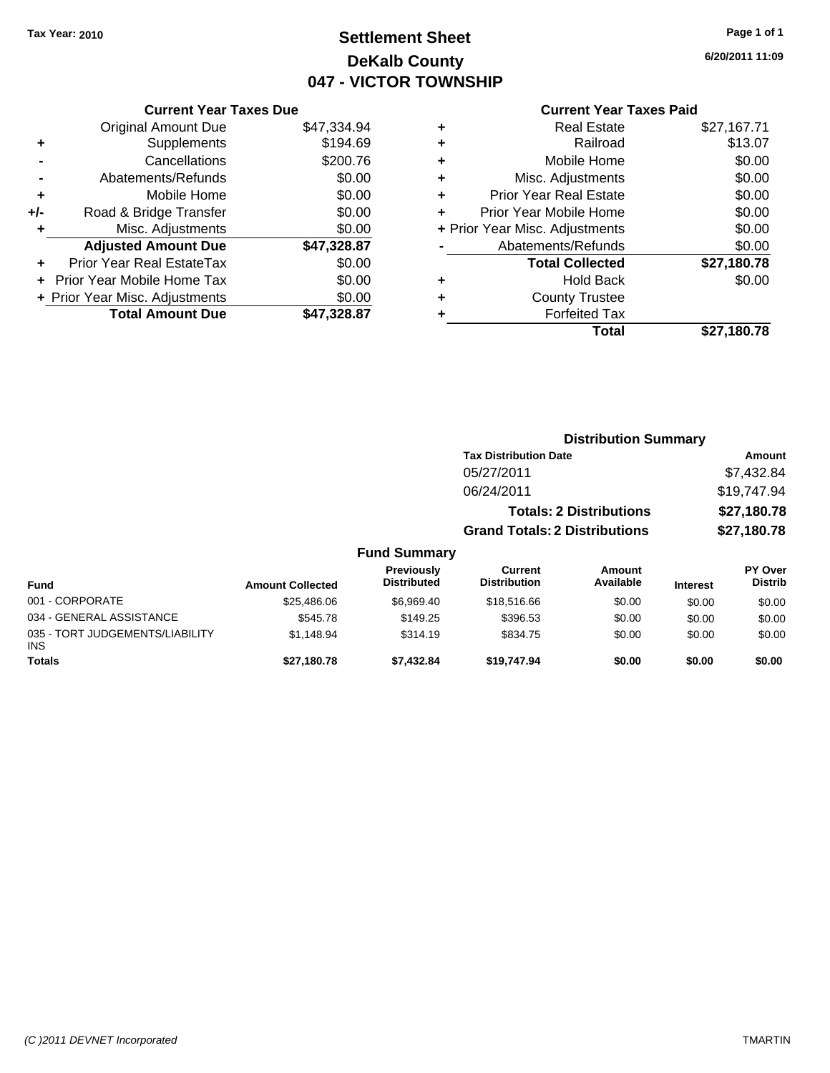# **Settlement Sheet Tax Year: 2010 Page 1 of 1 DeKalb County 047 - VICTOR TOWNSHIP**

**6/20/2011 11:09**

### **Current Year Taxes Paid**

|                                          | <b>Current Year Taxes Due</b> |             |  |  |  |  |
|------------------------------------------|-------------------------------|-------------|--|--|--|--|
|                                          | <b>Original Amount Due</b>    | \$47,334.94 |  |  |  |  |
| ٠                                        | Supplements                   | \$194.69    |  |  |  |  |
|                                          | Cancellations                 | \$200.76    |  |  |  |  |
|                                          | Abatements/Refunds            | \$0.00      |  |  |  |  |
| ٠                                        | Mobile Home                   | \$0.00      |  |  |  |  |
| +/-                                      | Road & Bridge Transfer        | \$0.00      |  |  |  |  |
|                                          | Misc. Adjustments             | \$0.00      |  |  |  |  |
|                                          | <b>Adjusted Amount Due</b>    | \$47,328.87 |  |  |  |  |
| ÷                                        | Prior Year Real EstateTax     | \$0.00      |  |  |  |  |
|                                          | Prior Year Mobile Home Tax    | \$0.00      |  |  |  |  |
| \$0.00<br>+ Prior Year Misc. Adjustments |                               |             |  |  |  |  |
|                                          | <b>Total Amount Due</b>       | \$47.328.87 |  |  |  |  |

| ٠ | <b>Real Estate</b>             | \$27,167.71 |
|---|--------------------------------|-------------|
| ٠ | Railroad                       | \$13.07     |
| ٠ | Mobile Home                    | \$0.00      |
| ٠ | Misc. Adjustments              | \$0.00      |
| ÷ | Prior Year Real Estate         | \$0.00      |
| ÷ | Prior Year Mobile Home         | \$0.00      |
|   | + Prior Year Misc. Adjustments | \$0.00      |
|   | Abatements/Refunds             | \$0.00      |
|   | <b>Total Collected</b>         | \$27,180.78 |
| ٠ | <b>Hold Back</b>               | \$0.00      |
| ٠ | <b>County Trustee</b>          |             |
| ٠ | <b>Forfeited Tax</b>           |             |
|   | Total                          | \$27,180.78 |
|   |                                |             |

|                                         |                         |                                  |                                       | <b>Distribution Summary</b> |                 |                           |  |
|-----------------------------------------|-------------------------|----------------------------------|---------------------------------------|-----------------------------|-----------------|---------------------------|--|
|                                         |                         | <b>Tax Distribution Date</b>     |                                       |                             |                 | Amount                    |  |
|                                         |                         |                                  | 05/27/2011                            |                             |                 | \$7,432.84                |  |
|                                         |                         |                                  | 06/24/2011                            |                             |                 | \$19,747.94               |  |
|                                         |                         |                                  | <b>Totals: 2 Distributions</b>        |                             |                 | \$27,180.78               |  |
|                                         |                         |                                  | <b>Grand Totals: 2 Distributions</b>  | \$27,180.78                 |                 |                           |  |
|                                         |                         | <b>Fund Summary</b>              |                                       |                             |                 |                           |  |
| <b>Fund</b>                             | <b>Amount Collected</b> | Previously<br><b>Distributed</b> | <b>Current</b><br><b>Distribution</b> | Amount<br>Available         | <b>Interest</b> | PY Over<br><b>Distrib</b> |  |
| 001 - CORPORATE                         | \$25,486.06             | \$6,969.40                       | \$18,516.66                           | \$0.00                      | \$0.00          | \$0.00                    |  |
| 034 - GENERAL ASSISTANCE                | \$545.78                | \$149.25                         | \$396.53                              | \$0.00                      | \$0.00          | \$0.00                    |  |
| 035 - TORT JUDGEMENTS/LIABILITY<br>INS. | \$1,148.94              | \$314.19                         | \$834.75                              | \$0.00                      | \$0.00          | \$0.00                    |  |
| <b>Totals</b>                           | \$27,180.78             | \$7,432.84                       | \$19.747.94                           | \$0.00                      | \$0.00          | \$0.00                    |  |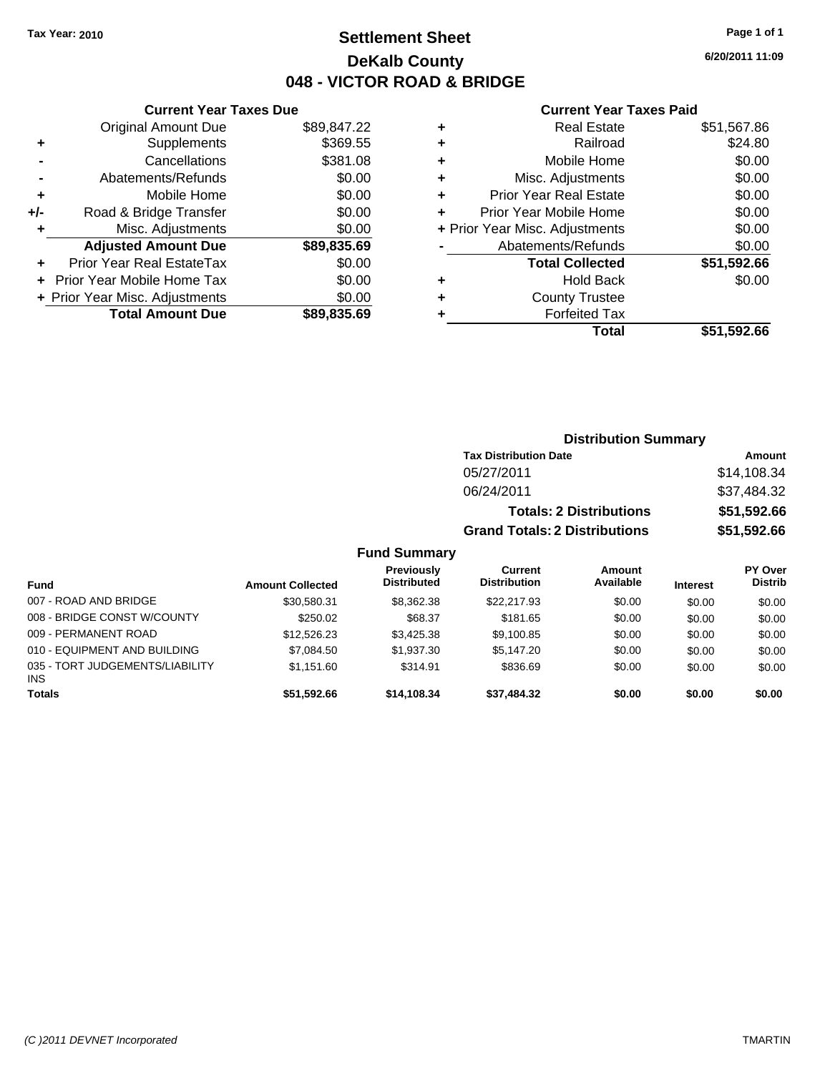# **Settlement Sheet Tax Year: 2010 Page 1 of 1 DeKalb County 048 - VICTOR ROAD & BRIDGE**

**6/20/2011 11:09**

| Currant Vasr Tavas Dua |  |  |  |
|------------------------|--|--|--|

|       | <b>Original Amount Due</b>     | \$89,847.22 |
|-------|--------------------------------|-------------|
| ٠     | Supplements                    | \$369.55    |
|       | Cancellations                  | \$381.08    |
|       | Abatements/Refunds             | \$0.00      |
| ٠     | Mobile Home                    | \$0.00      |
| $+/-$ | Road & Bridge Transfer         | \$0.00      |
| ٠     | Misc. Adjustments              | \$0.00      |
|       | <b>Adjusted Amount Due</b>     | \$89,835.69 |
|       | Prior Year Real EstateTax      | \$0.00      |
|       | Prior Year Mobile Home Tax     | \$0.00      |
|       | + Prior Year Misc. Adjustments | \$0.00      |
|       | <b>Total Amount Due</b>        | \$89,835.69 |
|       |                                |             |

#### **Current Year Taxes Paid**

|   | Total                          | \$51,592.66 |
|---|--------------------------------|-------------|
|   | <b>Forfeited Tax</b>           |             |
| ٠ | <b>County Trustee</b>          |             |
| ٠ | Hold Back                      | \$0.00      |
|   | <b>Total Collected</b>         | \$51,592.66 |
|   | Abatements/Refunds             | \$0.00      |
|   | + Prior Year Misc. Adjustments | \$0.00      |
|   | Prior Year Mobile Home         | \$0.00      |
| ٠ | <b>Prior Year Real Estate</b>  | \$0.00      |
| ٠ | Misc. Adjustments              | \$0.00      |
| ٠ | Mobile Home                    | \$0.00      |
| ٠ | Railroad                       | \$24.80     |
|   | <b>Real Estate</b>             | \$51,567.86 |

#### **Distribution Summary Tax Distribution Date Amount** 05/27/2011 \$14,108.34 06/24/2011 \$37,484.32 **Totals: 2 Distributions \$51,592.66 Grand Totals: 2 Distributions \$51,592.66 Fund Summary Fund Interest Amount Collected Distributed PY Over Distrib Amount Available Current Distribution Previously** 007 - ROAD AND BRIDGE \$30,580.31 \$8,362.38 \$22,217.93 \$0.00 \$0.00 \$0.00 008 - BRIDGE CONST W/COUNTY  $$250.02$   $$68.37$   $$181.65$   $$0.00$   $$0.00$   $$0.00$ 009 - PERMANENT ROAD \$12,526.23 \$3,425.38 \$0.00 \$0.00 \$0.00 \$0.00 010 - EQUIPMENT AND BUILDING \$7,084.50 \$1,937.30 \$5,147.20 \$0.00 \$0.00 \$0.00 \$0.00 035 - TORT JUDGEMENTS/LIABILITY \$1,151.60 \$314.91 \$836.69 \$0.00 \$0.00 \$0.00

**Totals \$51,592.66 \$14,108.34 \$37,484.32 \$0.00 \$0.00 \$0.00**

INS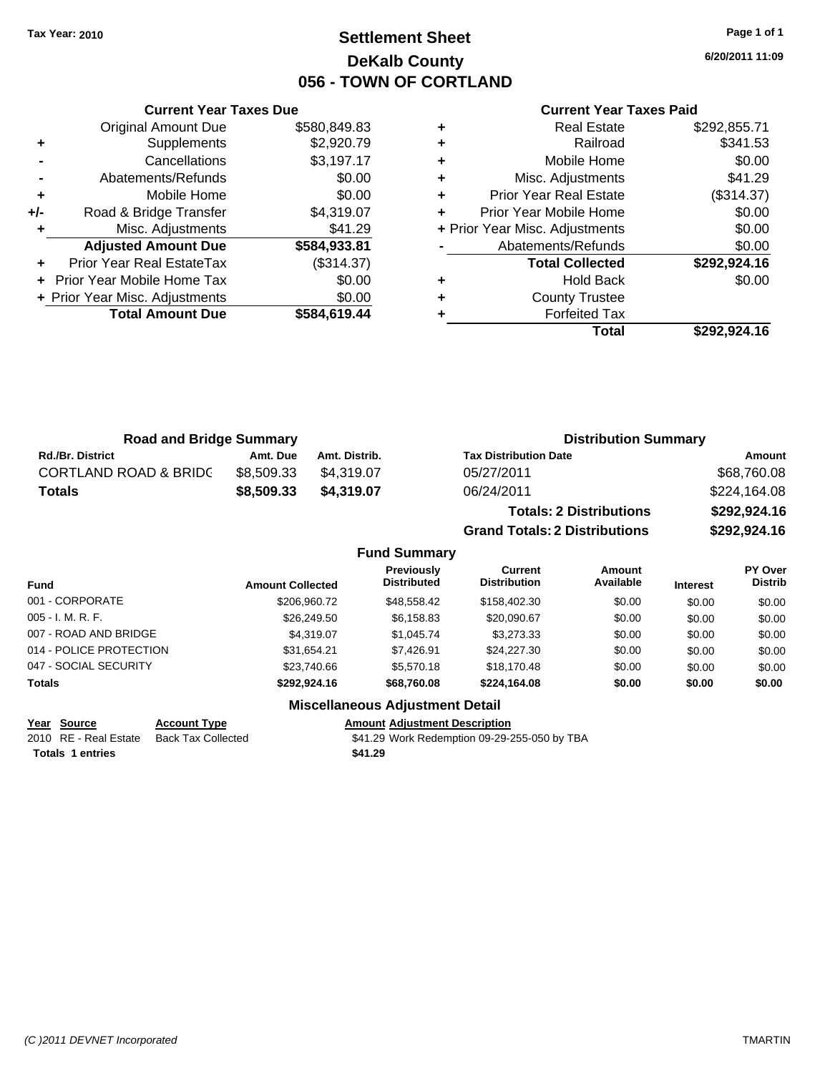# **Settlement Sheet Tax Year: 2010 Page 1 of 1 DeKalb County 056 - TOWN OF CORTLAND**

**6/20/2011 11:09**

#### **Current Year Taxes Paid**

| <b>Road and Bridge Summary</b>   |            |               | <b>Distribution Summary</b>  |              |  |
|----------------------------------|------------|---------------|------------------------------|--------------|--|
| <b>Rd./Br. District</b>          | Amt. Due   | Amt. Distrib. | <b>Tax Distribution Date</b> | Amount       |  |
| <b>CORTLAND ROAD &amp; BRIDC</b> | \$8.509.33 | \$4.319.07    | 05/27/2011                   | \$68,760.08  |  |
| <b>Totals</b>                    | \$8,509.33 | \$4.319.07    | 06/24/2011                   | \$224,164.08 |  |
|                                  |            |               | Tatala: 0 Diateibutiana      | 0.0000000000 |  |

**Totals: 2 Distributions \$292,924.16 Grand Totals: 2 Distributions \$292,924.16**

#### **Fund Summary**

| <b>Fund</b>             | <b>Amount Collected</b> | <b>Previously</b><br><b>Distributed</b> | Current<br><b>Distribution</b> | Amount<br>Available | <b>Interest</b> | <b>PY Over</b><br><b>Distrib</b> |
|-------------------------|-------------------------|-----------------------------------------|--------------------------------|---------------------|-----------------|----------------------------------|
| 001 - CORPORATE         | \$206,960.72            | \$48.558.42                             | \$158,402.30                   | \$0.00              | \$0.00          | \$0.00                           |
| 005 - I. M. R. F.       | \$26,249.50             | \$6,158.83                              | \$20,090.67                    | \$0.00              | \$0.00          | \$0.00                           |
| 007 - ROAD AND BRIDGE   | \$4,319.07              | \$1.045.74                              | \$3,273.33                     | \$0.00              | \$0.00          | \$0.00                           |
| 014 - POLICE PROTECTION | \$31.654.21             | \$7.426.91                              | \$24,227,30                    | \$0.00              | \$0.00          | \$0.00                           |
| 047 - SOCIAL SECURITY   | \$23,740.66             | \$5.570.18                              | \$18,170.48                    | \$0.00              | \$0.00          | \$0.00                           |
| Totals                  | \$292,924.16            | \$68,760,08                             | \$224.164.08                   | \$0.00              | \$0.00          | \$0.00                           |

#### **Miscellaneous Adjustment Detail**

**Year Source Account Type Amount Adjustment Description**

**Totals 1 entries** \$41.29

**Current Year Taxes Due** Original Amount Due \$580,849.83

**+** Supplements \$2,920.79 **-** Cancellations \$3,197.17 **-** Abatements/Refunds \$0.00 **+** Mobile Home \$0.00 **+/-** Road & Bridge Transfer \$4,319.07 **+** Misc. Adjustments \$41.29 **Adjusted Amount Due \$584,933.81**

**+** Prior Year Real EstateTax (\$314.37) **+** Prior Year Mobile Home Tax \$0.00 **+ Prior Year Misc. Adjustments**  $$0.00$ 

**Total Amount Due \$584,619.44**

2010 RE - Real Estate Back Tax Collected \$41.29 Work Redemption 09-29-255-050 by TBA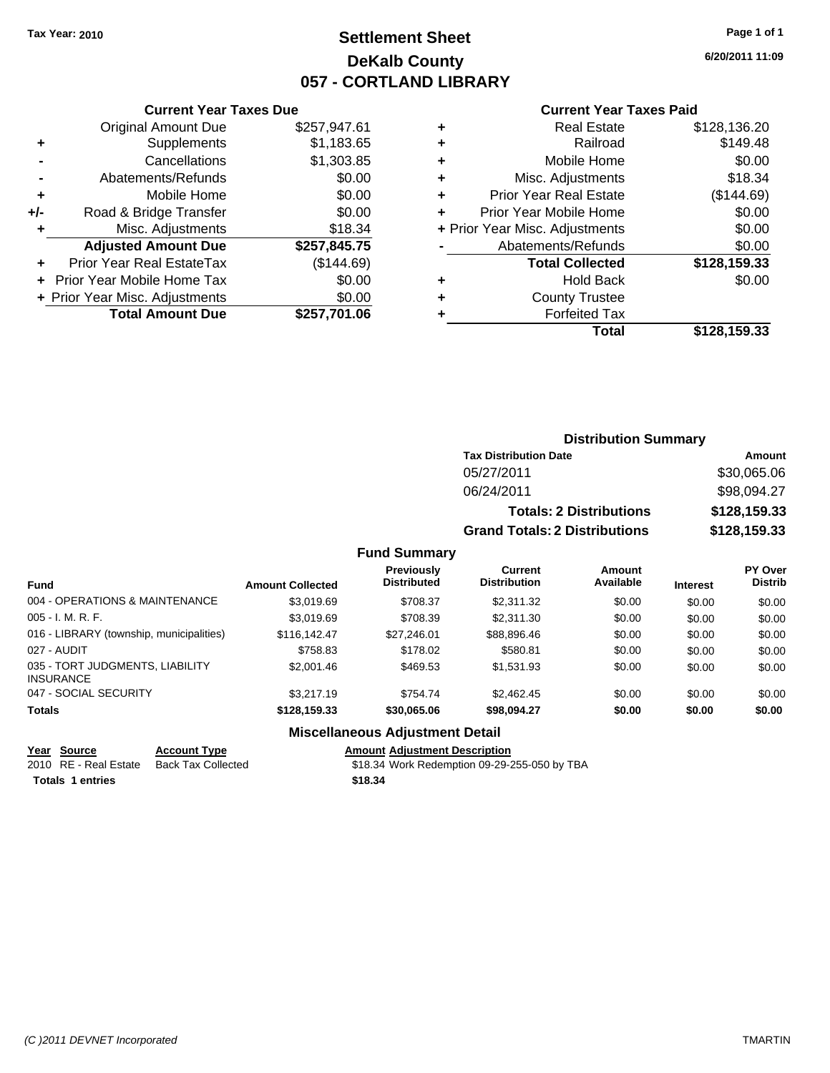# **Settlement Sheet Tax Year: 2010 Page 1 of 1 DeKalb County 057 - CORTLAND LIBRARY**

**6/20/2011 11:09**

#### **Current Year Taxes Paid**

|     | OUITCHL TCUL TUACS DUC         |              |
|-----|--------------------------------|--------------|
|     | <b>Original Amount Due</b>     | \$257,947.61 |
| ٠   | Supplements                    | \$1,183.65   |
|     | Cancellations                  | \$1,303.85   |
|     | Abatements/Refunds             | \$0.00       |
| ٠   | Mobile Home                    | \$0.00       |
| +/- | Road & Bridge Transfer         | \$0.00       |
| ٠   | Misc. Adjustments              | \$18.34      |
|     | <b>Adjusted Amount Due</b>     | \$257,845.75 |
| ٠   | Prior Year Real EstateTax      | (\$144.69)   |
|     | Prior Year Mobile Home Tax     | \$0.00       |
|     | + Prior Year Misc. Adjustments | \$0.00       |
|     | <b>Total Amount Due</b>        | \$257,701.06 |
|     |                                |              |

**Current Year Taxes Due**

|   | <b>Real Estate</b>             | \$128,136.20 |
|---|--------------------------------|--------------|
| ٠ | Railroad                       | \$149.48     |
| ٠ | Mobile Home                    | \$0.00       |
| ٠ | Misc. Adjustments              | \$18.34      |
| ٠ | <b>Prior Year Real Estate</b>  | (\$144.69)   |
| ÷ | Prior Year Mobile Home         | \$0.00       |
|   | + Prior Year Misc. Adjustments | \$0.00       |
|   | Abatements/Refunds             | \$0.00       |
|   | <b>Total Collected</b>         | \$128,159.33 |
| ٠ | <b>Hold Back</b>               | \$0.00       |
| ٠ | <b>County Trustee</b>          |              |
| ٠ | <b>Forfeited Tax</b>           |              |
|   | Total                          | \$128,159.33 |
|   |                                |              |

### **Distribution Summary Tax Distribution Date Amount** 05/27/2011 \$30,065.06 06/24/2011 \$98,094.27 **Totals: 2 Distributions \$128,159.33 Grand Totals: 2 Distributions \$128,159.33**

#### **Fund Summary**

| <b>Fund</b>                                         | <b>Amount Collected</b> | Previously<br><b>Distributed</b> | Current<br><b>Distribution</b> | <b>Amount</b><br>Available | <b>Interest</b> | PY Over<br><b>Distrib</b> |
|-----------------------------------------------------|-------------------------|----------------------------------|--------------------------------|----------------------------|-----------------|---------------------------|
| 004 - OPERATIONS & MAINTENANCE                      | \$3.019.69              | \$708.37                         | \$2,311,32                     | \$0.00                     | \$0.00          | \$0.00                    |
| $005 - I. M. R. F.$                                 | \$3.019.69              | \$708.39                         | \$2,311,30                     | \$0.00                     | \$0.00          | \$0.00                    |
| 016 - LIBRARY (township, municipalities)            | \$116.142.47            | \$27,246.01                      | \$88,896.46                    | \$0.00                     | \$0.00          | \$0.00                    |
| 027 - AUDIT                                         | \$758.83                | \$178.02                         | \$580.81                       | \$0.00                     | \$0.00          | \$0.00                    |
| 035 - TORT JUDGMENTS, LIABILITY<br><b>INSURANCE</b> | \$2,001.46              | \$469.53                         | \$1,531.93                     | \$0.00                     | \$0.00          | \$0.00                    |
| 047 - SOCIAL SECURITY                               | \$3,217.19              | \$754.74                         | \$2.462.45                     | \$0.00                     | \$0.00          | \$0.00                    |
| <b>Totals</b>                                       | \$128,159.33            | \$30,065.06                      | \$98,094.27                    | \$0.00                     | \$0.00          | \$0.00                    |

### **Miscellaneous Adjustment Detail**

#### **Year Source Account Type Amount Adjustment Description**

**Totals \$18.34 1 entries**

2010 RE - Real Estate Back Tax Collected \$18.34 Work Redemption 09-29-255-050 by TBA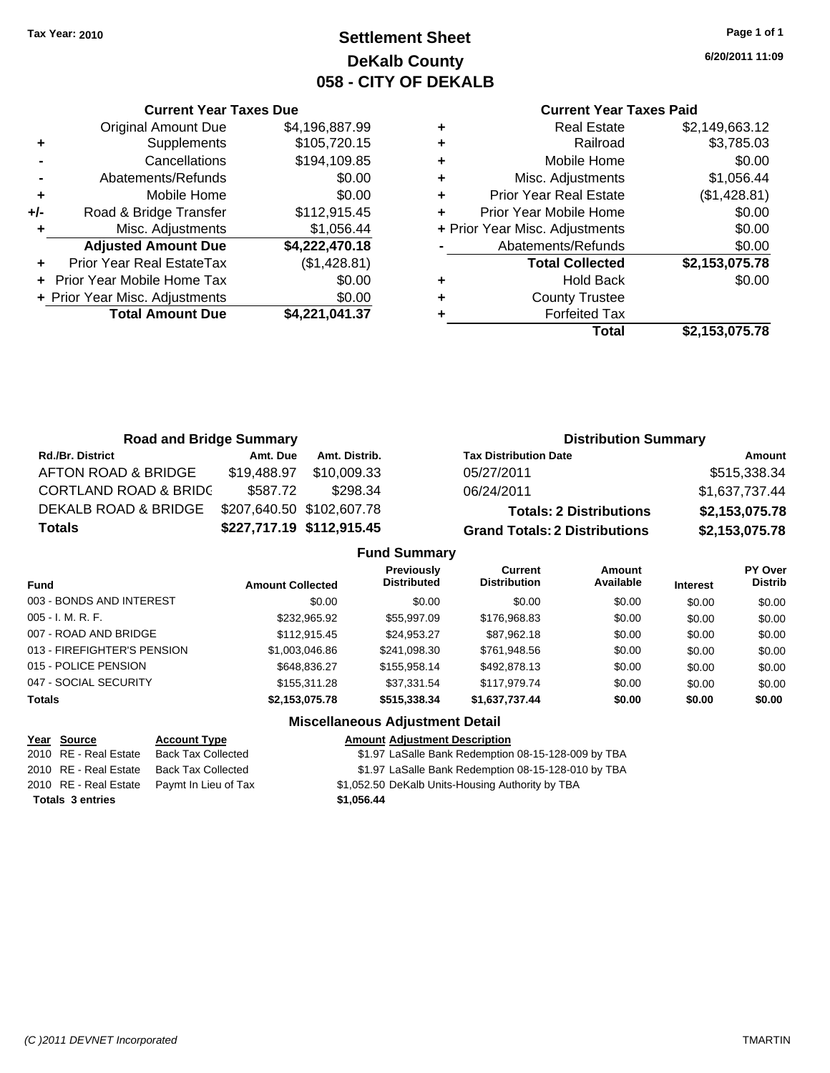# **Settlement Sheet Tax Year: 2010 Page 1 of 1 DeKalb County 058 - CITY OF DEKALB**

**6/20/2011 11:09**

### **Current Year Taxes Paid**

|     | <b>Current Year Taxes Due</b>  |                |  |  |  |
|-----|--------------------------------|----------------|--|--|--|
|     | <b>Original Amount Due</b>     | \$4,196,887.99 |  |  |  |
| ٠   | Supplements                    | \$105,720.15   |  |  |  |
|     | Cancellations                  | \$194,109.85   |  |  |  |
|     | Abatements/Refunds             | \$0.00         |  |  |  |
| ٠   | Mobile Home                    | \$0.00         |  |  |  |
| +/- | Road & Bridge Transfer         | \$112,915.45   |  |  |  |
| ٠   | Misc. Adjustments              | \$1,056.44     |  |  |  |
|     | <b>Adjusted Amount Due</b>     | \$4,222,470.18 |  |  |  |
|     | Prior Year Real EstateTax      | (\$1,428.81)   |  |  |  |
|     | Prior Year Mobile Home Tax     | \$0.00         |  |  |  |
|     | + Prior Year Misc. Adjustments | \$0.00         |  |  |  |
|     | <b>Total Amount Due</b>        | \$4,221,041.37 |  |  |  |
|     |                                |                |  |  |  |

| <b>Real Estate</b>             | \$2,149,663.12 |
|--------------------------------|----------------|
| Railroad                       | \$3,785.03     |
| Mobile Home                    | \$0.00         |
| Misc. Adjustments              | \$1,056.44     |
| <b>Prior Year Real Estate</b>  | (\$1,428.81)   |
| Prior Year Mobile Home         | \$0.00         |
| + Prior Year Misc. Adjustments | \$0.00         |
| Abatements/Refunds             | \$0.00         |
| <b>Total Collected</b>         | \$2,153,075.78 |
| <b>Hold Back</b>               | \$0.00         |
| <b>County Trustee</b>          |                |
| <b>Forfeited Tax</b>           |                |
| Total                          | \$2.153.075.78 |
|                                |                |

| <b>Road and Bridge Summary</b>   |             |                           | <b>Distribution Summary</b>          |                |  |
|----------------------------------|-------------|---------------------------|--------------------------------------|----------------|--|
| <b>Rd./Br. District</b>          | Amt. Due    | Amt. Distrib.             | <b>Tax Distribution Date</b>         | Amount         |  |
| AFTON ROAD & BRIDGE              | \$19,488.97 | \$10.009.33               | 05/27/2011                           | \$515,338.34   |  |
| <b>CORTLAND ROAD &amp; BRIDC</b> | \$587.72    | \$298.34                  | 06/24/2011                           | \$1,637,737.44 |  |
| <b>DEKALB ROAD &amp; BRIDGE</b>  |             | \$207,640.50 \$102,607.78 | <b>Totals: 2 Distributions</b>       | \$2,153,075.78 |  |
| <b>Totals</b>                    |             | \$227,717.19 \$112,915.45 | <b>Grand Totals: 2 Distributions</b> | \$2,153,075.78 |  |

| <b>Fund</b>                 | <b>Amount Collected</b> | <b>Previously</b><br><b>Distributed</b> | Current<br><b>Distribution</b> | Amount<br>Available | <b>Interest</b> | <b>PY Over</b><br><b>Distrib</b> |
|-----------------------------|-------------------------|-----------------------------------------|--------------------------------|---------------------|-----------------|----------------------------------|
| 003 - BONDS AND INTEREST    | \$0.00                  | \$0.00                                  | \$0.00                         | \$0.00              | \$0.00          | \$0.00                           |
| $005 - I. M. R. F.$         | \$232,965.92            | \$55,997.09                             | \$176,968,83                   | \$0.00              | \$0.00          | \$0.00                           |
| 007 - ROAD AND BRIDGE       | \$112.915.45            | \$24.953.27                             | \$87,962.18                    | \$0.00              | \$0.00          | \$0.00                           |
| 013 - FIREFIGHTER'S PENSION | \$1,003,046.86          | \$241.098.30                            | \$761,948.56                   | \$0.00              | \$0.00          | \$0.00                           |
| 015 - POLICE PENSION        | \$648.836.27            | \$155,958.14                            | \$492,878.13                   | \$0.00              | \$0.00          | \$0.00                           |
| 047 - SOCIAL SECURITY       | \$155.311.28            | \$37.331.54                             | \$117.979.74                   | \$0.00              | \$0.00          | \$0.00                           |
| <b>Totals</b>               | \$2,153,075.78          | \$515,338.34                            | \$1,637,737.44                 | \$0.00              | \$0.00          | \$0.00                           |

| Year Source |                         | <b>Account Type</b>                        | <b>Amount Adjustment Description</b>                |
|-------------|-------------------------|--------------------------------------------|-----------------------------------------------------|
|             | 2010 RE - Real Estate   | <b>Back Tax Collected</b>                  | \$1.97 LaSalle Bank Redemption 08-15-128-009 by TBA |
|             | 2010 RE - Real Estate   | Back Tax Collected                         | \$1.97 LaSalle Bank Redemption 08-15-128-010 by TBA |
|             |                         | 2010 RE - Real Estate Paymt In Lieu of Tax | \$1,052.50 DeKalb Units-Housing Authority by TBA    |
|             | <b>Totals 3 entries</b> |                                            | \$1.056.44                                          |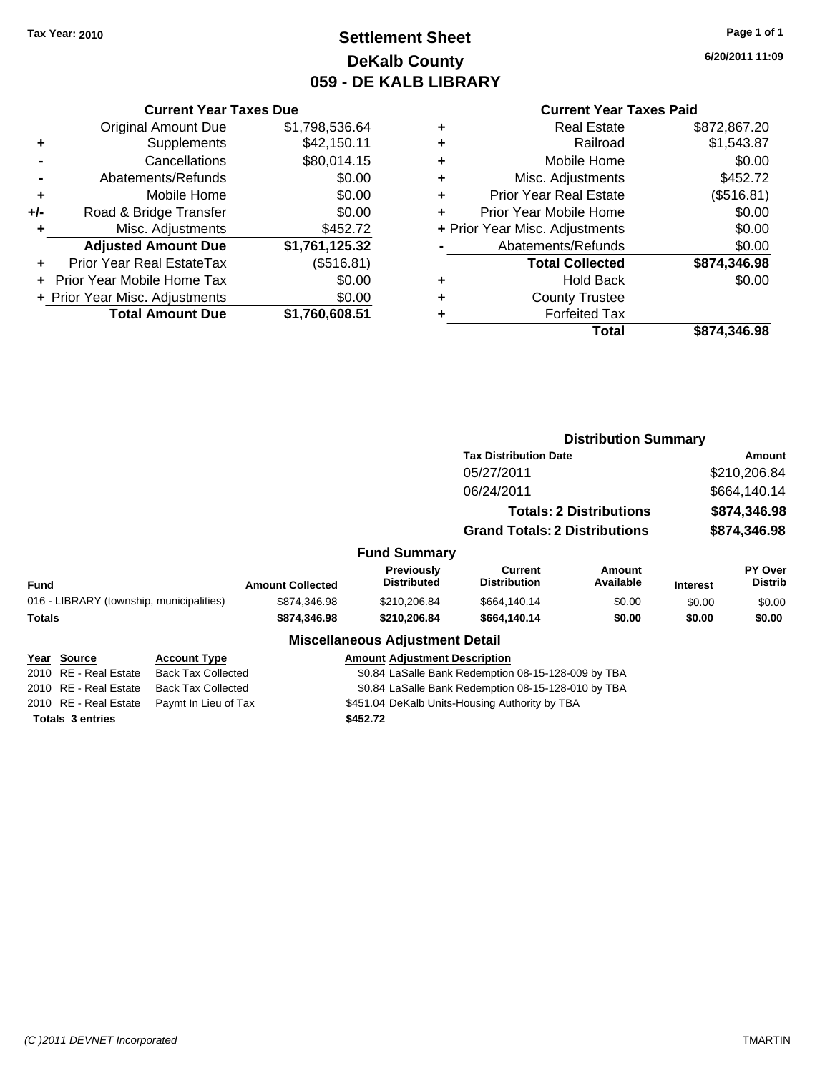# **Settlement Sheet Tax Year: 2010 Page 1 of 1 DeKalb County 059 - DE KALB LIBRARY**

**6/20/2011 11:09**

### **Current Year Taxes Paid**

|     | <b>Current Year Taxes Due</b>  |                |
|-----|--------------------------------|----------------|
|     | <b>Original Amount Due</b>     | \$1,798,536.64 |
| ٠   | Supplements                    | \$42,150.11    |
|     | Cancellations                  | \$80,014.15    |
|     | Abatements/Refunds             | \$0.00         |
| ٠   | Mobile Home                    | \$0.00         |
| +/- | Road & Bridge Transfer         | \$0.00         |
| ٠   | Misc. Adjustments              | \$452.72       |
|     | <b>Adjusted Amount Due</b>     | \$1,761,125.32 |
| ٠   | Prior Year Real EstateTax      | (\$516.81)     |
|     | Prior Year Mobile Home Tax     | \$0.00         |
|     | + Prior Year Misc. Adjustments | \$0.00         |
|     | <b>Total Amount Due</b>        | \$1,760,608.51 |

| ٠ | <b>Real Estate</b>             | \$872,867.20 |
|---|--------------------------------|--------------|
|   | Railroad                       | \$1,543.87   |
| ٠ | Mobile Home                    | \$0.00       |
| ٠ | Misc. Adjustments              | \$452.72     |
| ٠ | <b>Prior Year Real Estate</b>  | (\$516.81)   |
|   | Prior Year Mobile Home         | \$0.00       |
|   | + Prior Year Misc. Adjustments | \$0.00       |
|   | Abatements/Refunds             | \$0.00       |
|   | <b>Total Collected</b>         | \$874,346.98 |
|   | <b>Hold Back</b>               | \$0.00       |
|   | <b>County Trustee</b>          |              |
|   | <b>Forfeited Tax</b>           |              |
|   | Total                          | \$874,346.98 |
|   |                                |              |

|                                          |                           |                         |                                         | <b>Distribution Summary</b>                         |                                |                 |                           |
|------------------------------------------|---------------------------|-------------------------|-----------------------------------------|-----------------------------------------------------|--------------------------------|-----------------|---------------------------|
|                                          |                           |                         |                                         | <b>Tax Distribution Date</b>                        |                                | Amount          |                           |
|                                          |                           |                         |                                         | 05/27/2011                                          |                                |                 | \$210,206.84              |
|                                          |                           |                         |                                         | 06/24/2011                                          |                                |                 | \$664,140.14              |
|                                          |                           |                         |                                         |                                                     | <b>Totals: 2 Distributions</b> |                 | \$874,346.98              |
|                                          |                           |                         |                                         | <b>Grand Totals: 2 Distributions</b>                |                                |                 | \$874,346.98              |
|                                          |                           |                         | <b>Fund Summary</b>                     |                                                     |                                |                 |                           |
| Fund                                     |                           | <b>Amount Collected</b> | <b>Previously</b><br><b>Distributed</b> | <b>Current</b><br><b>Distribution</b>               | <b>Amount</b><br>Available     | <b>Interest</b> | PY Over<br><b>Distrib</b> |
| 016 - LIBRARY (township, municipalities) |                           | \$874,346.98            | \$210,206.84                            | \$664,140.14                                        | \$0.00                         | \$0.00          | \$0.00                    |
| Totals                                   |                           | \$874,346.98            | \$210,206.84                            | \$664,140.14                                        | \$0.00                         | \$0.00          | \$0.00                    |
|                                          |                           |                         | <b>Miscellaneous Adjustment Detail</b>  |                                                     |                                |                 |                           |
| Year Source                              | <b>Account Type</b>       |                         | <b>Amount Adjustment Description</b>    |                                                     |                                |                 |                           |
| 2010 RE - Real Estate                    | <b>Back Tax Collected</b> |                         |                                         | \$0.84 LaSalle Bank Redemption 08-15-128-009 by TBA |                                |                 |                           |
| 2010 RE - Real Estate                    | <b>Back Tax Collected</b> |                         |                                         | \$0.84 LaSalle Bank Redemption 08-15-128-010 by TBA |                                |                 |                           |
| 2010 RE - Real Estate                    | Paymt In Lieu of Tax      |                         |                                         | \$451.04 DeKalb Units-Housing Authority by TBA      |                                |                 |                           |
| <b>Totals 3 entries</b>                  |                           |                         | \$452.72                                |                                                     |                                |                 |                           |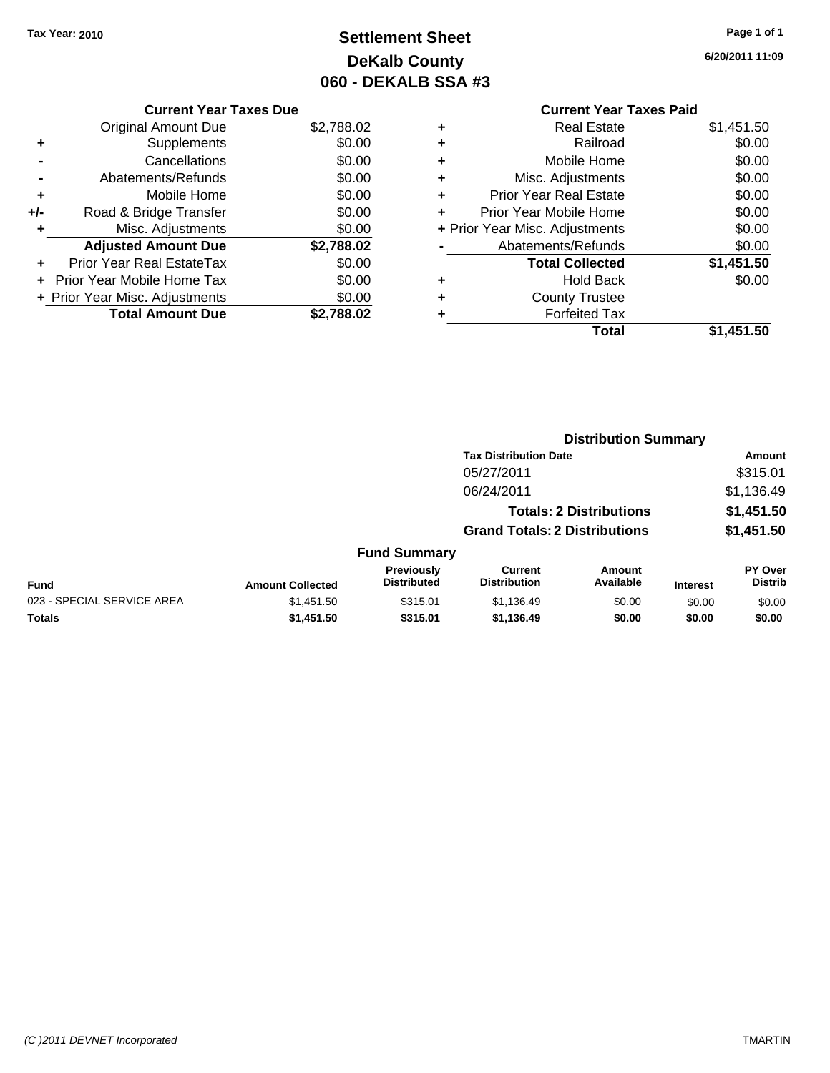# **Settlement Sheet Tax Year: 2010 Page 1 of 1 DeKalb County 060 - DEKALB SSA #3**

**6/20/2011 11:09**

### **Current Year Taxes Due**

|       | <b>Original Amount Due</b>       | \$2,788.02 |
|-------|----------------------------------|------------|
| ٠     | Supplements                      | \$0.00     |
|       | Cancellations                    | \$0.00     |
|       | Abatements/Refunds               | \$0.00     |
| ٠     | Mobile Home                      | \$0.00     |
| $+/-$ | Road & Bridge Transfer           | \$0.00     |
| ٠     | Misc. Adjustments                | \$0.00     |
|       | <b>Adjusted Amount Due</b>       | \$2,788.02 |
|       | <b>Prior Year Real EstateTax</b> | \$0.00     |
|       | Prior Year Mobile Home Tax       | \$0.00     |
|       | + Prior Year Misc. Adjustments   | \$0.00     |
|       | <b>Total Amount Due</b>          | 88.02      |

# **Current Year Taxes Paid**

|   | Real Estate                    | \$1,451.50 |
|---|--------------------------------|------------|
|   | Railroad                       | \$0.00     |
| ٠ | Mobile Home                    | \$0.00     |
| ٠ | Misc. Adjustments              | \$0.00     |
| ٠ | <b>Prior Year Real Estate</b>  | \$0.00     |
|   | Prior Year Mobile Home         | \$0.00     |
|   | + Prior Year Misc. Adjustments | \$0.00     |
|   | Abatements/Refunds             | \$0.00     |
|   | <b>Total Collected</b>         | \$1,451.50 |
| ٠ | <b>Hold Back</b>               | \$0.00     |
|   | <b>County Trustee</b>          |            |
|   | <b>Forfeited Tax</b>           |            |
|   | Total                          | \$1,451.50 |
|   |                                |            |

|                            |                         |                                  |                                       | <b>Distribution Summary</b>    |                 |                                  |
|----------------------------|-------------------------|----------------------------------|---------------------------------------|--------------------------------|-----------------|----------------------------------|
|                            |                         |                                  | <b>Tax Distribution Date</b>          |                                |                 | Amount                           |
|                            |                         |                                  | 05/27/2011                            |                                |                 | \$315.01                         |
|                            |                         |                                  | 06/24/2011                            |                                |                 | \$1,136.49                       |
|                            |                         |                                  |                                       | <b>Totals: 2 Distributions</b> |                 | \$1,451.50                       |
|                            |                         |                                  | <b>Grand Totals: 2 Distributions</b>  |                                |                 | \$1,451.50                       |
|                            |                         | <b>Fund Summary</b>              |                                       |                                |                 |                                  |
| Fund                       | <b>Amount Collected</b> | Previously<br><b>Distributed</b> | <b>Current</b><br><b>Distribution</b> | Amount<br>Available            | <b>Interest</b> | <b>PY Over</b><br><b>Distrib</b> |
| 023 - SPECIAL SERVICE AREA | \$1,451.50              | \$315.01                         | \$1,136.49                            | \$0.00                         | \$0.00          | \$0.00                           |
| Totals                     | \$1,451.50              | \$315.01                         | \$1,136.49                            | \$0.00                         | \$0.00          | \$0.00                           |
|                            |                         |                                  |                                       |                                |                 |                                  |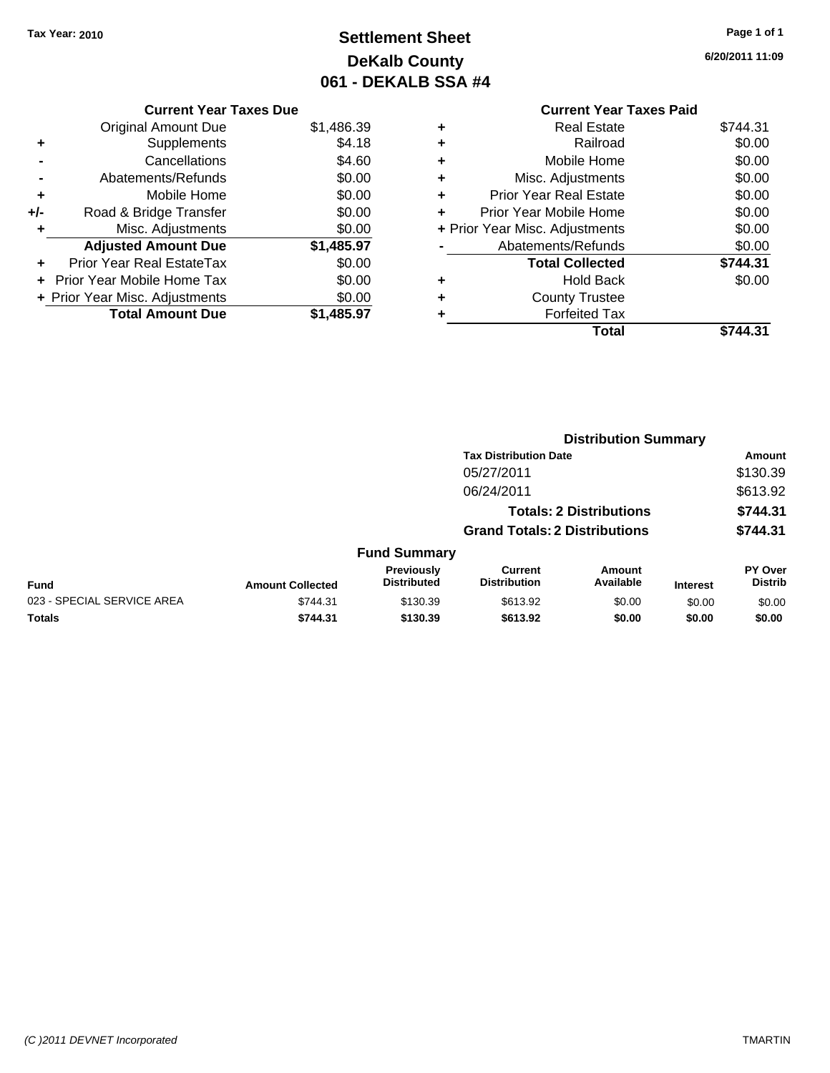# **Settlement Sheet Tax Year: 2010 Page 1 of 1 DeKalb County 061 - DEKALB SSA #4**

**6/20/2011 11:09**

### **Current Year Taxes Paid +** Real Estate \$744.31 **+** Railroad \$0.00 **+** Mobile Home \$0.00 **+** Misc. Adjustments \$0.00 **+** Prior Year Real Estate \$0.00 **+** Prior Year Mobile Home \$0.00 **+ Prior Year Misc. Adjustments**  $$0.00$ **-** Abatements/Refunds \$0.00 **Total Collected \$744.31 +** Hold Back \$0.00 **+** County Trustee **+** Forfeited Tax **Total \$744.31**

**Distribution Summary**

|                            |                         |                                         | <b>PISUIMUUTI VUIIIIIIUI V</b>        |                                |                 |                                  |
|----------------------------|-------------------------|-----------------------------------------|---------------------------------------|--------------------------------|-----------------|----------------------------------|
|                            |                         |                                         | <b>Tax Distribution Date</b>          |                                |                 | Amount                           |
|                            |                         |                                         | 05/27/2011                            |                                |                 | \$130.39                         |
|                            |                         |                                         | 06/24/2011                            |                                |                 | \$613.92                         |
|                            |                         |                                         |                                       | <b>Totals: 2 Distributions</b> |                 | \$744.31                         |
|                            |                         |                                         | <b>Grand Totals: 2 Distributions</b>  |                                |                 | \$744.31                         |
|                            |                         | <b>Fund Summary</b>                     |                                       |                                |                 |                                  |
| <b>Fund</b>                | <b>Amount Collected</b> | <b>Previously</b><br><b>Distributed</b> | <b>Current</b><br><b>Distribution</b> | <b>Amount</b><br>Available     | <b>Interest</b> | <b>PY Over</b><br><b>Distrib</b> |
| 023 - SPECIAL SERVICE AREA | \$744.31                | \$130.39                                | \$613.92                              | \$0.00                         | \$0.00          | \$0.00                           |
| Totals                     | \$744.31                | \$130.39                                | \$613.92                              | \$0.00                         | \$0.00          | \$0.00                           |

### **Current Year Taxes Due**

|     | <b>Original Amount Due</b>     | \$1,486.39 |
|-----|--------------------------------|------------|
| ٠   | Supplements                    | \$4.18     |
|     | Cancellations                  | \$4.60     |
|     | Abatements/Refunds             | \$0.00     |
| ٠   | Mobile Home                    | \$0.00     |
| +/- | Road & Bridge Transfer         | \$0.00     |
| ٠   | Misc. Adjustments              | \$0.00     |
|     |                                |            |
|     | <b>Adjusted Amount Due</b>     | \$1,485.97 |
|     | Prior Year Real EstateTax      | \$0.00     |
|     | Prior Year Mobile Home Tax     | \$0.00     |
|     | + Prior Year Misc. Adjustments | \$0.00     |
|     | <b>Total Amount Due</b>        | \$1,485.97 |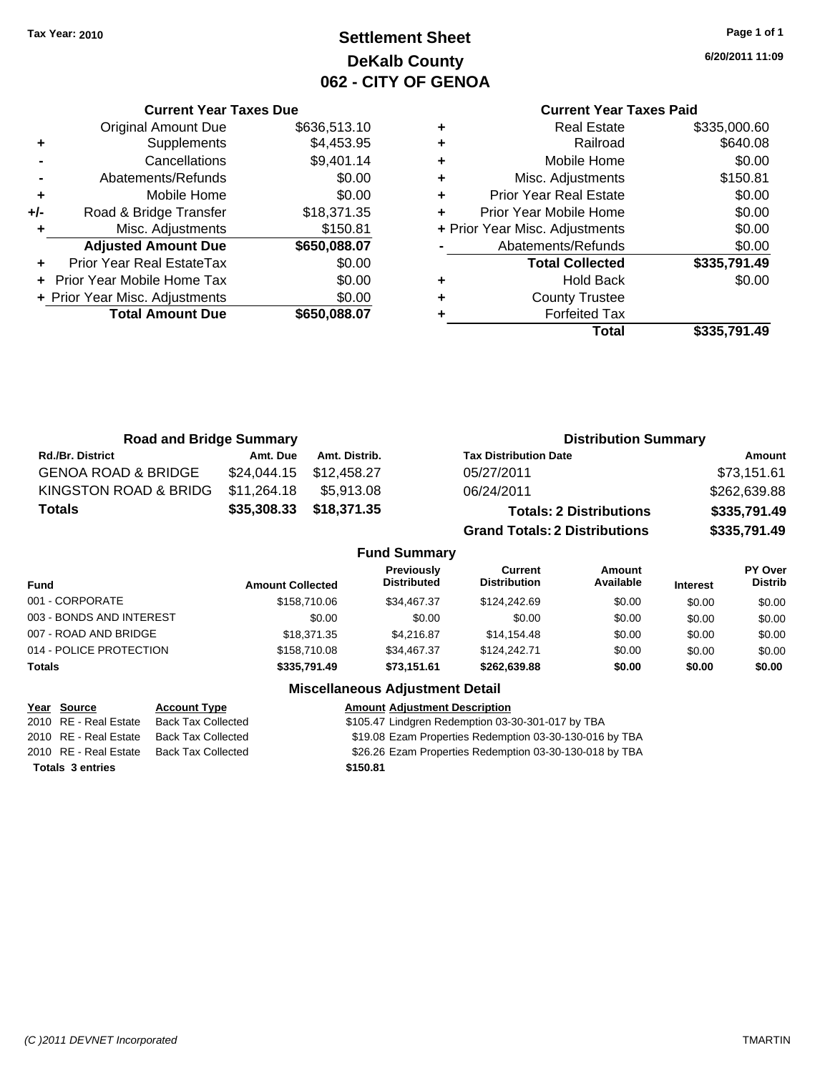# **Settlement Sheet Tax Year: 2010 Page 1 of 1 DeKalb County 062 - CITY OF GENOA**

**6/20/2011 11:09**

### **Current Year Taxes Paid**

|     | <b>Current Year Taxes Due</b>     |              |
|-----|-----------------------------------|--------------|
|     | <b>Original Amount Due</b>        | \$636,513.10 |
| ٠   | Supplements                       | \$4,453.95   |
|     | Cancellations                     | \$9,401.14   |
|     | Abatements/Refunds                | \$0.00       |
| ٠   | Mobile Home                       | \$0.00       |
| +/- | Road & Bridge Transfer            | \$18,371.35  |
| ٠   | Misc. Adjustments                 | \$150.81     |
|     | <b>Adjusted Amount Due</b>        | \$650,088.07 |
| ٠   | <b>Prior Year Real EstateTax</b>  | \$0.00       |
|     | <b>Prior Year Mobile Home Tax</b> | \$0.00       |
|     | + Prior Year Misc. Adjustments    | \$0.00       |
|     | <b>Total Amount Due</b>           | \$650,088.07 |
|     |                                   |              |

| <b>Real Estate</b>             | \$335,000.60 |
|--------------------------------|--------------|
| Railroad                       | \$640.08     |
| Mobile Home                    | \$0.00       |
| Misc. Adjustments              | \$150.81     |
| <b>Prior Year Real Estate</b>  | \$0.00       |
| Prior Year Mobile Home         | \$0.00       |
| + Prior Year Misc. Adjustments | \$0.00       |
| Abatements/Refunds             | \$0.00       |
| <b>Total Collected</b>         | \$335,791.49 |
| <b>Hold Back</b>               | \$0.00       |
| <b>County Trustee</b>          |              |
| <b>Forfeited Tax</b>           |              |
| Total                          | \$335,791.49 |
|                                |              |

| <b>Road and Bridge Summary</b> |             |                         | <b>Distribution Summary</b>          |              |  |
|--------------------------------|-------------|-------------------------|--------------------------------------|--------------|--|
| <b>Rd./Br. District</b>        | Amt. Due    | Amt. Distrib.           | <b>Tax Distribution Date</b>         | Amount       |  |
| <b>GENOA ROAD &amp; BRIDGE</b> |             | \$24,044.15 \$12,458.27 | 05/27/2011                           | \$73,151.61  |  |
| KINGSTON ROAD & BRIDG          | \$11,264.18 | \$5.913.08              | 06/24/2011                           | \$262,639.88 |  |
| <b>Totals</b>                  |             | \$35,308.33 \$18,371.35 | <b>Totals: 2 Distributions</b>       | \$335,791.49 |  |
|                                |             |                         | <b>Grand Totals: 2 Distributions</b> | \$335,791.49 |  |

### **Fund Summary**

| Fund                     | <b>Amount Collected</b> | <b>Previously</b><br><b>Distributed</b> | Current<br><b>Distribution</b> | Amount<br>Available | <b>Interest</b> | PY Over<br><b>Distrib</b> |
|--------------------------|-------------------------|-----------------------------------------|--------------------------------|---------------------|-----------------|---------------------------|
| 001 - CORPORATE          | \$158,710.06            | \$34.467.37                             | \$124,242,69                   | \$0.00              | \$0.00          | \$0.00                    |
| 003 - BONDS AND INTEREST | \$0.00                  | \$0.00                                  | \$0.00                         | \$0.00              | \$0.00          | \$0.00                    |
| 007 - ROAD AND BRIDGE    | \$18,371,35             | \$4.216.87                              | \$14,154.48                    | \$0.00              | \$0.00          | \$0.00                    |
| 014 - POLICE PROTECTION  | \$158,710.08            | \$34,467.37                             | \$124,242.71                   | \$0.00              | \$0.00          | \$0.00                    |
| <b>Totals</b>            | \$335,791.49            | \$73,151.61                             | \$262,639,88                   | \$0.00              | \$0.00          | \$0.00                    |

| Year Source             | <b>Account Type</b>       | <b>Amount Adjustment Description</b>                    |
|-------------------------|---------------------------|---------------------------------------------------------|
| 2010 RE - Real Estate   | <b>Back Tax Collected</b> | \$105.47 Lindgren Redemption 03-30-301-017 by TBA       |
| 2010 RE - Real Estate   | <b>Back Tax Collected</b> | \$19.08 Ezam Properties Redemption 03-30-130-016 by TBA |
| 2010 RE - Real Estate   | Back Tax Collected        | \$26.26 Ezam Properties Redemption 03-30-130-018 by TBA |
| <b>Totals 3 entries</b> |                           | \$150.81                                                |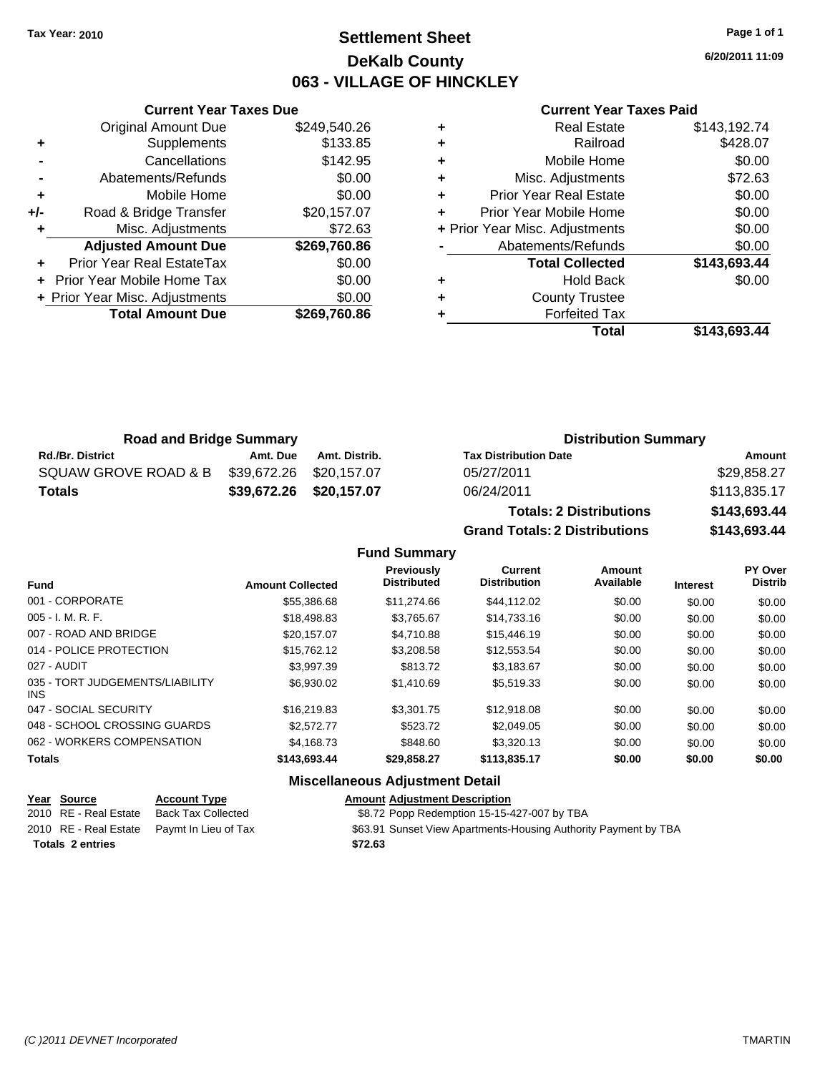# **Settlement Sheet Tax Year: 2010 Page 1 of 1 DeKalb County 063 - VILLAGE OF HINCKLEY**

**6/20/2011 11:09**

#### **Current Year Taxes Paid**

|       | <b>Current Year Taxes Due</b>     |              |  |  |  |  |  |  |
|-------|-----------------------------------|--------------|--|--|--|--|--|--|
|       | <b>Original Amount Due</b>        | \$249,540.26 |  |  |  |  |  |  |
| ٠     | Supplements                       | \$133.85     |  |  |  |  |  |  |
|       | Cancellations                     | \$142.95     |  |  |  |  |  |  |
|       | Abatements/Refunds                | \$0.00       |  |  |  |  |  |  |
| ٠     | Mobile Home                       | \$0.00       |  |  |  |  |  |  |
| $+/-$ | Road & Bridge Transfer            | \$20,157.07  |  |  |  |  |  |  |
|       | Misc. Adjustments                 | \$72.63      |  |  |  |  |  |  |
|       | <b>Adjusted Amount Due</b>        | \$269,760.86 |  |  |  |  |  |  |
|       | <b>Prior Year Real EstateTax</b>  | \$0.00       |  |  |  |  |  |  |
|       | <b>Prior Year Mobile Home Tax</b> | \$0.00       |  |  |  |  |  |  |
|       | + Prior Year Misc. Adjustments    | \$0.00       |  |  |  |  |  |  |
|       | <b>Total Amount Due</b>           | \$269.760.86 |  |  |  |  |  |  |
|       |                                   |              |  |  |  |  |  |  |

|   | <b>Real Estate</b>             | \$143,192.74 |
|---|--------------------------------|--------------|
| ٠ | Railroad                       | \$428.07     |
| ٠ | Mobile Home                    | \$0.00       |
| ٠ | Misc. Adjustments              | \$72.63      |
| ÷ | <b>Prior Year Real Estate</b>  | \$0.00       |
| ٠ | Prior Year Mobile Home         | \$0.00       |
|   | + Prior Year Misc. Adjustments | \$0.00       |
|   | Abatements/Refunds             | \$0.00       |
|   | <b>Total Collected</b>         | \$143,693.44 |
| ٠ | <b>Hold Back</b>               | \$0.00       |
| ٠ | <b>County Trustee</b>          |              |
|   | <b>Forfeited Tax</b>           |              |
|   | Total                          | \$143.693.44 |

| <b>Road and Bridge Summary</b> |                         |               | <b>Distribution Summary</b>  |              |  |
|--------------------------------|-------------------------|---------------|------------------------------|--------------|--|
| <b>Rd./Br. District</b>        | Amt. Due                | Amt. Distrib. | <b>Tax Distribution Date</b> | Amount       |  |
| SQUAW GROVE ROAD & B           | \$39,672.26 \$20,157.07 |               | 05/27/2011                   | \$29.858.27  |  |
| <b>Totals</b>                  | \$39,672.26 \$20,157.07 |               | 06/24/2011                   | \$113,835.17 |  |

**Totals: 2 Distributions \$143,693.44 Grand Totals: 2 Distributions \$143,693.44 Fund Summary**

| <b>Fund</b>                             | <b>Amount Collected</b> | <b>Previously</b><br><b>Distributed</b> | Current<br><b>Distribution</b> | Amount<br>Available | <b>Interest</b> | PY Over<br><b>Distrib</b> |
|-----------------------------------------|-------------------------|-----------------------------------------|--------------------------------|---------------------|-----------------|---------------------------|
| 001 - CORPORATE                         | \$55,386.68             | \$11,274.66                             | \$44.112.02                    | \$0.00              | \$0.00          | \$0.00                    |
| $005 - I. M. R. F.$                     | \$18,498.83             | \$3,765.67                              | \$14,733.16                    | \$0.00              | \$0.00          | \$0.00                    |
| 007 - ROAD AND BRIDGE                   | \$20.157.07             | \$4.710.88                              | \$15,446.19                    | \$0.00              | \$0.00          | \$0.00                    |
| 014 - POLICE PROTECTION                 | \$15,762.12             | \$3,208.58                              | \$12,553.54                    | \$0.00              | \$0.00          | \$0.00                    |
| 027 - AUDIT                             | \$3.997.39              | \$813.72                                | \$3,183.67                     | \$0.00              | \$0.00          | \$0.00                    |
| 035 - TORT JUDGEMENTS/LIABILITY<br>INS. | \$6.930.02              | \$1,410.69                              | \$5,519.33                     | \$0.00              | \$0.00          | \$0.00                    |
| 047 - SOCIAL SECURITY                   | \$16.219.83             | \$3,301.75                              | \$12,918.08                    | \$0.00              | \$0.00          | \$0.00                    |
| 048 - SCHOOL CROSSING GUARDS            | \$2.572.77              | \$523.72                                | \$2,049.05                     | \$0.00              | \$0.00          | \$0.00                    |
| 062 - WORKERS COMPENSATION              | \$4,168,73              | \$848.60                                | \$3,320.13                     | \$0.00              | \$0.00          | \$0.00                    |
| <b>Totals</b>                           | \$143,693.44            | \$29,858.27                             | \$113,835.17                   | \$0.00              | \$0.00          | \$0.00                    |
|                                         |                         | <b>Miscellaneous Adiustment Detail</b>  |                                |                     |                 |                           |

| Year Source             | <b>Account Type</b>                        | <b>Amount Adjustment Description</b>                            |
|-------------------------|--------------------------------------------|-----------------------------------------------------------------|
| 2010 RE - Real Estate   | Back Tax Collected                         | \$8.72 Popp Redemption 15-15-427-007 by TBA                     |
|                         | 2010 RE - Real Estate Paymt In Lieu of Tax | \$63.91 Sunset View Apartments-Housing Authority Payment by TBA |
| <b>Totals 2 entries</b> |                                            | \$72.63                                                         |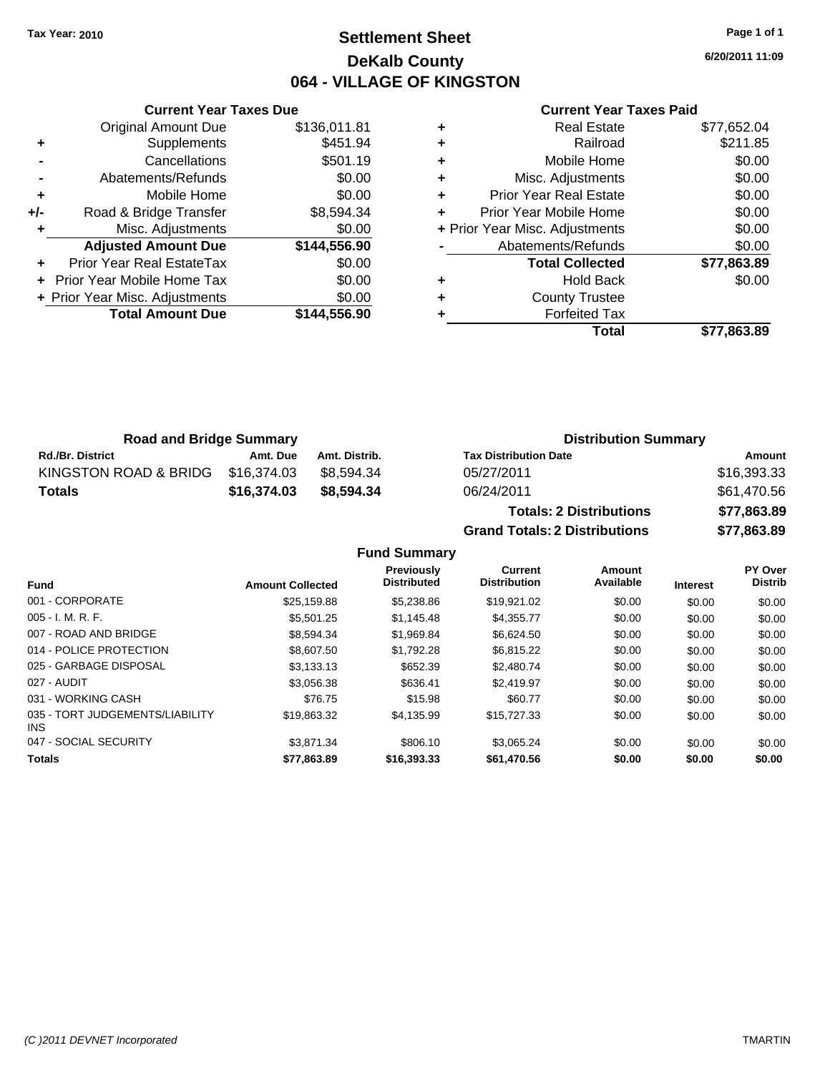# **Settlement Sheet Tax Year: 2010 Page 1 of 1 DeKalb County 064 - VILLAGE OF KINGSTON**

**6/20/2011 11:09**

#### **Current Year Taxes Paid**

|     | <b>Current Year Taxes Due</b>  |              |  |  |  |  |
|-----|--------------------------------|--------------|--|--|--|--|
|     | <b>Original Amount Due</b>     | \$136,011.81 |  |  |  |  |
|     | Supplements                    | \$451.94     |  |  |  |  |
|     | Cancellations                  | \$501.19     |  |  |  |  |
|     | Abatements/Refunds             | \$0.00       |  |  |  |  |
| ٠   | Mobile Home                    | \$0.00       |  |  |  |  |
| +/- | Road & Bridge Transfer         | \$8,594.34   |  |  |  |  |
|     | Misc. Adjustments              | \$0.00       |  |  |  |  |
|     | <b>Adjusted Amount Due</b>     | \$144,556.90 |  |  |  |  |
|     | Prior Year Real EstateTax      | \$0.00       |  |  |  |  |
|     | Prior Year Mobile Home Tax     | \$0.00       |  |  |  |  |
|     | + Prior Year Misc. Adjustments | \$0.00       |  |  |  |  |
|     | <b>Total Amount Due</b>        | \$144,556.90 |  |  |  |  |
|     |                                |              |  |  |  |  |

|   | <b>Real Estate</b>             | \$77,652.04 |
|---|--------------------------------|-------------|
| ٠ | Railroad                       | \$211.85    |
| ٠ | Mobile Home                    | \$0.00      |
| ٠ | Misc. Adjustments              | \$0.00      |
| ٠ | <b>Prior Year Real Estate</b>  | \$0.00      |
| ٠ | Prior Year Mobile Home         | \$0.00      |
|   | + Prior Year Misc. Adjustments | \$0.00      |
|   | Abatements/Refunds             | \$0.00      |
|   | <b>Total Collected</b>         | \$77,863.89 |
| ٠ | <b>Hold Back</b>               | \$0.00      |
| ٠ | <b>County Trustee</b>          |             |
|   | <b>Forfeited Tax</b>           |             |
|   | Total                          | \$77.863.89 |

| <b>Road and Bridge Summary</b> |             |               | <b>Distribution Summary</b>    |             |  |
|--------------------------------|-------------|---------------|--------------------------------|-------------|--|
| <b>Rd./Br. District</b>        | Amt. Due    | Amt. Distrib. | <b>Tax Distribution Date</b>   | Amount      |  |
| KINGSTON ROAD & BRIDG          | \$16.374.03 | \$8.594.34    | 05/27/2011                     | \$16,393.33 |  |
| Totals                         | \$16,374.03 | \$8,594,34    | 06/24/2011                     | \$61,470.56 |  |
|                                |             |               | <b>Totals: 2 Distributions</b> | \$77,863.89 |  |

027 - AUDIT \$3,056.38 \$636.41 \$2,419.97 \$0.00 \$0.00 \$0.00 031 - WORKING CASH \$76.75 \$15.98 \$60.77 \$0.00 \$0.00 \$0.00

047 - SOCIAL SECURITY 63,071.34 \$3,871.34 \$806.10 \$3,065.24 \$0.00 \$0.00 \$0.00 **Totals \$77,863.89 \$16,393.33 \$61,470.56 \$0.00 \$0.00 \$0.00**

**Grand Totals: 2 Distributions \$77,863.89 Fund Summary Fund Interest Amount Collected Distributed PY Over Distrib Amount Available Current Distribution Previously** 001 - CORPORATE \$25,159.88 \$5,238.86 \$19,921.02 \$0.00 \$0.00 \$0.00 005 - I. M. R. F. \$5,501.25 \$1,145.48 \$4,355.77 \$0.00 \$0.00 \$0.00 007 - ROAD AND BRIDGE \$8,594.34 \$1,969.84 \$6,624.50 \$0.00 \$0.00 \$0.00 \$0.00 014 - POLICE PROTECTION \$8,607.50 \$1,792.28 \$6,815.22 \$0.00 \$0.00 \$0.00 025 - GARBAGE DISPOSAL \$3,133.13 \$652.39 \$2,480.74 \$0.00 \$0.00 \$0.00

\$19,863.32 \$4,135.99 \$15,727.33 \$0.00 \$0.00 \$0.00

035 - TORT JUDGEMENTS/LIABILITY

INS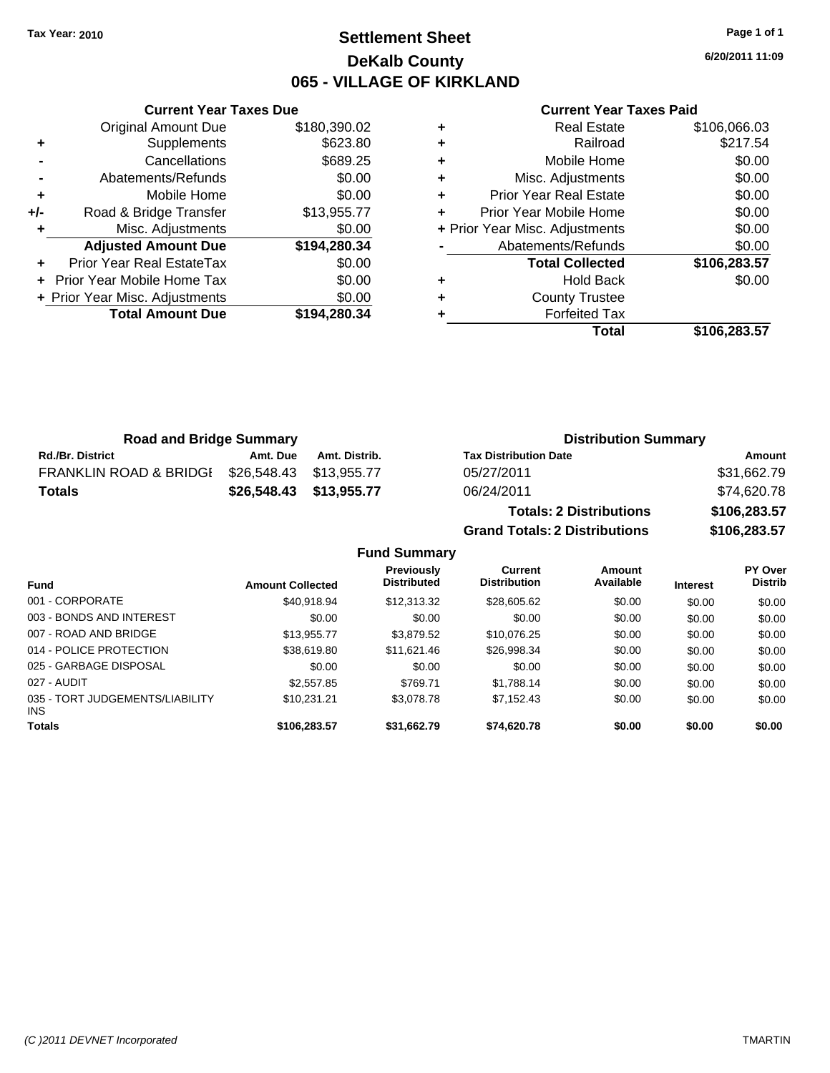# **Settlement Sheet Tax Year: 2010 Page 1 of 1 DeKalb County 065 - VILLAGE OF KIRKLAND**

**6/20/2011 11:09**

#### **Current Year Taxes Paid**

|     | <b>Current Year Taxes Due</b>  |              |  |  |  |
|-----|--------------------------------|--------------|--|--|--|
|     | <b>Original Amount Due</b>     | \$180,390.02 |  |  |  |
| ٠   | Supplements                    | \$623.80     |  |  |  |
|     | Cancellations                  | \$689.25     |  |  |  |
|     | Abatements/Refunds             | \$0.00       |  |  |  |
| ٠   | Mobile Home                    | \$0.00       |  |  |  |
| +/- | Road & Bridge Transfer         | \$13,955.77  |  |  |  |
| ٠   | Misc. Adjustments              | \$0.00       |  |  |  |
|     | <b>Adjusted Amount Due</b>     | \$194,280.34 |  |  |  |
|     | Prior Year Real EstateTax      | \$0.00       |  |  |  |
|     | Prior Year Mobile Home Tax     | \$0.00       |  |  |  |
|     | + Prior Year Misc. Adjustments | \$0.00       |  |  |  |
|     | <b>Total Amount Due</b>        | \$194,280.34 |  |  |  |
|     |                                |              |  |  |  |

| ٠ | <b>Real Estate</b>             | \$106,066.03 |
|---|--------------------------------|--------------|
| ÷ | Railroad                       | \$217.54     |
| ÷ | Mobile Home                    | \$0.00       |
| ٠ | Misc. Adjustments              | \$0.00       |
| ٠ | <b>Prior Year Real Estate</b>  | \$0.00       |
| ٠ | Prior Year Mobile Home         | \$0.00       |
|   | + Prior Year Misc. Adjustments | \$0.00       |
|   | Abatements/Refunds             | \$0.00       |
|   | <b>Total Collected</b>         | \$106,283.57 |
| ٠ | <b>Hold Back</b>               | \$0.00       |
| ٠ | <b>County Trustee</b>          |              |
| ٠ | <b>Forfeited Tax</b>           |              |
|   | Total                          | \$106,283.57 |

| <b>Road and Bridge Summary</b>    |                         |               | <b>Distribution Summary</b>    |              |  |
|-----------------------------------|-------------------------|---------------|--------------------------------|--------------|--|
| <b>Rd./Br. District</b>           | Amt. Due                | Amt. Distrib. | <b>Tax Distribution Date</b>   | Amount       |  |
| <b>FRANKLIN ROAD &amp; BRIDGI</b> | \$26.548.43 \$13.955.77 |               | 05/27/2011                     | \$31,662.79  |  |
| Totals                            | \$26,548.43 \$13,955.77 |               | 06/24/2011                     | \$74,620.78  |  |
|                                   |                         |               | <b>Totals: 2 Distributions</b> | \$106,283.57 |  |

**Grand Totals: 2 Distributions \$106,283.57 Fund Summary Fund Interest Amount Collected Distributed PY Over Distrib Amount Available Current Distribution Previously** 001 - CORPORATE \$40,918.94 \$12,313.32 \$28,605.62 \$0.00 \$0.00 \$0.00 003 - BONDS AND INTEREST  $$0.00$   $$0.00$   $$0.00$   $$0.00$   $$0.00$   $$0.00$   $$0.00$   $$0.00$ 007 - ROAD AND BRIDGE 60.00 \$13,955.77 \$3,879.52 \$10,076.25 \$0.00 \$0.00 \$0.00 014 - POLICE PROTECTION \$38,619.80 \$11,621.46 \$26,998.34 \$0.00 \$0.00 \$0.00 025 - GARBAGE DISPOSAL \$0.00 \$0.00 \$0.00 \$0.00 \$0.00 \$0.00 027 - AUDIT \$2,557.85 \$769.71 \$1,788.14 \$0.00 \$0.00 \$0.00 035 - TORT JUDGEMENTS/LIABILITY \$10,231.21 \$3,078.78 \$7,152.43 \$0.00 \$0.00 \$0.00 **Totals \$106,283.57 \$31,662.79 \$74,620.78 \$0.00 \$0.00 \$0.00**

INS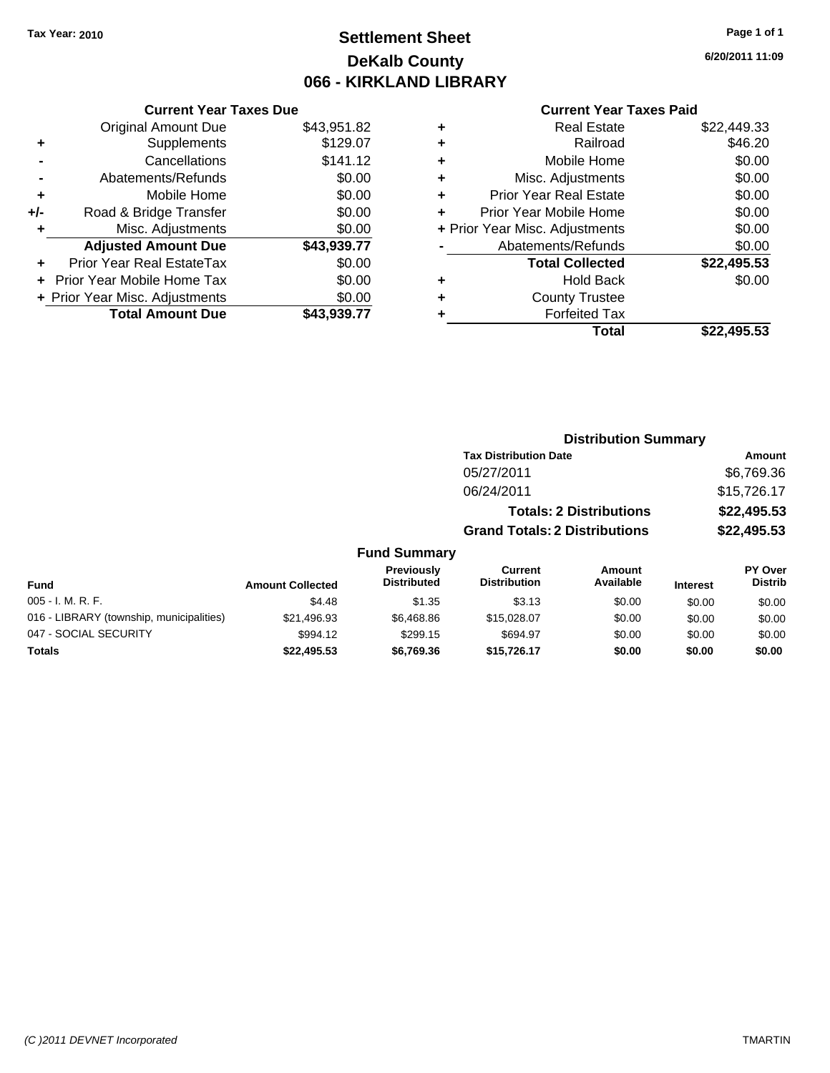# **Settlement Sheet Tax Year: 2010 Page 1 of 1 DeKalb County 066 - KIRKLAND LIBRARY**

**6/20/2011 11:09**

### **Current Year Taxes Paid**

|       | <b>Original Amount Due</b>     | \$43,951.82 |
|-------|--------------------------------|-------------|
| ٠     | Supplements                    | \$129.07    |
|       | Cancellations                  | \$141.12    |
|       | Abatements/Refunds             | \$0.00      |
| ÷     | Mobile Home                    | \$0.00      |
| $+/-$ | Road & Bridge Transfer         | \$0.00      |
| ٠     | Misc. Adjustments              | \$0.00      |
|       | <b>Adjusted Amount Due</b>     | \$43,939.77 |
|       | Prior Year Real EstateTax      | \$0.00      |
|       | Prior Year Mobile Home Tax     | \$0.00      |
|       | + Prior Year Misc. Adjustments | \$0.00      |
|       | <b>Total Amount Due</b>        | \$43,939.77 |
|       |                                |             |

**Current Year Taxes Due**

| ٠ | <b>Real Estate</b>             | \$22,449.33 |
|---|--------------------------------|-------------|
| ٠ | Railroad                       | \$46.20     |
| ٠ | Mobile Home                    | \$0.00      |
| ٠ | Misc. Adjustments              | \$0.00      |
| ٠ | <b>Prior Year Real Estate</b>  | \$0.00      |
|   | Prior Year Mobile Home         | \$0.00      |
|   | + Prior Year Misc. Adjustments | \$0.00      |
|   | Abatements/Refunds             | \$0.00      |
|   | <b>Total Collected</b>         | \$22,495.53 |
| ٠ | <b>Hold Back</b>               | \$0.00      |
| ٠ | <b>County Trustee</b>          |             |
| ٠ | <b>Forfeited Tax</b>           |             |
|   | Total                          | \$22,495.53 |
|   |                                |             |

#### **Distribution Summary Tax Distribution Date Amount** 05/27/2011 \$6,769.36 06/24/2011 \$15,726.17 **Totals: 2 Distributions \$22,495.53 Grand Totals: 2 Distributions \$22,495.53 Fund Summary Fund Interest Amount Collected Distributed PY Over Distrib Amount Available Current Distribution Previously** 005 - I. M. R. F. Channel Compared the State of the State State State State State State State State State State State State State State State State State State State State State State State State State State State State St 016 - LIBRARY (township, municipalities)  $$21,496.93$   $$6,468.86$   $$15,028.07$  \$0.00 \$0.00 \$0.00

047 - SOCIAL SECURITY \$994.12 \$699.15 \$0.00 \$0.00 \$0.00 \$0.00 \$0.00 **Totals \$22,495.53 \$6,769.36 \$15,726.17 \$0.00 \$0.00 \$0.00**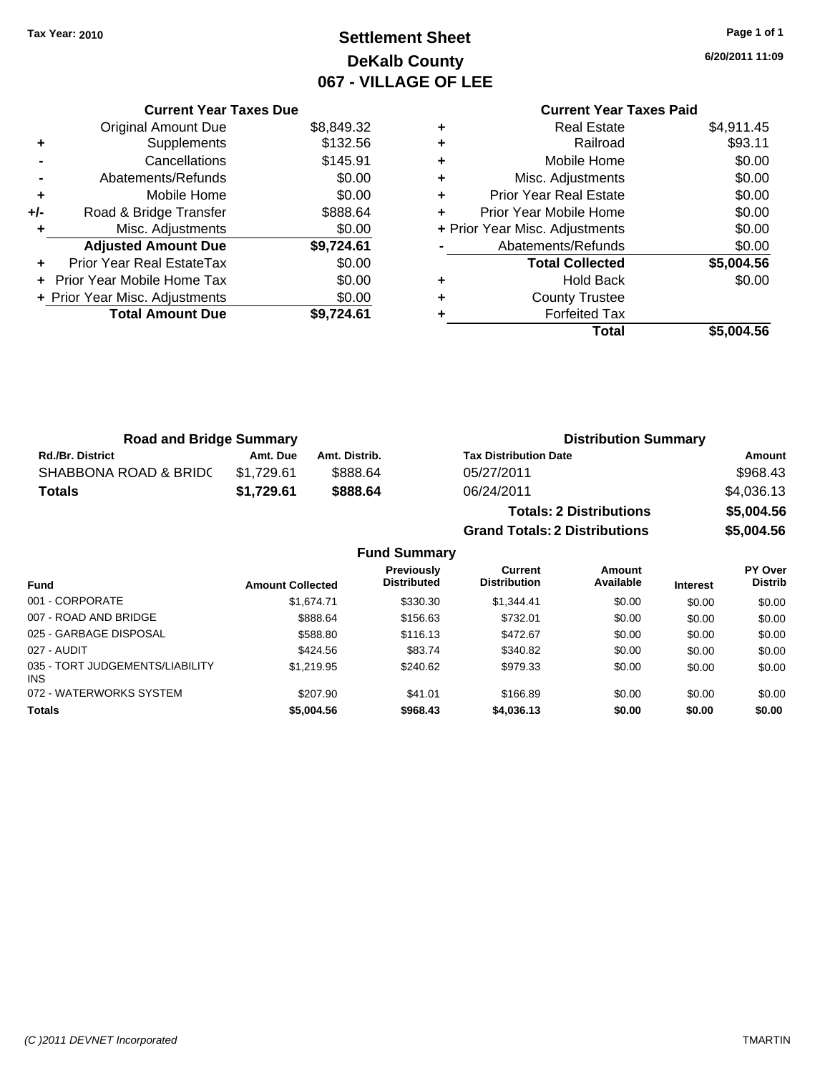# **Settlement Sheet Tax Year: 2010 Page 1 of 1 DeKalb County 067 - VILLAGE OF LEE**

**6/20/2011 11:09**

# **Current Year Taxes Paid**

|     | <b>Current Year Taxes Due</b>    |            |  |
|-----|----------------------------------|------------|--|
|     | <b>Original Amount Due</b>       | \$8,849.32 |  |
| ٠   | Supplements                      | \$132.56   |  |
|     | Cancellations                    | \$145.91   |  |
|     | Abatements/Refunds               | \$0.00     |  |
| ٠   | Mobile Home                      | \$0.00     |  |
| +/- | Road & Bridge Transfer           | \$888.64   |  |
| ٠   | Misc. Adjustments                | \$0.00     |  |
|     | <b>Adjusted Amount Due</b>       | \$9,724.61 |  |
| ٠   | <b>Prior Year Real EstateTax</b> | \$0.00     |  |
|     | Prior Year Mobile Home Tax       | \$0.00     |  |
|     | + Prior Year Misc. Adjustments   | \$0.00     |  |
|     | <b>Total Amount Due</b>          | \$9.724.61 |  |
|     |                                  |            |  |

| ٠ | <b>Real Estate</b>             | \$4,911.45 |
|---|--------------------------------|------------|
| ٠ | Railroad                       | \$93.11    |
| ٠ | Mobile Home                    | \$0.00     |
| ٠ | Misc. Adjustments              | \$0.00     |
| ٠ | <b>Prior Year Real Estate</b>  | \$0.00     |
| ٠ | Prior Year Mobile Home         | \$0.00     |
|   | + Prior Year Misc. Adjustments | \$0.00     |
|   | Abatements/Refunds             | \$0.00     |
|   | <b>Total Collected</b>         | \$5,004.56 |
| ٠ | Hold Back                      | \$0.00     |
| ٠ | <b>County Trustee</b>          |            |
| ٠ | <b>Forfeited Tax</b>           |            |
|   | Total                          | \$5,004.56 |

**Grand Totals: 2 Distributions \$5,004.56**

| <b>Road and Bridge Summary</b> |            |               | <b>Distribution Summary</b>    |            |
|--------------------------------|------------|---------------|--------------------------------|------------|
| <b>Rd./Br. District</b>        | Amt. Due   | Amt. Distrib. | <b>Tax Distribution Date</b>   | Amount     |
| SHABBONA ROAD & BRIDC          | \$1.729.61 | \$888.64      | 05/27/2011                     | \$968.43   |
| Totals                         | \$1,729.61 | \$888.64      | 06/24/2011                     | \$4,036.13 |
|                                |            |               | <b>Totals: 2 Distributions</b> | \$5,004.56 |

|                                         |                         | <b>Fund Summary</b>                     |                                |                     |                 |                           |
|-----------------------------------------|-------------------------|-----------------------------------------|--------------------------------|---------------------|-----------------|---------------------------|
| Fund                                    | <b>Amount Collected</b> | <b>Previously</b><br><b>Distributed</b> | Current<br><b>Distribution</b> | Amount<br>Available | <b>Interest</b> | PY Over<br><b>Distrib</b> |
| 001 - CORPORATE                         | \$1.674.71              | \$330.30                                | \$1,344.41                     | \$0.00              | \$0.00          | \$0.00                    |
| 007 - ROAD AND BRIDGE                   | \$888.64                | \$156.63                                | \$732.01                       | \$0.00              | \$0.00          | \$0.00                    |
| 025 - GARBAGE DISPOSAL                  | \$588.80                | \$116.13                                | \$472.67                       | \$0.00              | \$0.00          | \$0.00                    |
| 027 - AUDIT                             | \$424.56                | \$83.74                                 | \$340.82                       | \$0.00              | \$0.00          | \$0.00                    |
| 035 - TORT JUDGEMENTS/LIABILITY<br>INS. | \$1,219.95              | \$240.62                                | \$979.33                       | \$0.00              | \$0.00          | \$0.00                    |
| 072 - WATERWORKS SYSTEM                 | \$207.90                | \$41.01                                 | \$166.89                       | \$0.00              | \$0.00          | \$0.00                    |
| <b>Totals</b>                           | \$5,004.56              | \$968.43                                | \$4,036.13                     | \$0.00              | \$0.00          | \$0.00                    |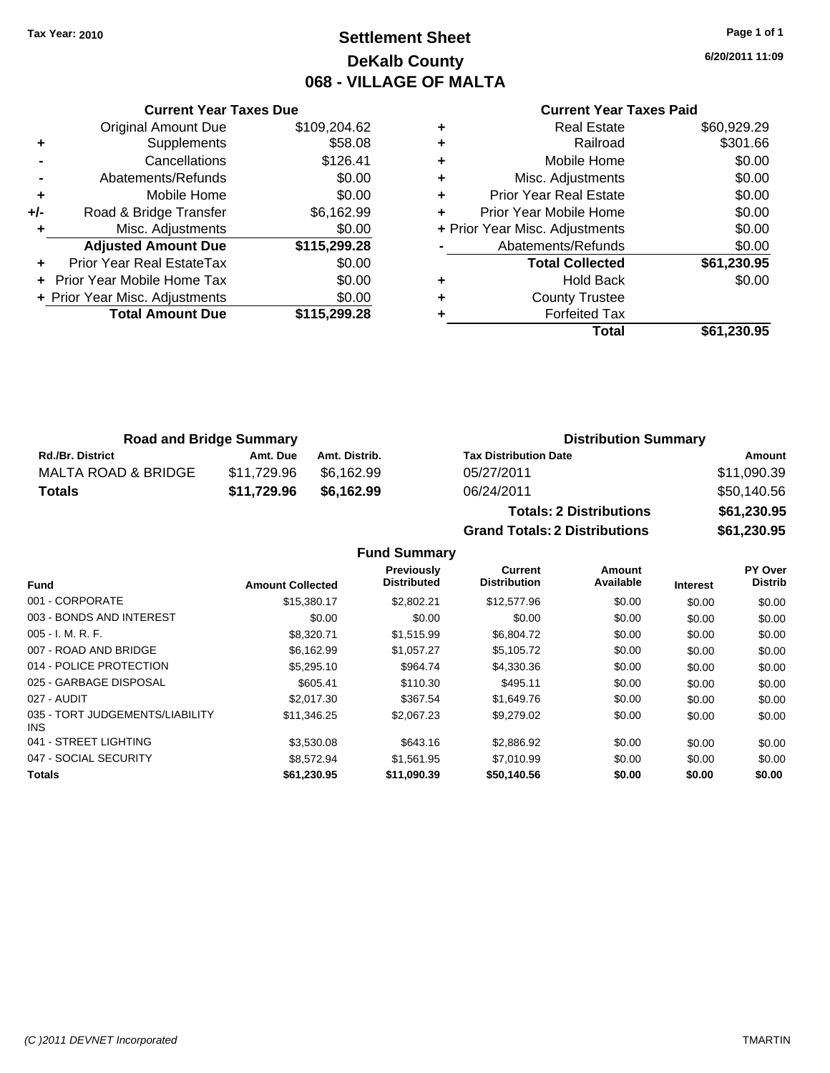**Current Year Taxes Due** Original Amount Due \$109,204.62

**Adjusted Amount Due \$115,299.28**

**Total Amount Due \$115,299.28**

**+** Supplements \$58.08 **-** Cancellations **\$126.41 -** Abatements/Refunds **\$0.00 +** Mobile Home \$0.00 **+/-** Road & Bridge Transfer \$6,162.99 **+** Misc. Adjustments \$0.00

**+** Prior Year Real EstateTax \$0.00 **+** Prior Year Mobile Home Tax \$0.00 **+ Prior Year Misc. Adjustments**  $$0.00$ 

# **Settlement Sheet Tax Year: 2010 Page 1 of 1 DeKalb County 068 - VILLAGE OF MALTA**

**6/20/2011 11:09**

|   | <b>Current Year Taxes Paid</b> |             |
|---|--------------------------------|-------------|
| ٠ | Real Estate                    | \$60,929.29 |
| ٠ | Railroad                       | \$301.66    |
| ٠ | Mobile Home                    | \$0.00      |
|   | Mico Adjustmonts               | ድስ ሰሰ       |

|   | Total                          | \$61,230.95 |
|---|--------------------------------|-------------|
| ٠ | <b>Forfeited Tax</b>           |             |
| ٠ | <b>County Trustee</b>          |             |
| ٠ | <b>Hold Back</b>               | \$0.00      |
|   | <b>Total Collected</b>         | \$61,230.95 |
|   | Abatements/Refunds             | \$0.00      |
|   | + Prior Year Misc. Adjustments | \$0.00      |
| ÷ | Prior Year Mobile Home         | \$0.00      |
| ÷ | <b>Prior Year Real Estate</b>  | \$0.00      |
| ÷ | Misc. Adjustments              | \$0.00      |
| ٠ | Mobile Home                    | \$0.00      |

| <b>Road and Bridge Summary</b> |             |               | <b>Distribution Summary</b>    |             |  |
|--------------------------------|-------------|---------------|--------------------------------|-------------|--|
| <b>Rd./Br. District</b>        | Amt. Due    | Amt. Distrib. | <b>Tax Distribution Date</b>   | Amount      |  |
| MALTA ROAD & BRIDGE            | \$11.729.96 | \$6.162.99    | 05/27/2011                     | \$11,090.39 |  |
| <b>Totals</b>                  | \$11,729.96 | \$6.162.99    | 06/24/2011                     | \$50,140.56 |  |
|                                |             |               | <b>Totals: 2 Distributions</b> | \$61,230.95 |  |

**Grand Totals: 2 Distributions \$61,230.95 Fund Summary Fund Interest Amount Collected Distributed PY Over Distrib Amount Available Current Distribution Previously** 001 - CORPORATE \$15,380.17 \$2,802.21 \$12,577.96 \$0.00 \$0.00 \$0.00 003 - BONDS AND INTEREST  $$0.00$   $$0.00$   $$0.00$   $$0.00$   $$0.00$   $$0.00$   $$0.00$   $$0.00$ 005 - I. M. R. F. \$8,320.71 \$1,515.99 \$6,804.72 \$0.00 \$0.00 \$0.00 007 - ROAD AND BRIDGE \$6,162.99 \$1,057.27 \$5,105.72 \$0.00 \$0.00 \$0.00 014 - POLICE PROTECTION \$5,295.10 \$964.74 \$4,330.36 \$0.00 \$0.00 \$0.00 \$0.00 025 - GARBAGE DISPOSAL \$605.41 \$110.30 \$495.11 \$0.00 \$0.00 \$0.00 027 - AUDIT \$2,017.30 \$367.54 \$1,649.76 \$0.00 \$0.00 \$0.00 035 - TORT JUDGEMENTS/LIABILITY \$11,346.25 \$2,067.23 \$9,279.02 \$0.00 \$0.00 \$0.00 041 - STREET LIGHTING \$3,530.08 \$643.16 \$2,886.92 \$0.00 \$0.00 \$0.00 047 - SOCIAL SECURITY \$8,572.94 \$1,561.95 \$7,010.99 \$0.00 \$0.00 \$0.00 **Totals \$61,230.95 \$11,090.39 \$50,140.56 \$0.00 \$0.00 \$0.00**

INS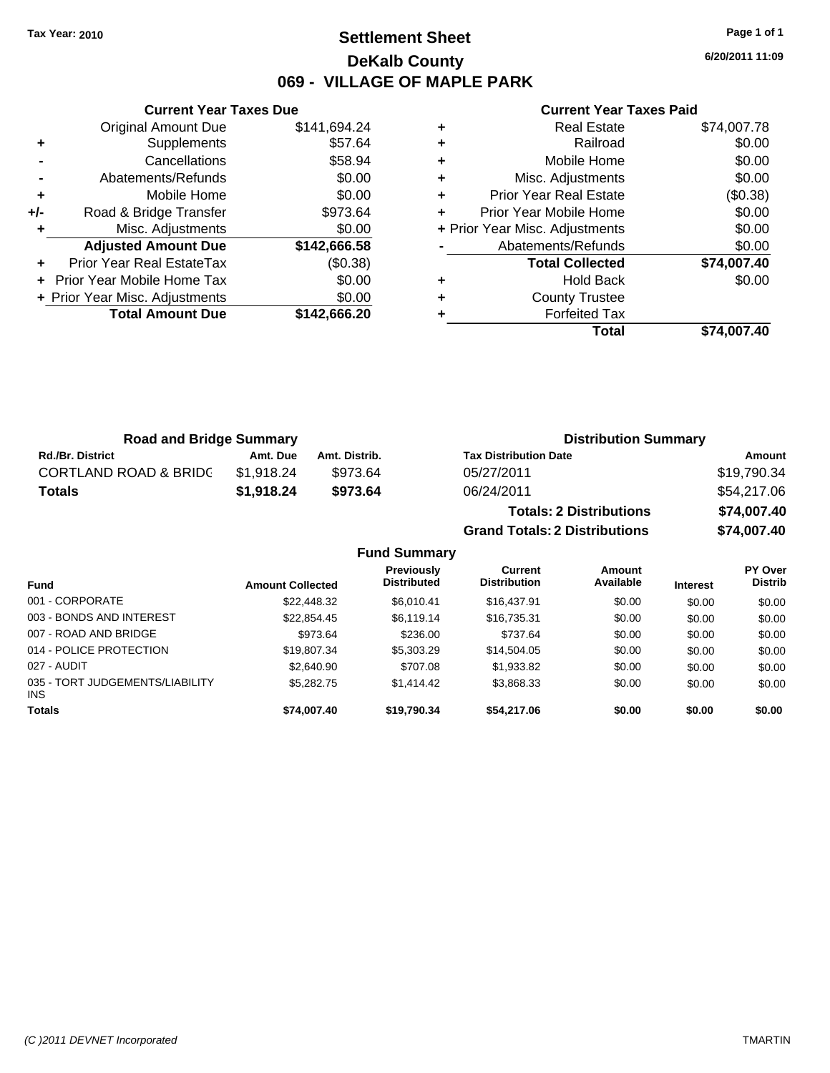Original Amount Due

**Adjusted Amount Due** 

**Total Amount Due** 

**+** Supplements **-** Cancellations **-** Abatements/Refunds **+** Mobile Home **+/-** Road & Bridge Transfer **+** Misc. Adjustments

**+** Prior Year Real EstateTax **+** Prior Year Mobile Home Tax **+ Prior Year Misc. Adjustments** 

# **Settlement Sheet Tax Year: 2010 Page 1 of 1 DeKalb County 069 - VILLAGE OF MAPLE PARK**

**6/20/2011 11:09**

\$74,007.40

#### **Current Year Taxes Paid**

**Grand Totals: 2 Distributions \$74,007.40**

| <b>Current Year Taxes Due</b> |              |   | <b>Current Year Taxes Paid</b> |             |  |
|-------------------------------|--------------|---|--------------------------------|-------------|--|
| ıl Amount Due                 | \$141,694.24 | ٠ | <b>Real Estate</b>             | \$74,007.78 |  |
| Supplements                   | \$57.64      | ٠ | Railroad                       | \$0.00      |  |
| Cancellations                 | \$58.94      | ÷ | Mobile Home                    | \$0.00      |  |
| าents/Refunds                 | \$0.00       | ÷ | Misc. Adjustments              | \$0.00      |  |
| Mobile Home                   | \$0.00       | ÷ | <b>Prior Year Real Estate</b>  | (\$0.38)    |  |
| ridge Transfer                | \$973.64     | ÷ | Prior Year Mobile Home         | \$0.00      |  |
| . Adjustments                 | \$0.00       |   | + Prior Year Misc. Adjustments | \$0.00      |  |
| <b>Amount Due</b>             | \$142,666.58 |   | Abatements/Refunds             | \$0.00      |  |
| eal EstateTax                 | (\$0.38)     |   | <b>Total Collected</b>         | \$74,007.40 |  |
| pile Home Tax                 | \$0.00       | ٠ | <b>Hold Back</b>               | \$0.00      |  |
| . Adjustments                 | \$0.00       | ÷ | <b>County Trustee</b>          |             |  |
| <b>Amount Due</b>             | \$142,666.20 |   | <b>Forfeited Tax</b>           |             |  |
|                               |              |   | Total                          | \$74.007.40 |  |

| <b>Road and Bridge Summary</b>   |            |               | <b>Distribution Summary</b>    |             |
|----------------------------------|------------|---------------|--------------------------------|-------------|
| <b>Rd./Br. District</b>          | Amt. Due   | Amt. Distrib. | <b>Tax Distribution Date</b>   | Amount      |
| <b>CORTLAND ROAD &amp; BRIDC</b> | \$1,918.24 | \$973.64      | 05/27/2011                     | \$19,790.34 |
| <b>Totals</b>                    | \$1,918.24 | \$973.64      | 06/24/2011                     | \$54,217.06 |
|                                  |            |               | <b>Totals: 2 Distributions</b> | \$74,007.40 |

**Fund Summary Fund Interest Amount Collected Distributed PY Over Distrib Amount Available Current Distribution Previously** 001 - CORPORATE \$22,448.32 \$6,010.41 \$16,437.91 \$0.00 \$0.00 \$0.00 003 - BONDS AND INTEREST 66,522,854.45 \$6,119.14 \$16,735.31 \$0.00 \$0.00 \$0.00 \$0.00 007 - ROAD AND BRIDGE 60.00 \$973.64 \$236.00 \$737.64 \$0.00 \$0.00 \$0.00 \$0.00 014 - POLICE PROTECTION \$19,807.34 \$5,303.29 \$14,504.05 \$0.00 \$0.00 \$0.00 \$0.00 027 - AUDIT \$2,640.90 \$707.08 \$1,933.82 \$0.00 \$0.00 \$0.00 035 - TORT JUDGEMENTS/LIABILITY INS \$5,282.75 \$1,414.42 \$3,868.33 \$0.00 \$0.00 \$0.00 **Totals \$74,007.40 \$19,790.34 \$54,217.06 \$0.00 \$0.00 \$0.00**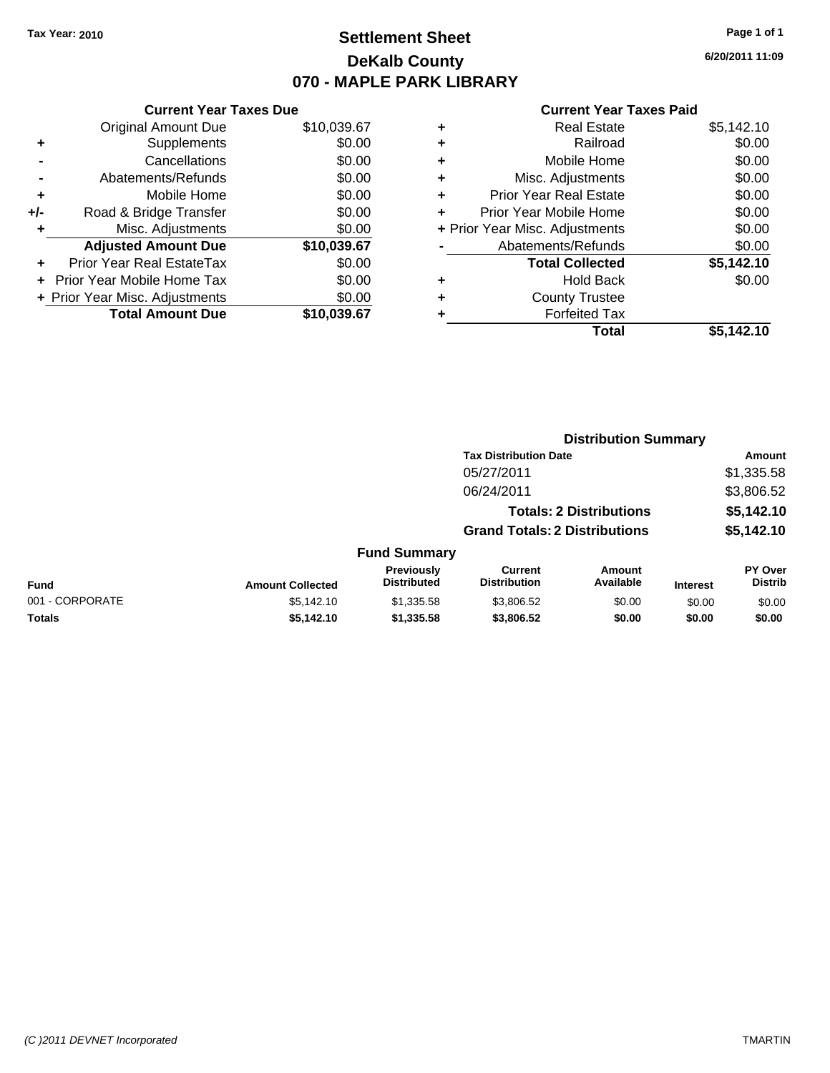# **Settlement Sheet Tax Year: 2010 Page 1 of 1 DeKalb County 070 - MAPLE PARK LIBRARY**

**6/20/2011 11:09**

### **Current Year Taxes Paid**

| \$10,039.67<br>\$0.00<br>\$0.00 |
|---------------------------------|
|                                 |
|                                 |
|                                 |
| \$0.00                          |
| \$0.00                          |
| \$0.00                          |
| \$0.00                          |
| \$10,039.67                     |
| \$0.00                          |
| \$0.00                          |
| \$0.00                          |
| \$10,039.67                     |
|                                 |

| <b>Real Estate</b>             | \$5,142.10 |
|--------------------------------|------------|
| Railroad                       | \$0.00     |
| Mobile Home                    | \$0.00     |
| Misc. Adjustments              | \$0.00     |
| <b>Prior Year Real Estate</b>  | \$0.00     |
| Prior Year Mobile Home         | \$0.00     |
| + Prior Year Misc. Adjustments | \$0.00     |
| Abatements/Refunds             | \$0.00     |
| <b>Total Collected</b>         | \$5,142.10 |
| <b>Hold Back</b>               | \$0.00     |
| <b>County Trustee</b>          |            |
| <b>Forfeited Tax</b>           |            |
| Total                          | \$5.142.10 |
|                                |            |

|                 |                         |                                  | <b>Distribution Summary</b>           |                                |                 |                                  |
|-----------------|-------------------------|----------------------------------|---------------------------------------|--------------------------------|-----------------|----------------------------------|
|                 |                         |                                  | <b>Tax Distribution Date</b>          |                                |                 | Amount                           |
|                 |                         |                                  | 05/27/2011                            |                                |                 | \$1,335.58                       |
|                 |                         |                                  | 06/24/2011                            |                                |                 | \$3,806.52                       |
|                 |                         |                                  |                                       | <b>Totals: 2 Distributions</b> |                 | \$5,142.10                       |
|                 |                         |                                  | <b>Grand Totals: 2 Distributions</b>  |                                |                 | \$5,142.10                       |
|                 |                         | <b>Fund Summary</b>              |                                       |                                |                 |                                  |
| Fund            | <b>Amount Collected</b> | Previously<br><b>Distributed</b> | <b>Current</b><br><b>Distribution</b> | Amount<br>Available            | <b>Interest</b> | <b>PY Over</b><br><b>Distrib</b> |
| 001 - CORPORATE | \$5,142.10              | \$1,335.58                       | \$3,806.52                            | \$0.00                         | \$0.00          | \$0.00                           |
| Totals          | \$5,142.10              | \$1,335.58                       | \$3,806.52                            | \$0.00                         | \$0.00          | \$0.00                           |
|                 |                         |                                  |                                       |                                |                 |                                  |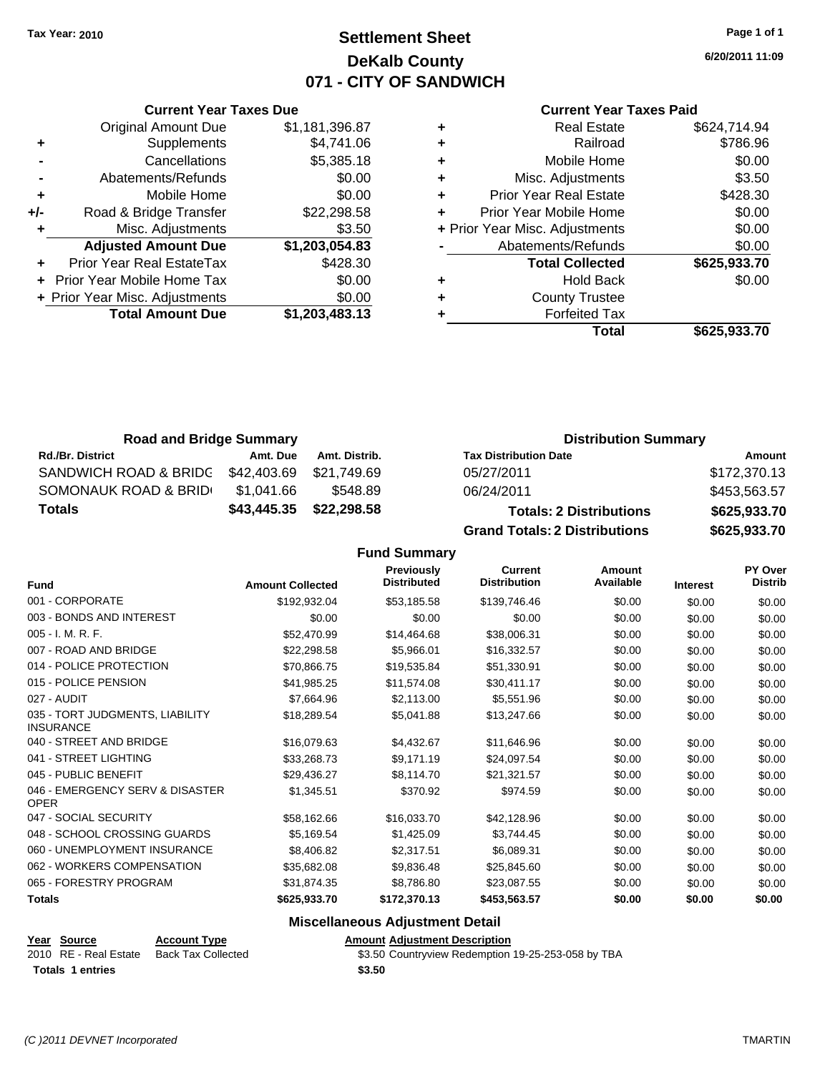**Current Year Taxes Due**

# **Settlement Sheet Tax Year: 2010 Page 1 of 1 DeKalb County 071 - CITY OF SANDWICH**

**6/20/2011 11:09**

| <b>Current Year Taxes Paid</b> |  |  |  |
|--------------------------------|--|--|--|
|--------------------------------|--|--|--|

|     |                                |                |   | <b>Total</b>                   | \$625,933.70 |
|-----|--------------------------------|----------------|---|--------------------------------|--------------|
|     | <b>Total Amount Due</b>        | \$1,203,483.13 |   | <b>Forfeited Tax</b>           |              |
|     | + Prior Year Misc. Adjustments | \$0.00         | ٠ | <b>County Trustee</b>          |              |
|     | + Prior Year Mobile Home Tax   | \$0.00         | ٠ | <b>Hold Back</b>               | \$0.00       |
|     | Prior Year Real EstateTax      | \$428.30       |   | <b>Total Collected</b>         | \$625,933.70 |
|     | <b>Adjusted Amount Due</b>     | \$1,203,054.83 |   | Abatements/Refunds             | \$0.00       |
|     | Misc. Adjustments              | \$3.50         |   | + Prior Year Misc. Adjustments | \$0.00       |
| +/- | Road & Bridge Transfer         | \$22,298.58    | ٠ | Prior Year Mobile Home         | \$0.00       |
| ٠   | Mobile Home                    | \$0.00         | ٠ | <b>Prior Year Real Estate</b>  | \$428.30     |
|     | Abatements/Refunds             | \$0.00         | ٠ | Misc. Adjustments              | \$3.50       |
|     | Cancellations                  | \$5,385.18     | ٠ | Mobile Home                    | \$0.00       |
| ٠   | Supplements                    | \$4,741.06     | ٠ | Railroad                       | \$786.96     |
|     | <b>Original Amount Due</b>     | \$1,181,396.87 | ٠ | <b>Real Estate</b>             | \$624,714.94 |

| <b>Road and Bridge Summary</b>    |             |               | <b>Distribution Summary</b>          |              |
|-----------------------------------|-------------|---------------|--------------------------------------|--------------|
| <b>Rd./Br. District</b>           | Amt. Due    | Amt. Distrib. | <b>Tax Distribution Date</b>         | Amount       |
| SANDWICH ROAD & BRIDG \$42,403.69 |             | \$21.749.69   | 05/27/2011                           | \$172,370.13 |
| SOMONAUK ROAD & BRID              | \$1.041.66  | \$548.89      | 06/24/2011                           | \$453,563.57 |
| <b>Totals</b>                     | \$43,445.35 | \$22,298.58   | <b>Totals: 2 Distributions</b>       | \$625,933.70 |
|                                   |             |               | <b>Grand Totals: 2 Distributions</b> | \$625,933.70 |

**Fund Summary**

| <b>Fund</b>                                         | <b>Amount Collected</b> | <b>Previously</b><br><b>Distributed</b> | <b>Current</b><br><b>Distribution</b> | <b>Amount</b><br>Available | <b>Interest</b> | <b>PY Over</b><br><b>Distrib</b> |
|-----------------------------------------------------|-------------------------|-----------------------------------------|---------------------------------------|----------------------------|-----------------|----------------------------------|
| 001 - CORPORATE                                     | \$192,932.04            | \$53,185.58                             | \$139,746.46                          | \$0.00                     | \$0.00          | \$0.00                           |
| 003 - BONDS AND INTEREST                            | \$0.00                  | \$0.00                                  | \$0.00                                | \$0.00                     | \$0.00          | \$0.00                           |
| 005 - I. M. R. F.                                   | \$52,470.99             | \$14,464.68                             | \$38,006.31                           | \$0.00                     | \$0.00          | \$0.00                           |
| 007 - ROAD AND BRIDGE                               | \$22,298.58             | \$5,966.01                              | \$16,332.57                           | \$0.00                     | \$0.00          | \$0.00                           |
| 014 - POLICE PROTECTION                             | \$70,866.75             | \$19,535.84                             | \$51,330.91                           | \$0.00                     | \$0.00          | \$0.00                           |
| 015 - POLICE PENSION                                | \$41,985.25             | \$11,574.08                             | \$30,411.17                           | \$0.00                     | \$0.00          | \$0.00                           |
| 027 - AUDIT                                         | \$7,664.96              | \$2,113.00                              | \$5,551.96                            | \$0.00                     | \$0.00          | \$0.00                           |
| 035 - TORT JUDGMENTS, LIABILITY<br><b>INSURANCE</b> | \$18,289.54             | \$5,041.88                              | \$13,247.66                           | \$0.00                     | \$0.00          | \$0.00                           |
| 040 - STREET AND BRIDGE                             | \$16,079.63             | \$4,432.67                              | \$11,646.96                           | \$0.00                     | \$0.00          | \$0.00                           |
| 041 - STREET LIGHTING                               | \$33,268.73             | \$9,171.19                              | \$24,097.54                           | \$0.00                     | \$0.00          | \$0.00                           |
| 045 - PUBLIC BENEFIT                                | \$29,436.27             | \$8,114.70                              | \$21,321.57                           | \$0.00                     | \$0.00          | \$0.00                           |
| 046 - EMERGENCY SERV & DISASTER<br><b>OPER</b>      | \$1,345.51              | \$370.92                                | \$974.59                              | \$0.00                     | \$0.00          | \$0.00                           |
| 047 - SOCIAL SECURITY                               | \$58,162.66             | \$16,033.70                             | \$42,128.96                           | \$0.00                     | \$0.00          | \$0.00                           |
| 048 - SCHOOL CROSSING GUARDS                        | \$5,169.54              | \$1,425.09                              | \$3,744.45                            | \$0.00                     | \$0.00          | \$0.00                           |
| 060 - UNEMPLOYMENT INSURANCE                        | \$8,406.82              | \$2,317.51                              | \$6,089.31                            | \$0.00                     | \$0.00          | \$0.00                           |
| 062 - WORKERS COMPENSATION                          | \$35,682.08             | \$9,836.48                              | \$25,845.60                           | \$0.00                     | \$0.00          | \$0.00                           |
| 065 - FORESTRY PROGRAM                              | \$31,874.35             | \$8,786.80                              | \$23,087.55                           | \$0.00                     | \$0.00          | \$0.00                           |
| <b>Totals</b>                                       | \$625,933.70            | \$172,370.13                            | \$453,563.57                          | \$0.00                     | \$0.00          | \$0.00                           |

| Year Source             | <b>Account Type</b> | <b>Amount Adiustment Description</b>               |
|-------------------------|---------------------|----------------------------------------------------|
| 2010 RE - Real Estate   | Back Tax Collected  | \$3.50 Countryview Redemption 19-25-253-058 by TBA |
| <b>Totals 1 entries</b> |                     | \$3.50                                             |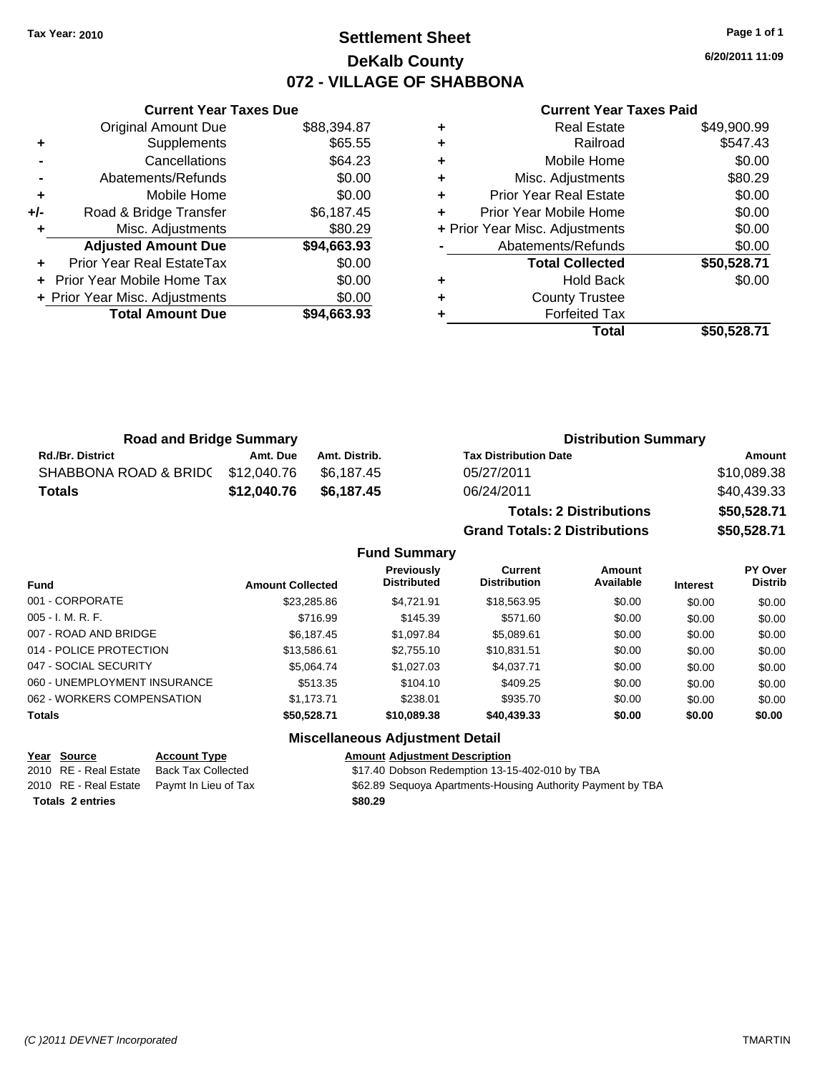# **Settlement Sheet Tax Year: 2010 Page 1 of 1 DeKalb County 072 - VILLAGE OF SHABBONA**

**6/20/2011 11:09**

#### **Current Year Taxes Paid**

|       | <b>Current Year Taxes Due</b>               |             |  |  |  |  |  |
|-------|---------------------------------------------|-------------|--|--|--|--|--|
|       | <b>Original Amount Due</b>                  | \$88,394.87 |  |  |  |  |  |
| ٠     | Supplements                                 | \$65.55     |  |  |  |  |  |
|       | Cancellations                               | \$64.23     |  |  |  |  |  |
|       | Abatements/Refunds                          | \$0.00      |  |  |  |  |  |
| ٠     | Mobile Home                                 | \$0.00      |  |  |  |  |  |
| $+/-$ | Road & Bridge Transfer                      | \$6,187.45  |  |  |  |  |  |
|       | Misc. Adjustments                           | \$80.29     |  |  |  |  |  |
|       | <b>Adjusted Amount Due</b>                  | \$94,663.93 |  |  |  |  |  |
|       | Prior Year Real EstateTax                   | \$0.00      |  |  |  |  |  |
|       | \$0.00<br><b>Prior Year Mobile Home Tax</b> |             |  |  |  |  |  |
|       | + Prior Year Misc. Adjustments              | \$0.00      |  |  |  |  |  |
|       | <b>Total Amount Due</b>                     | \$94.663.93 |  |  |  |  |  |
|       |                                             |             |  |  |  |  |  |

|   | <b>Real Estate</b>             | \$49,900.99 |
|---|--------------------------------|-------------|
| ÷ | Railroad                       | \$547.43    |
| ٠ | Mobile Home                    | \$0.00      |
| ٠ | Misc. Adjustments              | \$80.29     |
| ٠ | <b>Prior Year Real Estate</b>  | \$0.00      |
|   | Prior Year Mobile Home         | \$0.00      |
|   | + Prior Year Misc. Adjustments | \$0.00      |
|   | Abatements/Refunds             | \$0.00      |
|   | <b>Total Collected</b>         | \$50,528.71 |
|   | <b>Hold Back</b>               | \$0.00      |
| ٠ | <b>County Trustee</b>          |             |
|   | <b>Forfeited Tax</b>           |             |
|   | Total                          | \$50,528.71 |

| <b>Road and Bridge Summary</b>   |             |               | <b>Distribution Summary</b>    |             |  |
|----------------------------------|-------------|---------------|--------------------------------|-------------|--|
| <b>Rd./Br. District</b>          | Amt. Due    | Amt. Distrib. | <b>Tax Distribution Date</b>   | Amount      |  |
| SHABBONA ROAD & BRID(\$12,040.76 |             | \$6.187.45    | 05/27/2011                     | \$10,089.38 |  |
| <b>Totals</b>                    | \$12,040.76 | \$6.187.45    | 06/24/2011                     | \$40,439.33 |  |
|                                  |             |               | <b>Totals: 2 Distributions</b> | \$50,528.71 |  |

|                     | Totals: 2 Distributions              | \$50,528.71 |
|---------------------|--------------------------------------|-------------|
|                     | <b>Grand Totals: 2 Distributions</b> | \$50,528.71 |
| <b>Fund Summary</b> |                                      |             |

| <b>Fund</b>                  | <b>Amount Collected</b> | Previously<br><b>Distributed</b>         | Current<br><b>Distribution</b> | Amount<br>Available | <b>Interest</b> | PY Over<br><b>Distrib</b> |
|------------------------------|-------------------------|------------------------------------------|--------------------------------|---------------------|-----------------|---------------------------|
| 001 - CORPORATE              | \$23,285.86             | \$4.721.91                               | \$18,563.95                    | \$0.00              | \$0.00          | \$0.00                    |
| $005 - I. M. R. F.$          | \$716.99                | \$145.39                                 | \$571.60                       | \$0.00              | \$0.00          | \$0.00                    |
| 007 - ROAD AND BRIDGE        | \$6.187.45              | \$1.097.84                               | \$5,089.61                     | \$0.00              | \$0.00          | \$0.00                    |
| 014 - POLICE PROTECTION      | \$13,586.61             | \$2,755.10                               | \$10,831.51                    | \$0.00              | \$0.00          | \$0.00                    |
| 047 - SOCIAL SECURITY        | \$5.064.74              | \$1,027.03                               | \$4,037.71                     | \$0.00              | \$0.00          | \$0.00                    |
| 060 - UNEMPLOYMENT INSURANCE | \$513.35                | \$104.10                                 | \$409.25                       | \$0.00              | \$0.00          | \$0.00                    |
| 062 - WORKERS COMPENSATION   | \$1.173.71              | \$238.01                                 | \$935.70                       | \$0.00              | \$0.00          | \$0.00                    |
| <b>Totals</b>                | \$50,528.71             | \$10,089.38                              | \$40,439.33                    | \$0.00              | \$0.00          | \$0.00                    |
|                              |                         | <b>Missellanessen, Adhiedment Batall</b> |                                |                     |                 |                           |

# **Year Source Account Type Amount Adjustment Description**

**Miscellaneous Adjustment Detail**

2010 RE - Real Estate Back Tax Collected \$17.40 Dobson Redemption 13-15-402-010 by TBA 2010 RE - Real Estate Paymt In Lieu of Tax **\$62.89 Sequoya Apartments-Housing Authority Payment by TBA Totals \$80.29 2 entries**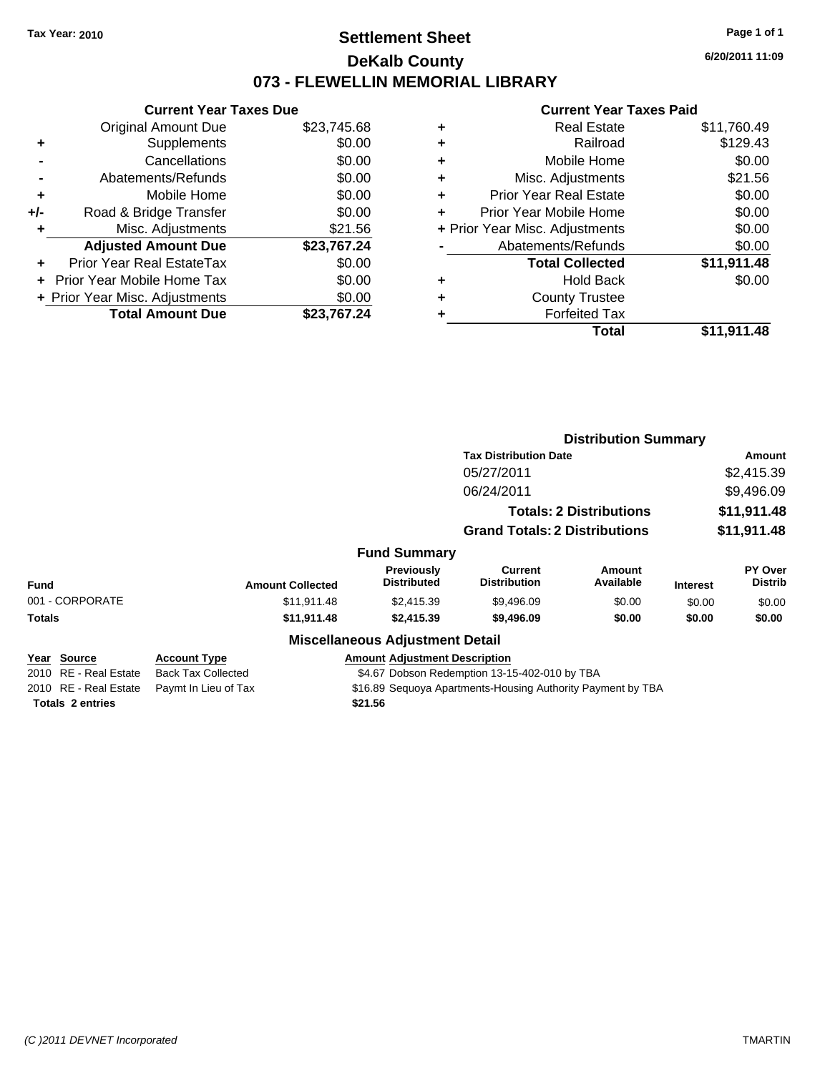# **Settlement Sheet Tax Year: 2010 Page 1 of 1 DeKalb County 073 - FLEWELLIN MEMORIAL LIBRARY**

**6/20/2011 11:09**

#### **Current Year Taxes Paid**

| <b>Current Year Taxes Due</b> |                                |
|-------------------------------|--------------------------------|
| <b>Original Amount Due</b>    | \$23,745.68                    |
| Supplements                   | \$0.00                         |
| Cancellations                 | \$0.00                         |
| Abatements/Refunds            | \$0.00                         |
| Mobile Home                   | \$0.00                         |
| Road & Bridge Transfer        | \$0.00                         |
| Misc. Adjustments             | \$21.56                        |
| <b>Adjusted Amount Due</b>    | \$23,767.24                    |
| Prior Year Real EstateTax     | \$0.00                         |
| Prior Year Mobile Home Tax    | \$0.00                         |
|                               | \$0.00                         |
| <b>Total Amount Due</b>       | \$23.767.24                    |
|                               | + Prior Year Misc. Adjustments |

| ٠ | <b>Real Estate</b>             | \$11,760.49 |
|---|--------------------------------|-------------|
| ٠ | Railroad                       | \$129.43    |
| ٠ | Mobile Home                    | \$0.00      |
| ٠ | Misc. Adjustments              | \$21.56     |
| ÷ | <b>Prior Year Real Estate</b>  | \$0.00      |
| ٠ | Prior Year Mobile Home         | \$0.00      |
|   | + Prior Year Misc. Adjustments | \$0.00      |
|   | Abatements/Refunds             | \$0.00      |
|   | <b>Total Collected</b>         | \$11,911.48 |
| ٠ | <b>Hold Back</b>               | \$0.00      |
| ٠ | <b>County Trustee</b>          |             |
| ٠ | <b>Forfeited Tax</b>           |             |
|   | Total                          | \$11,911.48 |
|   |                                |             |

|                         |                                                                            |                                        | <b>Distribution Summary</b>                                 |                                |                 |                           |
|-------------------------|----------------------------------------------------------------------------|----------------------------------------|-------------------------------------------------------------|--------------------------------|-----------------|---------------------------|
|                         |                                                                            |                                        | <b>Tax Distribution Date</b>                                |                                | Amount          |                           |
|                         |                                                                            |                                        | 05/27/2011                                                  |                                |                 | \$2,415.39                |
|                         |                                                                            |                                        | 06/24/2011                                                  |                                |                 | \$9,496.09                |
|                         |                                                                            |                                        |                                                             | <b>Totals: 2 Distributions</b> |                 | \$11,911.48               |
|                         |                                                                            |                                        | <b>Grand Totals: 2 Distributions</b>                        |                                |                 | \$11,911.48               |
|                         |                                                                            | <b>Fund Summary</b>                    |                                                             |                                |                 |                           |
| Fund                    | <b>Amount Collected</b>                                                    | Previously<br><b>Distributed</b>       | Current<br><b>Distribution</b>                              | Amount<br>Available            | <b>Interest</b> | PY Over<br><b>Distrib</b> |
| 001 - CORPORATE         | \$11,911.48                                                                | \$2,415.39                             | \$9,496.09                                                  | \$0.00                         | \$0.00          | \$0.00                    |
| Totals                  | \$11,911.48                                                                | \$2,415.39                             | \$9,496.09                                                  | \$0.00                         | \$0.00          | \$0.00                    |
|                         |                                                                            | <b>Miscellaneous Adjustment Detail</b> |                                                             |                                |                 |                           |
| Year Source             | <b>Account Type</b>                                                        | <b>Amount Adjustment Description</b>   |                                                             |                                |                 |                           |
| 2010 RE - Real Estate   | <b>Back Tax Collected</b><br>\$4.67 Dobson Redemption 13-15-402-010 by TBA |                                        |                                                             |                                |                 |                           |
| 2010 RE - Real Estate   | Paymt In Lieu of Tax                                                       |                                        | \$16.89 Sequoya Apartments-Housing Authority Payment by TBA |                                |                 |                           |
| <b>Totals 2 entries</b> |                                                                            | \$21.56                                |                                                             |                                |                 |                           |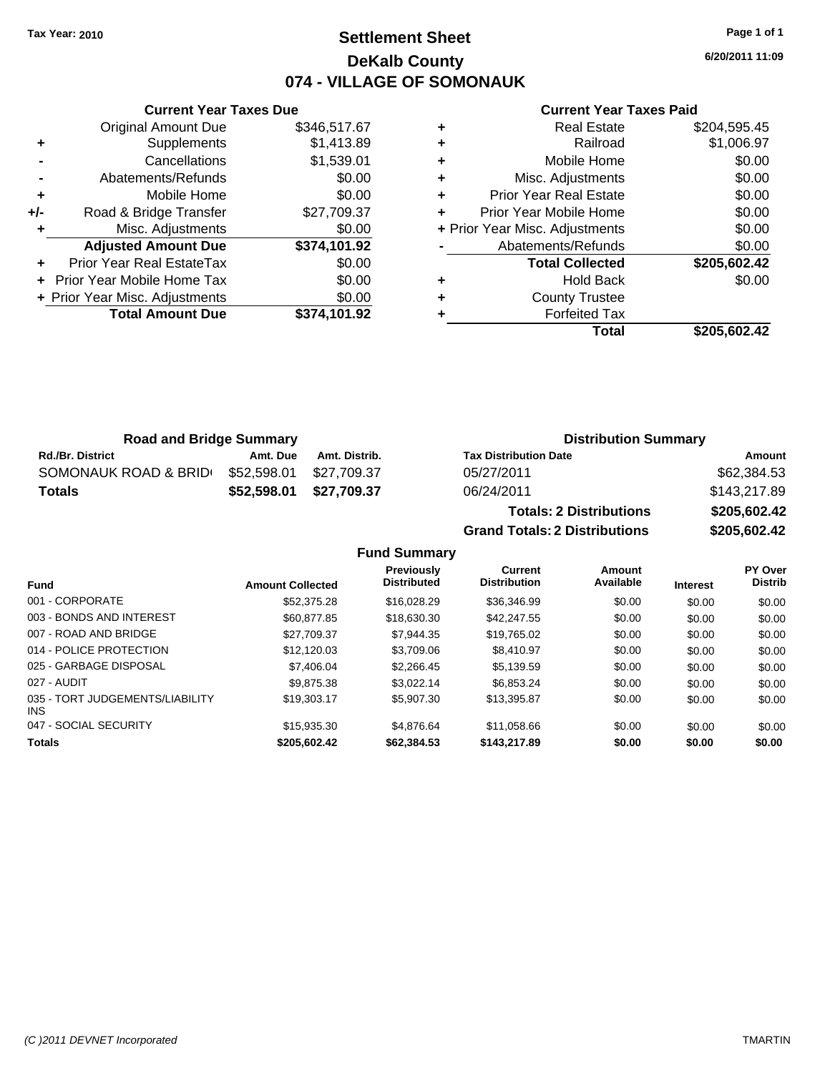**Current Year Taxes Due** Original Amount Due \$346,517.67

**Adjusted Amount Due \$374,101.92**

**Total Amount Due \$374,101.92**

**+** Supplements \$1,413.89 **-** Cancellations \$1,539.01 **-** Abatements/Refunds \$0.00 **+** Mobile Home \$0.00 **+/-** Road & Bridge Transfer \$27,709.37 **+** Misc. Adjustments \$0.00

**+** Prior Year Real EstateTax \$0.00 **+** Prior Year Mobile Home Tax \$0.00 **+ Prior Year Misc. Adjustments**  $$0.00$ 

# **Settlement Sheet Tax Year: 2010 Page 1 of 1 DeKalb County 074 - VILLAGE OF SOMONAUK**

**6/20/2011 11:09**

### **Current Year Taxes Paid**

| ٠ | <b>Real Estate</b>             | \$204,595.45 |
|---|--------------------------------|--------------|
| ٠ | Railroad                       | \$1,006.97   |
| ٠ | Mobile Home                    | \$0.00       |
| ٠ | Misc. Adjustments              | \$0.00       |
| ٠ | <b>Prior Year Real Estate</b>  | \$0.00       |
| ٠ | Prior Year Mobile Home         | \$0.00       |
|   | + Prior Year Misc. Adjustments | \$0.00       |
|   | Abatements/Refunds             | \$0.00       |
|   | <b>Total Collected</b>         | \$205,602.42 |
| ٠ | <b>Hold Back</b>               | \$0.00       |
| ٠ | <b>County Trustee</b>          |              |
| ٠ | <b>Forfeited Tax</b>           |              |
|   | Total                          | \$205.602.42 |

| <b>Road and Bridge Summary</b> |             |               | <b>Distribution Summary</b>  |              |  |
|--------------------------------|-------------|---------------|------------------------------|--------------|--|
| <b>Rd./Br. District</b>        | Amt. Due    | Amt. Distrib. | <b>Tax Distribution Date</b> | Amount       |  |
| SOMONAUK ROAD & BRID           | \$52,598.01 | \$27.709.37   | 05/27/2011                   | \$62,384.53  |  |
| <b>Totals</b>                  | \$52.598.01 | \$27,709.37   | 06/24/2011                   | \$143,217.89 |  |
|                                |             |               | _ _                          | **** *** **  |  |

**Totals: 2 Distributions \$205,602.42 Grand Totals: 2 Distributions \$205,602.42**

**Fund Summary**

| <b>Fund</b>                             | <b>Amount Collected</b> | Previously<br><b>Distributed</b> | Current<br><b>Distribution</b> | Amount<br>Available | <b>Interest</b> | PY Over<br><b>Distrib</b> |
|-----------------------------------------|-------------------------|----------------------------------|--------------------------------|---------------------|-----------------|---------------------------|
| 001 - CORPORATE                         | \$52,375.28             | \$16,028.29                      | \$36,346.99                    | \$0.00              | \$0.00          | \$0.00                    |
| 003 - BONDS AND INTEREST                | \$60,877.85             | \$18,630,30                      | \$42,247.55                    | \$0.00              | \$0.00          | \$0.00                    |
| 007 - ROAD AND BRIDGE                   | \$27.709.37             | \$7.944.35                       | \$19,765.02                    | \$0.00              | \$0.00          | \$0.00                    |
| 014 - POLICE PROTECTION                 | \$12,120.03             | \$3.709.06                       | \$8,410.97                     | \$0.00              | \$0.00          | \$0.00                    |
| 025 - GARBAGE DISPOSAL                  | \$7,406.04              | \$2,266,45                       | \$5.139.59                     | \$0.00              | \$0.00          | \$0.00                    |
| 027 - AUDIT                             | \$9.875.38              | \$3.022.14                       | \$6,853.24                     | \$0.00              | \$0.00          | \$0.00                    |
| 035 - TORT JUDGEMENTS/LIABILITY<br>INS. | \$19,303.17             | \$5,907.30                       | \$13,395.87                    | \$0.00              | \$0.00          | \$0.00                    |
| 047 - SOCIAL SECURITY                   | \$15.935.30             | \$4.876.64                       | \$11.058.66                    | \$0.00              | \$0.00          | \$0.00                    |
| <b>Totals</b>                           | \$205.602.42            | \$62,384,53                      | \$143,217.89                   | \$0.00              | \$0.00          | \$0.00                    |
|                                         |                         |                                  |                                |                     |                 |                           |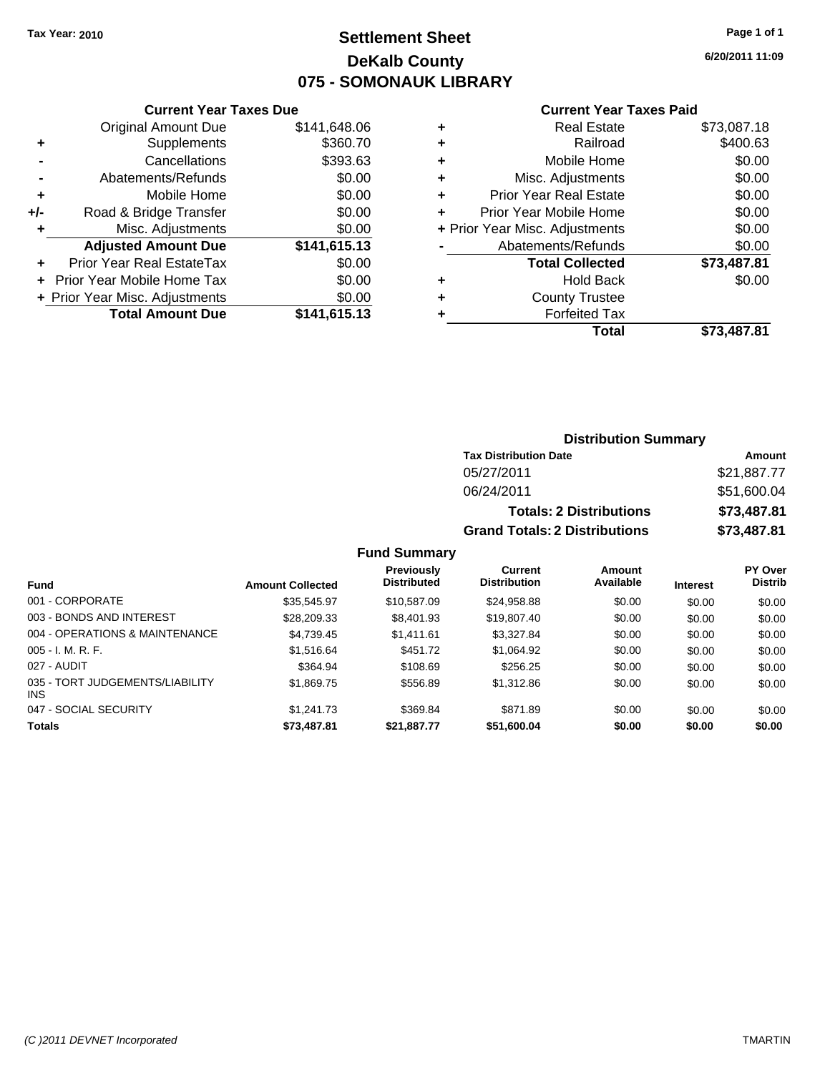# **Settlement Sheet Tax Year: 2010 Page 1 of 1 DeKalb County 075 - SOMONAUK LIBRARY**

**6/20/2011 11:09**

#### **Current Year Taxes Paid**

| <b>Current Year Taxes Due</b> |                                |  |  |  |  |
|-------------------------------|--------------------------------|--|--|--|--|
| <b>Original Amount Due</b>    | \$141,648.06                   |  |  |  |  |
| Supplements                   | \$360.70                       |  |  |  |  |
| Cancellations                 | \$393.63                       |  |  |  |  |
| Abatements/Refunds            | \$0.00                         |  |  |  |  |
| Mobile Home                   | \$0.00                         |  |  |  |  |
| Road & Bridge Transfer        | \$0.00                         |  |  |  |  |
| Misc. Adjustments             | \$0.00                         |  |  |  |  |
| <b>Adjusted Amount Due</b>    | \$141,615.13                   |  |  |  |  |
| Prior Year Real EstateTax     | \$0.00                         |  |  |  |  |
| Prior Year Mobile Home Tax    | \$0.00                         |  |  |  |  |
|                               | \$0.00                         |  |  |  |  |
| <b>Total Amount Due</b>       | \$141,615.13                   |  |  |  |  |
|                               | + Prior Year Misc. Adjustments |  |  |  |  |

| ٠ | <b>Real Estate</b>             | \$73,087.18 |
|---|--------------------------------|-------------|
| ٠ | Railroad                       | \$400.63    |
| ٠ | Mobile Home                    | \$0.00      |
| ٠ | Misc. Adjustments              | \$0.00      |
| ٠ | <b>Prior Year Real Estate</b>  | \$0.00      |
| ÷ | Prior Year Mobile Home         | \$0.00      |
|   | + Prior Year Misc. Adjustments | \$0.00      |
|   | Abatements/Refunds             | \$0.00      |
|   | <b>Total Collected</b>         | \$73,487.81 |
| ٠ | <b>Hold Back</b>               | \$0.00      |
| ٠ | <b>County Trustee</b>          |             |
| ٠ | <b>Forfeited Tax</b>           |             |
|   | Total                          | \$73,487.81 |

### **Distribution Summary**

| <b>Tax Distribution Date</b>         | Amount      |
|--------------------------------------|-------------|
| 05/27/2011                           | \$21,887.77 |
| 06/24/2011                           | \$51,600.04 |
| <b>Totals: 2 Distributions</b>       | \$73,487.81 |
| <b>Grand Totals: 2 Distributions</b> | \$73,487.81 |

### **Fund Summary**

| <b>Fund</b>                                   | <b>Amount Collected</b> | Previously<br><b>Distributed</b> | Current<br><b>Distribution</b> | <b>Amount</b><br>Available | <b>Interest</b> | PY Over<br><b>Distrib</b> |
|-----------------------------------------------|-------------------------|----------------------------------|--------------------------------|----------------------------|-----------------|---------------------------|
| 001 - CORPORATE                               | \$35,545.97             | \$10,587.09                      | \$24,958.88                    | \$0.00                     | \$0.00          | \$0.00                    |
|                                               |                         |                                  |                                |                            |                 |                           |
| 003 - BONDS AND INTEREST                      | \$28,209.33             | \$8,401.93                       | \$19,807.40                    | \$0.00                     | \$0.00          | \$0.00                    |
| 004 - OPERATIONS & MAINTENANCE                | \$4,739.45              | \$1,411.61                       | \$3,327.84                     | \$0.00                     | \$0.00          | \$0.00                    |
| $005 - I. M. R. F.$                           | \$1,516.64              | \$451.72                         | \$1,064.92                     | \$0.00                     | \$0.00          | \$0.00                    |
| 027 - AUDIT                                   | \$364.94                | \$108.69                         | \$256.25                       | \$0.00                     | \$0.00          | \$0.00                    |
| 035 - TORT JUDGEMENTS/LIABILITY<br><b>INS</b> | \$1,869.75              | \$556.89                         | \$1,312.86                     | \$0.00                     | \$0.00          | \$0.00                    |
| 047 - SOCIAL SECURITY                         | \$1.241.73              | \$369.84                         | \$871.89                       | \$0.00                     | \$0.00          | \$0.00                    |
| <b>Totals</b>                                 | \$73,487.81             | \$21,887.77                      | \$51,600.04                    | \$0.00                     | \$0.00          | \$0.00                    |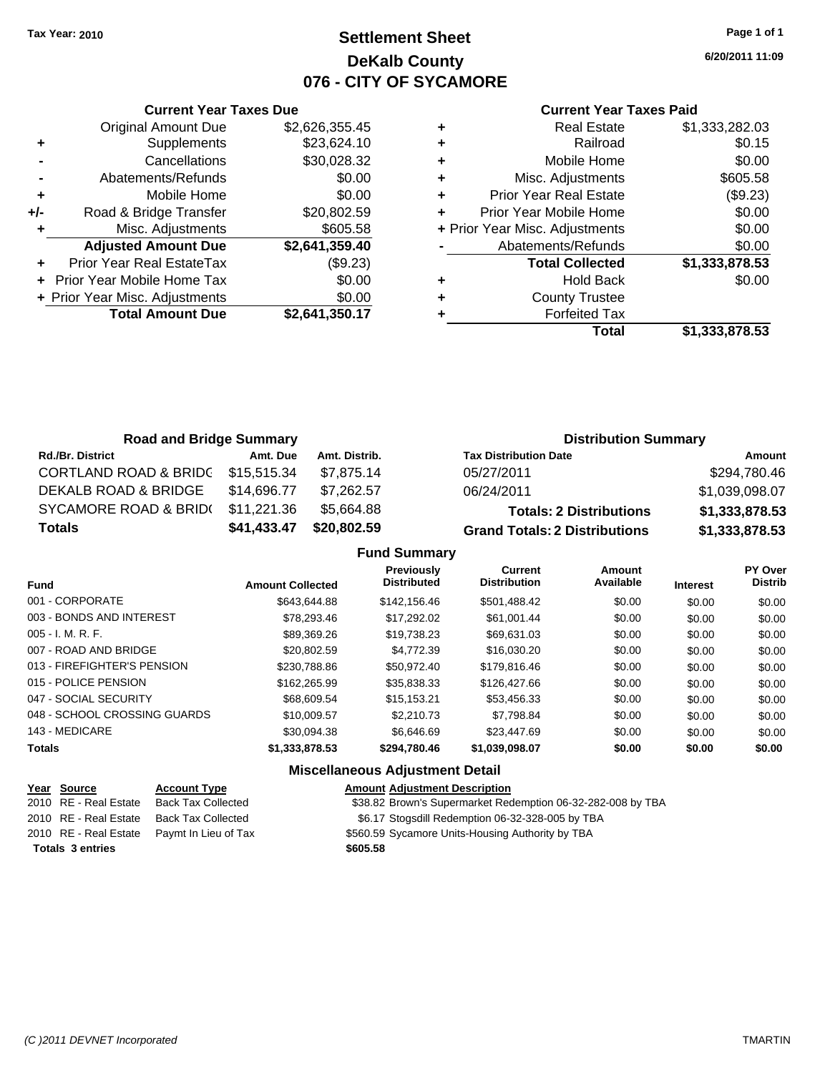# **Settlement Sheet Tax Year: 2010 Page 1 of 1 DeKalb County 076 - CITY OF SYCAMORE**

**6/20/2011 11:09**

#### **Current Year Taxes Paid**

|     | <b>Current Year Taxes Due</b>  |                |
|-----|--------------------------------|----------------|
|     | <b>Original Amount Due</b>     | \$2,626,355.45 |
| ٠   | Supplements                    | \$23,624.10    |
|     | Cancellations                  | \$30,028.32    |
|     | Abatements/Refunds             | \$0.00         |
| ٠   | Mobile Home                    | \$0.00         |
| +/- | Road & Bridge Transfer         | \$20,802.59    |
|     | Misc. Adjustments              | \$605.58       |
|     | <b>Adjusted Amount Due</b>     | \$2,641,359.40 |
|     | Prior Year Real EstateTax      | (\$9.23)       |
|     | Prior Year Mobile Home Tax     | \$0.00         |
|     | + Prior Year Misc. Adjustments | \$0.00         |
|     | <b>Total Amount Due</b>        | \$2,641,350.17 |
|     |                                |                |

|   | <b>Real Estate</b>             | \$1,333,282.03 |
|---|--------------------------------|----------------|
| ٠ | Railroad                       | \$0.15         |
| ٠ | Mobile Home                    | \$0.00         |
| ٠ | Misc. Adjustments              | \$605.58       |
| ٠ | <b>Prior Year Real Estate</b>  | (\$9.23)       |
| ٠ | Prior Year Mobile Home         | \$0.00         |
|   | + Prior Year Misc. Adjustments | \$0.00         |
|   | Abatements/Refunds             | \$0.00         |
|   | <b>Total Collected</b>         | \$1,333,878.53 |
| ٠ | <b>Hold Back</b>               | \$0.00         |
| ٠ | <b>County Trustee</b>          |                |
|   | <b>Forfeited Tax</b>           |                |
|   | Total                          | \$1,333,878.53 |

| <b>Road and Bridge Summary</b>   |             |               | <b>Distribution Summary</b>          |                |  |
|----------------------------------|-------------|---------------|--------------------------------------|----------------|--|
| <b>Rd./Br. District</b>          | Amt. Due    | Amt. Distrib. | <b>Tax Distribution Date</b>         | Amount         |  |
| <b>CORTLAND ROAD &amp; BRIDC</b> | \$15,515.34 | \$7.875.14    | 05/27/2011                           | \$294,780.46   |  |
| <b>DEKALB ROAD &amp; BRIDGE</b>  | \$14.696.77 | \$7.262.57    | 06/24/2011                           | \$1,039,098.07 |  |
| <b>SYCAMORE ROAD &amp; BRID(</b> | \$11.221.36 | \$5,664.88    | <b>Totals: 2 Distributions</b>       | \$1,333,878.53 |  |
| <b>Totals</b>                    | \$41,433.47 | \$20,802.59   | <b>Grand Totals: 2 Distributions</b> | \$1,333,878.53 |  |

### **Fund Summary**

| <b>Fund</b>                  | <b>Amount Collected</b> | <b>Previously</b><br><b>Distributed</b> | Current<br><b>Distribution</b> | <b>Amount</b><br>Available | <b>Interest</b> | PY Over<br><b>Distrib</b> |
|------------------------------|-------------------------|-----------------------------------------|--------------------------------|----------------------------|-----------------|---------------------------|
| 001 - CORPORATE              | \$643.644.88            | \$142,156.46                            | \$501,488.42                   | \$0.00                     | \$0.00          | \$0.00                    |
| 003 - BONDS AND INTEREST     | \$78,293,46             | \$17,292.02                             | \$61.001.44                    | \$0.00                     | \$0.00          | \$0.00                    |
| $005 - I. M. R. F.$          | \$89.369.26             | \$19,738.23                             | \$69,631.03                    | \$0.00                     | \$0.00          | \$0.00                    |
| 007 - ROAD AND BRIDGE        | \$20,802.59             | \$4,772.39                              | \$16,030.20                    | \$0.00                     | \$0.00          | \$0.00                    |
| 013 - FIREFIGHTER'S PENSION  | \$230,788.86            | \$50.972.40                             | \$179,816.46                   | \$0.00                     | \$0.00          | \$0.00                    |
| 015 - POLICE PENSION         | \$162,265.99            | \$35,838.33                             | \$126,427,66                   | \$0.00                     | \$0.00          | \$0.00                    |
| 047 - SOCIAL SECURITY        | \$68,609.54             | \$15.153.21                             | \$53,456.33                    | \$0.00                     | \$0.00          | \$0.00                    |
| 048 - SCHOOL CROSSING GUARDS | \$10,009.57             | \$2,210.73                              | \$7.798.84                     | \$0.00                     | \$0.00          | \$0.00                    |
| 143 - MEDICARE               | \$30.094.38             | \$6.646.69                              | \$23,447.69                    | \$0.00                     | \$0.00          | \$0.00                    |
| <b>Totals</b>                | \$1,333,878.53          | \$294,780.46                            | \$1,039,098.07                 | \$0.00                     | \$0.00          | \$0.00                    |

| Year Source             | <b>Account Type</b>                        | <b>Amount Adjustment Description</b>                        |
|-------------------------|--------------------------------------------|-------------------------------------------------------------|
| 2010 RE - Real Estate   | Back Tax Collected                         | \$38.82 Brown's Supermarket Redemption 06-32-282-008 by TBA |
| 2010 RE - Real Estate   | Back Tax Collected                         | \$6.17 Stogsdill Redemption 06-32-328-005 by TBA            |
|                         | 2010 RE - Real Estate Paymt In Lieu of Tax | \$560.59 Sycamore Units-Housing Authority by TBA            |
| <b>Totals 3 entries</b> |                                            | \$605.58                                                    |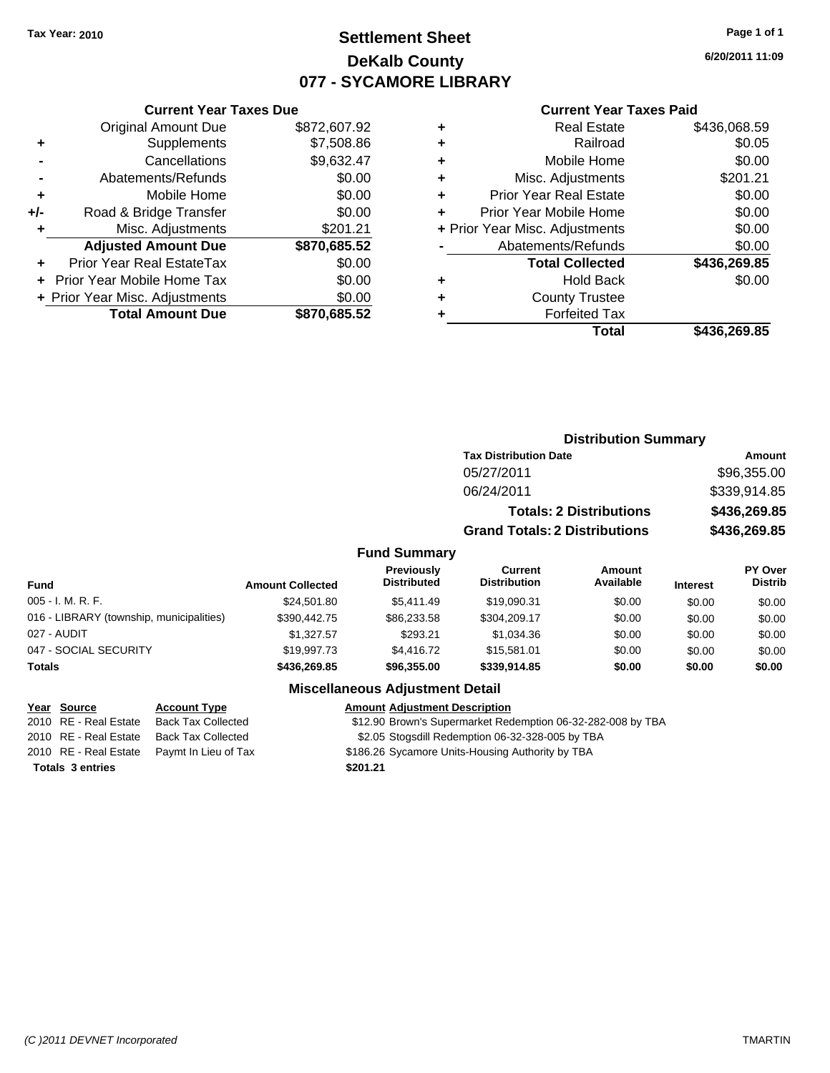# **Settlement Sheet Tax Year: 2010 Page 1 of 1 DeKalb County 077 - SYCAMORE LIBRARY**

**6/20/2011 11:09**

### **Current Year Taxes Paid**

|     | <b>Original Amount Due</b>     | \$872,607.92 |
|-----|--------------------------------|--------------|
| ٠   | Supplements                    | \$7,508.86   |
|     | Cancellations                  | \$9,632.47   |
|     | Abatements/Refunds             | \$0.00       |
| ÷   | Mobile Home                    | \$0.00       |
| +/- | Road & Bridge Transfer         | \$0.00       |
| ٠   | Misc. Adjustments              | \$201.21     |
|     | <b>Adjusted Amount Due</b>     | \$870,685.52 |
|     | Prior Year Real EstateTax      | \$0.00       |
|     | Prior Year Mobile Home Tax     | \$0.00       |
|     | + Prior Year Misc. Adjustments | \$0.00       |
|     | <b>Total Amount Due</b>        | \$870,685.52 |
|     |                                |              |

**Current Year Taxes Due**

| ٠ | <b>Real Estate</b>             | \$436,068.59 |
|---|--------------------------------|--------------|
| ٠ | Railroad                       | \$0.05       |
| ٠ | Mobile Home                    | \$0.00       |
| ٠ | Misc. Adjustments              | \$201.21     |
| ٠ | <b>Prior Year Real Estate</b>  | \$0.00       |
| ٠ | Prior Year Mobile Home         | \$0.00       |
|   | + Prior Year Misc. Adjustments | \$0.00       |
|   | Abatements/Refunds             | \$0.00       |
|   | <b>Total Collected</b>         | \$436,269.85 |
| ٠ | <b>Hold Back</b>               | \$0.00       |
| ٠ | <b>County Trustee</b>          |              |
| ٠ | <b>Forfeited Tax</b>           |              |
|   | Total                          | \$436,269.85 |
|   |                                |              |

|                                          |                         |                                  |                                       | <b>Distribution Summary</b>    |                 |                           |
|------------------------------------------|-------------------------|----------------------------------|---------------------------------------|--------------------------------|-----------------|---------------------------|
|                                          |                         | <b>Tax Distribution Date</b>     |                                       |                                | <b>Amount</b>   |                           |
|                                          |                         |                                  | 05/27/2011                            |                                |                 | \$96,355.00               |
|                                          |                         |                                  | 06/24/2011                            |                                | \$339,914.85    |                           |
|                                          |                         |                                  |                                       | <b>Totals: 2 Distributions</b> | \$436,269.85    |                           |
|                                          |                         |                                  | <b>Grand Totals: 2 Distributions</b>  |                                | \$436,269.85    |                           |
|                                          |                         | <b>Fund Summary</b>              |                                       |                                |                 |                           |
| Fund                                     | <b>Amount Collected</b> | Previously<br><b>Distributed</b> | <b>Current</b><br><b>Distribution</b> | Amount<br>Available            | <b>Interest</b> | PY Over<br><b>Distrib</b> |
| 005 - I. M. R. F.                        | \$24,501.80             | \$5,411.49                       | \$19,090.31                           | \$0.00                         | \$0.00          | \$0.00                    |
| 016 - LIBRARY (township, municipalities) | \$390,442.75            | \$86,233.58                      | \$304,209.17                          | \$0.00                         | \$0.00          | \$0.00                    |
| 027 - AUDIT                              | \$1,327.57              | \$293.21                         | \$1,034.36                            | \$0.00                         | \$0.00          | \$0.00                    |
| 047 - SOCIAL SECURITY                    | \$19,997.73             | \$4,416.72                       | \$15,581.01                           | \$0.00                         | \$0.00          | \$0.00                    |
| Totals                                   | \$436,269.85            | \$96,355.00                      | \$339,914.85                          | \$0.00                         | \$0.00          | \$0.00                    |
|                                          |                         | Micrallangous Adiustmant Datail  |                                       |                                |                 |                           |

### **Miscellaneous Adjustment Detail**

**Year Source Account Type Amount Adjustment Description**

\$12.90 Brown's Supermarket Redemption 06-32-282-008 by TBA

2010 RE - Real Estate Back Tax Collected \$2.05 Stogsdill Redemption 06-32-328-005 by TBA

2010 RE - Real Estate Paymt In Lieu of Tax \$186.26 Sycamore Units-Housing Authority by TBA

**Totals \$201.21 3 entries**

*(C )2011 DEVNET Incorporated* TMARTIN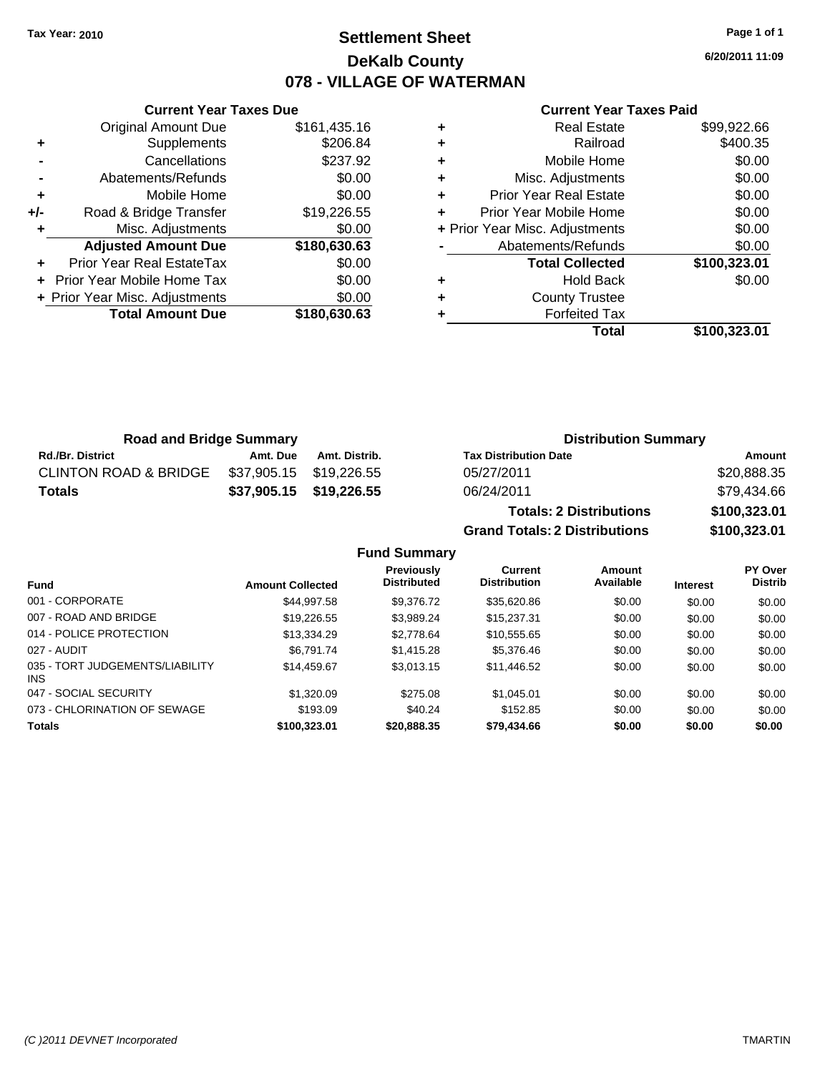### **Settlement Sheet Tax Year: 2010 Page 1 of 1 DeKalb County 078 - VILLAGE OF WATERMAN**

**6/20/2011 11:09**

#### **Current Year Taxes Paid**

|     | <b>Original Amount Due</b>        | \$161,435.16 |
|-----|-----------------------------------|--------------|
| ٠   | Supplements                       | \$206.84     |
|     | Cancellations                     | \$237.92     |
|     | Abatements/Refunds                | \$0.00       |
| ÷   | Mobile Home                       | \$0.00       |
| +/- | Road & Bridge Transfer            | \$19,226.55  |
| ٠   | Misc. Adjustments                 | \$0.00       |
|     | <b>Adjusted Amount Due</b>        | \$180,630.63 |
|     | Prior Year Real EstateTax         | \$0.00       |
|     | <b>Prior Year Mobile Home Tax</b> | \$0.00       |
|     | + Prior Year Misc. Adjustments    | \$0.00       |
|     | <b>Total Amount Due</b>           | \$180,630.63 |
|     |                                   |              |

**Current Year Taxes Due**

| ٠ | <b>Real Estate</b>             | \$99,922.66  |
|---|--------------------------------|--------------|
| ٠ | Railroad                       | \$400.35     |
| ٠ | Mobile Home                    | \$0.00       |
| ٠ | Misc. Adjustments              | \$0.00       |
| ٠ | <b>Prior Year Real Estate</b>  | \$0.00       |
|   | Prior Year Mobile Home         | \$0.00       |
|   | + Prior Year Misc. Adjustments | \$0.00       |
|   | Abatements/Refunds             | \$0.00       |
|   | <b>Total Collected</b>         | \$100,323.01 |
| ٠ | Hold Back                      | \$0.00       |
| ٠ | <b>County Trustee</b>          |              |
|   | <b>Forfeited Tax</b>           |              |
|   | Total                          | \$100,323.01 |

**Grand Totals: 2 Distributions \$100,323.01**

| <b>Road and Bridge Summary</b>   |                         |                         | <b>Distribution Summary</b>    |              |  |
|----------------------------------|-------------------------|-------------------------|--------------------------------|--------------|--|
| <b>Rd./Br. District</b>          | Amt. Due                | Amt. Distrib.           | <b>Tax Distribution Date</b>   | Amount       |  |
| <b>CLINTON ROAD &amp; BRIDGE</b> | \$37,905.15 \$19,226.55 |                         | 05/27/2011                     | \$20,888.35  |  |
| Totals                           |                         | \$37,905.15 \$19,226.55 | 06/24/2011                     | \$79,434.66  |  |
|                                  |                         |                         | <b>Totals: 2 Distributions</b> | \$100,323.01 |  |

**Fund Summary Fund Interest Amount Collected Distributed PY Over Distrib Amount Available Current Distribution Previously** 001 - CORPORATE \$44,997.58 \$9,376.72 \$35,620.86 \$0.00 \$0.00 \$0.00 007 - ROAD AND BRIDGE \$\$19,226.55 \$3,989.24 \$15,237.31 \$0.00 \$0.00 \$0.00 014 - POLICE PROTECTION \$13,334.29 \$2,778.64 \$10,555.65 \$0.00 \$0.00 \$0.00 \$0.00 027 - AUDIT \$6,791.74 \$1,415.28 \$5,376.46 \$0.00 \$0.00 \$0.00 035 - TORT JUDGEMENTS/LIABILITY INS \$14,459.67 \$3,013.15 \$11,446.52 \$0.00 \$0.00 \$0.00 047 - SOCIAL SECURITY \$1,320.09 \$275.08 \$1,045.01 \$0.00 \$0.00 \$0.00 073 - CHLORINATION OF SEWAGE \$193.09 \$40.24 \$152.85 \$0.00 \$0.00 \$0.00 \$0.00 **Totals \$100,323.01 \$20,888.35 \$79,434.66 \$0.00 \$0.00 \$0.00**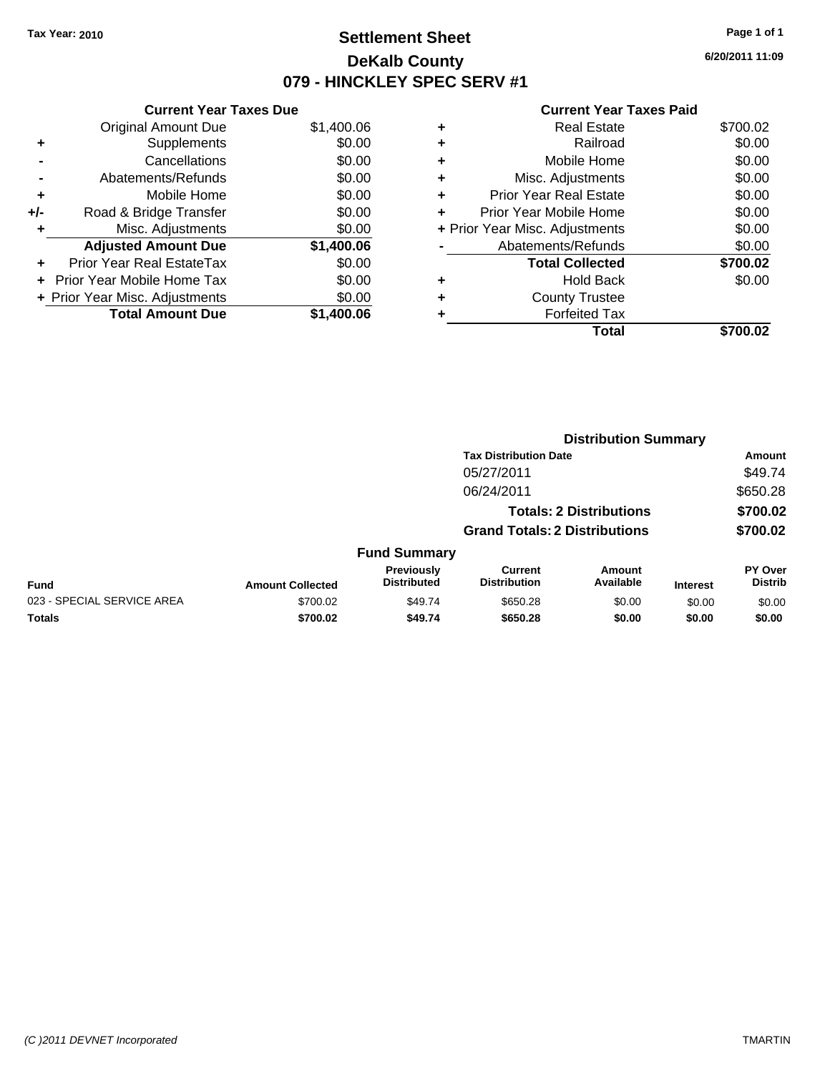## **Settlement Sheet Tax Year: 2010 Page 1 of 1 DeKalb County 079 - HINCKLEY SPEC SERV #1**

**6/20/2011 11:09**

| <b>Current Year Taxes Due</b>  |            |  |  |  |  |
|--------------------------------|------------|--|--|--|--|
| <b>Original Amount Due</b>     | \$1,400.06 |  |  |  |  |
| Supplements                    | \$0.00     |  |  |  |  |
| Cancellations                  | \$0.00     |  |  |  |  |
| Abatements/Refunds             | \$0.00     |  |  |  |  |
| Mobile Home                    | \$0.00     |  |  |  |  |
| Road & Bridge Transfer         | \$0.00     |  |  |  |  |
| Misc. Adjustments              | \$0.00     |  |  |  |  |
| <b>Adjusted Amount Due</b>     | \$1,400.06 |  |  |  |  |
| Prior Year Real EstateTax      | \$0.00     |  |  |  |  |
| Prior Year Mobile Home Tax     | \$0.00     |  |  |  |  |
| + Prior Year Misc. Adjustments | \$0.00     |  |  |  |  |
| <b>Total Amount Due</b>        | \$1.400.06 |  |  |  |  |
|                                |            |  |  |  |  |

|   | Total                          | \$700.02 |
|---|--------------------------------|----------|
|   | <b>Forfeited Tax</b>           |          |
| ٠ | <b>County Trustee</b>          |          |
| ٠ | Hold Back                      | \$0.00   |
|   | <b>Total Collected</b>         | \$700.02 |
|   | Abatements/Refunds             | \$0.00   |
|   | + Prior Year Misc. Adjustments | \$0.00   |
| ٠ | Prior Year Mobile Home         | \$0.00   |
| ÷ | Prior Year Real Estate         | \$0.00   |
| ٠ | Misc. Adjustments              | \$0.00   |
| ٠ | Mobile Home                    | \$0.00   |
| ÷ | Railroad                       | \$0.00   |
| ٠ | <b>Real Estate</b>             | \$700.02 |
|   |                                |          |

|                            |                         |                                  |                                       | <b>Distribution Summary</b>    |                 |                           |  |  |
|----------------------------|-------------------------|----------------------------------|---------------------------------------|--------------------------------|-----------------|---------------------------|--|--|
|                            |                         |                                  | <b>Tax Distribution Date</b>          |                                |                 | Amount                    |  |  |
|                            |                         |                                  | 05/27/2011                            |                                |                 | \$49.74                   |  |  |
|                            |                         |                                  | 06/24/2011                            |                                |                 | \$650.28                  |  |  |
|                            |                         |                                  |                                       | <b>Totals: 2 Distributions</b> |                 | \$700.02                  |  |  |
|                            |                         |                                  | <b>Grand Totals: 2 Distributions</b>  |                                |                 | \$700.02                  |  |  |
|                            |                         | <b>Fund Summary</b>              |                                       |                                |                 |                           |  |  |
| <b>Fund</b>                | <b>Amount Collected</b> | Previously<br><b>Distributed</b> | <b>Current</b><br><b>Distribution</b> | Amount<br>Available            | <b>Interest</b> | PY Over<br><b>Distrib</b> |  |  |
| 023 - SPECIAL SERVICE AREA | \$700.02                | \$49.74                          | \$650.28                              | \$0.00                         | \$0.00          | \$0.00                    |  |  |
| Totals                     | \$700.02                | \$49.74                          | \$650.28                              | \$0.00                         | \$0.00          | \$0.00                    |  |  |
|                            |                         |                                  |                                       |                                |                 |                           |  |  |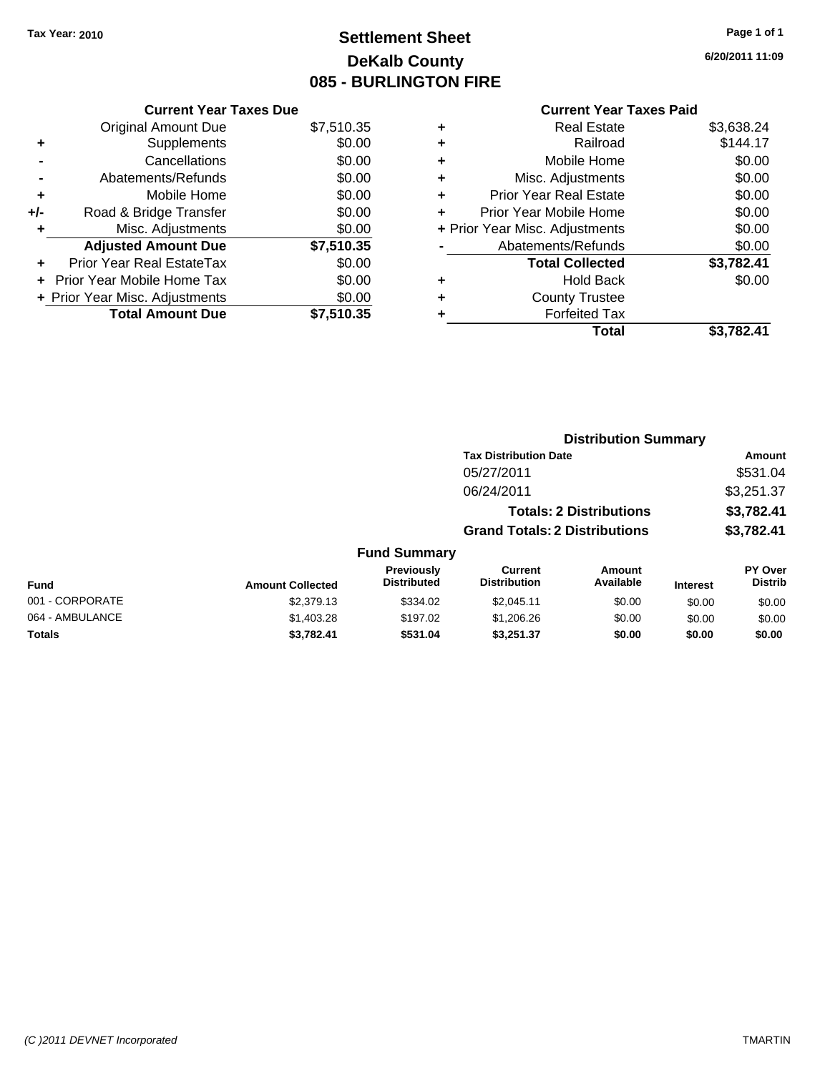# **Settlement Sheet Tax Year: 2010 Page 1 of 1 DeKalb County 085 - BURLINGTON FIRE**

**6/20/2011 11:09**

|       | <b>Current Year Taxes Due</b>     |            |  |  |  |  |
|-------|-----------------------------------|------------|--|--|--|--|
|       | <b>Original Amount Due</b>        | \$7,510.35 |  |  |  |  |
| ٠     | Supplements                       | \$0.00     |  |  |  |  |
|       | Cancellations                     | \$0.00     |  |  |  |  |
|       | Abatements/Refunds                | \$0.00     |  |  |  |  |
| ۰     | Mobile Home                       | \$0.00     |  |  |  |  |
| $+/-$ | Road & Bridge Transfer            | \$0.00     |  |  |  |  |
| ٠     | Misc. Adjustments                 | \$0.00     |  |  |  |  |
|       | <b>Adjusted Amount Due</b>        | \$7,510.35 |  |  |  |  |
|       | Prior Year Real EstateTax         | \$0.00     |  |  |  |  |
|       | <b>Prior Year Mobile Home Tax</b> | \$0.00     |  |  |  |  |
|       | + Prior Year Misc. Adjustments    | \$0.00     |  |  |  |  |
|       | <b>Total Amount Due</b>           | \$7,510.35 |  |  |  |  |

| ٠ | <b>Real Estate</b>             | \$3,638.24 |
|---|--------------------------------|------------|
| ٠ | Railroad                       | \$144.17   |
| ٠ | Mobile Home                    | \$0.00     |
| ٠ | Misc. Adjustments              | \$0.00     |
| ٠ | <b>Prior Year Real Estate</b>  | \$0.00     |
| ÷ | Prior Year Mobile Home         | \$0.00     |
|   | + Prior Year Misc. Adjustments | \$0.00     |
|   | Abatements/Refunds             | \$0.00     |
|   | <b>Total Collected</b>         | \$3,782.41 |
| ٠ | Hold Back                      | \$0.00     |
| ٠ | <b>County Trustee</b>          |            |
| ٠ | <b>Forfeited Tax</b>           |            |
|   | Total                          | \$3,782.41 |
|   |                                |            |

|                 | <b>Distribution Summary</b> |                                  |                                       |                                |                 |                                  |
|-----------------|-----------------------------|----------------------------------|---------------------------------------|--------------------------------|-----------------|----------------------------------|
|                 |                             |                                  | <b>Tax Distribution Date</b>          |                                |                 | Amount                           |
|                 |                             |                                  | 05/27/2011                            |                                |                 | \$531.04                         |
|                 |                             |                                  | 06/24/2011                            |                                |                 | \$3,251.37                       |
|                 |                             |                                  |                                       | <b>Totals: 2 Distributions</b> |                 | \$3,782.41                       |
|                 |                             |                                  | <b>Grand Totals: 2 Distributions</b>  |                                |                 | \$3,782.41                       |
|                 |                             | <b>Fund Summary</b>              |                                       |                                |                 |                                  |
| Fund            | <b>Amount Collected</b>     | Previously<br><b>Distributed</b> | <b>Current</b><br><b>Distribution</b> | <b>Amount</b><br>Available     | <b>Interest</b> | <b>PY Over</b><br><b>Distrib</b> |
| 001 - CORPORATE | \$2,379.13                  | \$334.02                         | \$2,045.11                            | \$0.00                         | \$0.00          | \$0.00                           |
| 064 - AMBULANCE | \$1,403.28                  | \$197.02                         | \$1,206.26                            | \$0.00                         | \$0.00          | \$0.00                           |
| Totals          | \$3,782.41                  | \$531.04                         | \$3,251.37                            | \$0.00                         | \$0.00          | \$0.00                           |
|                 |                             |                                  |                                       |                                |                 |                                  |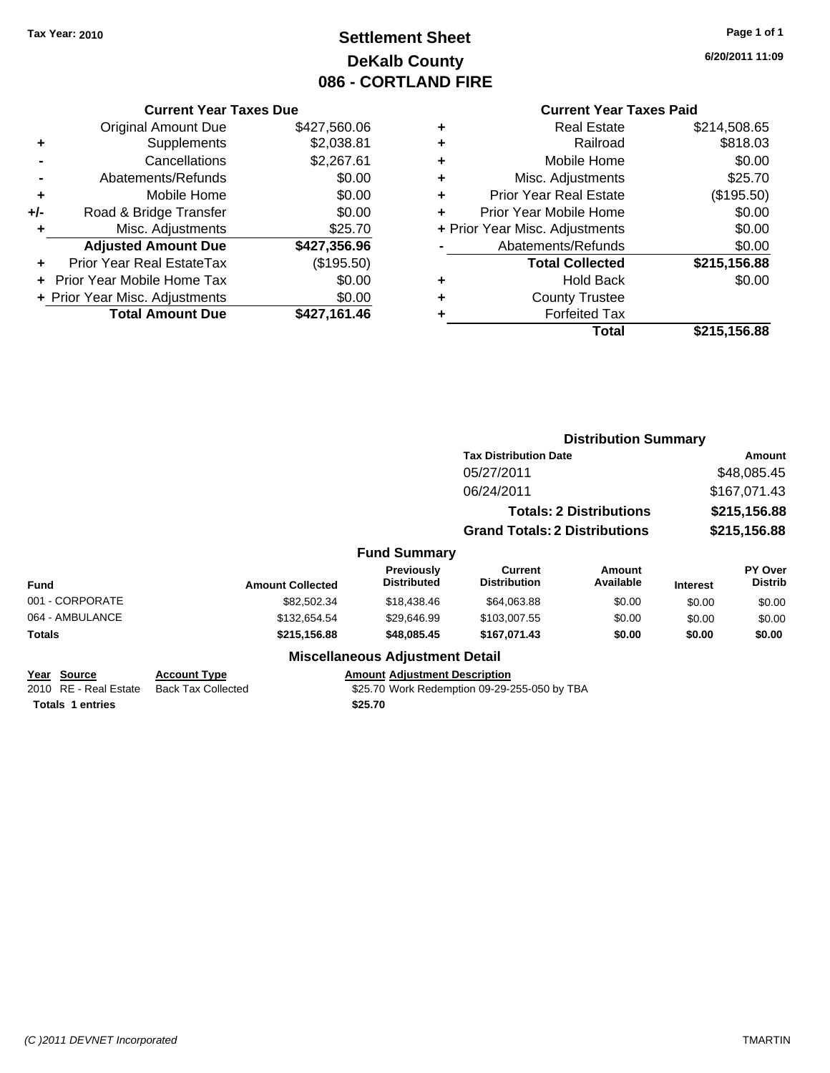# **Settlement Sheet Tax Year: 2010 Page 1 of 1 DeKalb County 086 - CORTLAND FIRE**

**6/20/2011 11:09**

|     | <b>Current Year Taxes Due</b>    |              |  |  |  |  |
|-----|----------------------------------|--------------|--|--|--|--|
|     | <b>Original Amount Due</b>       | \$427,560.06 |  |  |  |  |
| ٠   | Supplements                      | \$2,038.81   |  |  |  |  |
|     | Cancellations                    | \$2,267.61   |  |  |  |  |
|     | Abatements/Refunds               | \$0.00       |  |  |  |  |
| ٠   | Mobile Home                      | \$0.00       |  |  |  |  |
| +/- | Road & Bridge Transfer           | \$0.00       |  |  |  |  |
| ٠   | Misc. Adjustments                | \$25.70      |  |  |  |  |
|     | <b>Adjusted Amount Due</b>       | \$427,356.96 |  |  |  |  |
|     | <b>Prior Year Real EstateTax</b> | (\$195.50)   |  |  |  |  |
|     | Prior Year Mobile Home Tax       | \$0.00       |  |  |  |  |
|     | + Prior Year Misc. Adjustments   | \$0.00       |  |  |  |  |
|     | <b>Total Amount Due</b>          | \$427,161.46 |  |  |  |  |

|   | <b>Total</b>                   | \$215,156.88 |
|---|--------------------------------|--------------|
| ٠ | <b>Forfeited Tax</b>           |              |
| ٠ | <b>County Trustee</b>          |              |
| ٠ | <b>Hold Back</b>               | \$0.00       |
|   | <b>Total Collected</b>         | \$215,156.88 |
|   | Abatements/Refunds             | \$0.00       |
|   | + Prior Year Misc. Adjustments | \$0.00       |
| ÷ | Prior Year Mobile Home         | \$0.00       |
| ٠ | <b>Prior Year Real Estate</b>  | (\$195.50)   |
| ٠ | Misc. Adjustments              | \$25.70      |
| ٠ | Mobile Home                    | \$0.00       |
| ٠ | Railroad                       | \$818.03     |
| ٠ | Real Estate                    | \$214,508.65 |
|   |                                |              |

|                                                                 |                                                  |                                                 |                                              | <b>Distribution Summary</b>    |                 |                           |
|-----------------------------------------------------------------|--------------------------------------------------|-------------------------------------------------|----------------------------------------------|--------------------------------|-----------------|---------------------------|
|                                                                 |                                                  |                                                 | <b>Tax Distribution Date</b>                 | Amount<br>\$48,085.45          |                 |                           |
|                                                                 |                                                  |                                                 | 05/27/2011                                   |                                |                 |                           |
|                                                                 |                                                  |                                                 | 06/24/2011                                   |                                |                 | \$167,071.43              |
|                                                                 |                                                  |                                                 |                                              | <b>Totals: 2 Distributions</b> |                 | \$215,156.88              |
|                                                                 |                                                  |                                                 | <b>Grand Totals: 2 Distributions</b>         |                                |                 | \$215,156.88              |
|                                                                 |                                                  | <b>Fund Summary</b>                             |                                              |                                |                 |                           |
| Fund                                                            | <b>Amount Collected</b>                          | <b>Previously</b><br><b>Distributed</b>         | <b>Current</b><br><b>Distribution</b>        | <b>Amount</b><br>Available     | <b>Interest</b> | PY Over<br><b>Distrib</b> |
| 001 - CORPORATE                                                 | \$82,502.34                                      | \$18,438.46                                     | \$64,063.88                                  | \$0.00                         | \$0.00          | \$0.00                    |
| 064 - AMBULANCE                                                 | \$132,654.54                                     | \$29,646.99                                     | \$103,007.55                                 | \$0.00                         | \$0.00          | \$0.00                    |
| Totals                                                          | \$215,156.88                                     | \$48,085.45                                     | \$167,071.43                                 | \$0.00                         | \$0.00          | \$0.00                    |
|                                                                 |                                                  | <b>Miscellaneous Adjustment Detail</b>          |                                              |                                |                 |                           |
| Year Source<br>2010 RE - Real Estate<br><b>Totals 1 entries</b> | <b>Account Type</b><br><b>Back Tax Collected</b> | <b>Amount Adjustment Description</b><br>\$25.70 | \$25.70 Work Redemption 09-29-255-050 by TBA |                                |                 |                           |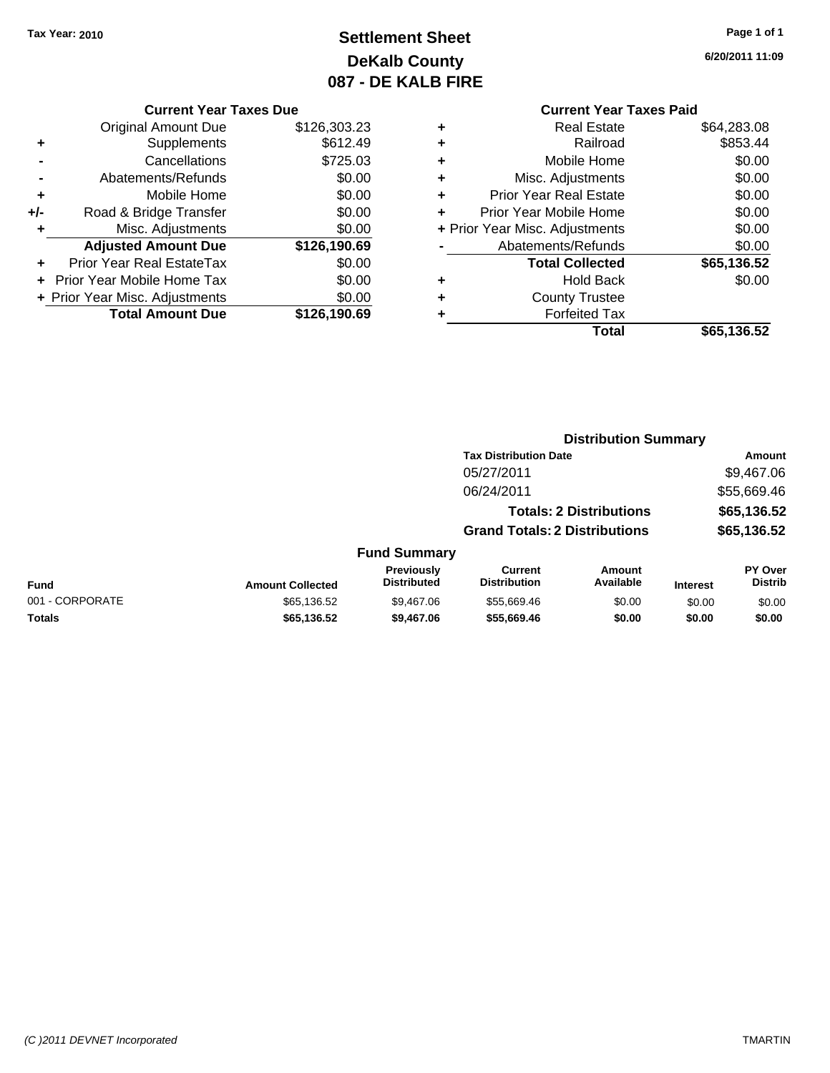# **Settlement Sheet Tax Year: 2010 Page 1 of 1 DeKalb County 087 - DE KALB FIRE**

**6/20/2011 11:09**

| <b>Current Year Taxes Due</b> |
|-------------------------------|
|-------------------------------|

|     | <b>Total Amount Due</b>           | \$126,190.69 |
|-----|-----------------------------------|--------------|
|     | + Prior Year Misc. Adjustments    | \$0.00       |
|     | <b>Prior Year Mobile Home Tax</b> | \$0.00       |
|     | <b>Prior Year Real EstateTax</b>  | \$0.00       |
|     | <b>Adjusted Amount Due</b>        | \$126,190.69 |
| ٠   | Misc. Adjustments                 | \$0.00       |
| +/- | Road & Bridge Transfer            | \$0.00       |
| ٠   | Mobile Home                       | \$0.00       |
|     | Abatements/Refunds                | \$0.00       |
|     | Cancellations                     | \$725.03     |
| ٠   | Supplements                       | \$612.49     |
|     | <b>Original Amount Due</b>        | \$126,303.23 |

|   | <b>Real Estate</b>             | \$64,283.08 |
|---|--------------------------------|-------------|
| ٠ | Railroad                       | \$853.44    |
| ٠ | Mobile Home                    | \$0.00      |
| ٠ | Misc. Adjustments              | \$0.00      |
| ٠ | Prior Year Real Estate         | \$0.00      |
|   | Prior Year Mobile Home         | \$0.00      |
|   | + Prior Year Misc. Adjustments | \$0.00      |
|   | Abatements/Refunds             | \$0.00      |
|   | <b>Total Collected</b>         | \$65,136.52 |
| ٠ | <b>Hold Back</b>               | \$0.00      |
| ٠ | <b>County Trustee</b>          |             |
| ٠ | <b>Forfeited Tax</b>           |             |
|   | Total                          | \$65,136.52 |
|   |                                |             |

|                 |                         |                                  | <b>Distribution Summary</b>           |                                |                 |                           |
|-----------------|-------------------------|----------------------------------|---------------------------------------|--------------------------------|-----------------|---------------------------|
|                 |                         |                                  | <b>Tax Distribution Date</b>          |                                |                 | Amount                    |
|                 |                         |                                  | 05/27/2011                            |                                |                 | \$9,467.06                |
|                 |                         |                                  | 06/24/2011                            |                                |                 | \$55,669.46               |
|                 |                         |                                  |                                       | <b>Totals: 2 Distributions</b> |                 | \$65,136.52               |
|                 |                         |                                  | <b>Grand Totals: 2 Distributions</b>  |                                |                 | \$65,136.52               |
|                 |                         | <b>Fund Summary</b>              |                                       |                                |                 |                           |
| <b>Fund</b>     | <b>Amount Collected</b> | Previously<br><b>Distributed</b> | <b>Current</b><br><b>Distribution</b> | Amount<br>Available            | <b>Interest</b> | PY Over<br><b>Distrib</b> |
| 001 - CORPORATE | \$65,136.52             | \$9,467.06                       | \$55.669.46                           | \$0.00                         | \$0.00          | \$0.00                    |
| Totals          | \$65,136.52             | \$9,467.06                       | \$55,669.46                           | \$0.00                         | \$0.00          | \$0.00                    |
|                 |                         |                                  |                                       |                                |                 |                           |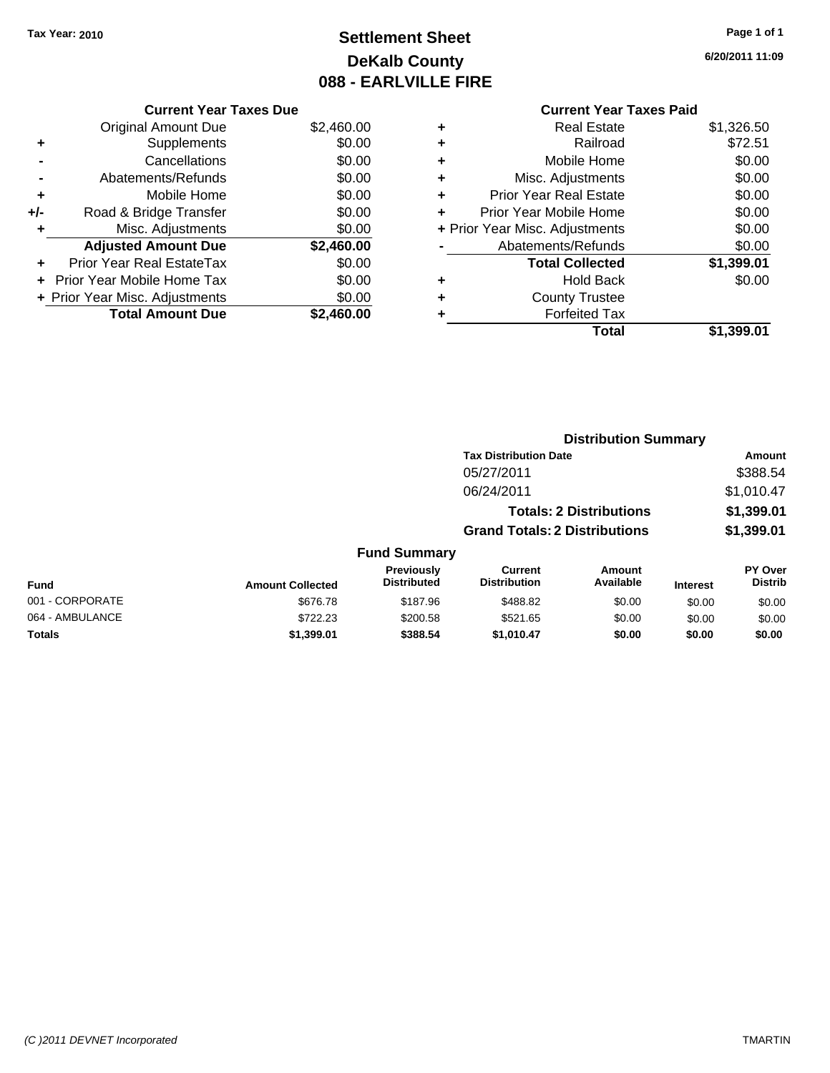# **Settlement Sheet Tax Year: 2010 Page 1 of 1 DeKalb County 088 - EARLVILLE FIRE**

**6/20/2011 11:09**

|     | <b>Current Year Taxes Due</b>  |            |  |
|-----|--------------------------------|------------|--|
|     | <b>Original Amount Due</b>     | \$2,460.00 |  |
|     | Supplements                    | \$0.00     |  |
|     | Cancellations                  | \$0.00     |  |
|     | Abatements/Refunds             | \$0.00     |  |
|     | Mobile Home                    | \$0.00     |  |
| +/- | Road & Bridge Transfer         | \$0.00     |  |
|     | Misc. Adjustments              | \$0.00     |  |
|     | <b>Adjusted Amount Due</b>     | \$2,460.00 |  |
|     | Prior Year Real EstateTax      | \$0.00     |  |
|     | Prior Year Mobile Home Tax     | \$0.00     |  |
|     | + Prior Year Misc. Adjustments | \$0.00     |  |
|     | <b>Total Amount Due</b>        | \$2,460.00 |  |
|     |                                |            |  |

| <b>Total Collected</b><br><b>Hold Back</b><br><b>County Trustee</b><br><b>Forfeited Tax</b> | \$1,399.01<br>\$0.00 |
|---------------------------------------------------------------------------------------------|----------------------|
|                                                                                             |                      |
|                                                                                             |                      |
|                                                                                             |                      |
| Abatements/Refunds                                                                          | \$0.00               |
| + Prior Year Misc. Adjustments                                                              | \$0.00               |
| Prior Year Mobile Home                                                                      | \$0.00               |
| <b>Prior Year Real Estate</b>                                                               | \$0.00               |
| Misc. Adjustments                                                                           | \$0.00               |
| Mobile Home                                                                                 | \$0.00               |
| Railroad                                                                                    | \$72.51              |
| <b>Real Estate</b>                                                                          | \$1,326.50           |
|                                                                                             |                      |

|                 |                         |                                  | <b>Distribution Summary</b>           |                                |                 |                                  |
|-----------------|-------------------------|----------------------------------|---------------------------------------|--------------------------------|-----------------|----------------------------------|
|                 |                         |                                  | <b>Tax Distribution Date</b>          |                                |                 | Amount                           |
|                 |                         |                                  | 05/27/2011                            |                                |                 | \$388.54                         |
|                 |                         |                                  | 06/24/2011                            |                                |                 | \$1,010.47                       |
|                 |                         |                                  |                                       | <b>Totals: 2 Distributions</b> |                 | \$1,399.01                       |
|                 |                         |                                  | <b>Grand Totals: 2 Distributions</b>  |                                |                 | \$1,399.01                       |
|                 |                         | <b>Fund Summary</b>              |                                       |                                |                 |                                  |
| Fund            | <b>Amount Collected</b> | Previously<br><b>Distributed</b> | <b>Current</b><br><b>Distribution</b> | Amount<br>Available            | <b>Interest</b> | <b>PY Over</b><br><b>Distrib</b> |
| 001 - CORPORATE | \$676.78                | \$187.96                         | \$488.82                              | \$0.00                         | \$0.00          | \$0.00                           |
| 064 - AMBULANCE | \$722.23                | \$200.58                         | \$521.65                              | \$0.00                         | \$0.00          | \$0.00                           |
| Totals          | \$1,399.01              | \$388.54                         | \$1,010.47                            | \$0.00                         | \$0.00          | \$0.00                           |
|                 |                         |                                  |                                       |                                |                 |                                  |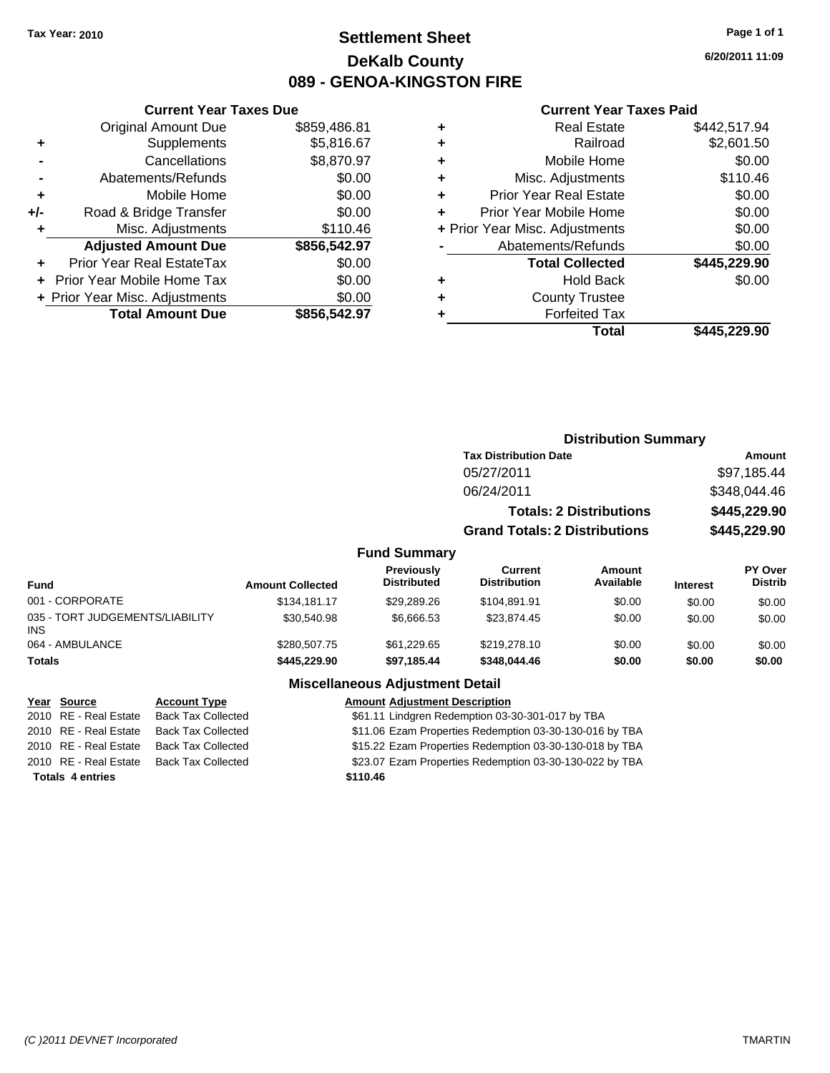### **Settlement Sheet Tax Year: 2010 Page 1 of 1 DeKalb County 089 - GENOA-KINGSTON FIRE**

**6/20/2011 11:09**

### **Current Year Taxes Paid**

|       | <b>Current Year Taxes Due</b>  |              |  |  |  |
|-------|--------------------------------|--------------|--|--|--|
|       | <b>Original Amount Due</b>     | \$859,486.81 |  |  |  |
| ٠     | Supplements                    | \$5,816.67   |  |  |  |
|       | Cancellations                  | \$8,870.97   |  |  |  |
|       | Abatements/Refunds             | \$0.00       |  |  |  |
| ٠     | Mobile Home                    | \$0.00       |  |  |  |
| $+/-$ | Road & Bridge Transfer         | \$0.00       |  |  |  |
| ٠     | Misc. Adjustments              | \$110.46     |  |  |  |
|       | <b>Adjusted Amount Due</b>     | \$856,542.97 |  |  |  |
|       | Prior Year Real EstateTax      | \$0.00       |  |  |  |
|       | Prior Year Mobile Home Tax     | \$0.00       |  |  |  |
|       | + Prior Year Misc. Adjustments | \$0.00       |  |  |  |
|       | <b>Total Amount Due</b>        | \$856,542.97 |  |  |  |
|       |                                |              |  |  |  |

| <b>Real Estate</b>             | \$442,517.94 |
|--------------------------------|--------------|
| Railroad                       | \$2,601.50   |
| Mobile Home                    | \$0.00       |
| Misc. Adjustments              | \$110.46     |
| <b>Prior Year Real Estate</b>  | \$0.00       |
| Prior Year Mobile Home         | \$0.00       |
| + Prior Year Misc. Adjustments | \$0.00       |
| Abatements/Refunds             | \$0.00       |
| <b>Total Collected</b>         | \$445,229.90 |
| <b>Hold Back</b>               | \$0.00       |
| <b>County Trustee</b>          |              |
| <b>Forfeited Tax</b>           |              |
| Total                          | \$445,229.90 |
|                                |              |

|                                               |                         |                                         | <b>Distribution Summary</b>           |                                |                 |                           |
|-----------------------------------------------|-------------------------|-----------------------------------------|---------------------------------------|--------------------------------|-----------------|---------------------------|
|                                               |                         |                                         | <b>Tax Distribution Date</b>          |                                |                 | Amount                    |
|                                               |                         |                                         | 05/27/2011                            |                                |                 | \$97,185.44               |
|                                               |                         |                                         | 06/24/2011                            |                                |                 | \$348,044.46              |
|                                               |                         |                                         |                                       | <b>Totals: 2 Distributions</b> |                 | \$445,229.90              |
|                                               |                         |                                         | <b>Grand Totals: 2 Distributions</b>  |                                |                 | \$445,229.90              |
|                                               |                         | <b>Fund Summary</b>                     |                                       |                                |                 |                           |
| <b>Fund</b>                                   | <b>Amount Collected</b> | <b>Previously</b><br><b>Distributed</b> | <b>Current</b><br><b>Distribution</b> | Amount<br>Available            | <b>Interest</b> | PY Over<br><b>Distrib</b> |
| 001 - CORPORATE                               | \$134,181.17            | \$29,289.26                             | \$104,891.91                          | \$0.00                         | \$0.00          | \$0.00                    |
| 035 - TORT JUDGEMENTS/LIABILITY<br><b>INS</b> | \$30.540.98             | \$6,666.53                              | \$23,874.45                           | \$0.00                         | \$0.00          | \$0.00                    |
| 064 - AMBULANCE                               | \$280,507.75            | \$61,229.65                             | \$219,278.10                          | \$0.00                         | \$0.00          | \$0.00                    |
| <b>Totals</b>                                 | \$445,229.90            | \$97,185.44                             | \$348,044.46                          | \$0.00                         | \$0.00          | \$0.00                    |
|                                               | --- --                  |                                         |                                       |                                |                 |                           |

#### **Miscellaneous Adjustment Detail**

|                         | Year Source           | <b>Account Type</b>       | <b>Amount Adjustment Description</b>                    |
|-------------------------|-----------------------|---------------------------|---------------------------------------------------------|
|                         | 2010 RE - Real Estate | <b>Back Tax Collected</b> | \$61.11 Lindgren Redemption 03-30-301-017 by TBA        |
|                         | 2010 RE - Real Estate | <b>Back Tax Collected</b> | \$11.06 Ezam Properties Redemption 03-30-130-016 by TBA |
|                         | 2010 RE - Real Estate | Back Tax Collected        | \$15.22 Ezam Properties Redemption 03-30-130-018 by TBA |
|                         | 2010 RE - Real Estate | <b>Back Tax Collected</b> | \$23.07 Ezam Properties Redemption 03-30-130-022 by TBA |
| <b>Totals 4 entries</b> |                       |                           | \$110.46                                                |
|                         |                       |                           |                                                         |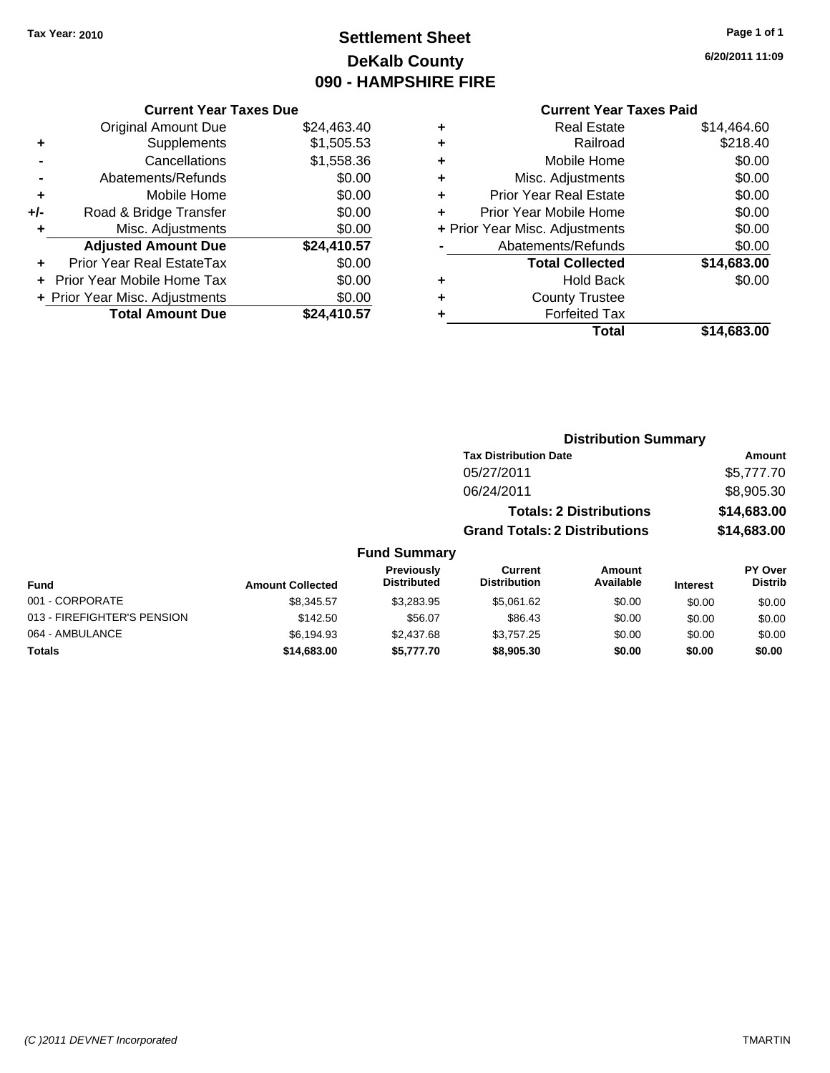# **Settlement Sheet Tax Year: 2010 Page 1 of 1 DeKalb County 090 - HAMPSHIRE FIRE**

**6/20/2011 11:09**

#### **Current Year Taxes Paid**

|     | <b>Current Year Taxes Due</b>  |             |  |  |  |
|-----|--------------------------------|-------------|--|--|--|
|     | <b>Original Amount Due</b>     | \$24,463.40 |  |  |  |
| ٠   | Supplements                    | \$1,505.53  |  |  |  |
|     | Cancellations                  | \$1,558.36  |  |  |  |
|     | Abatements/Refunds             | \$0.00      |  |  |  |
| ٠   | Mobile Home                    | \$0.00      |  |  |  |
| +/- | Road & Bridge Transfer         | \$0.00      |  |  |  |
| ٠   | Misc. Adjustments              | \$0.00      |  |  |  |
|     | <b>Adjusted Amount Due</b>     | \$24,410.57 |  |  |  |
| ÷   | Prior Year Real EstateTax      | \$0.00      |  |  |  |
|     | Prior Year Mobile Home Tax     | \$0.00      |  |  |  |
|     | + Prior Year Misc. Adjustments | \$0.00      |  |  |  |
|     | <b>Total Amount Due</b>        | \$24,410.57 |  |  |  |
|     |                                |             |  |  |  |

| ٠ | <b>Real Estate</b>             | \$14,464.60 |
|---|--------------------------------|-------------|
| ٠ | Railroad                       | \$218.40    |
| ٠ | Mobile Home                    | \$0.00      |
| ٠ | Misc. Adjustments              | \$0.00      |
| ÷ | <b>Prior Year Real Estate</b>  | \$0.00      |
| ٠ | Prior Year Mobile Home         | \$0.00      |
|   | + Prior Year Misc. Adjustments | \$0.00      |
|   | Abatements/Refunds             | \$0.00      |
|   | <b>Total Collected</b>         | \$14,683.00 |
| ٠ | <b>Hold Back</b>               | \$0.00      |
| ٠ | <b>County Trustee</b>          |             |
| ٠ | <b>Forfeited Tax</b>           |             |
|   | Total                          | \$14,683.00 |

#### **Distribution Summary Tax Distribution Date Amount** 05/27/2011 \$5,777.70 06/24/2011 \$8,905.30 **Totals: 2 Distributions \$14,683.00 Grand Totals: 2 Distributions \$14,683.00 Fund Summary Fund Interest Amount Collected Distributed PY Over Distrib Amount Available Current Distribution Previously** 001 - CORPORATE \$8,345.57 \$3,283.95 \$5,061.62 \$0.00 \$0.00 \$0.00 013 - FIREFIGHTER'S PENSION \$142.50 \$56.07 \$86.43 \$0.00 \$0.00 \$0.00 \$0.00 064 - AMBULANCE \$6,194.93 \$2,437.68 \$3,757.25 \$0.00 \$0.00 \$0.00 **Totals \$14,683.00 \$5,777.70 \$8,905.30 \$0.00 \$0.00 \$0.00**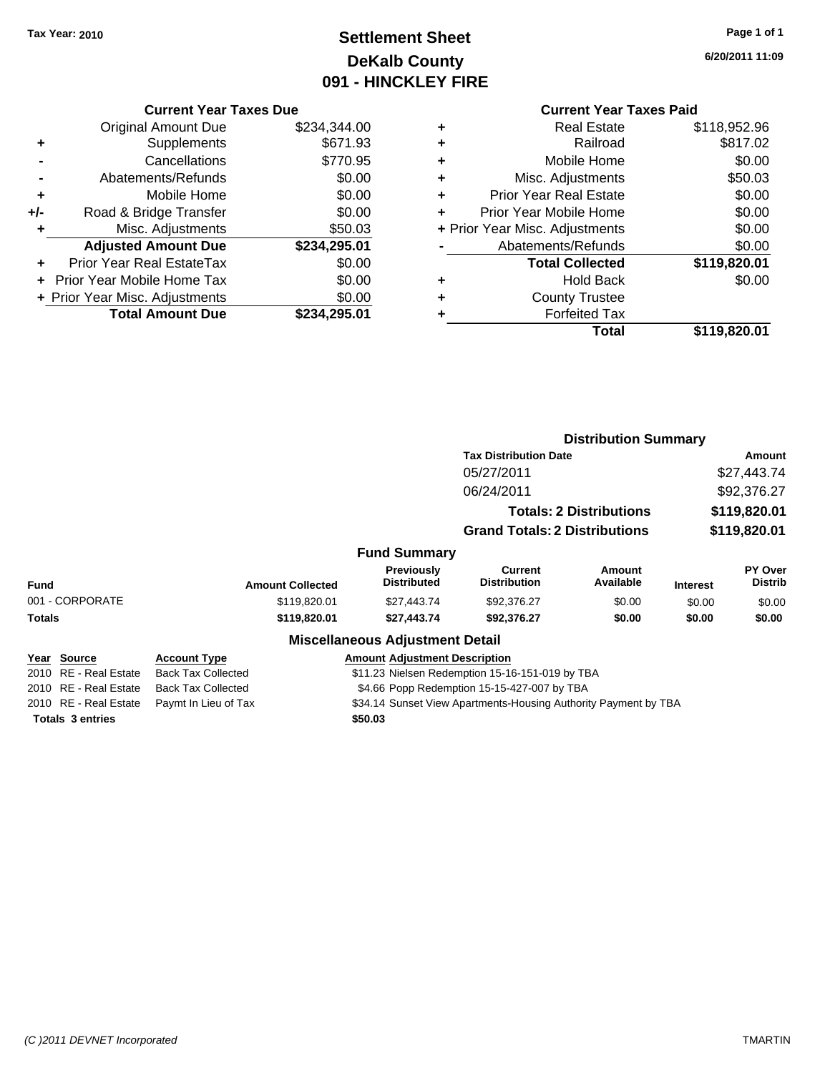# **Settlement Sheet Tax Year: 2010 Page 1 of 1 DeKalb County 091 - HINCKLEY FIRE**

**6/20/2011 11:09**

|  | <b>Current Year Taxes Due</b> |
|--|-------------------------------|
|--|-------------------------------|

|     | <b>Original Amount Due</b>       | \$234,344.00 |
|-----|----------------------------------|--------------|
| ٠   | Supplements                      | \$671.93     |
|     | Cancellations                    | \$770.95     |
|     | Abatements/Refunds               | \$0.00       |
| ٠   | Mobile Home                      | \$0.00       |
| +/- | Road & Bridge Transfer           | \$0.00       |
| ٠   | Misc. Adjustments                | \$50.03      |
|     | <b>Adjusted Amount Due</b>       | \$234,295.01 |
|     | <b>Prior Year Real EstateTax</b> | \$0.00       |
|     | Prior Year Mobile Home Tax       | \$0.00       |
|     | + Prior Year Misc. Adjustments   | \$0.00       |
|     | <b>Total Amount Due</b>          | \$234,295.01 |

|   | <b>Real Estate</b>             | \$118,952.96 |
|---|--------------------------------|--------------|
| ٠ | Railroad                       | \$817.02     |
| ٠ | Mobile Home                    | \$0.00       |
| ٠ | Misc. Adjustments              | \$50.03      |
| ٠ | <b>Prior Year Real Estate</b>  | \$0.00       |
|   | Prior Year Mobile Home         | \$0.00       |
|   | + Prior Year Misc. Adjustments | \$0.00       |
|   | Abatements/Refunds             | \$0.00       |
|   | <b>Total Collected</b>         | \$119,820.01 |
| ٠ | Hold Back                      | \$0.00       |
| ٠ | <b>County Trustee</b>          |              |
|   | <b>Forfeited Tax</b>           |              |
|   | Total                          | \$119,820.01 |
|   |                                |              |

|                         |                           |                                         |                                                                 | <b>Distribution Summary</b>    |                 |                                  |
|-------------------------|---------------------------|-----------------------------------------|-----------------------------------------------------------------|--------------------------------|-----------------|----------------------------------|
|                         |                           |                                         | <b>Tax Distribution Date</b>                                    |                                |                 | Amount                           |
|                         |                           |                                         | 05/27/2011                                                      |                                |                 | \$27,443.74                      |
|                         |                           |                                         | 06/24/2011                                                      |                                |                 | \$92,376.27                      |
|                         |                           |                                         |                                                                 | <b>Totals: 2 Distributions</b> |                 | \$119,820.01                     |
|                         |                           |                                         | <b>Grand Totals: 2 Distributions</b>                            |                                |                 | \$119,820.01                     |
|                         |                           | <b>Fund Summary</b>                     |                                                                 |                                |                 |                                  |
| Fund                    | <b>Amount Collected</b>   | <b>Previously</b><br><b>Distributed</b> | Current<br><b>Distribution</b>                                  | Amount<br>Available            | <b>Interest</b> | <b>PY Over</b><br><b>Distrib</b> |
| 001 - CORPORATE         | \$119,820.01              | \$27,443.74                             | \$92,376.27                                                     | \$0.00                         | \$0.00          | \$0.00                           |
| Totals                  | \$119,820.01              | \$27,443.74                             | \$92,376.27                                                     | \$0.00                         | \$0.00          | \$0.00                           |
|                         |                           | <b>Miscellaneous Adjustment Detail</b>  |                                                                 |                                |                 |                                  |
| Year Source             | <b>Account Type</b>       | <b>Amount Adiustment Description</b>    |                                                                 |                                |                 |                                  |
| 2010 RE - Real Estate   | <b>Back Tax Collected</b> |                                         | \$11.23 Nielsen Redemption 15-16-151-019 by TBA                 |                                |                 |                                  |
| 2010 RE - Real Estate   | <b>Back Tax Collected</b> |                                         | \$4.66 Popp Redemption 15-15-427-007 by TBA                     |                                |                 |                                  |
| 2010 RE - Real Estate   | Paymt In Lieu of Tax      |                                         | \$34.14 Sunset View Apartments-Housing Authority Payment by TBA |                                |                 |                                  |
| <b>Totals 3 entries</b> |                           | \$50.03                                 |                                                                 |                                |                 |                                  |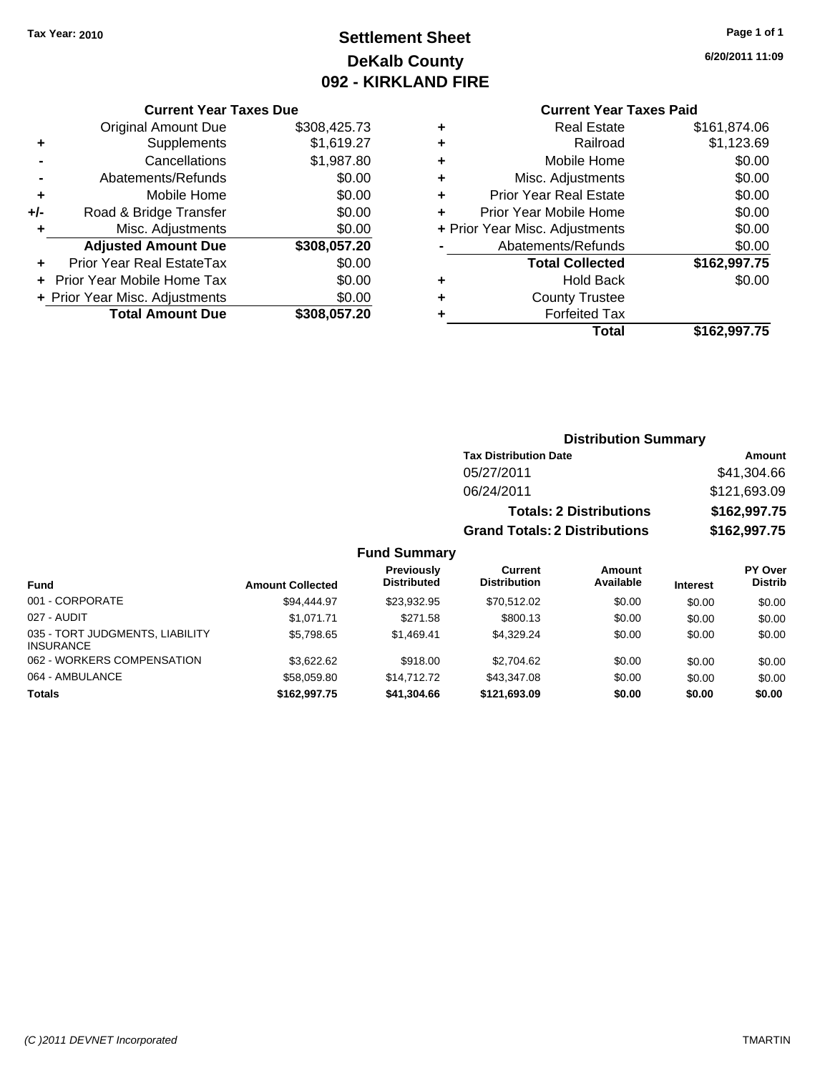# **Settlement Sheet Tax Year: 2010 Page 1 of 1 DeKalb County 092 - KIRKLAND FIRE**

**6/20/2011 11:09**

#### **Current Year Taxes Due**

|       | <b>Original Amount Due</b>        | \$308,425.73 |
|-------|-----------------------------------|--------------|
| ٠     | Supplements                       | \$1,619.27   |
|       | Cancellations                     | \$1,987.80   |
|       | Abatements/Refunds                | \$0.00       |
| ÷     | Mobile Home                       | \$0.00       |
| $+/-$ | Road & Bridge Transfer            | \$0.00       |
| ٠     | Misc. Adjustments                 | \$0.00       |
|       | <b>Adjusted Amount Due</b>        | \$308,057.20 |
|       | <b>Prior Year Real EstateTax</b>  | \$0.00       |
|       | <b>Prior Year Mobile Home Tax</b> | \$0.00       |
|       | + Prior Year Misc. Adjustments    | \$0.00       |
|       | <b>Total Amount Due</b>           | \$308,057.20 |

### **Current Year Taxes Paid**

|   | <b>Real Estate</b>             | \$161,874.06 |
|---|--------------------------------|--------------|
| ٠ | Railroad                       | \$1,123.69   |
| ٠ | Mobile Home                    | \$0.00       |
| ٠ | Misc. Adjustments              | \$0.00       |
| ٠ | <b>Prior Year Real Estate</b>  | \$0.00       |
| ÷ | Prior Year Mobile Home         | \$0.00       |
|   | + Prior Year Misc. Adjustments | \$0.00       |
|   | Abatements/Refunds             | \$0.00       |
|   | <b>Total Collected</b>         | \$162,997.75 |
| ٠ | <b>Hold Back</b>               | \$0.00       |
| ٠ | <b>County Trustee</b>          |              |
| ٠ | <b>Forfeited Tax</b>           |              |
|   | Total                          | \$162,997.75 |
|   |                                |              |

### **Distribution Summary**

| <b>Tax Distribution Date</b>         | Amount       |
|--------------------------------------|--------------|
| 05/27/2011                           | \$41,304.66  |
| 06/24/2011                           | \$121,693.09 |
| <b>Totals: 2 Distributions</b>       | \$162,997.75 |
| <b>Grand Totals: 2 Distributions</b> | \$162,997.75 |

| <b>Fund</b>                                         | <b>Amount Collected</b> | Previously<br><b>Distributed</b> | Current<br><b>Distribution</b> | Amount<br>Available | <b>Interest</b> | PY Over<br><b>Distrib</b> |
|-----------------------------------------------------|-------------------------|----------------------------------|--------------------------------|---------------------|-----------------|---------------------------|
| 001 - CORPORATE                                     | \$94,444.97             | \$23.932.95                      | \$70.512.02                    | \$0.00              | \$0.00          | \$0.00                    |
| 027 - AUDIT                                         | \$1.071.71              | \$271.58                         | \$800.13                       | \$0.00              | \$0.00          | \$0.00                    |
| 035 - TORT JUDGMENTS, LIABILITY<br><b>INSURANCE</b> | \$5,798.65              | \$1.469.41                       | \$4.329.24                     | \$0.00              | \$0.00          | \$0.00                    |
| 062 - WORKERS COMPENSATION                          | \$3.622.62              | \$918.00                         | \$2,704.62                     | \$0.00              | \$0.00          | \$0.00                    |
| 064 - AMBULANCE                                     | \$58,059.80             | \$14,712,72                      | \$43,347.08                    | \$0.00              | \$0.00          | \$0.00                    |
| <b>Totals</b>                                       | \$162,997.75            | \$41,304.66                      | \$121.693.09                   | \$0.00              | \$0.00          | \$0.00                    |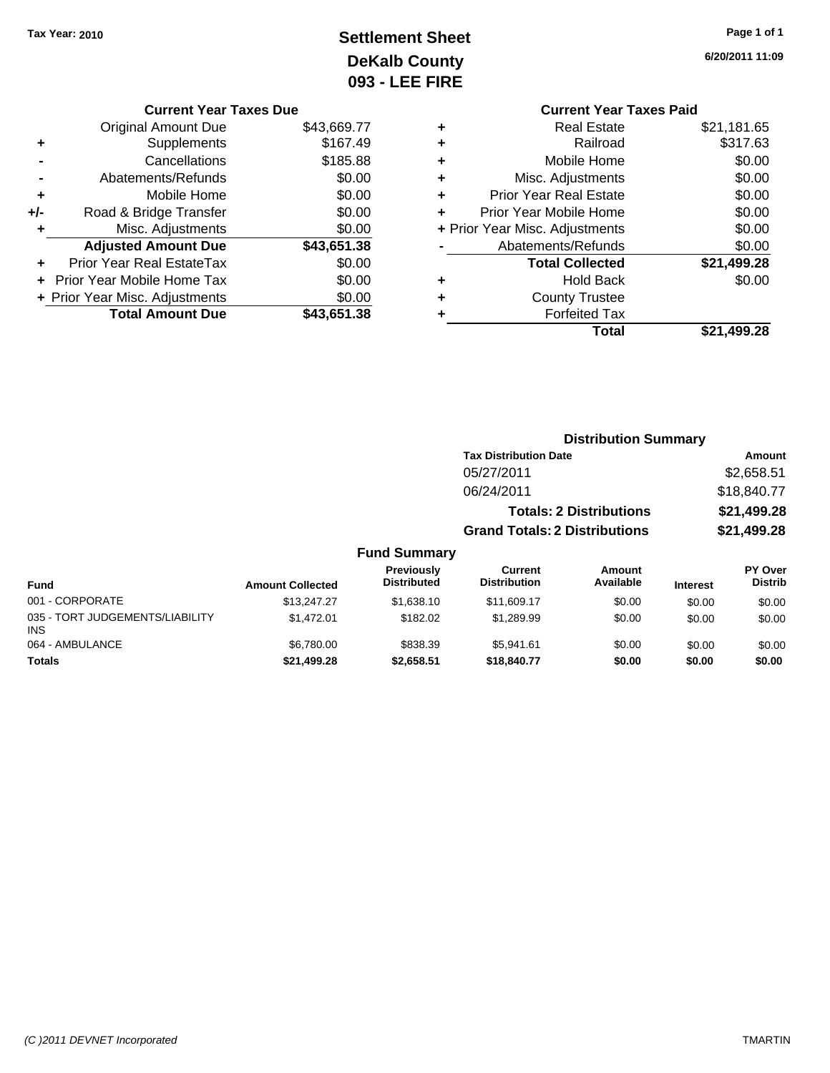# **Settlement Sheet Tax Year: 2010 Page 1 of 1 DeKalb County 093 - LEE FIRE**

**6/20/2011 11:09**

|   | <b>Current Year Taxes Paid</b> |             |
|---|--------------------------------|-------------|
| ٠ | <b>Real Estate</b>             | \$21,181.65 |
| ٠ | Railroad                       | \$317.63    |
| ٠ | Mobile Home                    | \$0.00      |
| ٠ | Misc. Adjustments              | \$0.00      |
| ÷ | <b>Prior Year Real Estate</b>  | \$0.00      |
| ÷ | Prior Year Mobile Home         | \$0.00      |
|   | + Prior Year Misc. Adjustments | \$0.00      |
|   | Abatements/Refunds             | \$0.00      |
|   | <b>Total Collected</b>         | \$21,499.28 |
| ٠ | <b>Hold Back</b>               | \$0.00      |
| ٠ | <b>County Trustee</b>          |             |
| ٠ | <b>Forfeited Tax</b>           |             |
|   | Total                          | \$21.499.28 |
|   |                                |             |

**Distribution Summary**

### **Current Year Taxes Due** Original Amount Due \$43,669.77 **+** Supplements \$167.49 **-** Cancellations \$185.88 **-** Abatements/Refunds \$0.00 **+** Mobile Home \$0.00 **+/-** Road & Bridge Transfer \$0.00 **+** Misc. Adjustments \$0.00 **Adjusted Amount Due \$43,651.38 +** Prior Year Real EstateTax \$0.00 **+** Prior Year Mobile Home Tax \$0.00 **+ Prior Year Misc. Adjustments**  $$0.00$ **Total Amount Due \$43,651.38**

#### **Tax Distribution Date Amount** 05/27/2011 \$2,658.51 06/24/2011 \$18,840.77 **Totals: 2 Distributions \$21,499.28 Grand Totals: 2 Distributions \$21,499.28 Fund Summary Fund Interest Amount Collected Distributed PY Over Distrib Amount Available Current Distribution Previously** 001 - CORPORATE \$13,247.27 \$1,638.10 \$11,609.17 \$0.00 \$0.00 \$0.00 035 - TORT JUDGEMENTS/LIABILITY INS \$1,472.01 \$182.02 \$1,289.99 \$0.00 \$0.00 \$0.00 064 - AMBULANCE \$6,780.00 \$838.39 \$5,941.61 \$0.00 \$0.00 \$0.00 **Totals \$21,499.28 \$2,658.51 \$18,840.77 \$0.00 \$0.00 \$0.00**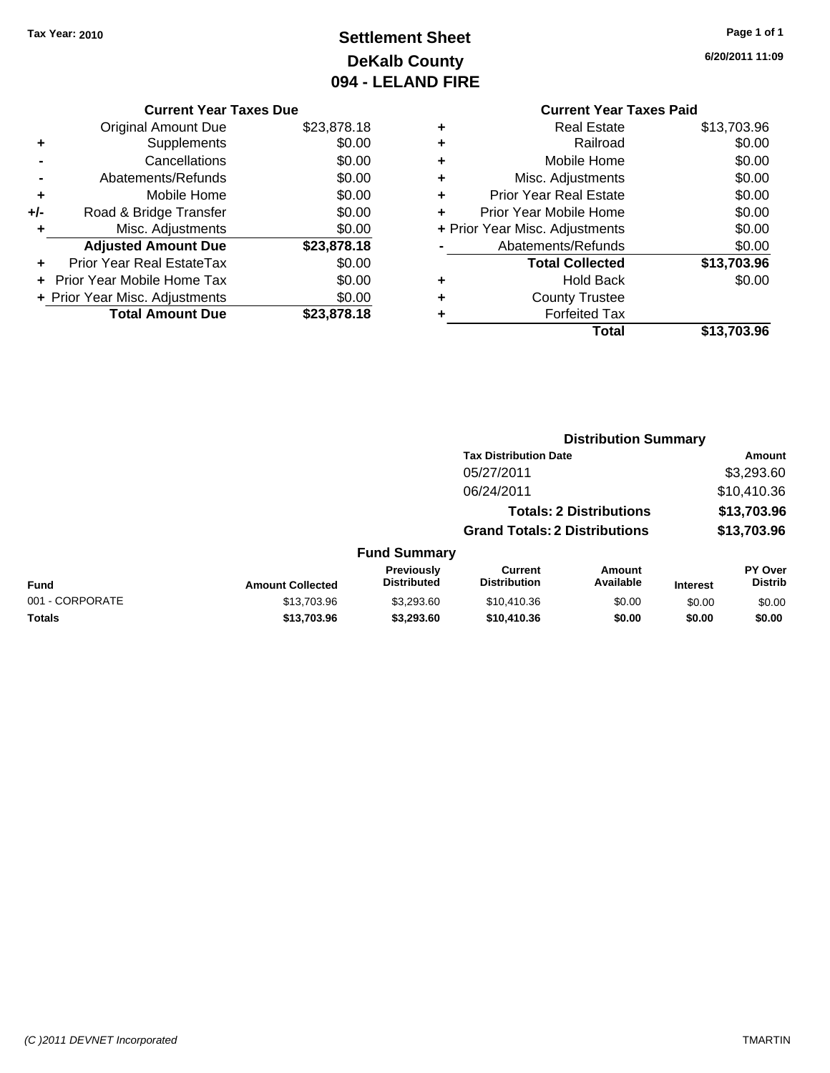# **Settlement Sheet Tax Year: 2010 Page 1 of 1 DeKalb County 094 - LELAND FIRE**

**6/20/2011 11:09**

|     | <b>Current Year Taxes Due</b>  |             |
|-----|--------------------------------|-------------|
|     | <b>Original Amount Due</b>     | \$23,878.18 |
| ٠   | Supplements                    | \$0.00      |
|     | Cancellations                  | \$0.00      |
|     | Abatements/Refunds             | \$0.00      |
| ٠   | Mobile Home                    | \$0.00      |
| +/- | Road & Bridge Transfer         | \$0.00      |
|     | Misc. Adjustments              | \$0.00      |
|     | <b>Adjusted Amount Due</b>     | \$23,878.18 |
|     | Prior Year Real EstateTax      | \$0.00      |
|     | Prior Year Mobile Home Tax     | \$0.00      |
|     | + Prior Year Misc. Adjustments | \$0.00      |
|     | <b>Total Amount Due</b>        | \$23,878.18 |
|     |                                |             |

# **Current Year Taxes Paid**

| ٠ | Railroad                       | \$0.00      |
|---|--------------------------------|-------------|
| ٠ | Mobile Home                    | \$0.00      |
| ٠ | Misc. Adjustments              | \$0.00      |
| ٠ | <b>Prior Year Real Estate</b>  | \$0.00      |
| ÷ | Prior Year Mobile Home         | \$0.00      |
|   | + Prior Year Misc. Adjustments | \$0.00      |
|   | Abatements/Refunds             | \$0.00      |
|   |                                |             |
|   | <b>Total Collected</b>         | \$13,703.96 |
| ٠ | <b>Hold Back</b>               | \$0.00      |
| ٠ | <b>County Trustee</b>          |             |
|   | <b>Forfeited Tax</b>           |             |
|   | Total                          | \$13,703.96 |

#### **Distribution Summary Tax Distribution Date Amount** 05/27/2011 \$3,293.60 06/24/2011 \$10,410.36 **Totals: 2 Distributions \$13,703.96 Grand Totals: 2 Distributions \$13,703.96 Fund Summary Fund Interest Amount Collected Distributed PY Over Distrib Amount Available Current Distribution Previously** 001 - CORPORATE 6 \$13,703.96 \$3,293.60 \$10,410.36 \$0.00 \$0.00 \$0.00 **Totals \$13,703.96 \$3,293.60 \$10,410.36 \$0.00 \$0.00 \$0.00**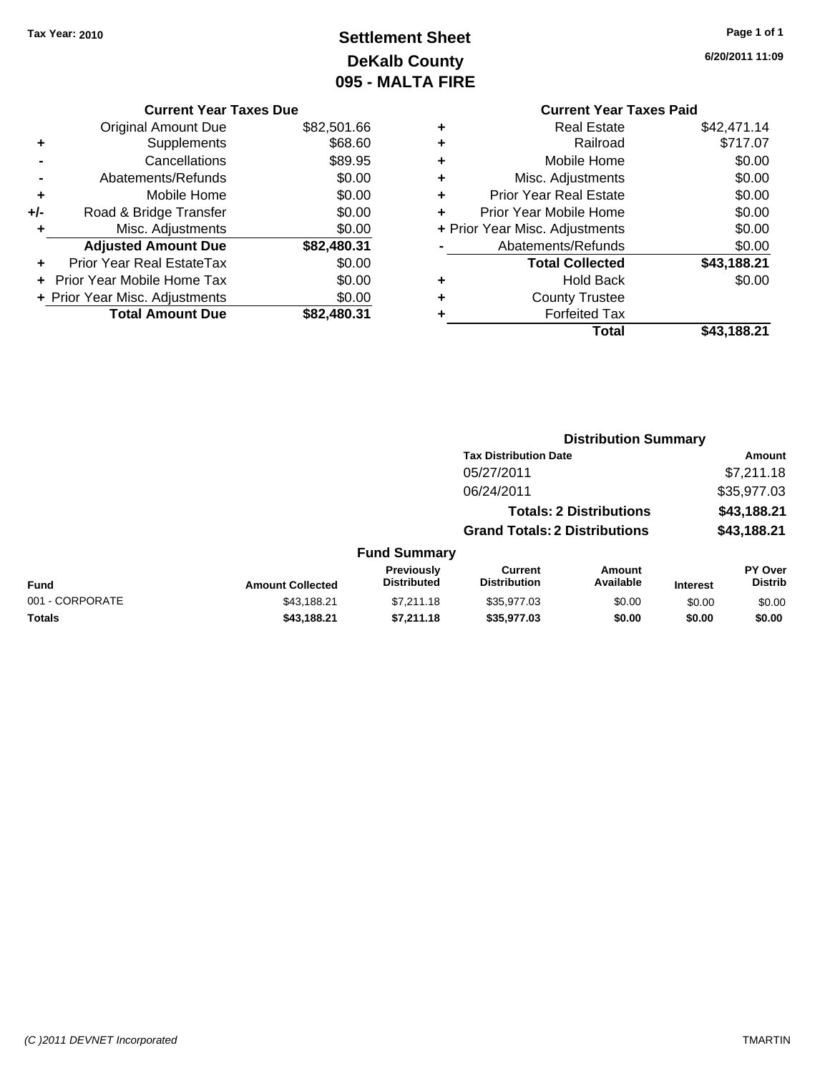# **Settlement Sheet Tax Year: 2010 Page 1 of 1 DeKalb County 095 - MALTA FIRE**

**6/20/2011 11:09**

| <b>Current Year Taxes Due</b> |    |
|-------------------------------|----|
| riginal Amount Dua            | ¢Ω |

|     | <b>Total Amount Due</b>          | \$82,480.31 |
|-----|----------------------------------|-------------|
|     | + Prior Year Misc. Adjustments   | \$0.00      |
|     | Prior Year Mobile Home Tax       | \$0.00      |
|     | <b>Prior Year Real EstateTax</b> | \$0.00      |
|     | <b>Adjusted Amount Due</b>       | \$82,480.31 |
| ٠   | Misc. Adjustments                | \$0.00      |
| +/- | Road & Bridge Transfer           | \$0.00      |
| ÷   | Mobile Home                      | \$0.00      |
|     | Abatements/Refunds               | \$0.00      |
|     | Cancellations                    | \$89.95     |
| ٠   | Supplements                      | \$68.60     |
|     | <b>Original Amount Due</b>       | \$82,501.66 |

### **Current Year Taxes Paid +** Real Estate \$42,471.14 **+** Railroad \$717.07 **+** Mobile Home \$0.00 **+** Misc. Adjustments \$0.00 **+** Prior Year Real Estate \$0.00 **+** Prior Year Mobile Home \$0.00 **+** Prior Year Misc. Adjustments  $$0.00$ **-** Abatements/Refunds \$0.00 **Total Collected \$43,188.21 +** Hold Back \$0.00 **+** County Trustee **+** Forfeited Tax

**Total \$43,188.21**

**Distribution Summary**

|                 |                         |                                         | <b>Tax Distribution Date</b>          |                                |                 | Amount                    |
|-----------------|-------------------------|-----------------------------------------|---------------------------------------|--------------------------------|-----------------|---------------------------|
|                 |                         |                                         | 05/27/2011                            |                                |                 | \$7,211.18                |
|                 |                         |                                         | 06/24/2011                            |                                |                 | \$35,977.03               |
|                 |                         |                                         |                                       | <b>Totals: 2 Distributions</b> |                 | \$43,188.21               |
|                 |                         |                                         | <b>Grand Totals: 2 Distributions</b>  |                                |                 | \$43,188.21               |
|                 |                         | <b>Fund Summary</b>                     |                                       |                                |                 |                           |
| <b>Fund</b>     | <b>Amount Collected</b> | <b>Previously</b><br><b>Distributed</b> | <b>Current</b><br><b>Distribution</b> | <b>Amount</b><br>Available     | <b>Interest</b> | PY Over<br><b>Distrib</b> |
| 001 - CORPORATE | \$43,188.21             | \$7.211.18                              | \$35,977.03                           | \$0.00                         | \$0.00          | \$0.00                    |
| <b>Totals</b>   | \$43,188.21             | \$7,211.18                              | \$35,977.03                           | \$0.00                         | \$0.00          | \$0.00                    |
|                 |                         |                                         |                                       |                                |                 |                           |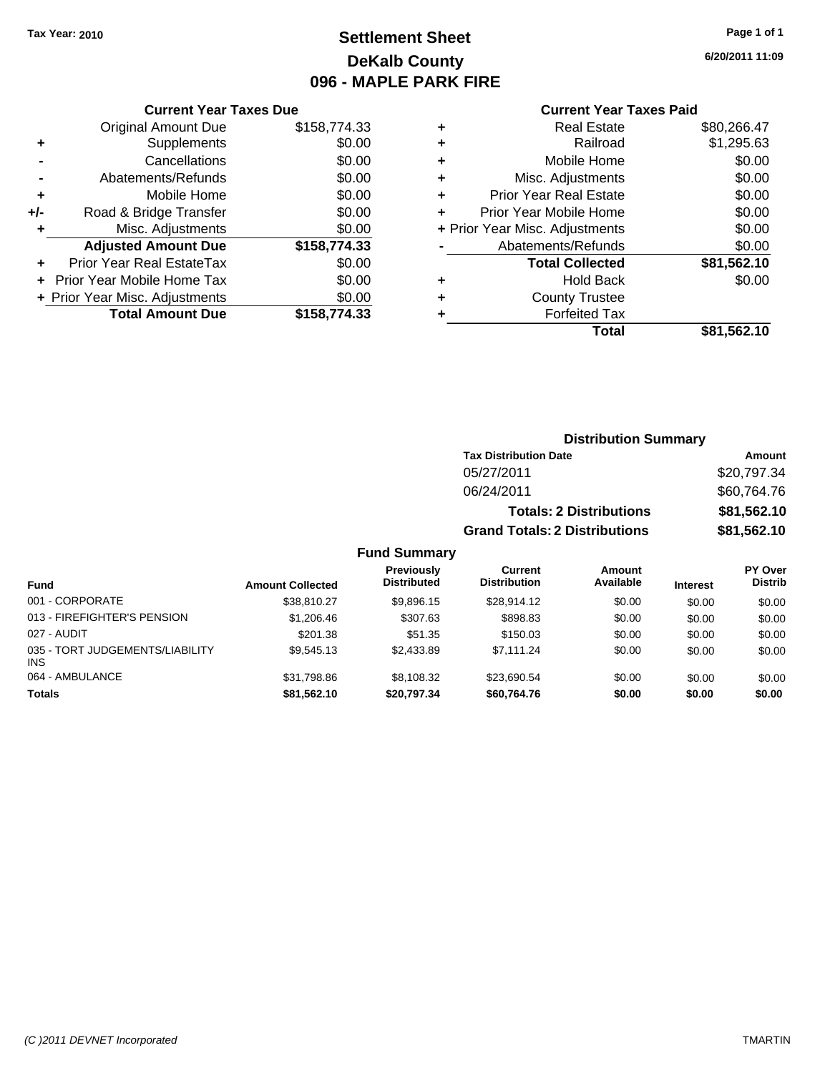# **Settlement Sheet Tax Year: 2010 Page 1 of 1 DeKalb County 096 - MAPLE PARK FIRE**

**6/20/2011 11:09**

#### **Current Year Taxes Paid**

|     | <b>Current Year Taxes Due</b>  |              |  |  |  |
|-----|--------------------------------|--------------|--|--|--|
|     | <b>Original Amount Due</b>     | \$158,774.33 |  |  |  |
| ٠   | Supplements                    | \$0.00       |  |  |  |
|     | Cancellations                  | \$0.00       |  |  |  |
|     | Abatements/Refunds             | \$0.00       |  |  |  |
| ٠   | Mobile Home                    | \$0.00       |  |  |  |
| +/- | Road & Bridge Transfer         | \$0.00       |  |  |  |
| ٠   | Misc. Adjustments              | \$0.00       |  |  |  |
|     | <b>Adjusted Amount Due</b>     | \$158,774.33 |  |  |  |
| ٠   | Prior Year Real EstateTax      | \$0.00       |  |  |  |
|     | Prior Year Mobile Home Tax     | \$0.00       |  |  |  |
|     | + Prior Year Misc. Adjustments | \$0.00       |  |  |  |
|     | <b>Total Amount Due</b>        | \$158,774.33 |  |  |  |
|     |                                |              |  |  |  |

|   | <b>Real Estate</b>             | \$80,266.47 |
|---|--------------------------------|-------------|
| ٠ | Railroad                       | \$1,295.63  |
| ٠ | Mobile Home                    | \$0.00      |
| ٠ | Misc. Adjustments              | \$0.00      |
| ٠ | <b>Prior Year Real Estate</b>  | \$0.00      |
|   | Prior Year Mobile Home         | \$0.00      |
|   | + Prior Year Misc. Adjustments | \$0.00      |
|   | Abatements/Refunds             | \$0.00      |
|   | <b>Total Collected</b>         | \$81,562.10 |
| ٠ | <b>Hold Back</b>               | \$0.00      |
| ٠ | <b>County Trustee</b>          |             |
| ٠ | <b>Forfeited Tax</b>           |             |
|   | Total                          | \$81,562.10 |
|   |                                |             |

### **Distribution Summary**

| <b>Tax Distribution Date</b>         | <b>Amount</b> |
|--------------------------------------|---------------|
| 05/27/2011                           | \$20,797.34   |
| 06/24/2011                           | \$60,764.76   |
| <b>Totals: 2 Distributions</b>       | \$81,562.10   |
| <b>Grand Totals: 2 Distributions</b> | \$81,562.10   |

| <b>Fund</b>                                   | <b>Amount Collected</b> | Previously<br><b>Distributed</b> | Current<br><b>Distribution</b> | <b>Amount</b><br>Available | <b>Interest</b> | PY Over<br><b>Distrib</b> |
|-----------------------------------------------|-------------------------|----------------------------------|--------------------------------|----------------------------|-----------------|---------------------------|
| 001 - CORPORATE                               | \$38.810.27             | \$9.896.15                       | \$28.914.12                    | \$0.00                     | \$0.00          | \$0.00                    |
| 013 - FIREFIGHTER'S PENSION                   | \$1,206.46              | \$307.63                         | \$898.83                       | \$0.00                     | \$0.00          | \$0.00                    |
| 027 - AUDIT                                   | \$201.38                | \$51.35                          | \$150.03                       | \$0.00                     | \$0.00          | \$0.00                    |
| 035 - TORT JUDGEMENTS/LIABILITY<br><b>INS</b> | \$9.545.13              | \$2,433.89                       | \$7.111.24                     | \$0.00                     | \$0.00          | \$0.00                    |
| 064 - AMBULANCE                               | \$31.798.86             | \$8.108.32                       | \$23.690.54                    | \$0.00                     | \$0.00          | \$0.00                    |
| <b>Totals</b>                                 | \$81.562.10             | \$20.797.34                      | \$60.764.76                    | \$0.00                     | \$0.00          | \$0.00                    |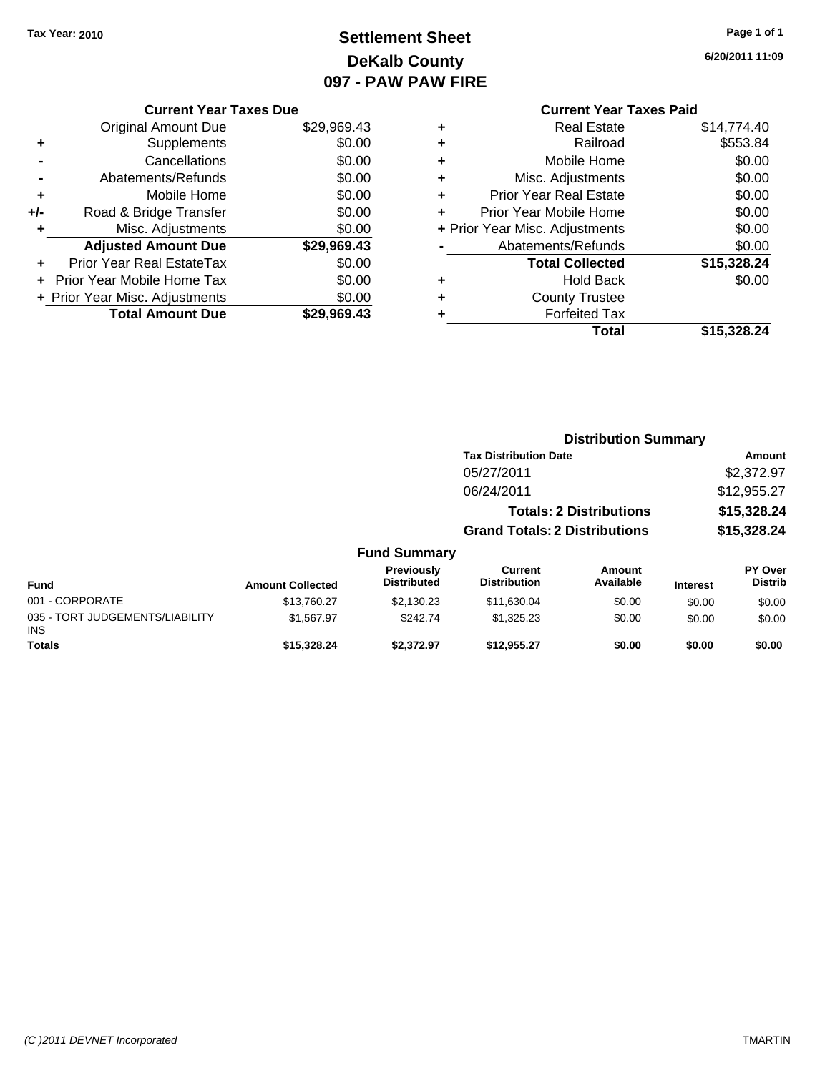# **Settlement Sheet Tax Year: 2010 Page 1 of 1 DeKalb County 097 - PAW PAW FIRE**

**6/20/2011 11:09**

|     | <b>Current Year Taxes Due</b>  |             |  |  |
|-----|--------------------------------|-------------|--|--|
|     | Original Amount Due            | \$29,969.43 |  |  |
| ٠   | Supplements                    | \$0.00      |  |  |
|     | Cancellations                  | \$0.00      |  |  |
|     | Abatements/Refunds             | \$0.00      |  |  |
| ÷   | Mobile Home                    | \$0.00      |  |  |
| +/- | Road & Bridge Transfer         | \$0.00      |  |  |
| ٠   | Misc. Adjustments              | \$0.00      |  |  |
|     | <b>Adjusted Amount Due</b>     | \$29,969.43 |  |  |
|     | Prior Year Real EstateTax      | \$0.00      |  |  |
|     | Prior Year Mobile Home Tax     | \$0.00      |  |  |
|     | + Prior Year Misc. Adjustments | \$0.00      |  |  |
|     | <b>Total Amount Due</b>        | \$29,969.43 |  |  |
|     |                                |             |  |  |

### **Current Year Taxes Paid**

|   | <b>Real Estate</b>             | \$14,774.40 |
|---|--------------------------------|-------------|
| ٠ | Railroad                       | \$553.84    |
| ٠ | Mobile Home                    | \$0.00      |
| ٠ | Misc. Adjustments              | \$0.00      |
| ٠ | <b>Prior Year Real Estate</b>  | \$0.00      |
|   | Prior Year Mobile Home         | \$0.00      |
|   | + Prior Year Misc. Adjustments | \$0.00      |
|   | Abatements/Refunds             | \$0.00      |
|   | <b>Total Collected</b>         | \$15,328.24 |
| ٠ | <b>Hold Back</b>               | \$0.00      |
|   | <b>County Trustee</b>          |             |
|   | <b>Forfeited Tax</b>           |             |
|   | Total                          | \$15,328.24 |
|   |                                |             |

#### **Distribution Summary Tax Distribution Date Amount** 05/27/2011 \$2,372.97 06/24/2011 \$12,955.27 **Totals: 2 Distributions \$15,328.24 Grand Totals: 2 Distributions \$15,328.24 Fund Summary Fund Interest Amount Collected Distributed PY Over Distrib Amount Available Current Distribution Previously** 001 - CORPORATE 6 \$13,760.27 \$2,130.23 \$11,630.04 \$0.00 \$0.00 \$0.00 \$0.00 \$0.00 \$0.00 \$0.00 \$0.00 \$0.00 \$0.0 035 - TORT JUDGEMENTS/LIABILITY INS \$1,567.97 \$242.74 \$1,325.23 \$0.00 \$0.00 \$0.00 **Totals \$15,328.24 \$2,372.97 \$12,955.27 \$0.00 \$0.00 \$0.00**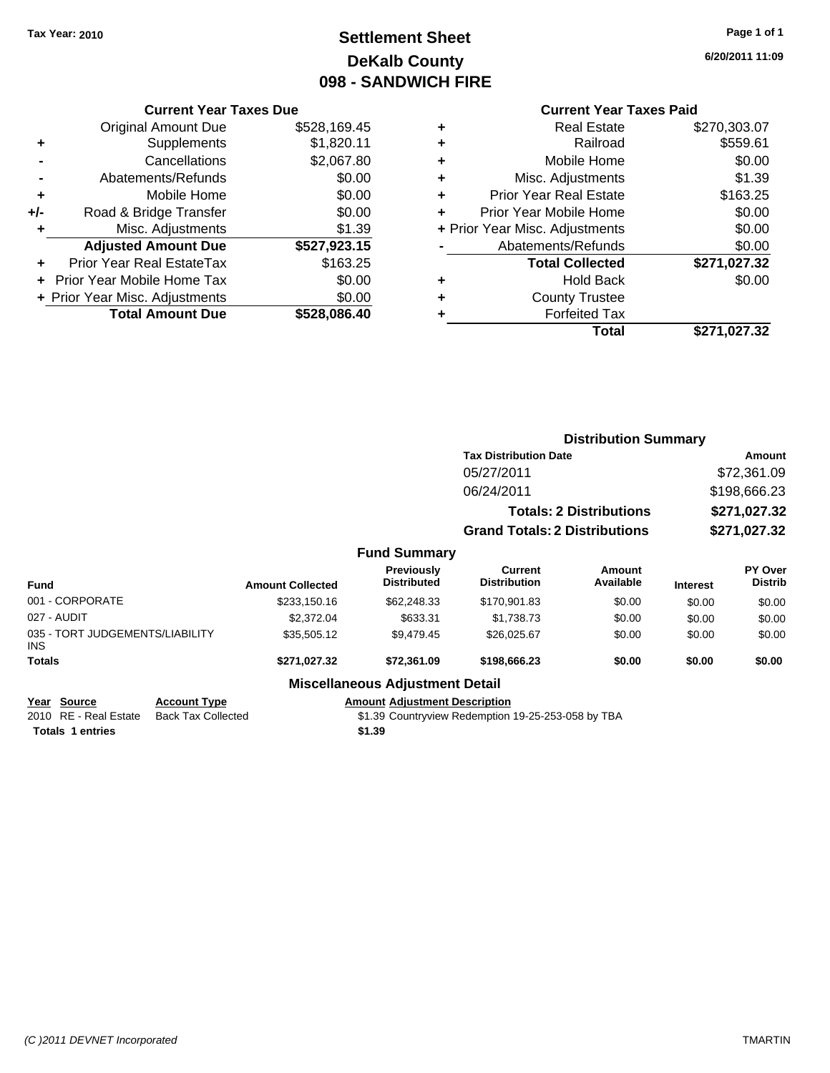# **Settlement Sheet Tax Year: 2010 Page 1 of 1 DeKalb County 098 - SANDWICH FIRE**

**6/20/2011 11:09**

### **Current Year Taxes Due**

|     | <b>Total Amount Due</b>           | \$528,086.40 |
|-----|-----------------------------------|--------------|
|     | + Prior Year Misc. Adjustments    | \$0.00       |
|     | <b>Prior Year Mobile Home Tax</b> | \$0.00       |
|     | Prior Year Real EstateTax         | \$163.25     |
|     | <b>Adjusted Amount Due</b>        | \$527,923.15 |
| ٠   | Misc. Adjustments                 | \$1.39       |
| +/- | Road & Bridge Transfer            | \$0.00       |
| ÷   | Mobile Home                       | \$0.00       |
|     | Abatements/Refunds                | \$0.00       |
|     | Cancellations                     | \$2,067.80   |
| ٠   | Supplements                       | \$1,820.11   |
|     | <b>Original Amount Due</b>        | \$528,169.45 |
|     |                                   |              |

### **Current Year Taxes Paid**

| ٠ | <b>Real Estate</b>             | \$270,303.07 |
|---|--------------------------------|--------------|
| ٠ | Railroad                       | \$559.61     |
| ٠ | Mobile Home                    | \$0.00       |
| ٠ | Misc. Adjustments              | \$1.39       |
| ٠ | <b>Prior Year Real Estate</b>  | \$163.25     |
| ÷ | Prior Year Mobile Home         | \$0.00       |
|   | + Prior Year Misc. Adjustments | \$0.00       |
|   | Abatements/Refunds             | \$0.00       |
|   | <b>Total Collected</b>         | \$271,027.32 |
| ٠ | Hold Back                      | \$0.00       |
| ٠ | <b>County Trustee</b>          |              |
| ٠ | <b>Forfeited Tax</b>           |              |
|   | Total                          | \$271,027.32 |
|   |                                |              |

|                                         |                     |                         |                                         | <b>Distribution Summary</b>          |                                |                 |                           |
|-----------------------------------------|---------------------|-------------------------|-----------------------------------------|--------------------------------------|--------------------------------|-----------------|---------------------------|
|                                         |                     |                         |                                         | <b>Tax Distribution Date</b>         | Amount                         |                 |                           |
|                                         |                     |                         |                                         | 05/27/2011                           |                                |                 | \$72,361.09               |
|                                         |                     |                         |                                         | 06/24/2011                           |                                |                 | \$198,666.23              |
|                                         |                     |                         |                                         |                                      | <b>Totals: 2 Distributions</b> |                 | \$271,027.32              |
|                                         |                     |                         |                                         | <b>Grand Totals: 2 Distributions</b> |                                | \$271,027.32    |                           |
|                                         |                     |                         | <b>Fund Summary</b>                     |                                      |                                |                 |                           |
| <b>Fund</b>                             |                     | <b>Amount Collected</b> | <b>Previously</b><br><b>Distributed</b> | Current<br><b>Distribution</b>       | Amount<br>Available            | <b>Interest</b> | PY Over<br><b>Distrib</b> |
| 001 - CORPORATE                         |                     | \$233,150.16            | \$62,248.33                             | \$170,901.83                         | \$0.00                         | \$0.00          | \$0.00                    |
| 027 - AUDIT                             |                     | \$2,372.04              | \$633.31                                | \$1,738.73                           | \$0.00                         | \$0.00          | \$0.00                    |
| 035 - TORT JUDGEMENTS/LIABILITY<br>INS. |                     | \$35,505.12             | \$9,479.45                              | \$26,025.67                          | \$0.00                         | \$0.00          | \$0.00                    |
| <b>Totals</b>                           |                     | \$271,027.32            | \$72,361.09                             | \$198,666.23                         | \$0.00                         | \$0.00          | \$0.00                    |
|                                         |                     |                         | <b>Miscellaneous Adjustment Detail</b>  |                                      |                                |                 |                           |
| Year Source                             | <b>Account Type</b> |                         | <b>Amount Adjustment Description</b>    |                                      |                                |                 |                           |

2010 RE - Real Estate Back Tax Collected \$1.39 Countryview Redemption 19-25-253-058 by TBA **Totals 1 entries** \$1.39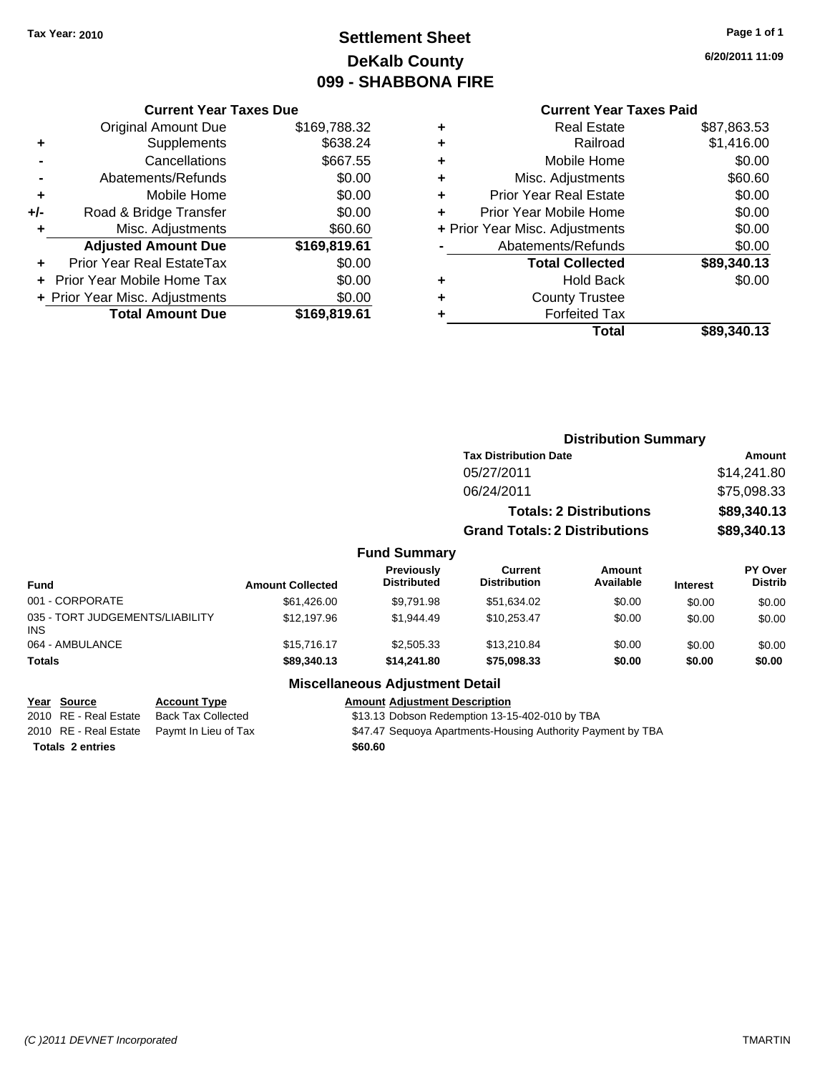# **Settlement Sheet Tax Year: 2010 Page 1 of 1 DeKalb County 099 - SHABBONA FIRE**

#### **6/20/2011 11:09**

#### **Current Year Taxes Paid**

| <b>Current Year Taxes Due</b>  |              |  |  |  |
|--------------------------------|--------------|--|--|--|
| <b>Original Amount Due</b>     | \$169,788.32 |  |  |  |
| Supplements                    | \$638.24     |  |  |  |
| Cancellations                  | \$667.55     |  |  |  |
| Abatements/Refunds             | \$0.00       |  |  |  |
| Mobile Home                    | \$0.00       |  |  |  |
| Road & Bridge Transfer         | \$0.00       |  |  |  |
| Misc. Adjustments              | \$60.60      |  |  |  |
| <b>Adjusted Amount Due</b>     | \$169,819.61 |  |  |  |
| Prior Year Real EstateTax      | \$0.00       |  |  |  |
| Prior Year Mobile Home Tax     | \$0.00       |  |  |  |
| + Prior Year Misc. Adjustments | \$0.00       |  |  |  |
| <b>Total Amount Due</b>        | \$169,819.61 |  |  |  |
|                                |              |  |  |  |

| ٠ | <b>Real Estate</b>             | \$87,863.53 |
|---|--------------------------------|-------------|
| ٠ | Railroad                       | \$1,416.00  |
| ٠ | Mobile Home                    | \$0.00      |
| ٠ | Misc. Adjustments              | \$60.60     |
| ٠ | <b>Prior Year Real Estate</b>  | \$0.00      |
|   | Prior Year Mobile Home         | \$0.00      |
|   | + Prior Year Misc. Adjustments | \$0.00      |
|   | Abatements/Refunds             | \$0.00      |
|   | <b>Total Collected</b>         | \$89,340.13 |
| ٠ | <b>Hold Back</b>               | \$0.00      |
| ٠ | <b>County Trustee</b>          |             |
| ٠ | <b>Forfeited Tax</b>           |             |
|   | Total                          | \$89,340.13 |
|   |                                |             |

|                                         |                         |                                  | <b>Distribution Summary</b>          |                                |                 |                                  |  |
|-----------------------------------------|-------------------------|----------------------------------|--------------------------------------|--------------------------------|-----------------|----------------------------------|--|
|                                         |                         |                                  | <b>Tax Distribution Date</b>         |                                |                 | <b>Amount</b>                    |  |
|                                         |                         |                                  | 05/27/2011                           |                                |                 | \$14,241.80                      |  |
|                                         |                         |                                  | 06/24/2011                           |                                |                 | \$75,098.33                      |  |
|                                         |                         |                                  |                                      | <b>Totals: 2 Distributions</b> |                 | \$89,340.13                      |  |
|                                         |                         |                                  | <b>Grand Totals: 2 Distributions</b> |                                | \$89,340.13     |                                  |  |
|                                         |                         | <b>Fund Summary</b>              |                                      |                                |                 |                                  |  |
| <b>Fund</b>                             | <b>Amount Collected</b> | Previously<br><b>Distributed</b> | Current<br><b>Distribution</b>       | Amount<br>Available            | <b>Interest</b> | <b>PY Over</b><br><b>Distrib</b> |  |
| 001 - CORPORATE                         | \$61,426.00             | \$9.791.98                       | \$51,634.02                          | \$0.00                         | \$0.00          | \$0.00                           |  |
| 035 - TORT JUDGEMENTS/LIABILITY<br>INS. | \$12.197.96             | \$1.944.49                       | \$10.253.47                          | \$0.00                         | \$0.00          | \$0.00                           |  |
| 064 - AMBULANCE                         | \$15.716.17             | \$2,505.33                       | \$13,210.84                          | \$0.00                         | \$0.00          | \$0.00                           |  |
| <b>Totals</b>                           | \$89,340.13             | \$14,241.80                      | \$75,098.33                          | \$0.00                         | \$0.00          | \$0.00                           |  |
|                                         |                         |                                  |                                      |                                |                 |                                  |  |

# **Miscellaneous Adjustment Detail**

| <u>Year Source</u>      | <b>Account Type</b>                        | <b>Amount Adiustment Description</b>                        |
|-------------------------|--------------------------------------------|-------------------------------------------------------------|
| 2010 RE - Real Estate   | Back Tax Collected                         | \$13.13 Dobson Redemption 13-15-402-010 by TBA              |
|                         | 2010 RE - Real Estate Paymt In Lieu of Tax | \$47.47 Seguoya Apartments-Housing Authority Payment by TBA |
| <b>Totals 2 entries</b> |                                            | \$60.60                                                     |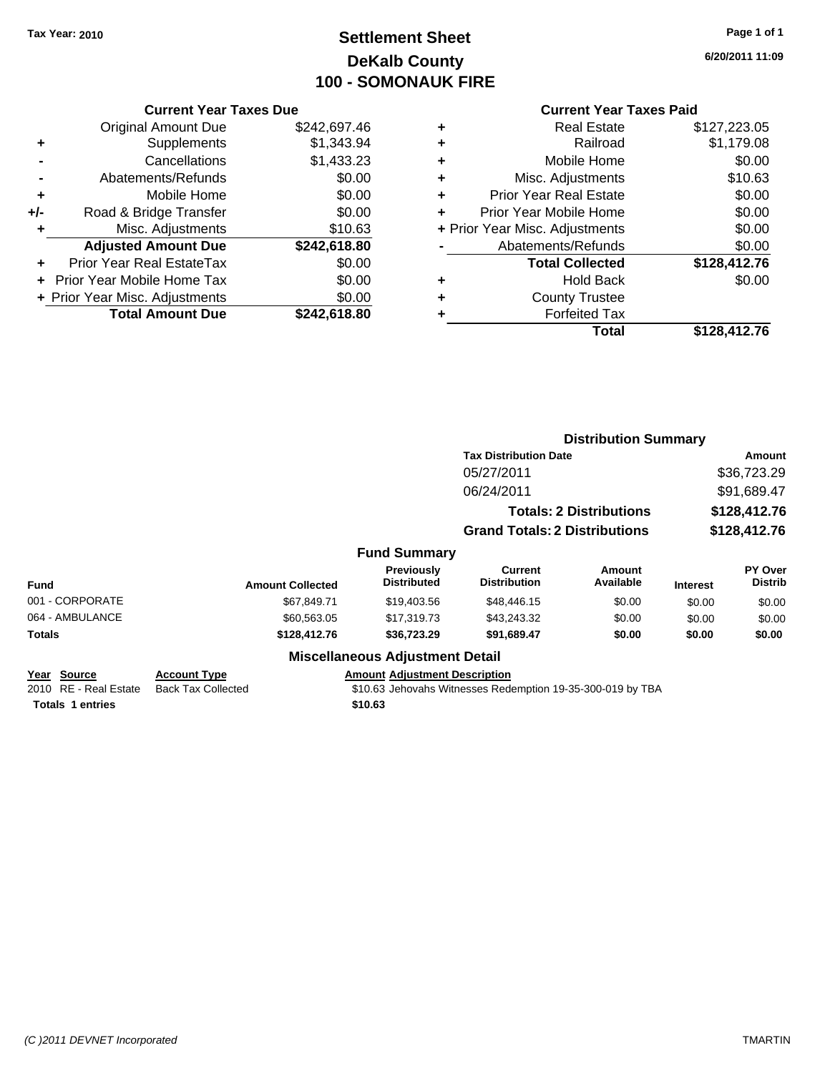# **Settlement Sheet Tax Year: 2010 Page 1 of 1 DeKalb County 100 - SOMONAUK FIRE**

**6/20/2011 11:09**

|     | <b>Current Year Taxes Due</b>  |              |  |
|-----|--------------------------------|--------------|--|
|     | <b>Original Amount Due</b>     | \$242,697.46 |  |
| ٠   | Supplements                    | \$1,343.94   |  |
|     | Cancellations                  | \$1,433.23   |  |
|     | Abatements/Refunds             | \$0.00       |  |
| ٠   | Mobile Home                    | \$0.00       |  |
| +/- | Road & Bridge Transfer         | \$0.00       |  |
| ٠   | Misc. Adjustments              | \$10.63      |  |
|     | <b>Adjusted Amount Due</b>     | \$242,618.80 |  |
| ٠   | Prior Year Real EstateTax      | \$0.00       |  |
|     | Prior Year Mobile Home Tax     | \$0.00       |  |
|     | + Prior Year Misc. Adjustments | \$0.00       |  |
|     | <b>Total Amount Due</b>        | \$242,618.80 |  |
|     |                                |              |  |

| ٠                              | <b>Real Estate</b>            | \$127,223.05 |
|--------------------------------|-------------------------------|--------------|
| ٠                              | Railroad                      | \$1,179.08   |
| ٠                              | Mobile Home                   | \$0.00       |
| ٠                              | Misc. Adjustments             | \$10.63      |
| ٠                              | <b>Prior Year Real Estate</b> | \$0.00       |
| ٠                              | Prior Year Mobile Home        | \$0.00       |
| + Prior Year Misc. Adjustments |                               | \$0.00       |
|                                | Abatements/Refunds            | \$0.00       |
|                                | <b>Total Collected</b>        | \$128,412.76 |
| ٠                              | <b>Hold Back</b>              | \$0.00       |
|                                | <b>County Trustee</b>         |              |
| ٠                              | <b>Forfeited Tax</b>          |              |
|                                | Total                         | \$128,412.76 |
|                                |                               |              |

|                                                                 |                                                  |                                                 |                                                            | <b>Distribution Summary</b>          |                 |                    |
|-----------------------------------------------------------------|--------------------------------------------------|-------------------------------------------------|------------------------------------------------------------|--------------------------------------|-----------------|--------------------|
|                                                                 |                                                  |                                                 | <b>Tax Distribution Date</b>                               | Amount<br>\$36,723.29<br>\$91,689.47 |                 |                    |
|                                                                 |                                                  |                                                 | 05/27/2011<br>06/24/2011                                   |                                      |                 |                    |
|                                                                 |                                                  |                                                 |                                                            |                                      |                 |                    |
|                                                                 |                                                  |                                                 |                                                            | <b>Totals: 2 Distributions</b>       | \$128,412.76    |                    |
|                                                                 |                                                  |                                                 | <b>Grand Totals: 2 Distributions</b>                       |                                      | \$128,412.76    |                    |
|                                                                 |                                                  | <b>Fund Summary</b>                             |                                                            |                                      |                 |                    |
| Fund                                                            | <b>Amount Collected</b>                          | <b>Previously</b><br><b>Distributed</b>         | <b>Current</b><br><b>Distribution</b>                      | <b>Amount</b><br>Available           | <b>Interest</b> | PY Over<br>Distrib |
| 001 - CORPORATE                                                 | \$67,849.71                                      | \$19,403.56                                     | \$48,446.15                                                | \$0.00                               | \$0.00          | \$0.00             |
| 064 - AMBULANCE                                                 | \$60,563.05                                      | \$17,319.73                                     | \$43,243.32                                                | \$0.00                               | \$0.00          | \$0.00             |
| Totals                                                          | \$128,412.76                                     | \$36,723.29                                     | \$91,689.47                                                | \$0.00                               | \$0.00          | \$0.00             |
|                                                                 |                                                  | <b>Miscellaneous Adjustment Detail</b>          |                                                            |                                      |                 |                    |
| Year Source<br>2010 RE - Real Estate<br><b>Totals 1 entries</b> | <b>Account Type</b><br><b>Back Tax Collected</b> | <b>Amount Adjustment Description</b><br>\$10.63 | \$10.63 Jehovahs Witnesses Redemption 19-35-300-019 by TBA |                                      |                 |                    |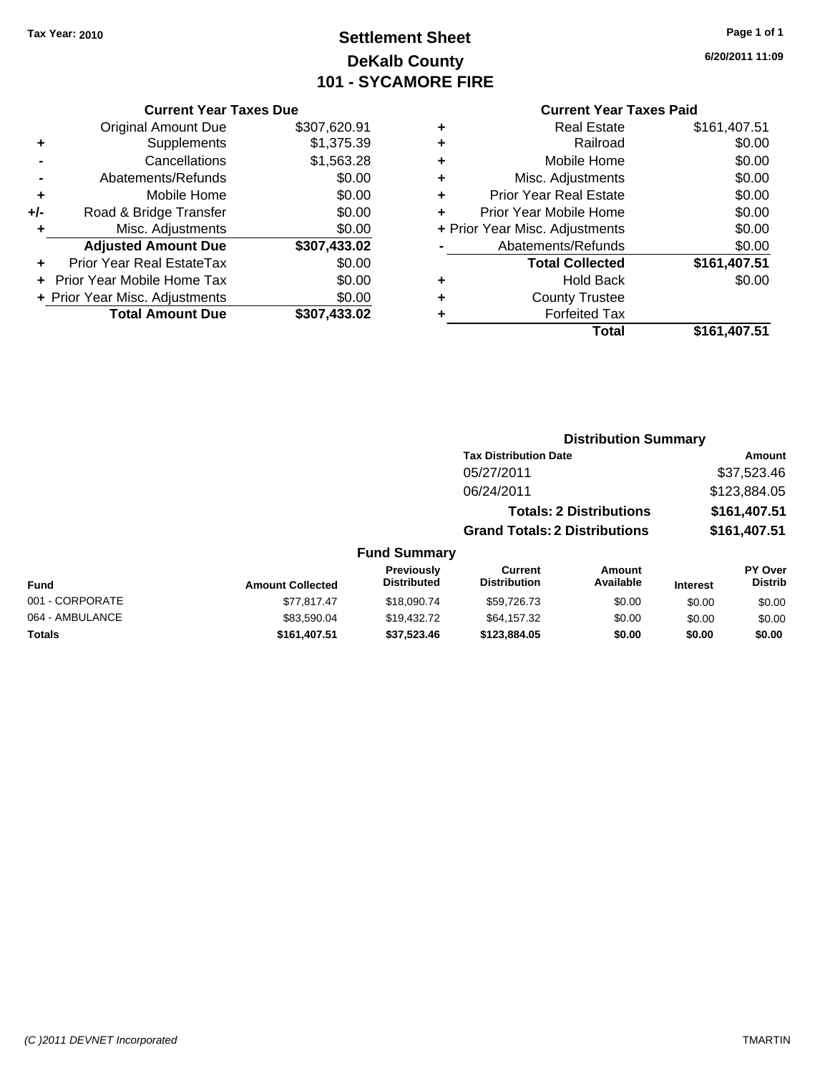# **Settlement Sheet Tax Year: 2010 Page 1 of 1 DeKalb County 101 - SYCAMORE FIRE**

**6/20/2011 11:09**

#### **Current Year Taxes Paid**

|   | Total                          | \$161.407.51 |
|---|--------------------------------|--------------|
|   | <b>Forfeited Tax</b>           |              |
| ٠ | <b>County Trustee</b>          |              |
| ٠ | <b>Hold Back</b>               | \$0.00       |
|   | <b>Total Collected</b>         | \$161,407.51 |
|   | Abatements/Refunds             | \$0.00       |
|   | + Prior Year Misc. Adjustments | \$0.00       |
| ÷ | Prior Year Mobile Home         | \$0.00       |
| ÷ | Prior Year Real Estate         | \$0.00       |
| ÷ | Misc. Adjustments              | \$0.00       |
| ٠ | Mobile Home                    | \$0.00       |
| ٠ | Railroad                       | \$0.00       |
| ٠ | <b>Real Estate</b>             | \$161,407.51 |

|     | <b>Current Year Taxes Due</b>  |              |  |  |
|-----|--------------------------------|--------------|--|--|
|     | <b>Original Amount Due</b>     | \$307,620.91 |  |  |
| ٠   | Supplements                    | \$1,375.39   |  |  |
|     | Cancellations                  | \$1,563.28   |  |  |
|     | Abatements/Refunds             | \$0.00       |  |  |
| ٠   | Mobile Home                    | \$0.00       |  |  |
| +/- | Road & Bridge Transfer         | \$0.00       |  |  |
| ٠   | \$0.00<br>Misc. Adjustments    |              |  |  |
|     | <b>Adjusted Amount Due</b>     | \$307,433.02 |  |  |
|     | Prior Year Real EstateTax      | \$0.00       |  |  |
|     | Prior Year Mobile Home Tax     | \$0.00       |  |  |
|     | + Prior Year Misc. Adjustments | \$0.00       |  |  |
|     | <b>Total Amount Due</b>        | \$307,433.02 |  |  |

| <b>Distribution Summary</b> |  |
|-----------------------------|--|
|-----------------------------|--|

| <b>Tax Distribution Date</b>         | Amount       |  |  |  |
|--------------------------------------|--------------|--|--|--|
| 05/27/2011                           | \$37,523.46  |  |  |  |
| 06/24/2011                           | \$123,884.05 |  |  |  |
| <b>Totals: 2 Distributions</b>       | \$161,407.51 |  |  |  |
| <b>Grand Totals: 2 Distributions</b> | \$161,407.51 |  |  |  |

| Fund            | <b>Amount Collected</b> | <b>Previously</b><br><b>Distributed</b> | Current<br><b>Distribution</b> | Amount<br>Available | <b>Interest</b> | PY Over<br><b>Distrib</b> |
|-----------------|-------------------------|-----------------------------------------|--------------------------------|---------------------|-----------------|---------------------------|
| 001 - CORPORATE | \$77.817.47             | \$18,090.74                             | \$59,726.73                    | \$0.00              | \$0.00          | \$0.00                    |
| 064 - AMBULANCE | \$83.590.04             | \$19.432.72                             | \$64,157.32                    | \$0.00              | \$0.00          | \$0.00                    |
| Totals          | \$161,407.51            | \$37,523.46                             | \$123,884.05                   | \$0.00              | \$0.00          | \$0.00                    |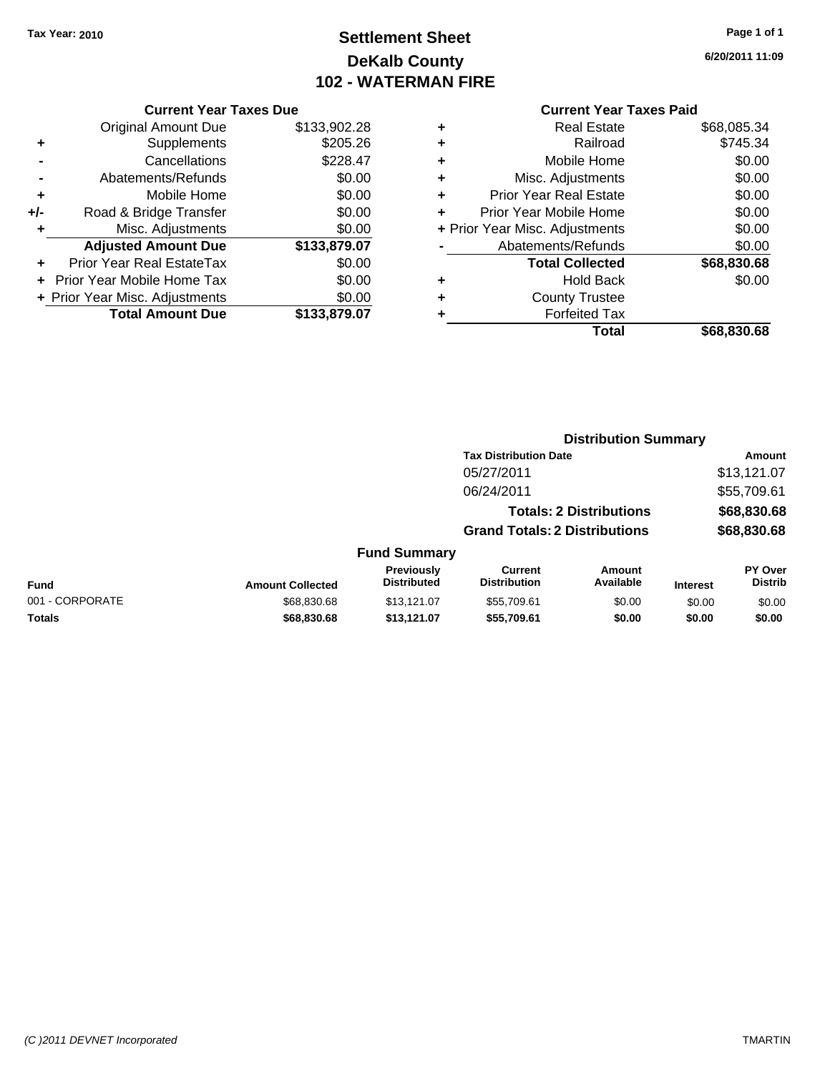# **Settlement Sheet Tax Year: 2010 Page 1 of 1 DeKalb County 102 - WATERMAN FIRE**

**6/20/2011 11:09**

| <b>Current Year Taxes Due</b> |  |  |  |  |  |
|-------------------------------|--|--|--|--|--|
|-------------------------------|--|--|--|--|--|

| <b>Original Amount Due</b> | \$133,902.28                   |
|----------------------------|--------------------------------|
| Supplements                | \$205.26                       |
| Cancellations              | \$228.47                       |
| Abatements/Refunds         | \$0.00                         |
| Mobile Home                | \$0.00                         |
| Road & Bridge Transfer     | \$0.00                         |
| Misc. Adjustments          | \$0.00                         |
| <b>Adjusted Amount Due</b> | \$133,879.07                   |
| Prior Year Real EstateTax  | \$0.00                         |
| Prior Year Mobile Home Tax | \$0.00                         |
|                            | \$0.00                         |
| <b>Total Amount Due</b>    | \$133,879.07                   |
|                            | + Prior Year Misc. Adjustments |

|   | <b>Real Estate</b>             | \$68,085.34 |
|---|--------------------------------|-------------|
| ٠ | Railroad                       | \$745.34    |
| ٠ | Mobile Home                    | \$0.00      |
| ٠ | Misc. Adjustments              | \$0.00      |
| ٠ | <b>Prior Year Real Estate</b>  | \$0.00      |
|   | Prior Year Mobile Home         | \$0.00      |
|   | + Prior Year Misc. Adjustments | \$0.00      |
|   | Abatements/Refunds             | \$0.00      |
|   | <b>Total Collected</b>         | \$68,830.68 |
| ٠ | Hold Back                      | \$0.00      |
| ٠ | <b>County Trustee</b>          |             |
|   | <b>Forfeited Tax</b>           |             |
|   | Total                          | \$68,830.68 |
|   |                                |             |

|                 |                         |                                  |                                       | <b>Distribution Summary</b>    |                 |                                  |
|-----------------|-------------------------|----------------------------------|---------------------------------------|--------------------------------|-----------------|----------------------------------|
|                 |                         |                                  | <b>Tax Distribution Date</b>          |                                |                 | Amount                           |
|                 |                         |                                  | 05/27/2011                            |                                |                 | \$13,121.07                      |
|                 |                         |                                  | 06/24/2011                            |                                |                 | \$55,709.61                      |
|                 |                         |                                  |                                       | <b>Totals: 2 Distributions</b> |                 | \$68,830.68                      |
|                 |                         |                                  | <b>Grand Totals: 2 Distributions</b>  |                                |                 | \$68,830.68                      |
|                 |                         | <b>Fund Summary</b>              |                                       |                                |                 |                                  |
| Fund            | <b>Amount Collected</b> | Previously<br><b>Distributed</b> | <b>Current</b><br><b>Distribution</b> | <b>Amount</b><br>Available     | <b>Interest</b> | <b>PY Over</b><br><b>Distrib</b> |
| 001 - CORPORATE | \$68,830.68             | \$13,121.07                      | \$55.709.61                           | \$0.00                         | \$0.00          | \$0.00                           |
| Totals          | \$68,830.68             | \$13,121.07                      | \$55,709.61                           | \$0.00                         | \$0.00          | \$0.00                           |
|                 |                         |                                  |                                       |                                |                 |                                  |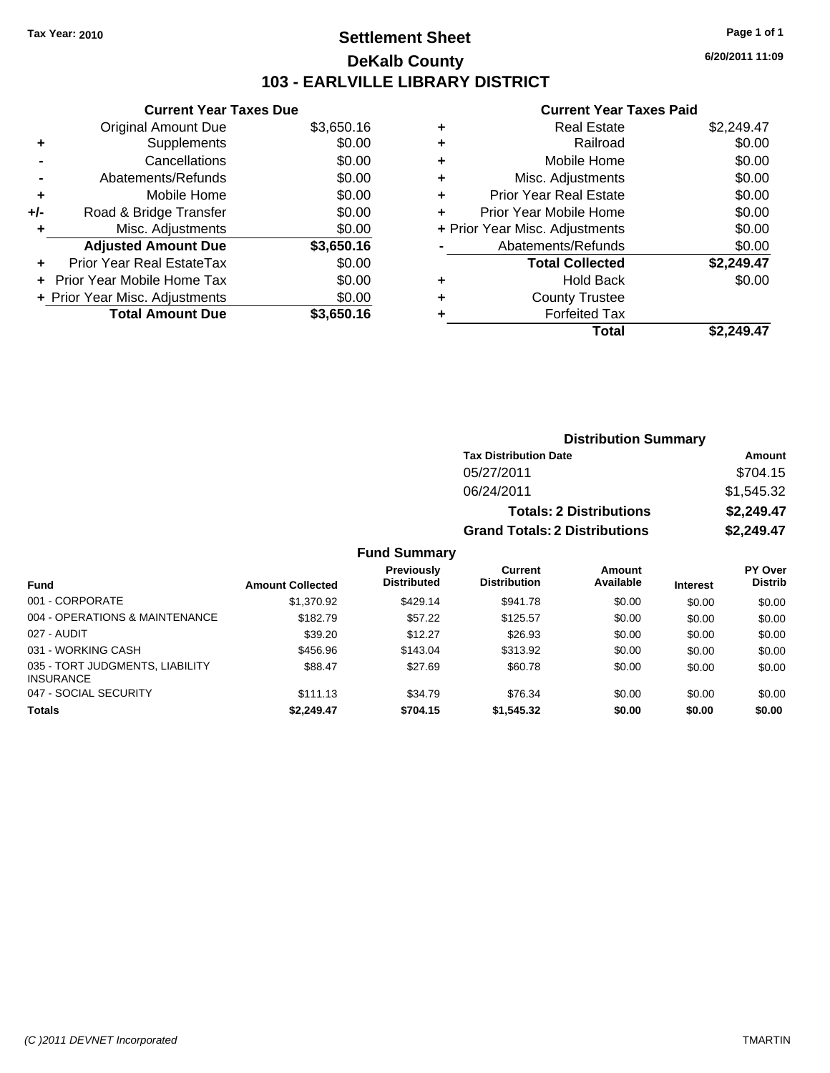### **Settlement Sheet Tax Year: 2010 Page 1 of 1 DeKalb County 103 - EARLVILLE LIBRARY DISTRICT**

047 - SOCIAL SECURITY \$111.13 \$34.79 \$76.34 \$0.00 \$0.00 \$0.00 **Totals \$2,249.47 \$704.15 \$1,545.32 \$0.00 \$0.00 \$0.00**

**6/20/2011 11:09**

#### **Current Year Taxes Paid**

|       | <b>Current Year Taxes Due</b>            |            |  |  |  |  |  |  |
|-------|------------------------------------------|------------|--|--|--|--|--|--|
|       | <b>Original Amount Due</b>               | \$3,650.16 |  |  |  |  |  |  |
| ٠     | \$0.00<br>Supplements                    |            |  |  |  |  |  |  |
|       | Cancellations                            | \$0.00     |  |  |  |  |  |  |
|       | Abatements/Refunds                       | \$0.00     |  |  |  |  |  |  |
| ٠     | \$0.00<br>Mobile Home                    |            |  |  |  |  |  |  |
| $+/-$ | \$0.00<br>Road & Bridge Transfer         |            |  |  |  |  |  |  |
|       | Misc. Adjustments                        | \$0.00     |  |  |  |  |  |  |
|       | <b>Adjusted Amount Due</b>               | \$3,650.16 |  |  |  |  |  |  |
|       | Prior Year Real EstateTax                | \$0.00     |  |  |  |  |  |  |
|       | \$0.00<br>Prior Year Mobile Home Tax     |            |  |  |  |  |  |  |
|       | \$0.00<br>+ Prior Year Misc. Adjustments |            |  |  |  |  |  |  |
|       | <b>Total Amount Due</b>                  | \$3,650.16 |  |  |  |  |  |  |
|       |                                          |            |  |  |  |  |  |  |

| \$2,249.47 |
|------------|
| \$0.00     |
| \$0.00     |
| \$0.00     |
| \$0.00     |
| \$0.00     |
| \$0.00     |
| \$0.00     |
| \$2,249.47 |
| \$0.00     |
|            |
|            |
| \$2.249.47 |
|            |

|                                |                         |                                         |                                       | <b>Distribution Summary</b>    |                 |                           |  |
|--------------------------------|-------------------------|-----------------------------------------|---------------------------------------|--------------------------------|-----------------|---------------------------|--|
|                                |                         |                                         | <b>Tax Distribution Date</b>          |                                |                 | Amount                    |  |
|                                |                         |                                         | 05/27/2011                            |                                |                 | \$704.15                  |  |
|                                |                         |                                         | 06/24/2011                            |                                |                 | \$1,545.32                |  |
|                                |                         |                                         |                                       | <b>Totals: 2 Distributions</b> |                 | \$2,249.47                |  |
|                                |                         |                                         | <b>Grand Totals: 2 Distributions</b>  |                                |                 | \$2,249.47                |  |
|                                |                         | <b>Fund Summary</b>                     |                                       |                                |                 |                           |  |
| <b>Fund</b>                    | <b>Amount Collected</b> | <b>Previously</b><br><b>Distributed</b> | <b>Current</b><br><b>Distribution</b> | Amount<br>Available            | <b>Interest</b> | PY Over<br><b>Distrib</b> |  |
| 001 - CORPORATE                | \$1,370.92              | \$429.14                                | \$941.78                              | \$0.00                         | \$0.00          | \$0.00                    |  |
| 004 - OPERATIONS & MAINTENANCE | \$182.79                | \$57.22                                 | \$125.57                              | \$0.00                         | \$0.00          | \$0.00                    |  |
| 027 - AUDIT                    | \$39.20                 | \$12.27                                 | \$26.93                               | \$0.00                         | \$0.00          | \$0.00                    |  |
| 031 - WORKING CASH             | \$456.96                | \$143.04                                | \$313.92                              | \$0.00                         | \$0.00          | \$0.00                    |  |

\$88.47 \$27.69 \$60.78 \$0.00 \$0.00 \$0.00

INSURANCE

035 - TORT JUDGMENTS, LIABILITY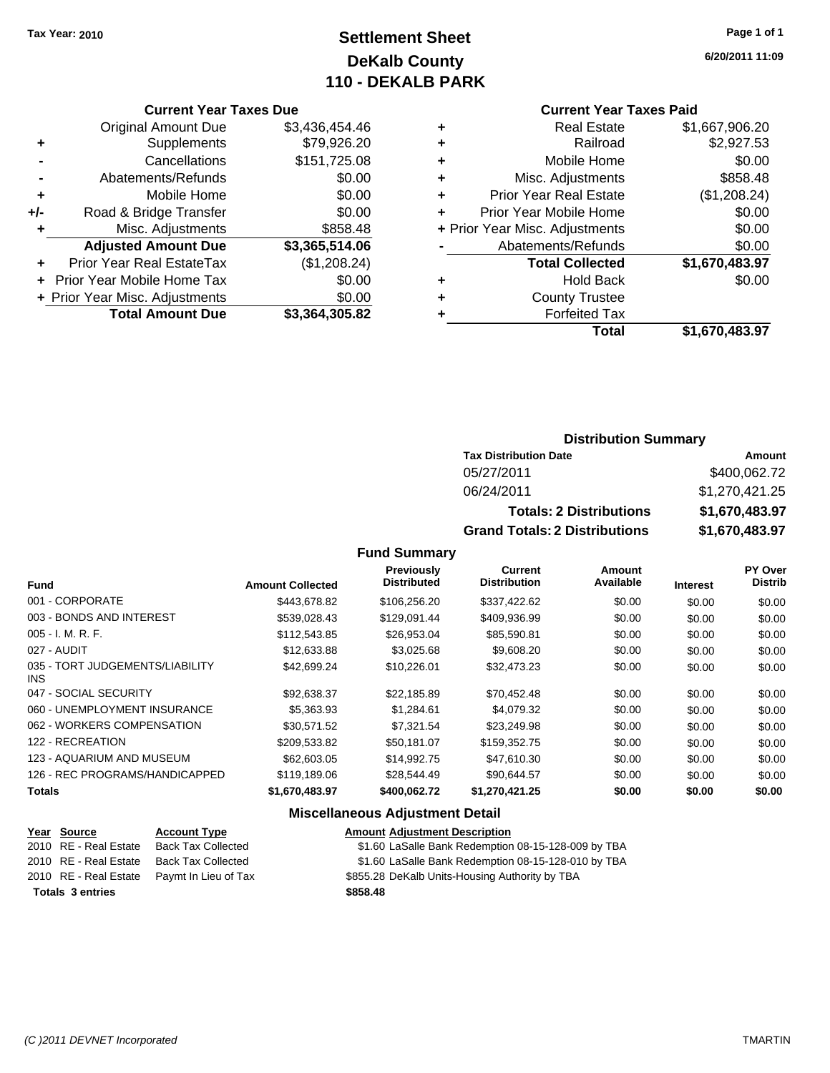# **Settlement Sheet Tax Year: 2010 Page 1 of 1 DeKalb County 110 - DEKALB PARK**

#### **Current Year Taxes Due**

|       | <b>Original Amount Due</b>                  | \$3,436,454.46 |  |  |  |  |
|-------|---------------------------------------------|----------------|--|--|--|--|
| ٠     | Supplements                                 | \$79,926.20    |  |  |  |  |
|       | Cancellations                               | \$151,725.08   |  |  |  |  |
|       | Abatements/Refunds                          | \$0.00         |  |  |  |  |
| ÷     | Mobile Home                                 | \$0.00         |  |  |  |  |
| $+/-$ | Road & Bridge Transfer                      | \$0.00         |  |  |  |  |
| ٠     | Misc. Adjustments                           | \$858.48       |  |  |  |  |
|       | <b>Adjusted Amount Due</b>                  | \$3,365,514.06 |  |  |  |  |
|       | Prior Year Real EstateTax                   | (\$1,208.24)   |  |  |  |  |
|       | \$0.00<br><b>Prior Year Mobile Home Tax</b> |                |  |  |  |  |
|       | \$0.00<br>+ Prior Year Misc. Adjustments    |                |  |  |  |  |
|       | <b>Total Amount Due</b>                     | \$3,364,305.82 |  |  |  |  |

### **Current Year Taxes Paid**

|   | <b>Real Estate</b>             | \$1,667,906.20 |
|---|--------------------------------|----------------|
| ٠ | Railroad                       | \$2,927.53     |
| ٠ | Mobile Home                    | \$0.00         |
| ٠ | Misc. Adjustments              | \$858.48       |
| ٠ | <b>Prior Year Real Estate</b>  | (\$1,208.24)   |
| ÷ | Prior Year Mobile Home         | \$0.00         |
|   | + Prior Year Misc. Adjustments | \$0.00         |
|   | Abatements/Refunds             | \$0.00         |
|   | <b>Total Collected</b>         | \$1,670,483.97 |
| ٠ | Hold Back                      | \$0.00         |
| ٠ | <b>County Trustee</b>          |                |
| ٠ | <b>Forfeited Tax</b>           |                |
|   | Total                          | \$1,670,483.97 |
|   |                                |                |

### **Distribution Summary**

| <b>Tax Distribution Date</b>         | Amount         |
|--------------------------------------|----------------|
| 05/27/2011                           | \$400,062.72   |
| 06/24/2011                           | \$1,270,421.25 |
| <b>Totals: 2 Distributions</b>       | \$1,670,483.97 |
| <b>Grand Totals: 2 Distributions</b> | \$1,670,483.97 |

#### **Fund Summary**

| <b>Fund</b>                             | <b>Amount Collected</b> | Previously<br><b>Distributed</b> | <b>Current</b><br><b>Distribution</b> | Amount<br>Available | <b>Interest</b> | PY Over<br><b>Distrib</b> |
|-----------------------------------------|-------------------------|----------------------------------|---------------------------------------|---------------------|-----------------|---------------------------|
| 001 - CORPORATE                         | \$443.678.82            | \$106,256,20                     | \$337,422.62                          | \$0.00              | \$0.00          | \$0.00                    |
| 003 - BONDS AND INTEREST                | \$539,028.43            | \$129.091.44                     | \$409,936.99                          | \$0.00              | \$0.00          | \$0.00                    |
| $005 - I. M. R. F.$                     | \$112,543.85            | \$26.953.04                      | \$85,590.81                           | \$0.00              | \$0.00          | \$0.00                    |
| 027 - AUDIT                             | \$12,633.88             | \$3,025.68                       | \$9,608.20                            | \$0.00              | \$0.00          | \$0.00                    |
| 035 - TORT JUDGEMENTS/LIABILITY<br>INS. | \$42,699.24             | \$10.226.01                      | \$32,473.23                           | \$0.00              | \$0.00          | \$0.00                    |
| 047 - SOCIAL SECURITY                   | \$92,638.37             | \$22,185.89                      | \$70,452.48                           | \$0.00              | \$0.00          | \$0.00                    |
| 060 - UNEMPLOYMENT INSURANCE            | \$5,363,93              | \$1,284.61                       | \$4,079.32                            | \$0.00              | \$0.00          | \$0.00                    |
| 062 - WORKERS COMPENSATION              | \$30.571.52             | \$7,321.54                       | \$23,249.98                           | \$0.00              | \$0.00          | \$0.00                    |
| 122 - RECREATION                        | \$209,533.82            | \$50.181.07                      | \$159,352.75                          | \$0.00              | \$0.00          | \$0.00                    |
| 123 - AQUARIUM AND MUSEUM               | \$62,603.05             | \$14.992.75                      | \$47,610.30                           | \$0.00              | \$0.00          | \$0.00                    |
| 126 - REC PROGRAMS/HANDICAPPED          | \$119,189.06            | \$28.544.49                      | \$90.644.57                           | \$0.00              | \$0.00          | \$0.00                    |
| <b>Totals</b>                           | \$1,670,483.97          | \$400,062.72                     | \$1,270,421.25                        | \$0.00              | \$0.00          | \$0.00                    |

### **Miscellaneous Adjustment Detail**

|                         | Year Source           | <b>Account Type</b>                        | <b>Amount Adjustment Description</b>                |
|-------------------------|-----------------------|--------------------------------------------|-----------------------------------------------------|
|                         | 2010 RE - Real Estate | Back Tax Collected                         | \$1.60 LaSalle Bank Redemption 08-15-128-009 by TBA |
|                         |                       | 2010 RE - Real Estate Back Tax Collected   | \$1.60 LaSalle Bank Redemption 08-15-128-010 by TBA |
|                         |                       | 2010 RE - Real Estate Paymt In Lieu of Tax | \$855.28 DeKalb Units-Housing Authority by TBA      |
| <b>Totals 3 entries</b> |                       |                                            | \$858.48                                            |

**6/20/2011 11:09**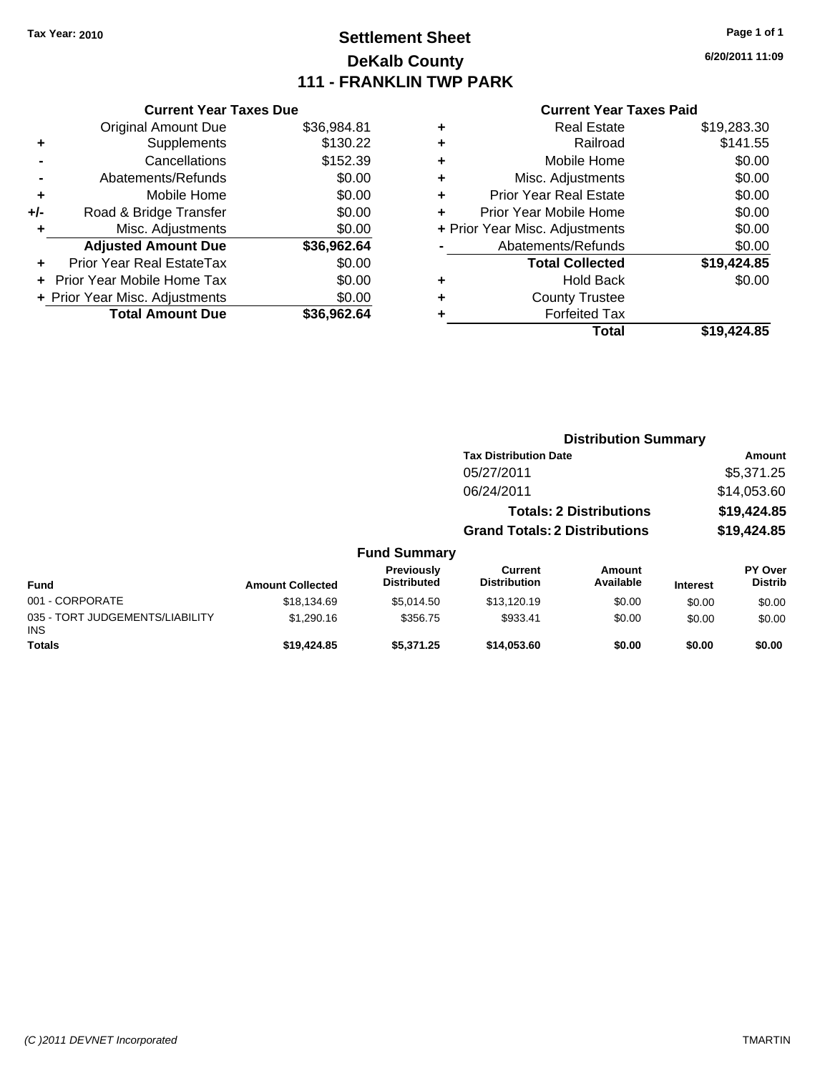# **Settlement Sheet Tax Year: 2010 Page 1 of 1 DeKalb County 111 - FRANKLIN TWP PARK**

**6/20/2011 11:09**

|     | <b>Current Year Taxes Due</b>  |             |  |  |  |
|-----|--------------------------------|-------------|--|--|--|
|     | <b>Original Amount Due</b>     | \$36,984.81 |  |  |  |
| ٠   | Supplements                    | \$130.22    |  |  |  |
|     | Cancellations                  | \$152.39    |  |  |  |
|     | Abatements/Refunds             | \$0.00      |  |  |  |
| ٠   | Mobile Home                    | \$0.00      |  |  |  |
| +/- | Road & Bridge Transfer         | \$0.00      |  |  |  |
|     | Misc. Adjustments              | \$0.00      |  |  |  |
|     | <b>Adjusted Amount Due</b>     | \$36,962.64 |  |  |  |
| ٠   | Prior Year Real EstateTax      | \$0.00      |  |  |  |
|     | Prior Year Mobile Home Tax     | \$0.00      |  |  |  |
|     | + Prior Year Misc. Adjustments | \$0.00      |  |  |  |
|     | <b>Total Amount Due</b>        | \$36.962.64 |  |  |  |
|     |                                |             |  |  |  |

| ٠ | <b>Real Estate</b>             | \$19,283.30 |
|---|--------------------------------|-------------|
| ٠ | Railroad                       | \$141.55    |
| ٠ | Mobile Home                    | \$0.00      |
| ٠ | Misc. Adjustments              | \$0.00      |
| ÷ | <b>Prior Year Real Estate</b>  | \$0.00      |
| ٠ | Prior Year Mobile Home         | \$0.00      |
|   | + Prior Year Misc. Adjustments | \$0.00      |
|   | Abatements/Refunds             | \$0.00      |
|   | <b>Total Collected</b>         | \$19,424.85 |
| ٠ | <b>Hold Back</b>               | \$0.00      |
| ٠ | <b>County Trustee</b>          |             |
| ٠ | <b>Forfeited Tax</b>           |             |
|   | Total                          | \$19,424.85 |
|   |                                |             |

|                                               |                         |                                  | <b>Distribution Summary</b>          |                                |                 |                                  |
|-----------------------------------------------|-------------------------|----------------------------------|--------------------------------------|--------------------------------|-----------------|----------------------------------|
|                                               |                         |                                  | <b>Tax Distribution Date</b>         |                                |                 | Amount                           |
|                                               |                         |                                  | 05/27/2011                           |                                |                 | \$5,371.25                       |
|                                               |                         |                                  | 06/24/2011                           |                                |                 | \$14,053.60                      |
|                                               |                         |                                  |                                      | <b>Totals: 2 Distributions</b> |                 | \$19,424.85                      |
|                                               |                         |                                  | <b>Grand Totals: 2 Distributions</b> |                                |                 | \$19,424.85                      |
|                                               |                         | <b>Fund Summary</b>              |                                      |                                |                 |                                  |
| <b>Fund</b>                                   | <b>Amount Collected</b> | Previously<br><b>Distributed</b> | Current<br><b>Distribution</b>       | Amount<br>Available            | <b>Interest</b> | <b>PY Over</b><br><b>Distrib</b> |
| 001 - CORPORATE                               | \$18,134.69             | \$5,014.50                       | \$13,120.19                          | \$0.00                         | \$0.00          | \$0.00                           |
| 035 - TORT JUDGEMENTS/LIABILITY<br><b>INS</b> | \$1,290.16              | \$356.75                         | \$933.41                             | \$0.00                         | \$0.00          | \$0.00                           |
| <b>Totals</b>                                 | \$19,424.85             | \$5,371.25                       | \$14,053.60                          | \$0.00                         | \$0.00          | \$0.00                           |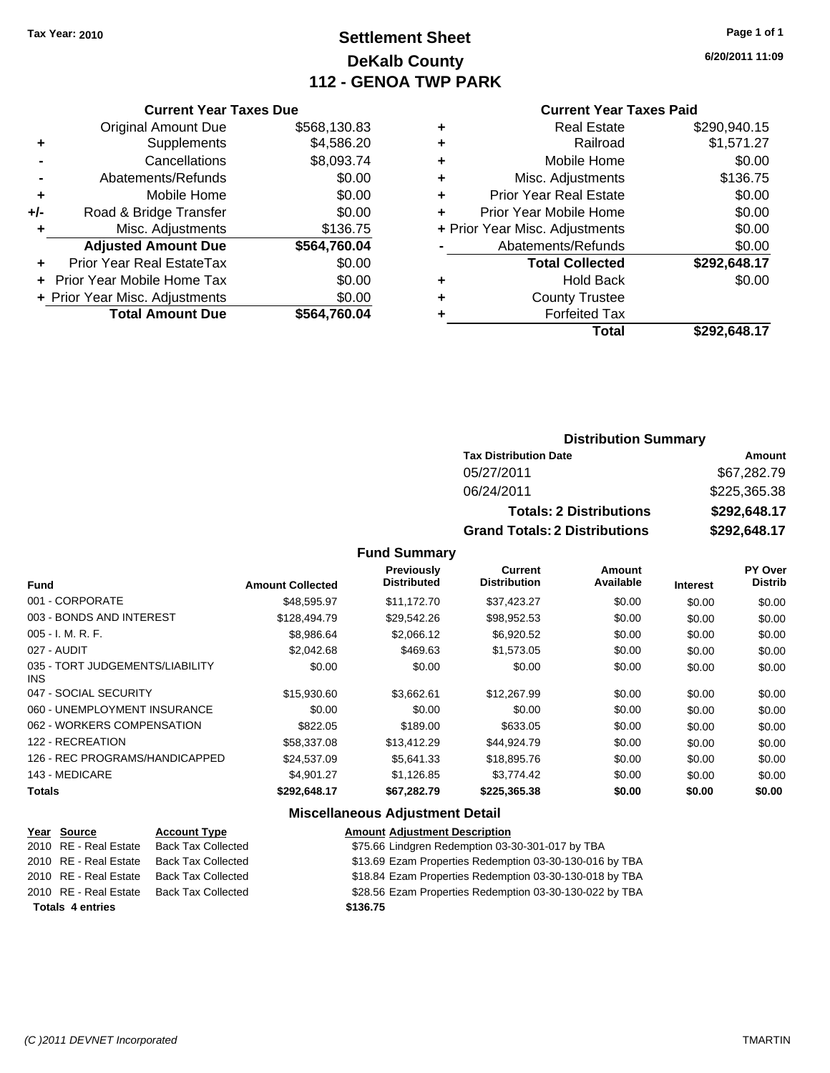# **Settlement Sheet Tax Year: 2010 Page 1 of 1 DeKalb County 112 - GENOA TWP PARK**

**6/20/2011 11:09**

### **Current Year Taxes Due**

|     | <b>Original Amount Due</b>        | \$568,130.83 |
|-----|-----------------------------------|--------------|
| ٠   | Supplements                       | \$4,586.20   |
|     | Cancellations                     | \$8,093.74   |
|     | Abatements/Refunds                | \$0.00       |
| ٠   | Mobile Home                       | \$0.00       |
| +/- | Road & Bridge Transfer            | \$0.00       |
| ÷   | Misc. Adjustments                 | \$136.75     |
|     | <b>Adjusted Amount Due</b>        | \$564,760.04 |
|     | <b>Prior Year Real EstateTax</b>  | \$0.00       |
|     | <b>Prior Year Mobile Home Tax</b> | \$0.00       |
|     | + Prior Year Misc. Adjustments    | \$0.00       |
|     | <b>Total Amount Due</b>           | \$564.760.04 |

#### **Current Year Taxes Paid**

| ٠ | <b>Real Estate</b>             | \$290,940.15 |
|---|--------------------------------|--------------|
| ٠ | Railroad                       | \$1,571.27   |
| ٠ | Mobile Home                    | \$0.00       |
| ٠ | Misc. Adjustments              | \$136.75     |
| ٠ | <b>Prior Year Real Estate</b>  | \$0.00       |
| ÷ | Prior Year Mobile Home         | \$0.00       |
|   | + Prior Year Misc. Adjustments | \$0.00       |
|   | Abatements/Refunds             | \$0.00       |
|   | <b>Total Collected</b>         | \$292,648.17 |
| ٠ | <b>Hold Back</b>               | \$0.00       |
| ٠ | <b>County Trustee</b>          |              |
| ٠ | <b>Forfeited Tax</b>           |              |
|   | Total                          | \$292,648.17 |
|   |                                |              |

### **Distribution Summary**

| <b>Tax Distribution Date</b>         | Amount       |  |  |
|--------------------------------------|--------------|--|--|
| 05/27/2011                           | \$67,282.79  |  |  |
| 06/24/2011                           | \$225,365.38 |  |  |
| <b>Totals: 2 Distributions</b>       | \$292,648.17 |  |  |
| <b>Grand Totals: 2 Distributions</b> | \$292,648.17 |  |  |

#### **Fund Summary**

| <b>Fund</b>                                   | <b>Amount Collected</b> | Previously<br><b>Distributed</b> | Current<br><b>Distribution</b> | Amount<br>Available | <b>Interest</b> | PY Over<br><b>Distrib</b> |
|-----------------------------------------------|-------------------------|----------------------------------|--------------------------------|---------------------|-----------------|---------------------------|
| 001 - CORPORATE                               | \$48,595.97             | \$11.172.70                      | \$37,423.27                    | \$0.00              | \$0.00          | \$0.00                    |
| 003 - BONDS AND INTEREST                      | \$128,494.79            | \$29,542.26                      | \$98,952.53                    | \$0.00              | \$0.00          | \$0.00                    |
| 005 - I. M. R. F.                             | \$8,986.64              | \$2,066.12                       | \$6,920.52                     | \$0.00              | \$0.00          | \$0.00                    |
| 027 - AUDIT                                   | \$2,042.68              | \$469.63                         | \$1,573.05                     | \$0.00              | \$0.00          | \$0.00                    |
| 035 - TORT JUDGEMENTS/LIABILITY<br><b>INS</b> | \$0.00                  | \$0.00                           | \$0.00                         | \$0.00              | \$0.00          | \$0.00                    |
| 047 - SOCIAL SECURITY                         | \$15,930.60             | \$3,662.61                       | \$12,267.99                    | \$0.00              | \$0.00          | \$0.00                    |
| 060 - UNEMPLOYMENT INSURANCE                  | \$0.00                  | \$0.00                           | \$0.00                         | \$0.00              | \$0.00          | \$0.00                    |
| 062 - WORKERS COMPENSATION                    | \$822.05                | \$189.00                         | \$633.05                       | \$0.00              | \$0.00          | \$0.00                    |
| 122 - RECREATION                              | \$58,337.08             | \$13,412.29                      | \$44.924.79                    | \$0.00              | \$0.00          | \$0.00                    |
| 126 - REC PROGRAMS/HANDICAPPED                | \$24,537.09             | \$5.641.33                       | \$18,895.76                    | \$0.00              | \$0.00          | \$0.00                    |
| 143 - MEDICARE                                | \$4,901.27              | \$1,126.85                       | \$3,774.42                     | \$0.00              | \$0.00          | \$0.00                    |
| <b>Totals</b>                                 | \$292,648.17            | \$67,282.79                      | \$225,365.38                   | \$0.00              | \$0.00          | \$0.00                    |

### **Miscellaneous Adjustment Detail**

|                         | Year Source           | <b>Account Type</b>       | <b>Amount Adjustment Description</b>                    |
|-------------------------|-----------------------|---------------------------|---------------------------------------------------------|
|                         | 2010 RE - Real Estate | <b>Back Tax Collected</b> | \$75.66 Lindgren Redemption 03-30-301-017 by TBA        |
|                         | 2010 RE - Real Estate | Back Tax Collected        | \$13.69 Ezam Properties Redemption 03-30-130-016 by TBA |
|                         | 2010 RE - Real Estate | <b>Back Tax Collected</b> | \$18.84 Ezam Properties Redemption 03-30-130-018 by TBA |
|                         | 2010 RE - Real Estate | <b>Back Tax Collected</b> | \$28.56 Ezam Properties Redemption 03-30-130-022 by TBA |
| <b>Totals 4 entries</b> |                       |                           | \$136.75                                                |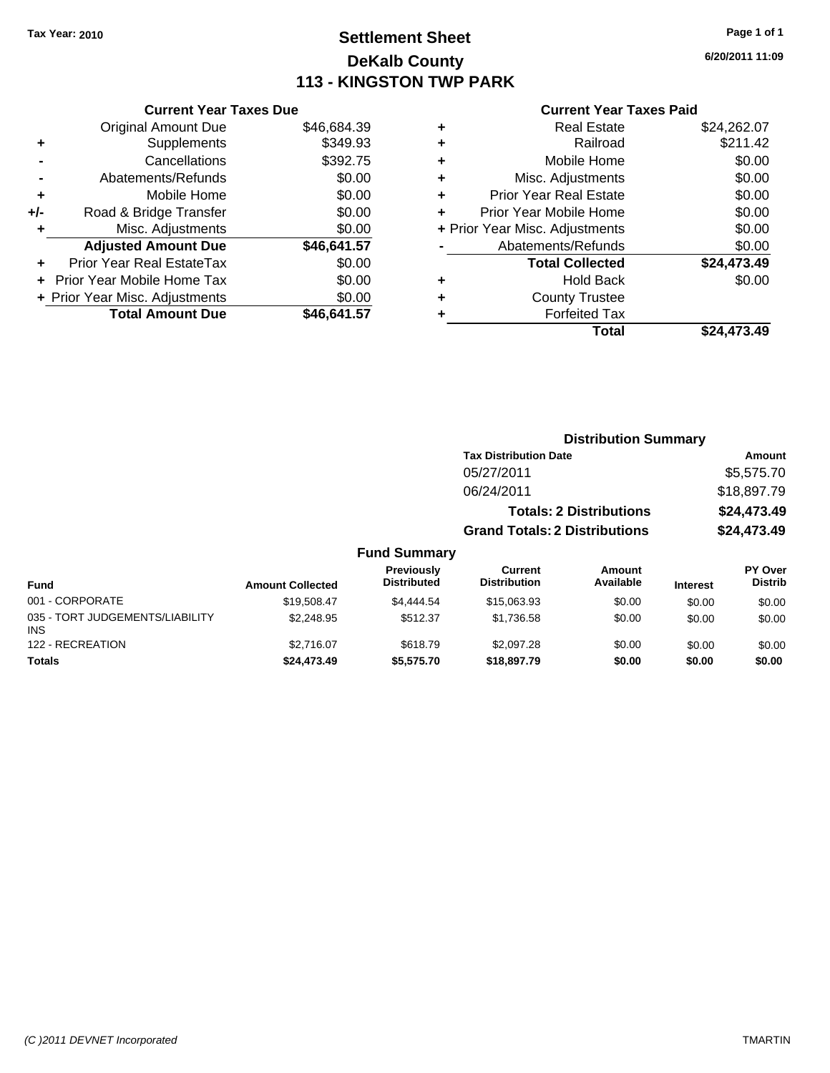# **Settlement Sheet Tax Year: 2010 Page 1 of 1 DeKalb County 113 - KINGSTON TWP PARK**

### **6/20/2011 11:09**

|     | <b>Current Year Taxes Due</b>  |             |  |  |
|-----|--------------------------------|-------------|--|--|
|     | <b>Original Amount Due</b>     | \$46,684.39 |  |  |
| ٠   | Supplements                    | \$349.93    |  |  |
|     | Cancellations                  | \$392.75    |  |  |
|     | Abatements/Refunds             | \$0.00      |  |  |
| ٠   | Mobile Home                    | \$0.00      |  |  |
| +/- | Road & Bridge Transfer         | \$0.00      |  |  |
|     | Misc. Adjustments              | \$0.00      |  |  |
|     | <b>Adjusted Amount Due</b>     | \$46,641.57 |  |  |
|     | Prior Year Real EstateTax      | \$0.00      |  |  |
|     | Prior Year Mobile Home Tax     | \$0.00      |  |  |
|     | + Prior Year Misc. Adjustments | \$0.00      |  |  |
|     | <b>Total Amount Due</b>        | \$46.641.57 |  |  |

| ٠ | <b>Real Estate</b>             | \$24,262.07 |
|---|--------------------------------|-------------|
| ٠ | Railroad                       | \$211.42    |
| ٠ | Mobile Home                    | \$0.00      |
| ٠ | Misc. Adjustments              | \$0.00      |
| ٠ | Prior Year Real Estate         | \$0.00      |
| ÷ | Prior Year Mobile Home         | \$0.00      |
|   | + Prior Year Misc. Adjustments | \$0.00      |
|   | Abatements/Refunds             | \$0.00      |
|   | <b>Total Collected</b>         | \$24,473.49 |
| ٠ | <b>Hold Back</b>               | \$0.00      |
| ٠ | <b>County Trustee</b>          |             |
| ٠ | <b>Forfeited Tax</b>           |             |
|   | Total                          | \$24.473.49 |
|   |                                |             |

|                                               |                         |                                  | <b>Distribution Summary</b>          |                                |                 |                           |
|-----------------------------------------------|-------------------------|----------------------------------|--------------------------------------|--------------------------------|-----------------|---------------------------|
|                                               |                         |                                  | <b>Tax Distribution Date</b>         |                                |                 | Amount                    |
|                                               |                         |                                  | 05/27/2011                           |                                |                 | \$5,575.70                |
|                                               |                         |                                  | 06/24/2011                           |                                |                 | \$18,897.79               |
|                                               |                         |                                  |                                      | <b>Totals: 2 Distributions</b> |                 | \$24,473.49               |
|                                               |                         |                                  | <b>Grand Totals: 2 Distributions</b> |                                |                 | \$24,473.49               |
|                                               |                         | <b>Fund Summary</b>              |                                      |                                |                 |                           |
| Fund                                          | <b>Amount Collected</b> | Previously<br><b>Distributed</b> | Current<br><b>Distribution</b>       | Amount<br>Available            | <b>Interest</b> | PY Over<br><b>Distrib</b> |
| 001 - CORPORATE                               | \$19,508.47             | \$4,444.54                       | \$15,063.93                          | \$0.00                         | \$0.00          | \$0.00                    |
| 035 - TORT JUDGEMENTS/LIABILITY<br><b>INS</b> | \$2,248.95              | \$512.37                         | \$1,736.58                           | \$0.00                         | \$0.00          | \$0.00                    |
| 122 - RECREATION                              | \$2,716.07              | \$618.79                         | \$2,097.28                           | \$0.00                         | \$0.00          | \$0.00                    |
| <b>Totals</b>                                 | \$24,473.49             | \$5,575.70                       | \$18,897.79                          | \$0.00                         | \$0.00          | \$0.00                    |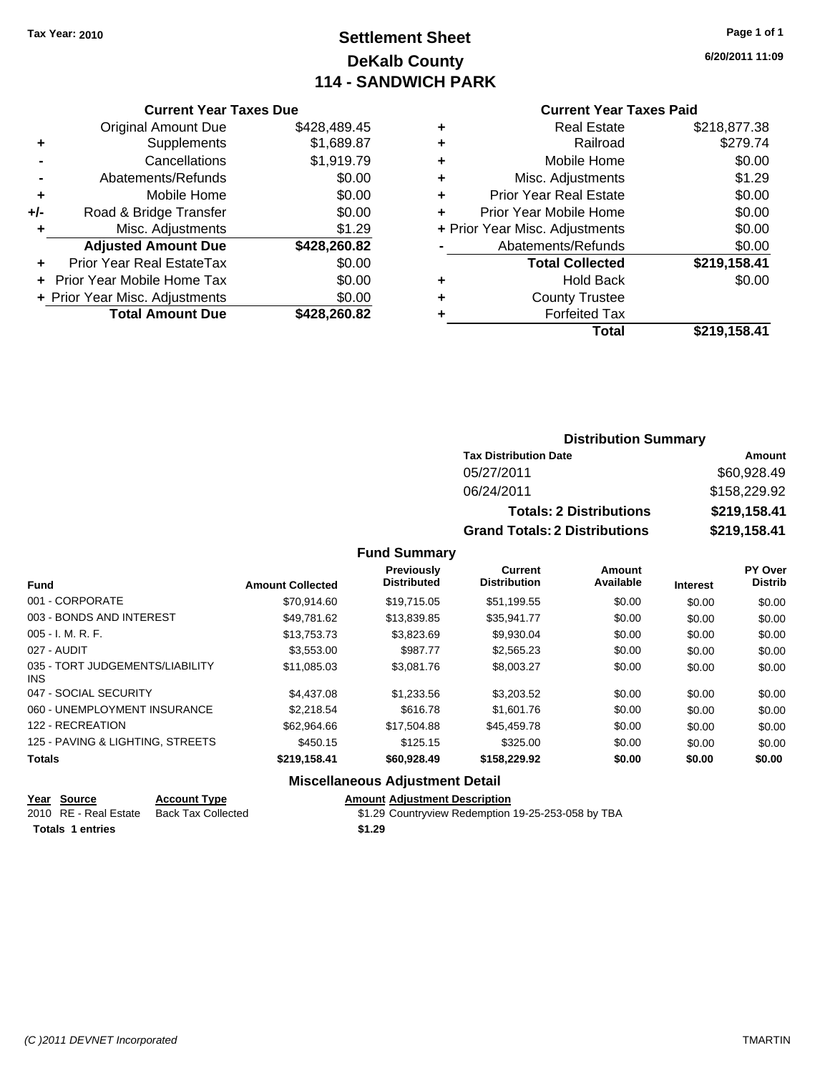# **Settlement Sheet Tax Year: 2010 Page 1 of 1 DeKalb County 114 - SANDWICH PARK**

**6/20/2011 11:09**

### **Current Year Taxes Due**

|     | <b>Original Amount Due</b>        | \$428,489.45 |
|-----|-----------------------------------|--------------|
|     | Supplements                       | \$1,689.87   |
|     | Cancellations                     | \$1,919.79   |
|     | Abatements/Refunds                | \$0.00       |
| ٠   | Mobile Home                       | \$0.00       |
| +/- | Road & Bridge Transfer            | \$0.00       |
| ٠   | Misc. Adjustments                 | \$1.29       |
|     | <b>Adjusted Amount Due</b>        | \$428,260.82 |
|     | Prior Year Real EstateTax         | \$0.00       |
|     | <b>Prior Year Mobile Home Tax</b> | \$0.00       |
|     | + Prior Year Misc. Adjustments    | \$0.00       |
|     | <b>Total Amount Due</b>           | \$428,260.82 |

### **Current Year Taxes Paid**

| <b>Real Estate</b>            | \$218,877.38                   |
|-------------------------------|--------------------------------|
| Railroad                      | \$279.74                       |
| Mobile Home                   | \$0.00                         |
| Misc. Adjustments             | \$1.29                         |
| <b>Prior Year Real Estate</b> | \$0.00                         |
| Prior Year Mobile Home        | \$0.00                         |
|                               | \$0.00                         |
| Abatements/Refunds            | \$0.00                         |
| <b>Total Collected</b>        | \$219,158.41                   |
| <b>Hold Back</b>              | \$0.00                         |
| <b>County Trustee</b>         |                                |
| <b>Forfeited Tax</b>          |                                |
| Total                         | \$219,158.41                   |
|                               | + Prior Year Misc. Adjustments |

### **Distribution Summary**

| <b>Tax Distribution Date</b>         | Amount       |
|--------------------------------------|--------------|
| 05/27/2011                           | \$60,928.49  |
| 06/24/2011                           | \$158,229.92 |
| <b>Totals: 2 Distributions</b>       | \$219,158.41 |
| <b>Grand Totals: 2 Distributions</b> | \$219,158.41 |

**Fund Summary**

|                                               |                         | Previously         | <b>Current</b>      | <b>Amount</b> |                 | PY Over        |
|-----------------------------------------------|-------------------------|--------------------|---------------------|---------------|-----------------|----------------|
| <b>Fund</b>                                   | <b>Amount Collected</b> | <b>Distributed</b> | <b>Distribution</b> | Available     | <b>Interest</b> | <b>Distrib</b> |
| 001 - CORPORATE                               | \$70.914.60             | \$19,715.05        | \$51,199.55         | \$0.00        | \$0.00          | \$0.00         |
| 003 - BONDS AND INTEREST                      | \$49,781.62             | \$13,839.85        | \$35,941.77         | \$0.00        | \$0.00          | \$0.00         |
| $005 - I. M. R. F.$                           | \$13,753.73             | \$3,823.69         | \$9,930.04          | \$0.00        | \$0.00          | \$0.00         |
| 027 - AUDIT                                   | \$3,553.00              | \$987.77           | \$2,565.23          | \$0.00        | \$0.00          | \$0.00         |
| 035 - TORT JUDGEMENTS/LIABILITY<br><b>INS</b> | \$11,085.03             | \$3,081.76         | \$8,003.27          | \$0.00        | \$0.00          | \$0.00         |
| 047 - SOCIAL SECURITY                         | \$4,437.08              | \$1,233.56         | \$3,203.52          | \$0.00        | \$0.00          | \$0.00         |
| 060 - UNEMPLOYMENT INSURANCE                  | \$2,218.54              | \$616.78           | \$1,601.76          | \$0.00        | \$0.00          | \$0.00         |
| 122 - RECREATION                              | \$62,964.66             | \$17,504.88        | \$45,459.78         | \$0.00        | \$0.00          | \$0.00         |
| 125 - PAVING & LIGHTING, STREETS              | \$450.15                | \$125.15           | \$325.00            | \$0.00        | \$0.00          | \$0.00         |
| <b>Totals</b>                                 | \$219,158.41            | \$60,928.49        | \$158,229.92        | \$0.00        | \$0.00          | \$0.00         |
|                                               |                         |                    |                     |               |                 |                |

### **Miscellaneous Adjustment Detail**

| Year Source             | <b>Account Type</b>                      | <b>Amount Adiustment Description</b>               |
|-------------------------|------------------------------------------|----------------------------------------------------|
|                         | 2010 RE - Real Estate Back Tax Collected | \$1.29 Countryview Redemption 19-25-253-058 by TBA |
| <b>Totals 1 entries</b> |                                          | \$1.29                                             |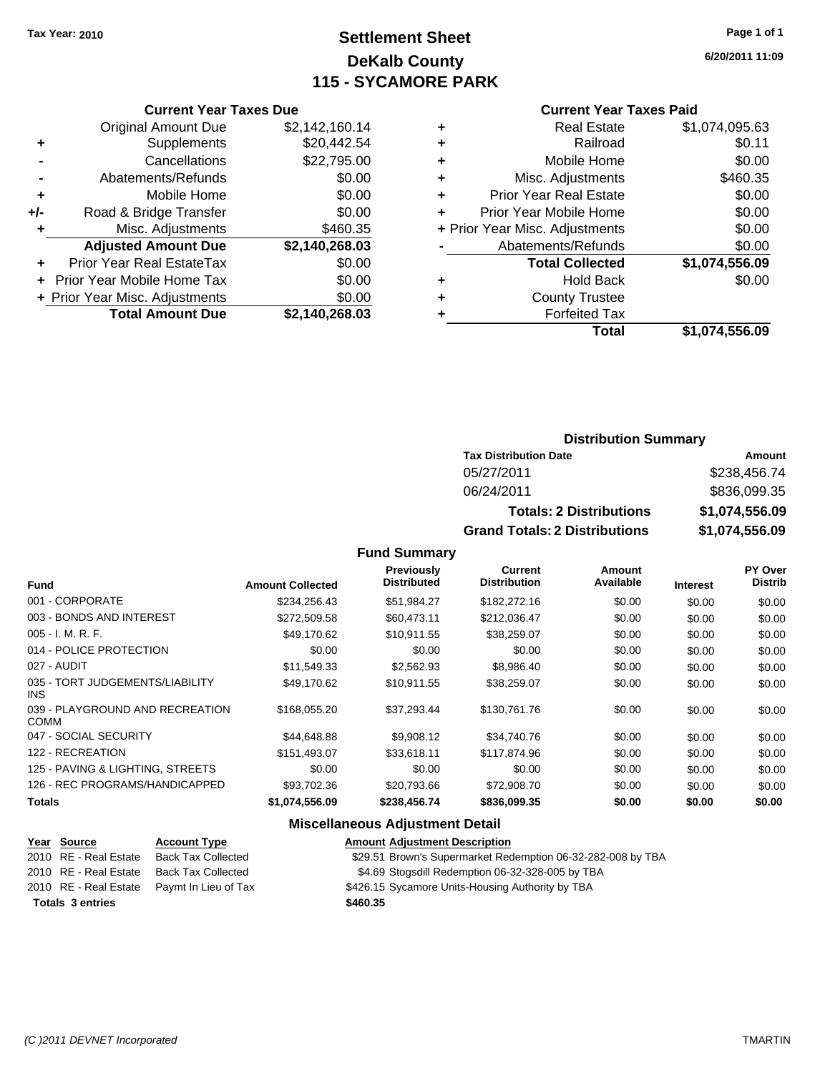# **Settlement Sheet Tax Year: 2010 Page 1 of 1 DeKalb County 115 - SYCAMORE PARK**

**6/20/2011 11:09**

| Current \ |
|-----------|
|           |

| Curr                  |   |                | <b>Current Year Taxes Due</b>  |     |
|-----------------------|---|----------------|--------------------------------|-----|
| Rε                    | ٠ | \$2,142,160.14 | <b>Original Amount Due</b>     |     |
|                       | ٠ | \$20,442.54    | Supplements                    | ٠   |
| Mot                   | ٠ | \$22,795.00    | Cancellations                  |     |
| Misc. Ad              | ٠ | \$0.00         | Abatements/Refunds             |     |
| Prior Year Re         | ٠ | \$0.00         | Mobile Home                    | ٠   |
| Prior Year Mot        |   | \$0.00         | Road & Bridge Transfer         | +/- |
| + Prior Year Misc. Ad |   | \$460.35       | Misc. Adjustments              |     |
| Abatements            |   | \$2,140,268.03 | <b>Adjusted Amount Due</b>     |     |
| <b>Total 0</b>        |   | \$0.00         | Prior Year Real EstateTax      |     |
|                       | ٠ | \$0.00         | + Prior Year Mobile Home Tax   |     |
| Count                 | ٠ | \$0.00         | + Prior Year Misc. Adjustments |     |
| For                   |   | \$2,140,268.03 | <b>Total Amount Due</b>        |     |
|                       |   |                |                                |     |

|                                              | <b>Current Year Taxes Paid</b>   |                |  |  |  |
|----------------------------------------------|----------------------------------|----------------|--|--|--|
|                                              | <b>Real Estate</b>               | \$1,074,095.63 |  |  |  |
| ٠                                            | Railroad                         | \$0.11         |  |  |  |
| ٠                                            | Mobile Home                      | \$0.00         |  |  |  |
| ٠                                            | Misc. Adjustments                | \$460.35       |  |  |  |
| \$0.00<br><b>Prior Year Real Estate</b><br>٠ |                                  |                |  |  |  |
|                                              | \$0.00<br>Prior Year Mobile Home |                |  |  |  |
| + Prior Year Misc. Adjustments               |                                  | \$0.00         |  |  |  |
|                                              | Abatements/Refunds               | \$0.00         |  |  |  |
|                                              | <b>Total Collected</b>           | \$1,074,556.09 |  |  |  |
|                                              | <b>Hold Back</b>                 | \$0.00         |  |  |  |
|                                              | <b>County Trustee</b>            |                |  |  |  |
|                                              | <b>Forfeited Tax</b>             |                |  |  |  |

| Total | \$1,074,556.09 |
|-------|----------------|
|       |                |

| <b>Distribution Summary</b> |  |
|-----------------------------|--|
|-----------------------------|--|

| <b>Tax Distribution Date</b>         | Amount         |
|--------------------------------------|----------------|
| 05/27/2011                           | \$238,456.74   |
| 06/24/2011                           | \$836,099.35   |
| <b>Totals: 2 Distributions</b>       | \$1,074,556.09 |
| <b>Grand Totals: 2 Distributions</b> | \$1,074,556.09 |

**Fund Summary**

|                                                                                                                                                                               | <b>Distribution</b>                                                                                                                                                                                | Available | <b>Interest</b>                                                                                                                                                            | <b>Distrib</b>                                                                                                       |
|-------------------------------------------------------------------------------------------------------------------------------------------------------------------------------|----------------------------------------------------------------------------------------------------------------------------------------------------------------------------------------------------|-----------|----------------------------------------------------------------------------------------------------------------------------------------------------------------------------|----------------------------------------------------------------------------------------------------------------------|
|                                                                                                                                                                               |                                                                                                                                                                                                    |           | \$0.00                                                                                                                                                                     | \$0.00                                                                                                               |
|                                                                                                                                                                               |                                                                                                                                                                                                    |           | \$0.00                                                                                                                                                                     | \$0.00                                                                                                               |
|                                                                                                                                                                               |                                                                                                                                                                                                    |           | \$0.00                                                                                                                                                                     | \$0.00                                                                                                               |
| \$0.00                                                                                                                                                                        |                                                                                                                                                                                                    |           | \$0.00                                                                                                                                                                     | \$0.00                                                                                                               |
|                                                                                                                                                                               |                                                                                                                                                                                                    |           | \$0.00                                                                                                                                                                     | \$0.00                                                                                                               |
|                                                                                                                                                                               |                                                                                                                                                                                                    |           | \$0.00                                                                                                                                                                     | \$0.00                                                                                                               |
|                                                                                                                                                                               |                                                                                                                                                                                                    |           | \$0.00                                                                                                                                                                     | \$0.00                                                                                                               |
|                                                                                                                                                                               |                                                                                                                                                                                                    |           | \$0.00                                                                                                                                                                     | \$0.00                                                                                                               |
|                                                                                                                                                                               |                                                                                                                                                                                                    |           | \$0.00                                                                                                                                                                     | \$0.00                                                                                                               |
| \$0.00                                                                                                                                                                        |                                                                                                                                                                                                    |           | \$0.00                                                                                                                                                                     | \$0.00                                                                                                               |
|                                                                                                                                                                               |                                                                                                                                                                                                    |           | \$0.00                                                                                                                                                                     | \$0.00                                                                                                               |
|                                                                                                                                                                               |                                                                                                                                                                                                    |           | \$0.00                                                                                                                                                                     | \$0.00                                                                                                               |
| \$234,256.43<br>\$272,509.58<br>\$49.170.62<br>\$0.00<br>\$11,549.33<br>\$49,170.62<br>\$168,055,20<br>\$44,648.88<br>\$151.493.07<br>\$0.00<br>\$93,702.36<br>\$1,074,556.09 | <b>Distributed</b><br><b>Amount Collected</b><br>\$51,984.27<br>\$60,473.11<br>\$10.911.55<br>\$2,562.93<br>\$10,911.55<br>\$37.293.44<br>\$9,908.12<br>\$33,618.11<br>\$20,793.66<br>\$238,456.74 |           | \$182,272.16<br>\$212,036.47<br>\$38,259.07<br>\$0.00<br>\$8,986.40<br>\$38,259.07<br>\$130,761.76<br>\$34,740.76<br>\$117,874.96<br>\$0.00<br>\$72,908.70<br>\$836,099.35 | \$0.00<br>\$0.00<br>\$0.00<br>\$0.00<br>\$0.00<br>\$0.00<br>\$0.00<br>\$0.00<br>\$0.00<br>\$0.00<br>\$0.00<br>\$0.00 |

### **Miscellaneous Adjustment Detail**

**Year Source Account Type Amount Adjustment Description** 2010 RE - Real Estate Back Tax Collected \$29.51 Brown's Supermarket Redemption 06-32-282-008 by TBA 2010 RE - Real Estate Back Tax Collected \$4.69 Stogsdill Redemption 06-32-328-005 by TBA 2010 RE - Real Estate Paymt In Lieu of Tax \$426.15 Sycamore Units-Housing Authority by TBA **Totals \$460.35 3 entries**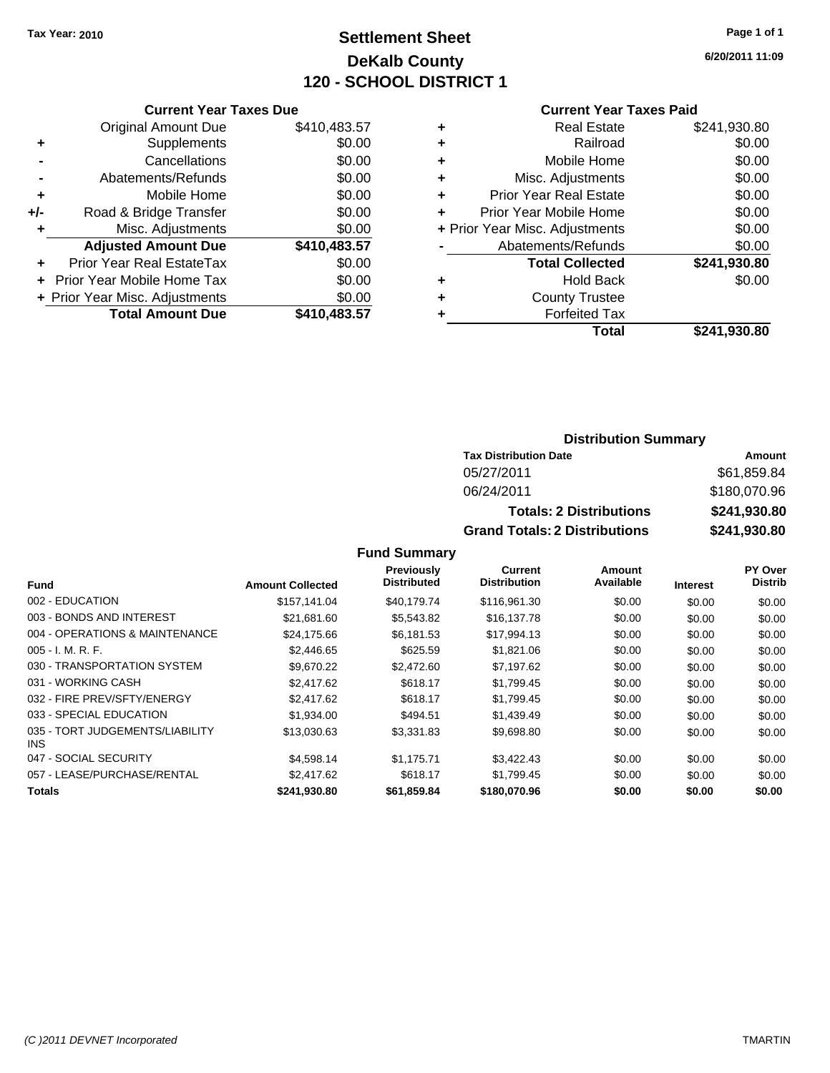# **Settlement Sheet Tax Year: 2010 Page 1 of 1 DeKalb County 120 - SCHOOL DISTRICT 1**

**6/20/2011 11:09**

#### **Current Year Taxes Paid**

|     | <b>Current Year Taxes Due</b>  |              |
|-----|--------------------------------|--------------|
|     | <b>Original Amount Due</b>     | \$410,483.57 |
| ٠   | Supplements                    | \$0.00       |
|     | Cancellations                  | \$0.00       |
|     | Abatements/Refunds             | \$0.00       |
| ٠   | Mobile Home                    | \$0.00       |
| +/- | Road & Bridge Transfer         | \$0.00       |
| ٠   | Misc. Adjustments              | \$0.00       |
|     | <b>Adjusted Amount Due</b>     | \$410,483.57 |
|     | Prior Year Real EstateTax      | \$0.00       |
|     | Prior Year Mobile Home Tax     | \$0.00       |
|     | + Prior Year Misc. Adjustments | \$0.00       |
|     | <b>Total Amount Due</b>        | \$410,483.57 |
|     |                                |              |

| ٠ | <b>Real Estate</b>             | \$241,930.80 |
|---|--------------------------------|--------------|
| ٠ | Railroad                       | \$0.00       |
| ٠ | Mobile Home                    | \$0.00       |
| ٠ | Misc. Adjustments              | \$0.00       |
| ÷ | <b>Prior Year Real Estate</b>  | \$0.00       |
| ٠ | Prior Year Mobile Home         | \$0.00       |
|   | + Prior Year Misc. Adjustments | \$0.00       |
|   | Abatements/Refunds             | \$0.00       |
|   | <b>Total Collected</b>         | \$241,930.80 |
| ٠ | <b>Hold Back</b>               | \$0.00       |
| ٠ | <b>County Trustee</b>          |              |
| ٠ | <b>Forfeited Tax</b>           |              |
|   | Total                          | \$241,930.80 |
|   |                                |              |

### **Distribution Summary**

| <b>Tax Distribution Date</b>         | Amount       |
|--------------------------------------|--------------|
| 05/27/2011                           | \$61.859.84  |
| 06/24/2011                           | \$180,070.96 |
| <b>Totals: 2 Distributions</b>       | \$241,930.80 |
| <b>Grand Totals: 2 Distributions</b> | \$241,930.80 |

|                                         |                         | Previously         | Current             | Amount    |                 | PY Over        |
|-----------------------------------------|-------------------------|--------------------|---------------------|-----------|-----------------|----------------|
| <b>Fund</b>                             | <b>Amount Collected</b> | <b>Distributed</b> | <b>Distribution</b> | Available | <b>Interest</b> | <b>Distrib</b> |
| 002 - EDUCATION                         | \$157.141.04            | \$40.179.74        | \$116,961.30        | \$0.00    | \$0.00          | \$0.00         |
| 003 - BONDS AND INTEREST                | \$21,681.60             | \$5,543.82         | \$16,137.78         | \$0.00    | \$0.00          | \$0.00         |
| 004 - OPERATIONS & MAINTENANCE          | \$24,175.66             | \$6,181.53         | \$17,994.13         | \$0.00    | \$0.00          | \$0.00         |
| $005 - I. M. R. F.$                     | \$2,446.65              | \$625.59           | \$1,821.06          | \$0.00    | \$0.00          | \$0.00         |
| 030 - TRANSPORTATION SYSTEM             | \$9,670.22              | \$2,472.60         | \$7,197.62          | \$0.00    | \$0.00          | \$0.00         |
| 031 - WORKING CASH                      | \$2,417.62              | \$618.17           | \$1,799.45          | \$0.00    | \$0.00          | \$0.00         |
| 032 - FIRE PREV/SFTY/ENERGY             | \$2,417.62              | \$618.17           | \$1,799.45          | \$0.00    | \$0.00          | \$0.00         |
| 033 - SPECIAL EDUCATION                 | \$1,934.00              | \$494.51           | \$1,439.49          | \$0.00    | \$0.00          | \$0.00         |
| 035 - TORT JUDGEMENTS/LIABILITY<br>INS. | \$13,030.63             | \$3,331.83         | \$9,698.80          | \$0.00    | \$0.00          | \$0.00         |
| 047 - SOCIAL SECURITY                   | \$4,598.14              | \$1.175.71         | \$3,422.43          | \$0.00    | \$0.00          | \$0.00         |
| 057 - LEASE/PURCHASE/RENTAL             | \$2,417.62              | \$618.17           | \$1.799.45          | \$0.00    | \$0.00          | \$0.00         |
| <b>Totals</b>                           | \$241,930.80            | \$61,859.84        | \$180,070.96        | \$0.00    | \$0.00          | \$0.00         |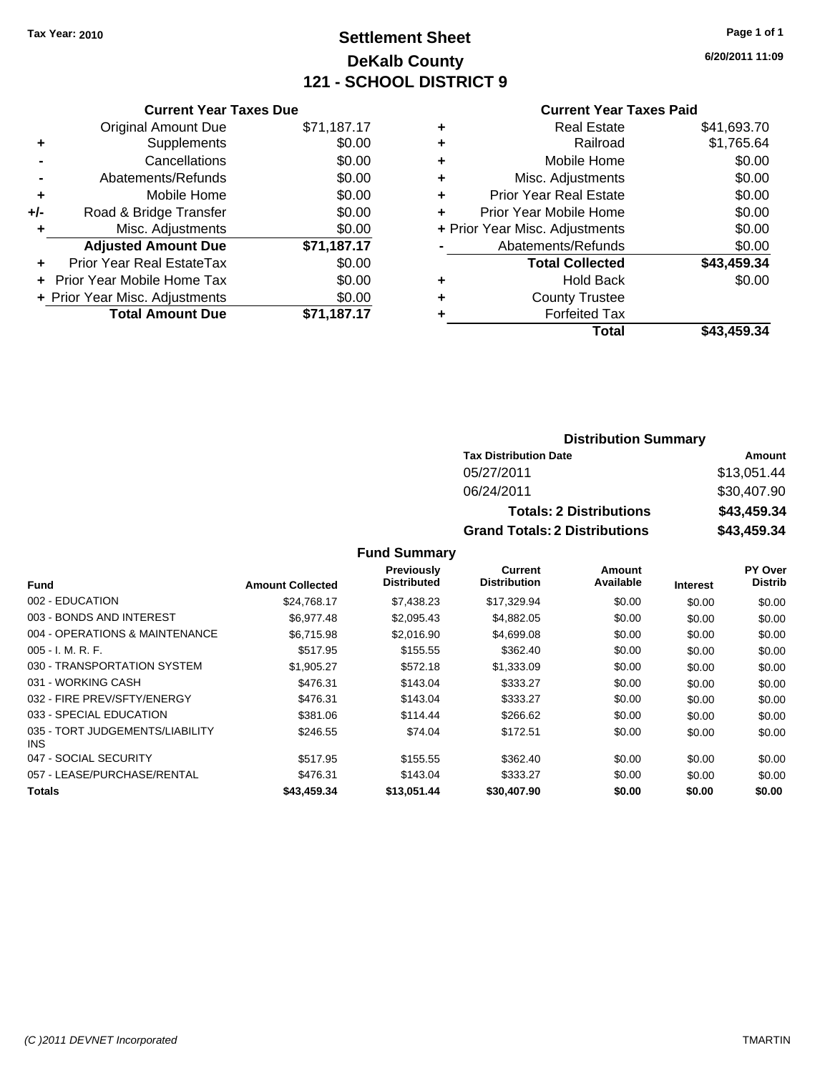# **Settlement Sheet Tax Year: 2010 Page 1 of 1 DeKalb County 121 - SCHOOL DISTRICT 9**

**6/20/2011 11:09**

|     | <b>Current Year Taxes Due</b>    |             |
|-----|----------------------------------|-------------|
|     | <b>Original Amount Due</b>       | \$71,187.17 |
| ٠   | Supplements                      | \$0.00      |
|     | Cancellations                    | \$0.00      |
|     | Abatements/Refunds               | \$0.00      |
| ٠   | Mobile Home                      | \$0.00      |
| +/- | Road & Bridge Transfer           | \$0.00      |
|     | Misc. Adjustments                | \$0.00      |
|     | <b>Adjusted Amount Due</b>       | \$71,187.17 |
|     | <b>Prior Year Real EstateTax</b> | \$0.00      |
|     | Prior Year Mobile Home Tax       | \$0.00      |
|     | + Prior Year Misc. Adjustments   | \$0.00      |
|     | <b>Total Amount Due</b>          | \$71,187.17 |
|     |                                  |             |

#### **Current Year Taxes Paid**

| ٠ | <b>Real Estate</b>             | \$41,693.70 |
|---|--------------------------------|-------------|
| ٠ | Railroad                       | \$1,765.64  |
| ٠ | Mobile Home                    | \$0.00      |
| ٠ | Misc. Adjustments              | \$0.00      |
| ٠ | <b>Prior Year Real Estate</b>  | \$0.00      |
| ÷ | Prior Year Mobile Home         | \$0.00      |
|   | + Prior Year Misc. Adjustments | \$0.00      |
|   | Abatements/Refunds             | \$0.00      |
|   | <b>Total Collected</b>         | \$43,459.34 |
| ٠ | Hold Back                      | \$0.00      |
| ٠ | <b>County Trustee</b>          |             |
| ٠ | <b>Forfeited Tax</b>           |             |
|   | Total                          | \$43,459.34 |
|   |                                |             |

### **Distribution Summary**

| <b>Tax Distribution Date</b>         | Amount      |
|--------------------------------------|-------------|
| 05/27/2011                           | \$13.051.44 |
| 06/24/2011                           | \$30,407.90 |
| <b>Totals: 2 Distributions</b>       | \$43,459,34 |
| <b>Grand Totals: 2 Distributions</b> | \$43,459.34 |

|                                         |                         | <b>Previously</b>  | Current             | Amount    |                 | PY Over        |
|-----------------------------------------|-------------------------|--------------------|---------------------|-----------|-----------------|----------------|
| Fund                                    | <b>Amount Collected</b> | <b>Distributed</b> | <b>Distribution</b> | Available | <b>Interest</b> | <b>Distrib</b> |
| 002 - EDUCATION                         | \$24.768.17             | \$7.438.23         | \$17,329.94         | \$0.00    | \$0.00          | \$0.00         |
| 003 - BONDS AND INTEREST                | \$6.977.48              | \$2,095.43         | \$4,882.05          | \$0.00    | \$0.00          | \$0.00         |
| 004 - OPERATIONS & MAINTENANCE          | \$6.715.98              | \$2.016.90         | \$4,699.08          | \$0.00    | \$0.00          | \$0.00         |
| $005 - I. M. R. F.$                     | \$517.95                | \$155.55           | \$362.40            | \$0.00    | \$0.00          | \$0.00         |
| 030 - TRANSPORTATION SYSTEM             | \$1,905.27              | \$572.18           | \$1,333.09          | \$0.00    | \$0.00          | \$0.00         |
| 031 - WORKING CASH                      | \$476.31                | \$143.04           | \$333.27            | \$0.00    | \$0.00          | \$0.00         |
| 032 - FIRE PREV/SFTY/ENERGY             | \$476.31                | \$143.04           | \$333.27            | \$0.00    | \$0.00          | \$0.00         |
| 033 - SPECIAL EDUCATION                 | \$381.06                | \$114.44           | \$266.62            | \$0.00    | \$0.00          | \$0.00         |
| 035 - TORT JUDGEMENTS/LIABILITY<br>INS. | \$246.55                | \$74.04            | \$172.51            | \$0.00    | \$0.00          | \$0.00         |
| 047 - SOCIAL SECURITY                   | \$517.95                | \$155.55           | \$362.40            | \$0.00    | \$0.00          | \$0.00         |
| 057 - LEASE/PURCHASE/RENTAL             | \$476.31                | \$143.04           | \$333.27            | \$0.00    | \$0.00          | \$0.00         |
| Totals                                  | \$43,459.34             | \$13.051.44        | \$30,407.90         | \$0.00    | \$0.00          | \$0.00         |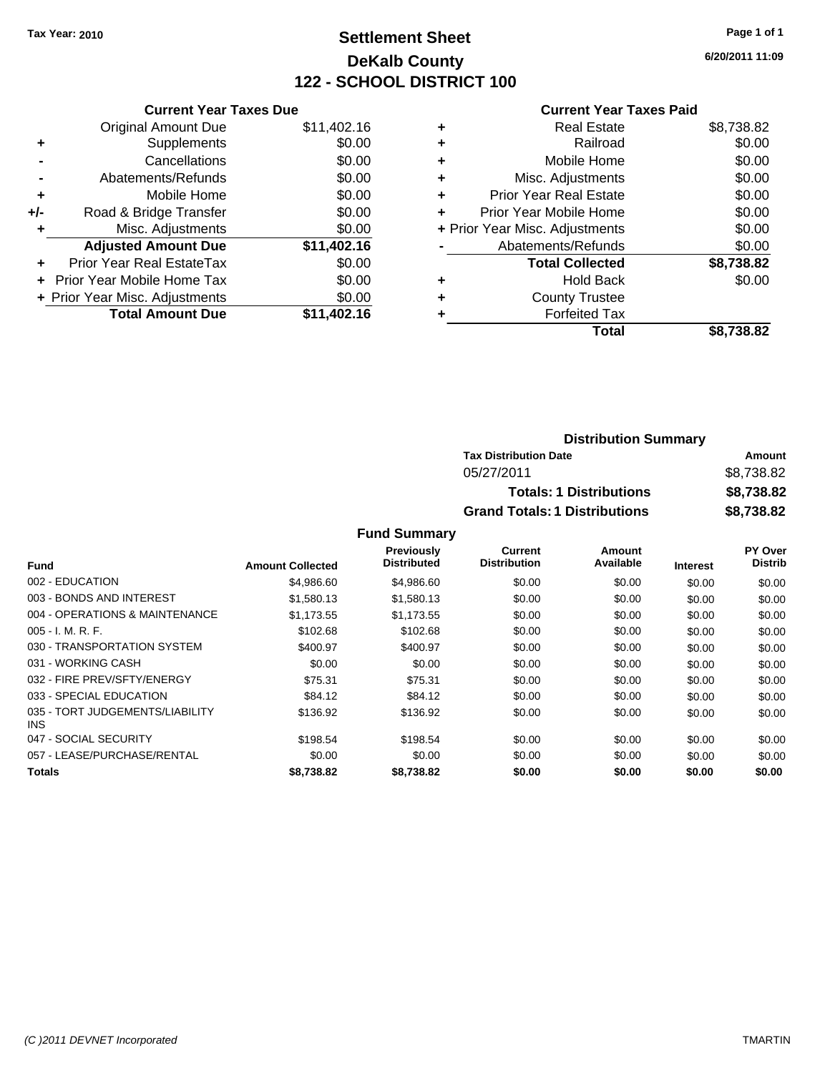# **Settlement Sheet Tax Year: 2010 Page 1 of 1 DeKalb County 122 - SCHOOL DISTRICT 100**

**6/20/2011 11:09**

#### **Current Year Taxes Paid**

| <b>Current Year Taxes Due</b>     |                                |
|-----------------------------------|--------------------------------|
| <b>Original Amount Due</b>        | \$11,402.16                    |
| Supplements                       | \$0.00                         |
| Cancellations                     | \$0.00                         |
| Abatements/Refunds                | \$0.00                         |
| Mobile Home                       | \$0.00                         |
| Road & Bridge Transfer            | \$0.00                         |
| Misc. Adjustments                 | \$0.00                         |
| <b>Adjusted Amount Due</b>        | \$11,402.16                    |
| Prior Year Real EstateTax         | \$0.00                         |
| <b>Prior Year Mobile Home Tax</b> | \$0.00                         |
|                                   | \$0.00                         |
| <b>Total Amount Due</b>           | \$11.402.16                    |
|                                   | + Prior Year Misc. Adjustments |

| ٠ | <b>Real Estate</b>             | \$8,738.82 |
|---|--------------------------------|------------|
| ٠ | Railroad                       | \$0.00     |
| ٠ | Mobile Home                    | \$0.00     |
| ٠ | Misc. Adjustments              | \$0.00     |
| ٠ | <b>Prior Year Real Estate</b>  | \$0.00     |
| ÷ | Prior Year Mobile Home         | \$0.00     |
|   | + Prior Year Misc. Adjustments | \$0.00     |
|   | Abatements/Refunds             | \$0.00     |
|   | <b>Total Collected</b>         | \$8,738.82 |
| ٠ | <b>Hold Back</b>               | \$0.00     |
| ٠ | <b>County Trustee</b>          |            |
|   | <b>Forfeited Tax</b>           |            |
|   | Total                          | \$8.738.82 |

| <b>Distribution Summary</b>          |            |
|--------------------------------------|------------|
| <b>Tax Distribution Date</b>         | Amount     |
| 05/27/2011                           | \$8,738.82 |
| <b>Totals: 1 Distributions</b>       | \$8,738.82 |
| <b>Grand Totals: 1 Distributions</b> | \$8,738.82 |

|                                         |                         | Previously  | Current             | Amount    |                 | <b>PY Over</b> |
|-----------------------------------------|-------------------------|-------------|---------------------|-----------|-----------------|----------------|
| Fund                                    | <b>Amount Collected</b> | Distributed | <b>Distribution</b> | Available | <b>Interest</b> | <b>Distrib</b> |
| 002 - EDUCATION                         | \$4,986.60              | \$4,986.60  | \$0.00              | \$0.00    | \$0.00          | \$0.00         |
| 003 - BONDS AND INTEREST                | \$1,580.13              | \$1,580.13  | \$0.00              | \$0.00    | \$0.00          | \$0.00         |
| 004 - OPERATIONS & MAINTENANCE          | \$1.173.55              | \$1.173.55  | \$0.00              | \$0.00    | \$0.00          | \$0.00         |
| $005 - I. M. R. F.$                     | \$102.68                | \$102.68    | \$0.00              | \$0.00    | \$0.00          | \$0.00         |
| 030 - TRANSPORTATION SYSTEM             | \$400.97                | \$400.97    | \$0.00              | \$0.00    | \$0.00          | \$0.00         |
| 031 - WORKING CASH                      | \$0.00                  | \$0.00      | \$0.00              | \$0.00    | \$0.00          | \$0.00         |
| 032 - FIRE PREV/SFTY/ENERGY             | \$75.31                 | \$75.31     | \$0.00              | \$0.00    | \$0.00          | \$0.00         |
| 033 - SPECIAL EDUCATION                 | \$84.12                 | \$84.12     | \$0.00              | \$0.00    | \$0.00          | \$0.00         |
| 035 - TORT JUDGEMENTS/LIABILITY<br>INS. | \$136.92                | \$136.92    | \$0.00              | \$0.00    | \$0.00          | \$0.00         |
| 047 - SOCIAL SECURITY                   | \$198.54                | \$198.54    | \$0.00              | \$0.00    | \$0.00          | \$0.00         |
| 057 - LEASE/PURCHASE/RENTAL             | \$0.00                  | \$0.00      | \$0.00              | \$0.00    | \$0.00          | \$0.00         |
| <b>Totals</b>                           | \$8,738.82              | \$8.738.82  | \$0.00              | \$0.00    | \$0.00          | \$0.00         |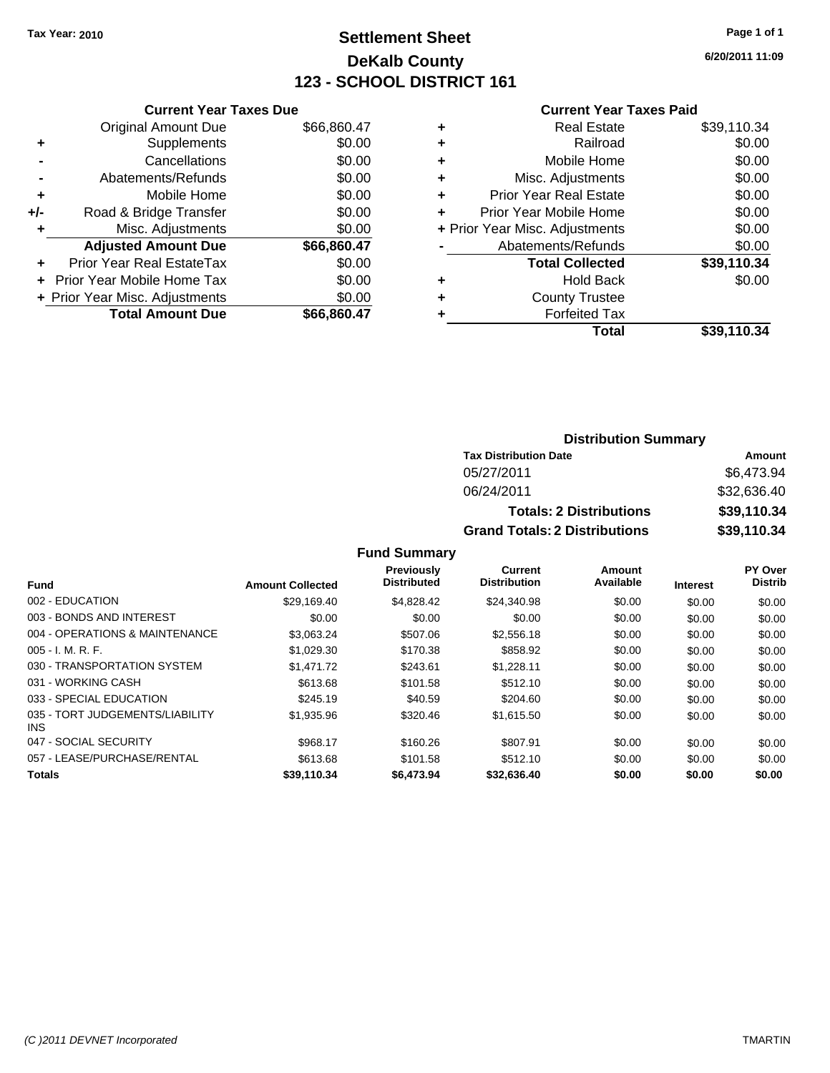# **Settlement Sheet Tax Year: 2010 Page 1 of 1 DeKalb County 123 - SCHOOL DISTRICT 161**

**6/20/2011 11:09**

#### **Current Year Taxes Paid**

|     | <b>Current Year Taxes Due</b>  |             |
|-----|--------------------------------|-------------|
|     | <b>Original Amount Due</b>     | \$66,860.47 |
| ٠   | Supplements                    | \$0.00      |
|     | Cancellations                  | \$0.00      |
|     | Abatements/Refunds             | \$0.00      |
| ٠   | Mobile Home                    | \$0.00      |
| +/- | Road & Bridge Transfer         | \$0.00      |
|     | Misc. Adjustments              | \$0.00      |
|     | <b>Adjusted Amount Due</b>     | \$66,860.47 |
|     | Prior Year Real EstateTax      | \$0.00      |
|     | Prior Year Mobile Home Tax     | \$0.00      |
|     | + Prior Year Misc. Adjustments | \$0.00      |
|     | <b>Total Amount Due</b>        | \$66,860,47 |
|     |                                |             |

| <b>Real Estate</b>            | \$39,110.34                    |
|-------------------------------|--------------------------------|
| Railroad                      | \$0.00                         |
| Mobile Home                   | \$0.00                         |
| Misc. Adjustments             | \$0.00                         |
| <b>Prior Year Real Estate</b> | \$0.00                         |
| Prior Year Mobile Home        | \$0.00                         |
|                               | \$0.00                         |
| Abatements/Refunds            | \$0.00                         |
| <b>Total Collected</b>        | \$39,110.34                    |
| <b>Hold Back</b>              | \$0.00                         |
| <b>County Trustee</b>         |                                |
| <b>Forfeited Tax</b>          |                                |
| Total                         | \$39,110.34                    |
|                               | + Prior Year Misc. Adjustments |

### **Distribution Summary**

| <b>Tax Distribution Date</b>         | Amount      |
|--------------------------------------|-------------|
| 05/27/2011                           | \$6,473.94  |
| 06/24/2011                           | \$32,636,40 |
| <b>Totals: 2 Distributions</b>       | \$39,110.34 |
| <b>Grand Totals: 2 Distributions</b> | \$39,110.34 |

|                                         |                         | <b>Previously</b>  | Current             | Amount    |                 | <b>PY Over</b> |
|-----------------------------------------|-------------------------|--------------------|---------------------|-----------|-----------------|----------------|
| <b>Fund</b>                             | <b>Amount Collected</b> | <b>Distributed</b> | <b>Distribution</b> | Available | <b>Interest</b> | <b>Distrib</b> |
| 002 - EDUCATION                         | \$29,169.40             | \$4,828.42         | \$24,340.98         | \$0.00    | \$0.00          | \$0.00         |
| 003 - BONDS AND INTEREST                | \$0.00                  | \$0.00             | \$0.00              | \$0.00    | \$0.00          | \$0.00         |
| 004 - OPERATIONS & MAINTENANCE          | \$3,063.24              | \$507.06           | \$2,556.18          | \$0.00    | \$0.00          | \$0.00         |
| $005 - I. M. R. F.$                     | \$1,029.30              | \$170.38           | \$858.92            | \$0.00    | \$0.00          | \$0.00         |
| 030 - TRANSPORTATION SYSTEM             | \$1,471.72              | \$243.61           | \$1.228.11          | \$0.00    | \$0.00          | \$0.00         |
| 031 - WORKING CASH                      | \$613.68                | \$101.58           | \$512.10            | \$0.00    | \$0.00          | \$0.00         |
| 033 - SPECIAL EDUCATION                 | \$245.19                | \$40.59            | \$204.60            | \$0.00    | \$0.00          | \$0.00         |
| 035 - TORT JUDGEMENTS/LIABILITY<br>INS. | \$1,935.96              | \$320.46           | \$1,615.50          | \$0.00    | \$0.00          | \$0.00         |
| 047 - SOCIAL SECURITY                   | \$968.17                | \$160.26           | \$807.91            | \$0.00    | \$0.00          | \$0.00         |
| 057 - LEASE/PURCHASE/RENTAL             | \$613.68                | \$101.58           | \$512.10            | \$0.00    | \$0.00          | \$0.00         |
| <b>Totals</b>                           | \$39,110.34             | \$6,473.94         | \$32,636.40         | \$0.00    | \$0.00          | \$0.00         |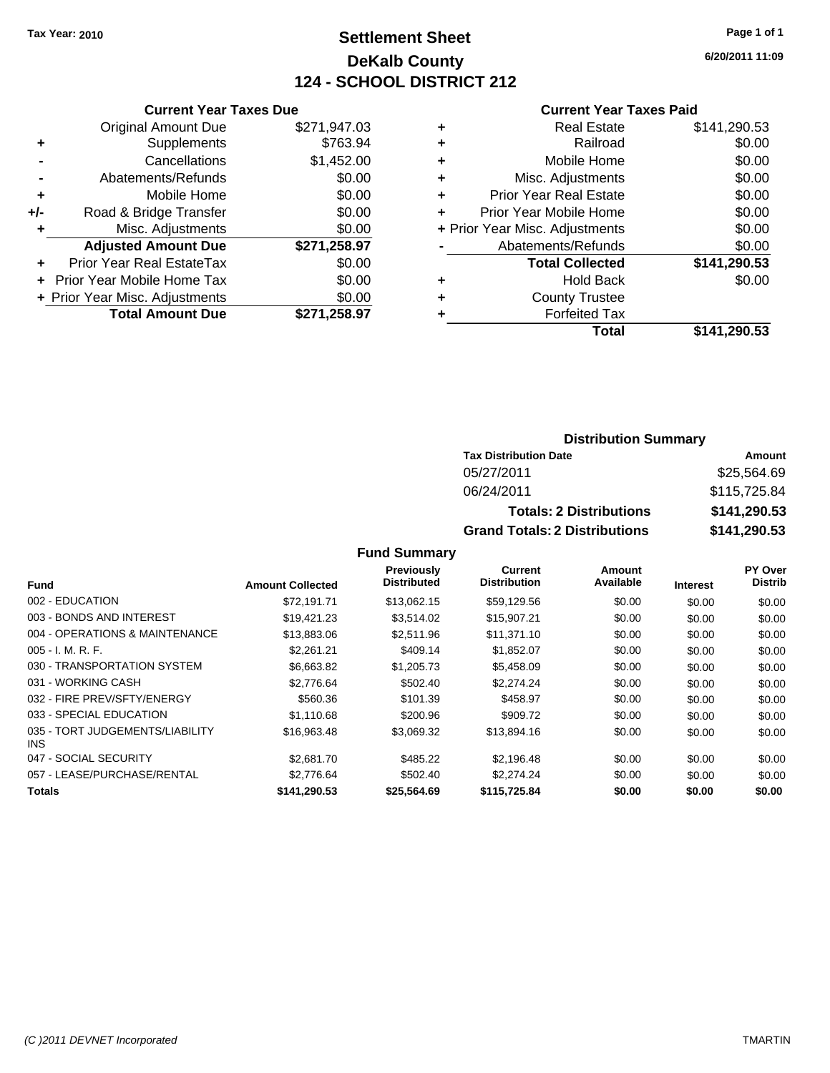## **Settlement Sheet Tax Year: 2010 Page 1 of 1 DeKalb County 124 - SCHOOL DISTRICT 212**

**6/20/2011 11:09**

#### **Current Year Taxes Paid**

|     | <b>Current Year Taxes Due</b>    |              |
|-----|----------------------------------|--------------|
|     | <b>Original Amount Due</b>       | \$271,947.03 |
| ٠   | Supplements                      | \$763.94     |
|     | Cancellations                    | \$1,452.00   |
|     | Abatements/Refunds               | \$0.00       |
| ٠   | Mobile Home                      | \$0.00       |
| +/- | Road & Bridge Transfer           | \$0.00       |
| ٠   | Misc. Adjustments                | \$0.00       |
|     | <b>Adjusted Amount Due</b>       | \$271,258.97 |
| ٠   | <b>Prior Year Real EstateTax</b> | \$0.00       |
|     | Prior Year Mobile Home Tax       | \$0.00       |
|     | + Prior Year Misc. Adjustments   | \$0.00       |
|     | <b>Total Amount Due</b>          | \$271,258.97 |
|     |                                  |              |

|   | <b>Real Estate</b>             | \$141,290.53 |
|---|--------------------------------|--------------|
| ٠ | Railroad                       | \$0.00       |
| ٠ | Mobile Home                    | \$0.00       |
| ٠ | Misc. Adjustments              | \$0.00       |
| ٠ | Prior Year Real Estate         | \$0.00       |
| ÷ | Prior Year Mobile Home         | \$0.00       |
|   | + Prior Year Misc. Adjustments | \$0.00       |
|   | Abatements/Refunds             | \$0.00       |
|   | <b>Total Collected</b>         | \$141,290.53 |
| ٠ | <b>Hold Back</b>               | \$0.00       |
| ٠ | <b>County Trustee</b>          |              |
| ٠ | <b>Forfeited Tax</b>           |              |
|   | Total                          | \$141,290.53 |
|   |                                |              |

### **Distribution Summary**

| <b>Tax Distribution Date</b>         | Amount       |
|--------------------------------------|--------------|
| 05/27/2011                           | \$25,564.69  |
| 06/24/2011                           | \$115,725.84 |
| <b>Totals: 2 Distributions</b>       | \$141,290.53 |
| <b>Grand Totals: 2 Distributions</b> | \$141,290.53 |

|                                         |                         | Previously         | Current             | Amount    |                 | <b>PY Over</b> |
|-----------------------------------------|-------------------------|--------------------|---------------------|-----------|-----------------|----------------|
| <b>Fund</b>                             | <b>Amount Collected</b> | <b>Distributed</b> | <b>Distribution</b> | Available | <b>Interest</b> | <b>Distrib</b> |
| 002 - EDUCATION                         | \$72.191.71             | \$13,062.15        | \$59,129.56         | \$0.00    | \$0.00          | \$0.00         |
| 003 - BONDS AND INTEREST                | \$19,421.23             | \$3,514.02         | \$15,907.21         | \$0.00    | \$0.00          | \$0.00         |
| 004 - OPERATIONS & MAINTENANCE          | \$13,883.06             | \$2,511.96         | \$11,371.10         | \$0.00    | \$0.00          | \$0.00         |
| $005 - I. M. R. F.$                     | \$2,261.21              | \$409.14           | \$1,852.07          | \$0.00    | \$0.00          | \$0.00         |
| 030 - TRANSPORTATION SYSTEM             | \$6,663.82              | \$1,205.73         | \$5,458.09          | \$0.00    | \$0.00          | \$0.00         |
| 031 - WORKING CASH                      | \$2,776.64              | \$502.40           | \$2,274.24          | \$0.00    | \$0.00          | \$0.00         |
| 032 - FIRE PREV/SFTY/ENERGY             | \$560.36                | \$101.39           | \$458.97            | \$0.00    | \$0.00          | \$0.00         |
| 033 - SPECIAL EDUCATION                 | \$1.110.68              | \$200.96           | \$909.72            | \$0.00    | \$0.00          | \$0.00         |
| 035 - TORT JUDGEMENTS/LIABILITY<br>INS. | \$16,963.48             | \$3,069.32         | \$13,894.16         | \$0.00    | \$0.00          | \$0.00         |
| 047 - SOCIAL SECURITY                   | \$2,681.70              | \$485.22           | \$2.196.48          | \$0.00    | \$0.00          | \$0.00         |
| 057 - LEASE/PURCHASE/RENTAL             | \$2,776.64              | \$502.40           | \$2,274.24          | \$0.00    | \$0.00          | \$0.00         |
| <b>Totals</b>                           | \$141,290.53            | \$25,564.69        | \$115,725.84        | \$0.00    | \$0.00          | \$0.00         |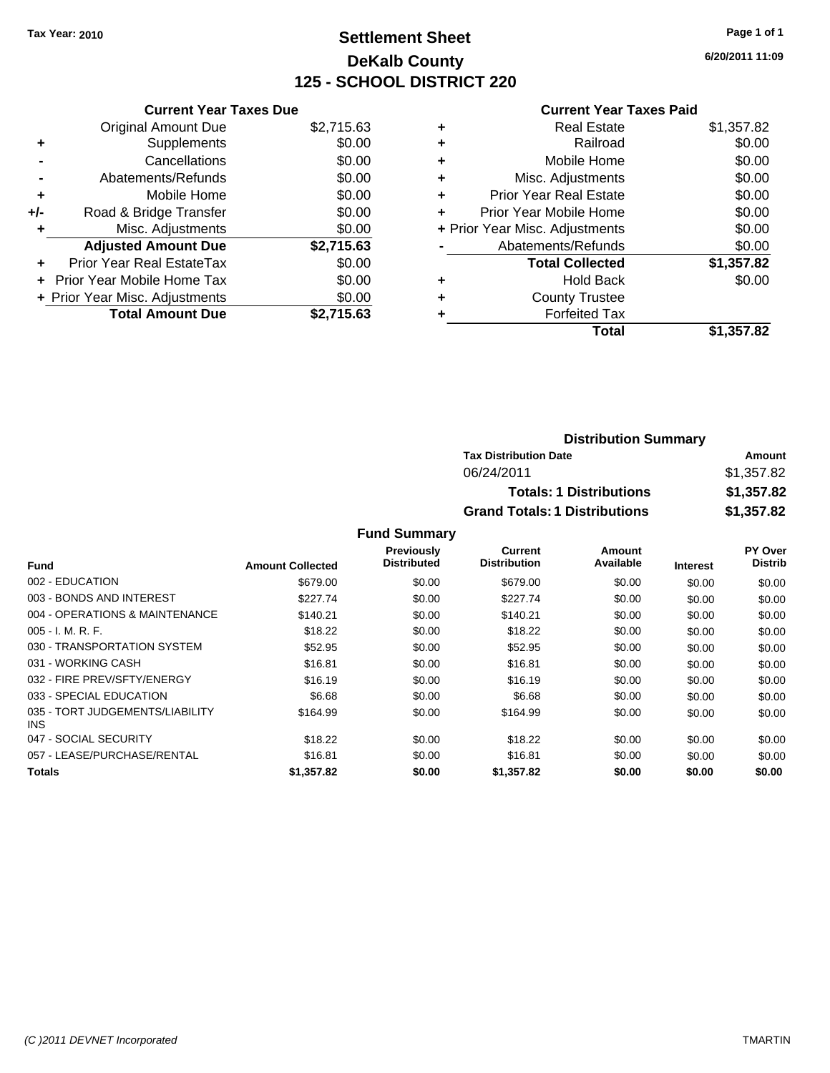# **Settlement Sheet Tax Year: 2010 Page 1 of 1 DeKalb County 125 - SCHOOL DISTRICT 220**

**6/20/2011 11:09**

|  | at Vaar Tavae Dua |  |  |
|--|-------------------|--|--|

|       | <b>Current Year Taxes Due</b>  |            |
|-------|--------------------------------|------------|
|       | <b>Original Amount Due</b>     | \$2,715.63 |
| ٠     | Supplements                    | \$0.00     |
|       | Cancellations                  | \$0.00     |
|       | Abatements/Refunds             | \$0.00     |
| ٠     | Mobile Home                    | \$0.00     |
| $+/-$ | Road & Bridge Transfer         | \$0.00     |
| ٠     | Misc. Adjustments              | \$0.00     |
|       | <b>Adjusted Amount Due</b>     | \$2,715.63 |
| ÷     | Prior Year Real EstateTax      | \$0.00     |
|       | Prior Year Mobile Home Tax     | \$0.00     |
|       | + Prior Year Misc. Adjustments | \$0.00     |
|       | <b>Total Amount Due</b>        | \$2.715.63 |

#### **Current Year Taxes Paid**

| <b>Real Estate</b>             | \$1,357.82 |
|--------------------------------|------------|
| Railroad                       | \$0.00     |
| Mobile Home                    | \$0.00     |
| Misc. Adjustments              | \$0.00     |
| <b>Prior Year Real Estate</b>  | \$0.00     |
| Prior Year Mobile Home         | \$0.00     |
| + Prior Year Misc. Adjustments | \$0.00     |
| Abatements/Refunds             | \$0.00     |
| <b>Total Collected</b>         | \$1,357.82 |
| <b>Hold Back</b>               | \$0.00     |
| <b>County Trustee</b>          |            |
| <b>Forfeited Tax</b>           |            |
| Total                          | \$1,357.82 |
|                                |            |

| <b>Distribution Summary</b>          |            |
|--------------------------------------|------------|
| <b>Tax Distribution Date</b>         | Amount     |
| 06/24/2011                           | \$1,357.82 |
| <b>Totals: 1 Distributions</b>       | \$1,357.82 |
| <b>Grand Totals: 1 Distributions</b> | \$1,357.82 |

|                                         |                         | <b>Previously</b>  | Current             | Amount    |                 | <b>PY Over</b> |
|-----------------------------------------|-------------------------|--------------------|---------------------|-----------|-----------------|----------------|
| Fund                                    | <b>Amount Collected</b> | <b>Distributed</b> | <b>Distribution</b> | Available | <b>Interest</b> | <b>Distrib</b> |
| 002 - EDUCATION                         | \$679.00                | \$0.00             | \$679.00            | \$0.00    | \$0.00          | \$0.00         |
| 003 - BONDS AND INTEREST                | \$227.74                | \$0.00             | \$227.74            | \$0.00    | \$0.00          | \$0.00         |
| 004 - OPERATIONS & MAINTENANCE          | \$140.21                | \$0.00             | \$140.21            | \$0.00    | \$0.00          | \$0.00         |
| $005 - I. M. R. F.$                     | \$18.22                 | \$0.00             | \$18.22             | \$0.00    | \$0.00          | \$0.00         |
| 030 - TRANSPORTATION SYSTEM             | \$52.95                 | \$0.00             | \$52.95             | \$0.00    | \$0.00          | \$0.00         |
| 031 - WORKING CASH                      | \$16.81                 | \$0.00             | \$16.81             | \$0.00    | \$0.00          | \$0.00         |
| 032 - FIRE PREV/SFTY/ENERGY             | \$16.19                 | \$0.00             | \$16.19             | \$0.00    | \$0.00          | \$0.00         |
| 033 - SPECIAL EDUCATION                 | \$6.68                  | \$0.00             | \$6.68              | \$0.00    | \$0.00          | \$0.00         |
| 035 - TORT JUDGEMENTS/LIABILITY<br>INS. | \$164.99                | \$0.00             | \$164.99            | \$0.00    | \$0.00          | \$0.00         |
| 047 - SOCIAL SECURITY                   | \$18.22                 | \$0.00             | \$18.22             | \$0.00    | \$0.00          | \$0.00         |
| 057 - LEASE/PURCHASE/RENTAL             | \$16.81                 | \$0.00             | \$16.81             | \$0.00    | \$0.00          | \$0.00         |
| <b>Totals</b>                           | \$1,357.82              | \$0.00             | \$1,357.82          | \$0.00    | \$0.00          | \$0.00         |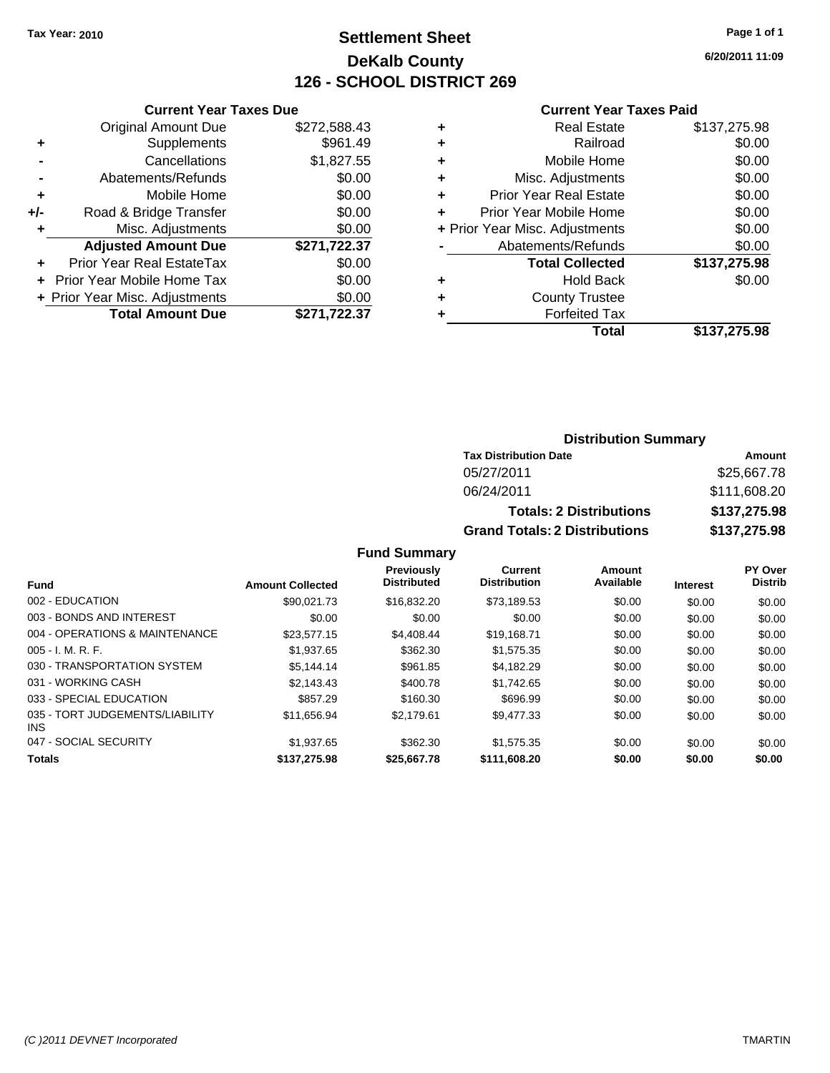## **Settlement Sheet Tax Year: 2010 Page 1 of 1 DeKalb County 126 - SCHOOL DISTRICT 269**

**6/20/2011 11:09**

#### **Current Year Taxes Paid**

|       | <b>Current Year Taxes Due</b>  |              |
|-------|--------------------------------|--------------|
|       | <b>Original Amount Due</b>     | \$272,588.43 |
| ٠     | Supplements                    | \$961.49     |
|       | Cancellations                  | \$1,827.55   |
|       | Abatements/Refunds             | \$0.00       |
| ٠     | Mobile Home                    | \$0.00       |
| $+/-$ | Road & Bridge Transfer         | \$0.00       |
|       | Misc. Adjustments              | \$0.00       |
|       | <b>Adjusted Amount Due</b>     | \$271,722.37 |
|       | Prior Year Real EstateTax      | \$0.00       |
|       | Prior Year Mobile Home Tax     | \$0.00       |
|       | + Prior Year Misc. Adjustments | \$0.00       |
|       | <b>Total Amount Due</b>        | \$271.722.37 |
|       |                                |              |

| \$137,275.98 |
|--------------|
| \$0.00       |
| \$0.00       |
| \$0.00       |
| \$0.00       |
| \$0.00       |
| \$0.00       |
| \$0.00       |
| \$137,275.98 |
| \$0.00       |
|              |
|              |
| \$137,275.98 |
|              |

### **Distribution Summary**

| <b>Tax Distribution Date</b>         | Amount       |
|--------------------------------------|--------------|
| 05/27/2011                           | \$25,667.78  |
| 06/24/2011                           | \$111,608.20 |
| <b>Totals: 2 Distributions</b>       | \$137,275.98 |
| <b>Grand Totals: 2 Distributions</b> | \$137,275.98 |

| Fund                                          | <b>Amount Collected</b> | Previously<br><b>Distributed</b> | Current<br><b>Distribution</b> | Amount<br>Available | <b>Interest</b> | PY Over<br><b>Distrib</b> |
|-----------------------------------------------|-------------------------|----------------------------------|--------------------------------|---------------------|-----------------|---------------------------|
| 002 - EDUCATION                               |                         |                                  |                                |                     |                 |                           |
|                                               | \$90.021.73             | \$16,832.20                      | \$73,189.53                    | \$0.00              | \$0.00          | \$0.00                    |
| 003 - BONDS AND INTEREST                      | \$0.00                  | \$0.00                           | \$0.00                         | \$0.00              | \$0.00          | \$0.00                    |
| 004 - OPERATIONS & MAINTENANCE                | \$23,577.15             | \$4,408,44                       | \$19,168.71                    | \$0.00              | \$0.00          | \$0.00                    |
| $005 - I. M. R. F.$                           | \$1,937.65              | \$362.30                         | \$1.575.35                     | \$0.00              | \$0.00          | \$0.00                    |
| 030 - TRANSPORTATION SYSTEM                   | \$5.144.14              | \$961.85                         | \$4.182.29                     | \$0.00              | \$0.00          | \$0.00                    |
| 031 - WORKING CASH                            | \$2.143.43              | \$400.78                         | \$1.742.65                     | \$0.00              | \$0.00          | \$0.00                    |
| 033 - SPECIAL EDUCATION                       | \$857.29                | \$160.30                         | \$696.99                       | \$0.00              | \$0.00          | \$0.00                    |
| 035 - TORT JUDGEMENTS/LIABILITY<br><b>INS</b> | \$11,656.94             | \$2.179.61                       | \$9,477.33                     | \$0.00              | \$0.00          | \$0.00                    |
| 047 - SOCIAL SECURITY                         | \$1,937.65              | \$362.30                         | \$1.575.35                     | \$0.00              | \$0.00          | \$0.00                    |
| <b>Totals</b>                                 | \$137,275.98            | \$25,667.78                      | \$111.608.20                   | \$0.00              | \$0.00          | \$0.00                    |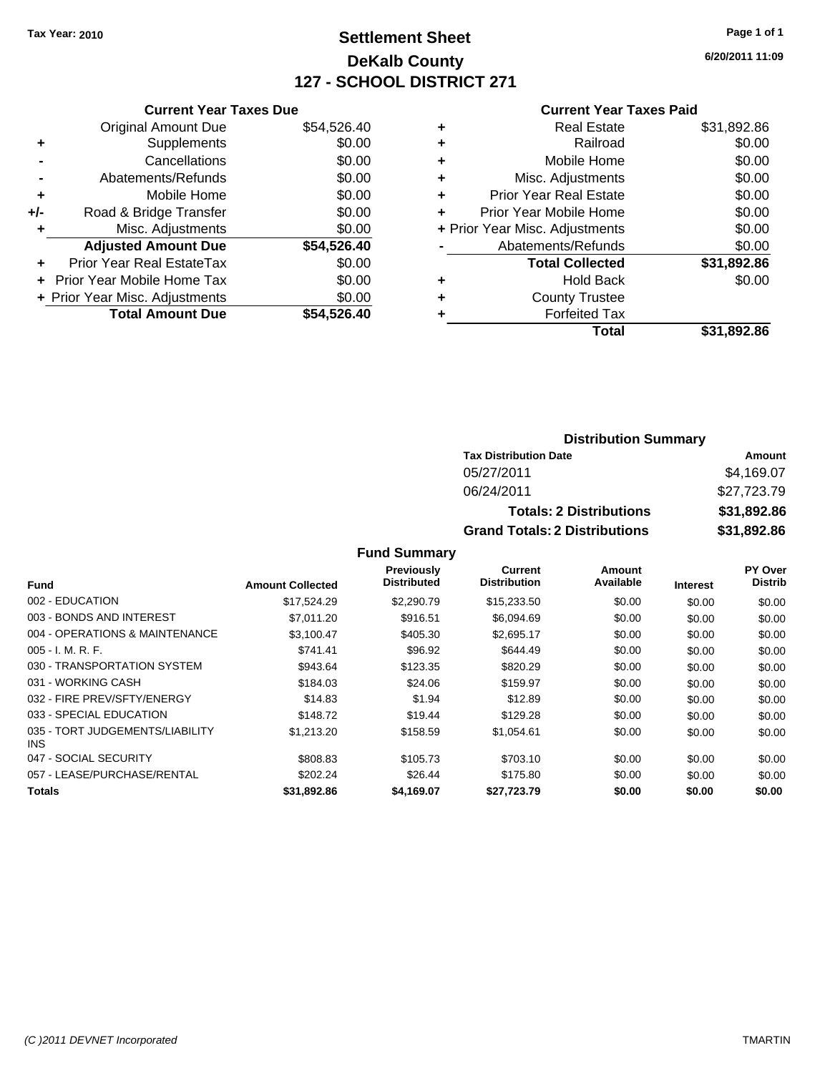# **Settlement Sheet Tax Year: 2010 Page 1 of 1 DeKalb County 127 - SCHOOL DISTRICT 271**

**6/20/2011 11:09**

#### **Current Year Taxes Paid**

|     | <b>Current Year Taxes Due</b>  |             |
|-----|--------------------------------|-------------|
|     | <b>Original Amount Due</b>     | \$54,526.40 |
| ÷   | Supplements                    | \$0.00      |
|     | Cancellations                  | \$0.00      |
|     | Abatements/Refunds             | \$0.00      |
| ٠   | Mobile Home                    | \$0.00      |
| +/- | Road & Bridge Transfer         | \$0.00      |
|     | Misc. Adjustments              | \$0.00      |
|     | <b>Adjusted Amount Due</b>     | \$54,526.40 |
| ÷   | Prior Year Real EstateTax      | \$0.00      |
|     | Prior Year Mobile Home Tax     | \$0.00      |
|     | + Prior Year Misc. Adjustments | \$0.00      |
|     | <b>Total Amount Due</b>        | \$54,526.40 |
|     |                                |             |

| ٠ | <b>Real Estate</b>             | \$31,892.86 |
|---|--------------------------------|-------------|
| ٠ | Railroad                       | \$0.00      |
| ٠ | Mobile Home                    | \$0.00      |
| ٠ | Misc. Adjustments              | \$0.00      |
| ÷ | <b>Prior Year Real Estate</b>  | \$0.00      |
| ÷ | Prior Year Mobile Home         | \$0.00      |
|   | + Prior Year Misc. Adjustments | \$0.00      |
|   | Abatements/Refunds             | \$0.00      |
|   | <b>Total Collected</b>         | \$31,892.86 |
| ٠ | <b>Hold Back</b>               | \$0.00      |
| ٠ | <b>County Trustee</b>          |             |
|   | <b>Forfeited Tax</b>           |             |
|   | Total                          | \$31,892.86 |

### **Distribution Summary**

| <b>Tax Distribution Date</b>         | Amount      |
|--------------------------------------|-------------|
| 05/27/2011                           | \$4.169.07  |
| 06/24/2011                           | \$27.723.79 |
| <b>Totals: 2 Distributions</b>       | \$31,892.86 |
| <b>Grand Totals: 2 Distributions</b> | \$31,892.86 |

|                                               |                         | <b>Previously</b>  | Current             | Amount    |                 | PY Over        |
|-----------------------------------------------|-------------------------|--------------------|---------------------|-----------|-----------------|----------------|
| <b>Fund</b>                                   | <b>Amount Collected</b> | <b>Distributed</b> | <b>Distribution</b> | Available | <b>Interest</b> | <b>Distrib</b> |
| 002 - EDUCATION                               | \$17.524.29             | \$2,290.79         | \$15,233.50         | \$0.00    | \$0.00          | \$0.00         |
| 003 - BONDS AND INTEREST                      | \$7,011.20              | \$916.51           | \$6.094.69          | \$0.00    | \$0.00          | \$0.00         |
| 004 - OPERATIONS & MAINTENANCE                | \$3,100.47              | \$405.30           | \$2,695.17          | \$0.00    | \$0.00          | \$0.00         |
| $005 - I. M. R. F.$                           | \$741.41                | \$96.92            | \$644.49            | \$0.00    | \$0.00          | \$0.00         |
| 030 - TRANSPORTATION SYSTEM                   | \$943.64                | \$123.35           | \$820.29            | \$0.00    | \$0.00          | \$0.00         |
| 031 - WORKING CASH                            | \$184.03                | \$24.06            | \$159.97            | \$0.00    | \$0.00          | \$0.00         |
| 032 - FIRE PREV/SFTY/ENERGY                   | \$14.83                 | \$1.94             | \$12.89             | \$0.00    | \$0.00          | \$0.00         |
| 033 - SPECIAL EDUCATION                       | \$148.72                | \$19.44            | \$129.28            | \$0.00    | \$0.00          | \$0.00         |
| 035 - TORT JUDGEMENTS/LIABILITY<br><b>INS</b> | \$1,213.20              | \$158.59           | \$1,054.61          | \$0.00    | \$0.00          | \$0.00         |
| 047 - SOCIAL SECURITY                         | \$808.83                | \$105.73           | \$703.10            | \$0.00    | \$0.00          | \$0.00         |
| 057 - LEASE/PURCHASE/RENTAL                   | \$202.24                | \$26.44            | \$175.80            | \$0.00    | \$0.00          | \$0.00         |
| <b>Totals</b>                                 | \$31,892.86             | \$4,169.07         | \$27,723.79         | \$0.00    | \$0.00          | \$0.00         |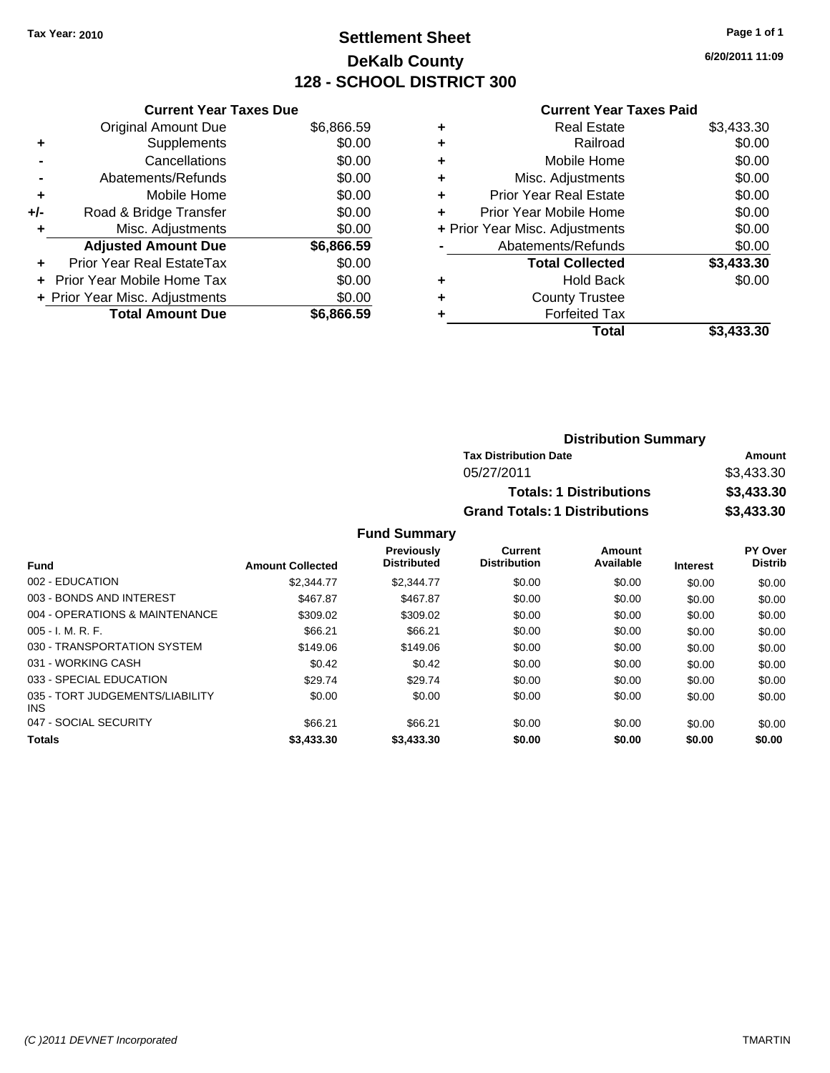# **Settlement Sheet Tax Year: 2010 Page 1 of 1 DeKalb County 128 - SCHOOL DISTRICT 300**

**6/20/2011 11:09**

|     | <b>Current Year Taxes Due</b>  |            |
|-----|--------------------------------|------------|
|     | <b>Original Amount Due</b>     | \$6,866.59 |
| ٠   | Supplements                    | \$0.00     |
|     | Cancellations                  | \$0.00     |
|     | Abatements/Refunds             | \$0.00     |
| ٠   | Mobile Home                    | \$0.00     |
| +/- | Road & Bridge Transfer         | \$0.00     |
|     | Misc. Adjustments              | \$0.00     |
|     | <b>Adjusted Amount Due</b>     | \$6,866.59 |
| ÷   | Prior Year Real EstateTax      | \$0.00     |
| ÷   | Prior Year Mobile Home Tax     | \$0.00     |
|     | + Prior Year Misc. Adjustments | \$0.00     |
|     | <b>Total Amount Due</b>        | \$6.866.59 |
|     |                                |            |

### **Current Year Taxes Paid**

| <b>Real Estate</b>             | \$3,433.30 |
|--------------------------------|------------|
| Railroad                       | \$0.00     |
| Mobile Home                    | \$0.00     |
| Misc. Adjustments              | \$0.00     |
| <b>Prior Year Real Estate</b>  | \$0.00     |
| Prior Year Mobile Home         | \$0.00     |
| + Prior Year Misc. Adjustments | \$0.00     |
| Abatements/Refunds             | \$0.00     |
| <b>Total Collected</b>         | \$3,433.30 |
| <b>Hold Back</b>               | \$0.00     |
| <b>County Trustee</b>          |            |
| <b>Forfeited Tax</b>           |            |
| Total                          | \$3,433.30 |
|                                |            |

| <b>Distribution Summary</b>          |            |
|--------------------------------------|------------|
| <b>Tax Distribution Date</b>         | Amount     |
| 05/27/2011                           | \$3,433.30 |
| <b>Totals: 1 Distributions</b>       | \$3,433.30 |
| <b>Grand Totals: 1 Distributions</b> | \$3,433.30 |

| <b>Fund</b>                                   | <b>Amount Collected</b> | Previously<br><b>Distributed</b> | <b>Current</b><br><b>Distribution</b> | Amount<br>Available | <b>Interest</b> | PY Over<br><b>Distrib</b> |
|-----------------------------------------------|-------------------------|----------------------------------|---------------------------------------|---------------------|-----------------|---------------------------|
| 002 - EDUCATION                               | \$2,344.77              | \$2,344.77                       | \$0.00                                | \$0.00              | \$0.00          | \$0.00                    |
| 003 - BONDS AND INTEREST                      | \$467.87                |                                  |                                       |                     |                 |                           |
|                                               |                         | \$467.87                         | \$0.00                                | \$0.00              | \$0.00          | \$0.00                    |
| 004 - OPERATIONS & MAINTENANCE                | \$309.02                | \$309.02                         | \$0.00                                | \$0.00              | \$0.00          | \$0.00                    |
| $005 - I. M. R. F.$                           | \$66.21                 | \$66.21                          | \$0.00                                | \$0.00              | \$0.00          | \$0.00                    |
| 030 - TRANSPORTATION SYSTEM                   | \$149.06                | \$149.06                         | \$0.00                                | \$0.00              | \$0.00          | \$0.00                    |
| 031 - WORKING CASH                            | \$0.42                  | \$0.42                           | \$0.00                                | \$0.00              | \$0.00          | \$0.00                    |
| 033 - SPECIAL EDUCATION                       | \$29.74                 | \$29.74                          | \$0.00                                | \$0.00              | \$0.00          | \$0.00                    |
| 035 - TORT JUDGEMENTS/LIABILITY<br><b>INS</b> | \$0.00                  | \$0.00                           | \$0.00                                | \$0.00              | \$0.00          | \$0.00                    |
| 047 - SOCIAL SECURITY                         | \$66.21                 | \$66.21                          | \$0.00                                | \$0.00              | \$0.00          | \$0.00                    |
| <b>Totals</b>                                 | \$3,433.30              | \$3,433.30                       | \$0.00                                | \$0.00              | \$0.00          | \$0.00                    |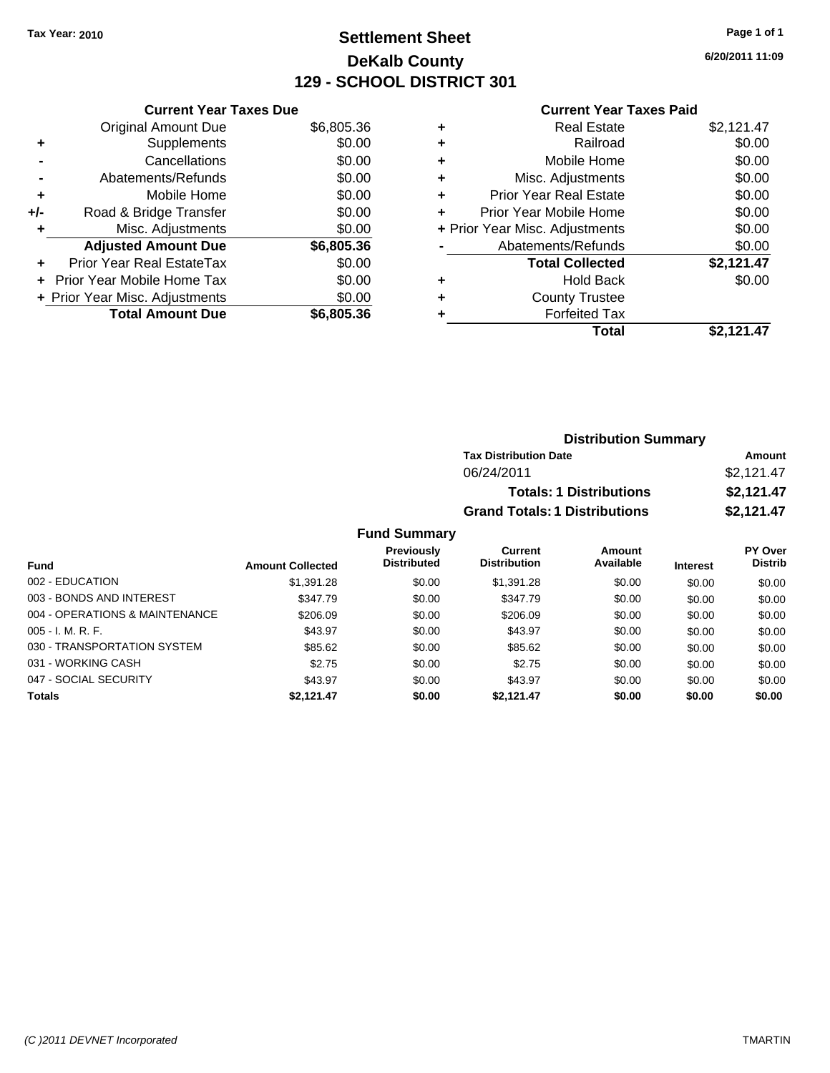### **Settlement Sheet Tax Year: 2010 Page 1 of 1 DeKalb County 129 - SCHOOL DISTRICT 301**

**6/20/2011 11:09**

#### **Current Year Taxes Paid**

|     | <b>Current Year Taxes Due</b>     |            |
|-----|-----------------------------------|------------|
|     | <b>Original Amount Due</b>        | \$6,805.36 |
| ÷   | Supplements                       | \$0.00     |
|     | Cancellations                     | \$0.00     |
|     | Abatements/Refunds                | \$0.00     |
| ٠   | Mobile Home                       | \$0.00     |
| +/- | Road & Bridge Transfer            | \$0.00     |
| ٠   | Misc. Adjustments                 | \$0.00     |
|     | <b>Adjusted Amount Due</b>        | \$6,805.36 |
| ÷   | Prior Year Real EstateTax         | \$0.00     |
|     | <b>Prior Year Mobile Home Tax</b> | \$0.00     |
|     | + Prior Year Misc. Adjustments    | \$0.00     |
|     | <b>Total Amount Due</b>           | \$6,805.36 |

|   | <b>Real Estate</b>             | \$2,121.47 |
|---|--------------------------------|------------|
| ٠ | Railroad                       | \$0.00     |
| ٠ | Mobile Home                    | \$0.00     |
| ٠ | Misc. Adjustments              | \$0.00     |
| ÷ | Prior Year Real Estate         | \$0.00     |
| ÷ | Prior Year Mobile Home         | \$0.00     |
|   | + Prior Year Misc. Adjustments | \$0.00     |
|   | Abatements/Refunds             | \$0.00     |
|   | <b>Total Collected</b>         | \$2,121.47 |
| ٠ | <b>Hold Back</b>               | \$0.00     |
| ٠ | <b>County Trustee</b>          |            |
|   | <b>Forfeited Tax</b>           |            |
|   | Total                          | \$2.121.47 |

| <b>Distribution Summary</b>          |            |
|--------------------------------------|------------|
| <b>Tax Distribution Date</b>         | Amount     |
| 06/24/2011                           | \$2,121.47 |
| <b>Totals: 1 Distributions</b>       | \$2,121.47 |
| <b>Grand Totals: 1 Distributions</b> | \$2,121.47 |

### **Fund Summary**

|                                |                         | <b>Previously</b>  | Current             | Amount    |                 | <b>PY Over</b> |
|--------------------------------|-------------------------|--------------------|---------------------|-----------|-----------------|----------------|
| <b>Fund</b>                    | <b>Amount Collected</b> | <b>Distributed</b> | <b>Distribution</b> | Available | <b>Interest</b> | <b>Distrib</b> |
| 002 - EDUCATION                | \$1,391.28              | \$0.00             | \$1,391.28          | \$0.00    | \$0.00          | \$0.00         |
| 003 - BONDS AND INTEREST       | \$347.79                | \$0.00             | \$347.79            | \$0.00    | \$0.00          | \$0.00         |
| 004 - OPERATIONS & MAINTENANCE | \$206.09                | \$0.00             | \$206.09            | \$0.00    | \$0.00          | \$0.00         |
| $005 - I. M. R. F.$            | \$43.97                 | \$0.00             | \$43.97             | \$0.00    | \$0.00          | \$0.00         |
| 030 - TRANSPORTATION SYSTEM    | \$85.62                 | \$0.00             | \$85.62             | \$0.00    | \$0.00          | \$0.00         |
| 031 - WORKING CASH             | \$2.75                  | \$0.00             | \$2.75              | \$0.00    | \$0.00          | \$0.00         |
| 047 - SOCIAL SECURITY          | \$43.97                 | \$0.00             | \$43.97             | \$0.00    | \$0.00          | \$0.00         |
| <b>Totals</b>                  | \$2,121.47              | \$0.00             | \$2.121.47          | \$0.00    | \$0.00          | \$0.00         |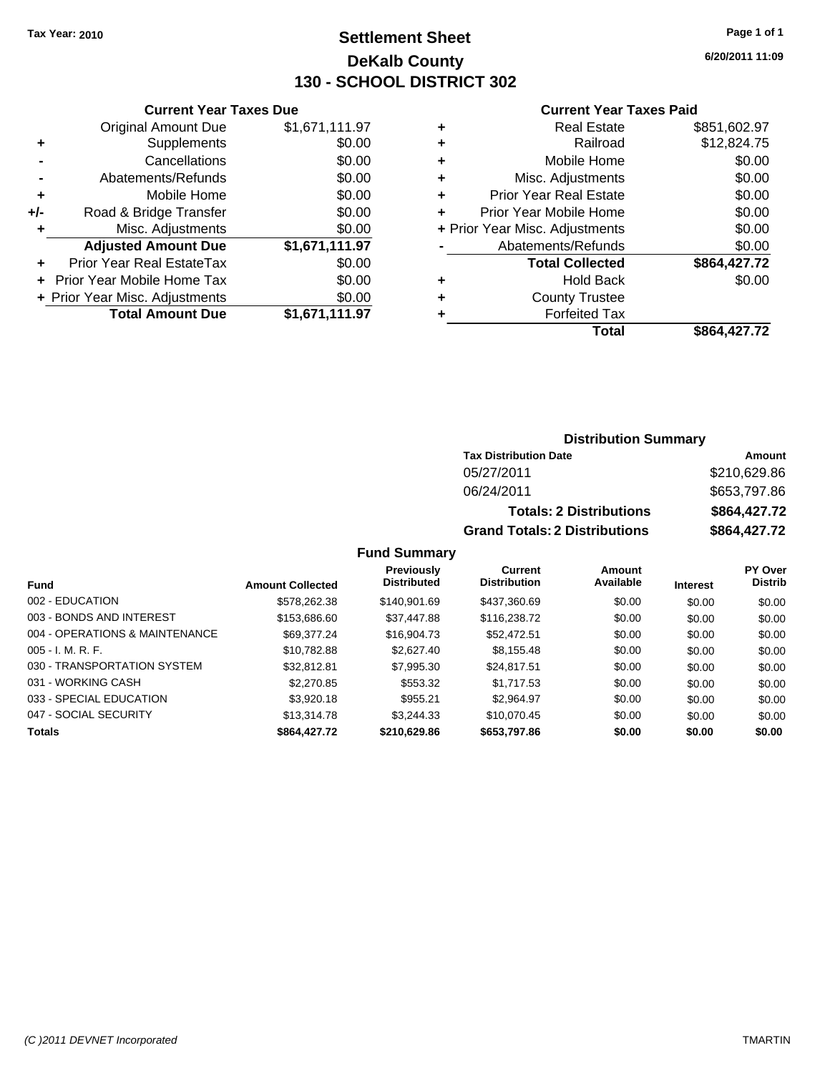### **Settlement Sheet Tax Year: 2010 Page 1 of 1 DeKalb County 130 - SCHOOL DISTRICT 302**

**6/20/2011 11:09**

#### **Current Year Taxes Paid**

|     | <b>Current Year Taxes Due</b>     |                |  |  |  |
|-----|-----------------------------------|----------------|--|--|--|
|     | <b>Original Amount Due</b>        | \$1,671,111.97 |  |  |  |
| ÷   | Supplements                       | \$0.00         |  |  |  |
|     | Cancellations                     | \$0.00         |  |  |  |
|     | Abatements/Refunds                | \$0.00         |  |  |  |
| ٠   | Mobile Home                       | \$0.00         |  |  |  |
| +/- | Road & Bridge Transfer            | \$0.00         |  |  |  |
| ٠   | Misc. Adjustments                 | \$0.00         |  |  |  |
|     | <b>Adjusted Amount Due</b>        | \$1,671,111.97 |  |  |  |
|     | Prior Year Real EstateTax         | \$0.00         |  |  |  |
|     | <b>Prior Year Mobile Home Tax</b> | \$0.00         |  |  |  |
|     | + Prior Year Misc. Adjustments    | \$0.00         |  |  |  |
|     | <b>Total Amount Due</b>           | \$1,671,111.97 |  |  |  |
|     |                                   |                |  |  |  |

| <b>Real Estate</b>             | \$851,602.97 |
|--------------------------------|--------------|
| Railroad                       | \$12,824.75  |
| Mobile Home                    | \$0.00       |
| Misc. Adjustments              | \$0.00       |
| <b>Prior Year Real Estate</b>  | \$0.00       |
| Prior Year Mobile Home         | \$0.00       |
| + Prior Year Misc. Adjustments | \$0.00       |
| Abatements/Refunds             | \$0.00       |
| <b>Total Collected</b>         | \$864,427.72 |
| <b>Hold Back</b>               | \$0.00       |
| <b>County Trustee</b>          |              |
| <b>Forfeited Tax</b>           |              |
| Total                          | \$864,427.72 |
|                                |              |

### **Distribution Summary**

| <b>Tax Distribution Date</b>         | Amount       |
|--------------------------------------|--------------|
| 05/27/2011                           | \$210,629.86 |
| 06/24/2011                           | \$653,797.86 |
| <b>Totals: 2 Distributions</b>       | \$864,427.72 |
| <b>Grand Totals: 2 Distributions</b> | \$864,427.72 |

#### **Fund Summary**

|                                |                         | <b>Previously</b>  | Current             | Amount    |                 | <b>PY Over</b> |
|--------------------------------|-------------------------|--------------------|---------------------|-----------|-----------------|----------------|
| Fund                           | <b>Amount Collected</b> | <b>Distributed</b> | <b>Distribution</b> | Available | <b>Interest</b> | <b>Distrib</b> |
| 002 - EDUCATION                | \$578,262,38            | \$140.901.69       | \$437,360.69        | \$0.00    | \$0.00          | \$0.00         |
| 003 - BONDS AND INTEREST       | \$153,686.60            | \$37,447.88        | \$116,238,72        | \$0.00    | \$0.00          | \$0.00         |
| 004 - OPERATIONS & MAINTENANCE | \$69,377,24             | \$16,904.73        | \$52,472.51         | \$0.00    | \$0.00          | \$0.00         |
| $005 - I. M. R. F.$            | \$10.782.88             | \$2.627.40         | \$8,155.48          | \$0.00    | \$0.00          | \$0.00         |
| 030 - TRANSPORTATION SYSTEM    | \$32,812.81             | \$7,995.30         | \$24.817.51         | \$0.00    | \$0.00          | \$0.00         |
| 031 - WORKING CASH             | \$2,270.85              | \$553.32           | \$1,717.53          | \$0.00    | \$0.00          | \$0.00         |
| 033 - SPECIAL EDUCATION        | \$3,920.18              | \$955.21           | \$2,964.97          | \$0.00    | \$0.00          | \$0.00         |
| 047 - SOCIAL SECURITY          | \$13,314.78             | \$3.244.33         | \$10.070.45         | \$0.00    | \$0.00          | \$0.00         |
| <b>Totals</b>                  | \$864,427.72            | \$210,629.86       | \$653,797.86        | \$0.00    | \$0.00          | \$0.00         |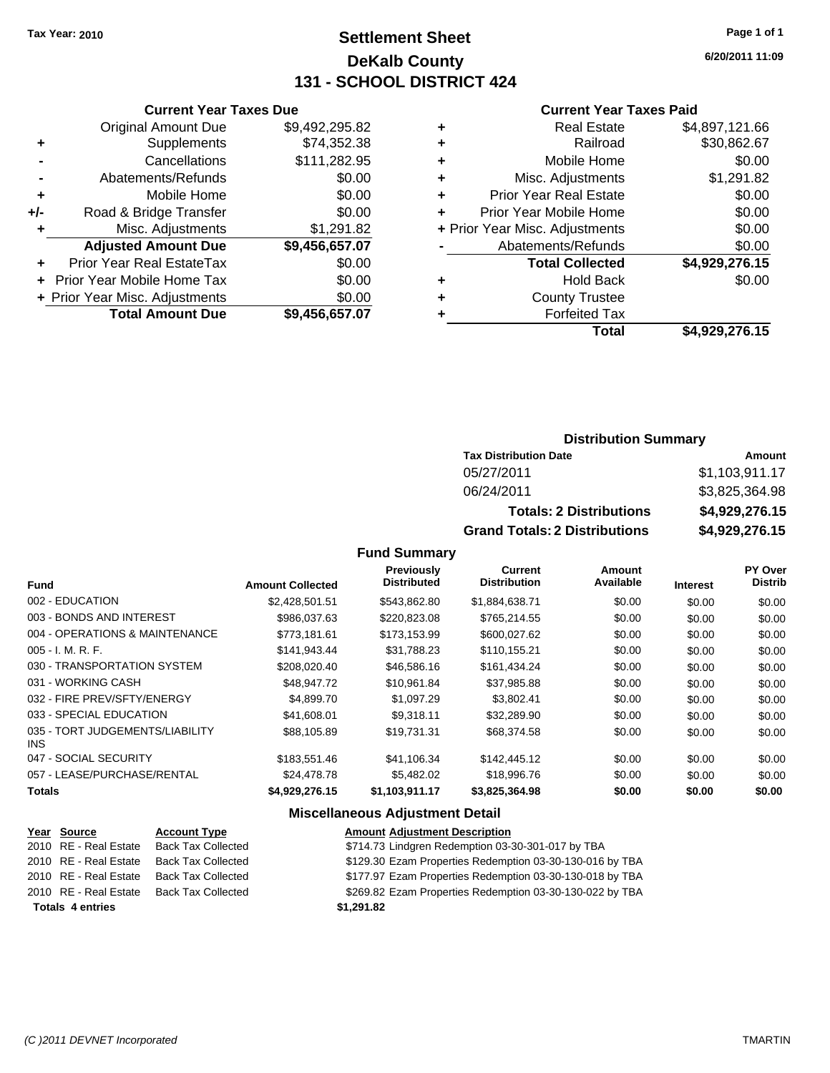### **Settlement Sheet Tax Year: 2010 Page 1 of 1 DeKalb County 131 - SCHOOL DISTRICT 424**

**6/20/2011 11:09**

#### **Current Year Taxes Paid**

| Cu                   |   |                | <b>Current Year Taxes Due</b>  |       |
|----------------------|---|----------------|--------------------------------|-------|
| F                    | ٠ | \$9,492,295.82 | <b>Original Amount Due</b>     |       |
|                      | ٠ | \$74,352.38    | <b>Supplements</b>             |       |
| Mo                   | ٠ | \$111,282.95   | Cancellations                  |       |
| Misc. A              | ٠ | \$0.00         | Abatements/Refunds             |       |
| Prior Year F         |   | \$0.00         | Mobile Home                    |       |
| Prior Year Mo        |   | \$0.00         | Road & Bridge Transfer         | $+/-$ |
| + Prior Year Misc. A |   | \$1,291.82     | Misc. Adjustments              |       |
| Abatemen             |   | \$9,456,657.07 | <b>Adjusted Amount Due</b>     |       |
| Total                |   | \$0.00         | Prior Year Real EstateTax      |       |
|                      |   | \$0.00         | + Prior Year Mobile Home Tax   |       |
| Cour                 | ٠ | \$0.00         | + Prior Year Misc. Adjustments |       |
| Fo                   |   | \$9,456,657.07 | <b>Total Amount Due</b>        |       |
|                      |   |                |                                |       |

|   | Total                          | \$4,929,276.15 |
|---|--------------------------------|----------------|
|   | <b>Forfeited Tax</b>           |                |
| ٠ | <b>County Trustee</b>          |                |
| ٠ | <b>Hold Back</b>               | \$0.00         |
|   | <b>Total Collected</b>         | \$4,929,276.15 |
|   | Abatements/Refunds             | \$0.00         |
|   | + Prior Year Misc. Adjustments | \$0.00         |
|   | Prior Year Mobile Home         | \$0.00         |
| ÷ | <b>Prior Year Real Estate</b>  | \$0.00         |
| ÷ | Misc. Adjustments              | \$1,291.82     |
| ٠ | Mobile Home                    | \$0.00         |
|   | Railroad                       | \$30,862.67    |
| ٠ | <b>Real Estate</b>             | \$4,897,121.66 |

### **Distribution Summary**

| <b>Tax Distribution Date</b>         | Amount         |
|--------------------------------------|----------------|
| 05/27/2011                           | \$1,103,911.17 |
| 06/24/2011                           | \$3,825,364.98 |
| <b>Totals: 2 Distributions</b>       | \$4,929,276.15 |
| <b>Grand Totals: 2 Distributions</b> | \$4,929,276.15 |

**Fund Summary**

|                                         |                         | Previously<br><b>Distributed</b> | Current<br><b>Distribution</b> | <b>Amount</b><br>Available |                 | PY Over<br><b>Distrib</b> |
|-----------------------------------------|-------------------------|----------------------------------|--------------------------------|----------------------------|-----------------|---------------------------|
| <b>Fund</b>                             | <b>Amount Collected</b> |                                  |                                |                            | <b>Interest</b> |                           |
| 002 - EDUCATION                         | \$2,428,501.51          | \$543.862.80                     | \$1,884,638.71                 | \$0.00                     | \$0.00          | \$0.00                    |
| 003 - BONDS AND INTEREST                | \$986,037.63            | \$220,823.08                     | \$765,214.55                   | \$0.00                     | \$0.00          | \$0.00                    |
| 004 - OPERATIONS & MAINTENANCE          | \$773,181.61            | \$173,153.99                     | \$600,027.62                   | \$0.00                     | \$0.00          | \$0.00                    |
| $005 - I. M. R. F.$                     | \$141,943.44            | \$31,788.23                      | \$110,155.21                   | \$0.00                     | \$0.00          | \$0.00                    |
| 030 - TRANSPORTATION SYSTEM             | \$208.020.40            | \$46,586,16                      | \$161,434.24                   | \$0.00                     | \$0.00          | \$0.00                    |
| 031 - WORKING CASH                      | \$48,947.72             | \$10,961.84                      | \$37,985.88                    | \$0.00                     | \$0.00          | \$0.00                    |
| 032 - FIRE PREV/SFTY/ENERGY             | \$4,899.70              | \$1,097.29                       | \$3,802.41                     | \$0.00                     | \$0.00          | \$0.00                    |
| 033 - SPECIAL EDUCATION                 | \$41,608.01             | \$9.318.11                       | \$32,289.90                    | \$0.00                     | \$0.00          | \$0.00                    |
| 035 - TORT JUDGEMENTS/LIABILITY<br>INS. | \$88,105.89             | \$19,731.31                      | \$68,374.58                    | \$0.00                     | \$0.00          | \$0.00                    |
| 047 - SOCIAL SECURITY                   | \$183,551.46            | \$41,106.34                      | \$142,445.12                   | \$0.00                     | \$0.00          | \$0.00                    |
| 057 - LEASE/PURCHASE/RENTAL             | \$24,478.78             | \$5,482.02                       | \$18,996.76                    | \$0.00                     | \$0.00          | \$0.00                    |
| <b>Totals</b>                           | \$4,929,276.15          | \$1,103,911.17                   | \$3,825,364.98                 | \$0.00                     | \$0.00          | \$0.00                    |

| Year Source             | <b>Account Type</b>       | <b>Amount Adjustment Description</b>                     |
|-------------------------|---------------------------|----------------------------------------------------------|
| 2010 RE - Real Estate   | <b>Back Tax Collected</b> | \$714.73 Lindgren Redemption 03-30-301-017 by TBA        |
| 2010 RE - Real Estate   | <b>Back Tax Collected</b> | \$129.30 Ezam Properties Redemption 03-30-130-016 by TBA |
| 2010 RE - Real Estate   | <b>Back Tax Collected</b> | \$177.97 Ezam Properties Redemption 03-30-130-018 by TBA |
| 2010 RE - Real Estate   | <b>Back Tax Collected</b> | \$269.82 Ezam Properties Redemption 03-30-130-022 by TBA |
| <b>Totals 4 entries</b> |                           | \$1.291.82                                               |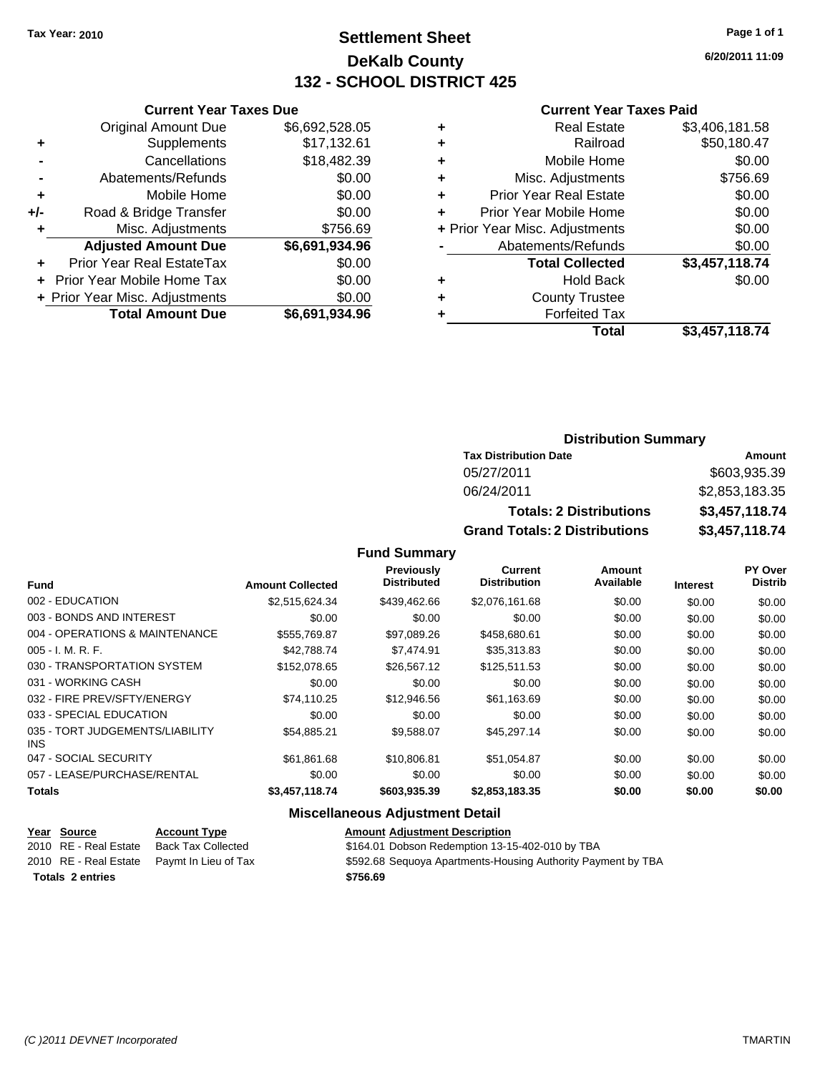### **Settlement Sheet Tax Year: 2010 Page 1 of 1 DeKalb County 132 - SCHOOL DISTRICT 425**

**6/20/2011 11:09**

#### **Current Year Taxes Paid**

|     | <b>Current Year Taxes Due</b>    |                |  |  |  |
|-----|----------------------------------|----------------|--|--|--|
|     | <b>Original Amount Due</b>       | \$6,692,528.05 |  |  |  |
| ٠   | Supplements                      | \$17,132.61    |  |  |  |
|     | Cancellations                    | \$18,482.39    |  |  |  |
|     | Abatements/Refunds               | \$0.00         |  |  |  |
| ٠   | Mobile Home                      | \$0.00         |  |  |  |
| +/- | Road & Bridge Transfer           | \$0.00         |  |  |  |
| ٠   | Misc. Adjustments                | \$756.69       |  |  |  |
|     | <b>Adjusted Amount Due</b>       | \$6,691,934.96 |  |  |  |
| ٠   | <b>Prior Year Real EstateTax</b> | \$0.00         |  |  |  |
|     | Prior Year Mobile Home Tax       | \$0.00         |  |  |  |
|     | + Prior Year Misc. Adjustments   | \$0.00         |  |  |  |
|     | <b>Total Amount Due</b>          | \$6,691,934.96 |  |  |  |

|   | <b>Real Estate</b>             | \$3,406,181.58 |
|---|--------------------------------|----------------|
| ٠ | Railroad                       | \$50,180.47    |
| ٠ | Mobile Home                    | \$0.00         |
| ٠ | Misc. Adjustments              | \$756.69       |
| ٠ | <b>Prior Year Real Estate</b>  | \$0.00         |
|   | Prior Year Mobile Home         | \$0.00         |
|   | + Prior Year Misc. Adjustments | \$0.00         |
|   | Abatements/Refunds             | \$0.00         |
|   | <b>Total Collected</b>         | \$3,457,118.74 |
| ٠ | Hold Back                      | \$0.00         |
| ٠ | <b>County Trustee</b>          |                |
|   | <b>Forfeited Tax</b>           |                |
|   | Total                          | \$3,457,118.74 |
|   |                                |                |

### **Distribution Summary**

| <b>Tax Distribution Date</b>         | Amount         |
|--------------------------------------|----------------|
| 05/27/2011                           | \$603,935.39   |
| 06/24/2011                           | \$2,853,183.35 |
| <b>Totals: 2 Distributions</b>       | \$3,457,118.74 |
| <b>Grand Totals: 2 Distributions</b> | \$3,457,118.74 |

**Fund Summary**

|                                         |                         | Previously<br><b>Distributed</b> | <b>Current</b><br><b>Distribution</b> | Amount<br>Available |                 | <b>PY Over</b><br><b>Distrib</b> |
|-----------------------------------------|-------------------------|----------------------------------|---------------------------------------|---------------------|-----------------|----------------------------------|
| <b>Fund</b>                             | <b>Amount Collected</b> |                                  |                                       |                     | <b>Interest</b> |                                  |
| 002 - EDUCATION                         | \$2,515,624.34          | \$439,462.66                     | \$2,076,161.68                        | \$0.00              | \$0.00          | \$0.00                           |
| 003 - BONDS AND INTEREST                | \$0.00                  | \$0.00                           | \$0.00                                | \$0.00              | \$0.00          | \$0.00                           |
| 004 - OPERATIONS & MAINTENANCE          | \$555,769.87            | \$97,089.26                      | \$458,680.61                          | \$0.00              | \$0.00          | \$0.00                           |
| $005 - I. M. R. F.$                     | \$42,788.74             | \$7,474.91                       | \$35,313.83                           | \$0.00              | \$0.00          | \$0.00                           |
| 030 - TRANSPORTATION SYSTEM             | \$152,078.65            | \$26,567.12                      | \$125.511.53                          | \$0.00              | \$0.00          | \$0.00                           |
| 031 - WORKING CASH                      | \$0.00                  | \$0.00                           | \$0.00                                | \$0.00              | \$0.00          | \$0.00                           |
| 032 - FIRE PREV/SFTY/ENERGY             | \$74.110.25             | \$12,946.56                      | \$61,163.69                           | \$0.00              | \$0.00          | \$0.00                           |
| 033 - SPECIAL EDUCATION                 | \$0.00                  | \$0.00                           | \$0.00                                | \$0.00              | \$0.00          | \$0.00                           |
| 035 - TORT JUDGEMENTS/LIABILITY<br>INS. | \$54,885.21             | \$9,588.07                       | \$45,297.14                           | \$0.00              | \$0.00          | \$0.00                           |
| 047 - SOCIAL SECURITY                   | \$61.861.68             | \$10,806.81                      | \$51,054.87                           | \$0.00              | \$0.00          | \$0.00                           |
| 057 - LEASE/PURCHASE/RENTAL             | \$0.00                  | \$0.00                           | \$0.00                                | \$0.00              | \$0.00          | \$0.00                           |
| <b>Totals</b>                           | \$3,457,118.74          | \$603,935.39                     | \$2,853,183.35                        | \$0.00              | \$0.00          | \$0.00                           |

| Year Source             | <b>Account Type</b>                        | <b>Amount Adjustment Description</b>                         |
|-------------------------|--------------------------------------------|--------------------------------------------------------------|
| 2010 RE - Real Estate   | Back Tax Collected                         | \$164.01 Dobson Redemption 13-15-402-010 by TBA              |
|                         | 2010 RE - Real Estate Paymt In Lieu of Tax | \$592.68 Sequoya Apartments-Housing Authority Payment by TBA |
| <b>Totals 2 entries</b> |                                            | \$756.69                                                     |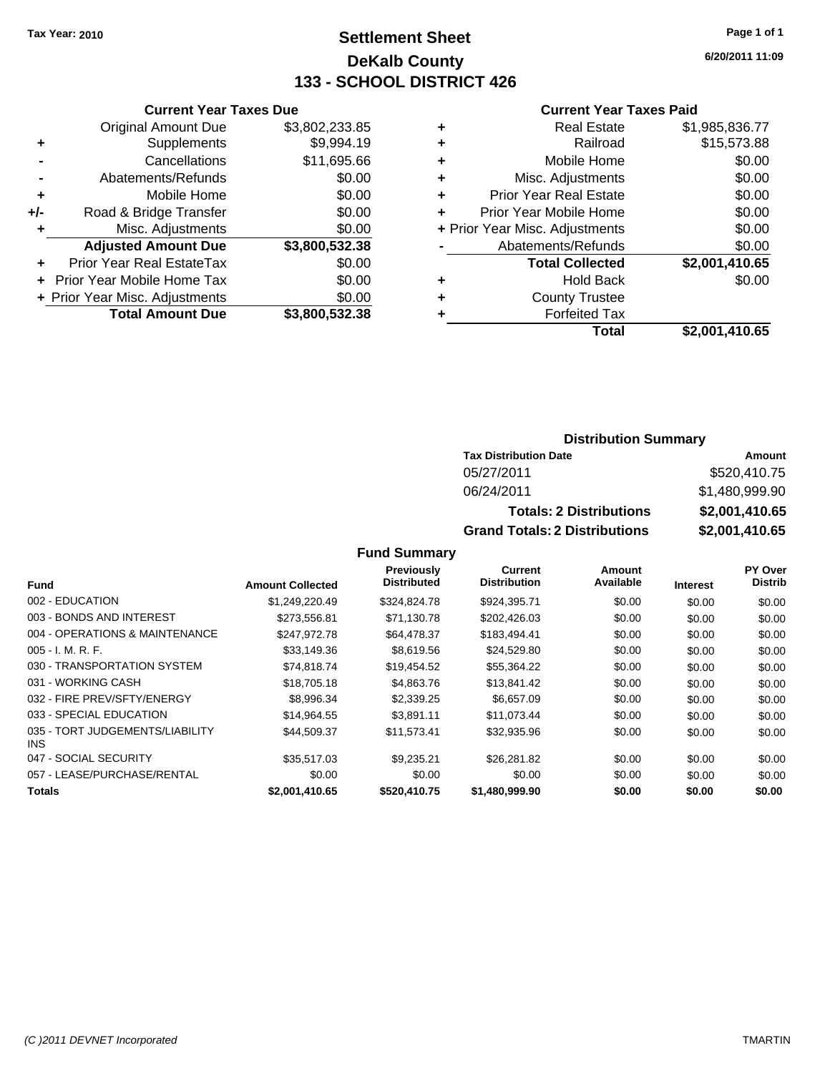### **Settlement Sheet Tax Year: 2010 Page 1 of 1 DeKalb County 133 - SCHOOL DISTRICT 426**

**6/20/2011 11:09**

#### **Current Year Taxes Paid**

| Total                          | \$2,001,410.65 |
|--------------------------------|----------------|
| <b>Forfeited Tax</b>           |                |
| <b>County Trustee</b>          |                |
| <b>Hold Back</b>               | \$0.00         |
| <b>Total Collected</b>         | \$2,001,410.65 |
| Abatements/Refunds             | \$0.00         |
| + Prior Year Misc. Adjustments | \$0.00         |
| Prior Year Mobile Home         | \$0.00         |
| <b>Prior Year Real Estate</b>  | \$0.00         |
| Misc. Adjustments              | \$0.00         |
| Mobile Home                    | \$0.00         |
| Railroad                       | \$15,573.88    |
| <b>Real Estate</b>             | \$1,985,836.77 |
|                                |                |

|     | <b>Current Year Taxes Due</b>     |                |
|-----|-----------------------------------|----------------|
|     | <b>Original Amount Due</b>        | \$3,802,233.85 |
| ٠   | Supplements                       | \$9,994.19     |
|     | Cancellations                     | \$11,695.66    |
|     | Abatements/Refunds                | \$0.00         |
| ٠   | Mobile Home                       | \$0.00         |
| +/- | Road & Bridge Transfer            | \$0.00         |
| ٠   | Misc. Adjustments                 | \$0.00         |
|     | <b>Adjusted Amount Due</b>        | \$3,800,532.38 |
|     | Prior Year Real EstateTax         | \$0.00         |
|     | <b>Prior Year Mobile Home Tax</b> | \$0.00         |
|     | + Prior Year Misc. Adjustments    | \$0.00         |
|     | <b>Total Amount Due</b>           | \$3,800,532.38 |

### **Distribution Summary**

| <b>Tax Distribution Date</b>         | Amount         |
|--------------------------------------|----------------|
| 05/27/2011                           | \$520,410.75   |
| 06/24/2011                           | \$1,480,999.90 |
| <b>Totals: 2 Distributions</b>       | \$2,001,410.65 |
| <b>Grand Totals: 2 Distributions</b> | \$2,001,410.65 |

**Fund Summary**

|                                         |                         | Previously         | Current             | Amount    |                 | PY Over        |
|-----------------------------------------|-------------------------|--------------------|---------------------|-----------|-----------------|----------------|
| <b>Fund</b>                             | <b>Amount Collected</b> | <b>Distributed</b> | <b>Distribution</b> | Available | <b>Interest</b> | <b>Distrib</b> |
| 002 - EDUCATION                         | \$1,249,220.49          | \$324,824,78       | \$924,395.71        | \$0.00    | \$0.00          | \$0.00         |
| 003 - BONDS AND INTEREST                | \$273,556.81            | \$71,130.78        | \$202,426.03        | \$0.00    | \$0.00          | \$0.00         |
| 004 - OPERATIONS & MAINTENANCE          | \$247.972.78            | \$64,478.37        | \$183,494.41        | \$0.00    | \$0.00          | \$0.00         |
| $005 - I. M. R. F.$                     | \$33,149.36             | \$8,619.56         | \$24,529.80         | \$0.00    | \$0.00          | \$0.00         |
| 030 - TRANSPORTATION SYSTEM             | \$74,818.74             | \$19,454.52        | \$55,364.22         | \$0.00    | \$0.00          | \$0.00         |
| 031 - WORKING CASH                      | \$18,705.18             | \$4,863.76         | \$13,841.42         | \$0.00    | \$0.00          | \$0.00         |
| 032 - FIRE PREV/SFTY/ENERGY             | \$8.996.34              | \$2,339.25         | \$6,657.09          | \$0.00    | \$0.00          | \$0.00         |
| 033 - SPECIAL EDUCATION                 | \$14.964.55             | \$3.891.11         | \$11.073.44         | \$0.00    | \$0.00          | \$0.00         |
| 035 - TORT JUDGEMENTS/LIABILITY<br>INS. | \$44,509.37             | \$11.573.41        | \$32,935.96         | \$0.00    | \$0.00          | \$0.00         |
| 047 - SOCIAL SECURITY                   | \$35,517.03             | \$9,235.21         | \$26,281.82         | \$0.00    | \$0.00          | \$0.00         |
| 057 - LEASE/PURCHASE/RENTAL             | \$0.00                  | \$0.00             | \$0.00              | \$0.00    | \$0.00          | \$0.00         |
| <b>Totals</b>                           | \$2,001,410.65          | \$520,410.75       | \$1,480,999.90      | \$0.00    | \$0.00          | \$0.00         |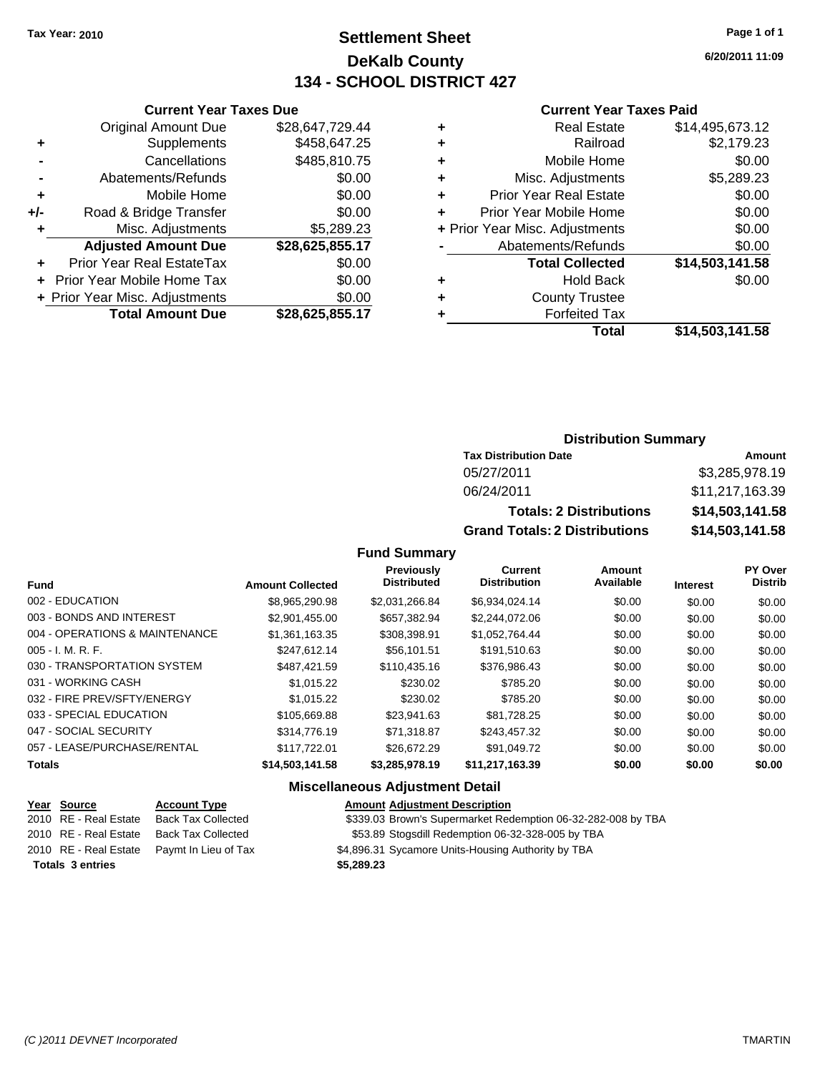### **Settlement Sheet Tax Year: 2010 Page 1 of 1 DeKalb County 134 - SCHOOL DISTRICT 427**

**6/20/2011 11:09**

#### **Current Year Taxes Paid**

|     | <b>Current Year Taxes Due</b>  |                 |         |
|-----|--------------------------------|-----------------|---------|
|     | <b>Original Amount Due</b>     | \$28,647,729.44 | ٠       |
|     | <b>Supplements</b>             | \$458,647.25    | ٠       |
|     | Cancellations                  | \$485,810.75    | ٠       |
|     | Abatements/Refunds             | \$0.00          | ٠       |
|     | Mobile Home                    | \$0.00          |         |
| +/- | Road & Bridge Transfer         | \$0.00          |         |
|     | Misc. Adjustments              | \$5,289.23      | + Prior |
|     | <b>Adjusted Amount Due</b>     | \$28,625,855.17 |         |
|     | Prior Year Real EstateTax      | \$0.00          |         |
|     | Prior Year Mobile Home Tax     | \$0.00          |         |
|     | + Prior Year Misc. Adjustments | \$0.00          |         |
|     | <b>Total Amount Due</b>        | \$28,625,855.17 |         |
|     |                                |                 |         |

|   | <b>Real Estate</b>             | \$14,495,673.12 |
|---|--------------------------------|-----------------|
| ٠ | Railroad                       | \$2,179.23      |
| ٠ | Mobile Home                    | \$0.00          |
| ٠ | Misc. Adjustments              | \$5,289.23      |
| ٠ | <b>Prior Year Real Estate</b>  | \$0.00          |
|   | Prior Year Mobile Home         | \$0.00          |
|   | + Prior Year Misc. Adjustments | \$0.00          |
|   | Abatements/Refunds             | \$0.00          |
|   | <b>Total Collected</b>         | \$14,503,141.58 |
| ٠ | <b>Hold Back</b>               | \$0.00          |
| ٠ | <b>County Trustee</b>          |                 |
|   | <b>Forfeited Tax</b>           |                 |
|   | Total                          | \$14,503,141.58 |
|   |                                |                 |

### **Distribution Summary**

| <b>Tax Distribution Date</b>         | Amount          |
|--------------------------------------|-----------------|
| 05/27/2011                           | \$3,285,978.19  |
| 06/24/2011                           | \$11,217,163.39 |
| <b>Totals: 2 Distributions</b>       | \$14,503,141.58 |
| <b>Grand Totals: 2 Distributions</b> | \$14,503,141.58 |

#### **Fund Summary**

| <b>Fund</b>                    | <b>Amount Collected</b> | <b>Previously</b><br><b>Distributed</b> | Current<br><b>Distribution</b> | Amount<br>Available | <b>Interest</b> | PY Over<br><b>Distrib</b> |
|--------------------------------|-------------------------|-----------------------------------------|--------------------------------|---------------------|-----------------|---------------------------|
| 002 - EDUCATION                | \$8.965.290.98          | \$2.031.266.84                          | \$6.934.024.14                 | \$0.00              | \$0.00          | \$0.00                    |
| 003 - BONDS AND INTEREST       | \$2,901,455.00          | \$657,382.94                            | \$2,244,072.06                 | \$0.00              | \$0.00          | \$0.00                    |
| 004 - OPERATIONS & MAINTENANCE | \$1,361,163.35          | \$308,398.91                            | \$1,052,764.44                 | \$0.00              | \$0.00          | \$0.00                    |
| $005 - I. M. R. F.$            | \$247,612.14            | \$56,101.51                             | \$191.510.63                   | \$0.00              | \$0.00          | \$0.00                    |
| 030 - TRANSPORTATION SYSTEM    | \$487.421.59            | \$110,435.16                            | \$376,986.43                   | \$0.00              | \$0.00          | \$0.00                    |
| 031 - WORKING CASH             | \$1.015.22              | \$230.02                                | \$785.20                       | \$0.00              | \$0.00          | \$0.00                    |
| 032 - FIRE PREV/SFTY/ENERGY    | \$1,015.22              | \$230.02                                | \$785.20                       | \$0.00              | \$0.00          | \$0.00                    |
| 033 - SPECIAL EDUCATION        | \$105,669.88            | \$23.941.63                             | \$81.728.25                    | \$0.00              | \$0.00          | \$0.00                    |
| 047 - SOCIAL SECURITY          | \$314,776.19            | \$71.318.87                             | \$243.457.32                   | \$0.00              | \$0.00          | \$0.00                    |
| 057 - LEASE/PURCHASE/RENTAL    | \$117,722.01            | \$26,672.29                             | \$91.049.72                    | \$0.00              | \$0.00          | \$0.00                    |
| <b>Totals</b>                  | \$14,503,141.58         | \$3,285,978.19                          | \$11,217,163.39                | \$0.00              | \$0.00          | \$0.00                    |

| <u>Year Source</u>      | <b>Account Type</b>       | <b>Amount Adjustment Description</b>                         |
|-------------------------|---------------------------|--------------------------------------------------------------|
| 2010 RE - Real Estate   | Back Tax Collected        | \$339.03 Brown's Supermarket Redemption 06-32-282-008 by TBA |
| 2010 RE - Real Estate   | <b>Back Tax Collected</b> | \$53.89 Stogsdill Redemption 06-32-328-005 by TBA            |
| 2010 RE - Real Estate   | Paymt In Lieu of Tax      | \$4,896.31 Sycamore Units-Housing Authority by TBA           |
| <b>Totals 3 entries</b> |                           | \$5,289.23                                                   |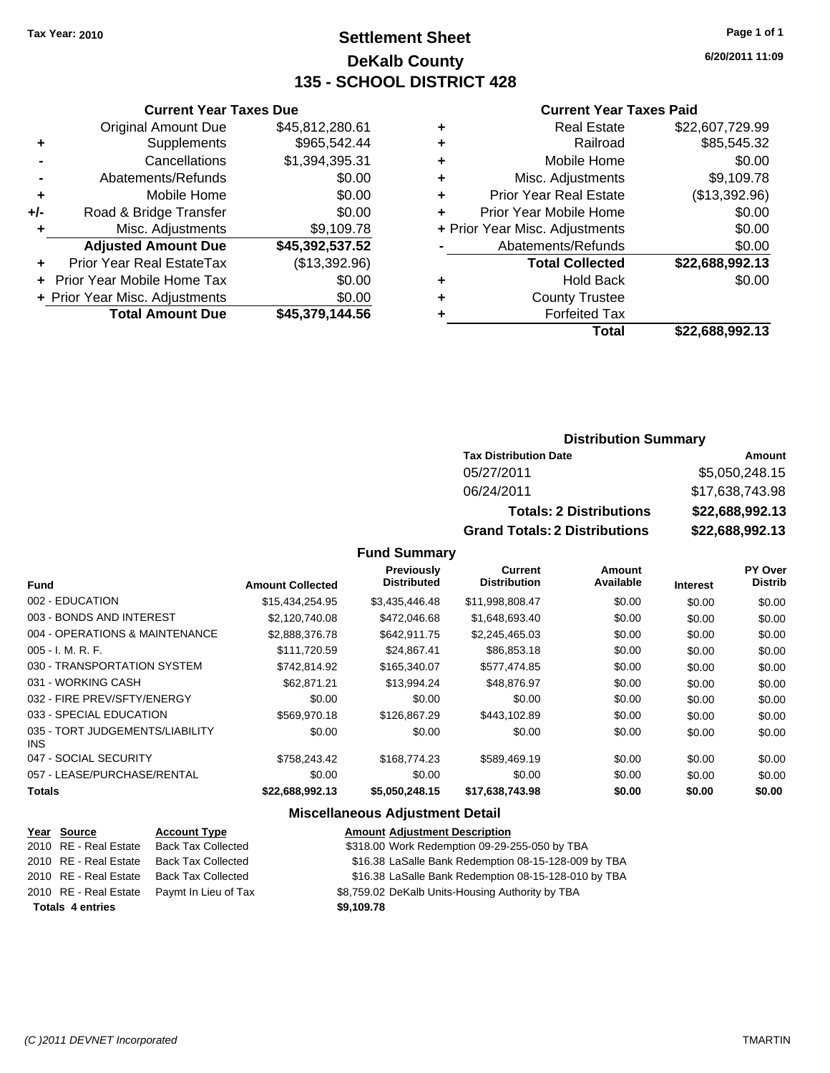### **Settlement Sheet Tax Year: 2010 Page 1 of 1 DeKalb County 135 - SCHOOL DISTRICT 428**

**6/20/2011 11:09**

#### **Current Year Taxes Paid**

| ٠ | <b>Real Estate</b>             | \$22,607,729.99 |
|---|--------------------------------|-----------------|
| ٠ | Railroad                       | \$85,545.32     |
| ٠ | Mobile Home                    | \$0.00          |
| ٠ | Misc. Adjustments              | \$9,109.78      |
| ٠ | <b>Prior Year Real Estate</b>  | (\$13,392.96)   |
| ٠ | Prior Year Mobile Home         | \$0.00          |
|   | + Prior Year Misc. Adjustments | \$0.00          |
|   | Abatements/Refunds             | \$0.00          |
|   | <b>Total Collected</b>         | \$22,688,992.13 |
| ٠ | <b>Hold Back</b>               | \$0.00          |
| ٠ | <b>County Trustee</b>          |                 |
|   | <b>Forfeited Tax</b>           |                 |
|   | Total                          | \$22.688.992.13 |

|     | <b>Current Year Taxes Due</b>  |                 |
|-----|--------------------------------|-----------------|
|     | <b>Original Amount Due</b>     | \$45,812,280.61 |
| ٠   | Supplements                    | \$965,542.44    |
|     | Cancellations                  | \$1,394,395.31  |
|     | Abatements/Refunds             | \$0.00          |
| ٠   | Mobile Home                    | \$0.00          |
| +/- | Road & Bridge Transfer         | \$0.00          |
| ٠   | Misc. Adjustments              | \$9,109.78      |
|     | <b>Adjusted Amount Due</b>     | \$45,392,537.52 |
|     | Prior Year Real EstateTax      | (\$13,392.96)   |
|     | Prior Year Mobile Home Tax     | \$0.00          |
|     | + Prior Year Misc. Adjustments | \$0.00          |
|     | <b>Total Amount Due</b>        | \$45.379.144.56 |

### **Distribution Summary**

| <b>Tax Distribution Date</b>         | Amount          |
|--------------------------------------|-----------------|
| 05/27/2011                           | \$5,050,248.15  |
| 06/24/2011                           | \$17,638,743.98 |
| <b>Totals: 2 Distributions</b>       | \$22,688,992.13 |
| <b>Grand Totals: 2 Distributions</b> | \$22,688,992.13 |

**Fund Summary**

|                                         |                         | <b>Previously</b><br><b>Distributed</b> | Current<br><b>Distribution</b> | Amount<br>Available |                 | PY Over<br><b>Distrib</b> |
|-----------------------------------------|-------------------------|-----------------------------------------|--------------------------------|---------------------|-----------------|---------------------------|
| <b>Fund</b>                             | <b>Amount Collected</b> |                                         |                                |                     | <b>Interest</b> |                           |
| 002 - EDUCATION                         | \$15,434,254.95         | \$3,435,446.48                          | \$11,998,808.47                | \$0.00              | \$0.00          | \$0.00                    |
| 003 - BONDS AND INTEREST                | \$2,120,740.08          | \$472,046.68                            | \$1,648,693.40                 | \$0.00              | \$0.00          | \$0.00                    |
| 004 - OPERATIONS & MAINTENANCE          | \$2,888,376.78          | \$642,911.75                            | \$2,245,465.03                 | \$0.00              | \$0.00          | \$0.00                    |
| $005 - I. M. R. F.$                     | \$111.720.59            | \$24.867.41                             | \$86,853.18                    | \$0.00              | \$0.00          | \$0.00                    |
| 030 - TRANSPORTATION SYSTEM             | \$742.814.92            | \$165,340.07                            | \$577,474.85                   | \$0.00              | \$0.00          | \$0.00                    |
| 031 - WORKING CASH                      | \$62,871.21             | \$13,994.24                             | \$48,876.97                    | \$0.00              | \$0.00          | \$0.00                    |
| 032 - FIRE PREV/SFTY/ENERGY             | \$0.00                  | \$0.00                                  | \$0.00                         | \$0.00              | \$0.00          | \$0.00                    |
| 033 - SPECIAL EDUCATION                 | \$569,970.18            | \$126,867,29                            | \$443.102.89                   | \$0.00              | \$0.00          | \$0.00                    |
| 035 - TORT JUDGEMENTS/LIABILITY<br>INS. | \$0.00                  | \$0.00                                  | \$0.00                         | \$0.00              | \$0.00          | \$0.00                    |
| 047 - SOCIAL SECURITY                   | \$758.243.42            | \$168,774.23                            | \$589.469.19                   | \$0.00              | \$0.00          | \$0.00                    |
| 057 - LEASE/PURCHASE/RENTAL             | \$0.00                  | \$0.00                                  | \$0.00                         | \$0.00              | \$0.00          | \$0.00                    |
| <b>Totals</b>                           | \$22,688,992.13         | \$5,050,248.15                          | \$17,638,743.98                | \$0.00              | \$0.00          | \$0.00                    |

| Year Source             | <b>Account Type</b> | <b>Amount Adjustment Description</b>                                                                 |
|-------------------------|---------------------|------------------------------------------------------------------------------------------------------|
| 2010 RE - Real Estate   |                     | \$318.00 Work Redemption 09-29-255-050 by TBA                                                        |
| 2010 RE - Real Estate   |                     | \$16.38 LaSalle Bank Redemption 08-15-128-009 by TBA                                                 |
| 2010 RE - Real Estate   |                     | \$16.38 LaSalle Bank Redemption 08-15-128-010 by TBA                                                 |
| 2010 RE - Real Estate   |                     | \$8,759.02 DeKalb Units-Housing Authority by TBA                                                     |
| <b>Totals 4 entries</b> |                     | \$9,109.78                                                                                           |
|                         |                     | <b>Back Tax Collected</b><br>Back Tax Collected<br><b>Back Tax Collected</b><br>Paymt In Lieu of Tax |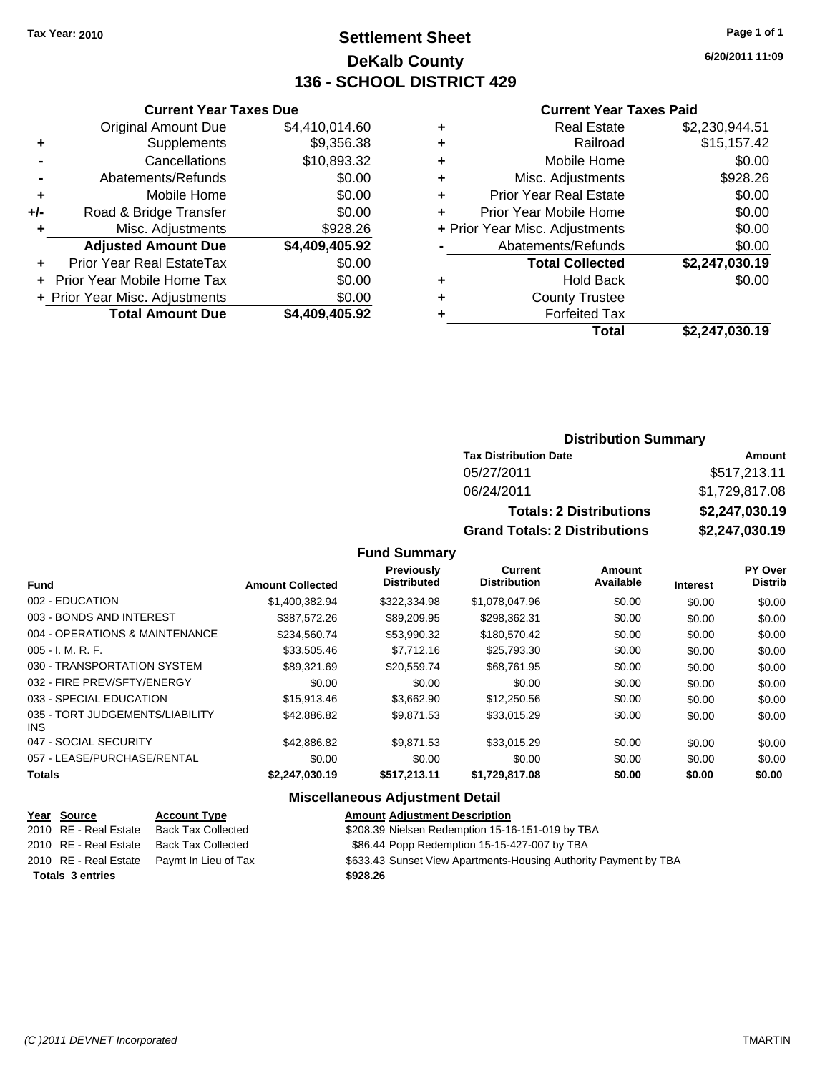### **Settlement Sheet Tax Year: 2010 Page 1 of 1 DeKalb County 136 - SCHOOL DISTRICT 429**

**6/20/2011 11:09**

#### **Current Year Taxes Paid**

|     | <b>Current Year Taxes Due</b>  |                |     |
|-----|--------------------------------|----------------|-----|
|     | <b>Original Amount Due</b>     | \$4,410,014.60 |     |
|     | <b>Supplements</b>             | \$9,356.38     |     |
|     | Cancellations                  | \$10,893.32    |     |
|     | Abatements/Refunds             | \$0.00         |     |
|     | Mobile Home                    | \$0.00         |     |
| +/- | Road & Bridge Transfer         | \$0.00         |     |
|     | Misc. Adjustments              | \$928.26       | + P |
|     | <b>Adjusted Amount Due</b>     | \$4,409,405.92 |     |
|     | Prior Year Real EstateTax      | \$0.00         |     |
|     | Prior Year Mobile Home Tax     | \$0.00         |     |
|     | + Prior Year Misc. Adjustments | \$0.00         |     |
|     | <b>Total Amount Due</b>        | \$4,409,405.92 |     |
|     |                                |                |     |

|   | <b>Real Estate</b>             | \$2,230,944.51 |
|---|--------------------------------|----------------|
| ٠ | Railroad                       | \$15,157.42    |
| ٠ | Mobile Home                    | \$0.00         |
| ٠ | Misc. Adjustments              | \$928.26       |
| ٠ | <b>Prior Year Real Estate</b>  | \$0.00         |
|   | Prior Year Mobile Home         | \$0.00         |
|   | + Prior Year Misc. Adjustments | \$0.00         |
|   | Abatements/Refunds             | \$0.00         |
|   | <b>Total Collected</b>         | \$2,247,030.19 |
| ٠ | <b>Hold Back</b>               | \$0.00         |
| ٠ | <b>County Trustee</b>          |                |
|   | <b>Forfeited Tax</b>           |                |
|   | Total                          | \$2,247,030.19 |
|   |                                |                |

### **Distribution Summary**

| <b>Tax Distribution Date</b>         | Amount         |
|--------------------------------------|----------------|
| 05/27/2011                           | \$517,213.11   |
| 06/24/2011                           | \$1,729,817.08 |
| <b>Totals: 2 Distributions</b>       | \$2,247,030.19 |
| <b>Grand Totals: 2 Distributions</b> | \$2,247,030.19 |

**Fund Summary**

|                                               |                         | <b>Previously</b>  | Current             | Amount    |                 | <b>PY Over</b> |
|-----------------------------------------------|-------------------------|--------------------|---------------------|-----------|-----------------|----------------|
| <b>Fund</b>                                   | <b>Amount Collected</b> | <b>Distributed</b> | <b>Distribution</b> | Available | <b>Interest</b> | <b>Distrib</b> |
| 002 - EDUCATION                               | \$1,400,382.94          | \$322,334.98       | \$1,078,047.96      | \$0.00    | \$0.00          | \$0.00         |
| 003 - BONDS AND INTEREST                      | \$387,572.26            | \$89,209.95        | \$298,362.31        | \$0.00    | \$0.00          | \$0.00         |
| 004 - OPERATIONS & MAINTENANCE                | \$234,560.74            | \$53,990.32        | \$180,570.42        | \$0.00    | \$0.00          | \$0.00         |
| $005 - I. M. R. F.$                           | \$33,505.46             | \$7,712.16         | \$25,793.30         | \$0.00    | \$0.00          | \$0.00         |
| 030 - TRANSPORTATION SYSTEM                   | \$89,321.69             | \$20.559.74        | \$68,761.95         | \$0.00    | \$0.00          | \$0.00         |
| 032 - FIRE PREV/SFTY/ENERGY                   | \$0.00                  | \$0.00             | \$0.00              | \$0.00    | \$0.00          | \$0.00         |
| 033 - SPECIAL EDUCATION                       | \$15,913.46             | \$3,662.90         | \$12,250.56         | \$0.00    | \$0.00          | \$0.00         |
| 035 - TORT JUDGEMENTS/LIABILITY<br><b>INS</b> | \$42,886.82             | \$9.871.53         | \$33,015.29         | \$0.00    | \$0.00          | \$0.00         |
| 047 - SOCIAL SECURITY                         | \$42,886.82             | \$9.871.53         | \$33,015.29         | \$0.00    | \$0.00          | \$0.00         |
| 057 - LEASE/PURCHASE/RENTAL                   | \$0.00                  | \$0.00             | \$0.00              | \$0.00    | \$0.00          | \$0.00         |
| <b>Totals</b>                                 | \$2,247,030.19          | \$517.213.11       | \$1,729,817.08      | \$0.00    | \$0.00          | \$0.00         |

| Year Source             | <b>Account Type</b>       | <b>Amount Adjustment Description</b>                             |
|-------------------------|---------------------------|------------------------------------------------------------------|
| 2010 RE - Real Estate   | Back Tax Collected        | \$208.39 Nielsen Redemption 15-16-151-019 by TBA                 |
| 2010 RE - Real Estate   | <b>Back Tax Collected</b> | \$86.44 Popp Redemption 15-15-427-007 by TBA                     |
| 2010 RE - Real Estate   | Paymt In Lieu of Tax      | \$633.43 Sunset View Apartments-Housing Authority Payment by TBA |
| <b>Totals 3 entries</b> |                           | \$928.26                                                         |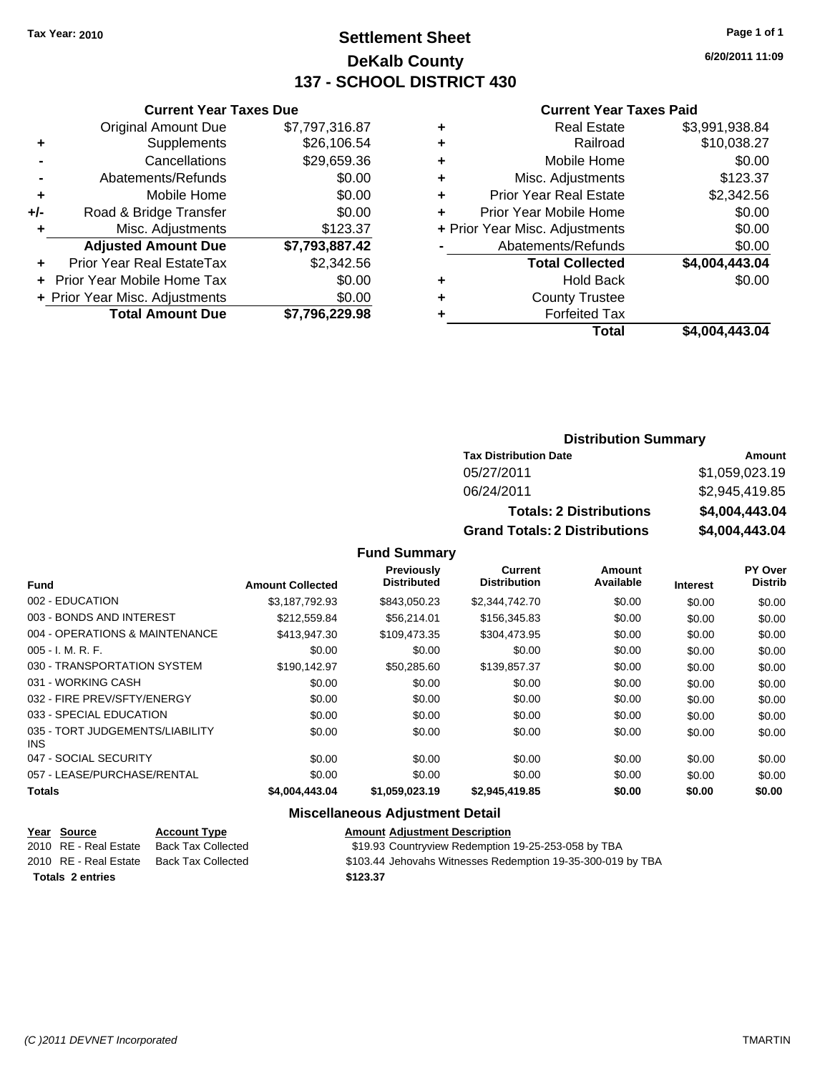### **Settlement Sheet Tax Year: 2010 Page 1 of 1 DeKalb County 137 - SCHOOL DISTRICT 430**

**6/20/2011 11:09**

#### **Current Year Taxes Paid**

|     | <b>Current Year Taxes Due</b>     |                |  |
|-----|-----------------------------------|----------------|--|
|     | <b>Original Amount Due</b>        | \$7,797,316.87 |  |
| ٠   | Supplements                       | \$26,106.54    |  |
|     | Cancellations                     | \$29,659.36    |  |
|     | Abatements/Refunds                | \$0.00         |  |
| ٠   | Mobile Home                       | \$0.00         |  |
| +/- | Road & Bridge Transfer            | \$0.00         |  |
|     | Misc. Adjustments                 | \$123.37       |  |
|     | <b>Adjusted Amount Due</b>        | \$7,793,887.42 |  |
|     | <b>Prior Year Real EstateTax</b>  | \$2,342.56     |  |
|     | <b>Prior Year Mobile Home Tax</b> | \$0.00         |  |
|     | + Prior Year Misc. Adjustments    | \$0.00         |  |
|     | <b>Total Amount Due</b>           | \$7,796,229.98 |  |

### **Distribution Summary**

| <b>Tax Distribution Date</b>         | Amount         |
|--------------------------------------|----------------|
| 05/27/2011                           | \$1,059,023.19 |
| 06/24/2011                           | \$2,945,419.85 |
| <b>Totals: 2 Distributions</b>       | \$4,004,443.04 |
| <b>Grand Totals: 2 Distributions</b> | \$4,004,443.04 |

**Fund Summary**

|                                               |                         | Previously         | <b>Current</b>      | Amount    |                 | PY Over        |
|-----------------------------------------------|-------------------------|--------------------|---------------------|-----------|-----------------|----------------|
| <b>Fund</b>                                   | <b>Amount Collected</b> | <b>Distributed</b> | <b>Distribution</b> | Available | <b>Interest</b> | <b>Distrib</b> |
| 002 - EDUCATION                               | \$3,187,792.93          | \$843.050.23       | \$2,344,742.70      | \$0.00    | \$0.00          | \$0.00         |
| 003 - BONDS AND INTEREST                      | \$212,559.84            | \$56,214.01        | \$156,345.83        | \$0.00    | \$0.00          | \$0.00         |
| 004 - OPERATIONS & MAINTENANCE                | \$413,947.30            | \$109,473.35       | \$304,473.95        | \$0.00    | \$0.00          | \$0.00         |
| $005 - I. M. R. F.$                           | \$0.00                  | \$0.00             | \$0.00              | \$0.00    | \$0.00          | \$0.00         |
| 030 - TRANSPORTATION SYSTEM                   | \$190.142.97            | \$50,285,60        | \$139,857,37        | \$0.00    | \$0.00          | \$0.00         |
| 031 - WORKING CASH                            | \$0.00                  | \$0.00             | \$0.00              | \$0.00    | \$0.00          | \$0.00         |
| 032 - FIRE PREV/SFTY/ENERGY                   | \$0.00                  | \$0.00             | \$0.00              | \$0.00    | \$0.00          | \$0.00         |
| 033 - SPECIAL EDUCATION                       | \$0.00                  | \$0.00             | \$0.00              | \$0.00    | \$0.00          | \$0.00         |
| 035 - TORT JUDGEMENTS/LIABILITY<br><b>INS</b> | \$0.00                  | \$0.00             | \$0.00              | \$0.00    | \$0.00          | \$0.00         |
| 047 - SOCIAL SECURITY                         | \$0.00                  | \$0.00             | \$0.00              | \$0.00    | \$0.00          | \$0.00         |
| 057 - LEASE/PURCHASE/RENTAL                   | \$0.00                  | \$0.00             | \$0.00              | \$0.00    | \$0.00          | \$0.00         |
| <b>Totals</b>                                 | \$4,004,443.04          | \$1,059,023.19     | \$2,945,419.85      | \$0.00    | \$0.00          | \$0.00         |

| <u>Year Source</u>      | <b>Account Type</b>       | <b>Amount Adiustment Description</b>                        |
|-------------------------|---------------------------|-------------------------------------------------------------|
| 2010 RE - Real Estate   | <b>Back Tax Collected</b> | \$19.93 Countryview Redemption 19-25-253-058 by TBA         |
| 2010 RE - Real Estate   | Back Tax Collected        | \$103.44 Jehovahs Witnesses Redemption 19-35-300-019 by TBA |
| <b>Totals 2 entries</b> |                           | \$123.37                                                    |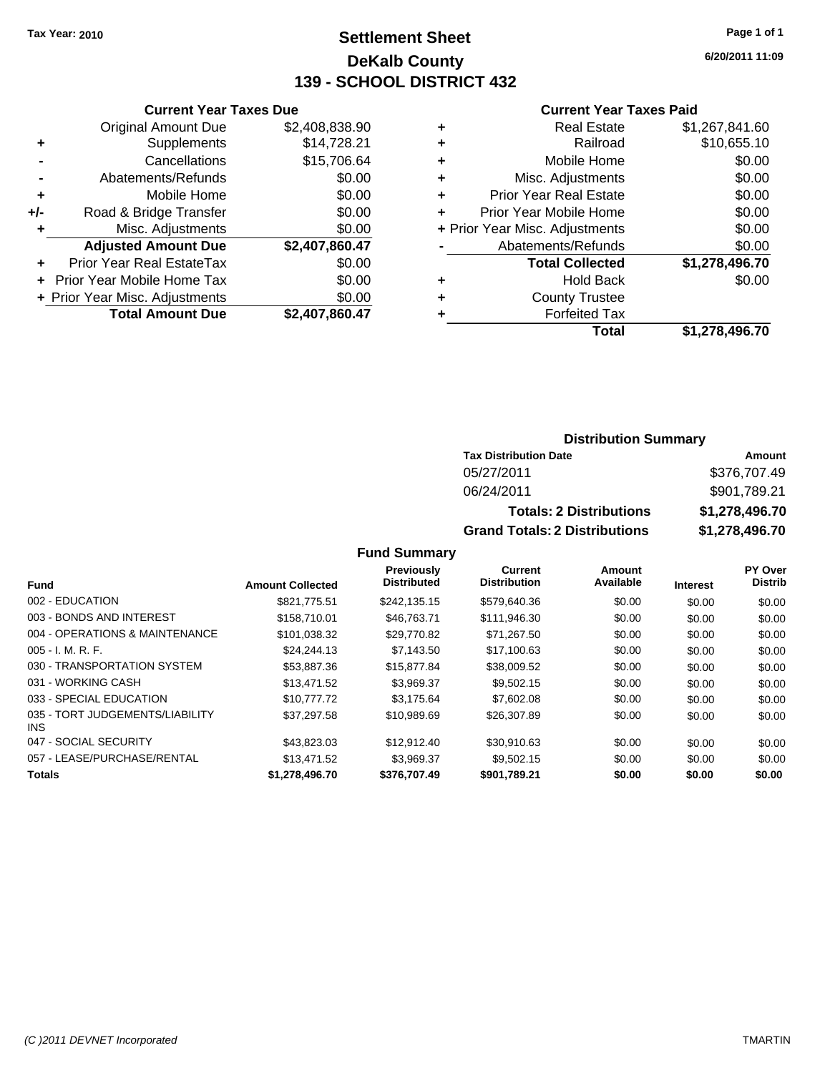### **Settlement Sheet Tax Year: 2010 Page 1 of 1 DeKalb County 139 - SCHOOL DISTRICT 432**

**6/20/2011 11:09**

#### **Current Year Taxes Paid**

|     | <b>Current Year Taxes Due</b>  |                |  |  |  |
|-----|--------------------------------|----------------|--|--|--|
|     | <b>Original Amount Due</b>     | \$2,408,838.90 |  |  |  |
| ٠   | Supplements                    | \$14,728.21    |  |  |  |
|     | Cancellations                  | \$15,706.64    |  |  |  |
|     | Abatements/Refunds             | \$0.00         |  |  |  |
| ٠   | Mobile Home                    | \$0.00         |  |  |  |
| +/- | Road & Bridge Transfer         | \$0.00         |  |  |  |
| ٠   | Misc. Adjustments              | \$0.00         |  |  |  |
|     | <b>Adjusted Amount Due</b>     | \$2,407,860.47 |  |  |  |
| ٠   | Prior Year Real EstateTax      | \$0.00         |  |  |  |
|     | Prior Year Mobile Home Tax     | \$0.00         |  |  |  |
|     | + Prior Year Misc. Adjustments | \$0.00         |  |  |  |
|     | <b>Total Amount Due</b>        | \$2,407,860.47 |  |  |  |

|   | <b>Real Estate</b>             | \$1,267,841.60 |
|---|--------------------------------|----------------|
| ٠ | Railroad                       | \$10,655.10    |
| ٠ | Mobile Home                    | \$0.00         |
| ٠ | Misc. Adjustments              | \$0.00         |
| ٠ | Prior Year Real Estate         | \$0.00         |
| ÷ | Prior Year Mobile Home         | \$0.00         |
|   | + Prior Year Misc. Adjustments | \$0.00         |
|   | Abatements/Refunds             | \$0.00         |
|   | <b>Total Collected</b>         | \$1,278,496.70 |
| ٠ | <b>Hold Back</b>               | \$0.00         |
| ٠ | <b>County Trustee</b>          |                |
| ٠ | <b>Forfeited Tax</b>           |                |
|   | Total                          | \$1,278,496.70 |
|   |                                |                |

### **Distribution Summary**

| <b>Tax Distribution Date</b>         | Amount         |
|--------------------------------------|----------------|
| 05/27/2011                           | \$376,707.49   |
| 06/24/2011                           | \$901,789.21   |
| <b>Totals: 2 Distributions</b>       | \$1,278,496.70 |
| <b>Grand Totals: 2 Distributions</b> | \$1,278,496.70 |

**Fund Summary**

|                                         |                         | <b>Previously</b>  | Current             | Amount    |                 | PY Over        |
|-----------------------------------------|-------------------------|--------------------|---------------------|-----------|-----------------|----------------|
| <b>Fund</b>                             | <b>Amount Collected</b> | <b>Distributed</b> | <b>Distribution</b> | Available | <b>Interest</b> | <b>Distrib</b> |
| 002 - EDUCATION                         | \$821,775.51            | \$242.135.15       | \$579,640.36        | \$0.00    | \$0.00          | \$0.00         |
| 003 - BONDS AND INTEREST                | \$158,710.01            | \$46,763,71        | \$111.946.30        | \$0.00    | \$0.00          | \$0.00         |
| 004 - OPERATIONS & MAINTENANCE          | \$101,038.32            | \$29,770.82        | \$71,267.50         | \$0.00    | \$0.00          | \$0.00         |
| $005 - I. M. R. F.$                     | \$24,244.13             | \$7,143.50         | \$17,100.63         | \$0.00    | \$0.00          | \$0.00         |
| 030 - TRANSPORTATION SYSTEM             | \$53,887.36             | \$15,877.84        | \$38,009.52         | \$0.00    | \$0.00          | \$0.00         |
| 031 - WORKING CASH                      | \$13.471.52             | \$3,969.37         | \$9,502.15          | \$0.00    | \$0.00          | \$0.00         |
| 033 - SPECIAL EDUCATION                 | \$10,777,72             | \$3.175.64         | \$7,602.08          | \$0.00    | \$0.00          | \$0.00         |
| 035 - TORT JUDGEMENTS/LIABILITY<br>INS. | \$37,297.58             | \$10,989.69        | \$26,307.89         | \$0.00    | \$0.00          | \$0.00         |
| 047 - SOCIAL SECURITY                   | \$43.823.03             | \$12,912.40        | \$30.910.63         | \$0.00    | \$0.00          | \$0.00         |
| 057 - LEASE/PURCHASE/RENTAL             | \$13,471.52             | \$3.969.37         | \$9,502.15          | \$0.00    | \$0.00          | \$0.00         |
| <b>Totals</b>                           | \$1,278,496.70          | \$376,707.49       | \$901.789.21        | \$0.00    | \$0.00          | \$0.00         |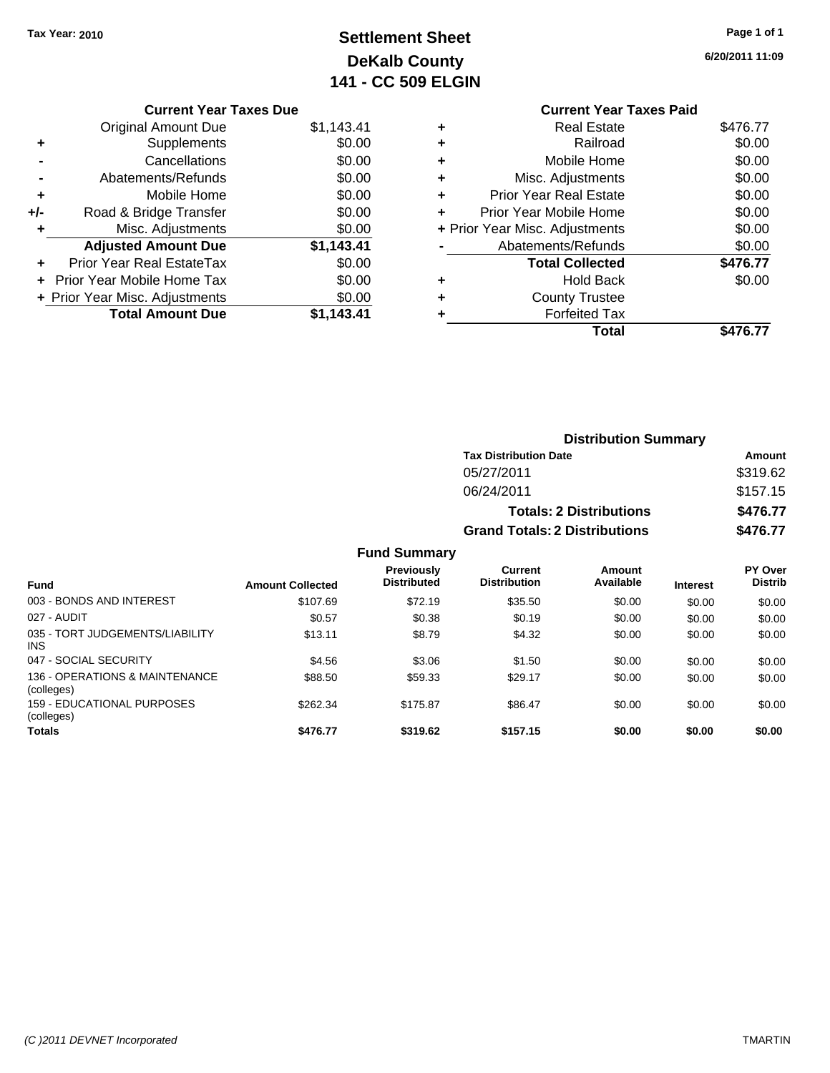# **Settlement Sheet Tax Year: 2010 Page 1 of 1 DeKalb County 141 - CC 509 ELGIN**

**6/20/2011 11:09**

|     | <b>Current Year Taxes Due</b>  |            |
|-----|--------------------------------|------------|
|     | <b>Original Amount Due</b>     | \$1,143.41 |
| ÷   | Supplements                    | \$0.00     |
|     | Cancellations                  | \$0.00     |
|     | Abatements/Refunds             | \$0.00     |
| ÷   | Mobile Home                    | \$0.00     |
| +/- | Road & Bridge Transfer         | \$0.00     |
| ٠   | Misc. Adjustments              | \$0.00     |
|     | <b>Adjusted Amount Due</b>     | \$1,143.41 |
|     | Prior Year Real EstateTax      | \$0.00     |
| ٠   | Prior Year Mobile Home Tax     | \$0.00     |
|     | + Prior Year Misc. Adjustments | \$0.00     |
|     | <b>Total Amount Due</b>        | \$1.143.41 |

### **Current Year Taxes Paid +** Real Estate \$476.77 **+** Railroad \$0.00 **+** Mobile Home \$0.00 **+** Misc. Adjustments \$0.00 **+** Prior Year Real Estate \$0.00 **+** Prior Year Mobile Home \$0.00 **+** Prior Year Misc. Adjustments  $$0.00$ **-** Abatements/Refunds \$0.00 Total Collected \$476.77 **+** Hold Back \$0.00 **+** County Trustee **+** Forfeited Tax **Total \$476.77**

|                                               |                         |                                         |                                       |                     | <b>Distribution Summary</b> |                                  |  |
|-----------------------------------------------|-------------------------|-----------------------------------------|---------------------------------------|---------------------|-----------------------------|----------------------------------|--|
|                                               |                         |                                         | <b>Tax Distribution Date</b>          |                     |                             | Amount                           |  |
|                                               |                         |                                         | 05/27/2011                            |                     |                             | \$319.62                         |  |
|                                               |                         |                                         | 06/24/2011                            |                     |                             | \$157.15                         |  |
|                                               |                         |                                         | <b>Totals: 2 Distributions</b>        |                     |                             | \$476.77                         |  |
|                                               |                         |                                         | <b>Grand Totals: 2 Distributions</b>  |                     |                             | \$476.77                         |  |
|                                               |                         | <b>Fund Summary</b>                     |                                       |                     |                             |                                  |  |
| <b>Fund</b>                                   | <b>Amount Collected</b> | <b>Previously</b><br><b>Distributed</b> | <b>Current</b><br><b>Distribution</b> | Amount<br>Available | <b>Interest</b>             | <b>PY Over</b><br><b>Distrib</b> |  |
| 003 - BONDS AND INTEREST                      | \$107.69                | \$72.19                                 | \$35.50                               | \$0.00              | \$0.00                      | \$0.00                           |  |
| 027 - AUDIT                                   | \$0.57                  | \$0.38                                  | \$0.19                                | \$0.00              | \$0.00                      | \$0.00                           |  |
| 035 - TORT JUDGEMENTS/LIABILITY<br><b>INS</b> | \$13.11                 | \$8.79                                  | \$4.32                                | \$0.00              | \$0.00                      | \$0.00                           |  |
| 047 - SOCIAL SECURITY                         | \$4.56                  | \$3.06                                  | \$1.50                                | \$0.00              | \$0.00                      | \$0.00                           |  |
| 136 - OPERATIONS & MAINTENANCE<br>(colleges)  | \$88.50                 | \$59.33                                 | \$29.17                               | \$0.00              | \$0.00                      | \$0.00                           |  |
| 159 - EDUCATIONAL PURPOSES<br>(colleges)      | \$262.34                | \$175.87                                | \$86.47                               | \$0.00              | \$0.00                      | \$0.00                           |  |
| <b>Totals</b>                                 | \$476.77                | \$319.62                                | \$157.15                              | \$0.00              | \$0.00                      | \$0.00                           |  |

### *(C )2011 DEVNET Incorporated* TMARTIN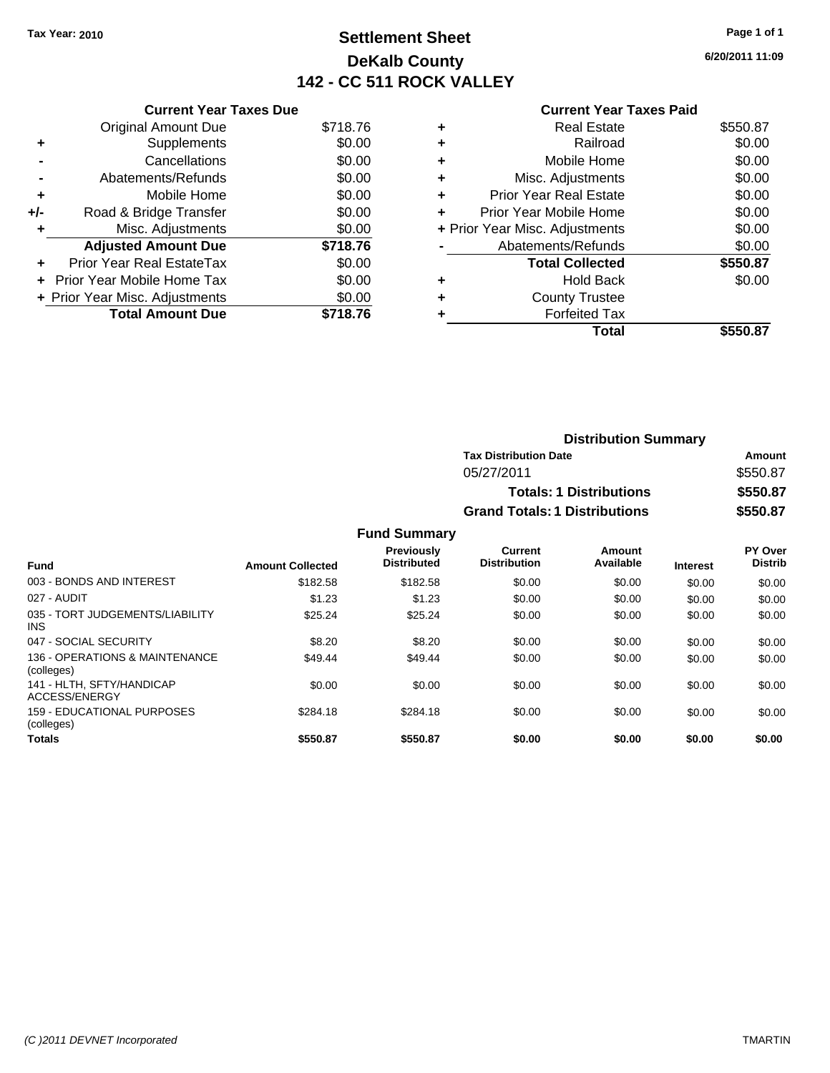### **Settlement Sheet Tax Year: 2010 Page 1 of 1 DeKalb County 142 - CC 511 ROCK VALLEY**

**6/20/2011 11:09**

|     | <b>Current Year Taxes Due</b>     |          |  |  |  |  |
|-----|-----------------------------------|----------|--|--|--|--|
|     | <b>Original Amount Due</b>        | \$718.76 |  |  |  |  |
| ٠   | Supplements                       | \$0.00   |  |  |  |  |
|     | Cancellations                     | \$0.00   |  |  |  |  |
|     | Abatements/Refunds                | \$0.00   |  |  |  |  |
| ٠   | Mobile Home                       | \$0.00   |  |  |  |  |
| +/- | Road & Bridge Transfer            | \$0.00   |  |  |  |  |
| ٠   | Misc. Adjustments                 | \$0.00   |  |  |  |  |
|     | <b>Adjusted Amount Due</b>        | \$718.76 |  |  |  |  |
| ٠   | Prior Year Real EstateTax         | \$0.00   |  |  |  |  |
|     | <b>Prior Year Mobile Home Tax</b> | \$0.00   |  |  |  |  |
|     | + Prior Year Misc. Adjustments    | \$0.00   |  |  |  |  |
|     | <b>Total Amount Due</b>           | \$718.76 |  |  |  |  |
|     |                                   |          |  |  |  |  |

#### **Current Year Taxes Paid**

|   | <b>Real Estate</b>             | \$550.87 |
|---|--------------------------------|----------|
| ٠ | Railroad                       | \$0.00   |
| ٠ | Mobile Home                    | \$0.00   |
| ٠ | Misc. Adjustments              | \$0.00   |
| ٠ | <b>Prior Year Real Estate</b>  | \$0.00   |
|   | Prior Year Mobile Home         | \$0.00   |
|   | + Prior Year Misc. Adjustments | \$0.00   |
|   | Abatements/Refunds             | \$0.00   |
|   | <b>Total Collected</b>         | \$550.87 |
| ٠ | <b>Hold Back</b>               | \$0.00   |
| ٠ | <b>County Trustee</b>          |          |
|   | <b>Forfeited Tax</b>           |          |
|   | Total                          | \$550.87 |
|   |                                |          |

| <b>Distribution Summary</b>          |          |
|--------------------------------------|----------|
| <b>Tax Distribution Date</b>         | Amount   |
| 05/27/2011                           | \$550.87 |
| <b>Totals: 1 Distributions</b>       | \$550.87 |
| <b>Grand Totals: 1 Distributions</b> | \$550.87 |

#### **Fund Summary**

| <b>Fund</b>                                   | <b>Amount Collected</b> | <b>Previously</b><br><b>Distributed</b> | Current<br><b>Distribution</b> | Amount<br>Available | <b>Interest</b> | PY Over<br><b>Distrib</b> |
|-----------------------------------------------|-------------------------|-----------------------------------------|--------------------------------|---------------------|-----------------|---------------------------|
| 003 - BONDS AND INTEREST                      | \$182.58                | \$182.58                                | \$0.00                         | \$0.00              | \$0.00          | \$0.00                    |
| 027 - AUDIT                                   | \$1.23                  | \$1.23                                  | \$0.00                         | \$0.00              | \$0.00          | \$0.00                    |
| 035 - TORT JUDGEMENTS/LIABILITY<br><b>INS</b> | \$25.24                 | \$25.24                                 | \$0.00                         | \$0.00              | \$0.00          | \$0.00                    |
| 047 - SOCIAL SECURITY                         | \$8.20                  | \$8.20                                  | \$0.00                         | \$0.00              | \$0.00          | \$0.00                    |
| 136 - OPERATIONS & MAINTENANCE<br>(colleges)  | \$49.44                 | \$49.44                                 | \$0.00                         | \$0.00              | \$0.00          | \$0.00                    |
| 141 - HLTH, SFTY/HANDICAP<br>ACCESS/ENERGY    | \$0.00                  | \$0.00                                  | \$0.00                         | \$0.00              | \$0.00          | \$0.00                    |
| 159 - EDUCATIONAL PURPOSES<br>(colleges)      | \$284.18                | \$284.18                                | \$0.00                         | \$0.00              | \$0.00          | \$0.00                    |
| <b>Totals</b>                                 | \$550.87                | \$550.87                                | \$0.00                         | \$0.00              | \$0.00          | \$0.00                    |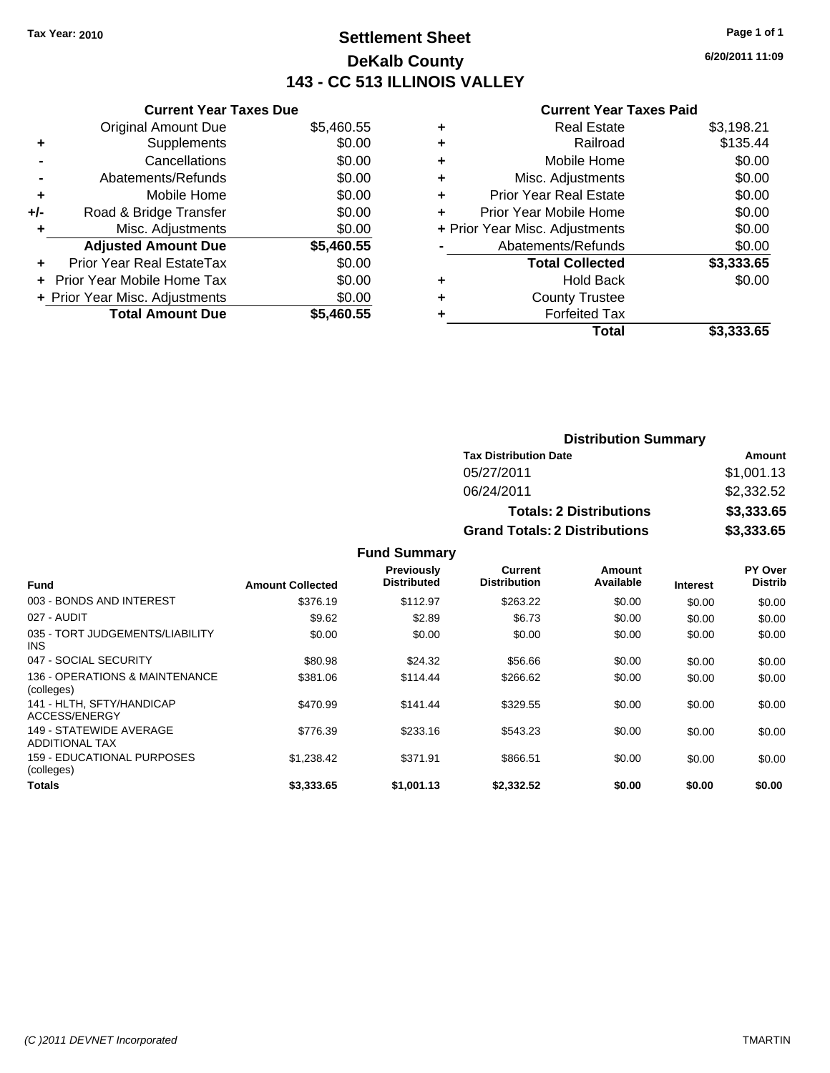### **Settlement Sheet Tax Year: 2010 Page 1 of 1 DeKalb County 143 - CC 513 ILLINOIS VALLEY**

**6/20/2011 11:09**

|     | <b>Current Year Taxes Due</b>  |            |  |  |  |
|-----|--------------------------------|------------|--|--|--|
|     | <b>Original Amount Due</b>     | \$5,460.55 |  |  |  |
| ٠   | Supplements                    | \$0.00     |  |  |  |
|     | Cancellations                  | \$0.00     |  |  |  |
|     | Abatements/Refunds             | \$0.00     |  |  |  |
| ٠   | Mobile Home                    | \$0.00     |  |  |  |
| +/- | Road & Bridge Transfer         | \$0.00     |  |  |  |
|     | Misc. Adjustments              | \$0.00     |  |  |  |
|     | <b>Adjusted Amount Due</b>     | \$5,460.55 |  |  |  |
| ٠   | Prior Year Real EstateTax      | \$0.00     |  |  |  |
|     | Prior Year Mobile Home Tax     | \$0.00     |  |  |  |
|     | + Prior Year Misc. Adjustments | \$0.00     |  |  |  |
|     | <b>Total Amount Due</b>        | \$5,460.55 |  |  |  |
|     |                                |            |  |  |  |

| ٠ | <b>Real Estate</b>             | \$3,198.21 |
|---|--------------------------------|------------|
| ٠ | Railroad                       | \$135.44   |
| ٠ | Mobile Home                    | \$0.00     |
| ٠ | Misc. Adjustments              | \$0.00     |
| ÷ | <b>Prior Year Real Estate</b>  | \$0.00     |
| ٠ | Prior Year Mobile Home         | \$0.00     |
|   | + Prior Year Misc. Adjustments | \$0.00     |
|   | Abatements/Refunds             | \$0.00     |
|   | <b>Total Collected</b>         | \$3,333.65 |
| ٠ | <b>Hold Back</b>               | \$0.00     |
| ٠ | <b>County Trustee</b>          |            |
|   | <b>Forfeited Tax</b>           |            |
|   | Total                          | \$3.333.65 |

| <b>Distribution Summary</b>          |            |
|--------------------------------------|------------|
| <b>Tax Distribution Date</b>         | Amount     |
| 05/27/2011                           | \$1,001.13 |
| 06/24/2011                           | \$2,332.52 |
| <b>Totals: 2 Distributions</b>       | \$3,333.65 |
| <b>Grand Totals: 2 Distributions</b> | \$3,333.65 |

|                                                  |                         | <b>Fund Summary</b>                     |                                |                     |                 |                           |
|--------------------------------------------------|-------------------------|-----------------------------------------|--------------------------------|---------------------|-----------------|---------------------------|
| Fund                                             | <b>Amount Collected</b> | <b>Previously</b><br><b>Distributed</b> | Current<br><b>Distribution</b> | Amount<br>Available | <b>Interest</b> | PY Over<br><b>Distrib</b> |
| 003 - BONDS AND INTEREST                         | \$376.19                | \$112.97                                | \$263.22                       | \$0.00              | \$0.00          | \$0.00                    |
| 027 - AUDIT                                      | \$9.62                  | \$2.89                                  | \$6.73                         | \$0.00              | \$0.00          | \$0.00                    |
| 035 - TORT JUDGEMENTS/LIABILITY<br><b>INS</b>    | \$0.00                  | \$0.00                                  | \$0.00                         | \$0.00              | \$0.00          | \$0.00                    |
| 047 - SOCIAL SECURITY                            | \$80.98                 | \$24.32                                 | \$56.66                        | \$0.00              | \$0.00          | \$0.00                    |
| 136 - OPERATIONS & MAINTENANCE<br>(colleges)     | \$381.06                | \$114.44                                | \$266.62                       | \$0.00              | \$0.00          | \$0.00                    |
| 141 - HLTH. SFTY/HANDICAP<br>ACCESS/ENERGY       | \$470.99                | \$141.44                                | \$329.55                       | \$0.00              | \$0.00          | \$0.00                    |
| 149 - STATEWIDE AVERAGE<br><b>ADDITIONAL TAX</b> | \$776.39                | \$233.16                                | \$543.23                       | \$0.00              | \$0.00          | \$0.00                    |
| 159 - EDUCATIONAL PURPOSES<br>(colleges)         | \$1,238.42              | \$371.91                                | \$866.51                       | \$0.00              | \$0.00          | \$0.00                    |
| Totals                                           | \$3.333.65              | \$1,001.13                              | \$2,332.52                     | \$0.00              | \$0.00          | \$0.00                    |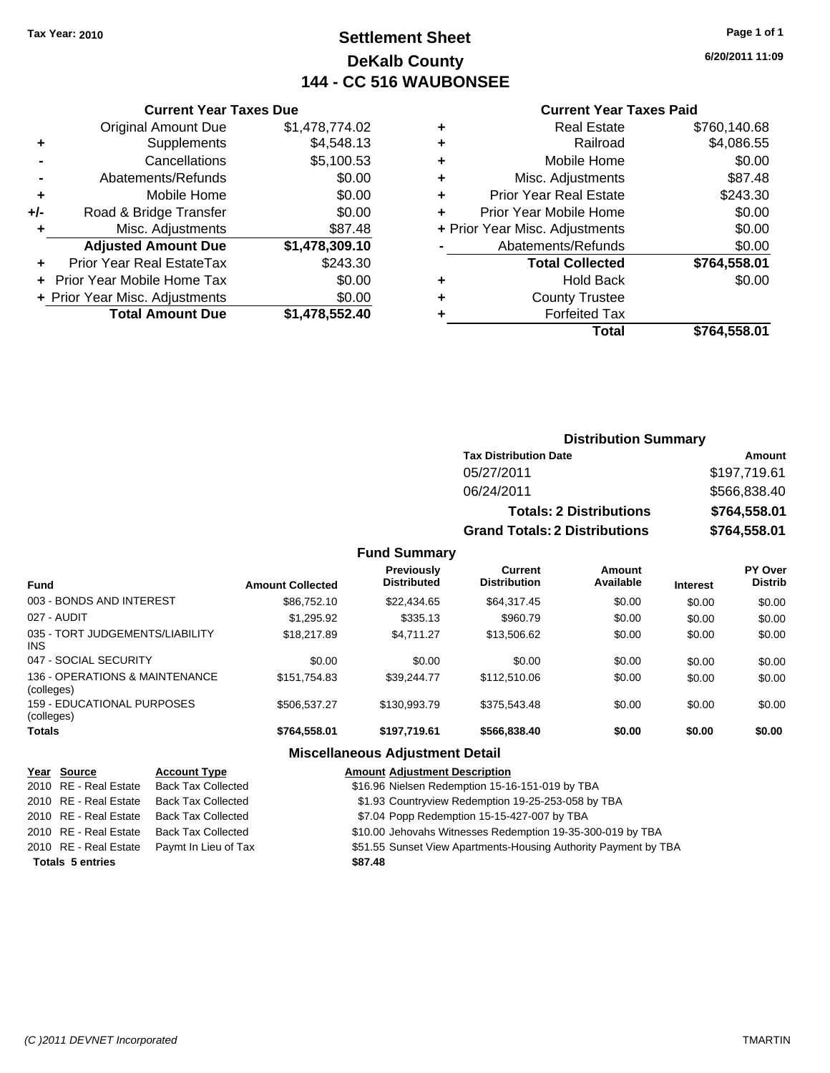### **Settlement Sheet Tax Year: 2010 Page 1 of 1 DeKalb County 144 - CC 516 WAUBONSEE**

**6/20/2011 11:09**

#### **Current Year Taxes Paid**

| <b>Current Year Taxes Due</b>     |                         |  |  |  |  |
|-----------------------------------|-------------------------|--|--|--|--|
| <b>Original Amount Due</b>        | \$1,478,774.02          |  |  |  |  |
| Supplements                       | \$4,548.13              |  |  |  |  |
| Cancellations<br>\$5,100.53       |                         |  |  |  |  |
| \$0.00<br>Abatements/Refunds      |                         |  |  |  |  |
| Mobile Home                       | \$0.00                  |  |  |  |  |
| Road & Bridge Transfer            | \$0.00                  |  |  |  |  |
| \$87.48<br>Misc. Adjustments<br>٠ |                         |  |  |  |  |
| <b>Adjusted Amount Due</b>        | \$1,478,309.10          |  |  |  |  |
| Prior Year Real EstateTax         | \$243.30                |  |  |  |  |
| Prior Year Mobile Home Tax        | \$0.00                  |  |  |  |  |
| + Prior Year Misc. Adjustments    | \$0.00                  |  |  |  |  |
|                                   | \$1,478,552.40          |  |  |  |  |
|                                   | <b>Total Amount Due</b> |  |  |  |  |

|   | <b>Real Estate</b>             | \$760,140.68 |
|---|--------------------------------|--------------|
| ٠ | Railroad                       | \$4,086.55   |
| ÷ | Mobile Home                    | \$0.00       |
| ٠ | Misc. Adjustments              | \$87.48      |
| ٠ | <b>Prior Year Real Estate</b>  | \$243.30     |
| ÷ | Prior Year Mobile Home         | \$0.00       |
|   | + Prior Year Misc. Adjustments | \$0.00       |
|   | Abatements/Refunds             | \$0.00       |
|   | <b>Total Collected</b>         | \$764,558.01 |
| ٠ | Hold Back                      | \$0.00       |
| ٠ | <b>County Trustee</b>          |              |
| ٠ | <b>Forfeited Tax</b>           |              |
|   | Total                          | \$764,558.01 |
|   |                                |              |

### **Distribution Summary**

| <b>Tax Distribution Date</b>         | Amount       |  |  |  |
|--------------------------------------|--------------|--|--|--|
| 05/27/2011                           | \$197.719.61 |  |  |  |
| 06/24/2011                           | \$566,838.40 |  |  |  |
| <b>Totals: 2 Distributions</b>       | \$764.558.01 |  |  |  |
| <b>Grand Totals: 2 Distributions</b> | \$764,558.01 |  |  |  |

#### **Fund Summary**

| <b>Fund</b>                                   | <b>Amount Collected</b> | Previously<br><b>Distributed</b> | Current<br><b>Distribution</b> | Amount<br>Available | <b>Interest</b> | PY Over<br><b>Distrib</b> |
|-----------------------------------------------|-------------------------|----------------------------------|--------------------------------|---------------------|-----------------|---------------------------|
| 003 - BONDS AND INTEREST                      | \$86,752.10             | \$22,434.65                      | \$64,317.45                    | \$0.00              | \$0.00          | \$0.00                    |
| 027 - AUDIT                                   | \$1.295.92              | \$335.13                         | \$960.79                       | \$0.00              | \$0.00          | \$0.00                    |
| 035 - TORT JUDGEMENTS/LIABILITY<br><b>INS</b> | \$18,217.89             | \$4.711.27                       | \$13,506.62                    | \$0.00              | \$0.00          | \$0.00                    |
| 047 - SOCIAL SECURITY                         | \$0.00                  | \$0.00                           | \$0.00                         | \$0.00              | \$0.00          | \$0.00                    |
| 136 - OPERATIONS & MAINTENANCE<br>(colleges)  | \$151.754.83            | \$39.244.77                      | \$112,510.06                   | \$0.00              | \$0.00          | \$0.00                    |
| 159 - EDUCATIONAL PURPOSES<br>(colleges)      | \$506,537.27            | \$130,993.79                     | \$375,543.48                   | \$0.00              | \$0.00          | \$0.00                    |
| <b>Totals</b>                                 | \$764,558.01            | \$197,719.61                     | \$566.838.40                   | \$0.00              | \$0.00          | \$0.00                    |

| Year Source             | <b>Account Type</b>       | <b>Amount Adjustment Description</b>                            |
|-------------------------|---------------------------|-----------------------------------------------------------------|
| 2010 RE - Real Estate   | <b>Back Tax Collected</b> | \$16.96 Nielsen Redemption 15-16-151-019 by TBA                 |
| 2010 RE - Real Estate   | <b>Back Tax Collected</b> | \$1.93 Countryview Redemption 19-25-253-058 by TBA              |
| 2010 RE - Real Estate   | <b>Back Tax Collected</b> | \$7.04 Popp Redemption 15-15-427-007 by TBA                     |
| 2010 RE - Real Estate   | <b>Back Tax Collected</b> | \$10.00 Jehovahs Witnesses Redemption 19-35-300-019 by TBA      |
| 2010 RE - Real Estate   | Paymt In Lieu of Tax      | \$51.55 Sunset View Apartments-Housing Authority Payment by TBA |
| <b>Totals 5 entries</b> |                           | \$87.48                                                         |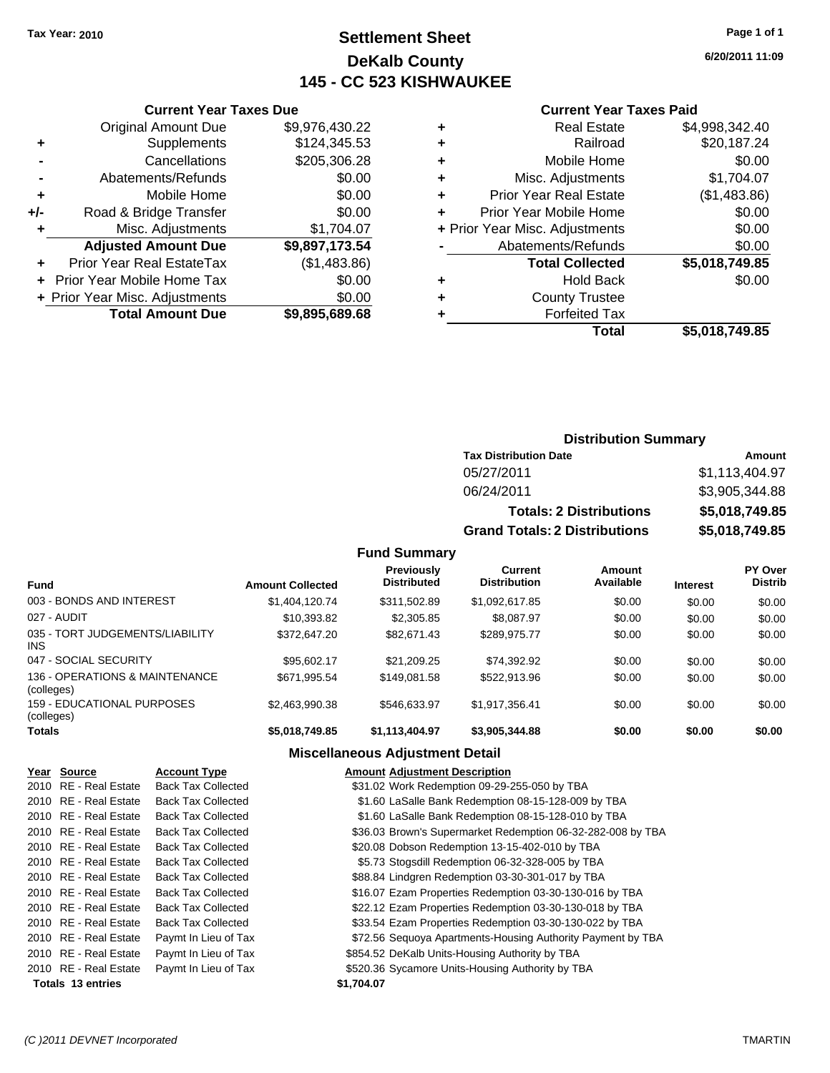### **Settlement Sheet Tax Year: 2010 Page 1 of 1 DeKalb County 145 - CC 523 KISHWAUKEE**

**6/20/2011 11:09**

#### **Current Year Taxes Paid**

| Total                          | \$5,018,749.85 |
|--------------------------------|----------------|
| <b>Forfeited Tax</b>           |                |
| <b>County Trustee</b>          |                |
| <b>Hold Back</b>               | \$0.00         |
| <b>Total Collected</b>         | \$5,018,749.85 |
| Abatements/Refunds             | \$0.00         |
| + Prior Year Misc. Adjustments | \$0.00         |
| Prior Year Mobile Home         | \$0.00         |
| <b>Prior Year Real Estate</b>  | (\$1,483.86)   |
| Misc. Adjustments              | \$1,704.07     |
| Mobile Home                    | \$0.00         |
| Railroad                       | \$20,187.24    |
| <b>Real Estate</b>             | \$4,998,342.40 |
|                                |                |

| <b>Original Amount Due</b>       | \$9,976,430.22                |
|----------------------------------|-------------------------------|
| Supplements                      | \$124,345.53                  |
| Cancellations                    | \$205,306.28                  |
| Abatements/Refunds               | \$0.00                        |
| Mobile Home                      | \$0.00                        |
| Road & Bridge Transfer           | \$0.00                        |
| Misc. Adjustments                | \$1,704.07                    |
| <b>Adjusted Amount Due</b>       | \$9,897,173.54                |
| <b>Prior Year Real EstateTax</b> | (\$1,483.86)                  |
| Prior Year Mobile Home Tax       | \$0.00                        |
| + Prior Year Misc. Adjustments   | \$0.00                        |
| <b>Total Amount Due</b>          | \$9,895,689.68                |
|                                  | <b>Current Year Taxes Due</b> |

### **Distribution Summary**

| <b>Tax Distribution Date</b>         | Amount         |  |  |
|--------------------------------------|----------------|--|--|
| 05/27/2011                           | \$1,113,404.97 |  |  |
| 06/24/2011                           | \$3,905,344.88 |  |  |
| <b>Totals: 2 Distributions</b>       | \$5,018,749.85 |  |  |
| <b>Grand Totals: 2 Distributions</b> | \$5,018,749.85 |  |  |

#### **Fund Summary**

| <b>Fund</b>                                  | <b>Amount Collected</b> | <b>Previously</b><br><b>Distributed</b> | Current<br><b>Distribution</b> | Amount<br>Available | <b>Interest</b> | PY Over<br><b>Distrib</b> |
|----------------------------------------------|-------------------------|-----------------------------------------|--------------------------------|---------------------|-----------------|---------------------------|
| 003 - BONDS AND INTEREST                     | \$1,404,120.74          | \$311,502.89                            | \$1,092,617.85                 | \$0.00              | \$0.00          | \$0.00                    |
| 027 - AUDIT                                  | \$10,393.82             | \$2,305.85                              | \$8,087.97                     | \$0.00              | \$0.00          | \$0.00                    |
| 035 - TORT JUDGEMENTS/LIABILITY<br>INS       | \$372,647.20            | \$82.671.43                             | \$289.975.77                   | \$0.00              | \$0.00          | \$0.00                    |
| 047 - SOCIAL SECURITY                        | \$95.602.17             | \$21,209.25                             | \$74,392.92                    | \$0.00              | \$0.00          | \$0.00                    |
| 136 - OPERATIONS & MAINTENANCE<br>(colleges) | \$671,995.54            | \$149.081.58                            | \$522.913.96                   | \$0.00              | \$0.00          | \$0.00                    |
| 159 - EDUCATIONAL PURPOSES<br>(colleges)     | \$2.463.990.38          | \$546.633.97                            | \$1,917,356.41                 | \$0.00              | \$0.00          | \$0.00                    |
| <b>Totals</b>                                | \$5,018,749.85          | \$1,113,404.97                          | \$3,905,344.88                 | \$0.00              | \$0.00          | \$0.00                    |

| Year Source           | <b>Account Type</b>       | <b>Amount Adjustment Description</b>                        |
|-----------------------|---------------------------|-------------------------------------------------------------|
| 2010 RE - Real Estate | <b>Back Tax Collected</b> | \$31.02 Work Redemption 09-29-255-050 by TBA                |
| 2010 RE - Real Estate | <b>Back Tax Collected</b> | \$1.60 LaSalle Bank Redemption 08-15-128-009 by TBA         |
| 2010 RE - Real Estate | <b>Back Tax Collected</b> | \$1.60 LaSalle Bank Redemption 08-15-128-010 by TBA         |
| 2010 RE - Real Estate | <b>Back Tax Collected</b> | \$36.03 Brown's Supermarket Redemption 06-32-282-008 by TBA |
| 2010 RE - Real Estate | <b>Back Tax Collected</b> | \$20.08 Dobson Redemption 13-15-402-010 by TBA              |
| 2010 RE - Real Estate | <b>Back Tax Collected</b> | \$5.73 Stogsdill Redemption 06-32-328-005 by TBA            |
| 2010 RE - Real Estate | <b>Back Tax Collected</b> | \$88.84 Lindgren Redemption 03-30-301-017 by TBA            |
| 2010 RE - Real Estate | <b>Back Tax Collected</b> | \$16.07 Ezam Properties Redemption 03-30-130-016 by TBA     |
| 2010 RE - Real Estate | <b>Back Tax Collected</b> | \$22.12 Ezam Properties Redemption 03-30-130-018 by TBA     |
| 2010 RE - Real Estate | <b>Back Tax Collected</b> | \$33.54 Ezam Properties Redemption 03-30-130-022 by TBA     |
| 2010 RE - Real Estate | Paymt In Lieu of Tax      | \$72.56 Sequoya Apartments-Housing Authority Payment by TBA |
| 2010 RE - Real Estate | Paymt In Lieu of Tax      | \$854.52 DeKalb Units-Housing Authority by TBA              |
| 2010 RE - Real Estate | Paymt In Lieu of Tax      | \$520.36 Sycamore Units-Housing Authority by TBA            |
| Totals 13 entries     |                           | \$1,704.07                                                  |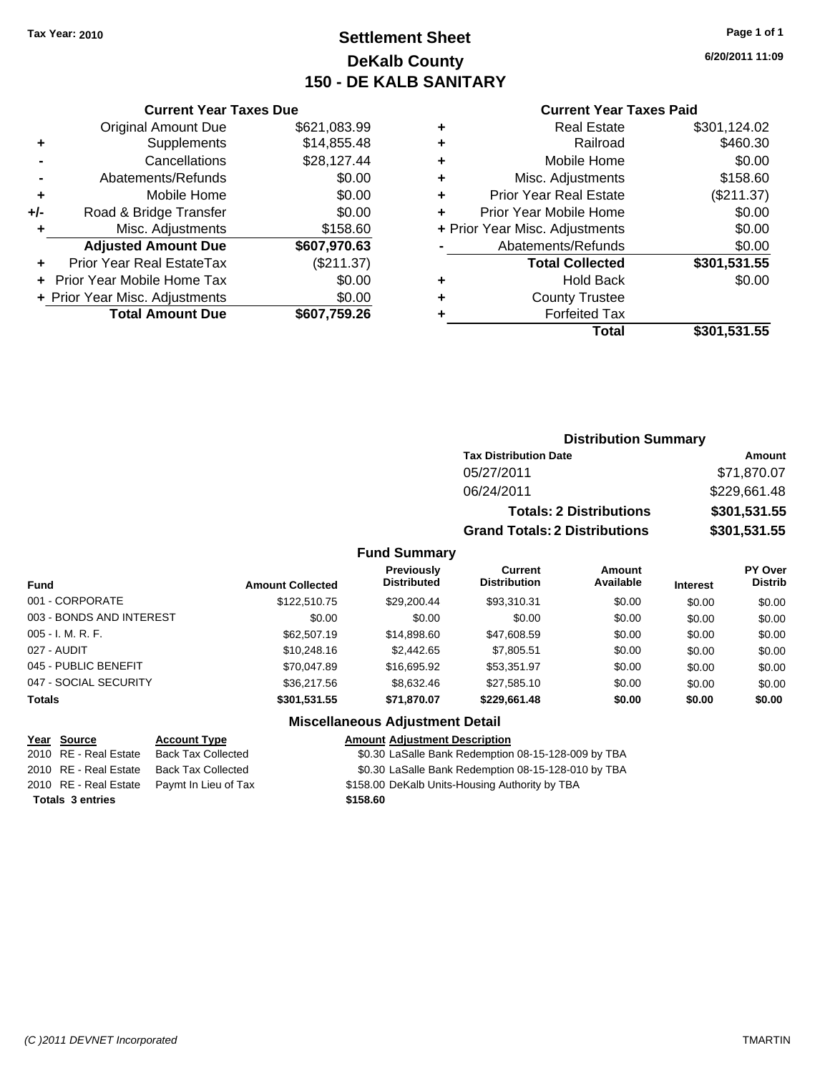### **Settlement Sheet Tax Year: 2010 Page 1 of 1 DeKalb County 150 - DE KALB SANITARY**

**6/20/2011 11:09**

|     | <b>Current Year Taxes Due</b>  |              |
|-----|--------------------------------|--------------|
|     | <b>Original Amount Due</b>     | \$621,083.99 |
|     | Supplements                    | \$14,855.48  |
|     | Cancellations                  | \$28,127.44  |
|     | Abatements/Refunds             | \$0.00       |
| ٠   | Mobile Home                    | \$0.00       |
| +/- | Road & Bridge Transfer         | \$0.00       |
| ٠   | Misc. Adjustments              | \$158.60     |
|     | <b>Adjusted Amount Due</b>     | \$607,970.63 |
|     | Prior Year Real EstateTax      | (\$211.37)   |
|     | Prior Year Mobile Home Tax     | \$0.00       |
|     | + Prior Year Misc. Adjustments | \$0.00       |
|     | <b>Total Amount Due</b>        | \$607,759.26 |
|     |                                |              |

#### **Current Year Taxes Paid**

|   | Total                          | \$301,531.55 |
|---|--------------------------------|--------------|
|   | <b>Forfeited Tax</b>           |              |
| ٠ | <b>County Trustee</b>          |              |
| ٠ | Hold Back                      | \$0.00       |
|   | <b>Total Collected</b>         | \$301,531.55 |
|   | Abatements/Refunds             | \$0.00       |
|   | + Prior Year Misc. Adjustments | \$0.00       |
|   | Prior Year Mobile Home         | \$0.00       |
| ٠ | <b>Prior Year Real Estate</b>  | (\$211.37)   |
| ٠ | Misc. Adjustments              | \$158.60     |
| ٠ | Mobile Home                    | \$0.00       |
| ÷ | Railroad                       | \$460.30     |
|   | Real Estate                    | \$301,124.02 |

### **Distribution Summary**

| <b>Tax Distribution Date</b>         | Amount       |
|--------------------------------------|--------------|
| 05/27/2011                           | \$71,870.07  |
| 06/24/2011                           | \$229,661.48 |
| <b>Totals: 2 Distributions</b>       | \$301,531.55 |
| <b>Grand Totals: 2 Distributions</b> | \$301,531.55 |

#### **Fund Summary**

| <b>Fund</b>              | <b>Amount Collected</b> | <b>Previously</b><br><b>Distributed</b> | Current<br><b>Distribution</b> | <b>Amount</b><br>Available | <b>Interest</b> | <b>PY Over</b><br><b>Distrib</b> |
|--------------------------|-------------------------|-----------------------------------------|--------------------------------|----------------------------|-----------------|----------------------------------|
| 001 - CORPORATE          | \$122,510.75            | \$29.200.44                             | \$93,310.31                    | \$0.00                     | \$0.00          | \$0.00                           |
| 003 - BONDS AND INTEREST | \$0.00                  | \$0.00                                  | \$0.00                         | \$0.00                     | \$0.00          | \$0.00                           |
| $005 - I. M. R. F.$      | \$62,507.19             | \$14,898.60                             | \$47,608.59                    | \$0.00                     | \$0.00          | \$0.00                           |
| 027 - AUDIT              | \$10,248.16             | \$2,442.65                              | \$7,805.51                     | \$0.00                     | \$0.00          | \$0.00                           |
| 045 - PUBLIC BENEFIT     | \$70,047.89             | \$16,695.92                             | \$53,351.97                    | \$0.00                     | \$0.00          | \$0.00                           |
| 047 - SOCIAL SECURITY    | \$36,217.56             | \$8,632.46                              | \$27,585.10                    | \$0.00                     | \$0.00          | \$0.00                           |
| <b>Totals</b>            | \$301,531.55            | \$71,870.07                             | \$229,661.48                   | \$0.00                     | \$0.00          | \$0.00                           |

### **Miscellaneous Adjustment Detail**

# **Totals \$158.60 3 entries**

**Year Source Account Type Amount Adjustment Description** 2010 RE - Real Estate Back Tax Collected \$0.30 LaSalle Bank Redemption 08-15-128-009 by TBA 2010 RE - Real Estate Back Tax Collected \$0.30 LaSalle Bank Redemption 08-15-128-010 by TBA

2010 RE - Real Estate Paymt In Lieu of Tax \$158.00 DeKalb Units-Housing Authority by TBA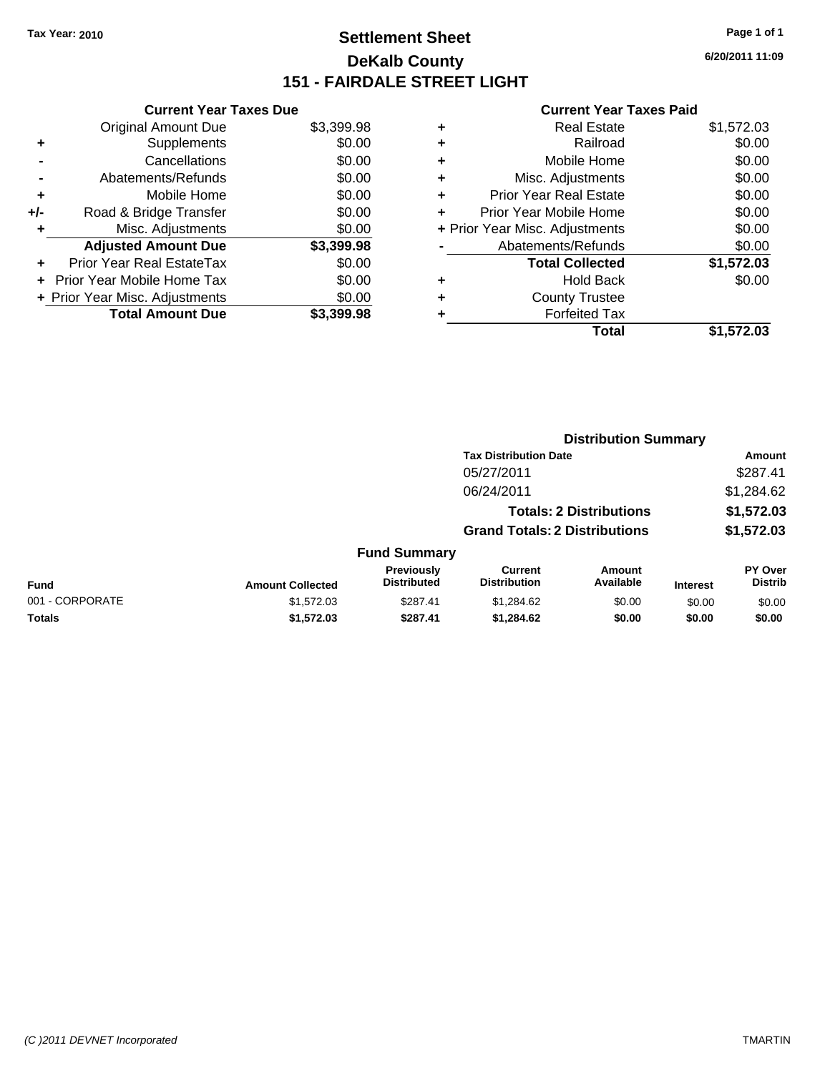### **Settlement Sheet Tax Year: 2010 Page 1 of 1 DeKalb County 151 - FAIRDALE STREET LIGHT**

**6/20/2011 11:09**

|     | <b>Current Year Taxes Due</b>  |            |
|-----|--------------------------------|------------|
|     | <b>Original Amount Due</b>     | \$3,399.98 |
| ÷   | Supplements                    | \$0.00     |
|     | Cancellations                  | \$0.00     |
|     | Abatements/Refunds             | \$0.00     |
| ٠   | Mobile Home                    | \$0.00     |
| +/- | Road & Bridge Transfer         | \$0.00     |
|     | Misc. Adjustments              | \$0.00     |
|     | <b>Adjusted Amount Due</b>     | \$3,399.98 |
| ÷   | Prior Year Real EstateTax      | \$0.00     |
|     | Prior Year Mobile Home Tax     | \$0.00     |
|     | + Prior Year Misc. Adjustments | \$0.00     |
|     | <b>Total Amount Due</b>        | \$3.399.98 |
|     |                                |            |

|   | <b>Real Estate</b>             | \$1,572.03 |
|---|--------------------------------|------------|
| ٠ | Railroad                       | \$0.00     |
| ٠ | Mobile Home                    | \$0.00     |
| ٠ | Misc. Adjustments              | \$0.00     |
| ٠ | Prior Year Real Estate         | \$0.00     |
| ٠ | Prior Year Mobile Home         | \$0.00     |
|   | + Prior Year Misc. Adjustments | \$0.00     |
|   | Abatements/Refunds             | \$0.00     |
|   | <b>Total Collected</b>         | \$1,572.03 |
| ٠ | <b>Hold Back</b>               | \$0.00     |
| ٠ | <b>County Trustee</b>          |            |
|   | <b>Forfeited Tax</b>           |            |
|   | Total                          | \$1,572.03 |

|                 |                         |                                  | <b>Distribution Summary</b>           |                                |                 |                                  |
|-----------------|-------------------------|----------------------------------|---------------------------------------|--------------------------------|-----------------|----------------------------------|
|                 |                         |                                  | <b>Tax Distribution Date</b>          |                                |                 | Amount                           |
|                 |                         |                                  | 05/27/2011                            |                                |                 | \$287.41                         |
|                 |                         |                                  | 06/24/2011                            |                                |                 | \$1,284.62                       |
|                 |                         |                                  |                                       | <b>Totals: 2 Distributions</b> |                 | \$1,572.03                       |
|                 |                         |                                  | <b>Grand Totals: 2 Distributions</b>  |                                |                 | \$1,572.03                       |
|                 |                         | <b>Fund Summary</b>              |                                       |                                |                 |                                  |
| <b>Fund</b>     | <b>Amount Collected</b> | Previously<br><b>Distributed</b> | <b>Current</b><br><b>Distribution</b> | Amount<br>Available            | <b>Interest</b> | <b>PY Over</b><br><b>Distrib</b> |
| 001 - CORPORATE | \$1,572.03              | \$287.41                         | \$1,284.62                            | \$0.00                         | \$0.00          | \$0.00                           |
| Totals          | \$1,572.03              | \$287.41                         | \$1,284.62                            | \$0.00                         | \$0.00          | \$0.00                           |
|                 |                         |                                  |                                       |                                |                 |                                  |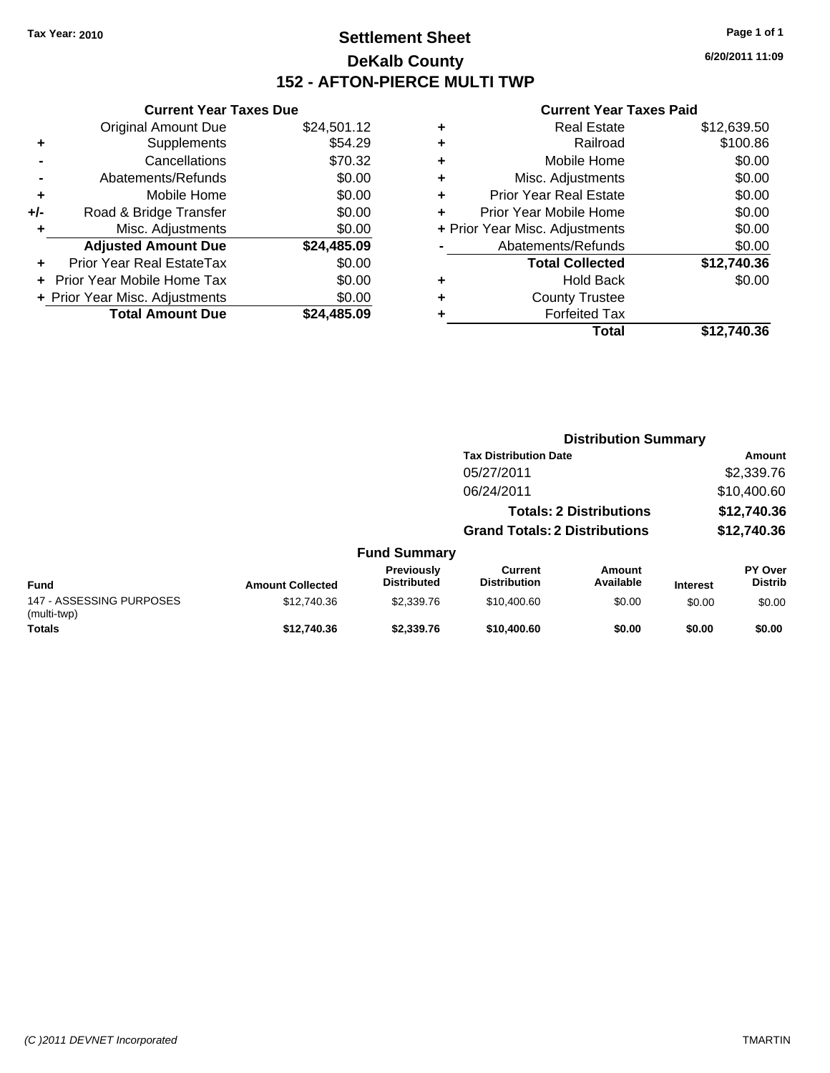### **Settlement Sheet Tax Year: 2010 Page 1 of 1 DeKalb County 152 - AFTON-PIERCE MULTI TWP**

**6/20/2011 11:09**

#### **Current Year Taxes Paid**

**Distribution Summary**

| Total                          | \$12,740,36 |
|--------------------------------|-------------|
| <b>Forfeited Tax</b>           |             |
| <b>County Trustee</b>          |             |
| <b>Hold Back</b>               | \$0.00      |
| <b>Total Collected</b>         | \$12,740.36 |
| Abatements/Refunds             | \$0.00      |
| + Prior Year Misc. Adjustments | \$0.00      |
| Prior Year Mobile Home         | \$0.00      |
| <b>Prior Year Real Estate</b>  | \$0.00      |
| Misc. Adjustments              | \$0.00      |
| Mobile Home                    | \$0.00      |
| Railroad                       | \$100.86    |
| Real Estate                    | \$12,639.50 |
|                                |             |

|     | <b>Current Year Taxes Due</b>  |             |
|-----|--------------------------------|-------------|
|     | <b>Original Amount Due</b>     | \$24,501.12 |
| ٠   | Supplements                    | \$54.29     |
|     | Cancellations                  | \$70.32     |
|     | Abatements/Refunds             | \$0.00      |
| ٠   | Mobile Home                    | \$0.00      |
| +/- | Road & Bridge Transfer         | \$0.00      |
| ٠   | Misc. Adjustments              | \$0.00      |
|     | <b>Adjusted Amount Due</b>     | \$24,485.09 |
|     | Prior Year Real EstateTax      | \$0.00      |
|     | Prior Year Mobile Home Tax     | \$0.00      |
|     | + Prior Year Misc. Adjustments | \$0.00      |
|     | <b>Total Amount Due</b>        | \$24.485.09 |
|     |                                |             |

|                                         |                         |                                         | <b>Tax Distribution Date</b>         |                                |                 | Amount                           |
|-----------------------------------------|-------------------------|-----------------------------------------|--------------------------------------|--------------------------------|-----------------|----------------------------------|
|                                         |                         |                                         | 05/27/2011                           |                                |                 | \$2,339.76                       |
|                                         |                         |                                         | 06/24/2011                           |                                |                 | \$10,400.60                      |
|                                         |                         |                                         |                                      | <b>Totals: 2 Distributions</b> |                 | \$12,740.36                      |
|                                         |                         |                                         | <b>Grand Totals: 2 Distributions</b> |                                |                 | \$12,740.36                      |
|                                         |                         | <b>Fund Summary</b>                     |                                      |                                |                 |                                  |
| <b>Fund</b>                             | <b>Amount Collected</b> | <b>Previously</b><br><b>Distributed</b> | Current<br><b>Distribution</b>       | Amount<br>Available            | <b>Interest</b> | <b>PY Over</b><br><b>Distrib</b> |
| 147 - ASSESSING PURPOSES<br>(multi-twp) | \$12,740.36             | \$2,339.76                              | \$10,400.60                          | \$0.00                         | \$0.00          | \$0.00                           |
| <b>Totals</b>                           | \$12,740.36             | \$2,339.76                              | \$10,400.60                          | \$0.00                         | \$0.00          | \$0.00                           |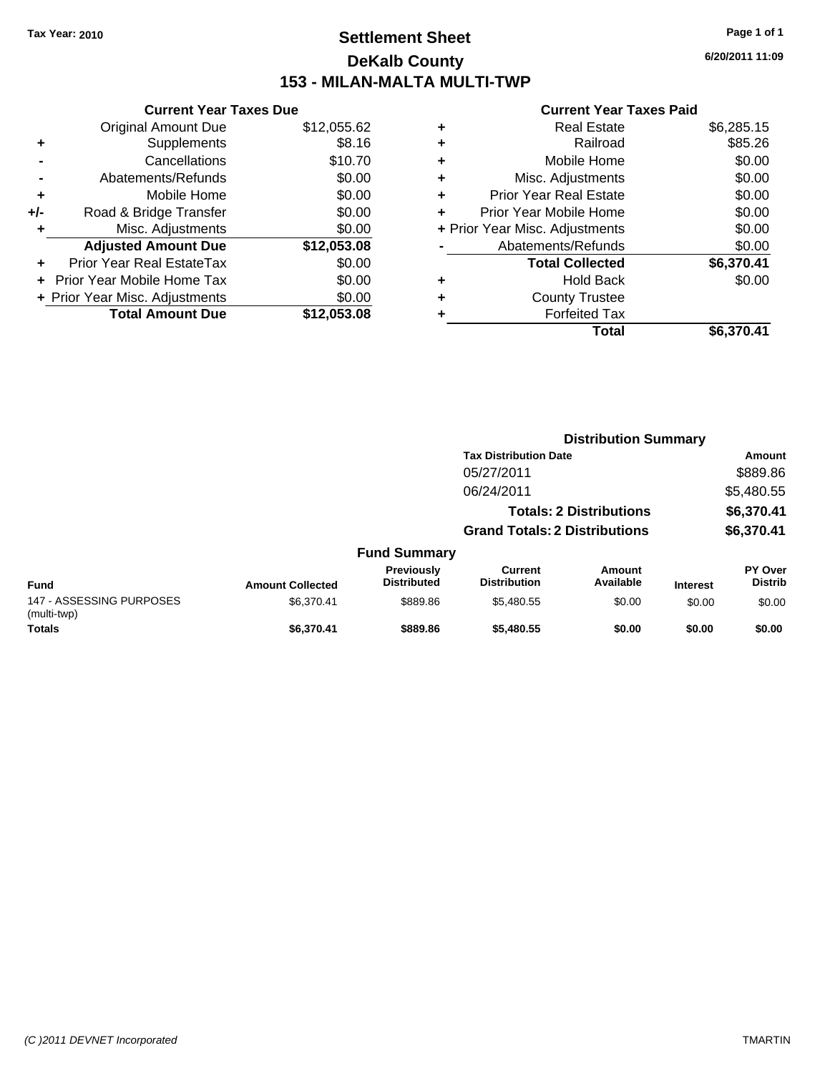### **Settlement Sheet Tax Year: 2010 Page 1 of 1 DeKalb County 153 - MILAN-MALTA MULTI-TWP**

**6/20/2011 11:09**

|     | <b>Current Year Taxes Due</b>  |             |  |
|-----|--------------------------------|-------------|--|
|     | <b>Original Amount Due</b>     | \$12,055.62 |  |
| ٠   | Supplements                    | \$8.16      |  |
|     | Cancellations                  | \$10.70     |  |
|     | Abatements/Refunds             | \$0.00      |  |
| ٠   | Mobile Home                    | \$0.00      |  |
| +/- | Road & Bridge Transfer         | \$0.00      |  |
| ٠   | Misc. Adjustments              | \$0.00      |  |
|     | <b>Adjusted Amount Due</b>     | \$12,053.08 |  |
| ٠   | Prior Year Real EstateTax      | \$0.00      |  |
|     | Prior Year Mobile Home Tax     | \$0.00      |  |
|     | + Prior Year Misc. Adjustments | \$0.00      |  |
|     | <b>Total Amount Due</b>        | \$12,053.08 |  |
|     |                                |             |  |

| <b>Real Estate</b>             | \$6,285.15 |
|--------------------------------|------------|
| Railroad                       | \$85.26    |
| Mobile Home                    | \$0.00     |
| Misc. Adjustments              | \$0.00     |
| <b>Prior Year Real Estate</b>  | \$0.00     |
| Prior Year Mobile Home         | \$0.00     |
| + Prior Year Misc. Adjustments | \$0.00     |
| Abatements/Refunds             | \$0.00     |
| <b>Total Collected</b>         | \$6,370.41 |
| <b>Hold Back</b>               | \$0.00     |
| <b>County Trustee</b>          |            |
| <b>Forfeited Tax</b>           |            |
| Total                          | \$6,370.41 |
|                                |            |

|                                         |                         |                                  | <b>Distribution Summary</b>          |                                |                 |                           |
|-----------------------------------------|-------------------------|----------------------------------|--------------------------------------|--------------------------------|-----------------|---------------------------|
|                                         |                         |                                  | <b>Tax Distribution Date</b>         |                                |                 | Amount                    |
|                                         |                         |                                  | 05/27/2011                           |                                |                 | \$889.86                  |
|                                         |                         |                                  | 06/24/2011                           |                                |                 | \$5,480.55                |
|                                         |                         |                                  |                                      | <b>Totals: 2 Distributions</b> |                 | \$6,370.41                |
|                                         |                         |                                  | <b>Grand Totals: 2 Distributions</b> |                                |                 | \$6,370.41                |
|                                         |                         | <b>Fund Summary</b>              |                                      |                                |                 |                           |
| <b>Fund</b>                             | <b>Amount Collected</b> | Previously<br><b>Distributed</b> | Current<br><b>Distribution</b>       | Amount<br>Available            | <b>Interest</b> | PY Over<br><b>Distrib</b> |
| 147 - ASSESSING PURPOSES<br>(multi-twp) | \$6.370.41              | \$889.86                         | \$5,480.55                           | \$0.00                         | \$0.00          | \$0.00                    |
| <b>Totals</b>                           | \$6,370.41              | \$889.86                         | \$5,480.55                           | \$0.00                         | \$0.00          | \$0.00                    |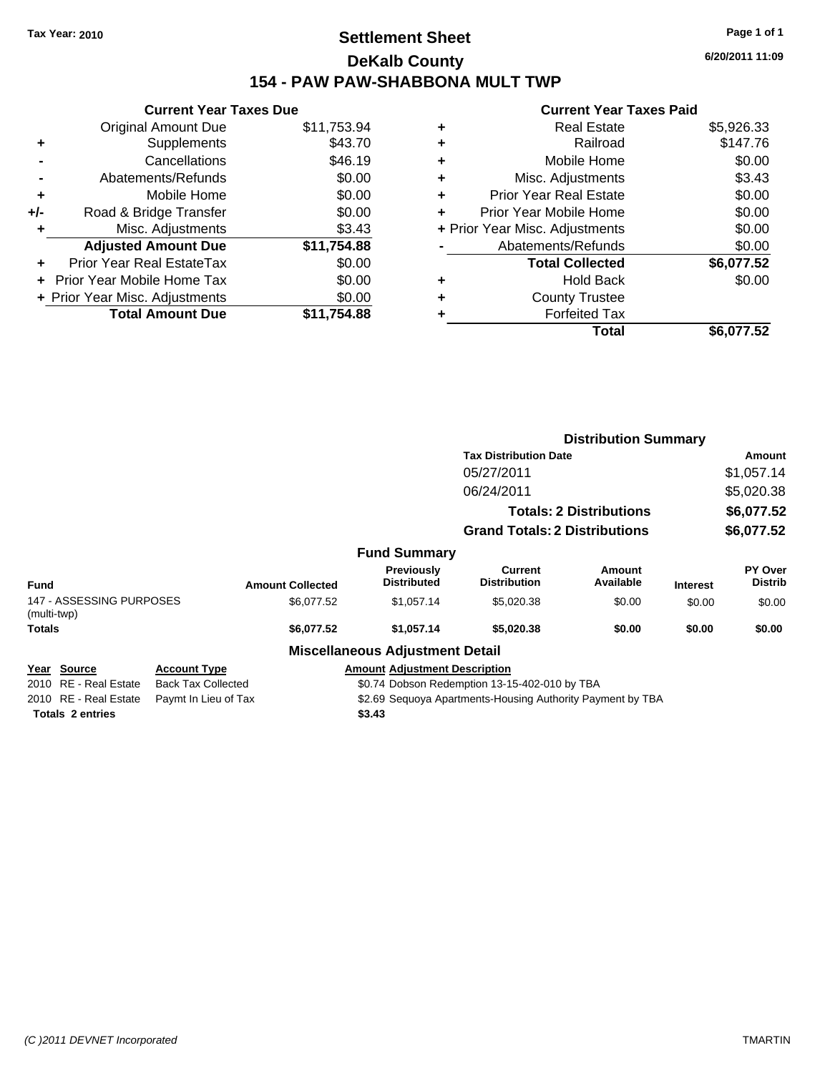### **Settlement Sheet Tax Year: 2010 Page 1 of 1 DeKalb County 154 - PAW PAW-SHABBONA MULT TWP**

**6/20/2011 11:09**

| <b>Original Amount Due</b> | \$11,753.94                                                     |
|----------------------------|-----------------------------------------------------------------|
| Supplements                | \$43.70                                                         |
| Cancellations              | \$46.19                                                         |
| Abatements/Refunds         | \$0.00                                                          |
| Mobile Home                | \$0.00                                                          |
| Road & Bridge Transfer     | \$0.00                                                          |
| Misc. Adjustments          | \$3.43                                                          |
| <b>Adjusted Amount Due</b> | \$11,754.88                                                     |
| Prior Year Real EstateTax  | \$0.00                                                          |
| Prior Year Mobile Home Tax | \$0.00                                                          |
|                            | \$0.00                                                          |
| <b>Total Amount Due</b>    | \$11,754.88                                                     |
|                            | <b>Current Year Taxes Due</b><br>+ Prior Year Misc. Adjustments |

|   | Real Estate                    | \$5,926.33 |
|---|--------------------------------|------------|
| ٠ | Railroad                       | \$147.76   |
| ٠ | Mobile Home                    | \$0.00     |
| ٠ | Misc. Adjustments              | \$3.43     |
| ٠ | <b>Prior Year Real Estate</b>  | \$0.00     |
| ÷ | Prior Year Mobile Home         | \$0.00     |
|   | + Prior Year Misc. Adjustments | \$0.00     |
|   | Abatements/Refunds             | \$0.00     |
|   | <b>Total Collected</b>         | \$6,077.52 |
| ٠ | <b>Hold Back</b>               | \$0.00     |
| ٠ | <b>County Trustee</b>          |            |
|   | <b>Forfeited Tax</b>           |            |
|   | Total                          | \$6.077.52 |

|               |                          |                           |                         |                                                            |                                      | <b>Distribution Summary</b>    |                 |                           |
|---------------|--------------------------|---------------------------|-------------------------|------------------------------------------------------------|--------------------------------------|--------------------------------|-----------------|---------------------------|
|               |                          |                           |                         |                                                            | <b>Tax Distribution Date</b>         |                                |                 | Amount                    |
|               |                          |                           |                         |                                                            | 05/27/2011                           |                                |                 | \$1,057.14                |
|               |                          |                           |                         |                                                            | 06/24/2011                           |                                | \$5,020.38      |                           |
|               |                          |                           |                         |                                                            |                                      | <b>Totals: 2 Distributions</b> |                 | \$6,077.52                |
|               |                          |                           |                         |                                                            | <b>Grand Totals: 2 Distributions</b> |                                |                 | \$6,077.52                |
|               |                          |                           |                         | <b>Fund Summary</b>                                        |                                      |                                |                 |                           |
| Fund          |                          |                           | <b>Amount Collected</b> | <b>Previously</b><br><b>Distributed</b>                    | Current<br><b>Distribution</b>       | Amount<br>Available            | <b>Interest</b> | PY Over<br><b>Distrib</b> |
| (multi-twp)   | 147 - ASSESSING PURPOSES |                           | \$6,077.52              | \$1,057.14                                                 | \$5,020.38                           | \$0.00                         | \$0.00          | \$0.00                    |
| <b>Totals</b> |                          |                           | \$6,077.52              | \$1,057.14                                                 | \$5,020.38                           | \$0.00                         | \$0.00          | \$0.00                    |
|               |                          |                           |                         | <b>Miscellaneous Adjustment Detail</b>                     |                                      |                                |                 |                           |
|               | Year Source              | <u>Account Type</u>       |                         | <b>Amount Adjustment Description</b>                       |                                      |                                |                 |                           |
|               | 2010 RE - Real Estate    | <b>Back Tax Collected</b> |                         | \$0.74 Dobson Redemption 13-15-402-010 by TBA              |                                      |                                |                 |                           |
|               | 2010 RE - Real Estate    | Paymt In Lieu of Tax      |                         | \$2.69 Sequoya Apartments-Housing Authority Payment by TBA |                                      |                                |                 |                           |
|               | <b>Totals 2 entries</b>  |                           |                         | \$3.43                                                     |                                      |                                |                 |                           |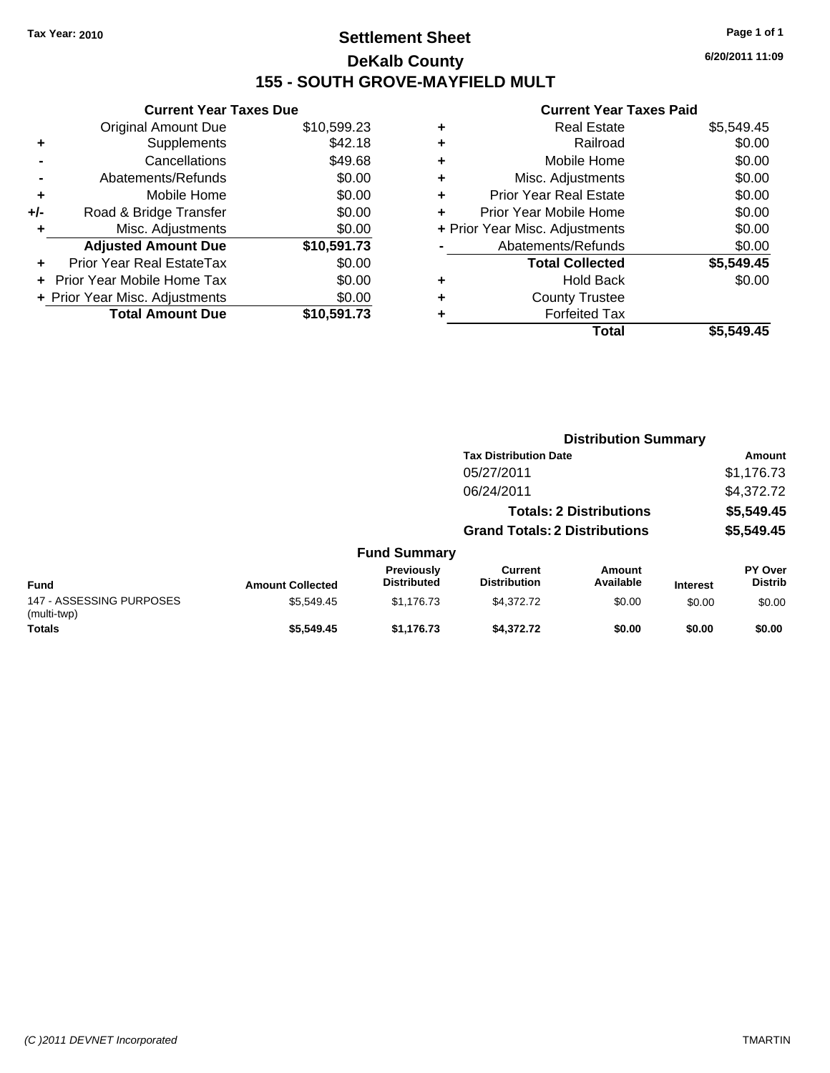### **Settlement Sheet Tax Year: 2010 Page 1 of 1 DeKalb County 155 - SOUTH GROVE-MAYFIELD MULT**

**6/20/2011 11:09**

|     | <b>Current Year Taxes Due</b>  |             |  |
|-----|--------------------------------|-------------|--|
|     | <b>Original Amount Due</b>     | \$10,599.23 |  |
| ٠   | Supplements                    | \$42.18     |  |
|     | Cancellations                  | \$49.68     |  |
|     | Abatements/Refunds             | \$0.00      |  |
| ٠   | Mobile Home                    | \$0.00      |  |
| +/- | Road & Bridge Transfer         | \$0.00      |  |
| ٠   | Misc. Adjustments              | \$0.00      |  |
|     | <b>Adjusted Amount Due</b>     | \$10,591.73 |  |
| ÷   | Prior Year Real EstateTax      | \$0.00      |  |
|     | Prior Year Mobile Home Tax     | \$0.00      |  |
|     | + Prior Year Misc. Adjustments | \$0.00      |  |
|     | <b>Total Amount Due</b>        | \$10,591.73 |  |
|     |                                |             |  |

| \$5,549.45 |
|------------|
| \$0.00     |
| \$0.00     |
| \$0.00     |
| \$0.00     |
| \$0.00     |
| \$0.00     |
| \$0.00     |
| \$5,549.45 |
| \$0.00     |
|            |
|            |
| \$5,549.45 |
|            |

|                                         |                         |                                         | <b>Distribution Summary</b>           |                                |                 |                           |  |
|-----------------------------------------|-------------------------|-----------------------------------------|---------------------------------------|--------------------------------|-----------------|---------------------------|--|
|                                         |                         |                                         | <b>Tax Distribution Date</b>          |                                |                 | Amount                    |  |
|                                         |                         |                                         | 05/27/2011                            |                                |                 | \$1,176.73                |  |
|                                         |                         |                                         | 06/24/2011                            |                                |                 | \$4,372.72                |  |
|                                         |                         |                                         |                                       | <b>Totals: 2 Distributions</b> |                 | \$5,549.45                |  |
|                                         |                         |                                         | <b>Grand Totals: 2 Distributions</b>  |                                |                 | \$5,549.45                |  |
|                                         |                         | <b>Fund Summary</b>                     |                                       |                                |                 |                           |  |
| <b>Fund</b>                             | <b>Amount Collected</b> | <b>Previously</b><br><b>Distributed</b> | <b>Current</b><br><b>Distribution</b> | Amount<br>Available            | <b>Interest</b> | PY Over<br><b>Distrib</b> |  |
| 147 - ASSESSING PURPOSES<br>(multi-twp) | \$5,549.45              | \$1,176.73                              | \$4,372.72                            | \$0.00                         | \$0.00          | \$0.00                    |  |
| <b>Totals</b>                           | \$5,549.45              | \$1,176.73                              | \$4,372.72                            | \$0.00                         | \$0.00          | \$0.00                    |  |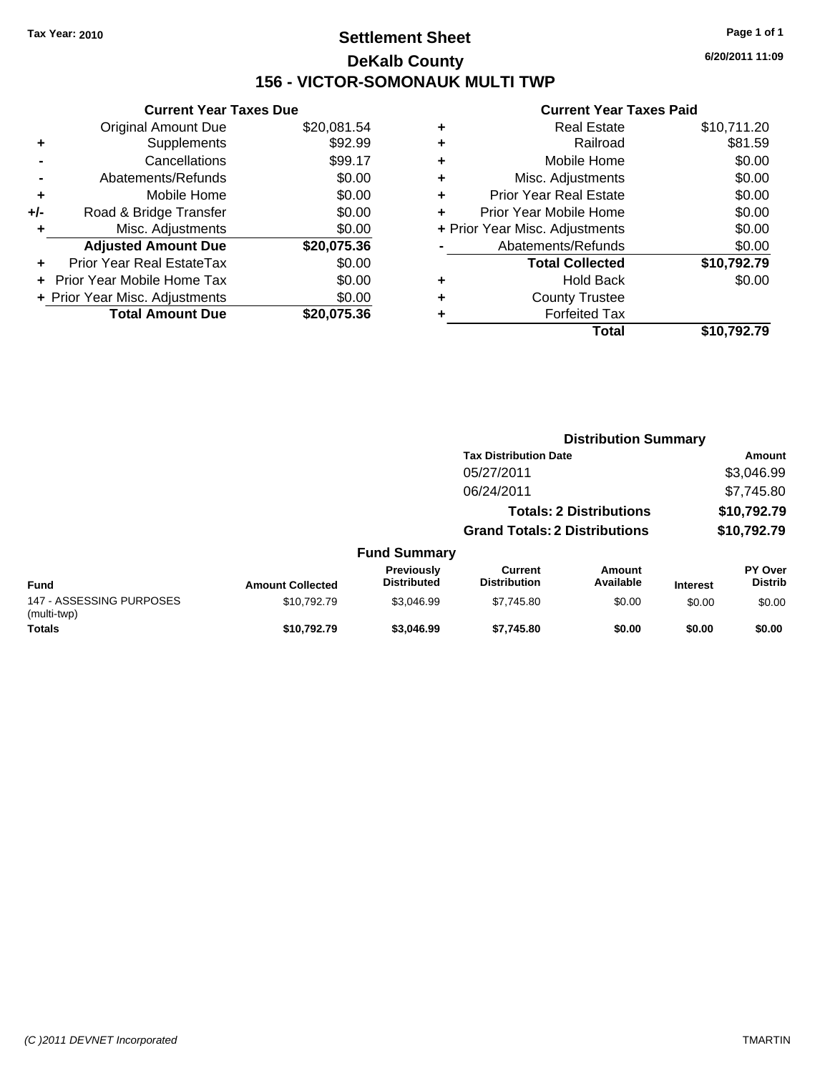### **Settlement Sheet Tax Year: 2010 Page 1 of 1 DeKalb County 156 - VICTOR-SOMONAUK MULTI TWP**

**6/20/2011 11:09**

|     | <b>Current Year Taxes Due</b>  |             |
|-----|--------------------------------|-------------|
|     | <b>Original Amount Due</b>     | \$20,081.54 |
| ٠   | Supplements                    | \$92.99     |
|     | Cancellations                  | \$99.17     |
|     | Abatements/Refunds             | \$0.00      |
| ÷   | Mobile Home                    | \$0.00      |
| +/- | Road & Bridge Transfer         | \$0.00      |
|     | Misc. Adjustments              | \$0.00      |
|     | <b>Adjusted Amount Due</b>     | \$20,075.36 |
|     | Prior Year Real EstateTax      | \$0.00      |
|     | Prior Year Mobile Home Tax     | \$0.00      |
|     | + Prior Year Misc. Adjustments | \$0.00      |
|     | <b>Total Amount Due</b>        | \$20,075,36 |
|     |                                |             |

|   | Total                          | \$10,792.79 |
|---|--------------------------------|-------------|
| ٠ | <b>Forfeited Tax</b>           |             |
| ٠ | <b>County Trustee</b>          |             |
| ٠ | <b>Hold Back</b>               | \$0.00      |
|   | <b>Total Collected</b>         | \$10,792.79 |
|   | Abatements/Refunds             | \$0.00      |
|   | + Prior Year Misc. Adjustments | \$0.00      |
| ٠ | Prior Year Mobile Home         | \$0.00      |
| ÷ | <b>Prior Year Real Estate</b>  | \$0.00      |
| ٠ | Misc. Adjustments              | \$0.00      |
| ٠ | Mobile Home                    | \$0.00      |
| ٠ | Railroad                       | \$81.59     |
| ٠ | <b>Real Estate</b>             | \$10,711.20 |
|   |                                |             |

|                                         |                         |                                  | <b>Distribution Summary</b>           |                                |                 |                           |
|-----------------------------------------|-------------------------|----------------------------------|---------------------------------------|--------------------------------|-----------------|---------------------------|
|                                         |                         |                                  | <b>Tax Distribution Date</b>          |                                |                 | Amount                    |
|                                         |                         |                                  | 05/27/2011                            |                                |                 | \$3,046.99                |
|                                         |                         |                                  | 06/24/2011                            |                                |                 | \$7,745.80                |
|                                         |                         |                                  |                                       | <b>Totals: 2 Distributions</b> |                 | \$10,792.79               |
|                                         |                         |                                  | <b>Grand Totals: 2 Distributions</b>  |                                |                 | \$10,792.79               |
|                                         |                         | <b>Fund Summary</b>              |                                       |                                |                 |                           |
| <b>Fund</b>                             | <b>Amount Collected</b> | Previously<br><b>Distributed</b> | <b>Current</b><br><b>Distribution</b> | Amount<br>Available            | <b>Interest</b> | PY Over<br><b>Distrib</b> |
| 147 - ASSESSING PURPOSES<br>(multi-twp) | \$10,792.79             | \$3,046.99                       | \$7,745.80                            | \$0.00                         | \$0.00          | \$0.00                    |
| <b>Totals</b>                           | \$10,792.79             | \$3,046.99                       | \$7,745.80                            | \$0.00                         | \$0.00          | \$0.00                    |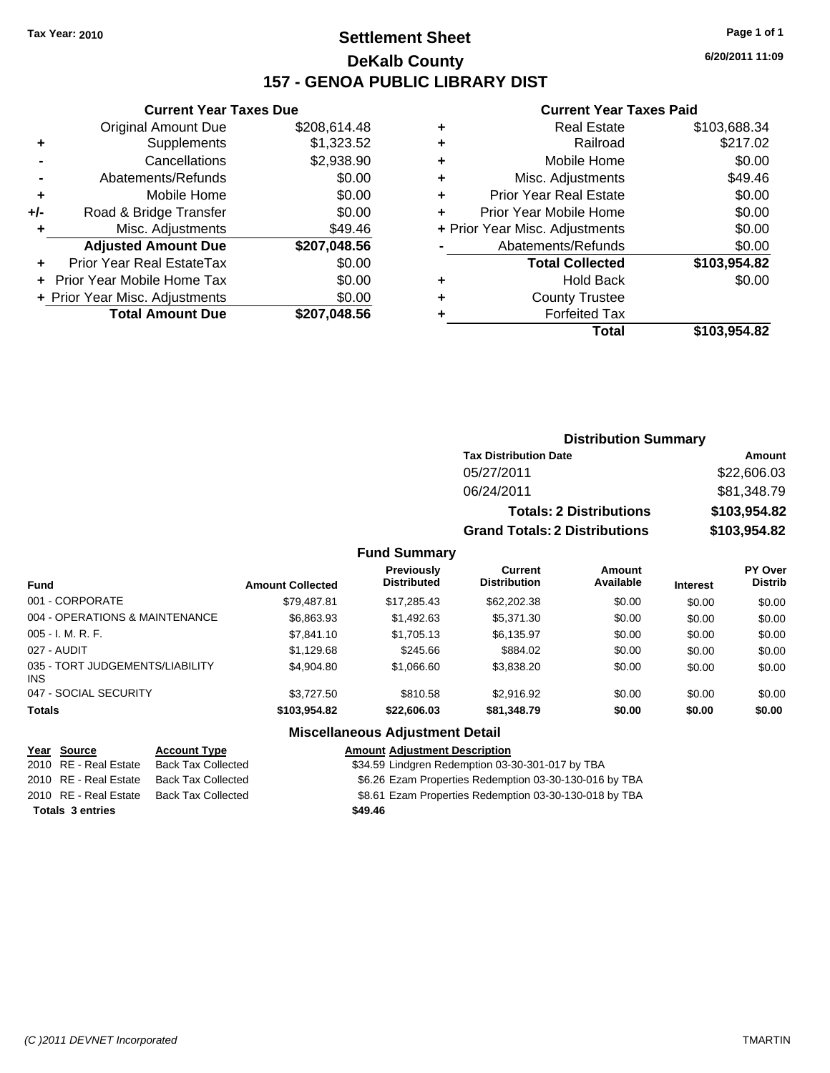### **Settlement Sheet Tax Year: 2010 Page 1 of 1 DeKalb County 157 - GENOA PUBLIC LIBRARY DIST**

#### **Current Year Taxes Due**

| <b>Original Amount Due</b>        | \$208,614.48                   |
|-----------------------------------|--------------------------------|
| Supplements                       | \$1,323.52                     |
| Cancellations                     | \$2,938.90                     |
| Abatements/Refunds                | \$0.00                         |
| Mobile Home                       | \$0.00                         |
| Road & Bridge Transfer            | \$0.00                         |
| Misc. Adjustments                 | \$49.46                        |
| <b>Adjusted Amount Due</b>        | \$207,048.56                   |
| Prior Year Real EstateTax         | \$0.00                         |
| <b>Prior Year Mobile Home Tax</b> | \$0.00                         |
|                                   | \$0.00                         |
| <b>Total Amount Due</b>           | \$207,048.56                   |
|                                   | + Prior Year Misc. Adjustments |

#### **Current Year Taxes Paid**

|   | <b>Real Estate</b>             | \$103,688.34 |
|---|--------------------------------|--------------|
| ٠ | Railroad                       | \$217.02     |
| ٠ | Mobile Home                    | \$0.00       |
| ٠ | Misc. Adjustments              | \$49.46      |
| ٠ | <b>Prior Year Real Estate</b>  | \$0.00       |
|   | Prior Year Mobile Home         | \$0.00       |
|   | + Prior Year Misc. Adjustments | \$0.00       |
|   | Abatements/Refunds             | \$0.00       |
|   | <b>Total Collected</b>         | \$103,954.82 |
| ٠ | Hold Back                      | \$0.00       |
| ٠ | <b>County Trustee</b>          |              |
|   | <b>Forfeited Tax</b>           |              |
|   | Total                          | \$103,954.82 |
|   |                                |              |

### **Distribution Summary Tax Distribution Date Amount** 05/27/2011 \$22,606.03 06/24/2011 \$81,348.79 **Totals: 2 Distributions \$103,954.82 Grand Totals: 2 Distributions \$103,954.82**

#### **Fund Summary**

| <b>Fund</b>                                   | <b>Amount Collected</b> | <b>Previously</b><br><b>Distributed</b> | Current<br><b>Distribution</b> | Amount<br>Available | <b>Interest</b> | PY Over<br><b>Distrib</b> |
|-----------------------------------------------|-------------------------|-----------------------------------------|--------------------------------|---------------------|-----------------|---------------------------|
| 001 - CORPORATE                               | \$79,487.81             | \$17,285.43                             | \$62,202.38                    | \$0.00              | \$0.00          | \$0.00                    |
| 004 - OPERATIONS & MAINTENANCE                | \$6,863.93              | \$1,492.63                              | \$5,371,30                     | \$0.00              | \$0.00          | \$0.00                    |
| $005 - I. M. R. F.$                           | \$7,841.10              | \$1,705.13                              | \$6,135.97                     | \$0.00              | \$0.00          | \$0.00                    |
| 027 - AUDIT                                   | \$1,129.68              | \$245.66                                | \$884.02                       | \$0.00              | \$0.00          | \$0.00                    |
| 035 - TORT JUDGEMENTS/LIABILITY<br><b>INS</b> | \$4.904.80              | \$1.066.60                              | \$3,838,20                     | \$0.00              | \$0.00          | \$0.00                    |
| 047 - SOCIAL SECURITY                         | \$3.727.50              | \$810.58                                | \$2.916.92                     | \$0.00              | \$0.00          | \$0.00                    |
| <b>Totals</b>                                 | \$103.954.82            | \$22,606.03                             | \$81,348.79                    | \$0.00              | \$0.00          | \$0.00                    |

| <u>Year Source</u>      | <b>Account Type</b>       | <b>Amount Adjustment Description</b>                   |
|-------------------------|---------------------------|--------------------------------------------------------|
| 2010 RE - Real Estate   | <b>Back Tax Collected</b> | \$34.59 Lindgren Redemption 03-30-301-017 by TBA       |
| 2010 RE - Real Estate   | Back Tax Collected        | \$6.26 Ezam Properties Redemption 03-30-130-016 by TBA |
| 2010 RE - Real Estate   | Back Tax Collected        | \$8.61 Ezam Properties Redemption 03-30-130-018 by TBA |
| <b>Totals 3 entries</b> |                           | \$49.46                                                |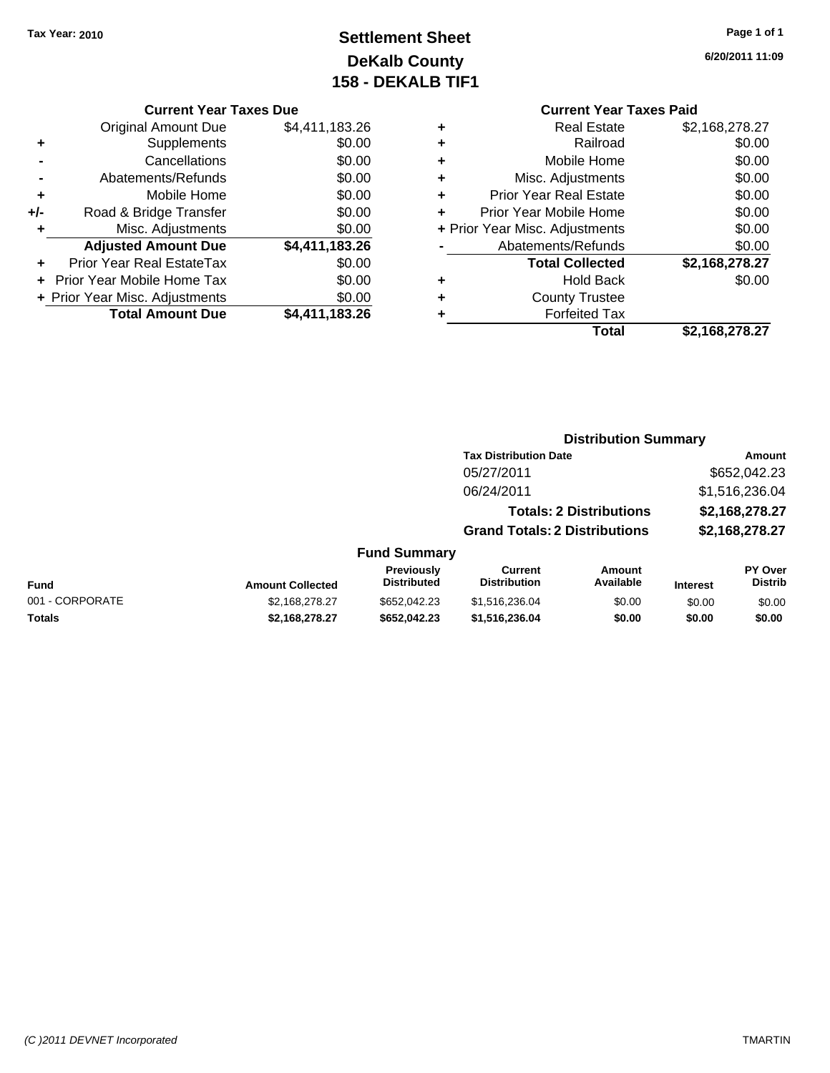## **Settlement Sheet Tax Year: 2010 Page 1 of 1 DeKalb County 158 - DEKALB TIF1**

**6/20/2011 11:09**

#### **Current Year Taxes Due**

|     | <b>Original Amount Due</b>     | \$4,411,183.26 |
|-----|--------------------------------|----------------|
|     | Supplements                    | \$0.00         |
|     | Cancellations                  | \$0.00         |
|     | Abatements/Refunds             | \$0.00         |
| ٠   | Mobile Home                    | \$0.00         |
| +/- | Road & Bridge Transfer         | \$0.00         |
| ٠   | Misc. Adjustments              | \$0.00         |
|     | <b>Adjusted Amount Due</b>     | \$4,411,183.26 |
|     | Prior Year Real EstateTax      | \$0.00         |
|     | Prior Year Mobile Home Tax     | \$0.00         |
|     | + Prior Year Misc. Adjustments | \$0.00         |
|     | <b>Total Amount Due</b>        | \$4,411,183.26 |

### **Current Year Taxes Paid**

|   | <b>Real Estate</b>             | \$2,168,278.27 |
|---|--------------------------------|----------------|
| ٠ | Railroad                       | \$0.00         |
| ٠ | Mobile Home                    | \$0.00         |
| ٠ | Misc. Adjustments              | \$0.00         |
| ٠ | <b>Prior Year Real Estate</b>  | \$0.00         |
| ÷ | Prior Year Mobile Home         | \$0.00         |
|   | + Prior Year Misc. Adjustments | \$0.00         |
|   | Abatements/Refunds             | \$0.00         |
|   | <b>Total Collected</b>         | \$2,168,278.27 |
| ٠ | <b>Hold Back</b>               | \$0.00         |
| ٠ | <b>County Trustee</b>          |                |
| ٠ | <b>Forfeited Tax</b>           |                |
|   | Total                          | \$2,168,278.27 |
|   |                                |                |

### **Distribution Summary**

|                     | <b>Tax Distribution Date</b>         | Amount         |
|---------------------|--------------------------------------|----------------|
|                     | 05/27/2011                           | \$652,042.23   |
|                     | 06/24/2011                           | \$1,516,236.04 |
|                     | <b>Totals: 2 Distributions</b>       | \$2,168,278.27 |
|                     | <b>Grand Totals: 2 Distributions</b> | \$2,168,278.27 |
| <b>Fund Summary</b> |                                      |                |

#### **Fund Interest Amount Collected Distributed PY Over Distrib Amount Available Current Distribution Previously** 001 - CORPORATE 6000 \$2,168,278.27 \$652,042.23 \$1,516,236.04 \$0.00 \$0.00 \$0.00 **Totals \$2,168,278.27 \$652,042.23 \$1,516,236.04 \$0.00 \$0.00 \$0.00**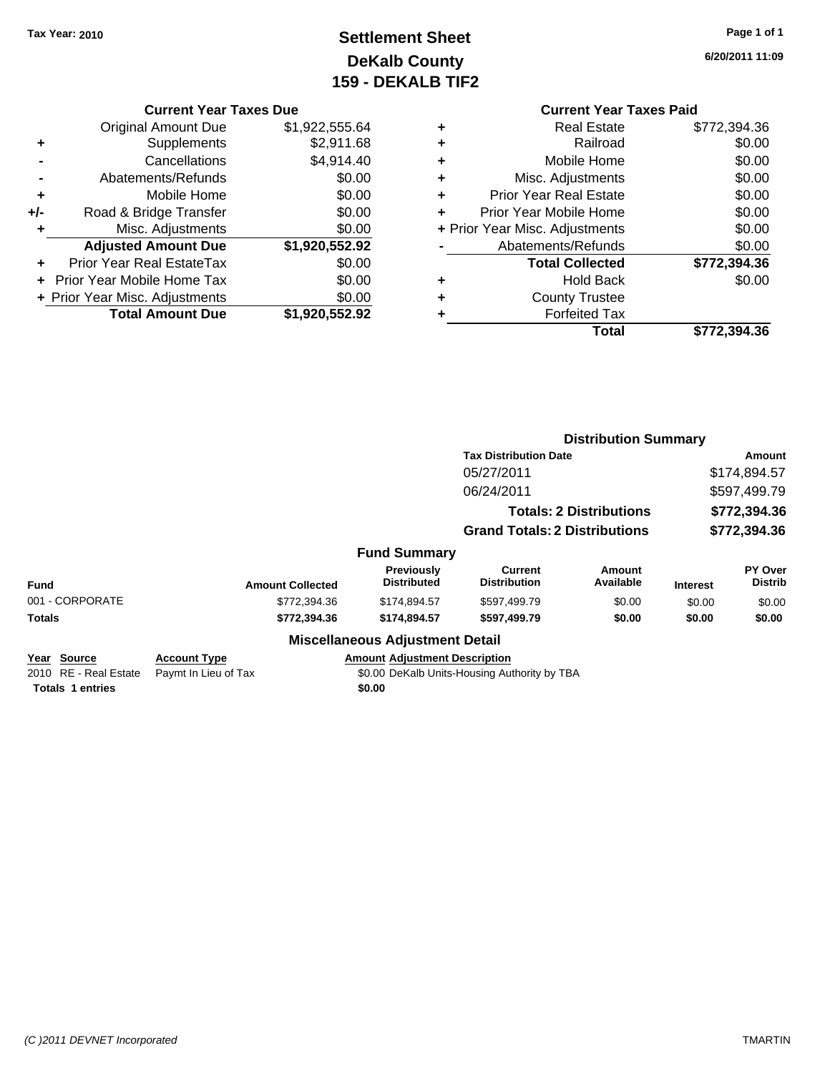## **Settlement Sheet Tax Year: 2010 Page 1 of 1 DeKalb County 159 - DEKALB TIF2**

**6/20/2011 11:09**

|       | <b>Current Year Taxes Due</b>  |                |
|-------|--------------------------------|----------------|
|       | <b>Original Amount Due</b>     | \$1,922,555.64 |
| ٠     | Supplements                    | \$2,911.68     |
|       | Cancellations                  | \$4,914.40     |
|       | Abatements/Refunds             | \$0.00         |
| ٠     | Mobile Home                    | \$0.00         |
| $+/-$ | Road & Bridge Transfer         | \$0.00         |
| ٠     | Misc. Adjustments              | \$0.00         |
|       | <b>Adjusted Amount Due</b>     | \$1,920,552.92 |
|       | Prior Year Real EstateTax      | \$0.00         |
|       | Prior Year Mobile Home Tax     | \$0.00         |
|       | + Prior Year Misc. Adjustments | \$0.00         |
|       | <b>Total Amount Due</b>        | \$1,920,552.92 |
|       |                                |                |

| <b>Current Year Taxes Paid</b>     |              |
|------------------------------------|--------------|
| Real Estate<br>÷                   | \$772,394.36 |
| Railroad<br>٠                      | \$0.00       |
| Mobile Home<br>٠                   | \$0.00       |
| Misc. Adjustments<br>٠             | \$0.00       |
| <b>Prior Year Real Estate</b><br>٠ | \$0.00       |
| Prior Year Mobile Home<br>÷        | \$0.00       |
| + Prior Year Misc. Adjustments     | \$0.00       |
| Abatements/Refunds                 | \$0.00       |
| <b>Total Collected</b>             | \$772,394.36 |
| Hold Back<br>٠                     | \$0.00       |
| <b>County Trustee</b>              |              |
| <b>Forfeited Tax</b><br>٠          |              |
| Total                              | \$772,394.36 |

|                         |                         |                                         | <b>Distribution Summary</b>                  |                                |                 |                                  |
|-------------------------|-------------------------|-----------------------------------------|----------------------------------------------|--------------------------------|-----------------|----------------------------------|
|                         |                         |                                         | <b>Tax Distribution Date</b>                 |                                |                 | Amount                           |
|                         |                         |                                         | 05/27/2011                                   |                                |                 | \$174,894.57                     |
|                         |                         |                                         | 06/24/2011                                   |                                |                 | \$597,499.79                     |
|                         |                         |                                         |                                              | <b>Totals: 2 Distributions</b> |                 | \$772,394.36                     |
|                         |                         |                                         | <b>Grand Totals: 2 Distributions</b>         |                                |                 | \$772,394.36                     |
|                         |                         | <b>Fund Summary</b>                     |                                              |                                |                 |                                  |
| Fund                    | <b>Amount Collected</b> | <b>Previously</b><br><b>Distributed</b> | <b>Current</b><br><b>Distribution</b>        | Amount<br>Available            | <b>Interest</b> | <b>PY Over</b><br><b>Distrib</b> |
| 001 - CORPORATE         | \$772,394.36            | \$174,894.57                            | \$597,499.79                                 | \$0.00                         | \$0.00          | \$0.00                           |
| <b>Totals</b>           | \$772,394.36            | \$174,894.57                            | \$597,499.79                                 | \$0.00                         | \$0.00          | \$0.00                           |
|                         |                         | <b>Miscellaneous Adjustment Detail</b>  |                                              |                                |                 |                                  |
| Year Source             | <b>Account Type</b>     | <b>Amount Adjustment Description</b>    |                                              |                                |                 |                                  |
| 2010 RE - Real Estate   | Paymt In Lieu of Tax    |                                         | \$0.00 DeKalb Units-Housing Authority by TBA |                                |                 |                                  |
| <b>Totals 1 entries</b> |                         | \$0.00                                  |                                              |                                |                 |                                  |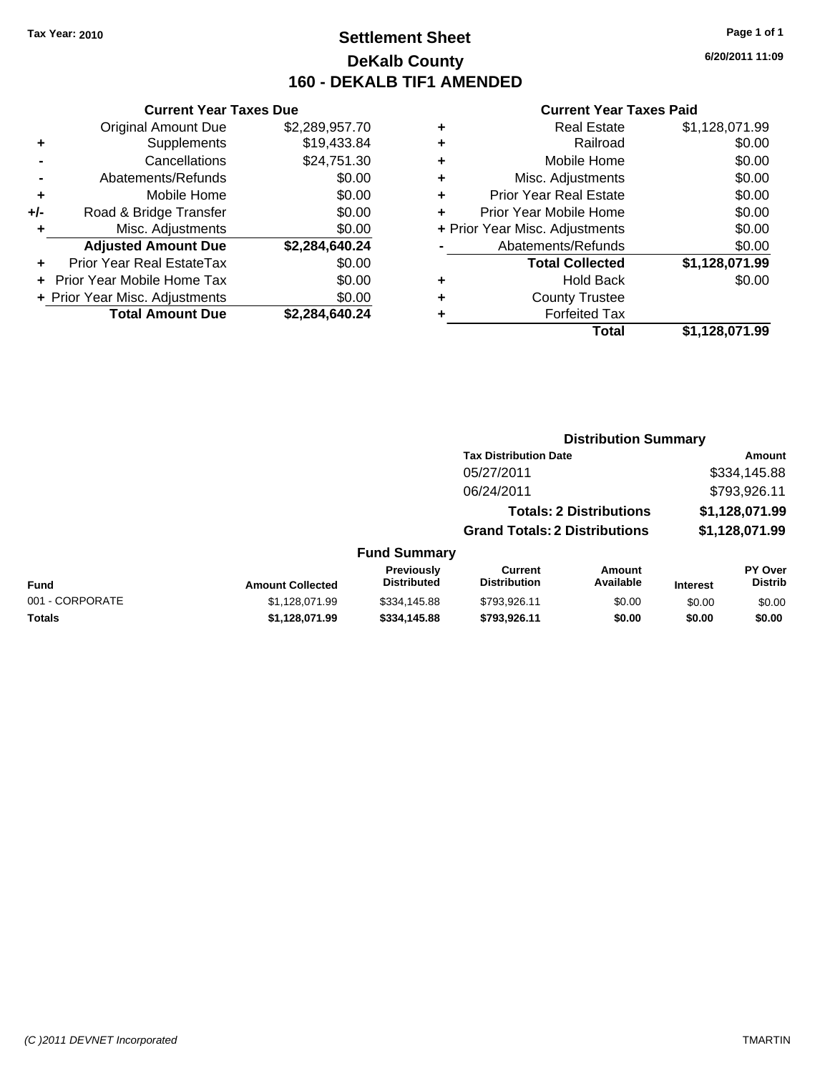### **Settlement Sheet Tax Year: 2010 Page 1 of 1 DeKalb County 160 - DEKALB TIF1 AMENDED**

**6/20/2011 11:09**

#### **Current Year Taxes Paid**

|     | <b>Current Year Taxes Due</b>  |                |  |  |  |
|-----|--------------------------------|----------------|--|--|--|
|     | <b>Original Amount Due</b>     | \$2,289,957.70 |  |  |  |
| ٠   | Supplements                    | \$19,433.84    |  |  |  |
|     | Cancellations                  | \$24,751.30    |  |  |  |
|     | Abatements/Refunds             | \$0.00         |  |  |  |
| ٠   | Mobile Home                    | \$0.00         |  |  |  |
| +/- | Road & Bridge Transfer         | \$0.00         |  |  |  |
| ٠   | Misc. Adjustments              | \$0.00         |  |  |  |
|     | <b>Adjusted Amount Due</b>     | \$2,284,640.24 |  |  |  |
| ٠   | Prior Year Real EstateTax      | \$0.00         |  |  |  |
|     | Prior Year Mobile Home Tax     | \$0.00         |  |  |  |
|     | + Prior Year Misc. Adjustments | \$0.00         |  |  |  |
|     | <b>Total Amount Due</b>        | \$2,284,640.24 |  |  |  |
|     |                                |                |  |  |  |

| ٠ | <b>Real Estate</b>             | \$1,128,071.99 |
|---|--------------------------------|----------------|
| ٠ | Railroad                       | \$0.00         |
| ٠ | Mobile Home                    | \$0.00         |
| ٠ | Misc. Adjustments              | \$0.00         |
| ٠ | <b>Prior Year Real Estate</b>  | \$0.00         |
| ٠ | Prior Year Mobile Home         | \$0.00         |
|   | + Prior Year Misc. Adjustments | \$0.00         |
|   | Abatements/Refunds             | \$0.00         |
|   | <b>Total Collected</b>         | \$1,128,071.99 |
| ٠ | <b>Hold Back</b>               | \$0.00         |
| ٠ | <b>County Trustee</b>          |                |
| ۰ | <b>Forfeited Tax</b>           |                |
|   | Total                          | \$1,128,071.99 |
|   |                                |                |

#### **Distribution Summary**

|                     | <b>Tax Distribution Date</b>         | Amount         |
|---------------------|--------------------------------------|----------------|
|                     | 05/27/2011                           | \$334,145.88   |
|                     | 06/24/2011                           | \$793,926.11   |
|                     | <b>Totals: 2 Distributions</b>       | \$1,128,071.99 |
|                     | <b>Grand Totals: 2 Distributions</b> | \$1,128,071.99 |
| <b>Fund Summary</b> |                                      |                |

#### **Fund Interest Amount Collected Distributed PY Over Distrib Amount Available Current Distribution Previously** 001 - CORPORATE 6000 \$1,128,071.99 \$334,145.88 \$793,926.11 \$0.00 \$0.00 \$0.00 \$0.00 **Totals \$1,128,071.99 \$334,145.88 \$793,926.11 \$0.00 \$0.00 \$0.00**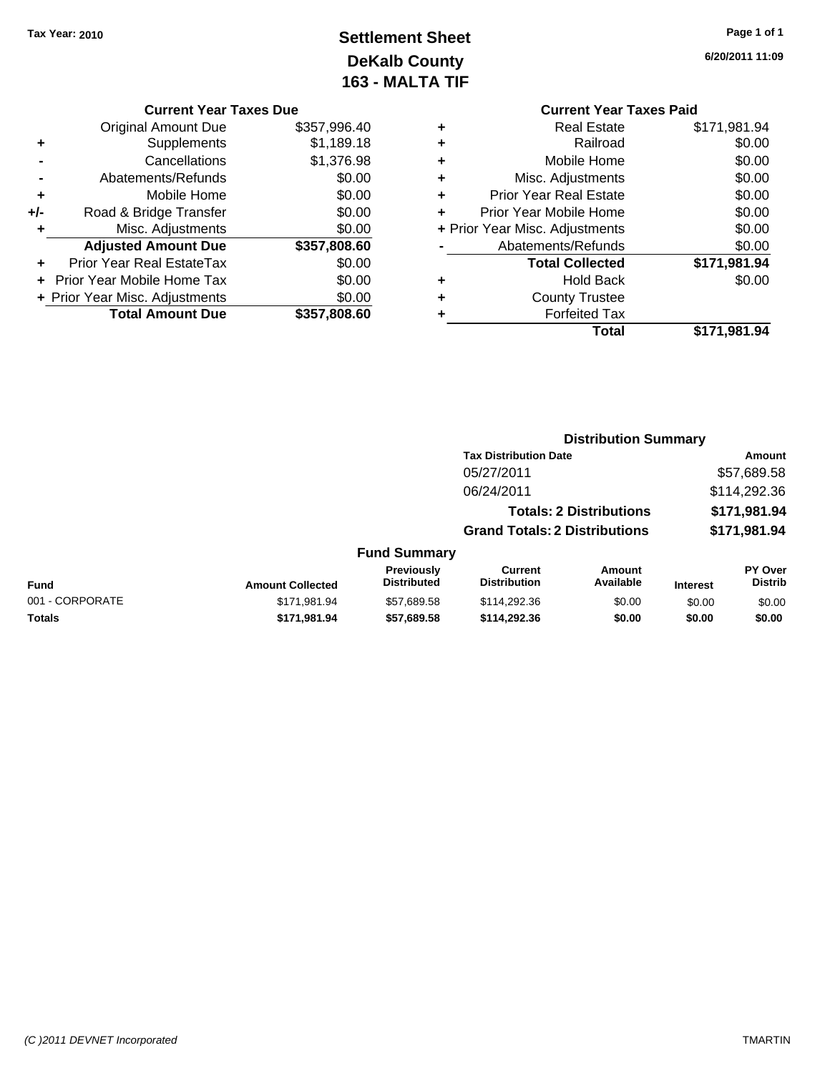### **Settlement Sheet Tax Year: 2010 Page 1 of 1 DeKalb County 163 - MALTA TIF**

**6/20/2011 11:09**

|     | <b>Original Amount Due</b>       | \$357,996.40 |
|-----|----------------------------------|--------------|
| ٠   | Supplements                      | \$1,189.18   |
|     | Cancellations                    | \$1,376.98   |
|     | Abatements/Refunds               | \$0.00       |
| ٠   | Mobile Home                      | \$0.00       |
| +/- | Road & Bridge Transfer           | \$0.00       |
| ٠   | Misc. Adjustments                | \$0.00       |
|     | <b>Adjusted Amount Due</b>       | \$357,808.60 |
|     | <b>Prior Year Real EstateTax</b> | \$0.00       |
|     | Prior Year Mobile Home Tax       | \$0.00       |
|     | + Prior Year Misc. Adjustments   | \$0.00       |
|     | <b>Total Amount Due</b>          | \$357,808.60 |

### **Current Year Taxes Paid +** Real Estate \$171,981.94 **+** Railroad \$0.00 **+** Mobile Home \$0.00 **+** Misc. Adjustments \$0.00 **+** Prior Year Real Estate \$0.00 **+** Prior Year Mobile Home \$0.00 **+** Prior Year Misc. Adjustments  $\text{\$0.00}$ Abatements/Refunds \$0.00 **Total Collected \$171,981.94 +** Hold Back \$0.00 **+** County Trustee **+** Forfeited Tax **Total \$171,981.94**

**Distribution Summary Tax Distribution Date Amount** 

#### 05/27/2011 \$57,689.58 06/24/2011 \$114,292.36 **Totals: 2 Distributions \$171,981.94 Grand Totals: 2 Distributions \$171,981.94 Fund Summary Fund Interest Amount Collected Distributed PY Over Distrib Amount Available Current Distribution Previously** 001 - CORPORATE 6 \$171,981.94 \$57,689.58 \$114,292.36 \$0.00 \$0.00 \$0.00 \$0.00 \$0.00 \$0.00 \$0.00 \$0.00 \$0.00 **Totals \$171,981.94 \$57,689.58 \$114,292.36 \$0.00 \$0.00 \$0.00**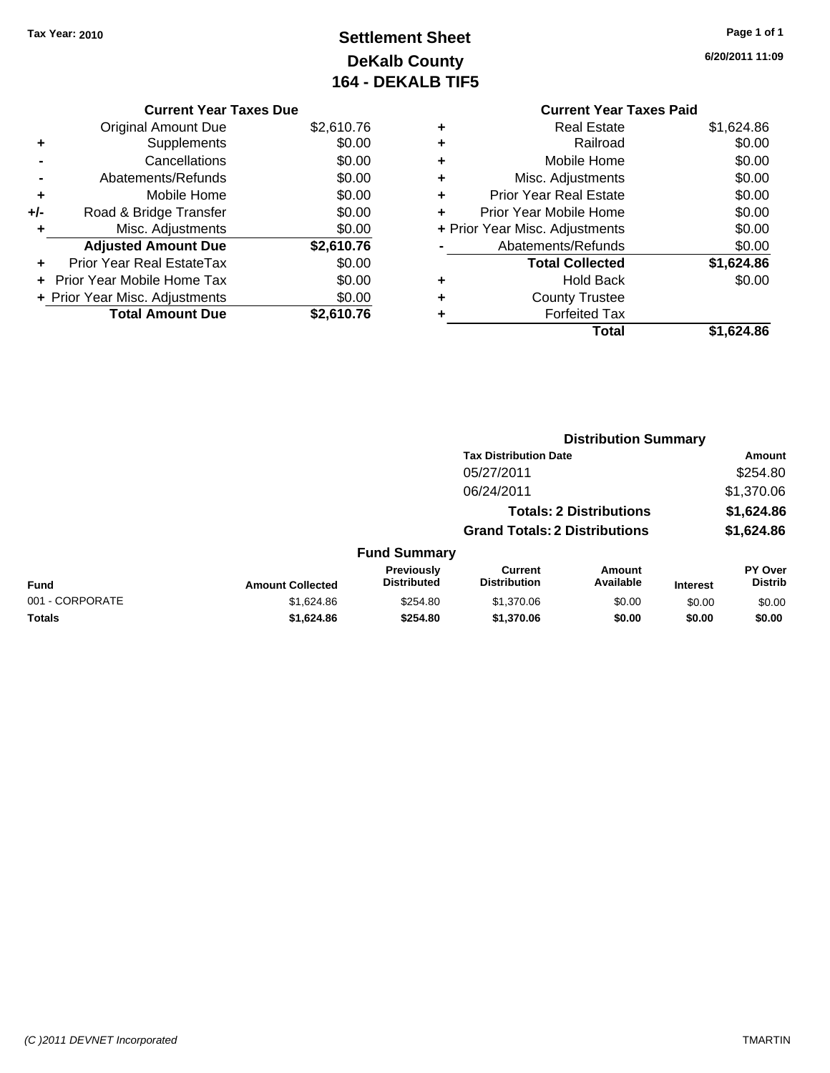# **Settlement Sheet Tax Year: 2010 Page 1 of 1 DeKalb County 164 - DEKALB TIF5**

**6/20/2011 11:09**

|     | <b>Current Year Taxes Due</b>  |            |
|-----|--------------------------------|------------|
|     | <b>Original Amount Due</b>     | \$2,610.76 |
|     | Supplements                    | \$0.00     |
|     | Cancellations                  | \$0.00     |
|     | Abatements/Refunds             | \$0.00     |
| ٠   | Mobile Home                    | \$0.00     |
| +/- | Road & Bridge Transfer         | \$0.00     |
|     | Misc. Adjustments              | \$0.00     |
|     | <b>Adjusted Amount Due</b>     | \$2,610.76 |
|     | Prior Year Real EstateTax      | \$0.00     |
|     | Prior Year Mobile Home Tax     | \$0.00     |
|     | + Prior Year Misc. Adjustments | \$0.00     |
|     | <b>Total Amount Due</b>        | \$2,610.76 |
|     |                                |            |

### **Current Year Taxes Paid +** Real Estate \$1,624.86

|   | Railroad                       | \$0.00     |
|---|--------------------------------|------------|
| ٠ | Mobile Home                    | \$0.00     |
| ٠ | Misc. Adjustments              | \$0.00     |
| ٠ | <b>Prior Year Real Estate</b>  | \$0.00     |
| ÷ | Prior Year Mobile Home         | \$0.00     |
|   | + Prior Year Misc. Adjustments | \$0.00     |
|   | Abatements/Refunds             | \$0.00     |
|   | <b>Total Collected</b>         | \$1,624.86 |
|   | <b>Hold Back</b>               | \$0.00     |
| ٠ | <b>County Trustee</b>          |            |
|   | <b>Forfeited Tax</b>           |            |
|   | Total                          | \$1.624.86 |

|                 |                         |                                  | <b>Distribution Summary</b>           |                                |                 |                           |  |
|-----------------|-------------------------|----------------------------------|---------------------------------------|--------------------------------|-----------------|---------------------------|--|
|                 |                         |                                  | <b>Tax Distribution Date</b>          |                                |                 | Amount                    |  |
|                 |                         |                                  | 05/27/2011                            |                                |                 | \$254.80                  |  |
|                 |                         |                                  | 06/24/2011                            |                                |                 | \$1,370.06                |  |
|                 |                         |                                  |                                       | <b>Totals: 2 Distributions</b> |                 | \$1,624.86                |  |
|                 |                         |                                  | <b>Grand Totals: 2 Distributions</b>  |                                |                 | \$1,624.86                |  |
|                 |                         | <b>Fund Summary</b>              |                                       |                                |                 |                           |  |
| Fund            | <b>Amount Collected</b> | Previously<br><b>Distributed</b> | <b>Current</b><br><b>Distribution</b> | <b>Amount</b><br>Available     | <b>Interest</b> | PY Over<br><b>Distrib</b> |  |
| 001 - CORPORATE | \$1,624.86              | \$254.80                         | \$1,370.06                            | \$0.00                         | \$0.00          | \$0.00                    |  |
| Totals          | \$1,624.86              | \$254.80                         | \$1,370.06                            | \$0.00                         | \$0.00          | \$0.00                    |  |
|                 |                         |                                  |                                       |                                |                 |                           |  |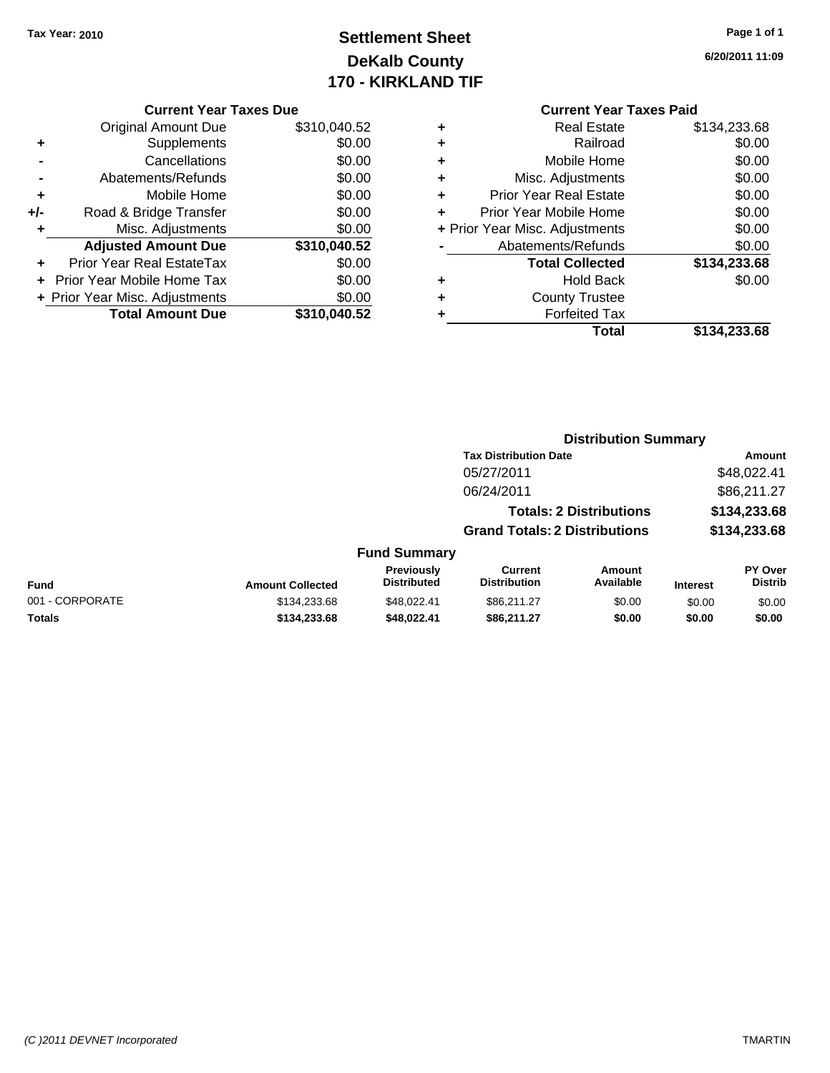# **Settlement Sheet Tax Year: 2010 Page 1 of 1 DeKalb County 170 - KIRKLAND TIF**

**6/20/2011 11:09**

|     | <b>Current Year Taxes Due</b>     |              |
|-----|-----------------------------------|--------------|
|     | <b>Original Amount Due</b>        | \$310,040.52 |
| ٠   | Supplements                       | \$0.00       |
|     | Cancellations                     | \$0.00       |
|     | Abatements/Refunds                | \$0.00       |
| ٠   | Mobile Home                       | \$0.00       |
| +/- | Road & Bridge Transfer            | \$0.00       |
|     | Misc. Adjustments                 | \$0.00       |
|     | <b>Adjusted Amount Due</b>        | \$310,040.52 |
|     | Prior Year Real EstateTax         | \$0.00       |
|     | <b>Prior Year Mobile Home Tax</b> | \$0.00       |
|     | + Prior Year Misc. Adjustments    | \$0.00       |
|     | <b>Total Amount Due</b>           | \$310,040.52 |
|     |                                   |              |

### **Current Year Taxes Paid**

|   | <b>Real Estate</b>             | \$134,233.68 |
|---|--------------------------------|--------------|
| ÷ | Railroad                       | \$0.00       |
| ٠ | Mobile Home                    | \$0.00       |
| ٠ | Misc. Adjustments              | \$0.00       |
| ٠ | <b>Prior Year Real Estate</b>  | \$0.00       |
|   | Prior Year Mobile Home         | \$0.00       |
|   | + Prior Year Misc. Adjustments | \$0.00       |
|   | Abatements/Refunds             | \$0.00       |
|   | <b>Total Collected</b>         | \$134,233.68 |
| ٠ | <b>Hold Back</b>               | \$0.00       |
|   | <b>County Trustee</b>          |              |
|   | <b>Forfeited Tax</b>           |              |
|   | Total                          | \$134,233.68 |
|   |                                |              |

#### **Distribution Summary Tax Distribution Date Amount** 05/27/2011 \$48,022.41 06/24/2011 \$86,211.27 **Totals: 2 Distributions \$134,233.68 Grand Totals: 2 Distributions \$134,233.68 Fund Summary Fund Interest Amount Collected Distributed PY Over Distrib Amount Available Current Distribution Previously** 001 - CORPORATE \$134,233.68 \$134,233.68 \$48,022.41 \$86,211.27 \$0.00 \$0.00 \$0.00 **Totals \$134,233.68 \$48,022.41 \$86,211.27 \$0.00 \$0.00 \$0.00**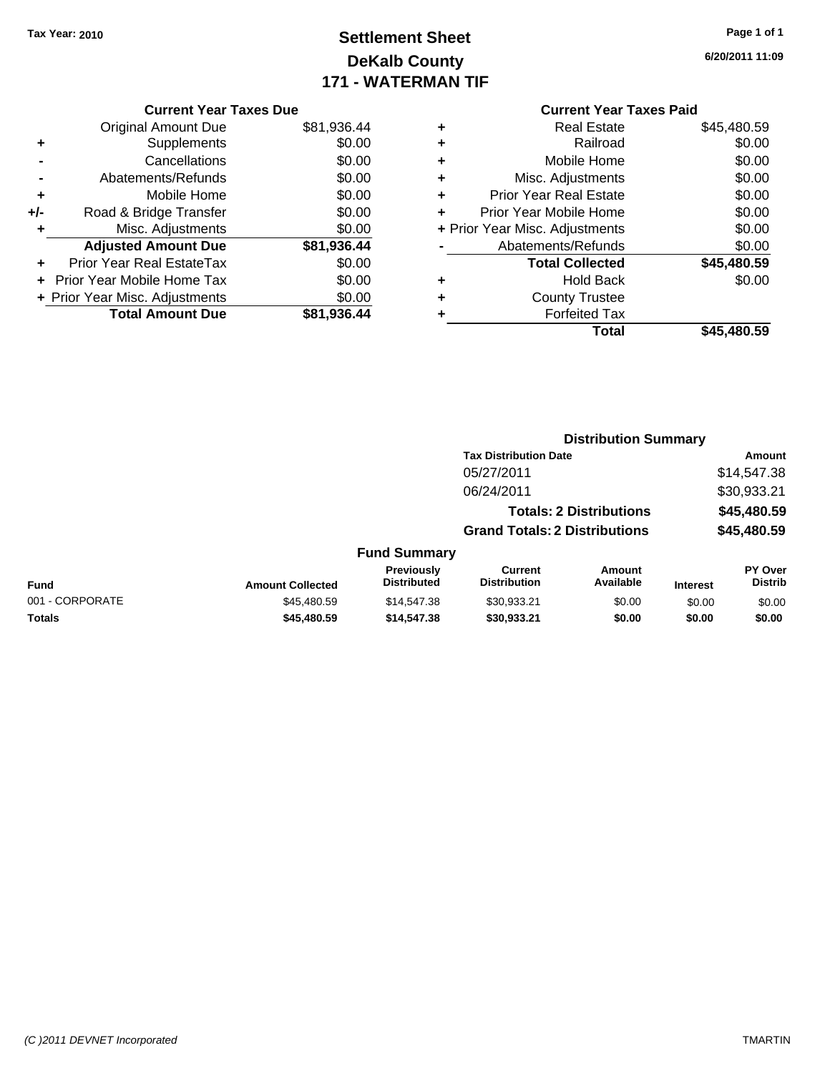# **Settlement Sheet Tax Year: 2010 Page 1 of 1 DeKalb County 171 - WATERMAN TIF**

**6/20/2011 11:09**

|     | <b>Current Year Taxes Due</b>  |             |
|-----|--------------------------------|-------------|
|     | <b>Original Amount Due</b>     | \$81,936.44 |
|     | Supplements                    | \$0.00      |
|     | Cancellations                  | \$0.00      |
|     | Abatements/Refunds             | \$0.00      |
| ٠   | Mobile Home                    | \$0.00      |
| +/- | Road & Bridge Transfer         | \$0.00      |
|     | Misc. Adjustments              | \$0.00      |
|     | <b>Adjusted Amount Due</b>     | \$81,936.44 |
|     | Prior Year Real EstateTax      | \$0.00      |
|     | Prior Year Mobile Home Tax     | \$0.00      |
|     | + Prior Year Misc. Adjustments | \$0.00      |
|     | <b>Total Amount Due</b>        | \$81,936.44 |
|     |                                |             |

|   | <b>Real Estate</b>             | \$45,480.59 |
|---|--------------------------------|-------------|
| ٠ | Railroad                       | \$0.00      |
| ٠ | Mobile Home                    | \$0.00      |
| ٠ | Misc. Adjustments              | \$0.00      |
| ٠ | <b>Prior Year Real Estate</b>  | \$0.00      |
| ÷ | Prior Year Mobile Home         | \$0.00      |
|   | + Prior Year Misc. Adjustments | \$0.00      |
|   | Abatements/Refunds             | \$0.00      |
|   | <b>Total Collected</b>         | \$45,480.59 |
| ٠ | <b>Hold Back</b>               | \$0.00      |
| ٠ | <b>County Trustee</b>          |             |
| ٠ | <b>Forfeited Tax</b>           |             |
|   | Total                          | \$45,480.59 |
|   |                                |             |

|                 |                         |                                  |                                       |                                | <b>Distribution Summary</b> |                           |  |
|-----------------|-------------------------|----------------------------------|---------------------------------------|--------------------------------|-----------------------------|---------------------------|--|
|                 |                         |                                  | <b>Tax Distribution Date</b>          |                                | Amount                      |                           |  |
|                 |                         |                                  | 05/27/2011                            |                                |                             | \$14,547.38               |  |
|                 |                         |                                  | 06/24/2011                            |                                |                             | \$30,933.21               |  |
|                 |                         |                                  |                                       | <b>Totals: 2 Distributions</b> |                             | \$45,480.59               |  |
|                 |                         |                                  | <b>Grand Totals: 2 Distributions</b>  |                                |                             | \$45,480.59               |  |
|                 |                         | <b>Fund Summary</b>              |                                       |                                |                             |                           |  |
| <b>Fund</b>     | <b>Amount Collected</b> | Previously<br><b>Distributed</b> | <b>Current</b><br><b>Distribution</b> | Amount<br>Available            | <b>Interest</b>             | PY Over<br><b>Distrib</b> |  |
| 001 - CORPORATE | \$45,480.59             | \$14,547.38                      | \$30,933.21                           | \$0.00                         | \$0.00                      | \$0.00                    |  |
| <b>Totals</b>   | \$45,480.59             | \$14,547.38                      | \$30,933.21                           | \$0.00                         | \$0.00                      | \$0.00                    |  |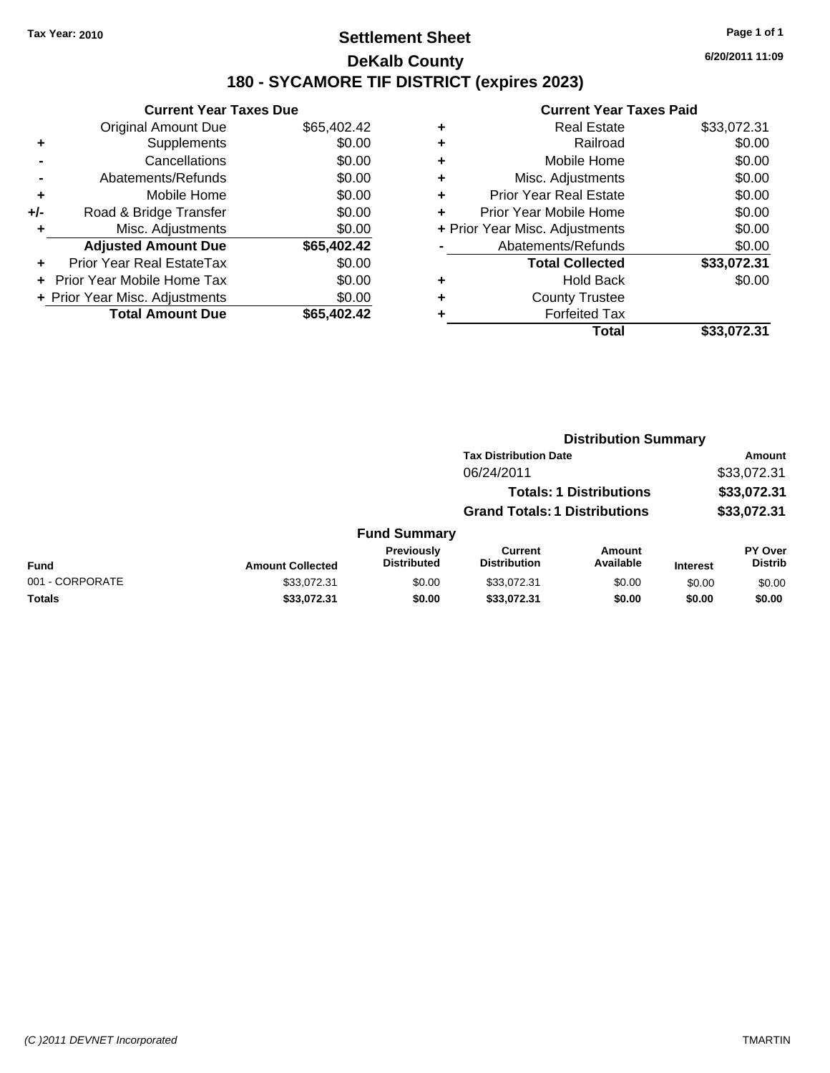### **Settlement Sheet Tax Year: 2010 Page 1 of 1 DeKalb County 180 - SYCAMORE TIF DISTRICT (expires 2023)**

**6/20/2011 11:09**

|     | <b>Current Year Taxes Due</b>  |             |  |  |  |
|-----|--------------------------------|-------------|--|--|--|
|     | <b>Original Amount Due</b>     | \$65,402.42 |  |  |  |
| ٠   | Supplements                    | \$0.00      |  |  |  |
|     | Cancellations                  | \$0.00      |  |  |  |
|     | Abatements/Refunds             | \$0.00      |  |  |  |
| ٠   | Mobile Home                    | \$0.00      |  |  |  |
| +/- | Road & Bridge Transfer         | \$0.00      |  |  |  |
|     | Misc. Adjustments              | \$0.00      |  |  |  |
|     | <b>Adjusted Amount Due</b>     | \$65,402.42 |  |  |  |
| ÷   | Prior Year Real EstateTax      | \$0.00      |  |  |  |
|     | Prior Year Mobile Home Tax     | \$0.00      |  |  |  |
|     | + Prior Year Misc. Adjustments | \$0.00      |  |  |  |
|     | <b>Total Amount Due</b>        | \$65,402.42 |  |  |  |
|     |                                |             |  |  |  |

| ۰ | <b>Real Estate</b>             | \$33,072.31 |
|---|--------------------------------|-------------|
| ٠ | Railroad                       | \$0.00      |
| ٠ | Mobile Home                    | \$0.00      |
| ٠ | Misc. Adjustments              | \$0.00      |
| ÷ | <b>Prior Year Real Estate</b>  | \$0.00      |
| ٠ | Prior Year Mobile Home         | \$0.00      |
|   | + Prior Year Misc. Adjustments | \$0.00      |
|   | Abatements/Refunds             | \$0.00      |
|   | <b>Total Collected</b>         | \$33,072.31 |
| ٠ | <b>Hold Back</b>               | \$0.00      |
| ٠ | <b>County Trustee</b>          |             |
| ٠ | <b>Forfeited Tax</b>           |             |
|   | Total                          | \$33,072.31 |
|   |                                |             |

|                              |                         | <b>Distribution Summary</b>             |                                       |                                |                 |                                  |
|------------------------------|-------------------------|-----------------------------------------|---------------------------------------|--------------------------------|-----------------|----------------------------------|
| <b>Tax Distribution Date</b> |                         |                                         |                                       | Amount                         |                 |                                  |
|                              |                         |                                         | 06/24/2011                            |                                |                 | \$33,072.31                      |
|                              |                         |                                         |                                       | <b>Totals: 1 Distributions</b> |                 | \$33,072.31                      |
|                              |                         |                                         | <b>Grand Totals: 1 Distributions</b>  |                                |                 | \$33,072.31                      |
|                              |                         | <b>Fund Summary</b>                     |                                       |                                |                 |                                  |
| <b>Fund</b>                  | <b>Amount Collected</b> | <b>Previously</b><br><b>Distributed</b> | <b>Current</b><br><b>Distribution</b> | <b>Amount</b><br>Available     | <b>Interest</b> | <b>PY Over</b><br><b>Distrib</b> |
| 001 - CORPORATE              | \$33,072.31             | \$0.00                                  | \$33,072.31                           | \$0.00                         | \$0.00          | \$0.00                           |
| Totals                       | \$33,072.31             | \$0.00                                  | \$33,072.31                           | \$0.00                         | \$0.00          | \$0.00                           |
|                              |                         |                                         |                                       |                                |                 |                                  |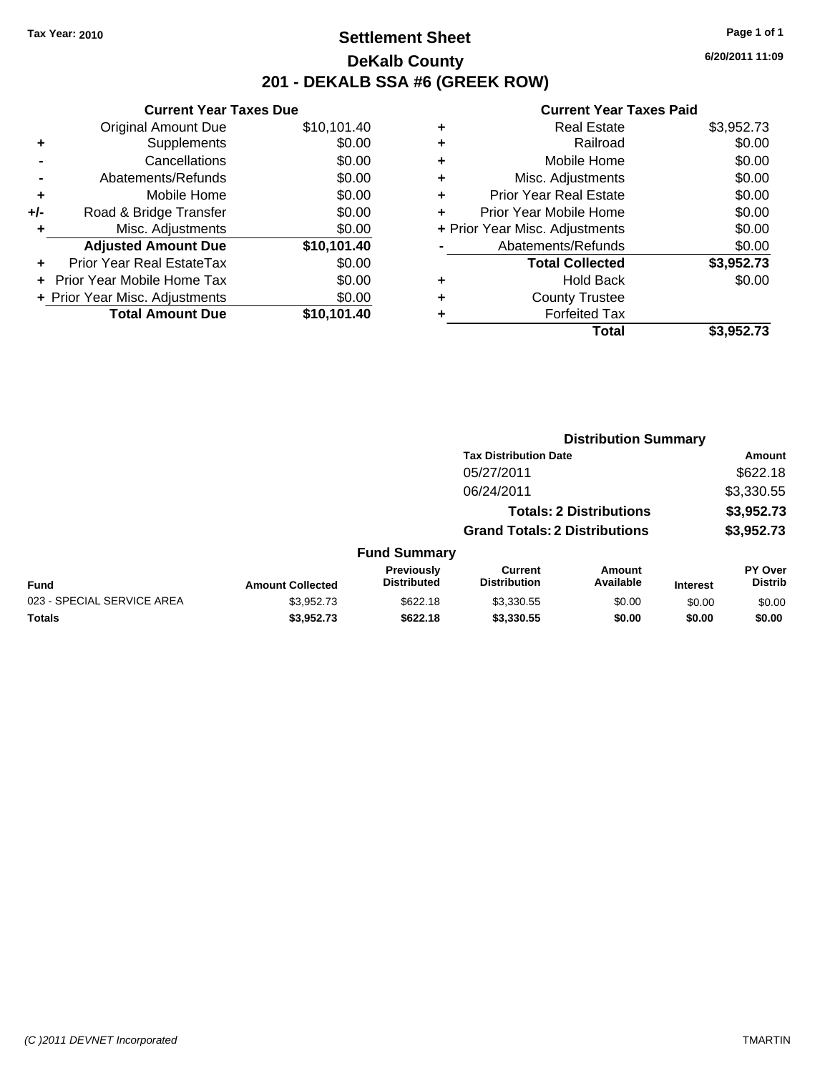### **Settlement Sheet Tax Year: 2010 Page 1 of 1 DeKalb County 201 - DEKALB SSA #6 (GREEK ROW)**

**6/20/2011 11:09**

|     | <b>Current Year Taxes Due</b>  |             |  |  |  |  |
|-----|--------------------------------|-------------|--|--|--|--|
|     | <b>Original Amount Due</b>     | \$10,101.40 |  |  |  |  |
| ÷   | Supplements                    | \$0.00      |  |  |  |  |
|     | Cancellations                  | \$0.00      |  |  |  |  |
|     | Abatements/Refunds             | \$0.00      |  |  |  |  |
| ٠   | Mobile Home                    | \$0.00      |  |  |  |  |
| +/- | Road & Bridge Transfer         | \$0.00      |  |  |  |  |
|     | Misc. Adjustments              | \$0.00      |  |  |  |  |
|     | <b>Adjusted Amount Due</b>     | \$10,101.40 |  |  |  |  |
| ٠   | Prior Year Real EstateTax      | \$0.00      |  |  |  |  |
|     | Prior Year Mobile Home Tax     | \$0.00      |  |  |  |  |
|     | + Prior Year Misc. Adjustments | \$0.00      |  |  |  |  |
|     | <b>Total Amount Due</b>        | \$10,101.40 |  |  |  |  |
|     |                                |             |  |  |  |  |

|   | Total                          | \$3,952.73 |
|---|--------------------------------|------------|
|   | <b>Forfeited Tax</b>           |            |
| ٠ | <b>County Trustee</b>          |            |
| ٠ | <b>Hold Back</b>               | \$0.00     |
|   | <b>Total Collected</b>         | \$3,952.73 |
|   | Abatements/Refunds             | \$0.00     |
|   | + Prior Year Misc. Adjustments | \$0.00     |
| ÷ | Prior Year Mobile Home         | \$0.00     |
| ٠ | <b>Prior Year Real Estate</b>  | \$0.00     |
| ٠ | Misc. Adjustments              | \$0.00     |
| ٠ | Mobile Home                    | \$0.00     |
|   | Railroad                       | \$0.00     |
| ٠ | Real Estate                    | \$3,952.73 |
|   |                                |            |

|                            | <b>Distribution Summary</b> |                                  |                                       |                                |                 |                                  |  |
|----------------------------|-----------------------------|----------------------------------|---------------------------------------|--------------------------------|-----------------|----------------------------------|--|
|                            |                             |                                  | <b>Tax Distribution Date</b>          |                                |                 | Amount                           |  |
|                            |                             |                                  | 05/27/2011                            |                                |                 | \$622.18                         |  |
|                            |                             |                                  | 06/24/2011                            |                                |                 | \$3,330.55                       |  |
|                            |                             |                                  |                                       | <b>Totals: 2 Distributions</b> |                 | \$3,952.73                       |  |
|                            |                             |                                  | <b>Grand Totals: 2 Distributions</b>  |                                |                 | \$3,952.73                       |  |
|                            |                             | <b>Fund Summary</b>              |                                       |                                |                 |                                  |  |
| Fund                       | <b>Amount Collected</b>     | Previously<br><b>Distributed</b> | <b>Current</b><br><b>Distribution</b> | <b>Amount</b><br>Available     | <b>Interest</b> | <b>PY Over</b><br><b>Distrib</b> |  |
| 023 - SPECIAL SERVICE AREA | \$3,952.73                  | \$622.18                         | \$3,330.55                            | \$0.00                         | \$0.00          | \$0.00                           |  |
| Totals                     | \$3,952.73                  | \$622.18                         | \$3,330.55                            | \$0.00                         | \$0.00          | \$0.00                           |  |
|                            |                             |                                  |                                       |                                |                 |                                  |  |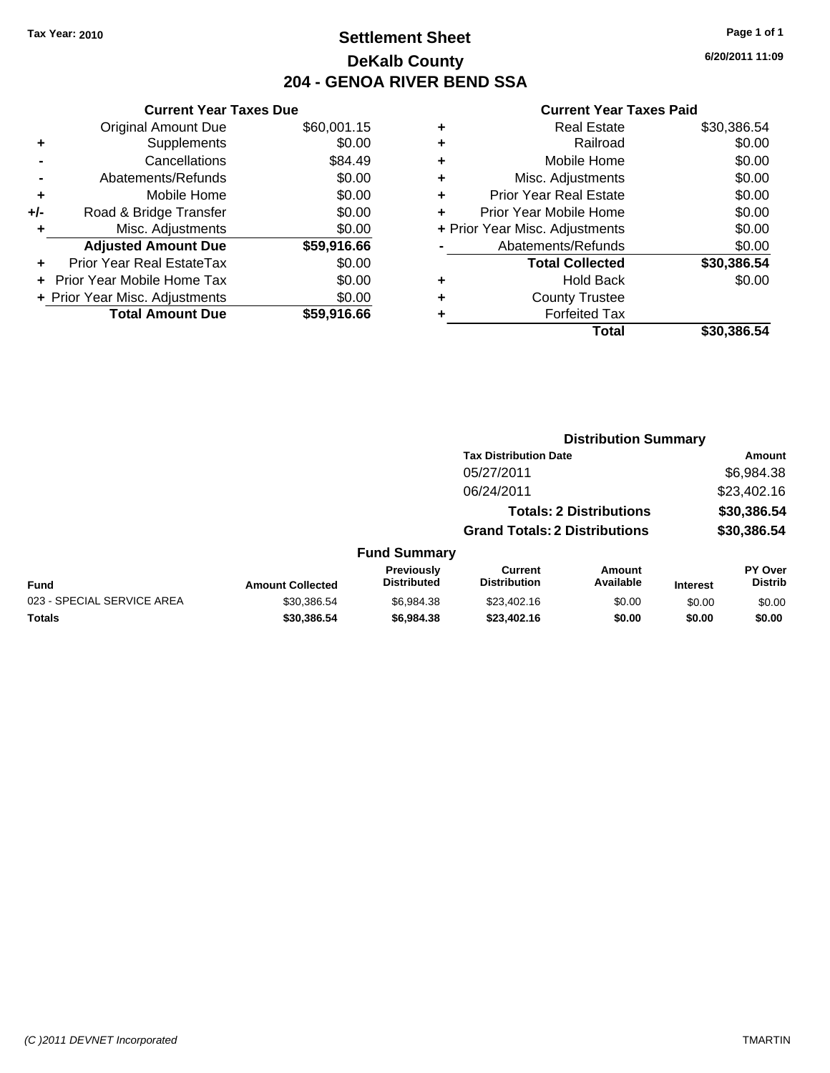### **Settlement Sheet Tax Year: 2010 Page 1 of 1 DeKalb County 204 - GENOA RIVER BEND SSA**

**6/20/2011 11:09**

|     | <b>Current Year Taxes Due</b>  |             |  |  |  |
|-----|--------------------------------|-------------|--|--|--|
|     | <b>Original Amount Due</b>     | \$60,001.15 |  |  |  |
| ٠   | Supplements                    | \$0.00      |  |  |  |
|     | Cancellations                  | \$84.49     |  |  |  |
|     | Abatements/Refunds             | \$0.00      |  |  |  |
| ٠   | Mobile Home                    | \$0.00      |  |  |  |
| +/- | Road & Bridge Transfer         | \$0.00      |  |  |  |
| ٠   | Misc. Adjustments              | \$0.00      |  |  |  |
|     | <b>Adjusted Amount Due</b>     | \$59,916.66 |  |  |  |
|     | Prior Year Real EstateTax      | \$0.00      |  |  |  |
|     | Prior Year Mobile Home Tax     | \$0.00      |  |  |  |
|     | + Prior Year Misc. Adjustments | \$0.00      |  |  |  |
|     | <b>Total Amount Due</b>        | \$59,916.66 |  |  |  |
|     |                                |             |  |  |  |

|   | <b>Real Estate</b>             | \$30,386.54 |
|---|--------------------------------|-------------|
| ٠ | Railroad                       | \$0.00      |
| ٠ | Mobile Home                    | \$0.00      |
| ٠ | Misc. Adjustments              | \$0.00      |
| ٠ | <b>Prior Year Real Estate</b>  | \$0.00      |
|   | Prior Year Mobile Home         | \$0.00      |
|   | + Prior Year Misc. Adjustments | \$0.00      |
|   | Abatements/Refunds             | \$0.00      |
|   | <b>Total Collected</b>         | \$30,386.54 |
| ٠ | <b>Hold Back</b>               | \$0.00      |
| ٠ | <b>County Trustee</b>          |             |
| ٠ | <b>Forfeited Tax</b>           |             |
|   | Total                          | \$30,386.54 |
|   |                                |             |

|                            |                         | <b>Distribution Summary</b>      |                                       |                                |                 |                                  |
|----------------------------|-------------------------|----------------------------------|---------------------------------------|--------------------------------|-----------------|----------------------------------|
|                            |                         |                                  | <b>Tax Distribution Date</b>          |                                |                 | Amount                           |
|                            |                         |                                  | 05/27/2011                            |                                |                 | \$6,984.38                       |
|                            |                         |                                  | 06/24/2011                            |                                |                 | \$23,402.16                      |
|                            |                         |                                  |                                       | <b>Totals: 2 Distributions</b> |                 | \$30,386.54                      |
|                            |                         |                                  | <b>Grand Totals: 2 Distributions</b>  |                                |                 | \$30,386.54                      |
|                            |                         | <b>Fund Summary</b>              |                                       |                                |                 |                                  |
| Fund                       | <b>Amount Collected</b> | Previously<br><b>Distributed</b> | <b>Current</b><br><b>Distribution</b> | Amount<br>Available            | <b>Interest</b> | <b>PY Over</b><br><b>Distrib</b> |
| 023 - SPECIAL SERVICE AREA | \$30,386.54             | \$6.984.38                       | \$23,402.16                           | \$0.00                         | \$0.00          | \$0.00                           |
| Totals                     | \$30,386.54             | \$6,984.38                       | \$23,402.16                           | \$0.00                         | \$0.00          | \$0.00                           |
|                            |                         |                                  |                                       |                                |                 |                                  |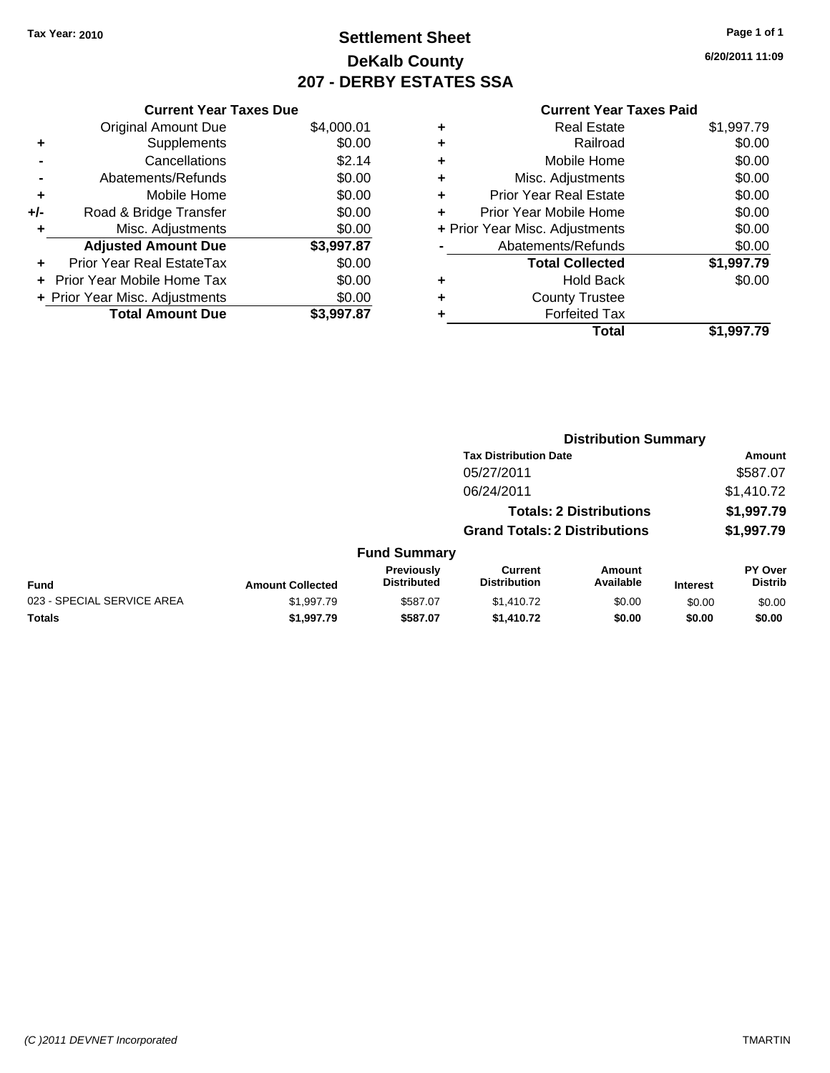### **Settlement Sheet Tax Year: 2010 Page 1 of 1 DeKalb County 207 - DERBY ESTATES SSA**

**6/20/2011 11:09**

|                                                | <b>Current Year Taxes Due</b> |            |  |  |  |
|------------------------------------------------|-------------------------------|------------|--|--|--|
|                                                | <b>Original Amount Due</b>    | \$4,000.01 |  |  |  |
| ٠                                              | Supplements                   | \$0.00     |  |  |  |
| $\blacksquare$                                 | Cancellations                 | \$2.14     |  |  |  |
| \$0.00<br>Abatements/Refunds<br>$\blacksquare$ |                               |            |  |  |  |
| ٠                                              | Mobile Home                   | \$0.00     |  |  |  |
| +/-                                            | Road & Bridge Transfer        | \$0.00     |  |  |  |
| ÷                                              | Misc. Adjustments             | \$0.00     |  |  |  |
|                                                | <b>Adjusted Amount Due</b>    | \$3,997.87 |  |  |  |

### **+** Prior Year Real EstateTax \$0.00 **+** Prior Year Mobile Home Tax \$0.00 **+ Prior Year Misc. Adjustments**  $$0.00$ **Total Amount Due \$3,997.87**

|   | <b>Real Estate</b>             | \$1,997.79 |
|---|--------------------------------|------------|
| ٠ | Railroad                       | \$0.00     |
| ٠ | Mobile Home                    | \$0.00     |
| ٠ | Misc. Adjustments              | \$0.00     |
| ٠ | <b>Prior Year Real Estate</b>  | \$0.00     |
|   | Prior Year Mobile Home         | \$0.00     |
|   | + Prior Year Misc. Adjustments | \$0.00     |
|   | Abatements/Refunds             | \$0.00     |
|   | <b>Total Collected</b>         | \$1,997.79 |
| ٠ | <b>Hold Back</b>               | \$0.00     |
| ٠ | <b>County Trustee</b>          |            |
| ٠ | <b>Forfeited Tax</b>           |            |
|   | Total                          | \$1,997.79 |
|   |                                |            |

|                            |                         |                                         | <b>Distribution Summary</b>           |                                |                 |                           |
|----------------------------|-------------------------|-----------------------------------------|---------------------------------------|--------------------------------|-----------------|---------------------------|
|                            |                         |                                         | <b>Tax Distribution Date</b>          |                                |                 | Amount                    |
|                            |                         |                                         | 05/27/2011                            |                                |                 | \$587.07                  |
|                            |                         |                                         | 06/24/2011                            |                                |                 | \$1,410.72                |
|                            |                         |                                         |                                       | <b>Totals: 2 Distributions</b> |                 | \$1,997.79                |
|                            |                         |                                         | <b>Grand Totals: 2 Distributions</b>  |                                |                 | \$1,997.79                |
|                            |                         | <b>Fund Summary</b>                     |                                       |                                |                 |                           |
| Fund                       | <b>Amount Collected</b> | <b>Previously</b><br><b>Distributed</b> | <b>Current</b><br><b>Distribution</b> | Amount<br>Available            | <b>Interest</b> | PY Over<br><b>Distrib</b> |
| 023 - SPECIAL SERVICE AREA | \$1,997.79              | \$587.07                                | \$1,410.72                            | \$0.00                         | \$0.00          | \$0.00                    |
| Totals                     | \$1,997.79              | \$587.07                                | \$1,410.72                            | \$0.00                         | \$0.00          | \$0.00                    |
|                            |                         |                                         |                                       |                                |                 |                           |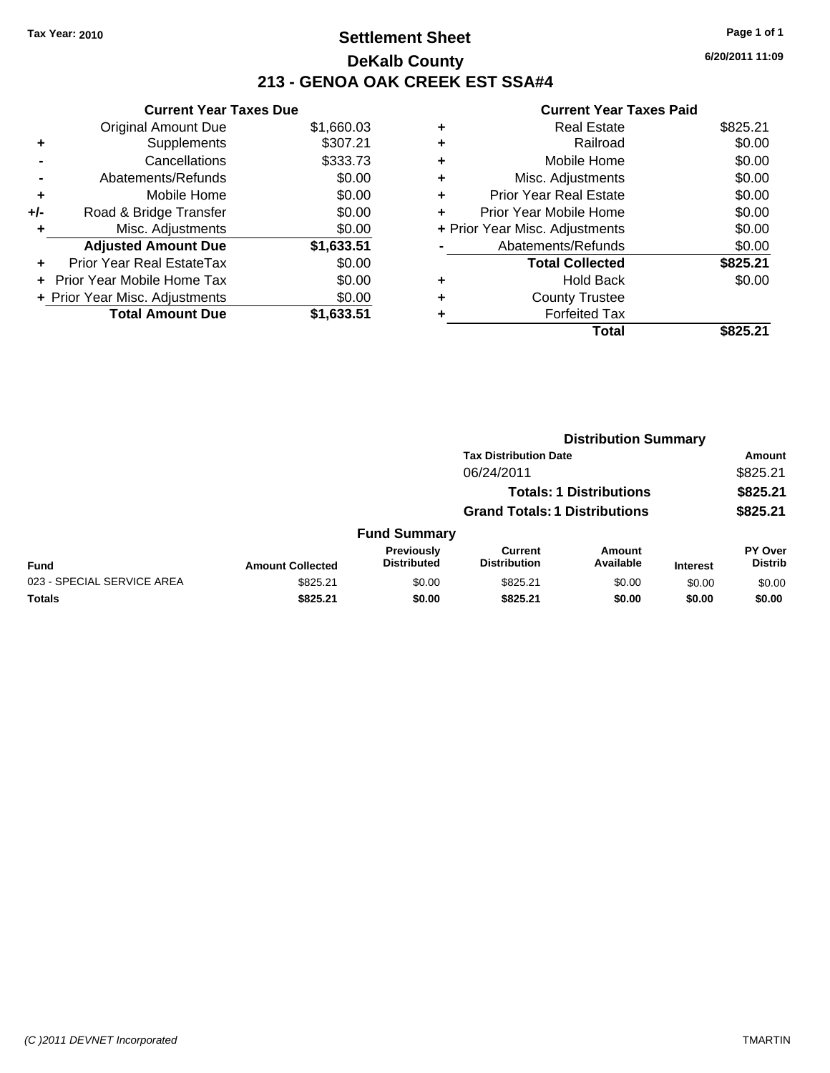### **Settlement Sheet Tax Year: 2010 Page 1 of 1 DeKalb County 213 - GENOA OAK CREEK EST SSA#4**

**Current Year Taxes Due**

|     | <b>Original Amount Due</b>     | \$1,660.03 |
|-----|--------------------------------|------------|
| ٠   | Supplements                    | \$307.21   |
|     | Cancellations                  | \$333.73   |
|     | Abatements/Refunds             | \$0.00     |
| ٠   | Mobile Home                    | \$0.00     |
| +/- | Road & Bridge Transfer         | \$0.00     |
| ٠   | Misc. Adjustments              | \$0.00     |
|     | <b>Adjusted Amount Due</b>     | \$1,633.51 |
|     | Prior Year Real EstateTax      | \$0.00     |
|     | + Prior Year Mobile Home Tax   | \$0.00     |
|     | + Prior Year Misc. Adjustments | \$0.00     |
|     | <b>Total Amount Due</b>        | \$1,633.51 |

| <b>Real Estate</b>            | \$825.21                       |
|-------------------------------|--------------------------------|
| Railroad                      | \$0.00                         |
| Mobile Home                   | \$0.00                         |
| Misc. Adjustments             | \$0.00                         |
| <b>Prior Year Real Estate</b> | \$0.00                         |
| Prior Year Mobile Home        | \$0.00                         |
|                               | \$0.00                         |
| Abatements/Refunds            | \$0.00                         |
| <b>Total Collected</b>        | \$825.21                       |
| <b>Hold Back</b>              | \$0.00                         |
| <b>County Trustee</b>         |                                |
| <b>Forfeited Tax</b>          |                                |
| Total                         | \$825.21                       |
|                               | + Prior Year Misc. Adjustments |

| <b>Distribution Summary</b> |                                |                                      |                                |                     |                 |                           |
|-----------------------------|--------------------------------|--------------------------------------|--------------------------------|---------------------|-----------------|---------------------------|
|                             |                                |                                      | <b>Tax Distribution Date</b>   |                     |                 | Amount                    |
|                             |                                |                                      | 06/24/2011                     |                     |                 | \$825.21                  |
|                             | <b>Totals: 1 Distributions</b> |                                      |                                |                     | \$825.21        |                           |
|                             |                                | <b>Grand Totals: 1 Distributions</b> |                                |                     | \$825.21        |                           |
|                             |                                | <b>Fund Summary</b>                  |                                |                     |                 |                           |
| <b>Fund</b>                 | <b>Amount Collected</b>        | Previously<br><b>Distributed</b>     | Current<br><b>Distribution</b> | Amount<br>Available | <b>Interest</b> | PY Over<br><b>Distrib</b> |
| 023 - SPECIAL SERVICE AREA  | \$825.21                       | \$0.00                               | \$825.21                       | \$0.00              | \$0.00          | \$0.00                    |
| Totals                      | \$825.21                       | \$0.00                               | \$825.21                       | \$0.00              | \$0.00          | \$0.00                    |
|                             |                                |                                      |                                |                     |                 |                           |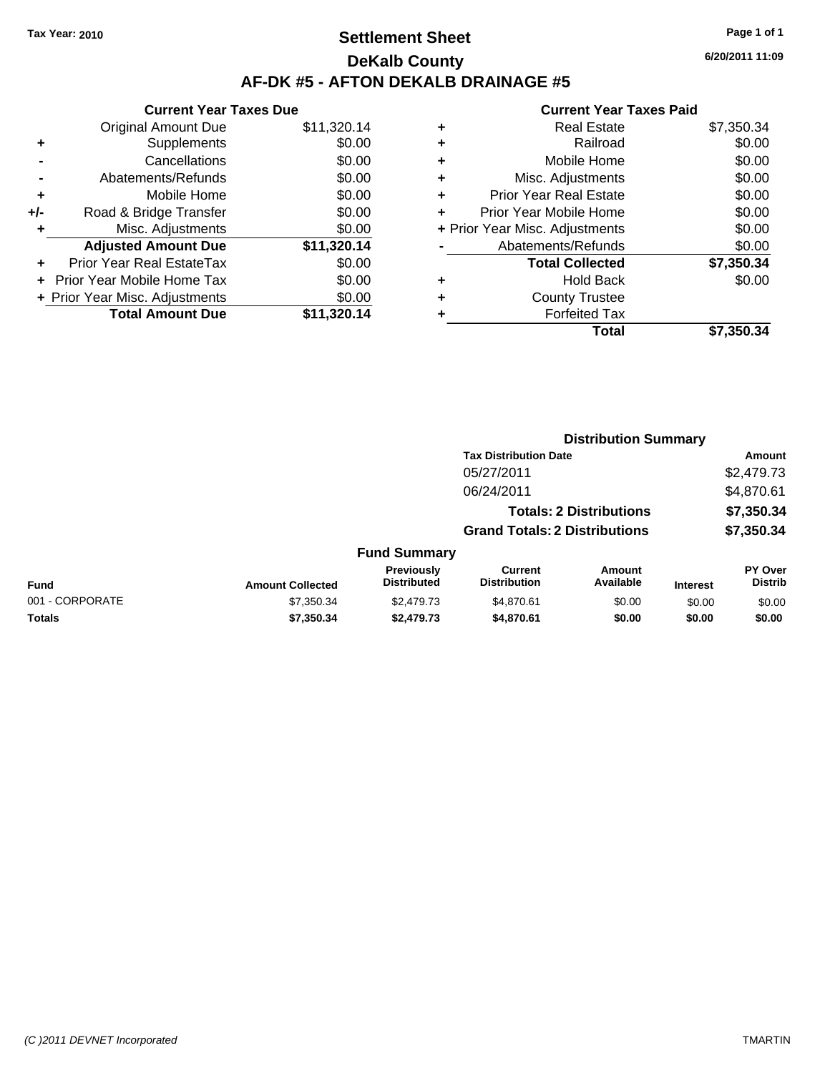### **Settlement Sheet Tax Year: 2010 Page 1 of 1 DeKalb County AF-DK #5 - AFTON DEKALB DRAINAGE #5**

**6/20/2011 11:09**

|     | <b>Current Year Taxes Due</b>  |             |
|-----|--------------------------------|-------------|
|     | <b>Original Amount Due</b>     | \$11,320.14 |
| ٠   | Supplements                    | \$0.00      |
|     | Cancellations                  | \$0.00      |
|     | Abatements/Refunds             | \$0.00      |
| ÷   | Mobile Home                    | \$0.00      |
| +/- | Road & Bridge Transfer         | \$0.00      |
| ٠   | Misc. Adjustments              | \$0.00      |
|     | <b>Adjusted Amount Due</b>     | \$11,320.14 |
| ٠   | Prior Year Real EstateTax      | \$0.00      |
|     | Prior Year Mobile Home Tax     | \$0.00      |
|     | + Prior Year Misc. Adjustments | \$0.00      |
|     | <b>Total Amount Due</b>        | \$11.320.14 |

|   | Total                          | \$7,350.34 |
|---|--------------------------------|------------|
| ٠ | <b>Forfeited Tax</b>           |            |
| ٠ | <b>County Trustee</b>          |            |
| ٠ | <b>Hold Back</b>               | \$0.00     |
|   | <b>Total Collected</b>         | \$7,350.34 |
|   | Abatements/Refunds             | \$0.00     |
|   | + Prior Year Misc. Adjustments | \$0.00     |
| ٠ | Prior Year Mobile Home         | \$0.00     |
| ÷ | <b>Prior Year Real Estate</b>  | \$0.00     |
| ٠ | Misc. Adjustments              | \$0.00     |
| ٠ | Mobile Home                    | \$0.00     |
| ٠ | Railroad                       | \$0.00     |
| ٠ | <b>Real Estate</b>             | \$7,350.34 |
|   |                                |            |

|                 |                         | <b>Distribution Summary</b>      |                                       |                                |                 |                           |  |
|-----------------|-------------------------|----------------------------------|---------------------------------------|--------------------------------|-----------------|---------------------------|--|
|                 |                         |                                  | <b>Tax Distribution Date</b>          |                                |                 | Amount                    |  |
|                 |                         |                                  | 05/27/2011                            |                                |                 | \$2,479.73                |  |
|                 |                         |                                  | 06/24/2011                            |                                |                 | \$4,870.61                |  |
|                 |                         |                                  |                                       | <b>Totals: 2 Distributions</b> |                 | \$7,350.34                |  |
|                 |                         |                                  | <b>Grand Totals: 2 Distributions</b>  |                                |                 | \$7,350.34                |  |
|                 |                         | <b>Fund Summary</b>              |                                       |                                |                 |                           |  |
| <b>Fund</b>     | <b>Amount Collected</b> | Previously<br><b>Distributed</b> | <b>Current</b><br><b>Distribution</b> | Amount<br>Available            | <b>Interest</b> | PY Over<br><b>Distrib</b> |  |
| 001 - CORPORATE | \$7,350.34              | \$2,479.73                       | \$4,870.61                            | \$0.00                         | \$0.00          | \$0.00                    |  |
| Totals          | \$7,350.34              | \$2,479.73                       | \$4,870.61                            | \$0.00                         | \$0.00          | \$0.00                    |  |
|                 |                         |                                  |                                       |                                |                 |                           |  |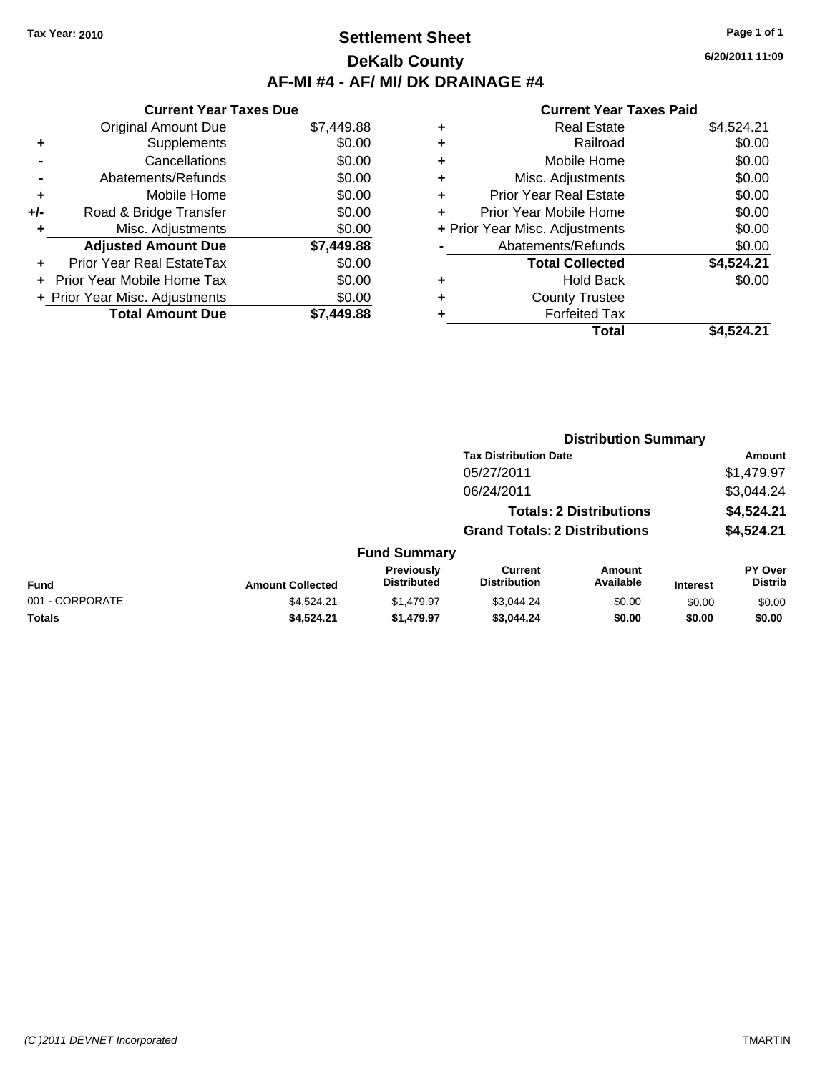## **Settlement Sheet Tax Year: 2010 Page 1 of 1 DeKalb County AF-MI #4 - AF/ MI/ DK DRAINAGE #4**

**6/20/2011 11:09**

|     | <b>Current Year Taxes Due</b>     |            |  |  |  |
|-----|-----------------------------------|------------|--|--|--|
|     | <b>Original Amount Due</b>        | \$7,449.88 |  |  |  |
| ٠   | Supplements                       | \$0.00     |  |  |  |
|     | Cancellations                     | \$0.00     |  |  |  |
|     | Abatements/Refunds                | \$0.00     |  |  |  |
| ٠   | Mobile Home                       | \$0.00     |  |  |  |
| +/- | Road & Bridge Transfer            | \$0.00     |  |  |  |
|     | Misc. Adjustments                 | \$0.00     |  |  |  |
|     | <b>Adjusted Amount Due</b>        | \$7,449.88 |  |  |  |
|     | Prior Year Real EstateTax         | \$0.00     |  |  |  |
|     | <b>Prior Year Mobile Home Tax</b> | \$0.00     |  |  |  |
|     | + Prior Year Misc. Adjustments    | \$0.00     |  |  |  |
|     | <b>Total Amount Due</b>           | \$7.449.88 |  |  |  |

| ٠ | <b>Real Estate</b>             | \$4,524.21 |
|---|--------------------------------|------------|
| ٠ | Railroad                       | \$0.00     |
| ٠ | Mobile Home                    | \$0.00     |
| ٠ | Misc. Adjustments              | \$0.00     |
| ٠ | <b>Prior Year Real Estate</b>  | \$0.00     |
| ÷ | Prior Year Mobile Home         | \$0.00     |
|   | + Prior Year Misc. Adjustments | \$0.00     |
|   | Abatements/Refunds             | \$0.00     |
|   | <b>Total Collected</b>         | \$4,524.21 |
| ٠ | <b>Hold Back</b>               | \$0.00     |
| ٠ | <b>County Trustee</b>          |            |
|   | <b>Forfeited Tax</b>           |            |
|   | Total                          | \$4.524.21 |

|                 |                         |                                  |                                       | <b>Distribution Summary</b>    |                 |                           |
|-----------------|-------------------------|----------------------------------|---------------------------------------|--------------------------------|-----------------|---------------------------|
|                 |                         |                                  | <b>Tax Distribution Date</b>          |                                |                 | Amount                    |
|                 |                         |                                  | 05/27/2011                            |                                |                 | \$1,479.97                |
|                 |                         |                                  | 06/24/2011                            |                                |                 | \$3,044.24                |
|                 |                         |                                  |                                       | <b>Totals: 2 Distributions</b> |                 | \$4,524.21                |
|                 |                         |                                  | <b>Grand Totals: 2 Distributions</b>  |                                |                 | \$4,524.21                |
|                 |                         | <b>Fund Summary</b>              |                                       |                                |                 |                           |
| Fund            | <b>Amount Collected</b> | Previously<br><b>Distributed</b> | <b>Current</b><br><b>Distribution</b> | Amount<br>Available            | <b>Interest</b> | PY Over<br><b>Distrib</b> |
| 001 - CORPORATE | \$4,524.21              | \$1,479.97                       | \$3,044.24                            | \$0.00                         | \$0.00          | \$0.00                    |
| Totals          | \$4,524.21              | \$1,479.97                       | \$3,044.24                            | \$0.00                         | \$0.00          | \$0.00                    |
|                 |                         |                                  |                                       |                                |                 |                           |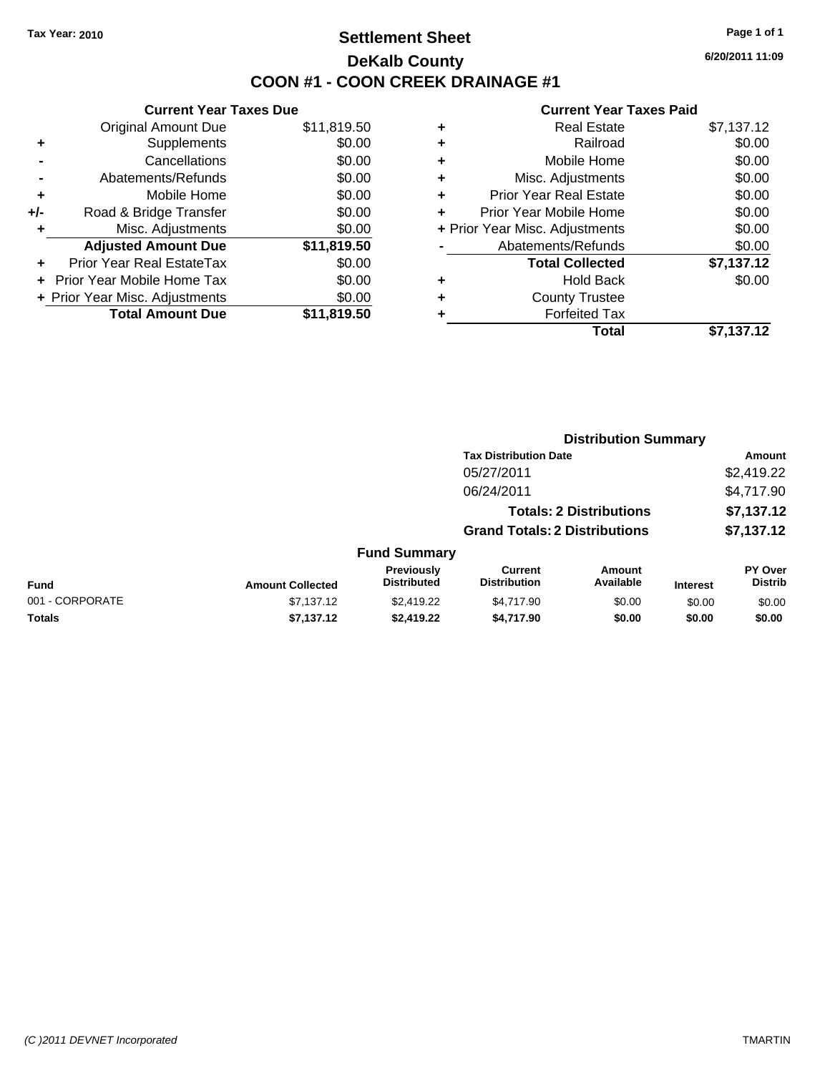## **Settlement Sheet Tax Year: 2010 Page 1 of 1 DeKalb County COON #1 - COON CREEK DRAINAGE #1**

**6/20/2011 11:09**

| \$0.00<br>\$0.00<br>\$0.00<br>\$0.00<br>\$11,819.50<br>\$11,819.50 |
|--------------------------------------------------------------------|

|   | Total                          | \$7,137.12 |
|---|--------------------------------|------------|
| ٠ | <b>Forfeited Tax</b>           |            |
| ٠ | <b>County Trustee</b>          |            |
| ٠ | <b>Hold Back</b>               | \$0.00     |
|   | <b>Total Collected</b>         | \$7,137.12 |
|   | Abatements/Refunds             | \$0.00     |
|   | + Prior Year Misc. Adjustments | \$0.00     |
| ٠ | Prior Year Mobile Home         | \$0.00     |
| ÷ | <b>Prior Year Real Estate</b>  | \$0.00     |
| ٠ | Misc. Adjustments              | \$0.00     |
| ٠ | Mobile Home                    | \$0.00     |
| ٠ | Railroad                       | \$0.00     |
| ٠ | <b>Real Estate</b>             | \$7,137.12 |
|   |                                |            |

|                         |                                  |                                       | <b>Distribution Summary</b> |                                                                                                        |                                  |
|-------------------------|----------------------------------|---------------------------------------|-----------------------------|--------------------------------------------------------------------------------------------------------|----------------------------------|
|                         |                                  |                                       |                             |                                                                                                        | Amount                           |
|                         |                                  | 05/27/2011                            |                             |                                                                                                        | \$2,419.22                       |
|                         |                                  | 06/24/2011                            |                             |                                                                                                        | \$4,717.90                       |
|                         |                                  |                                       |                             |                                                                                                        | \$7,137.12                       |
|                         |                                  |                                       |                             |                                                                                                        | \$7,137.12                       |
|                         |                                  |                                       |                             |                                                                                                        |                                  |
| <b>Amount Collected</b> | Previously<br><b>Distributed</b> | <b>Current</b><br><b>Distribution</b> | Amount<br>Available         | <b>Interest</b>                                                                                        | <b>PY Over</b><br><b>Distrib</b> |
| \$7,137.12              | \$2,419.22                       | \$4,717.90                            | \$0.00                      | \$0.00                                                                                                 | \$0.00                           |
| \$7,137.12              | \$2,419.22                       | \$4,717.90                            | \$0.00                      | \$0.00                                                                                                 | \$0.00                           |
|                         |                                  |                                       | <b>Fund Summary</b>         | <b>Tax Distribution Date</b><br><b>Totals: 2 Distributions</b><br><b>Grand Totals: 2 Distributions</b> |                                  |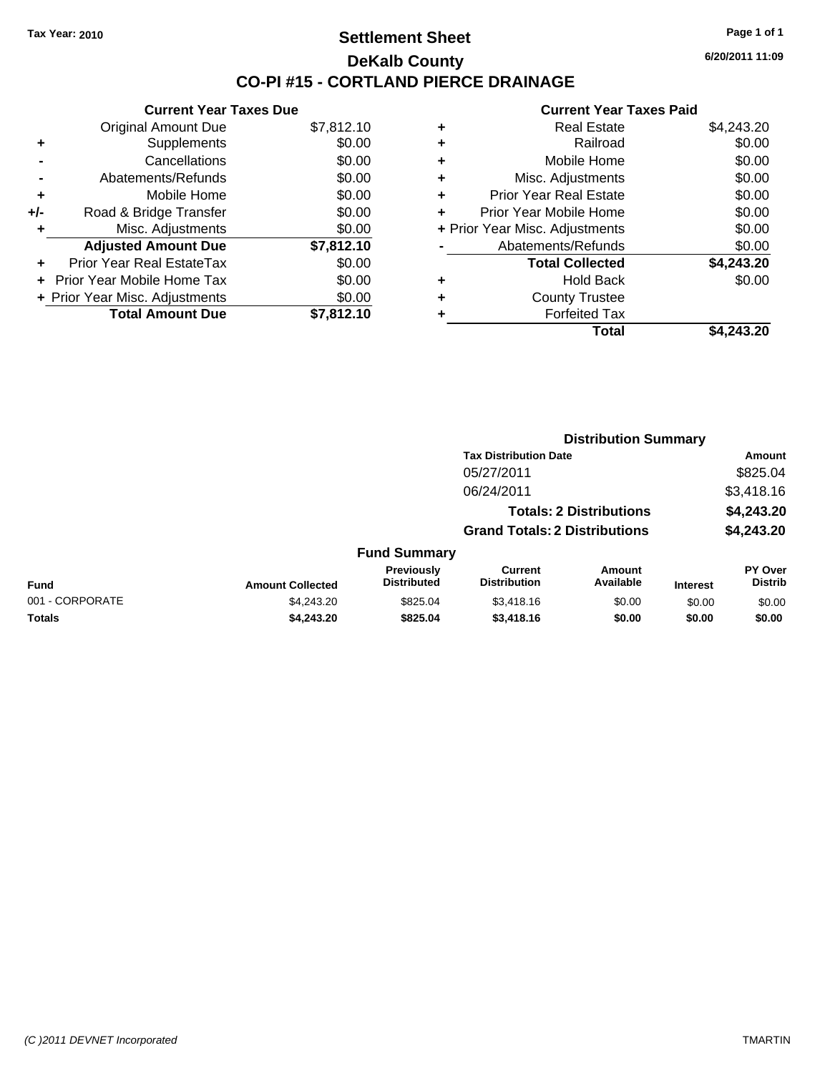## **Settlement Sheet Tax Year: 2010 Page 1 of 1 DeKalb County CO-PI #15 - CORTLAND PIERCE DRAINAGE**

**6/20/2011 11:09**

|     | <b>Current Year Taxes Due</b>     |            |  |  |  |
|-----|-----------------------------------|------------|--|--|--|
|     | <b>Original Amount Due</b>        | \$7,812.10 |  |  |  |
| ٠   | Supplements                       | \$0.00     |  |  |  |
|     | Cancellations                     | \$0.00     |  |  |  |
|     | Abatements/Refunds                | \$0.00     |  |  |  |
| ٠   | Mobile Home                       | \$0.00     |  |  |  |
| +/- | Road & Bridge Transfer            | \$0.00     |  |  |  |
|     | Misc. Adjustments                 | \$0.00     |  |  |  |
|     | <b>Adjusted Amount Due</b>        | \$7,812.10 |  |  |  |
|     | Prior Year Real EstateTax         | \$0.00     |  |  |  |
|     | <b>Prior Year Mobile Home Tax</b> | \$0.00     |  |  |  |
|     | + Prior Year Misc. Adjustments    | \$0.00     |  |  |  |
|     | <b>Total Amount Due</b>           | \$7.812.10 |  |  |  |

| ٠ | <b>Real Estate</b>             | \$4,243.20 |
|---|--------------------------------|------------|
| ٠ | Railroad                       | \$0.00     |
| ٠ | Mobile Home                    | \$0.00     |
| ٠ | Misc. Adjustments              | \$0.00     |
| ÷ | <b>Prior Year Real Estate</b>  | \$0.00     |
|   | Prior Year Mobile Home         | \$0.00     |
|   | + Prior Year Misc. Adjustments | \$0.00     |
|   | Abatements/Refunds             | \$0.00     |
|   | <b>Total Collected</b>         | \$4,243.20 |
| ٠ | <b>Hold Back</b>               | \$0.00     |
| ٠ | <b>County Trustee</b>          |            |
| ٠ | <b>Forfeited Tax</b>           |            |
|   | Total                          | \$4,243.20 |
|   |                                |            |

|                 |                         |                                  |                                       | <b>Distribution Summary</b>    |                 |                                  |
|-----------------|-------------------------|----------------------------------|---------------------------------------|--------------------------------|-----------------|----------------------------------|
|                 |                         |                                  | <b>Tax Distribution Date</b>          |                                |                 | Amount                           |
|                 |                         |                                  | 05/27/2011                            |                                |                 | \$825.04                         |
|                 |                         |                                  | 06/24/2011                            |                                |                 | \$3,418.16                       |
|                 |                         |                                  |                                       | <b>Totals: 2 Distributions</b> |                 | \$4,243.20                       |
|                 |                         |                                  | <b>Grand Totals: 2 Distributions</b>  |                                |                 | \$4,243.20                       |
|                 |                         | <b>Fund Summary</b>              |                                       |                                |                 |                                  |
| Fund            | <b>Amount Collected</b> | Previously<br><b>Distributed</b> | <b>Current</b><br><b>Distribution</b> | Amount<br>Available            | <b>Interest</b> | <b>PY Over</b><br><b>Distrib</b> |
| 001 - CORPORATE | \$4,243.20              | \$825.04                         | \$3,418.16                            | \$0.00                         | \$0.00          | \$0.00                           |
| Totals          | \$4,243.20              | \$825.04                         | \$3,418.16                            | \$0.00                         | \$0.00          | \$0.00                           |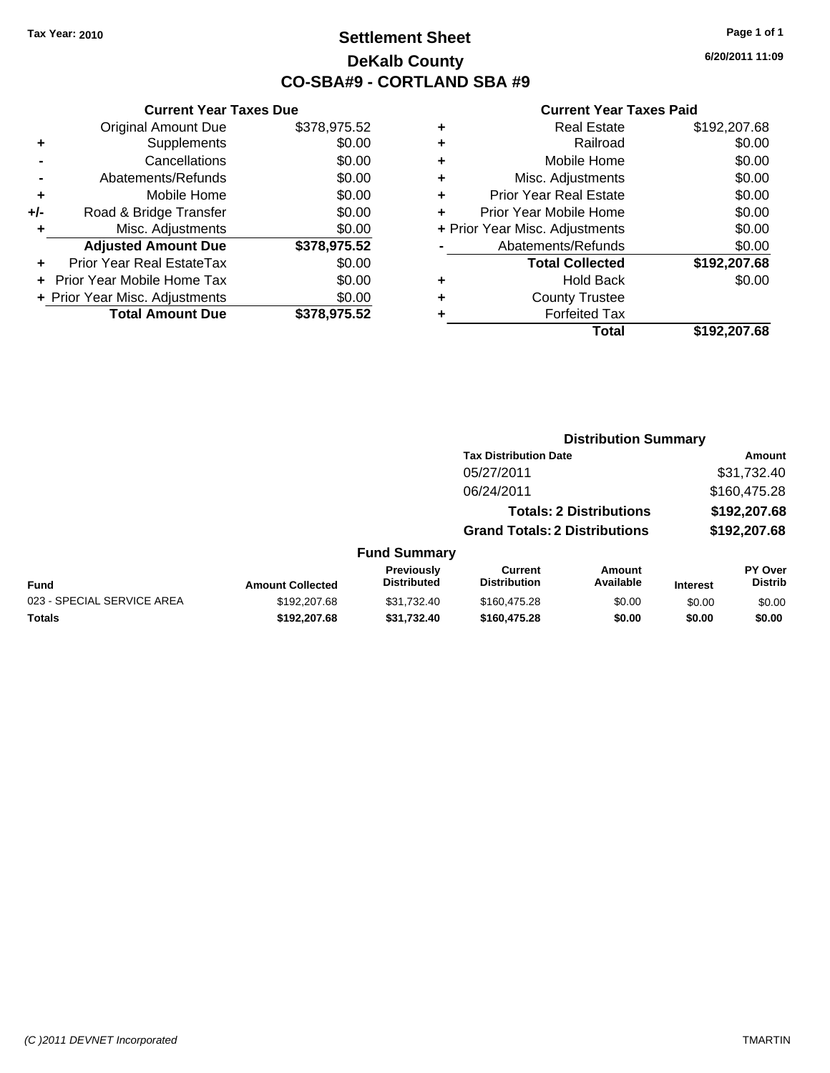## **Settlement Sheet Tax Year: 2010 Page 1 of 1 DeKalb County CO-SBA#9 - CORTLAND SBA #9**

**6/20/2011 11:09**

#### **Current Year Taxes Paid**

|   | Total                          | \$192,207.68 |
|---|--------------------------------|--------------|
| ٠ | <b>Forfeited Tax</b>           |              |
| ٠ | <b>County Trustee</b>          |              |
| ÷ | <b>Hold Back</b>               | \$0.00       |
|   | <b>Total Collected</b>         | \$192,207.68 |
|   | Abatements/Refunds             | \$0.00       |
|   | + Prior Year Misc. Adjustments | \$0.00       |
| ÷ | Prior Year Mobile Home         | \$0.00       |
| ÷ | <b>Prior Year Real Estate</b>  | \$0.00       |
| ÷ | Misc. Adjustments              | \$0.00       |
| ÷ | Mobile Home                    | \$0.00       |
| ٠ | Railroad                       | \$0.00       |
| ٠ | <b>Real Estate</b>             | \$192,207.68 |
|   |                                |              |

|     | <b>Current Year Taxes Due</b>  |              |  |  |
|-----|--------------------------------|--------------|--|--|
|     | <b>Original Amount Due</b>     | \$378,975.52 |  |  |
| ٠   | Supplements                    | \$0.00       |  |  |
|     | Cancellations                  | \$0.00       |  |  |
|     | Abatements/Refunds             | \$0.00       |  |  |
| ٠   | Mobile Home                    | \$0.00       |  |  |
| +/- | Road & Bridge Transfer         | \$0.00       |  |  |
|     | Misc. Adjustments              | \$0.00       |  |  |
|     | <b>Adjusted Amount Due</b>     | \$378,975.52 |  |  |
|     | Prior Year Real EstateTax      | \$0.00       |  |  |
|     | Prior Year Mobile Home Tax     | \$0.00       |  |  |
|     | + Prior Year Misc. Adjustments | \$0.00       |  |  |
|     | <b>Total Amount Due</b>        | \$378,975.52 |  |  |

#### **Distribution Summary**

|                     | <b>Tax Distribution Date</b>         |        | Amount         |
|---------------------|--------------------------------------|--------|----------------|
|                     | 05/27/2011                           |        | \$31,732.40    |
|                     | 06/24/2011                           |        | \$160,475.28   |
|                     | <b>Totals: 2 Distributions</b>       |        | \$192,207.68   |
|                     | <b>Grand Totals: 2 Distributions</b> |        | \$192,207.68   |
| <b>Fund Summary</b> |                                      |        |                |
| <b>Previously</b>   | Current                              | Amount | <b>PY Over</b> |

|                            |                         | Previously  | Current             | Amount    |                 | <b>PY Over</b> |
|----------------------------|-------------------------|-------------|---------------------|-----------|-----------------|----------------|
| Fund                       | <b>Amount Collected</b> | Distributed | <b>Distribution</b> | Available | <b>Interest</b> | Distrib        |
| 023 - SPECIAL SERVICE AREA | \$192.207.68            | \$31.732.40 | \$160,475.28        | \$0.00    | \$0.00          | \$0.00         |
| <b>Totals</b>              | \$192.207.68            | \$31.732.40 | \$160,475.28        | \$0.00    | \$0.00          | \$0.00         |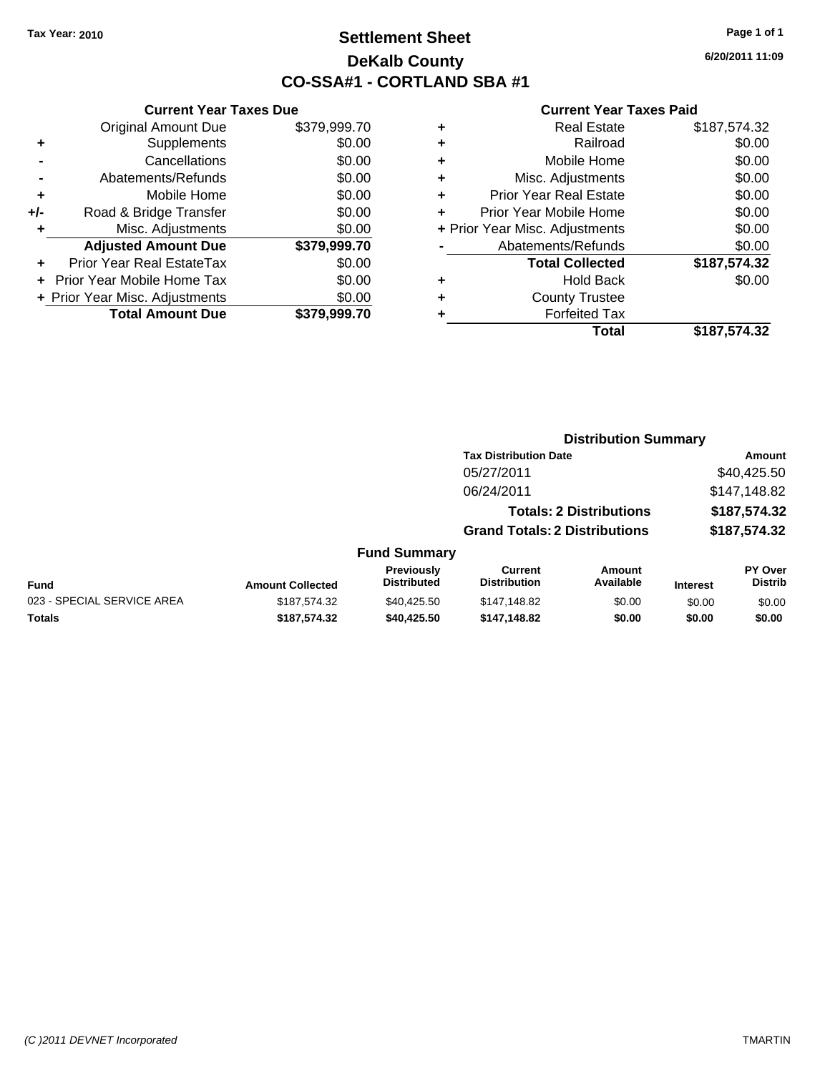## **Settlement Sheet Tax Year: 2010 Page 1 of 1 DeKalb County CO-SSA#1 - CORTLAND SBA #1**

**6/20/2011 11:09**

#### **Current Year Taxes Paid**

|     | <b>Current Year Taxes Due</b>  |              |
|-----|--------------------------------|--------------|
|     | <b>Original Amount Due</b>     | \$379,999.70 |
| ٠   | Supplements                    | \$0.00       |
|     | Cancellations                  | \$0.00       |
|     | Abatements/Refunds             | \$0.00       |
| ٠   | Mobile Home                    | \$0.00       |
| +/- | Road & Bridge Transfer         | \$0.00       |
|     | Misc. Adjustments              | \$0.00       |
|     | <b>Adjusted Amount Due</b>     | \$379,999.70 |
|     | Prior Year Real EstateTax      | \$0.00       |
|     | Prior Year Mobile Home Tax     | \$0.00       |
|     | + Prior Year Misc. Adjustments | \$0.00       |
|     | <b>Total Amount Due</b>        | \$379,999.70 |
|     |                                |              |

| <b>Real Estate</b>             | \$187,574.32 |
|--------------------------------|--------------|
| Railroad                       | \$0.00       |
| Mobile Home                    | \$0.00       |
| Misc. Adjustments              | \$0.00       |
| <b>Prior Year Real Estate</b>  | \$0.00       |
| Prior Year Mobile Home         | \$0.00       |
| + Prior Year Misc. Adjustments | \$0.00       |
| Abatements/Refunds             | \$0.00       |
| <b>Total Collected</b>         | \$187,574.32 |
| <b>Hold Back</b>               | \$0.00       |
| <b>County Trustee</b>          |              |
| <b>Forfeited Tax</b>           |              |
| Total                          | \$187,574.32 |
|                                |              |

**Distribution Summary**

|                            |                         |                                         | <b>Tax Distribution Date</b>          |                                |                 | Amount                           |
|----------------------------|-------------------------|-----------------------------------------|---------------------------------------|--------------------------------|-----------------|----------------------------------|
|                            |                         |                                         | 05/27/2011                            |                                |                 | \$40,425.50                      |
|                            |                         |                                         | 06/24/2011                            |                                |                 | \$147,148.82                     |
|                            |                         |                                         |                                       | <b>Totals: 2 Distributions</b> |                 | \$187,574.32                     |
|                            |                         |                                         | <b>Grand Totals: 2 Distributions</b>  |                                |                 | \$187,574.32                     |
|                            |                         | <b>Fund Summary</b>                     |                                       |                                |                 |                                  |
| Fund                       | <b>Amount Collected</b> | <b>Previously</b><br><b>Distributed</b> | <b>Current</b><br><b>Distribution</b> | Amount<br>Available            | <b>Interest</b> | <b>PY Over</b><br><b>Distrib</b> |
| 023 - SPECIAL SERVICE AREA | \$187,574.32            | \$40.425.50                             | \$147,148.82                          | \$0.00                         | \$0.00          | \$0.00                           |
| Totals                     | \$187.574.32            | \$40.425.50                             | \$147,148.82                          | \$0.00                         | \$0.00          | \$0.00                           |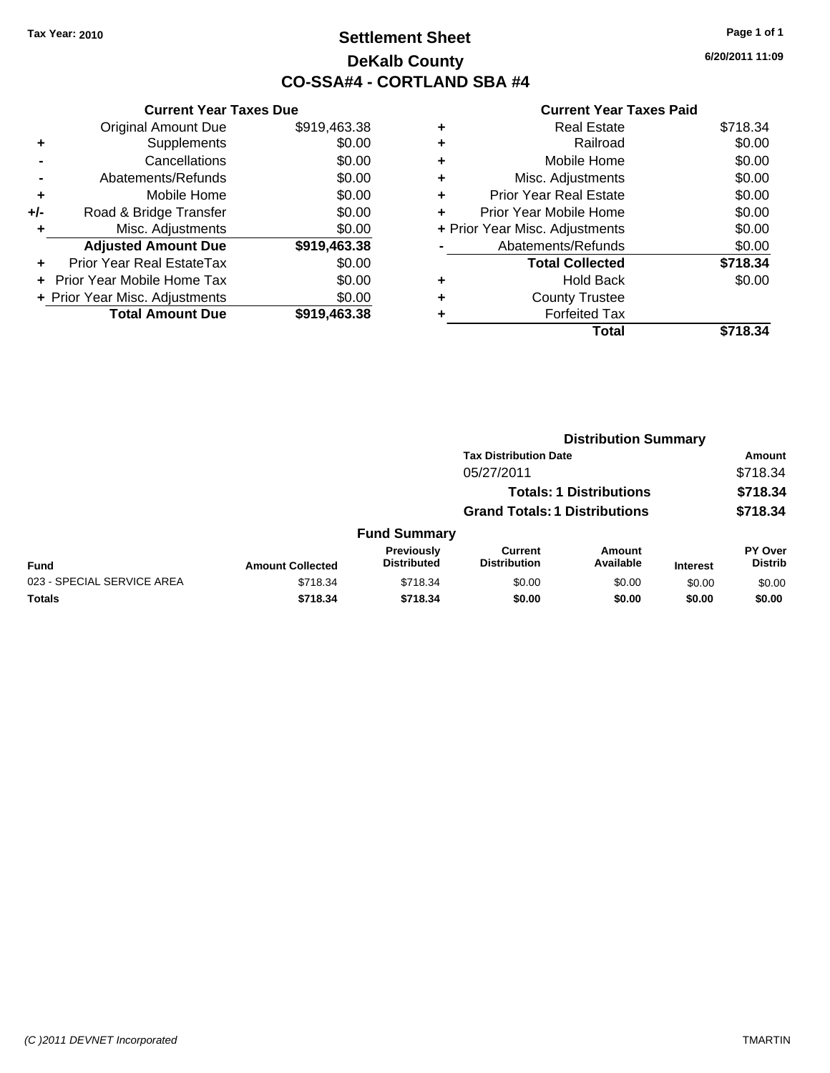## **Settlement Sheet Tax Year: 2010 Page 1 of 1 DeKalb County CO-SSA#4 - CORTLAND SBA #4**

**6/20/2011 11:09**

|     | <b>Current Year Taxes Due</b>              |              |  |  |  |  |  |  |
|-----|--------------------------------------------|--------------|--|--|--|--|--|--|
|     | <b>Original Amount Due</b><br>\$919,463.38 |              |  |  |  |  |  |  |
| ÷   | Supplements                                | \$0.00       |  |  |  |  |  |  |
|     | Cancellations                              | \$0.00       |  |  |  |  |  |  |
|     | \$0.00<br>Abatements/Refunds               |              |  |  |  |  |  |  |
| ٠   | Mobile Home                                | \$0.00       |  |  |  |  |  |  |
| +/- | Road & Bridge Transfer                     | \$0.00       |  |  |  |  |  |  |
|     | Misc. Adjustments                          | \$0.00       |  |  |  |  |  |  |
|     | <b>Adjusted Amount Due</b>                 | \$919,463.38 |  |  |  |  |  |  |
| ÷   | Prior Year Real EstateTax                  | \$0.00       |  |  |  |  |  |  |
|     | Prior Year Mobile Home Tax                 | \$0.00       |  |  |  |  |  |  |
|     | + Prior Year Misc. Adjustments             | \$0.00       |  |  |  |  |  |  |
|     | <b>Total Amount Due</b>                    | \$919,463.38 |  |  |  |  |  |  |
|     |                                            |              |  |  |  |  |  |  |

| ٠ | <b>Real Estate</b>             | \$718.34 |
|---|--------------------------------|----------|
| ٠ | Railroad                       | \$0.00   |
| ٠ | Mobile Home                    | \$0.00   |
| ٠ | Misc. Adjustments              | \$0.00   |
| ٠ | <b>Prior Year Real Estate</b>  | \$0.00   |
| ٠ | Prior Year Mobile Home         | \$0.00   |
|   | + Prior Year Misc. Adjustments | \$0.00   |
|   | Abatements/Refunds             | \$0.00   |
|   | <b>Total Collected</b>         | \$718.34 |
| ٠ | <b>Hold Back</b>               | \$0.00   |
| ٠ | <b>County Trustee</b>          |          |
| ٠ | <b>Forfeited Tax</b>           |          |
|   | Total                          | \$718.34 |
|   |                                |          |

|                            |                         |                                         | <b>Distribution Summary</b>           |                                |                 |                           |
|----------------------------|-------------------------|-----------------------------------------|---------------------------------------|--------------------------------|-----------------|---------------------------|
|                            |                         |                                         | <b>Tax Distribution Date</b>          |                                |                 | Amount                    |
|                            |                         |                                         | 05/27/2011                            |                                |                 | \$718.34                  |
|                            |                         |                                         |                                       | <b>Totals: 1 Distributions</b> |                 | \$718.34                  |
|                            |                         |                                         | <b>Grand Totals: 1 Distributions</b>  |                                |                 | \$718.34                  |
|                            |                         | <b>Fund Summary</b>                     |                                       |                                |                 |                           |
| <b>Fund</b>                | <b>Amount Collected</b> | <b>Previously</b><br><b>Distributed</b> | <b>Current</b><br><b>Distribution</b> | Amount<br>Available            | <b>Interest</b> | PY Over<br><b>Distrib</b> |
| 023 - SPECIAL SERVICE AREA | \$718.34                | \$718.34                                | \$0.00                                | \$0.00                         | \$0.00          | \$0.00                    |
| Totals                     | \$718.34                | \$718.34                                | \$0.00                                | \$0.00                         | \$0.00          | \$0.00                    |
|                            |                         |                                         |                                       |                                |                 |                           |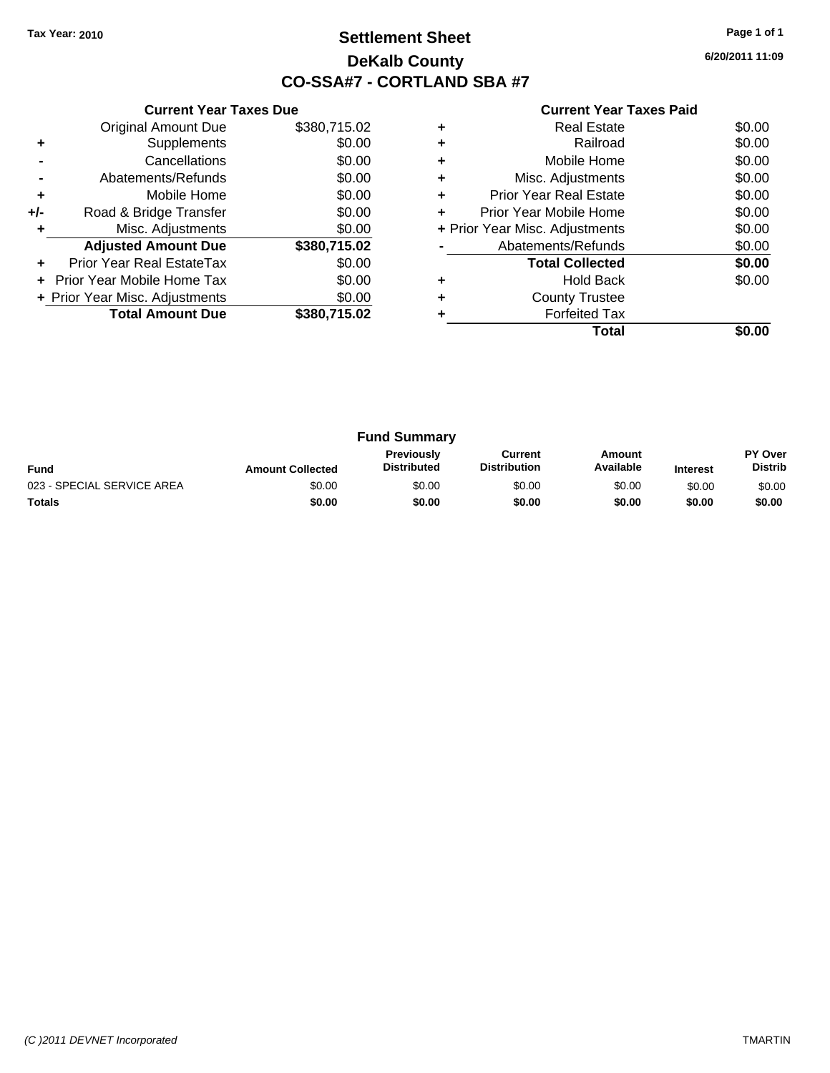## **Settlement Sheet Tax Year: 2010 Page 1 of 1 DeKalb County CO-SSA#7 - CORTLAND SBA #7**

**6/20/2011 11:09**

|     | <b>Current Year Taxes Due</b>     |              |
|-----|-----------------------------------|--------------|
|     | <b>Original Amount Due</b>        | \$380,715.02 |
| ٠   | Supplements                       | \$0.00       |
|     | Cancellations                     | \$0.00       |
|     | Abatements/Refunds                | \$0.00       |
| ٠   | Mobile Home                       | \$0.00       |
| +/- | Road & Bridge Transfer            | \$0.00       |
|     | Misc. Adjustments                 | \$0.00       |
|     | <b>Adjusted Amount Due</b>        | \$380,715.02 |
| ÷   | Prior Year Real EstateTax         | \$0.00       |
|     | <b>Prior Year Mobile Home Tax</b> | \$0.00       |
|     | + Prior Year Misc. Adjustments    | \$0.00       |
|     | <b>Total Amount Due</b>           | \$380,715.02 |
|     |                                   |              |

|   | <b>Real Estate</b>             | \$0.00 |
|---|--------------------------------|--------|
| ٠ | Railroad                       | \$0.00 |
| ٠ | Mobile Home                    | \$0.00 |
| ٠ | Misc. Adjustments              | \$0.00 |
| ٠ | <b>Prior Year Real Estate</b>  | \$0.00 |
|   | Prior Year Mobile Home         | \$0.00 |
|   | + Prior Year Misc. Adjustments | \$0.00 |
|   | Abatements/Refunds             | \$0.00 |
|   | <b>Total Collected</b>         | \$0.00 |
|   | <b>Hold Back</b>               | \$0.00 |
| ٠ | <b>County Trustee</b>          |        |
|   | <b>Forfeited Tax</b>           |        |
|   | Total                          |        |

|                            |                         | <b>Fund Summary</b>                     |                                |                     |                 |                                  |
|----------------------------|-------------------------|-----------------------------------------|--------------------------------|---------------------|-----------------|----------------------------------|
| <b>Fund</b>                | <b>Amount Collected</b> | <b>Previously</b><br><b>Distributed</b> | Current<br><b>Distribution</b> | Amount<br>Available | <b>Interest</b> | <b>PY Over</b><br><b>Distrib</b> |
| 023 - SPECIAL SERVICE AREA | \$0.00                  | \$0.00                                  | \$0.00                         | \$0.00              | \$0.00          | \$0.00                           |
| <b>Totals</b>              | \$0.00                  | \$0.00                                  | \$0.00                         | \$0.00              | \$0.00          | \$0.00                           |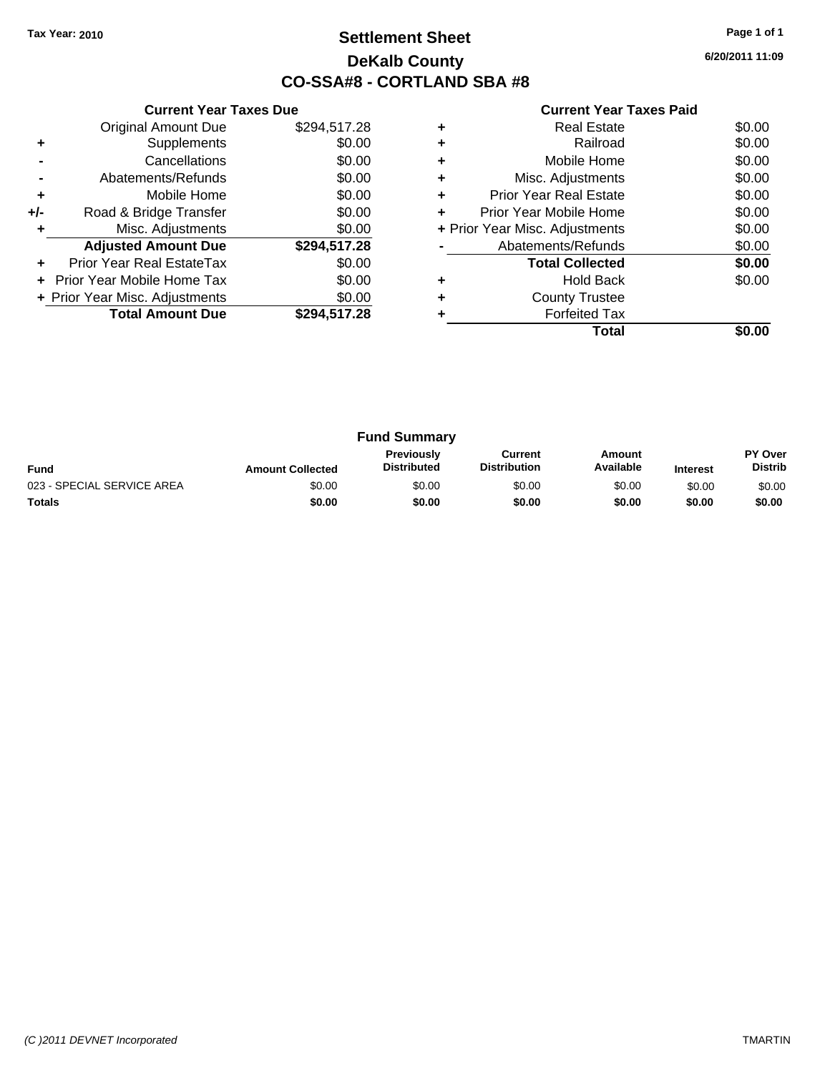## **Settlement Sheet Tax Year: 2010 Page 1 of 1 DeKalb County CO-SSA#8 - CORTLAND SBA #8**

**6/20/2011 11:09**

|     | <b>Current Year Taxes Due</b>  |              |
|-----|--------------------------------|--------------|
|     | <b>Original Amount Due</b>     | \$294,517.28 |
| ٠   | Supplements                    | \$0.00       |
|     | Cancellations                  | \$0.00       |
|     | Abatements/Refunds             | \$0.00       |
| ٠   | Mobile Home                    | \$0.00       |
| +/- | Road & Bridge Transfer         | \$0.00       |
|     | Misc. Adjustments              | \$0.00       |
|     | <b>Adjusted Amount Due</b>     | \$294,517.28 |
|     | Prior Year Real EstateTax      | \$0.00       |
|     | Prior Year Mobile Home Tax     | \$0.00       |
|     | + Prior Year Misc. Adjustments | \$0.00       |
|     | <b>Total Amount Due</b>        | \$294.517.28 |
|     |                                |              |

|   | Total                          |        |
|---|--------------------------------|--------|
|   | <b>Forfeited Tax</b>           |        |
|   | <b>County Trustee</b>          |        |
|   | <b>Hold Back</b>               | \$0.00 |
|   | <b>Total Collected</b>         | \$0.00 |
|   | Abatements/Refunds             | \$0.00 |
|   | + Prior Year Misc. Adjustments | \$0.00 |
| ÷ | Prior Year Mobile Home         | \$0.00 |
| ٠ | <b>Prior Year Real Estate</b>  | \$0.00 |
|   | Misc. Adjustments              | \$0.00 |
|   | Mobile Home                    | \$0.00 |
| ٠ | Railroad                       | \$0.00 |
|   | Real Estate                    | \$0.00 |

| <b>Fund Summary</b>        |                         |                                         |                                |                     |                 |                                  |
|----------------------------|-------------------------|-----------------------------------------|--------------------------------|---------------------|-----------------|----------------------------------|
| <b>Fund</b>                | <b>Amount Collected</b> | <b>Previously</b><br><b>Distributed</b> | Current<br><b>Distribution</b> | Amount<br>Available | <b>Interest</b> | <b>PY Over</b><br><b>Distrib</b> |
| 023 - SPECIAL SERVICE AREA | \$0.00                  | \$0.00                                  | \$0.00                         | \$0.00              | \$0.00          | \$0.00                           |
| <b>Totals</b>              | \$0.00                  | \$0.00                                  | \$0.00                         | \$0.00              | \$0.00          | \$0.00                           |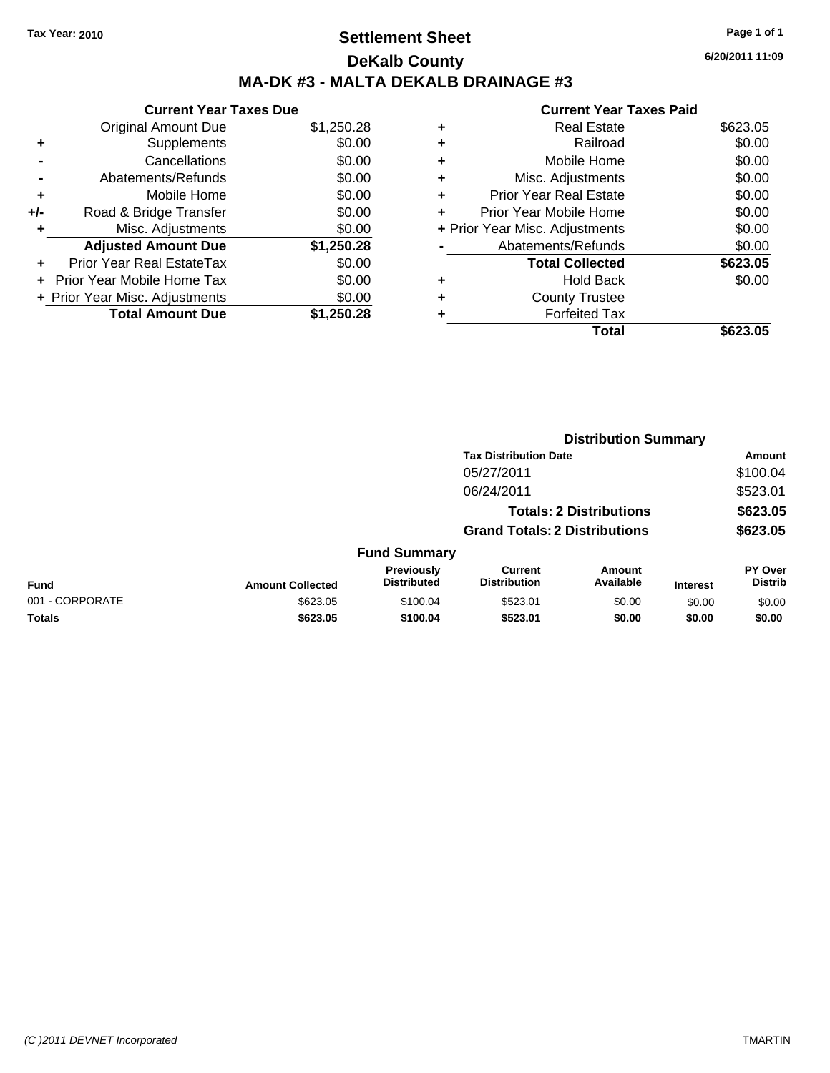## **Settlement Sheet Tax Year: 2010 Page 1 of 1 DeKalb County MA-DK #3 - MALTA DEKALB DRAINAGE #3**

**6/20/2011 11:09**

|       | <b>Current Year Taxes Due</b>  |            |
|-------|--------------------------------|------------|
|       | <b>Original Amount Due</b>     | \$1,250.28 |
|       | Supplements                    | \$0.00     |
|       | Cancellations                  | \$0.00     |
|       | Abatements/Refunds             | \$0.00     |
| ٠     | Mobile Home                    | \$0.00     |
| $+/-$ | Road & Bridge Transfer         | \$0.00     |
| ٠     | Misc. Adjustments              | \$0.00     |
|       | <b>Adjusted Amount Due</b>     | \$1,250.28 |
| ٠     | Prior Year Real EstateTax      | \$0.00     |
|       | Prior Year Mobile Home Tax     | \$0.00     |
|       | + Prior Year Misc. Adjustments | \$0.00     |
|       | <b>Total Amount Due</b>        | \$1,250.28 |
|       |                                |            |

|   | Total                          | \$623.05 |
|---|--------------------------------|----------|
| ٠ | <b>Forfeited Tax</b>           |          |
| ٠ | <b>County Trustee</b>          |          |
| ٠ | <b>Hold Back</b>               | \$0.00   |
|   | <b>Total Collected</b>         | \$623.05 |
|   | Abatements/Refunds             | \$0.00   |
|   | + Prior Year Misc. Adjustments | \$0.00   |
| ٠ | Prior Year Mobile Home         | \$0.00   |
| ÷ | <b>Prior Year Real Estate</b>  | \$0.00   |
| ٠ | Misc. Adjustments              | \$0.00   |
| ٠ | Mobile Home                    | \$0.00   |
| ٠ | Railroad                       | \$0.00   |
| ٠ | Real Estate                    | \$623.05 |
|   |                                |          |

| <b>Tax Distribution Date</b>                                                                                        |                                      |                 |                           |
|---------------------------------------------------------------------------------------------------------------------|--------------------------------------|-----------------|---------------------------|
|                                                                                                                     |                                      |                 | Amount                    |
| 05/27/2011                                                                                                          |                                      |                 | \$100.04                  |
| 06/24/2011                                                                                                          |                                      |                 | \$523.01                  |
|                                                                                                                     | <b>Totals: 2 Distributions</b>       |                 | \$623.05                  |
|                                                                                                                     | <b>Grand Totals: 2 Distributions</b> |                 | \$623.05                  |
| <b>Fund Summary</b>                                                                                                 |                                      |                 |                           |
| Previously<br><b>Current</b><br><b>Distributed</b><br><b>Distribution</b><br><b>Fund</b><br><b>Amount Collected</b> | <b>Amount</b><br>Available           | <b>Interest</b> | PY Over<br><b>Distrib</b> |
| 001 - CORPORATE<br>\$623.05<br>\$100.04<br>\$523.01                                                                 | \$0.00                               | \$0.00          | \$0.00                    |
| Totals<br>\$623.05<br>\$100.04<br>\$523.01                                                                          | \$0.00                               | \$0.00          | \$0.00                    |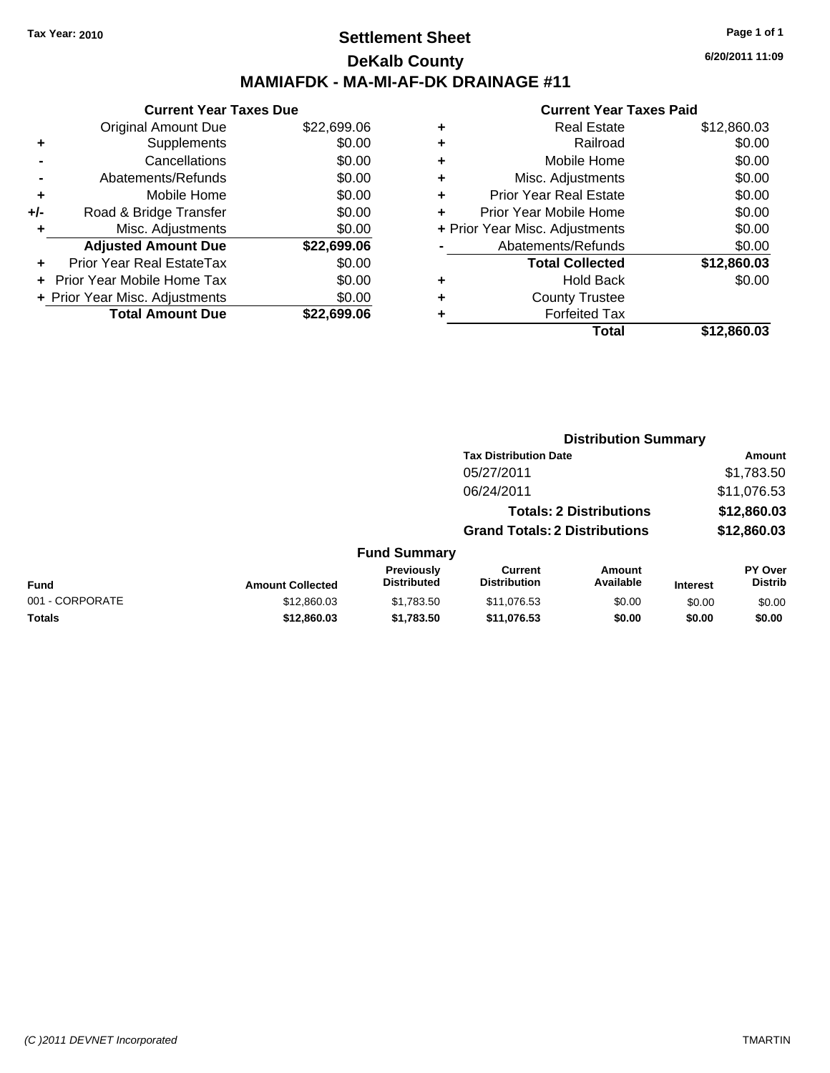### **Settlement Sheet Tax Year: 2010 Page 1 of 1 DeKalb County MAMIAFDK - MA-MI-AF-DK DRAINAGE #11**

|     | <b>Current Year Taxes Due</b>  |             |  |  |
|-----|--------------------------------|-------------|--|--|
|     | <b>Original Amount Due</b>     | \$22,699.06 |  |  |
| ٠   | Supplements                    | \$0.00      |  |  |
|     | Cancellations                  | \$0.00      |  |  |
|     | Abatements/Refunds             |             |  |  |
| ٠   | Mobile Home                    | \$0.00      |  |  |
| +/- | Road & Bridge Transfer         | \$0.00      |  |  |
|     | Misc. Adjustments              | \$0.00      |  |  |
|     | <b>Adjusted Amount Due</b>     | \$22,699.06 |  |  |
|     | Prior Year Real EstateTax      | \$0.00      |  |  |
|     | Prior Year Mobile Home Tax     | \$0.00      |  |  |
|     | + Prior Year Misc. Adjustments | \$0.00      |  |  |
|     | <b>Total Amount Due</b>        | \$22.699.06 |  |  |

#### **Current Year Taxes Paid**

| ٠ | <b>Real Estate</b>             | \$12,860.03 |
|---|--------------------------------|-------------|
| ٠ | Railroad                       | \$0.00      |
| ٠ | Mobile Home                    | \$0.00      |
| ٠ | Misc. Adjustments              | \$0.00      |
| ٠ | <b>Prior Year Real Estate</b>  | \$0.00      |
| ÷ | Prior Year Mobile Home         | \$0.00      |
|   | + Prior Year Misc. Adjustments | \$0.00      |
|   | Abatements/Refunds             | \$0.00      |
|   | <b>Total Collected</b>         | \$12,860.03 |
| ٠ | <b>Hold Back</b>               | \$0.00      |
| ٠ | <b>County Trustee</b>          |             |
|   | <b>Forfeited Tax</b>           |             |
|   | Total                          | \$12,860.03 |
|   |                                |             |

|                 |                         |                                  | <b>Distribution Summary</b>           |                                |                 |                                  |
|-----------------|-------------------------|----------------------------------|---------------------------------------|--------------------------------|-----------------|----------------------------------|
|                 |                         |                                  | <b>Tax Distribution Date</b>          |                                |                 | Amount                           |
|                 |                         |                                  | 05/27/2011                            |                                |                 | \$1,783.50                       |
|                 |                         |                                  | 06/24/2011                            |                                |                 | \$11,076.53                      |
|                 |                         |                                  |                                       | <b>Totals: 2 Distributions</b> |                 | \$12,860.03                      |
|                 |                         |                                  | <b>Grand Totals: 2 Distributions</b>  |                                |                 | \$12,860.03                      |
|                 |                         | <b>Fund Summary</b>              |                                       |                                |                 |                                  |
| <b>Fund</b>     | <b>Amount Collected</b> | Previously<br><b>Distributed</b> | <b>Current</b><br><b>Distribution</b> | Amount<br>Available            | <b>Interest</b> | <b>PY Over</b><br><b>Distrib</b> |
| 001 - CORPORATE | \$12,860.03             | \$1.783.50                       | \$11,076.53                           | \$0.00                         | \$0.00          | \$0.00                           |

**Totals \$12,860.03 \$1,783.50 \$11,076.53 \$0.00 \$0.00 \$0.00**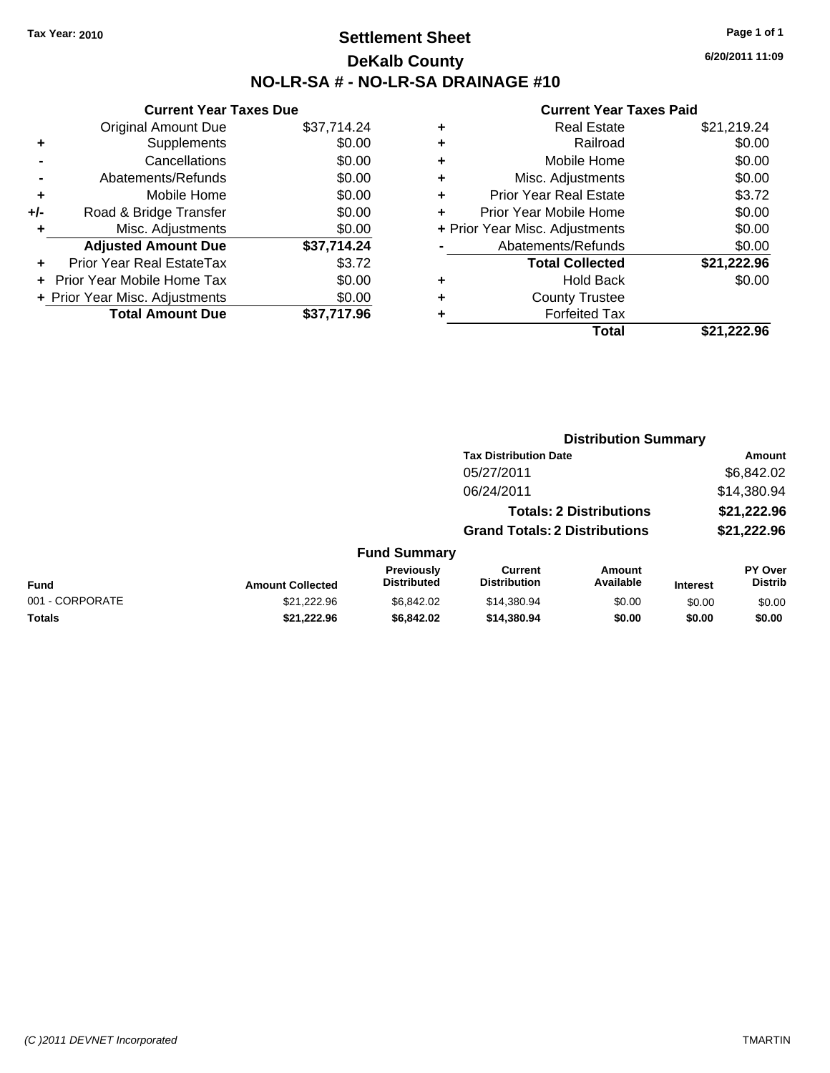## **Settlement Sheet Tax Year: 2010 Page 1 of 1 DeKalb County NO-LR-SA # - NO-LR-SA DRAINAGE #10**

**6/20/2011 11:09**

|       | <b>Current Year Taxes Due</b>  |             |
|-------|--------------------------------|-------------|
|       | <b>Original Amount Due</b>     | \$37,714.24 |
| ٠     | Supplements                    | \$0.00      |
|       | Cancellations                  | \$0.00      |
|       | Abatements/Refunds             | \$0.00      |
| ٠     | Mobile Home                    | \$0.00      |
| $+/-$ | Road & Bridge Transfer         | \$0.00      |
|       | Misc. Adjustments              | \$0.00      |
|       | <b>Adjusted Amount Due</b>     | \$37,714.24 |
|       | Prior Year Real EstateTax      | \$3.72      |
|       | Prior Year Mobile Home Tax     | \$0.00      |
|       | + Prior Year Misc. Adjustments | \$0.00      |
|       | <b>Total Amount Due</b>        | \$37,717.96 |
|       |                                |             |

| ٠ | <b>Real Estate</b>             | \$21,219.24 |
|---|--------------------------------|-------------|
| ٠ | Railroad                       | \$0.00      |
| ٠ | Mobile Home                    | \$0.00      |
| ٠ | Misc. Adjustments              | \$0.00      |
| ٠ | <b>Prior Year Real Estate</b>  | \$3.72      |
| ÷ | Prior Year Mobile Home         | \$0.00      |
|   | + Prior Year Misc. Adjustments | \$0.00      |
|   | Abatements/Refunds             | \$0.00      |
|   | <b>Total Collected</b>         | \$21,222.96 |
| ٠ | <b>Hold Back</b>               | \$0.00      |
| ٠ | <b>County Trustee</b>          |             |
| ٠ | <b>Forfeited Tax</b>           |             |
|   | Total                          | \$21,222.96 |
|   |                                |             |

|                 |                         |                                  | <b>Distribution Summary</b>           |                                |                 |                                  |
|-----------------|-------------------------|----------------------------------|---------------------------------------|--------------------------------|-----------------|----------------------------------|
|                 |                         |                                  | <b>Tax Distribution Date</b>          |                                |                 | Amount                           |
|                 |                         |                                  | 05/27/2011                            |                                |                 | \$6,842.02                       |
|                 |                         |                                  | 06/24/2011                            |                                |                 | \$14,380.94                      |
|                 |                         |                                  |                                       | <b>Totals: 2 Distributions</b> |                 | \$21,222.96                      |
|                 |                         |                                  | <b>Grand Totals: 2 Distributions</b>  |                                |                 | \$21,222.96                      |
|                 |                         | <b>Fund Summary</b>              |                                       |                                |                 |                                  |
| <b>Fund</b>     | <b>Amount Collected</b> | Previously<br><b>Distributed</b> | <b>Current</b><br><b>Distribution</b> | Amount<br>Available            | <b>Interest</b> | <b>PY Over</b><br><b>Distrib</b> |
| 001 - CORPORATE | \$21.222.96             | \$6,842.02                       | \$14,380.94                           | \$0.00                         | \$0.00          | \$0.00                           |
| Totals          | \$21,222.96             | \$6,842.02                       | \$14,380.94                           | \$0.00                         | \$0.00          | \$0.00                           |
|                 |                         |                                  |                                       |                                |                 |                                  |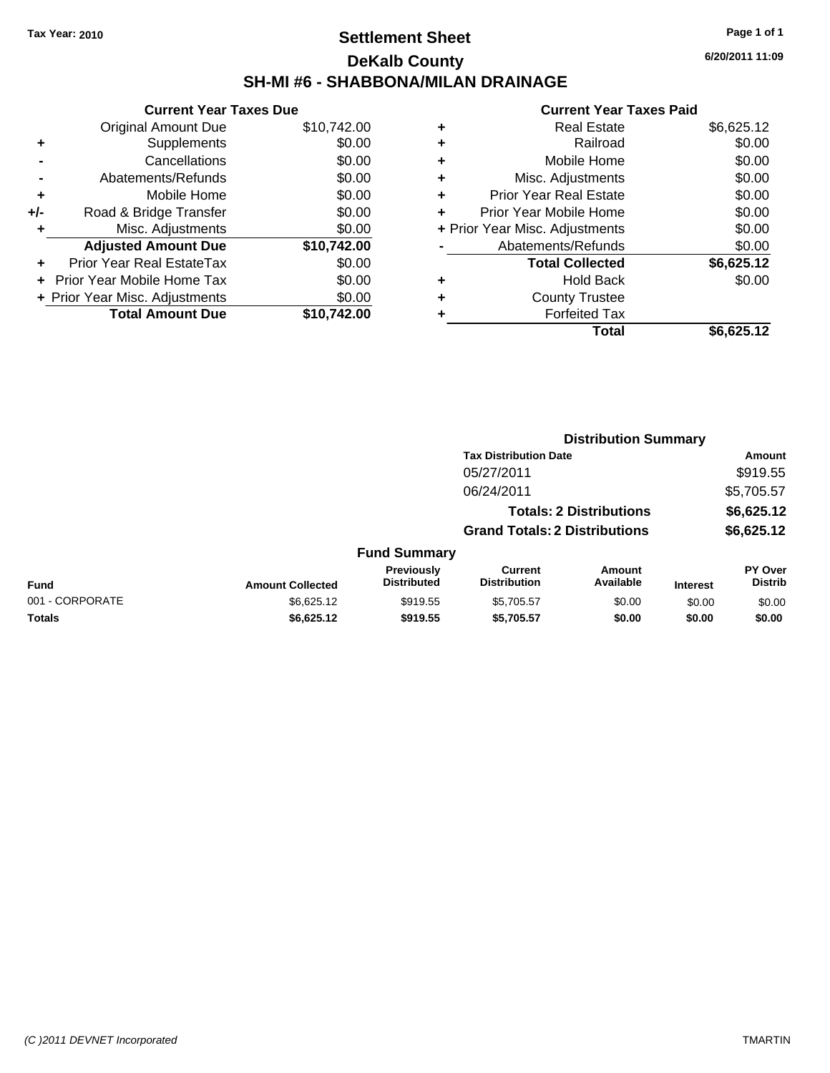## **Settlement Sheet Tax Year: 2010 Page 1 of 1 DeKalb County SH-MI #6 - SHABBONA/MILAN DRAINAGE**

**6/20/2011 11:09**

| <b>Current Year Taxes Due</b> |                                |
|-------------------------------|--------------------------------|
| <b>Original Amount Due</b>    | \$10,742.00                    |
| Supplements                   | \$0.00                         |
| Cancellations                 | \$0.00                         |
| Abatements/Refunds            | \$0.00                         |
| Mobile Home                   | \$0.00                         |
| Road & Bridge Transfer        | \$0.00                         |
| Misc. Adjustments             | \$0.00                         |
| <b>Adjusted Amount Due</b>    | \$10,742.00                    |
| Prior Year Real EstateTax     | \$0.00                         |
| Prior Year Mobile Home Tax    | \$0.00                         |
|                               | \$0.00                         |
| <b>Total Amount Due</b>       | \$10.742.00                    |
|                               | + Prior Year Misc. Adjustments |

| ٠ | <b>Real Estate</b>             | \$6,625.12 |
|---|--------------------------------|------------|
| ٠ | Railroad                       | \$0.00     |
| ٠ | Mobile Home                    | \$0.00     |
| ٠ | Misc. Adjustments              | \$0.00     |
| ٠ | <b>Prior Year Real Estate</b>  | \$0.00     |
|   | Prior Year Mobile Home         | \$0.00     |
|   | + Prior Year Misc. Adjustments | \$0.00     |
|   | Abatements/Refunds             | \$0.00     |
|   | <b>Total Collected</b>         | \$6,625.12 |
| ٠ | Hold Back                      | \$0.00     |
| ٠ | <b>County Trustee</b>          |            |
|   | <b>Forfeited Tax</b>           |            |
|   | Total                          | \$6,625.12 |

|                 |                         |                                  |                                       | <b>Distribution Summary</b>    |                 |                                  |
|-----------------|-------------------------|----------------------------------|---------------------------------------|--------------------------------|-----------------|----------------------------------|
|                 |                         |                                  | <b>Tax Distribution Date</b>          |                                |                 | Amount                           |
|                 |                         |                                  | 05/27/2011                            |                                |                 | \$919.55                         |
|                 |                         |                                  | 06/24/2011                            |                                |                 | \$5,705.57                       |
|                 |                         |                                  |                                       | <b>Totals: 2 Distributions</b> |                 | \$6,625.12                       |
|                 |                         |                                  | <b>Grand Totals: 2 Distributions</b>  |                                |                 | \$6,625.12                       |
|                 |                         | <b>Fund Summary</b>              |                                       |                                |                 |                                  |
| Fund            | <b>Amount Collected</b> | Previously<br><b>Distributed</b> | <b>Current</b><br><b>Distribution</b> | Amount<br>Available            | <b>Interest</b> | <b>PY Over</b><br><b>Distrib</b> |
| 001 - CORPORATE | \$6,625.12              | \$919.55                         | \$5,705.57                            | \$0.00                         | \$0.00          | \$0.00                           |
| Totals          | \$6,625.12              | \$919.55                         | \$5,705.57                            | \$0.00                         | \$0.00          | \$0.00                           |
|                 |                         |                                  |                                       |                                |                 |                                  |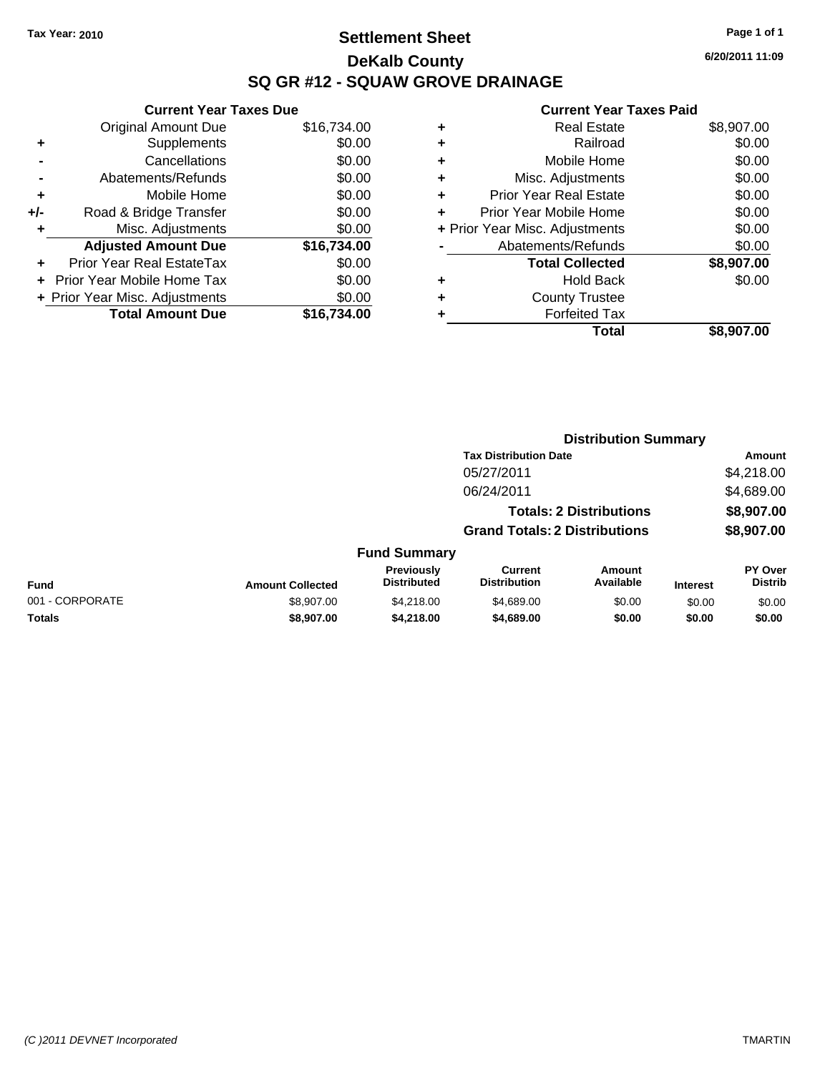## **Settlement Sheet Tax Year: 2010 Page 1 of 1 DeKalb County SQ GR #12 - SQUAW GROVE DRAINAGE**

**6/20/2011 11:09**

|     | <b>Current Year Taxes Due</b>  |             |   | <b>Current Year Ta:</b>        |
|-----|--------------------------------|-------------|---|--------------------------------|
|     | <b>Original Amount Due</b>     | \$16,734.00 | ٠ | <b>Real Estate</b>             |
|     | Supplements                    | \$0.00      | ٠ | Railroad                       |
|     | Cancellations                  | \$0.00      | ٠ | Mobile Home                    |
|     | Abatements/Refunds             | \$0.00      | ٠ | Misc. Adjustments              |
| ٠   | Mobile Home                    | \$0.00      | ٠ | <b>Prior Year Real Estate</b>  |
| +/- | Road & Bridge Transfer         | \$0.00      | ٠ | Prior Year Mobile Home         |
|     | Misc. Adjustments              | \$0.00      |   | + Prior Year Misc. Adjustments |
|     | <b>Adjusted Amount Due</b>     | \$16,734.00 |   | Abatements/Refunds             |
|     | Prior Year Real EstateTax      | \$0.00      |   | <b>Total Collected</b>         |
|     | + Prior Year Mobile Home Tax   | \$0.00      | ٠ | <b>Hold Back</b>               |
|     | + Prior Year Misc. Adjustments | \$0.00      | ٠ | <b>County Trustee</b>          |
|     | <b>Total Amount Due</b>        | \$16,734.00 |   | <b>Forfeited Tax</b>           |
|     |                                |             |   | T <sub>of</sub>                |

| <b>Real Estate</b>             | \$8,907.00 |
|--------------------------------|------------|
| Railroad                       | \$0.00     |
| Mobile Home                    | \$0.00     |
| Misc. Adjustments              | \$0.00     |
| <b>Prior Year Real Estate</b>  | \$0.00     |
| Prior Year Mobile Home         | \$0.00     |
| + Prior Year Misc. Adjustments | \$0.00     |
| Abatements/Refunds             | \$0.00     |
| <b>Total Collected</b>         | \$8,907.00 |
| <b>Hold Back</b>               | \$0.00     |
| <b>County Trustee</b>          |            |
| <b>Forfeited Tax</b>           |            |
| Total                          | \$8,907.00 |
|                                |            |

|                 |                         |                                  | <b>Distribution Summary</b>           |                                |                 |                           |
|-----------------|-------------------------|----------------------------------|---------------------------------------|--------------------------------|-----------------|---------------------------|
|                 |                         |                                  | <b>Tax Distribution Date</b>          |                                |                 | Amount                    |
|                 |                         |                                  | 05/27/2011                            |                                |                 | \$4,218.00                |
|                 |                         |                                  | 06/24/2011                            |                                |                 | \$4,689.00                |
|                 |                         |                                  |                                       | <b>Totals: 2 Distributions</b> |                 | \$8,907.00                |
|                 |                         |                                  | <b>Grand Totals: 2 Distributions</b>  |                                |                 | \$8,907.00                |
|                 |                         | <b>Fund Summary</b>              |                                       |                                |                 |                           |
| <b>Fund</b>     | <b>Amount Collected</b> | Previously<br><b>Distributed</b> | <b>Current</b><br><b>Distribution</b> | Amount<br>Available            | <b>Interest</b> | PY Over<br><b>Distrib</b> |
| 001 - CORPORATE | \$8,907.00              | \$4,218,00                       | \$4,689.00                            | \$0.00                         | \$0.00          | \$0.00                    |
| <b>Totals</b>   | \$8,907.00              | \$4,218.00                       | \$4,689.00                            | \$0.00                         | \$0.00          | \$0.00                    |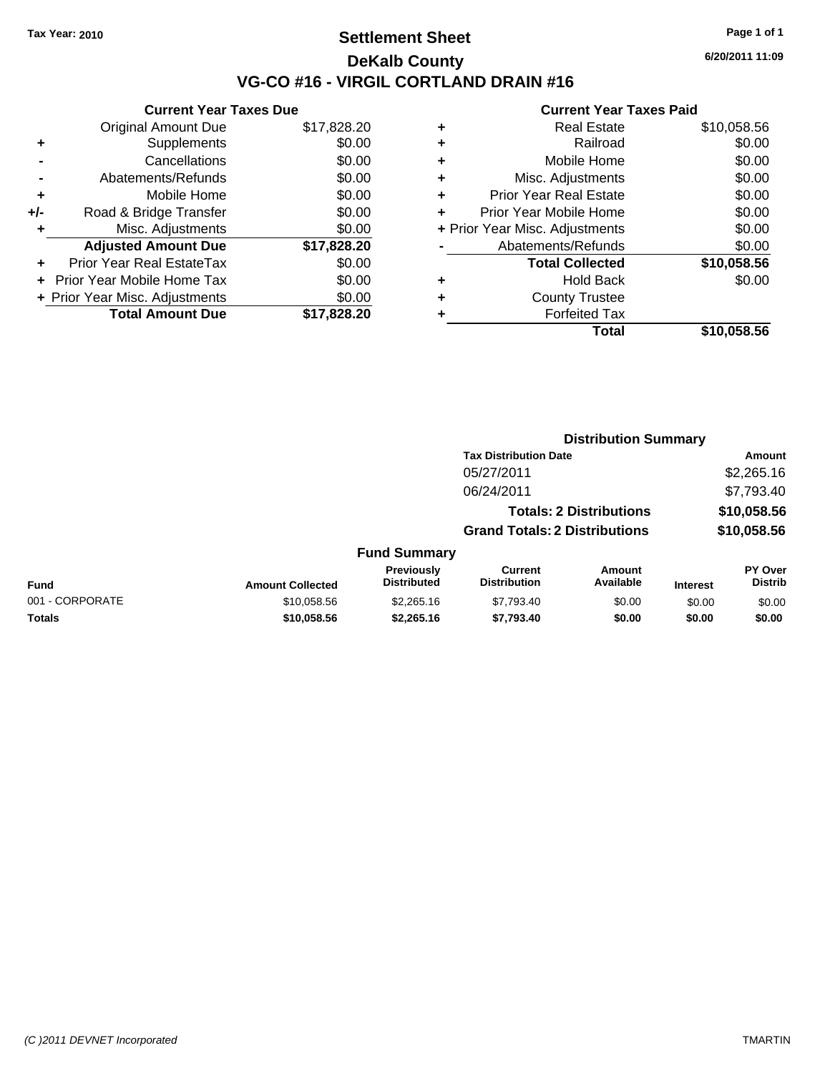## **Settlement Sheet Tax Year: 2010 Page 1 of 1 DeKalb County VG-CO #16 - VIRGIL CORTLAND DRAIN #16**

**6/20/2011 11:09**

| <b>Original Amount Due</b>        | \$17,828.20                                                     |
|-----------------------------------|-----------------------------------------------------------------|
| Supplements                       | \$0.00                                                          |
| Cancellations                     | \$0.00                                                          |
| Abatements/Refunds                | \$0.00                                                          |
| Mobile Home                       | \$0.00                                                          |
| Road & Bridge Transfer            | \$0.00                                                          |
| Misc. Adjustments                 | \$0.00                                                          |
| <b>Adjusted Amount Due</b>        | \$17,828.20                                                     |
| Prior Year Real EstateTax         | \$0.00                                                          |
| <b>Prior Year Mobile Home Tax</b> | \$0.00                                                          |
|                                   | \$0.00                                                          |
| <b>Total Amount Due</b>           | \$17.828.20                                                     |
|                                   | <b>Current Year Taxes Due</b><br>+ Prior Year Misc. Adjustments |

|   | <b>Real Estate</b>             | \$10,058.56 |
|---|--------------------------------|-------------|
| ٠ | Railroad                       | \$0.00      |
| ٠ | Mobile Home                    | \$0.00      |
| ٠ | Misc. Adjustments              | \$0.00      |
| ٠ | <b>Prior Year Real Estate</b>  | \$0.00      |
| ٠ | Prior Year Mobile Home         | \$0.00      |
|   | + Prior Year Misc. Adjustments | \$0.00      |
|   | Abatements/Refunds             | \$0.00      |
|   | <b>Total Collected</b>         | \$10,058.56 |
|   | <b>Hold Back</b>               | \$0.00      |
| ٠ | <b>County Trustee</b>          |             |
| ٠ | <b>Forfeited Tax</b>           |             |
|   | Total                          | \$10,058.56 |
|   |                                |             |

|                 |                         |                                  | <b>Distribution Summary</b>           |                                |                 |                           |
|-----------------|-------------------------|----------------------------------|---------------------------------------|--------------------------------|-----------------|---------------------------|
|                 |                         |                                  | <b>Tax Distribution Date</b>          |                                |                 | Amount                    |
|                 |                         |                                  | 05/27/2011                            |                                |                 | \$2,265.16                |
|                 |                         |                                  | 06/24/2011                            |                                |                 | \$7,793.40                |
|                 |                         |                                  |                                       | <b>Totals: 2 Distributions</b> |                 | \$10,058.56               |
|                 |                         |                                  | <b>Grand Totals: 2 Distributions</b>  |                                |                 | \$10,058.56               |
|                 |                         | <b>Fund Summary</b>              |                                       |                                |                 |                           |
| Fund            | <b>Amount Collected</b> | Previously<br><b>Distributed</b> | <b>Current</b><br><b>Distribution</b> | Amount<br>Available            | <b>Interest</b> | PY Over<br><b>Distrib</b> |
| 001 - CORPORATE | \$10,058.56             | \$2,265.16                       | \$7,793.40                            | \$0.00                         | \$0.00          | \$0.00                    |
| Totals          | \$10,058.56             | \$2,265.16                       | \$7,793.40                            | \$0.00                         | \$0.00          | \$0.00                    |
|                 |                         |                                  |                                       |                                |                 |                           |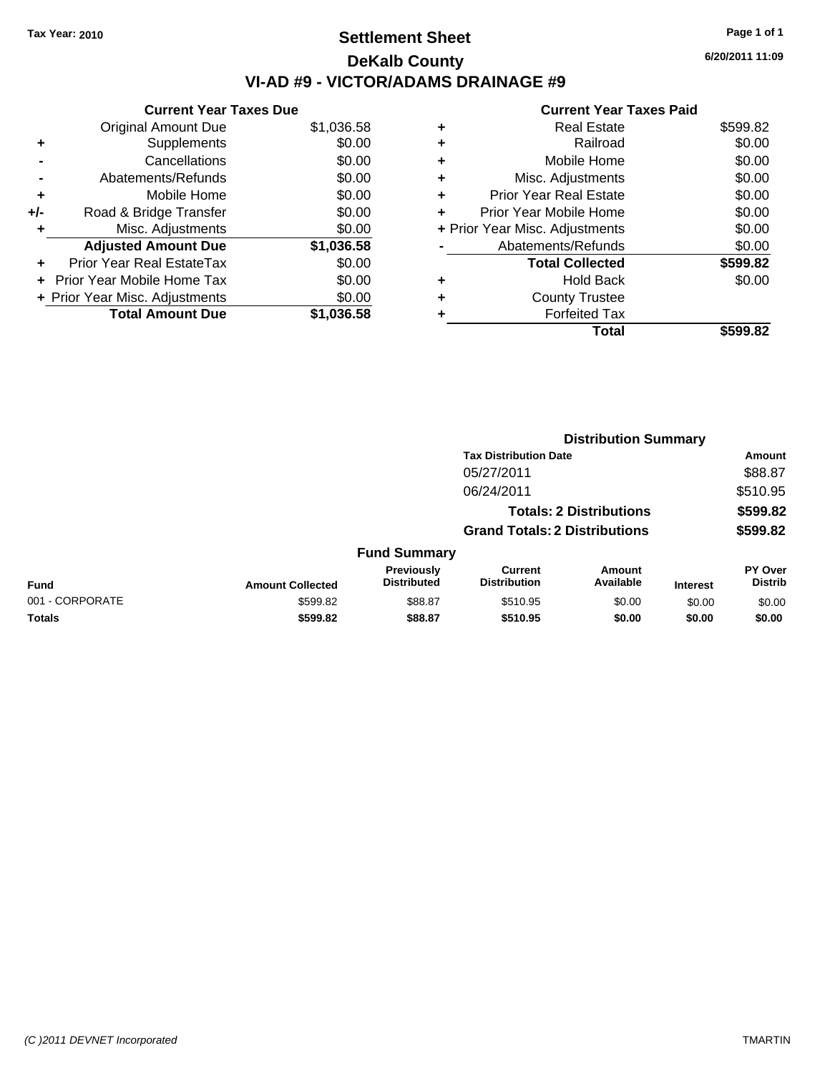## **Settlement Sheet Tax Year: 2010 Page 1 of 1 DeKalb County VI-AD #9 - VICTOR/ADAMS DRAINAGE #9**

**6/20/2011 11:09**

|     | <b>Current Year Taxes Due</b>     |            |
|-----|-----------------------------------|------------|
|     | <b>Original Amount Due</b>        | \$1,036.58 |
| ٠   | Supplements                       | \$0.00     |
|     | Cancellations                     | \$0.00     |
|     | Abatements/Refunds                | \$0.00     |
| ٠   | Mobile Home                       | \$0.00     |
| +/- | Road & Bridge Transfer            | \$0.00     |
| ٠   | Misc. Adjustments                 | \$0.00     |
|     | <b>Adjusted Amount Due</b>        | \$1,036.58 |
| ٠   | Prior Year Real EstateTax         | \$0.00     |
|     | <b>Prior Year Mobile Home Tax</b> | \$0.00     |
|     | + Prior Year Misc. Adjustments    | \$0.00     |
|     | <b>Total Amount Due</b>           | \$1.036.58 |
|     |                                   |            |

|   | Total                          | \$599.82 |
|---|--------------------------------|----------|
| ٠ | <b>Forfeited Tax</b>           |          |
|   | <b>County Trustee</b>          |          |
| ٠ | <b>Hold Back</b>               | \$0.00   |
|   | <b>Total Collected</b>         | \$599.82 |
|   | Abatements/Refunds             | \$0.00   |
|   | + Prior Year Misc. Adjustments | \$0.00   |
| ٠ | Prior Year Mobile Home         | \$0.00   |
| ÷ | <b>Prior Year Real Estate</b>  | \$0.00   |
| ÷ | Misc. Adjustments              | \$0.00   |
| ٠ | Mobile Home                    | \$0.00   |
| ٠ | Railroad                       | \$0.00   |
| ٠ | <b>Real Estate</b>             | \$599.82 |
|   |                                |          |

|                 |                         |                                  | <b>Distribution Summary</b>           |                                |                 |                                  |  |
|-----------------|-------------------------|----------------------------------|---------------------------------------|--------------------------------|-----------------|----------------------------------|--|
|                 |                         |                                  | <b>Tax Distribution Date</b>          |                                |                 | Amount                           |  |
|                 |                         |                                  | 05/27/2011                            |                                |                 | \$88.87                          |  |
|                 |                         |                                  | 06/24/2011                            |                                |                 | \$510.95                         |  |
|                 |                         |                                  |                                       | <b>Totals: 2 Distributions</b> |                 | \$599.82                         |  |
|                 |                         |                                  | <b>Grand Totals: 2 Distributions</b>  |                                |                 | \$599.82                         |  |
|                 |                         | <b>Fund Summary</b>              |                                       |                                |                 |                                  |  |
| <b>Fund</b>     | <b>Amount Collected</b> | Previously<br><b>Distributed</b> | <b>Current</b><br><b>Distribution</b> | Amount<br>Available            | <b>Interest</b> | <b>PY Over</b><br><b>Distrib</b> |  |
| 001 - CORPORATE | \$599.82                | \$88.87                          | \$510.95                              | \$0.00                         | \$0.00          | \$0.00                           |  |
| Totals          | \$599.82                | \$88.87                          | \$510.95                              | \$0.00                         | \$0.00          | \$0.00                           |  |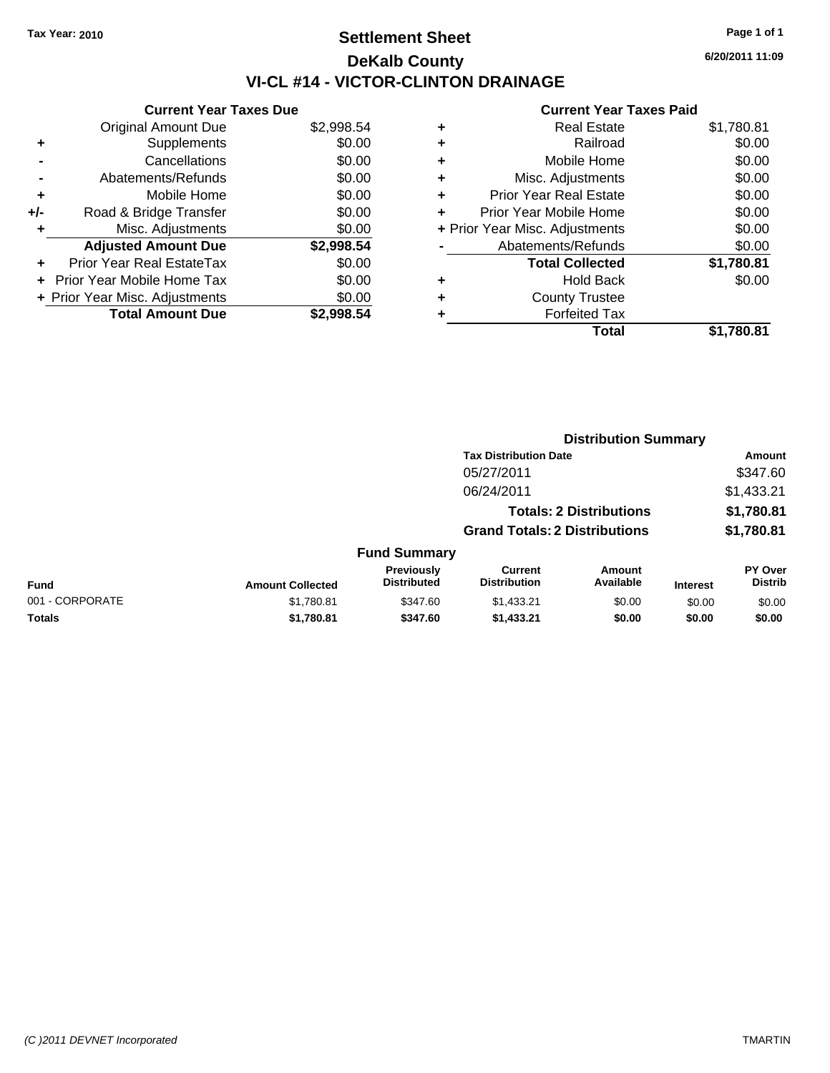## **Settlement Sheet Tax Year: 2010 Page 1 of 1 DeKalb County VI-CL #14 - VICTOR-CLINTON DRAINAGE**

**6/20/2011 11:09**

|     | <b>Current Year Taxes Due</b>  |            |
|-----|--------------------------------|------------|
|     | <b>Original Amount Due</b>     | \$2,998.54 |
| ٠   | Supplements                    | \$0.00     |
|     | Cancellations                  | \$0.00     |
|     | Abatements/Refunds             | \$0.00     |
| ۰   | Mobile Home                    | \$0.00     |
| +/- | Road & Bridge Transfer         | \$0.00     |
| ٠   | Misc. Adjustments              | \$0.00     |
|     | <b>Adjusted Amount Due</b>     | \$2,998.54 |
|     | Prior Year Real EstateTax      | \$0.00     |
|     | Prior Year Mobile Home Tax     | \$0.00     |
|     | + Prior Year Misc. Adjustments | \$0.00     |
|     | <b>Total Amount Due</b>        | \$2.998.54 |

| ٠ | <b>Real Estate</b>             | \$1,780.81 |
|---|--------------------------------|------------|
| ٠ | Railroad                       | \$0.00     |
| ٠ | Mobile Home                    | \$0.00     |
| ٠ | Misc. Adjustments              | \$0.00     |
| ÷ | <b>Prior Year Real Estate</b>  | \$0.00     |
| ÷ | Prior Year Mobile Home         | \$0.00     |
|   | + Prior Year Misc. Adjustments | \$0.00     |
|   | Abatements/Refunds             | \$0.00     |
|   | <b>Total Collected</b>         | \$1,780.81 |
| ٠ | <b>Hold Back</b>               | \$0.00     |
| ٠ | <b>County Trustee</b>          |            |
| ٠ | <b>Forfeited Tax</b>           |            |
|   | Total                          | \$1,780.81 |
|   |                                |            |

|                 |                                |                                  | <b>Distribution Summary</b>                |                            |                 |                                  |
|-----------------|--------------------------------|----------------------------------|--------------------------------------------|----------------------------|-----------------|----------------------------------|
|                 |                                |                                  | <b>Tax Distribution Date</b><br>05/27/2011 |                            |                 | Amount                           |
|                 |                                |                                  |                                            |                            |                 | \$347.60                         |
|                 |                                |                                  | 06/24/2011                                 |                            |                 | \$1,433.21                       |
|                 | <b>Totals: 2 Distributions</b> |                                  |                                            |                            | \$1,780.81      |                                  |
|                 |                                |                                  | <b>Grand Totals: 2 Distributions</b>       |                            |                 | \$1,780.81                       |
|                 |                                | <b>Fund Summary</b>              |                                            |                            |                 |                                  |
| Fund            | <b>Amount Collected</b>        | Previously<br><b>Distributed</b> | <b>Current</b><br><b>Distribution</b>      | <b>Amount</b><br>Available | <b>Interest</b> | <b>PY Over</b><br><b>Distrib</b> |
| 001 - CORPORATE | \$1,780.81                     | \$347.60                         | \$1,433.21                                 | \$0.00                     | \$0.00          | \$0.00                           |
| Totals          | \$1,780.81                     | \$347.60                         | \$1,433.21                                 | \$0.00                     | \$0.00          | \$0.00                           |
|                 |                                |                                  |                                            |                            |                 |                                  |